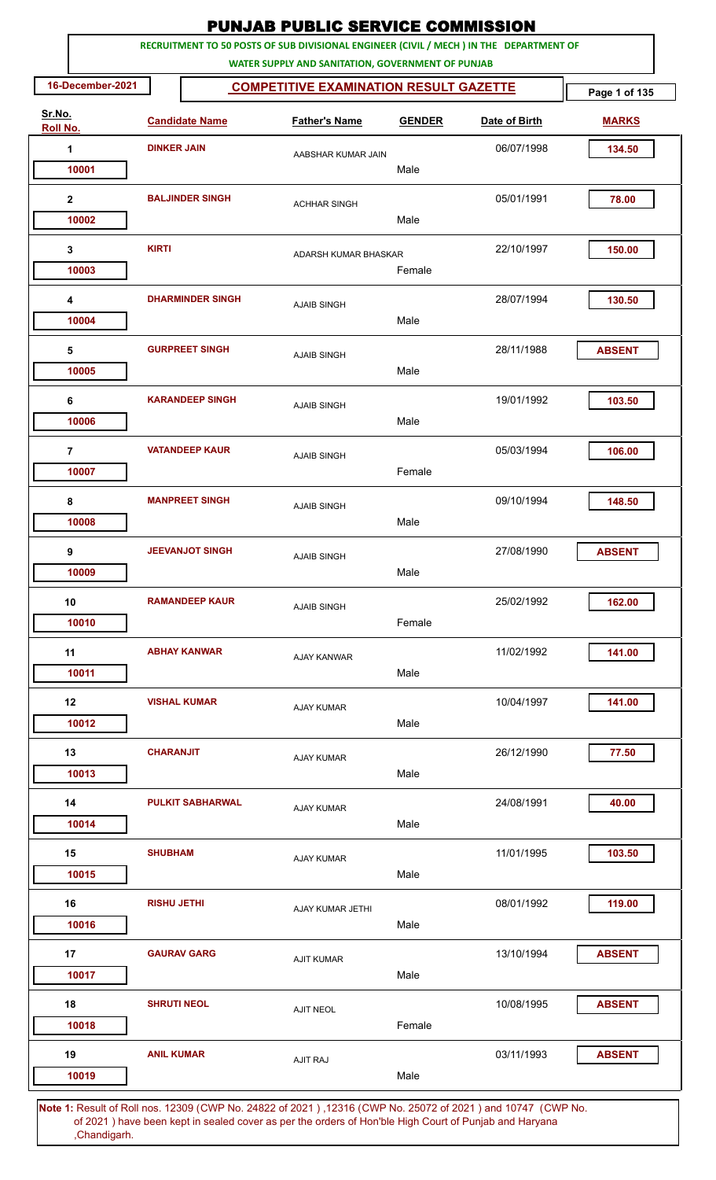|                           |                    |                         | <b>PUNJAB PUBLIC SERVICE COMMISSION</b>                                                                                                      |               |               |               |
|---------------------------|--------------------|-------------------------|----------------------------------------------------------------------------------------------------------------------------------------------|---------------|---------------|---------------|
|                           |                    |                         | RECRUITMENT TO 50 POSTS OF SUB DIVISIONAL ENGINEER (CIVIL / MECH ) IN THE DEPARTMENT OF<br>WATER SUPPLY AND SANITATION, GOVERNMENT OF PUNJAB |               |               |               |
| 16-December-2021          |                    | Page 1 of 135           |                                                                                                                                              |               |               |               |
| Sr.No.<br><b>Roll No.</b> |                    | <b>Candidate Name</b>   | <b>Father's Name</b>                                                                                                                         | <b>GENDER</b> | Date of Birth | <b>MARKS</b>  |
| 1                         | <b>DINKER JAIN</b> |                         | AABSHAR KUMAR JAIN                                                                                                                           |               | 06/07/1998    | 134.50        |
| 10001                     |                    |                         |                                                                                                                                              | Male          |               |               |
| $\mathbf{2}$              |                    | <b>BALJINDER SINGH</b>  | <b>ACHHAR SINGH</b>                                                                                                                          |               | 05/01/1991    | 78.00         |
| 10002                     |                    |                         |                                                                                                                                              | Male          |               |               |
| 3                         | <b>KIRTI</b>       |                         | ADARSH KUMAR BHASKAR                                                                                                                         |               | 22/10/1997    | 150.00        |
| 10003                     |                    |                         |                                                                                                                                              | Female        |               |               |
| 4                         |                    | <b>DHARMINDER SINGH</b> | <b>AJAIB SINGH</b>                                                                                                                           |               | 28/07/1994    | 130.50        |
| 10004                     |                    |                         |                                                                                                                                              | Male          |               |               |
| 5                         |                    | <b>GURPREET SINGH</b>   | <b>AJAIB SINGH</b>                                                                                                                           |               | 28/11/1988    | <b>ABSENT</b> |
| 10005                     |                    |                         |                                                                                                                                              | Male          |               |               |
| 6                         |                    | <b>KARANDEEP SINGH</b>  | <b>AJAIB SINGH</b>                                                                                                                           |               | 19/01/1992    | 103.50        |
| 10006                     |                    |                         |                                                                                                                                              | Male          |               |               |
| $\overline{7}$            |                    | <b>VATANDEEP KAUR</b>   | <b>AJAIB SINGH</b>                                                                                                                           |               | 05/03/1994    | 106.00        |
| 10007                     |                    |                         |                                                                                                                                              | Female        |               |               |
| 8                         |                    | <b>MANPREET SINGH</b>   | <b>AJAIB SINGH</b>                                                                                                                           |               | 09/10/1994    | 148.50        |
| 10008                     |                    |                         |                                                                                                                                              | Male          |               |               |
| 9                         |                    | <b>JEEVANJOT SINGH</b>  | <b>AJAIB SINGH</b>                                                                                                                           |               | 27/08/1990    | <b>ABSENT</b> |
| 10009                     |                    |                         |                                                                                                                                              | Male          |               |               |
| 10                        |                    | <b>RAMANDEEP KAUR</b>   | <b>AJAIB SINGH</b>                                                                                                                           |               | 25/02/1992    | 162.00        |
| 10010                     |                    |                         |                                                                                                                                              | Female        |               |               |
| 11                        |                    | <b>ABHAY KANWAR</b>     | <b>AJAY KANWAR</b>                                                                                                                           |               | 11/02/1992    | 141.00        |
| 10011                     |                    |                         |                                                                                                                                              | Male          |               |               |
| 12                        |                    | <b>VISHAL KUMAR</b>     | <b>AJAY KUMAR</b>                                                                                                                            |               | 10/04/1997    | 141.00        |
| 10012                     |                    |                         |                                                                                                                                              | Male          |               |               |
| 13                        | <b>CHARANJIT</b>   |                         | <b>AJAY KUMAR</b>                                                                                                                            |               | 26/12/1990    | 77.50         |
| 10013                     |                    |                         |                                                                                                                                              | Male          |               |               |
| 14                        |                    | <b>PULKIT SABHARWAL</b> | <b>AJAY KUMAR</b>                                                                                                                            |               | 24/08/1991    | 40.00         |
| 10014                     |                    |                         |                                                                                                                                              | Male          |               |               |
| 15                        | <b>SHUBHAM</b>     |                         | <b>AJAY KUMAR</b>                                                                                                                            |               | 11/01/1995    | 103.50        |
| 10015                     |                    |                         |                                                                                                                                              | Male          |               |               |
| 16                        | <b>RISHU JETHI</b> |                         | AJAY KUMAR JETHI                                                                                                                             |               | 08/01/1992    | 119.00        |
| 10016                     |                    |                         |                                                                                                                                              | Male          |               |               |
| 17                        |                    | <b>GAURAV GARG</b>      | <b>AJIT KUMAR</b>                                                                                                                            |               | 13/10/1994    | <b>ABSENT</b> |
| 10017                     |                    |                         |                                                                                                                                              | Male          |               |               |
| 18                        | <b>SHRUTI NEOL</b> |                         | <b>AJIT NEOL</b>                                                                                                                             |               | 10/08/1995    | <b>ABSENT</b> |
| 10018                     |                    |                         |                                                                                                                                              | Female        |               |               |
| 19                        | <b>ANIL KUMAR</b>  |                         | <b>AJIT RAJ</b>                                                                                                                              |               | 03/11/1993    | <b>ABSENT</b> |
| 10019                     |                    |                         |                                                                                                                                              | Male          |               |               |
|                           |                    |                         | 4. Result of Religion 19200 (CMD No. 24822 of 2021), 19216 (CMD No. 25072 of 2021) and 10747 (CMD No                                         |               |               |               |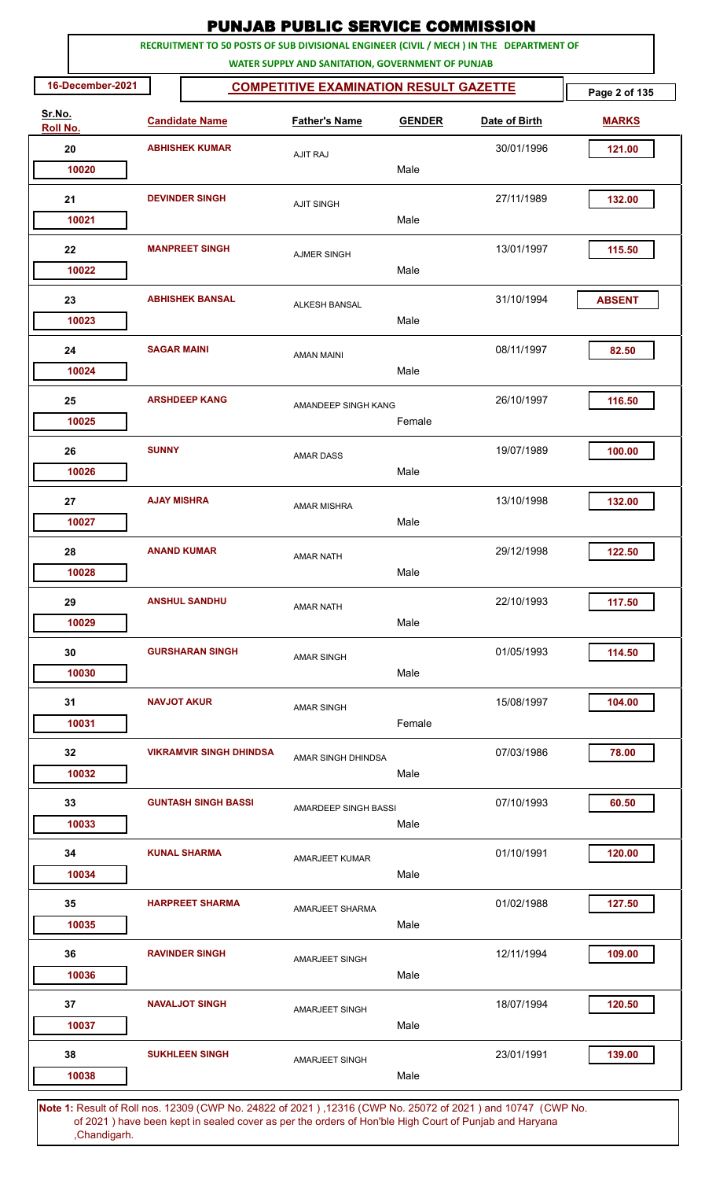|                    |                       |                                               | <b>PUNJAB PUBLIC SERVICE COMMISSION</b>                                                                                                      |        |               |               |
|--------------------|-----------------------|-----------------------------------------------|----------------------------------------------------------------------------------------------------------------------------------------------|--------|---------------|---------------|
|                    |                       |                                               | RECRUITMENT TO 50 POSTS OF SUB DIVISIONAL ENGINEER (CIVIL / MECH ) IN THE DEPARTMENT OF<br>WATER SUPPLY AND SANITATION, GOVERNMENT OF PUNJAB |        |               |               |
| 16-December-2021   |                       | <b>COMPETITIVE EXAMINATION RESULT GAZETTE</b> | Page 2 of 135                                                                                                                                |        |               |               |
| Sr.No.<br>Roll No. | <b>Candidate Name</b> |                                               | <b>Father's Name</b><br><b>GENDER</b>                                                                                                        |        | Date of Birth | <b>MARKS</b>  |
| 20                 | <b>ABHISHEK KUMAR</b> |                                               | <b>AJIT RAJ</b>                                                                                                                              |        | 30/01/1996    | 121.00        |
| 10020              |                       |                                               |                                                                                                                                              | Male   |               |               |
| 21                 |                       | <b>DEVINDER SINGH</b>                         | <b>AJIT SINGH</b>                                                                                                                            |        | 27/11/1989    | 132.00        |
| 10021              |                       |                                               |                                                                                                                                              | Male   |               |               |
| 22                 |                       | <b>MANPREET SINGH</b>                         | <b>AJMER SINGH</b>                                                                                                                           |        | 13/01/1997    | 115.50        |
| 10022              |                       |                                               |                                                                                                                                              | Male   |               |               |
| 23                 |                       | <b>ABHISHEK BANSAL</b>                        | <b>ALKESH BANSAL</b>                                                                                                                         |        | 31/10/1994    | <b>ABSENT</b> |
| 10023              |                       |                                               |                                                                                                                                              | Male   |               |               |
| 24                 | <b>SAGAR MAINI</b>    |                                               | <b>AMAN MAINI</b>                                                                                                                            |        | 08/11/1997    | 82.50         |
| 10024              |                       |                                               |                                                                                                                                              | Male   |               |               |
| 25                 |                       | <b>ARSHDEEP KANG</b>                          | AMANDEEP SINGH KANG                                                                                                                          |        | 26/10/1997    | 116.50        |
| 10025              |                       |                                               |                                                                                                                                              | Female |               |               |
| 26                 | <b>SUNNY</b>          |                                               | <b>AMAR DASS</b>                                                                                                                             |        | 19/07/1989    | 100.00        |
| 10026              |                       |                                               |                                                                                                                                              | Male   |               |               |
| 27                 | <b>AJAY MISHRA</b>    |                                               | <b>AMAR MISHRA</b>                                                                                                                           |        | 13/10/1998    | 132.00        |
| 10027              |                       |                                               |                                                                                                                                              | Male   |               |               |
| 28                 |                       | <b>ANAND KUMAR</b>                            | <b>AMAR NATH</b>                                                                                                                             |        | 29/12/1998    | 122.50        |
| 10028              |                       |                                               |                                                                                                                                              | Male   |               |               |
| 29                 |                       | <b>ANSHUL SANDHU</b>                          | <b>AMAR NATH</b>                                                                                                                             |        | 22/10/1993    | 117.50        |
| 10029              |                       |                                               |                                                                                                                                              | Male   |               |               |
| 30                 |                       | <b>GURSHARAN SINGH</b>                        | <b>AMAR SINGH</b>                                                                                                                            |        | 01/05/1993    | 114.50        |
| 10030              |                       |                                               |                                                                                                                                              | Male   |               |               |
| 31                 |                       | <b>NAVJOT AKUR</b>                            | <b>AMAR SINGH</b>                                                                                                                            |        | 15/08/1997    | 104.00        |
| 10031              |                       |                                               |                                                                                                                                              | Female |               |               |
| 32                 |                       | <b>VIKRAMVIR SINGH DHINDSA</b>                | AMAR SINGH DHINDSA                                                                                                                           |        | 07/03/1986    | 78.00         |
| 10032              |                       |                                               |                                                                                                                                              | Male   |               |               |
| 33                 |                       | <b>GUNTASH SINGH BASSI</b>                    | AMARDEEP SINGH BASSI                                                                                                                         |        | 07/10/1993    | 60.50         |
| 10033              |                       |                                               |                                                                                                                                              | Male   |               |               |
| 34                 |                       | <b>KUNAL SHARMA</b>                           | AMARJEET KUMAR                                                                                                                               |        | 01/10/1991    | 120.00        |
| 10034              |                       |                                               |                                                                                                                                              | Male   |               |               |
| 35                 |                       | <b>HARPREET SHARMA</b>                        | AMARJEET SHARMA                                                                                                                              |        | 01/02/1988    | 127.50        |
| 10035              |                       |                                               |                                                                                                                                              | Male   |               |               |
| 36                 |                       | <b>RAVINDER SINGH</b>                         | <b>AMARJEET SINGH</b>                                                                                                                        |        | 12/11/1994    | 109.00        |
| 10036              |                       |                                               |                                                                                                                                              | Male   |               |               |
| 37                 |                       | <b>NAVALJOT SINGH</b>                         | AMARJEET SINGH                                                                                                                               |        | 18/07/1994    | 120.50        |
| 10037              |                       |                                               |                                                                                                                                              | Male   |               |               |
| 38                 |                       | <b>SUKHLEEN SINGH</b>                         | AMARJEET SINGH                                                                                                                               |        | 23/01/1991    | 139.00        |
| 10038              |                       |                                               |                                                                                                                                              | Male   |               |               |
|                    |                       |                                               | Note 1: Result of Roll nos. 12309 (CWP No. 24822 of 2021), 12316 (CWP No. 25072 of 2021) and 10747. (CWP No.                                 |        |               |               |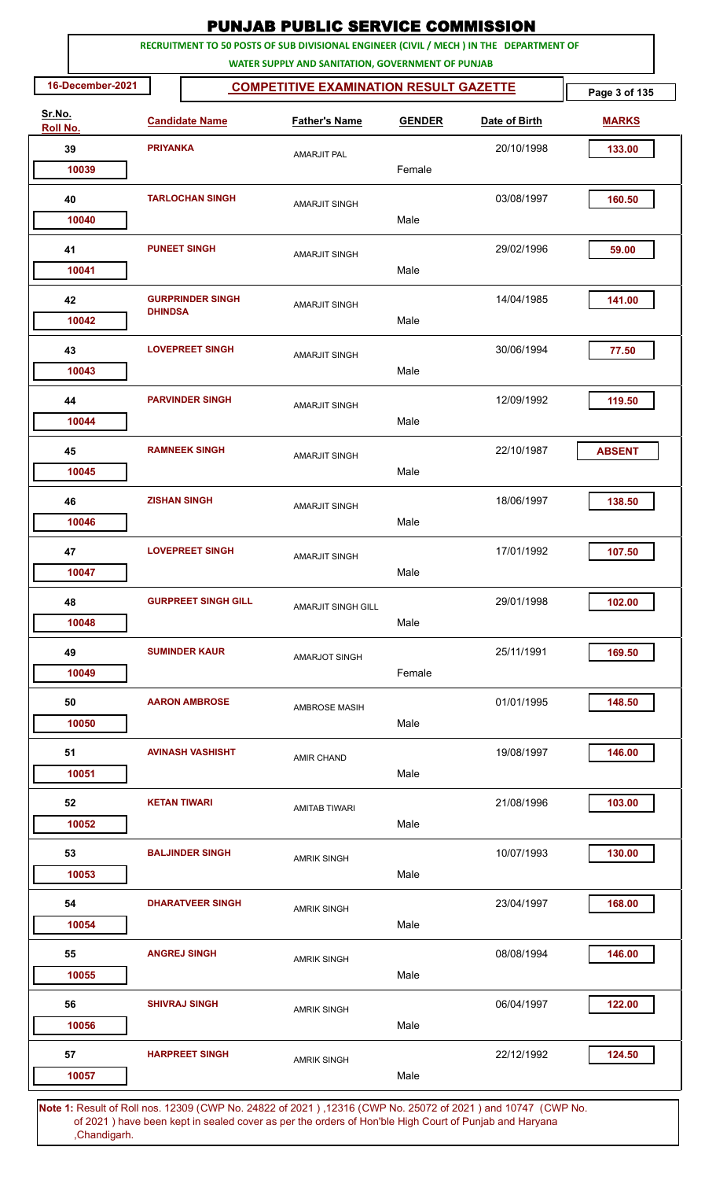|                    |                       |                            | <b>PUNJAB PUBLIC SERVICE COMMISSION</b>                                                                                                      |               |            |               |
|--------------------|-----------------------|----------------------------|----------------------------------------------------------------------------------------------------------------------------------------------|---------------|------------|---------------|
|                    |                       |                            | RECRUITMENT TO 50 POSTS OF SUB DIVISIONAL ENGINEER (CIVIL / MECH ) IN THE DEPARTMENT OF<br>WATER SUPPLY AND SANITATION, GOVERNMENT OF PUNJAB |               |            |               |
| 16-December-2021   |                       | Page 3 of 135              |                                                                                                                                              |               |            |               |
| Sr.No.<br>Roll No. | <b>Candidate Name</b> |                            | <b>Father's Name</b>                                                                                                                         | <b>GENDER</b> |            | <b>MARKS</b>  |
| 39                 | <b>PRIYANKA</b>       |                            | <b>AMARJIT PAL</b>                                                                                                                           |               | 20/10/1998 | 133.00        |
| 10039              |                       |                            |                                                                                                                                              | Female        |            |               |
| 40                 |                       | <b>TARLOCHAN SINGH</b>     | <b>AMARJIT SINGH</b>                                                                                                                         |               | 03/08/1997 | 160.50        |
| 10040              |                       |                            |                                                                                                                                              | Male          |            |               |
| 41                 |                       | <b>PUNEET SINGH</b>        | <b>AMARJIT SINGH</b>                                                                                                                         |               | 29/02/1996 | 59.00         |
| 10041              |                       |                            |                                                                                                                                              | Male          |            |               |
| 42                 | <b>DHINDSA</b>        | <b>GURPRINDER SINGH</b>    | <b>AMARJIT SINGH</b>                                                                                                                         |               | 14/04/1985 | 141.00        |
| 10042              |                       |                            |                                                                                                                                              | Male          |            |               |
| 43<br>10043        |                       | <b>LOVEPREET SINGH</b>     | <b>AMARJIT SINGH</b>                                                                                                                         | Male          | 30/06/1994 | 77.50         |
|                    |                       |                            |                                                                                                                                              |               |            |               |
| 44<br>10044        |                       | <b>PARVINDER SINGH</b>     | <b>AMARJIT SINGH</b>                                                                                                                         | Male          | 12/09/1992 | 119.50        |
|                    |                       |                            |                                                                                                                                              |               |            |               |
| 45<br>10045        |                       | <b>RAMNEEK SINGH</b>       | <b>AMARJIT SINGH</b>                                                                                                                         | Male          | 22/10/1987 | <b>ABSENT</b> |
| 46                 |                       | <b>ZISHAN SINGH</b>        |                                                                                                                                              |               | 18/06/1997 | 138.50        |
| 10046              |                       |                            | <b>AMARJIT SINGH</b>                                                                                                                         | Male          |            |               |
| 47                 |                       | <b>LOVEPREET SINGH</b>     |                                                                                                                                              |               | 17/01/1992 | 107.50        |
| 10047              |                       |                            | <b>AMARJIT SINGH</b>                                                                                                                         | Male          |            |               |
| 48                 |                       | <b>GURPREET SINGH GILL</b> | AMARJIT SINGH GILL                                                                                                                           |               | 29/01/1998 | 102.00        |
| 10048              |                       |                            |                                                                                                                                              | Male          |            |               |
| 49                 |                       | <b>SUMINDER KAUR</b>       | AMARJOT SINGH                                                                                                                                |               | 25/11/1991 | 169.50        |
| 10049              |                       |                            |                                                                                                                                              | Female        |            |               |
| 50                 |                       | <b>AARON AMBROSE</b>       | <b>AMBROSE MASIH</b>                                                                                                                         |               | 01/01/1995 | 148.50        |
| 10050              |                       |                            |                                                                                                                                              | Male          |            |               |
| 51                 |                       | <b>AVINASH VASHISHT</b>    | <b>AMIR CHAND</b>                                                                                                                            |               | 19/08/1997 | 146.00        |
| 10051              |                       |                            |                                                                                                                                              | Male          |            |               |
| 52                 |                       | <b>KETAN TIWARI</b>        | <b>AMITAB TIWARI</b>                                                                                                                         |               | 21/08/1996 | 103.00        |
| 10052              |                       |                            |                                                                                                                                              | Male          |            |               |
| 53                 |                       | <b>BALJINDER SINGH</b>     | <b>AMRIK SINGH</b>                                                                                                                           |               | 10/07/1993 | 130.00        |
| 10053              |                       |                            |                                                                                                                                              | Male          |            |               |
| 54                 |                       | <b>DHARATVEER SINGH</b>    | <b>AMRIK SINGH</b>                                                                                                                           |               | 23/04/1997 | 168.00        |
| 10054              |                       |                            |                                                                                                                                              | Male          |            |               |
| 55<br>10055        |                       | <b>ANGREJ SINGH</b>        | <b>AMRIK SINGH</b>                                                                                                                           | Male          | 08/08/1994 | 146.00        |
|                    |                       |                            |                                                                                                                                              |               |            |               |
| 56<br>10056        |                       | <b>SHIVRAJ SINGH</b>       | <b>AMRIK SINGH</b>                                                                                                                           | Male          | 06/04/1997 | 122.00        |
| 57                 |                       | <b>HARPREET SINGH</b>      |                                                                                                                                              |               | 22/12/1992 | 124.50        |
| 10057              |                       |                            | <b>AMRIK SINGH</b>                                                                                                                           | Male          |            |               |
|                    |                       |                            | Note 1: Result of Roll nos. 12309 (CWP No. 24822 of 2021), 12316 (CWP No. 25072 of 2021) and 10747. (CWP No.                                 |               |            |               |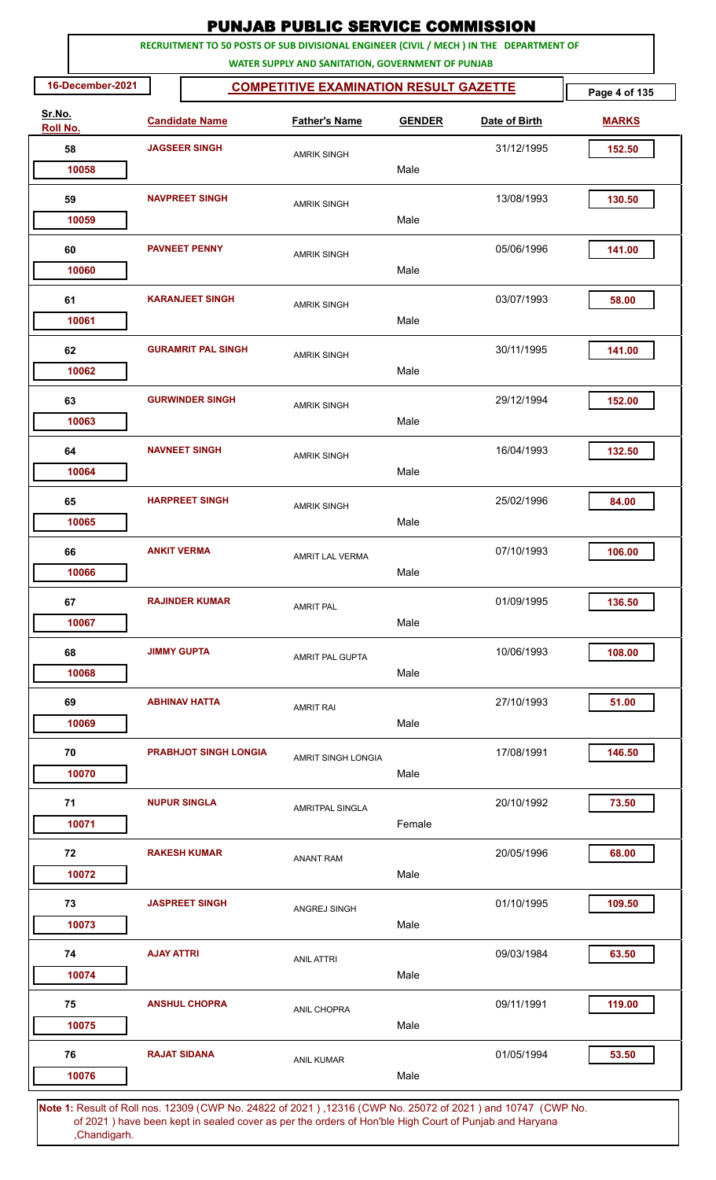|                    |                      |                              | <b>PUNJAB PUBLIC SERVICE COMMISSION</b>           |               |                                                                                                             |               |
|--------------------|----------------------|------------------------------|---------------------------------------------------|---------------|-------------------------------------------------------------------------------------------------------------|---------------|
|                    |                      |                              | WATER SUPPLY AND SANITATION, GOVERNMENT OF PUNJAB |               | RECRUITMENT TO 50 POSTS OF SUB DIVISIONAL ENGINEER (CIVIL / MECH ) IN THE DEPARTMENT OF                     |               |
| 16-December-2021   |                      |                              | <b>COMPETITIVE EXAMINATION RESULT GAZETTE</b>     |               |                                                                                                             | Page 4 of 135 |
| Sr.No.<br>Roll No. |                      | <b>Candidate Name</b>        | <b>Father's Name</b>                              | <b>GENDER</b> | Date of Birth                                                                                               | <b>MARKS</b>  |
| 58                 | <b>JAGSEER SINGH</b> |                              | <b>AMRIK SINGH</b>                                |               | 31/12/1995                                                                                                  | 152.50        |
| 10058              |                      |                              |                                                   | Male          |                                                                                                             |               |
| 59                 |                      | <b>NAVPREET SINGH</b>        | <b>AMRIK SINGH</b>                                |               | 13/08/1993                                                                                                  | 130.50        |
| 10059              |                      |                              |                                                   | Male          |                                                                                                             |               |
| 60                 |                      | <b>PAVNEET PENNY</b>         | <b>AMRIK SINGH</b>                                |               | 05/06/1996                                                                                                  | 141.00        |
| 10060              |                      |                              |                                                   | Male          |                                                                                                             |               |
| 61                 |                      | <b>KARANJEET SINGH</b>       | <b>AMRIK SINGH</b>                                |               | 03/07/1993                                                                                                  | 58.00         |
| 10061              |                      |                              |                                                   | Male          |                                                                                                             |               |
| 62                 |                      | <b>GURAMRIT PAL SINGH</b>    | <b>AMRIK SINGH</b>                                |               | 30/11/1995                                                                                                  | 141.00        |
| 10062              |                      |                              |                                                   | Male          |                                                                                                             |               |
| 63                 |                      | <b>GURWINDER SINGH</b>       | <b>AMRIK SINGH</b>                                |               | 29/12/1994                                                                                                  | 152.00        |
| 10063              |                      |                              |                                                   | Male          |                                                                                                             |               |
| 64                 |                      | <b>NAVNEET SINGH</b>         | <b>AMRIK SINGH</b>                                |               | 16/04/1993                                                                                                  | 132.50        |
| 10064              |                      |                              |                                                   | Male          |                                                                                                             |               |
| 65                 |                      | <b>HARPREET SINGH</b>        | <b>AMRIK SINGH</b>                                |               | 25/02/1996                                                                                                  | 84.00         |
| 10065              |                      |                              |                                                   | Male          |                                                                                                             |               |
| 66                 |                      | <b>ANKIT VERMA</b>           | <b>AMRIT LAL VERMA</b>                            |               | 07/10/1993                                                                                                  | 106.00        |
| 10066              |                      |                              |                                                   | Male          |                                                                                                             |               |
| 67                 |                      | <b>RAJINDER KUMAR</b>        | <b>AMRIT PAL</b>                                  |               | 01/09/1995                                                                                                  | 136.50        |
| 10067              |                      |                              |                                                   | Male          |                                                                                                             |               |
| 68                 |                      | <b>JIMMY GUPTA</b>           | <b>AMRIT PAL GUPTA</b>                            |               | 10/06/1993                                                                                                  | 108.00        |
| 10068              |                      |                              |                                                   | Male          |                                                                                                             |               |
| 69                 |                      | <b>ABHINAV HATTA</b>         | <b>AMRIT RAI</b>                                  |               | 27/10/1993                                                                                                  | 51.00         |
| 10069              |                      |                              |                                                   | Male          |                                                                                                             |               |
| 70<br>10070        |                      | <b>PRABHJOT SINGH LONGIA</b> | AMRIT SINGH LONGIA                                | Male          | 17/08/1991                                                                                                  | 146.50        |
|                    |                      |                              |                                                   |               |                                                                                                             |               |
| 71<br>10071        |                      | <b>NUPUR SINGLA</b>          | <b>AMRITPAL SINGLA</b>                            | Female        | 20/10/1992                                                                                                  | 73.50         |
|                    |                      |                              |                                                   |               |                                                                                                             |               |
| 72<br>10072        |                      | <b>RAKESH KUMAR</b>          | <b>ANANT RAM</b>                                  | Male          | 20/05/1996                                                                                                  | 68.00         |
| 73                 |                      | <b>JASPREET SINGH</b>        |                                                   |               | 01/10/1995                                                                                                  | 109.50        |
| 10073              |                      |                              | ANGREJ SINGH                                      | Male          |                                                                                                             |               |
| 74                 | <b>AJAY ATTRI</b>    |                              |                                                   |               | 09/03/1984                                                                                                  | 63.50         |
| 10074              |                      |                              | <b>ANIL ATTRI</b>                                 | Male          |                                                                                                             |               |
| 75                 |                      | <b>ANSHUL CHOPRA</b>         |                                                   |               | 09/11/1991                                                                                                  | 119.00        |
| 10075              |                      |                              | ANIL CHOPRA                                       | Male          |                                                                                                             |               |
| 76                 |                      | <b>RAJAT SIDANA</b>          |                                                   |               | 01/05/1994                                                                                                  | 53.50         |
| 10076              |                      |                              | <b>ANIL KUMAR</b>                                 | Male          |                                                                                                             |               |
|                    |                      |                              |                                                   |               | Note 1: Result of Roll nos. 12309 (CWP No. 24822 of 2021), 12316 (CWP No. 25072 of 2021) and 10747 (CWP No. |               |

 of 2021 ) have been kept in sealed cover as per the orders of Hon'ble High Court of Punjab and Haryana ,Chandigarh.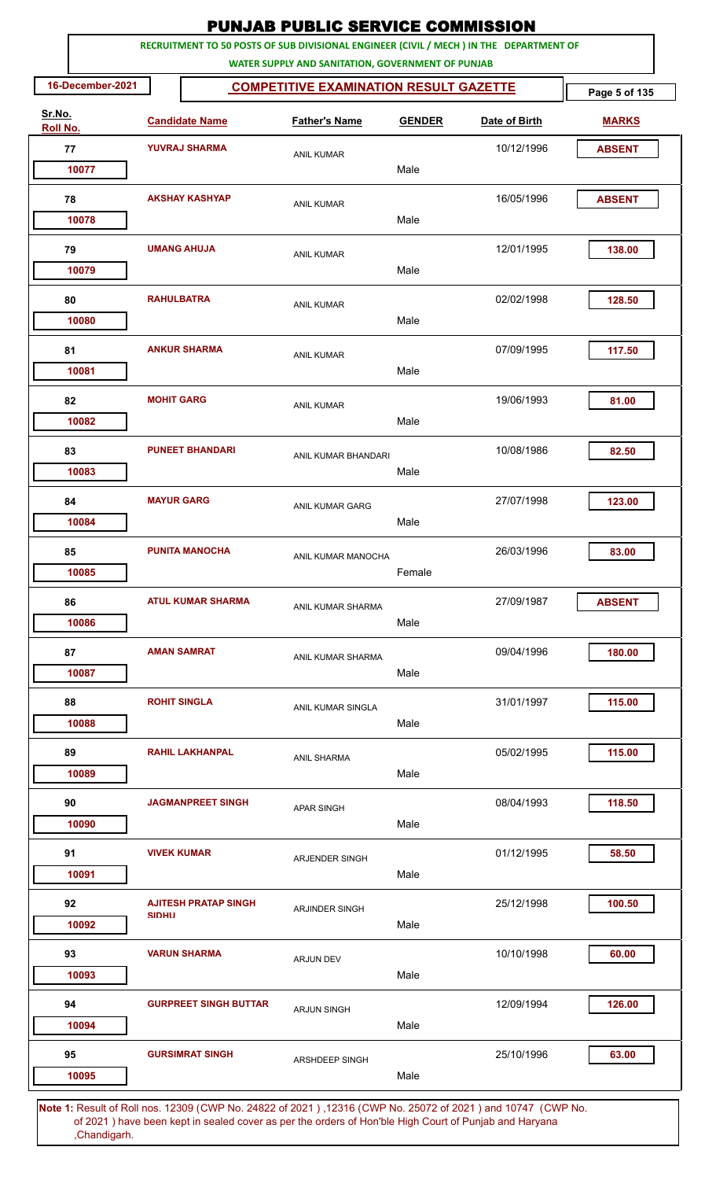| RECRUITMENT TO 50 POSTS OF SUB DIVISIONAL ENGINEER (CIVIL / MECH ) IN THE DEPARTMENT OF<br>WATER SUPPLY AND SANITATION, GOVERNMENT OF PUNJAB<br>16-December-2021<br><b>COMPETITIVE EXAMINATION RESULT GAZETTE</b><br>Sr.No.<br><b>Candidate Name</b><br><b>Father's Name</b><br><b>GENDER</b><br>Date of Birth<br><b>MARKS</b><br><b>Roll No.</b><br>77<br><b>YUVRAJ SHARMA</b><br>10/12/1996<br><b>ABSENT</b><br><b>ANIL KUMAR</b><br>10077<br>Male<br><b>AKSHAY KASHYAP</b><br>16/05/1996<br>78<br><b>ABSENT</b><br><b>ANIL KUMAR</b><br>Male<br>10078 | Page 5 of 135 |
|----------------------------------------------------------------------------------------------------------------------------------------------------------------------------------------------------------------------------------------------------------------------------------------------------------------------------------------------------------------------------------------------------------------------------------------------------------------------------------------------------------------------------------------------------------|---------------|
|                                                                                                                                                                                                                                                                                                                                                                                                                                                                                                                                                          |               |
|                                                                                                                                                                                                                                                                                                                                                                                                                                                                                                                                                          |               |
|                                                                                                                                                                                                                                                                                                                                                                                                                                                                                                                                                          |               |
|                                                                                                                                                                                                                                                                                                                                                                                                                                                                                                                                                          |               |
|                                                                                                                                                                                                                                                                                                                                                                                                                                                                                                                                                          |               |
|                                                                                                                                                                                                                                                                                                                                                                                                                                                                                                                                                          |               |
|                                                                                                                                                                                                                                                                                                                                                                                                                                                                                                                                                          |               |
| 12/01/1995<br>79<br><b>UMANG AHUJA</b><br><b>ANIL KUMAR</b><br>10079<br>Male                                                                                                                                                                                                                                                                                                                                                                                                                                                                             | 138.00        |
| 80<br><b>RAHULBATRA</b><br>02/02/1998                                                                                                                                                                                                                                                                                                                                                                                                                                                                                                                    | 128.50        |
| <b>ANIL KUMAR</b><br>Male<br>10080                                                                                                                                                                                                                                                                                                                                                                                                                                                                                                                       |               |
| <b>ANKUR SHARMA</b><br>07/09/1995<br>81<br><b>ANIL KUMAR</b>                                                                                                                                                                                                                                                                                                                                                                                                                                                                                             | 117.50        |
| Male<br>10081                                                                                                                                                                                                                                                                                                                                                                                                                                                                                                                                            |               |
| 82<br><b>MOHIT GARG</b><br>19/06/1993<br><b>ANIL KUMAR</b><br>10082<br>Male                                                                                                                                                                                                                                                                                                                                                                                                                                                                              | 81.00         |
|                                                                                                                                                                                                                                                                                                                                                                                                                                                                                                                                                          |               |
| <b>PUNEET BHANDARI</b><br>10/08/1986<br>83<br>ANIL KUMAR BHANDARI<br>10083<br>Male                                                                                                                                                                                                                                                                                                                                                                                                                                                                       | 82.50         |
| <b>MAYUR GARG</b><br>84<br>27/07/1998                                                                                                                                                                                                                                                                                                                                                                                                                                                                                                                    | 123.00        |
| ANIL KUMAR GARG<br>Male<br>10084                                                                                                                                                                                                                                                                                                                                                                                                                                                                                                                         |               |
| 26/03/1996<br>85<br><b>PUNITA MANOCHA</b><br>ANIL KUMAR MANOCHA                                                                                                                                                                                                                                                                                                                                                                                                                                                                                          | 83.00         |
| 10085<br>Female                                                                                                                                                                                                                                                                                                                                                                                                                                                                                                                                          |               |
| <b>ATUL KUMAR SHARMA</b><br>86<br>27/09/1987<br><b>ABSENT</b><br><b>ANIL KUMAR SHARMA</b>                                                                                                                                                                                                                                                                                                                                                                                                                                                                |               |
| 10086<br>Male                                                                                                                                                                                                                                                                                                                                                                                                                                                                                                                                            |               |
| <b>AMAN SAMRAT</b><br>09/04/1996<br>87<br>ANIL KUMAR SHARMA                                                                                                                                                                                                                                                                                                                                                                                                                                                                                              | 180.00        |
| 10087<br>Male                                                                                                                                                                                                                                                                                                                                                                                                                                                                                                                                            |               |
| 88<br><b>ROHIT SINGLA</b><br>31/01/1997<br>ANIL KUMAR SINGLA                                                                                                                                                                                                                                                                                                                                                                                                                                                                                             | 115.00        |
| 10088<br>Male                                                                                                                                                                                                                                                                                                                                                                                                                                                                                                                                            |               |
| 89<br><b>RAHIL LAKHANPAL</b><br>05/02/1995<br><b>ANIL SHARMA</b>                                                                                                                                                                                                                                                                                                                                                                                                                                                                                         | 115.00        |
| 10089<br>Male                                                                                                                                                                                                                                                                                                                                                                                                                                                                                                                                            |               |
| <b>JAGMANPREET SINGH</b><br>90<br>08/04/1993<br><b>APAR SINGH</b><br>Male<br>10090                                                                                                                                                                                                                                                                                                                                                                                                                                                                       | 118.50        |
| 01/12/1995<br>91<br><b>VIVEK KUMAR</b>                                                                                                                                                                                                                                                                                                                                                                                                                                                                                                                   | 58.50         |
| ARJENDER SINGH<br>Male<br>10091                                                                                                                                                                                                                                                                                                                                                                                                                                                                                                                          |               |
| 92<br><b>AJITESH PRATAP SINGH</b><br>25/12/1998<br><b>ARJINDER SINGH</b><br><b>SIDHU</b><br>Male<br>10092                                                                                                                                                                                                                                                                                                                                                                                                                                                | 100.50        |
|                                                                                                                                                                                                                                                                                                                                                                                                                                                                                                                                                          |               |
| <b>VARUN SHARMA</b><br>10/10/1998<br>93<br><b>ARJUN DEV</b><br>10093<br>Male                                                                                                                                                                                                                                                                                                                                                                                                                                                                             | 60.00         |
| <b>GURPREET SINGH BUTTAR</b><br>12/09/1994<br>94<br><b>ARJUN SINGH</b>                                                                                                                                                                                                                                                                                                                                                                                                                                                                                   | 126.00        |
| 10094<br>Male                                                                                                                                                                                                                                                                                                                                                                                                                                                                                                                                            |               |
| <b>GURSIMRAT SINGH</b><br>25/10/1996<br>95<br>ARSHDEEP SINGH                                                                                                                                                                                                                                                                                                                                                                                                                                                                                             | 63.00         |
| Male<br>10095                                                                                                                                                                                                                                                                                                                                                                                                                                                                                                                                            |               |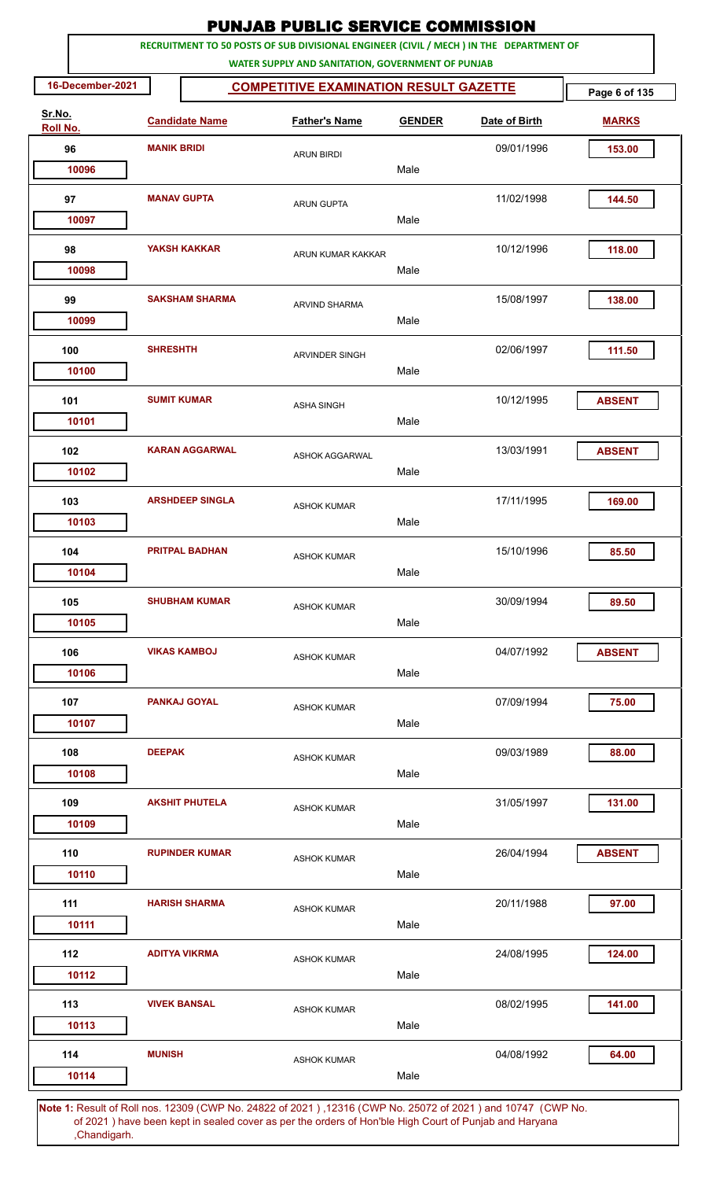|                    |                    |                        | <b>PUNJAB PUBLIC SERVICE COMMISSION</b>                                                                                                      |                                               |               |               |  |
|--------------------|--------------------|------------------------|----------------------------------------------------------------------------------------------------------------------------------------------|-----------------------------------------------|---------------|---------------|--|
|                    |                    |                        | RECRUITMENT TO 50 POSTS OF SUB DIVISIONAL ENGINEER (CIVIL / MECH ) IN THE DEPARTMENT OF<br>WATER SUPPLY AND SANITATION, GOVERNMENT OF PUNJAB |                                               |               |               |  |
| 16-December-2021   |                    |                        |                                                                                                                                              | <b>COMPETITIVE EXAMINATION RESULT GAZETTE</b> |               |               |  |
| Sr.No.<br>Roll No. |                    | <b>Candidate Name</b>  | <b>Father's Name</b>                                                                                                                         | <b>GENDER</b>                                 | Date of Birth | <b>MARKS</b>  |  |
| 96                 | <b>MANIK BRIDI</b> |                        | <b>ARUN BIRDI</b>                                                                                                                            |                                               | 09/01/1996    | 153.00        |  |
| 10096              |                    |                        |                                                                                                                                              | Male                                          |               |               |  |
| 97                 |                    | <b>MANAV GUPTA</b>     | <b>ARUN GUPTA</b>                                                                                                                            |                                               | 11/02/1998    | 144.50        |  |
| 10097              |                    |                        |                                                                                                                                              | Male                                          |               |               |  |
| 98                 |                    | <b>YAKSH KAKKAR</b>    | ARUN KUMAR KAKKAR                                                                                                                            |                                               | 10/12/1996    | 118.00        |  |
| 10098              |                    |                        |                                                                                                                                              | Male                                          |               |               |  |
| 99                 |                    | <b>SAKSHAM SHARMA</b>  | <b>ARVIND SHARMA</b>                                                                                                                         |                                               | 15/08/1997    | 138.00        |  |
| 10099              |                    |                        |                                                                                                                                              | Male                                          |               |               |  |
| 100                | <b>SHRESHTH</b>    |                        | <b>ARVINDER SINGH</b>                                                                                                                        |                                               | 02/06/1997    | 111.50        |  |
| 10100              |                    |                        |                                                                                                                                              | Male                                          |               |               |  |
| 101                |                    | <b>SUMIT KUMAR</b>     | <b>ASHA SINGH</b>                                                                                                                            |                                               | 10/12/1995    | <b>ABSENT</b> |  |
| 10101              |                    |                        |                                                                                                                                              | Male                                          |               |               |  |
| 102                |                    | <b>KARAN AGGARWAL</b>  | <b>ASHOK AGGARWAL</b>                                                                                                                        |                                               | 13/03/1991    | <b>ABSENT</b> |  |
| 10102              |                    |                        |                                                                                                                                              | Male                                          |               |               |  |
| 103                |                    | <b>ARSHDEEP SINGLA</b> | <b>ASHOK KUMAR</b>                                                                                                                           |                                               | 17/11/1995    | 169.00        |  |
| 10103              |                    |                        |                                                                                                                                              | Male                                          |               |               |  |
| 104                |                    | <b>PRITPAL BADHAN</b>  | <b>ASHOK KUMAR</b>                                                                                                                           |                                               | 15/10/1996    | 85.50         |  |
| 10104              |                    |                        |                                                                                                                                              | Male                                          |               |               |  |
| 105                |                    | <b>SHUBHAM KUMAR</b>   | <b>ASHOK KUMAR</b>                                                                                                                           |                                               | 30/09/1994    | 89.50         |  |
| 10105              |                    |                        |                                                                                                                                              | Male                                          |               |               |  |
| 106                |                    | <b>VIKAS KAMBOJ</b>    | <b>ASHOK KUMAR</b>                                                                                                                           |                                               | 04/07/1992    | <b>ABSENT</b> |  |
| 10106              |                    |                        |                                                                                                                                              | Male                                          |               |               |  |
| 107                |                    | <b>PANKAJ GOYAL</b>    | <b>ASHOK KUMAR</b>                                                                                                                           |                                               | 07/09/1994    | 75.00         |  |
| 10107              |                    |                        |                                                                                                                                              | Male                                          |               |               |  |
| 108                | <b>DEEPAK</b>      |                        | <b>ASHOK KUMAR</b>                                                                                                                           |                                               | 09/03/1989    | 88.00         |  |
| 10108              |                    |                        |                                                                                                                                              | Male                                          |               |               |  |
| 109                |                    | <b>AKSHIT PHUTELA</b>  | <b>ASHOK KUMAR</b>                                                                                                                           |                                               | 31/05/1997    | 131.00        |  |
| 10109              |                    |                        |                                                                                                                                              | Male                                          |               |               |  |
| 110                |                    | <b>RUPINDER KUMAR</b>  | <b>ASHOK KUMAR</b>                                                                                                                           |                                               | 26/04/1994    | <b>ABSENT</b> |  |
| 10110              |                    |                        |                                                                                                                                              | Male                                          |               |               |  |
| 111<br>10111       |                    | <b>HARISH SHARMA</b>   | <b>ASHOK KUMAR</b>                                                                                                                           | Male                                          | 20/11/1988    | 97.00         |  |
|                    |                    |                        |                                                                                                                                              |                                               |               |               |  |
| 112<br>10112       |                    | <b>ADITYA VIKRMA</b>   | <b>ASHOK KUMAR</b>                                                                                                                           | Male                                          | 24/08/1995    | 124.00        |  |
|                    |                    |                        |                                                                                                                                              |                                               |               |               |  |
| 113<br>10113       |                    | <b>VIVEK BANSAL</b>    | <b>ASHOK KUMAR</b>                                                                                                                           | Male                                          | 08/02/1995    | 141.00        |  |
|                    |                    |                        |                                                                                                                                              |                                               |               |               |  |
| 114<br>10114       | <b>MUNISH</b>      |                        | <b>ASHOK KUMAR</b>                                                                                                                           | Male                                          | 04/08/1992    | 64.00         |  |
|                    |                    |                        | Note 1: Posult of Pollipps, 12300 (CMP No. 24822 of 2021), 12316 (CMP No. 25072 of 2021) and 10747. (CMP No.                                 |                                               |               |               |  |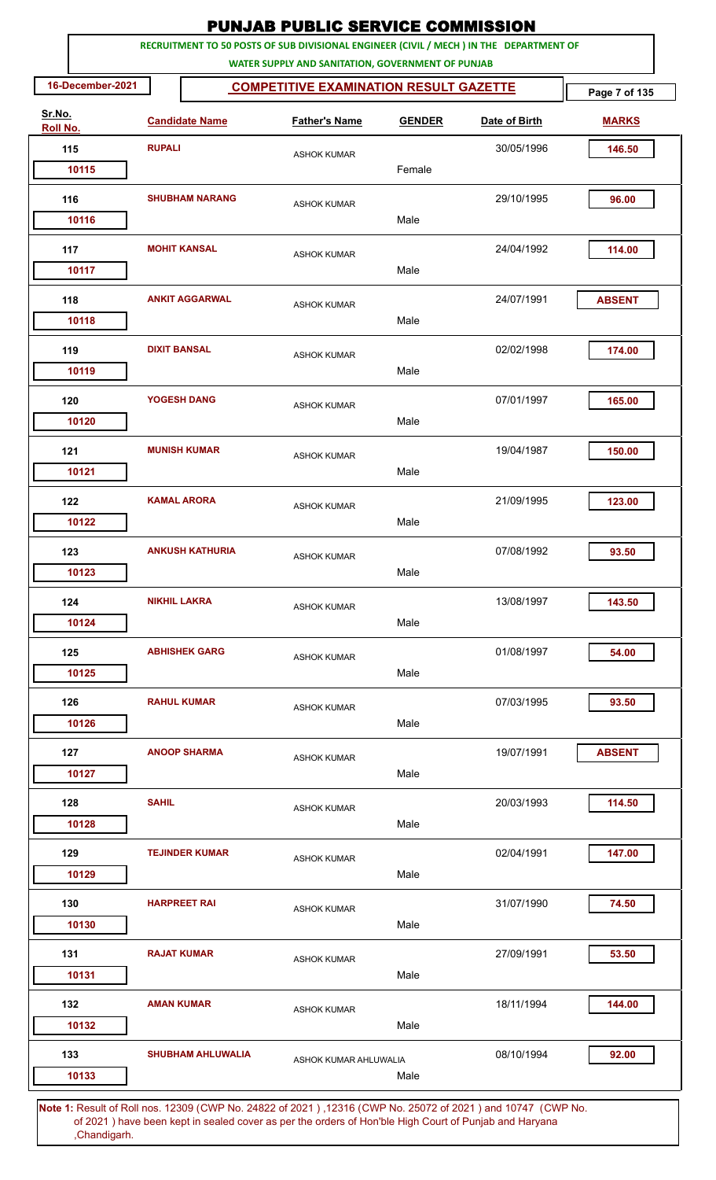|                    |                  |                     |                          |                                                   |                       |        |               | <b>PUNJAB PUBLIC SERVICE COMMISSION</b>                                                               |               |
|--------------------|------------------|---------------------|--------------------------|---------------------------------------------------|-----------------------|--------|---------------|-------------------------------------------------------------------------------------------------------|---------------|
|                    |                  |                     |                          | WATER SUPPLY AND SANITATION, GOVERNMENT OF PUNJAB |                       |        |               | RECRUITMENT TO 50 POSTS OF SUB DIVISIONAL ENGINEER (CIVIL / MECH ) IN THE DEPARTMENT OF               |               |
|                    | 16-December-2021 |                     |                          | <b>COMPETITIVE EXAMINATION RESULT GAZETTE</b>     |                       |        |               |                                                                                                       | Page 7 of 135 |
| Sr.No.<br>Roll No. |                  |                     | <b>Candidate Name</b>    |                                                   | <b>Father's Name</b>  |        | <b>GENDER</b> | Date of Birth                                                                                         | <b>MARKS</b>  |
| 115                |                  | <b>RUPALI</b>       |                          |                                                   | <b>ASHOK KUMAR</b>    |        |               | 30/05/1996                                                                                            | 146.50        |
|                    | 10115            |                     |                          |                                                   |                       | Female |               |                                                                                                       |               |
| 116                |                  |                     | <b>SHUBHAM NARANG</b>    |                                                   | <b>ASHOK KUMAR</b>    |        |               | 29/10/1995                                                                                            | 96.00         |
|                    | 10116            |                     |                          |                                                   |                       | Male   |               |                                                                                                       |               |
|                    | 117<br>10117     |                     | <b>MOHIT KANSAL</b>      |                                                   | <b>ASHOK KUMAR</b>    | Male   |               | 24/04/1992                                                                                            | 114.00        |
|                    |                  |                     |                          |                                                   |                       |        |               |                                                                                                       |               |
| 118                | 10118            |                     | <b>ANKIT AGGARWAL</b>    |                                                   | <b>ASHOK KUMAR</b>    | Male   |               | 24/07/1991                                                                                            | <b>ABSENT</b> |
| 119                |                  | <b>DIXIT BANSAL</b> |                          |                                                   | <b>ASHOK KUMAR</b>    |        |               | 02/02/1998                                                                                            | 174.00        |
|                    | 10119            |                     |                          |                                                   |                       | Male   |               |                                                                                                       |               |
| 120                |                  |                     | YOGESH DANG              |                                                   | <b>ASHOK KUMAR</b>    |        |               | 07/01/1997                                                                                            | 165.00        |
|                    | 10120            |                     |                          |                                                   |                       | Male   |               |                                                                                                       |               |
| 121                |                  |                     | <b>MUNISH KUMAR</b>      |                                                   | <b>ASHOK KUMAR</b>    |        |               | 19/04/1987                                                                                            | 150.00        |
|                    | 10121            |                     |                          |                                                   |                       | Male   |               |                                                                                                       |               |
|                    | 122              |                     | <b>KAMAL ARORA</b>       |                                                   | <b>ASHOK KUMAR</b>    |        |               | 21/09/1995                                                                                            | 123.00        |
|                    | 10122            |                     |                          |                                                   |                       | Male   |               |                                                                                                       |               |
| 123                |                  |                     | <b>ANKUSH KATHURIA</b>   |                                                   | <b>ASHOK KUMAR</b>    |        |               | 07/08/1992                                                                                            | 93.50         |
|                    | 10123            |                     |                          |                                                   |                       | Male   |               |                                                                                                       |               |
| 124                |                  |                     | <b>NIKHIL LAKRA</b>      |                                                   | <b>ASHOK KUMAR</b>    |        |               | 13/08/1997                                                                                            | 143.50        |
|                    | 10124            |                     |                          |                                                   |                       | Male   |               |                                                                                                       |               |
|                    | 125              |                     | <b>ABHISHEK GARG</b>     |                                                   | <b>ASHOK KUMAR</b>    |        |               | 01/08/1997                                                                                            | 54.00         |
|                    | 10125            |                     |                          |                                                   |                       | Male   |               |                                                                                                       |               |
| 126                |                  |                     | <b>RAHUL KUMAR</b>       |                                                   | <b>ASHOK KUMAR</b>    |        |               | 07/03/1995                                                                                            | 93.50         |
|                    | 10126            |                     |                          |                                                   |                       | Male   |               |                                                                                                       |               |
| 127                |                  |                     | <b>ANOOP SHARMA</b>      |                                                   | <b>ASHOK KUMAR</b>    |        |               | 19/07/1991                                                                                            | <b>ABSENT</b> |
|                    | 10127            |                     |                          |                                                   |                       | Male   |               |                                                                                                       |               |
| 128                |                  | <b>SAHIL</b>        |                          |                                                   | <b>ASHOK KUMAR</b>    |        |               | 20/03/1993                                                                                            | 114.50        |
|                    | 10128            |                     |                          |                                                   |                       | Male   |               |                                                                                                       |               |
| 129                |                  |                     | <b>TEJINDER KUMAR</b>    |                                                   | <b>ASHOK KUMAR</b>    |        |               | 02/04/1991                                                                                            | 147.00        |
|                    | 10129            |                     |                          |                                                   |                       | Male   |               |                                                                                                       |               |
| 130                |                  |                     | <b>HARPREET RAI</b>      |                                                   | <b>ASHOK KUMAR</b>    |        |               | 31/07/1990                                                                                            | 74.50         |
|                    | 10130            |                     |                          |                                                   |                       | Male   |               |                                                                                                       |               |
| 131                |                  |                     | <b>RAJAT KUMAR</b>       |                                                   | <b>ASHOK KUMAR</b>    |        |               | 27/09/1991                                                                                            | 53.50         |
|                    | 10131            |                     |                          |                                                   |                       | Male   |               |                                                                                                       |               |
|                    | 132              | <b>AMAN KUMAR</b>   |                          |                                                   | <b>ASHOK KUMAR</b>    |        |               | 18/11/1994                                                                                            | 144.00        |
|                    | 10132            |                     |                          |                                                   |                       | Male   |               |                                                                                                       |               |
| 133                |                  |                     | <b>SHUBHAM AHLUWALIA</b> |                                                   | ASHOK KUMAR AHLUWALIA |        |               | 08/10/1994                                                                                            | 92.00         |
|                    | 10133            |                     |                          |                                                   |                       | Male   |               |                                                                                                       |               |
|                    |                  |                     |                          |                                                   |                       |        |               | 4. Result of Bellinge, 19200 (CMD Ne. 34892 of 2021), 19346 (CMD Ne. 35072 of 2021) and 10747 (CMD Ne |               |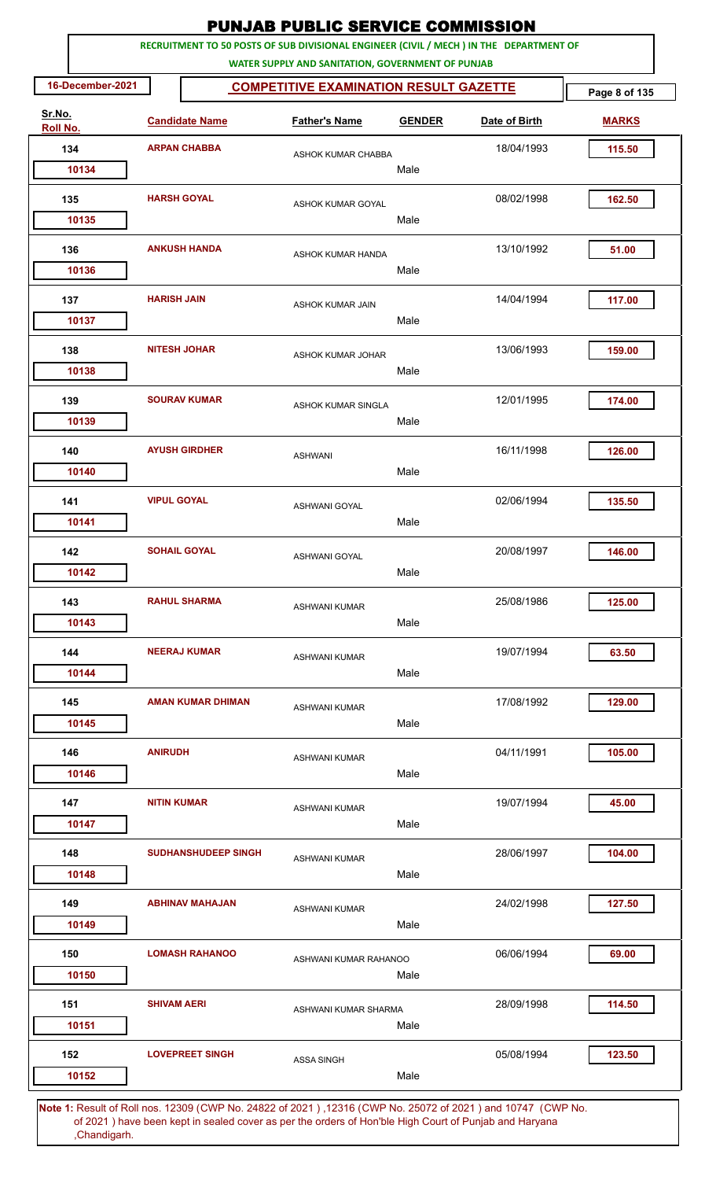|                    |                    |                            | <b>PUNJAB PUBLIC SERVICE COMMISSION</b>                                                                                                      |               |               |              |  |
|--------------------|--------------------|----------------------------|----------------------------------------------------------------------------------------------------------------------------------------------|---------------|---------------|--------------|--|
|                    |                    |                            | RECRUITMENT TO 50 POSTS OF SUB DIVISIONAL ENGINEER (CIVIL / MECH ) IN THE DEPARTMENT OF<br>WATER SUPPLY AND SANITATION, GOVERNMENT OF PUNJAB |               |               |              |  |
| 16-December-2021   |                    |                            | <b>COMPETITIVE EXAMINATION RESULT GAZETTE</b>                                                                                                |               |               |              |  |
| Sr.No.<br>Roll No. |                    | <b>Candidate Name</b>      | <b>Father's Name</b>                                                                                                                         | <b>GENDER</b> | Date of Birth | <b>MARKS</b> |  |
| 134                |                    | <b>ARPAN CHABBA</b>        | ASHOK KUMAR CHABBA                                                                                                                           |               | 18/04/1993    | 115.50       |  |
| 10134              |                    |                            |                                                                                                                                              | Male          |               |              |  |
| 135                | <b>HARSH GOYAL</b> |                            | ASHOK KUMAR GOYAL                                                                                                                            |               | 08/02/1998    | 162.50       |  |
| 10135              |                    |                            |                                                                                                                                              | Male          |               |              |  |
| 136                |                    | <b>ANKUSH HANDA</b>        | <b>ASHOK KUMAR HANDA</b>                                                                                                                     |               | 13/10/1992    | 51.00        |  |
| 10136              |                    |                            |                                                                                                                                              | Male          |               |              |  |
| 137                | <b>HARISH JAIN</b> |                            | ASHOK KUMAR JAIN                                                                                                                             |               | 14/04/1994    | 117.00       |  |
| 10137              |                    |                            |                                                                                                                                              | Male          |               |              |  |
| 138                |                    | <b>NITESH JOHAR</b>        | <b>ASHOK KUMAR JOHAR</b>                                                                                                                     |               | 13/06/1993    | 159.00       |  |
| 10138              |                    |                            |                                                                                                                                              | Male          |               |              |  |
| 139                |                    | <b>SOURAV KUMAR</b>        | ASHOK KUMAR SINGLA                                                                                                                           |               | 12/01/1995    | 174.00       |  |
| 10139              |                    |                            |                                                                                                                                              | Male          |               |              |  |
| 140                |                    | <b>AYUSH GIRDHER</b>       | <b>ASHWANI</b>                                                                                                                               |               | 16/11/1998    | 126.00       |  |
| 10140              |                    |                            |                                                                                                                                              | Male          |               |              |  |
| 141                | <b>VIPUL GOYAL</b> |                            | ASHWANI GOYAL                                                                                                                                |               | 02/06/1994    | 135.50       |  |
| 10141              |                    |                            |                                                                                                                                              | Male          |               |              |  |
| 142                |                    | <b>SOHAIL GOYAL</b>        | ASHWANI GOYAL                                                                                                                                |               | 20/08/1997    | 146.00       |  |
| 10142              |                    |                            |                                                                                                                                              | Male          |               |              |  |
| 143                |                    | <b>RAHUL SHARMA</b>        | <b>ASHWANI KUMAR</b>                                                                                                                         |               | 25/08/1986    | 125.00       |  |
| 10143              |                    |                            |                                                                                                                                              | Male          |               |              |  |
| 144                |                    | <b>NEERAJ KUMAR</b>        | <b>ASHWANI KUMAR</b>                                                                                                                         |               | 19/07/1994    | 63.50        |  |
| 10144              |                    |                            |                                                                                                                                              | Male          |               |              |  |
| 145                |                    | <b>AMAN KUMAR DHIMAN</b>   | <b>ASHWANI KUMAR</b>                                                                                                                         |               | 17/08/1992    | 129.00       |  |
| 10145              |                    |                            |                                                                                                                                              | Male          |               |              |  |
| 146                | <b>ANIRUDH</b>     |                            | <b>ASHWANI KUMAR</b>                                                                                                                         |               | 04/11/1991    | 105.00       |  |
| 10146              |                    |                            |                                                                                                                                              | Male          |               |              |  |
| 147                | <b>NITIN KUMAR</b> |                            | <b>ASHWANI KUMAR</b>                                                                                                                         |               | 19/07/1994    | 45.00        |  |
| 10147              |                    |                            |                                                                                                                                              | Male          |               |              |  |
| 148                |                    | <b>SUDHANSHUDEEP SINGH</b> | <b>ASHWANI KUMAR</b>                                                                                                                         |               | 28/06/1997    | 104.00       |  |
| 10148              |                    |                            |                                                                                                                                              | Male          |               |              |  |
| 149                |                    | <b>ABHINAV MAHAJAN</b>     | <b>ASHWANI KUMAR</b>                                                                                                                         |               | 24/02/1998    | 127.50       |  |
| 10149              |                    |                            |                                                                                                                                              | Male          |               |              |  |
| 150                |                    | <b>LOMASH RAHANOO</b>      | ASHWANI KUMAR RAHANOO                                                                                                                        |               | 06/06/1994    | 69.00        |  |
| 10150              |                    |                            |                                                                                                                                              | Male          |               |              |  |
| 151                | <b>SHIVAM AERI</b> |                            | ASHWANI KUMAR SHARMA                                                                                                                         |               | 28/09/1998    | 114.50       |  |
| 10151              |                    |                            |                                                                                                                                              | Male          |               |              |  |
| 152                |                    | <b>LOVEPREET SINGH</b>     | <b>ASSA SINGH</b>                                                                                                                            |               | 05/08/1994    | 123.50       |  |
| 10152              |                    |                            |                                                                                                                                              | Male          |               |              |  |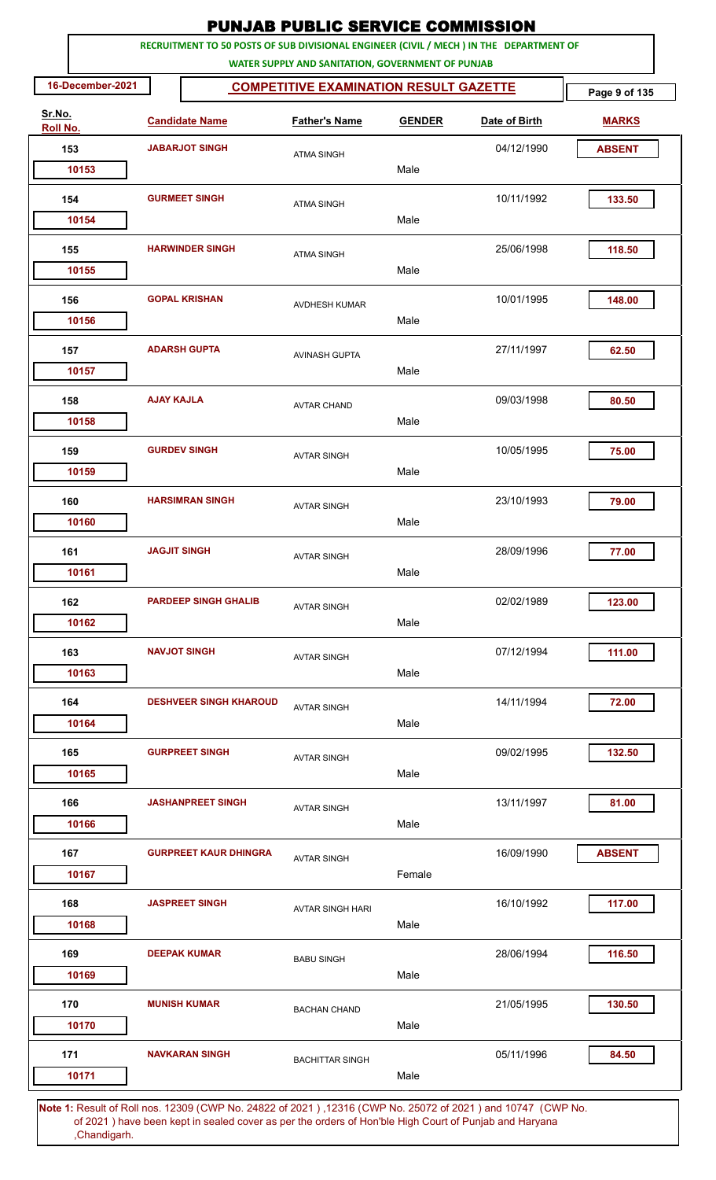| RECRUITMENT TO 50 POSTS OF SUB DIVISIONAL ENGINEER (CIVIL / MECH ) IN THE DEPARTMENT OF<br>WATER SUPPLY AND SANITATION, GOVERNMENT OF PUNJAB<br>16-December-2021<br><b>COMPETITIVE EXAMINATION RESULT GAZETTE</b><br>Page 9 of 135<br>Sr.No.<br><b>Candidate Name</b><br><b>Father's Name</b><br>Date of Birth<br><b>GENDER</b><br><b>MARKS</b><br>Roll No.<br>153<br><b>JABARJOT SINGH</b><br>04/12/1990<br><b>ABSENT</b><br><b>ATMA SINGH</b><br>Male<br>10153<br><b>GURMEET SINGH</b><br>10/11/1992<br>133.50<br>154<br><b>ATMA SINGH</b><br>Male<br>10154<br>25/06/1998<br>155<br><b>HARWINDER SINGH</b><br>118.50<br><b>ATMA SINGH</b><br>Male<br>10155<br><b>GOPAL KRISHAN</b><br>156<br>10/01/1995<br>148.00<br>AVDHESH KUMAR<br>Male<br>10156<br><b>ADARSH GUPTA</b><br>27/11/1997<br>62.50<br>157<br>AVINASH GUPTA<br>Male<br>10157<br><b>AJAY KAJLA</b><br>09/03/1998<br>158<br>80.50<br><b>AVTAR CHAND</b><br>10158<br>Male<br><b>GURDEV SINGH</b><br>10/05/1995<br>159<br>75.00<br><b>AVTAR SINGH</b><br>Male<br>10159<br><b>HARSIMRAN SINGH</b><br>23/10/1993<br>160<br>79.00<br><b>AVTAR SINGH</b><br>Male<br>10160<br>28/09/1996<br>161<br><b>JAGJIT SINGH</b><br>77.00<br><b>AVTAR SINGH</b><br>Male<br>10161<br><b>PARDEEP SINGH GHALIB</b><br>162<br>02/02/1989<br>123.00<br><b>AVTAR SINGH</b><br>Male<br>10162<br><b>NAVJOT SINGH</b><br>07/12/1994<br>111.00<br>163<br><b>AVTAR SINGH</b><br>10163<br>Male<br>164<br><b>DESHVEER SINGH KHAROUD</b><br>14/11/1994<br>72.00<br><b>AVTAR SINGH</b><br>Male<br>10164<br><b>GURPREET SINGH</b><br>165<br>09/02/1995<br>132.50<br><b>AVTAR SINGH</b><br>10165<br>Male<br><b>JASHANPREET SINGH</b><br>13/11/1997<br>81.00<br>166<br><b>AVTAR SINGH</b><br>Male<br>10166<br>16/09/1990<br><b>ABSENT</b><br>167<br><b>GURPREET KAUR DHINGRA</b><br><b>AVTAR SINGH</b><br>Female<br>10167<br><b>JASPREET SINGH</b><br>168<br>16/10/1992<br>117.00<br><b>AVTAR SINGH HARI</b><br>Male<br>10168<br><b>DEEPAK KUMAR</b><br>28/06/1994<br>116.50<br>169<br><b>BABU SINGH</b><br>10169<br>Male<br>21/05/1995<br>130.50<br>170<br><b>MUNISH KUMAR</b><br><b>BACHAN CHAND</b><br>10170<br>Male<br><b>NAVKARAN SINGH</b><br>05/11/1996<br>171<br>84.50<br><b>BACHITTAR SINGH</b> |  |  | <b>PUNJAB PUBLIC SERVICE COMMISSION</b> |  |  |
|-------------------------------------------------------------------------------------------------------------------------------------------------------------------------------------------------------------------------------------------------------------------------------------------------------------------------------------------------------------------------------------------------------------------------------------------------------------------------------------------------------------------------------------------------------------------------------------------------------------------------------------------------------------------------------------------------------------------------------------------------------------------------------------------------------------------------------------------------------------------------------------------------------------------------------------------------------------------------------------------------------------------------------------------------------------------------------------------------------------------------------------------------------------------------------------------------------------------------------------------------------------------------------------------------------------------------------------------------------------------------------------------------------------------------------------------------------------------------------------------------------------------------------------------------------------------------------------------------------------------------------------------------------------------------------------------------------------------------------------------------------------------------------------------------------------------------------------------------------------------------------------------------------------------------------------------------------------------------------------------------------------------------------------------------------------------------------------------------------------------------------------------------------------------------------------------------------------------------------------|--|--|-----------------------------------------|--|--|
|                                                                                                                                                                                                                                                                                                                                                                                                                                                                                                                                                                                                                                                                                                                                                                                                                                                                                                                                                                                                                                                                                                                                                                                                                                                                                                                                                                                                                                                                                                                                                                                                                                                                                                                                                                                                                                                                                                                                                                                                                                                                                                                                                                                                                                     |  |  |                                         |  |  |
|                                                                                                                                                                                                                                                                                                                                                                                                                                                                                                                                                                                                                                                                                                                                                                                                                                                                                                                                                                                                                                                                                                                                                                                                                                                                                                                                                                                                                                                                                                                                                                                                                                                                                                                                                                                                                                                                                                                                                                                                                                                                                                                                                                                                                                     |  |  |                                         |  |  |
|                                                                                                                                                                                                                                                                                                                                                                                                                                                                                                                                                                                                                                                                                                                                                                                                                                                                                                                                                                                                                                                                                                                                                                                                                                                                                                                                                                                                                                                                                                                                                                                                                                                                                                                                                                                                                                                                                                                                                                                                                                                                                                                                                                                                                                     |  |  |                                         |  |  |
|                                                                                                                                                                                                                                                                                                                                                                                                                                                                                                                                                                                                                                                                                                                                                                                                                                                                                                                                                                                                                                                                                                                                                                                                                                                                                                                                                                                                                                                                                                                                                                                                                                                                                                                                                                                                                                                                                                                                                                                                                                                                                                                                                                                                                                     |  |  |                                         |  |  |
|                                                                                                                                                                                                                                                                                                                                                                                                                                                                                                                                                                                                                                                                                                                                                                                                                                                                                                                                                                                                                                                                                                                                                                                                                                                                                                                                                                                                                                                                                                                                                                                                                                                                                                                                                                                                                                                                                                                                                                                                                                                                                                                                                                                                                                     |  |  |                                         |  |  |
|                                                                                                                                                                                                                                                                                                                                                                                                                                                                                                                                                                                                                                                                                                                                                                                                                                                                                                                                                                                                                                                                                                                                                                                                                                                                                                                                                                                                                                                                                                                                                                                                                                                                                                                                                                                                                                                                                                                                                                                                                                                                                                                                                                                                                                     |  |  |                                         |  |  |
|                                                                                                                                                                                                                                                                                                                                                                                                                                                                                                                                                                                                                                                                                                                                                                                                                                                                                                                                                                                                                                                                                                                                                                                                                                                                                                                                                                                                                                                                                                                                                                                                                                                                                                                                                                                                                                                                                                                                                                                                                                                                                                                                                                                                                                     |  |  |                                         |  |  |
|                                                                                                                                                                                                                                                                                                                                                                                                                                                                                                                                                                                                                                                                                                                                                                                                                                                                                                                                                                                                                                                                                                                                                                                                                                                                                                                                                                                                                                                                                                                                                                                                                                                                                                                                                                                                                                                                                                                                                                                                                                                                                                                                                                                                                                     |  |  |                                         |  |  |
|                                                                                                                                                                                                                                                                                                                                                                                                                                                                                                                                                                                                                                                                                                                                                                                                                                                                                                                                                                                                                                                                                                                                                                                                                                                                                                                                                                                                                                                                                                                                                                                                                                                                                                                                                                                                                                                                                                                                                                                                                                                                                                                                                                                                                                     |  |  |                                         |  |  |
|                                                                                                                                                                                                                                                                                                                                                                                                                                                                                                                                                                                                                                                                                                                                                                                                                                                                                                                                                                                                                                                                                                                                                                                                                                                                                                                                                                                                                                                                                                                                                                                                                                                                                                                                                                                                                                                                                                                                                                                                                                                                                                                                                                                                                                     |  |  |                                         |  |  |
|                                                                                                                                                                                                                                                                                                                                                                                                                                                                                                                                                                                                                                                                                                                                                                                                                                                                                                                                                                                                                                                                                                                                                                                                                                                                                                                                                                                                                                                                                                                                                                                                                                                                                                                                                                                                                                                                                                                                                                                                                                                                                                                                                                                                                                     |  |  |                                         |  |  |
|                                                                                                                                                                                                                                                                                                                                                                                                                                                                                                                                                                                                                                                                                                                                                                                                                                                                                                                                                                                                                                                                                                                                                                                                                                                                                                                                                                                                                                                                                                                                                                                                                                                                                                                                                                                                                                                                                                                                                                                                                                                                                                                                                                                                                                     |  |  |                                         |  |  |
|                                                                                                                                                                                                                                                                                                                                                                                                                                                                                                                                                                                                                                                                                                                                                                                                                                                                                                                                                                                                                                                                                                                                                                                                                                                                                                                                                                                                                                                                                                                                                                                                                                                                                                                                                                                                                                                                                                                                                                                                                                                                                                                                                                                                                                     |  |  |                                         |  |  |
|                                                                                                                                                                                                                                                                                                                                                                                                                                                                                                                                                                                                                                                                                                                                                                                                                                                                                                                                                                                                                                                                                                                                                                                                                                                                                                                                                                                                                                                                                                                                                                                                                                                                                                                                                                                                                                                                                                                                                                                                                                                                                                                                                                                                                                     |  |  |                                         |  |  |
|                                                                                                                                                                                                                                                                                                                                                                                                                                                                                                                                                                                                                                                                                                                                                                                                                                                                                                                                                                                                                                                                                                                                                                                                                                                                                                                                                                                                                                                                                                                                                                                                                                                                                                                                                                                                                                                                                                                                                                                                                                                                                                                                                                                                                                     |  |  |                                         |  |  |
|                                                                                                                                                                                                                                                                                                                                                                                                                                                                                                                                                                                                                                                                                                                                                                                                                                                                                                                                                                                                                                                                                                                                                                                                                                                                                                                                                                                                                                                                                                                                                                                                                                                                                                                                                                                                                                                                                                                                                                                                                                                                                                                                                                                                                                     |  |  |                                         |  |  |
|                                                                                                                                                                                                                                                                                                                                                                                                                                                                                                                                                                                                                                                                                                                                                                                                                                                                                                                                                                                                                                                                                                                                                                                                                                                                                                                                                                                                                                                                                                                                                                                                                                                                                                                                                                                                                                                                                                                                                                                                                                                                                                                                                                                                                                     |  |  |                                         |  |  |
|                                                                                                                                                                                                                                                                                                                                                                                                                                                                                                                                                                                                                                                                                                                                                                                                                                                                                                                                                                                                                                                                                                                                                                                                                                                                                                                                                                                                                                                                                                                                                                                                                                                                                                                                                                                                                                                                                                                                                                                                                                                                                                                                                                                                                                     |  |  |                                         |  |  |
|                                                                                                                                                                                                                                                                                                                                                                                                                                                                                                                                                                                                                                                                                                                                                                                                                                                                                                                                                                                                                                                                                                                                                                                                                                                                                                                                                                                                                                                                                                                                                                                                                                                                                                                                                                                                                                                                                                                                                                                                                                                                                                                                                                                                                                     |  |  |                                         |  |  |
|                                                                                                                                                                                                                                                                                                                                                                                                                                                                                                                                                                                                                                                                                                                                                                                                                                                                                                                                                                                                                                                                                                                                                                                                                                                                                                                                                                                                                                                                                                                                                                                                                                                                                                                                                                                                                                                                                                                                                                                                                                                                                                                                                                                                                                     |  |  |                                         |  |  |
|                                                                                                                                                                                                                                                                                                                                                                                                                                                                                                                                                                                                                                                                                                                                                                                                                                                                                                                                                                                                                                                                                                                                                                                                                                                                                                                                                                                                                                                                                                                                                                                                                                                                                                                                                                                                                                                                                                                                                                                                                                                                                                                                                                                                                                     |  |  |                                         |  |  |
|                                                                                                                                                                                                                                                                                                                                                                                                                                                                                                                                                                                                                                                                                                                                                                                                                                                                                                                                                                                                                                                                                                                                                                                                                                                                                                                                                                                                                                                                                                                                                                                                                                                                                                                                                                                                                                                                                                                                                                                                                                                                                                                                                                                                                                     |  |  |                                         |  |  |
|                                                                                                                                                                                                                                                                                                                                                                                                                                                                                                                                                                                                                                                                                                                                                                                                                                                                                                                                                                                                                                                                                                                                                                                                                                                                                                                                                                                                                                                                                                                                                                                                                                                                                                                                                                                                                                                                                                                                                                                                                                                                                                                                                                                                                                     |  |  |                                         |  |  |
|                                                                                                                                                                                                                                                                                                                                                                                                                                                                                                                                                                                                                                                                                                                                                                                                                                                                                                                                                                                                                                                                                                                                                                                                                                                                                                                                                                                                                                                                                                                                                                                                                                                                                                                                                                                                                                                                                                                                                                                                                                                                                                                                                                                                                                     |  |  |                                         |  |  |
|                                                                                                                                                                                                                                                                                                                                                                                                                                                                                                                                                                                                                                                                                                                                                                                                                                                                                                                                                                                                                                                                                                                                                                                                                                                                                                                                                                                                                                                                                                                                                                                                                                                                                                                                                                                                                                                                                                                                                                                                                                                                                                                                                                                                                                     |  |  |                                         |  |  |
|                                                                                                                                                                                                                                                                                                                                                                                                                                                                                                                                                                                                                                                                                                                                                                                                                                                                                                                                                                                                                                                                                                                                                                                                                                                                                                                                                                                                                                                                                                                                                                                                                                                                                                                                                                                                                                                                                                                                                                                                                                                                                                                                                                                                                                     |  |  |                                         |  |  |
|                                                                                                                                                                                                                                                                                                                                                                                                                                                                                                                                                                                                                                                                                                                                                                                                                                                                                                                                                                                                                                                                                                                                                                                                                                                                                                                                                                                                                                                                                                                                                                                                                                                                                                                                                                                                                                                                                                                                                                                                                                                                                                                                                                                                                                     |  |  |                                         |  |  |
| Male<br>10171                                                                                                                                                                                                                                                                                                                                                                                                                                                                                                                                                                                                                                                                                                                                                                                                                                                                                                                                                                                                                                                                                                                                                                                                                                                                                                                                                                                                                                                                                                                                                                                                                                                                                                                                                                                                                                                                                                                                                                                                                                                                                                                                                                                                                       |  |  |                                         |  |  |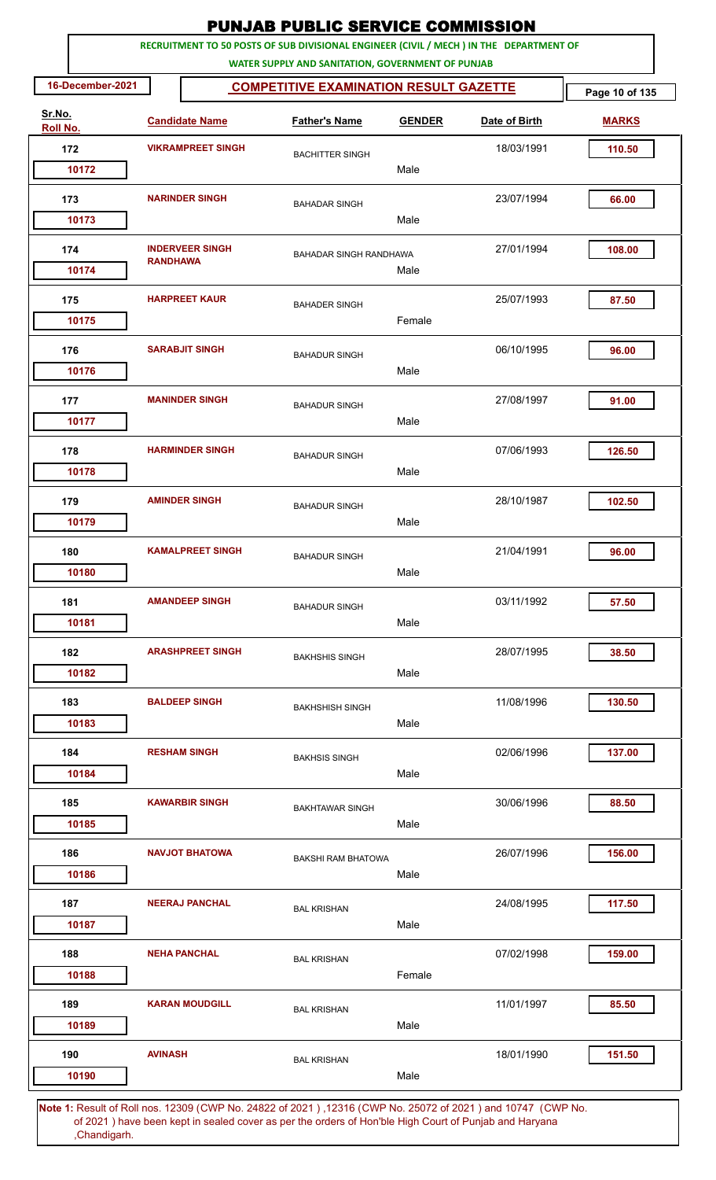|                           |                 |                          | <b>PUNJAB PUBLIC SERVICE COMMISSION</b>                                                                                                      |               |               |                |
|---------------------------|-----------------|--------------------------|----------------------------------------------------------------------------------------------------------------------------------------------|---------------|---------------|----------------|
|                           |                 |                          | RECRUITMENT TO 50 POSTS OF SUB DIVISIONAL ENGINEER (CIVIL / MECH ) IN THE DEPARTMENT OF<br>WATER SUPPLY AND SANITATION, GOVERNMENT OF PUNJAB |               |               |                |
| 16-December-2021          |                 |                          | <b>COMPETITIVE EXAMINATION RESULT GAZETTE</b>                                                                                                |               |               | Page 10 of 135 |
| Sr.No.<br><b>Roll No.</b> |                 | <b>Candidate Name</b>    | <b>Father's Name</b>                                                                                                                         | <b>GENDER</b> | Date of Birth | <b>MARKS</b>   |
| 172                       |                 | <b>VIKRAMPREET SINGH</b> | <b>BACHITTER SINGH</b>                                                                                                                       |               | 18/03/1991    | 110.50         |
| 10172                     |                 |                          |                                                                                                                                              | Male          |               |                |
| 173                       |                 | <b>NARINDER SINGH</b>    | <b>BAHADAR SINGH</b>                                                                                                                         |               | 23/07/1994    | 66.00          |
| 10173                     |                 |                          |                                                                                                                                              | Male          |               |                |
| 174<br>10174              | <b>RANDHAWA</b> | <b>INDERVEER SINGH</b>   | <b>BAHADAR SINGH RANDHAWA</b>                                                                                                                | Male          | 27/01/1994    | 108.00         |
| 175                       |                 | <b>HARPREET KAUR</b>     |                                                                                                                                              |               | 25/07/1993    | 87.50          |
| 10175                     |                 |                          | <b>BAHADER SINGH</b>                                                                                                                         | Female        |               |                |
| 176                       |                 | <b>SARABJIT SINGH</b>    | <b>BAHADUR SINGH</b>                                                                                                                         |               | 06/10/1995    | 96.00          |
| 10176                     |                 |                          |                                                                                                                                              | Male          |               |                |
| 177<br>10177              |                 | <b>MANINDER SINGH</b>    | <b>BAHADUR SINGH</b>                                                                                                                         | Male          | 27/08/1997    | 91.00          |
|                           |                 |                          |                                                                                                                                              |               |               |                |
| 178<br>10178              |                 | <b>HARMINDER SINGH</b>   | <b>BAHADUR SINGH</b>                                                                                                                         | Male          | 07/06/1993    | 126.50         |
| 179                       |                 | <b>AMINDER SINGH</b>     |                                                                                                                                              |               | 28/10/1987    | 102.50         |
| 10179                     |                 |                          | <b>BAHADUR SINGH</b>                                                                                                                         | Male          |               |                |
| 180                       |                 | <b>KAMALPREET SINGH</b>  | <b>BAHADUR SINGH</b>                                                                                                                         |               | 21/04/1991    | 96.00          |
| 10180                     |                 |                          |                                                                                                                                              | Male          |               |                |
| 181                       |                 | <b>AMANDEEP SINGH</b>    | <b>BAHADUR SINGH</b>                                                                                                                         |               | 03/11/1992    | 57.50          |
| 10181                     |                 |                          |                                                                                                                                              | Male          |               |                |
| 182                       |                 | <b>ARASHPREET SINGH</b>  | <b>BAKHSHIS SINGH</b>                                                                                                                        |               | 28/07/1995    | 38.50          |
| 10182                     |                 |                          |                                                                                                                                              | Male          |               |                |
| 183                       |                 | <b>BALDEEP SINGH</b>     | <b>BAKHSHISH SINGH</b>                                                                                                                       |               | 11/08/1996    | 130.50         |
| 10183                     |                 |                          |                                                                                                                                              | Male          |               |                |
| 184                       |                 | <b>RESHAM SINGH</b>      | <b>BAKHSIS SINGH</b>                                                                                                                         |               | 02/06/1996    | 137.00         |
| 10184                     |                 |                          |                                                                                                                                              | Male          |               |                |
| 185                       |                 | <b>KAWARBIR SINGH</b>    | <b>BAKHTAWAR SINGH</b>                                                                                                                       |               | 30/06/1996    | 88.50          |
| 10185                     |                 |                          |                                                                                                                                              | Male          |               |                |
| 186                       |                 | <b>NAVJOT BHATOWA</b>    | <b>BAKSHI RAM BHATOWA</b>                                                                                                                    |               | 26/07/1996    | 156.00         |
| 10186                     |                 |                          |                                                                                                                                              | Male          |               |                |
| 187                       |                 | <b>NEERAJ PANCHAL</b>    | <b>BAL KRISHAN</b>                                                                                                                           |               | 24/08/1995    | 117.50         |
| 10187                     |                 |                          |                                                                                                                                              | Male          |               |                |
| 188                       |                 | <b>NEHA PANCHAL</b>      | <b>BAL KRISHAN</b>                                                                                                                           |               | 07/02/1998    | 159.00         |
| 10188                     |                 |                          |                                                                                                                                              | Female        |               |                |
| 189<br>10189              |                 | <b>KARAN MOUDGILL</b>    | <b>BAL KRISHAN</b>                                                                                                                           | Male          | 11/01/1997    | 85.50          |
|                           |                 |                          |                                                                                                                                              |               |               |                |
| 190<br>10190              | <b>AVINASH</b>  |                          | <b>BAL KRISHAN</b>                                                                                                                           | Male          | 18/01/1990    | 151.50         |
|                           |                 |                          |                                                                                                                                              |               |               |                |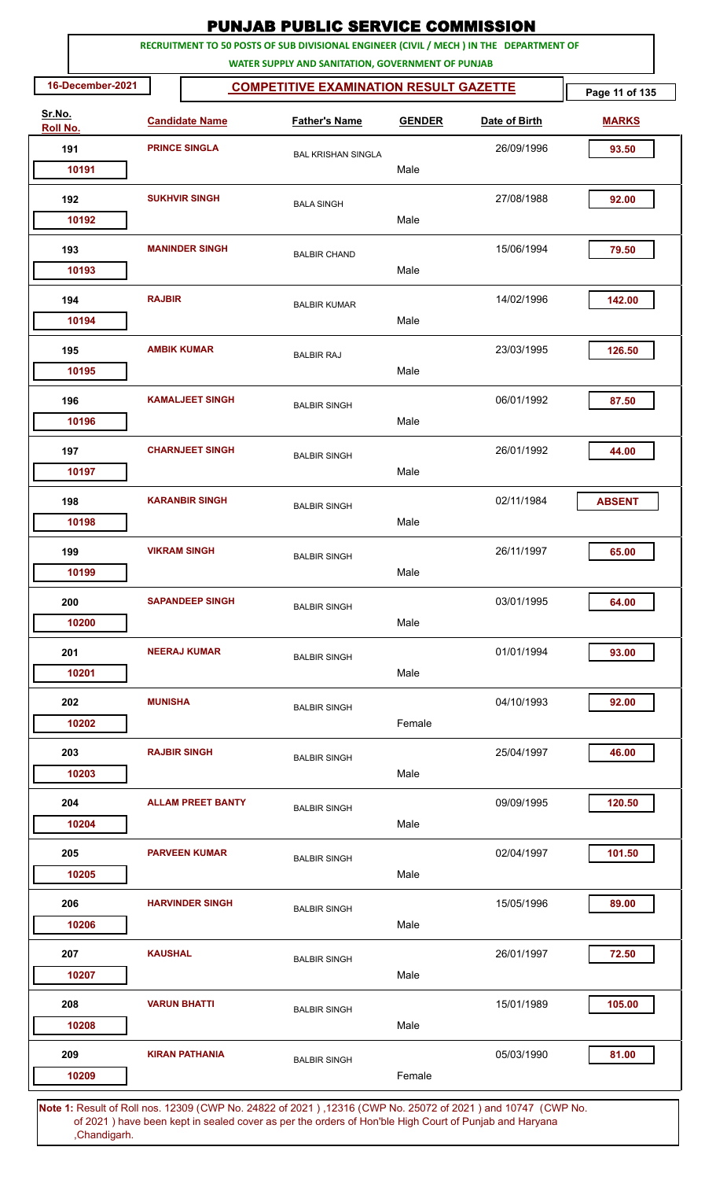|                    |                      |                          | <b>PUNJAB PUBLIC SERVICE COMMISSION</b>                                                                                                      |               |            |               |
|--------------------|----------------------|--------------------------|----------------------------------------------------------------------------------------------------------------------------------------------|---------------|------------|---------------|
|                    |                      |                          | RECRUITMENT TO 50 POSTS OF SUB DIVISIONAL ENGINEER (CIVIL / MECH ) IN THE DEPARTMENT OF<br>WATER SUPPLY AND SANITATION, GOVERNMENT OF PUNJAB |               |            |               |
| 16-December-2021   |                      | Page 11 of 135           |                                                                                                                                              |               |            |               |
| Sr.No.<br>Roll No. |                      | <b>Candidate Name</b>    | <b>Father's Name</b>                                                                                                                         | <b>GENDER</b> |            | <b>MARKS</b>  |
| 191                | <b>PRINCE SINGLA</b> |                          | <b>BAL KRISHAN SINGLA</b>                                                                                                                    |               | 26/09/1996 | 93.50         |
| 10191              |                      |                          |                                                                                                                                              | Male          |            |               |
| 192                |                      | <b>SUKHVIR SINGH</b>     | <b>BALA SINGH</b>                                                                                                                            |               | 27/08/1988 | 92.00         |
| 10192              |                      |                          |                                                                                                                                              | Male          |            |               |
| 193                |                      | <b>MANINDER SINGH</b>    | <b>BALBIR CHAND</b>                                                                                                                          |               | 15/06/1994 | 79.50         |
| 10193              |                      |                          |                                                                                                                                              | Male          |            |               |
| 194                | <b>RAJBIR</b>        |                          | <b>BALBIR KUMAR</b>                                                                                                                          |               | 14/02/1996 | 142.00        |
| 10194              |                      |                          |                                                                                                                                              | Male          |            |               |
| 195                |                      | <b>AMBIK KUMAR</b>       | <b>BALBIR RAJ</b>                                                                                                                            |               | 23/03/1995 | 126.50        |
| 10195              |                      |                          |                                                                                                                                              | Male          |            |               |
| 196                |                      | <b>KAMALJEET SINGH</b>   | <b>BALBIR SINGH</b>                                                                                                                          |               | 06/01/1992 | 87.50         |
| 10196              |                      |                          |                                                                                                                                              | Male          |            |               |
| 197                |                      | <b>CHARNJEET SINGH</b>   | <b>BALBIR SINGH</b>                                                                                                                          |               | 26/01/1992 | 44.00         |
| 10197              |                      |                          |                                                                                                                                              | Male          |            |               |
| 198                |                      | <b>KARANBIR SINGH</b>    | <b>BALBIR SINGH</b>                                                                                                                          |               | 02/11/1984 | <b>ABSENT</b> |
| 10198              |                      |                          |                                                                                                                                              | Male          |            |               |
| 199                |                      | <b>VIKRAM SINGH</b>      | <b>BALBIR SINGH</b>                                                                                                                          |               | 26/11/1997 | 65.00         |
| 10199              |                      |                          |                                                                                                                                              | Male          |            |               |
| 200                |                      | <b>SAPANDEEP SINGH</b>   | <b>BALBIR SINGH</b>                                                                                                                          |               | 03/01/1995 | 64.00         |
| 10200              |                      |                          |                                                                                                                                              | Male          |            |               |
| 201                |                      | <b>NEERAJ KUMAR</b>      | <b>BALBIR SINGH</b>                                                                                                                          |               | 01/01/1994 | 93.00         |
| 10201              |                      |                          |                                                                                                                                              | Male          |            |               |
| 202                | <b>MUNISHA</b>       |                          | <b>BALBIR SINGH</b>                                                                                                                          |               | 04/10/1993 | 92.00         |
| 10202              |                      |                          |                                                                                                                                              | Female        |            |               |
| 203                |                      | <b>RAJBIR SINGH</b>      | <b>BALBIR SINGH</b>                                                                                                                          |               | 25/04/1997 | 46.00         |
| 10203              |                      |                          |                                                                                                                                              | Male          |            |               |
| 204                |                      | <b>ALLAM PREET BANTY</b> | <b>BALBIR SINGH</b>                                                                                                                          |               | 09/09/1995 | 120.50        |
| 10204              |                      |                          |                                                                                                                                              | Male          |            |               |
| 205                |                      | <b>PARVEEN KUMAR</b>     | <b>BALBIR SINGH</b>                                                                                                                          |               | 02/04/1997 | 101.50        |
| 10205              |                      |                          |                                                                                                                                              | Male          |            |               |
| 206                |                      | <b>HARVINDER SINGH</b>   | <b>BALBIR SINGH</b>                                                                                                                          |               | 15/05/1996 | 89.00         |
| 10206              |                      |                          |                                                                                                                                              | Male          |            |               |
| 207                | <b>KAUSHAL</b>       |                          | <b>BALBIR SINGH</b>                                                                                                                          |               | 26/01/1997 | 72.50         |
| 10207              |                      |                          |                                                                                                                                              | Male          |            |               |
| 208                |                      | <b>VARUN BHATTI</b>      | <b>BALBIR SINGH</b>                                                                                                                          |               | 15/01/1989 | 105.00        |
| 10208              |                      |                          |                                                                                                                                              | Male          |            |               |
| 209                |                      | <b>KIRAN PATHANIA</b>    | <b>BALBIR SINGH</b>                                                                                                                          |               | 05/03/1990 | 81.00         |
| 10209              |                      |                          |                                                                                                                                              | Female        |            |               |
|                    |                      |                          | Note 1: Result of Roll nos. 12309 (CWP No. 24822 of 2021). 12316 (CWP No. 25072 of 2021) and 10747. (CWP No.                                 |               |            |               |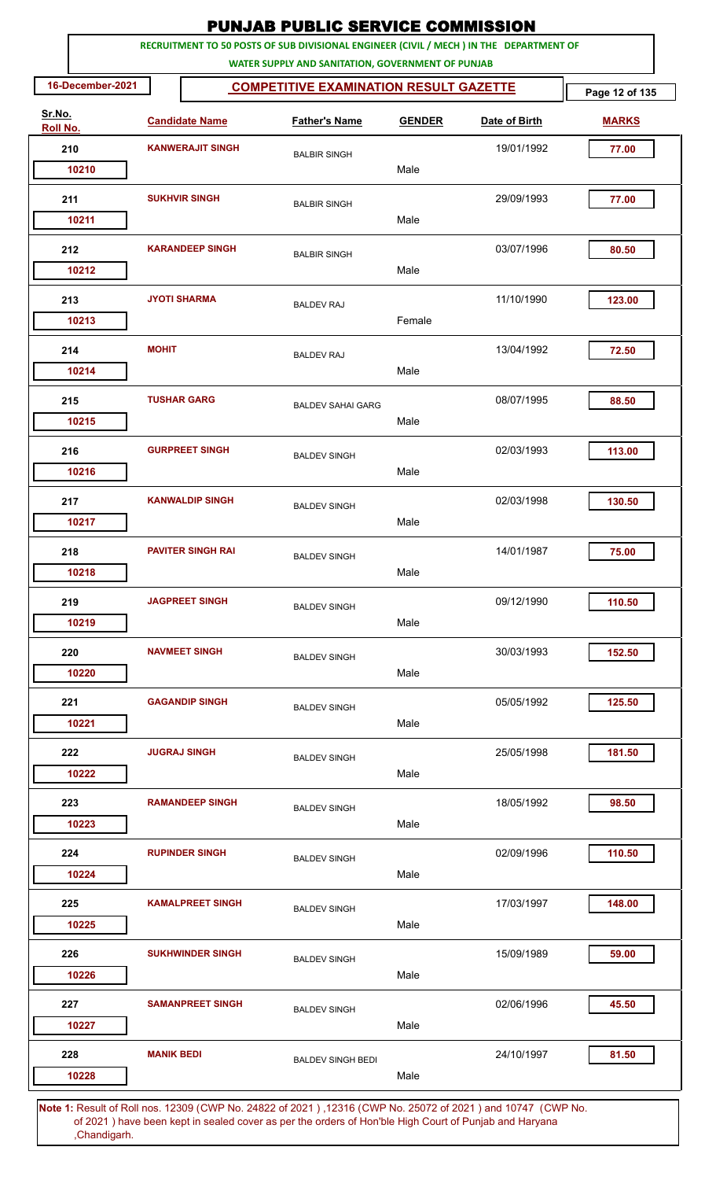|                    |                       |                                               | <b>PUNJAB PUBLIC SERVICE COMMISSION</b>                                                                                                      |               |               |              |  |  |
|--------------------|-----------------------|-----------------------------------------------|----------------------------------------------------------------------------------------------------------------------------------------------|---------------|---------------|--------------|--|--|
|                    |                       |                                               | RECRUITMENT TO 50 POSTS OF SUB DIVISIONAL ENGINEER (CIVIL / MECH ) IN THE DEPARTMENT OF<br>WATER SUPPLY AND SANITATION, GOVERNMENT OF PUNJAB |               |               |              |  |  |
| 16-December-2021   |                       | <b>COMPETITIVE EXAMINATION RESULT GAZETTE</b> |                                                                                                                                              |               |               |              |  |  |
| Sr.No.<br>Roll No. | <b>Candidate Name</b> |                                               | <b>Father's Name</b>                                                                                                                         | <b>GENDER</b> | Date of Birth | <b>MARKS</b> |  |  |
| 210                |                       | <b>KANWERAJIT SINGH</b>                       | <b>BALBIR SINGH</b>                                                                                                                          |               | 19/01/1992    | 77.00        |  |  |
| 10210              |                       |                                               |                                                                                                                                              | Male          |               |              |  |  |
| 211                |                       | <b>SUKHVIR SINGH</b>                          | <b>BALBIR SINGH</b>                                                                                                                          | Male          | 29/09/1993    | 77.00        |  |  |
| 10211              |                       |                                               |                                                                                                                                              |               |               |              |  |  |
| 212<br>10212       |                       | <b>KARANDEEP SINGH</b>                        | <b>BALBIR SINGH</b>                                                                                                                          | Male          | 03/07/1996    | 80.50        |  |  |
| 213                |                       | <b>JYOTI SHARMA</b>                           | <b>BALDEV RAJ</b>                                                                                                                            |               | 11/10/1990    | 123.00       |  |  |
| 10213              |                       |                                               |                                                                                                                                              | Female        |               |              |  |  |
| 214<br>10214       | <b>MOHIT</b>          |                                               | <b>BALDEV RAJ</b>                                                                                                                            | Male          | 13/04/1992    | 72.50        |  |  |
| 215                |                       | <b>TUSHAR GARG</b>                            | <b>BALDEV SAHAI GARG</b>                                                                                                                     |               | 08/07/1995    | 88.50        |  |  |
| 10215              |                       |                                               |                                                                                                                                              | Male          |               |              |  |  |
| 216<br>10216       |                       | <b>GURPREET SINGH</b>                         | <b>BALDEV SINGH</b>                                                                                                                          | Male          | 02/03/1993    | 113.00       |  |  |
| 217                |                       | <b>KANWALDIP SINGH</b>                        |                                                                                                                                              |               | 02/03/1998    | 130.50       |  |  |
| 10217              |                       |                                               | <b>BALDEV SINGH</b>                                                                                                                          | Male          |               |              |  |  |
| 218                |                       | <b>PAVITER SINGH RAI</b>                      | <b>BALDEV SINGH</b>                                                                                                                          |               | 14/01/1987    | 75.00        |  |  |
| 10218              |                       |                                               |                                                                                                                                              | Male          |               |              |  |  |
| 219<br>10219       |                       | <b>JAGPREET SINGH</b>                         | <b>BALDEV SINGH</b>                                                                                                                          | Male          | 09/12/1990    | 110.50       |  |  |
|                    |                       |                                               |                                                                                                                                              |               |               |              |  |  |
| 220<br>10220       |                       | <b>NAVMEET SINGH</b>                          | <b>BALDEV SINGH</b>                                                                                                                          | Male          | 30/03/1993    | 152.50       |  |  |
| 221                |                       | <b>GAGANDIP SINGH</b>                         | <b>BALDEV SINGH</b>                                                                                                                          |               | 05/05/1992    | 125.50       |  |  |
| 10221              |                       |                                               |                                                                                                                                              | Male          |               |              |  |  |
| 222<br>10222       |                       | <b>JUGRAJ SINGH</b>                           | <b>BALDEV SINGH</b>                                                                                                                          | Male          | 25/05/1998    | 181.50       |  |  |
|                    |                       |                                               |                                                                                                                                              |               |               |              |  |  |
| 223<br>10223       |                       | <b>RAMANDEEP SINGH</b>                        | <b>BALDEV SINGH</b>                                                                                                                          | Male          | 18/05/1992    | 98.50        |  |  |
| 224                |                       | <b>RUPINDER SINGH</b>                         | <b>BALDEV SINGH</b>                                                                                                                          |               | 02/09/1996    | 110.50       |  |  |
| 10224              |                       |                                               |                                                                                                                                              | Male          |               |              |  |  |
| 225                |                       | <b>KAMALPREET SINGH</b>                       | <b>BALDEV SINGH</b>                                                                                                                          |               | 17/03/1997    | 148.00       |  |  |
| 10225              |                       |                                               |                                                                                                                                              | Male          |               |              |  |  |
| 226<br>10226       |                       | <b>SUKHWINDER SINGH</b>                       | <b>BALDEV SINGH</b>                                                                                                                          | Male          | 15/09/1989    | 59.00        |  |  |
| 227                |                       | <b>SAMANPREET SINGH</b>                       |                                                                                                                                              |               | 02/06/1996    | 45.50        |  |  |
| 10227              |                       |                                               | <b>BALDEV SINGH</b>                                                                                                                          | Male          |               |              |  |  |
| 228                | <b>MANIK BEDI</b>     |                                               | <b>BALDEV SINGH BEDI</b>                                                                                                                     |               | 24/10/1997    | 81.50        |  |  |
| 10228              |                       |                                               |                                                                                                                                              | Male          |               |              |  |  |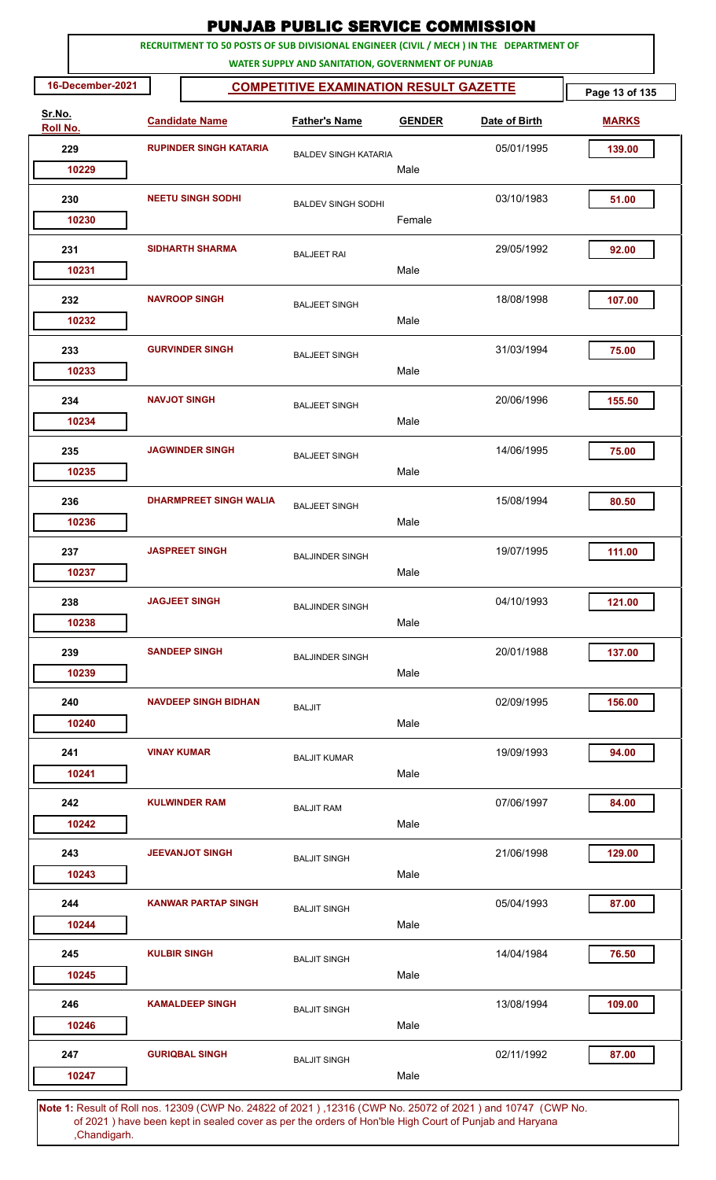|                    |                                               |                               | <b>PUNJAB PUBLIC SERVICE COMMISSION</b>                                                                                                      |               |               |              |
|--------------------|-----------------------------------------------|-------------------------------|----------------------------------------------------------------------------------------------------------------------------------------------|---------------|---------------|--------------|
|                    |                                               |                               | RECRUITMENT TO 50 POSTS OF SUB DIVISIONAL ENGINEER (CIVIL / MECH ) IN THE DEPARTMENT OF<br>WATER SUPPLY AND SANITATION, GOVERNMENT OF PUNJAB |               |               |              |
| 16-December-2021   | <b>COMPETITIVE EXAMINATION RESULT GAZETTE</b> | Page 13 of 135                |                                                                                                                                              |               |               |              |
| Sr.No.<br>Roll No. |                                               | <b>Candidate Name</b>         | <b>Father's Name</b>                                                                                                                         | <b>GENDER</b> | Date of Birth | <b>MARKS</b> |
| 229                | <b>RUPINDER SINGH KATARIA</b>                 |                               | <b>BALDEV SINGH KATARIA</b>                                                                                                                  |               | 05/01/1995    | 139.00       |
| 10229              |                                               |                               |                                                                                                                                              | Male          |               |              |
| 230                |                                               | <b>NEETU SINGH SODHI</b>      | <b>BALDEV SINGH SODHI</b>                                                                                                                    |               | 03/10/1983    | 51.00        |
| 10230              |                                               |                               |                                                                                                                                              | Female        |               |              |
| 231                |                                               | <b>SIDHARTH SHARMA</b>        | <b>BALJEET RAI</b>                                                                                                                           |               | 29/05/1992    | 92.00        |
| 10231              |                                               |                               |                                                                                                                                              | Male          |               |              |
| 232                |                                               | <b>NAVROOP SINGH</b>          | <b>BALJEET SINGH</b>                                                                                                                         |               | 18/08/1998    | 107.00       |
| 10232              |                                               |                               |                                                                                                                                              | Male          |               |              |
| 233                |                                               | <b>GURVINDER SINGH</b>        | <b>BALJEET SINGH</b>                                                                                                                         |               | 31/03/1994    | 75.00        |
| 10233              |                                               |                               |                                                                                                                                              | Male          |               |              |
| 234                |                                               | <b>NAVJOT SINGH</b>           | <b>BALJEET SINGH</b>                                                                                                                         |               | 20/06/1996    | 155.50       |
| 10234              |                                               |                               |                                                                                                                                              | Male          |               |              |
| 235                |                                               | <b>JAGWINDER SINGH</b>        | <b>BALJEET SINGH</b>                                                                                                                         |               | 14/06/1995    | 75.00        |
| 10235              |                                               |                               |                                                                                                                                              | Male          |               |              |
| 236                |                                               | <b>DHARMPREET SINGH WALIA</b> | <b>BALJEET SINGH</b>                                                                                                                         |               | 15/08/1994    | 80.50        |
| 10236              |                                               |                               |                                                                                                                                              | Male          |               |              |
| 237                |                                               | <b>JASPREET SINGH</b>         | <b>BALJINDER SINGH</b>                                                                                                                       |               | 19/07/1995    | 111.00       |
| 10237              |                                               |                               |                                                                                                                                              | Male          |               |              |
| 238                |                                               | <b>JAGJEET SINGH</b>          | <b>BALJINDER SINGH</b>                                                                                                                       | Male          | 04/10/1993    | 121.00       |
| 10238              |                                               |                               |                                                                                                                                              |               |               |              |
| 239<br>10239       |                                               | <b>SANDEEP SINGH</b>          | <b>BALJINDER SINGH</b>                                                                                                                       | Male          | 20/01/1988    | 137.00       |
|                    |                                               |                               |                                                                                                                                              |               |               |              |
| 240<br>10240       |                                               | <b>NAVDEEP SINGH BIDHAN</b>   | <b>BALJIT</b>                                                                                                                                | Male          | 02/09/1995    | 156.00       |
|                    |                                               |                               |                                                                                                                                              |               |               |              |
| 241<br>10241       | <b>VINAY KUMAR</b>                            |                               | <b>BALJIT KUMAR</b>                                                                                                                          | Male          | 19/09/1993    | 94.00        |
|                    |                                               |                               |                                                                                                                                              |               |               |              |
| 242<br>10242       |                                               | <b>KULWINDER RAM</b>          | <b>BALJIT RAM</b>                                                                                                                            | Male          | 07/06/1997    | 84.00        |
| 243                |                                               | <b>JEEVANJOT SINGH</b>        |                                                                                                                                              |               | 21/06/1998    | 129.00       |
| 10243              |                                               |                               | <b>BALJIT SINGH</b>                                                                                                                          | Male          |               |              |
| 244                |                                               | <b>KANWAR PARTAP SINGH</b>    |                                                                                                                                              |               | 05/04/1993    | 87.00        |
| 10244              |                                               |                               | <b>BALJIT SINGH</b>                                                                                                                          | Male          |               |              |
| 245                |                                               | <b>KULBIR SINGH</b>           | <b>BALJIT SINGH</b>                                                                                                                          |               | 14/04/1984    | 76.50        |
| 10245              |                                               |                               |                                                                                                                                              | Male          |               |              |
| 246                |                                               | <b>KAMALDEEP SINGH</b>        | <b>BALJIT SINGH</b>                                                                                                                          |               | 13/08/1994    | 109.00       |
| 10246              |                                               |                               |                                                                                                                                              | Male          |               |              |
| 247                |                                               | <b>GURIQBAL SINGH</b>         | <b>BALJIT SINGH</b>                                                                                                                          |               | 02/11/1992    | 87.00        |
| 10247              |                                               |                               |                                                                                                                                              | Male          |               |              |
|                    |                                               |                               |                                                                                                                                              |               |               |              |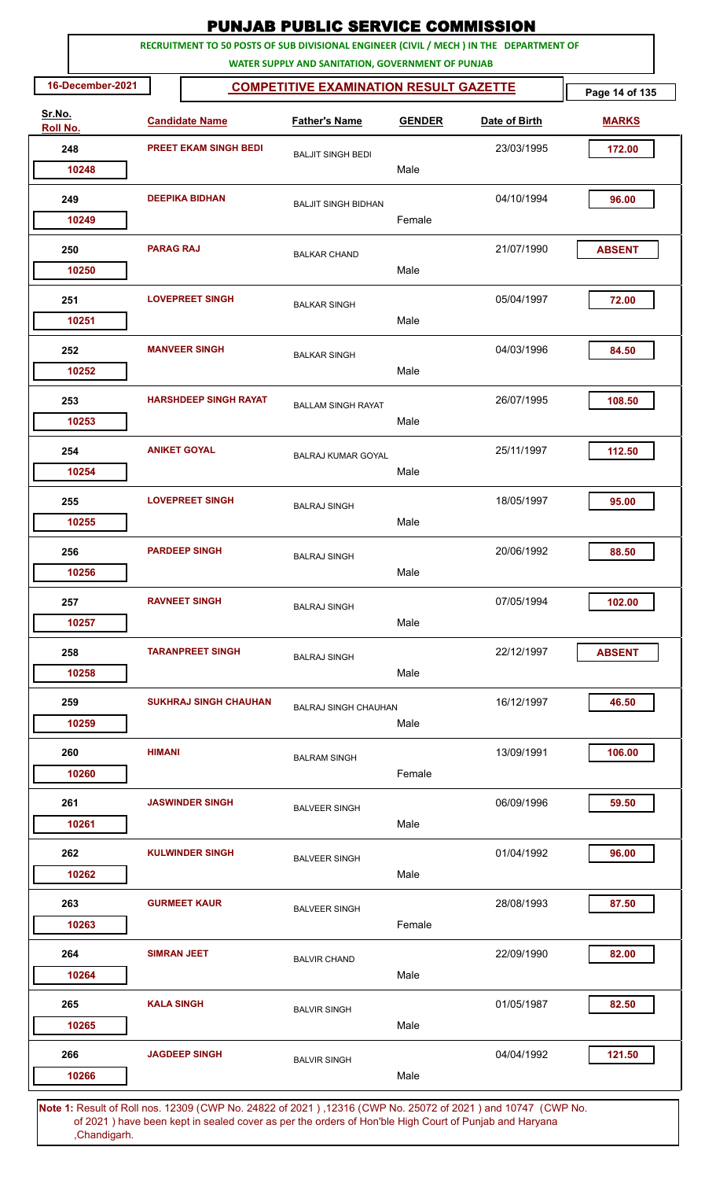|                    |                              |                              | <b>PUNJAB PUBLIC SERVICE COMMISSION</b>                                                                                                      |               |               |                |
|--------------------|------------------------------|------------------------------|----------------------------------------------------------------------------------------------------------------------------------------------|---------------|---------------|----------------|
|                    |                              |                              | RECRUITMENT TO 50 POSTS OF SUB DIVISIONAL ENGINEER (CIVIL / MECH ) IN THE DEPARTMENT OF<br>WATER SUPPLY AND SANITATION, GOVERNMENT OF PUNJAB |               |               |                |
| 16-December-2021   |                              |                              | <b>COMPETITIVE EXAMINATION RESULT GAZETTE</b>                                                                                                |               |               | Page 14 of 135 |
| Sr.No.<br>Roll No. | <b>Candidate Name</b>        |                              | <b>Father's Name</b>                                                                                                                         | <b>GENDER</b> | Date of Birth | <b>MARKS</b>   |
| 248                | <b>PREET EKAM SINGH BEDI</b> |                              | <b>BALJIT SINGH BEDI</b>                                                                                                                     |               | 23/03/1995    | 172.00         |
| 10248              |                              |                              |                                                                                                                                              | Male          |               |                |
| 249                |                              | <b>DEEPIKA BIDHAN</b>        | <b>BALJIT SINGH BIDHAN</b>                                                                                                                   | Female        | 04/10/1994    | 96.00          |
| 10249              |                              |                              |                                                                                                                                              |               |               |                |
| 250<br>10250       | <b>PARAG RAJ</b>             |                              | <b>BALKAR CHAND</b>                                                                                                                          | Male          | 21/07/1990    | <b>ABSENT</b>  |
| 251<br>10251       |                              | <b>LOVEPREET SINGH</b>       | <b>BALKAR SINGH</b>                                                                                                                          | Male          | 05/04/1997    | 72.00          |
| 252<br>10252       |                              | <b>MANVEER SINGH</b>         | <b>BALKAR SINGH</b>                                                                                                                          | Male          | 04/03/1996    | 84.50          |
| 253<br>10253       |                              | <b>HARSHDEEP SINGH RAYAT</b> | <b>BALLAM SINGH RAYAT</b>                                                                                                                    | Male          | 26/07/1995    | 108.50         |
| 254<br>10254       |                              | <b>ANIKET GOYAL</b>          | <b>BALRAJ KUMAR GOYAL</b>                                                                                                                    | Male          | 25/11/1997    | 112.50         |
| 255<br>10255       |                              | <b>LOVEPREET SINGH</b>       | <b>BALRAJ SINGH</b>                                                                                                                          | Male          | 18/05/1997    | 95.00          |
| 256<br>10256       |                              | <b>PARDEEP SINGH</b>         | <b>BALRAJ SINGH</b>                                                                                                                          | Male          | 20/06/1992    | 88.50          |
| 257<br>10257       |                              | <b>RAVNEET SINGH</b>         | <b>BALRAJ SINGH</b>                                                                                                                          | Male          | 07/05/1994    | 102.00         |
| 258<br>10258       |                              | <b>TARANPREET SINGH</b>      | <b>BALRAJ SINGH</b>                                                                                                                          | Male          | 22/12/1997    | <b>ABSENT</b>  |
| 259<br>10259       |                              | <b>SUKHRAJ SINGH CHAUHAN</b> | <b>BALRAJ SINGH CHAUHAN</b>                                                                                                                  | Male          | 16/12/1997    | 46.50          |
| 260<br>10260       | <b>HIMANI</b>                |                              | <b>BALRAM SINGH</b>                                                                                                                          | Female        | 13/09/1991    | 106.00         |
| 261<br>10261       |                              | <b>JASWINDER SINGH</b>       | <b>BALVEER SINGH</b>                                                                                                                         | Male          | 06/09/1996    | 59.50          |
| 262<br>10262       |                              | <b>KULWINDER SINGH</b>       | <b>BALVEER SINGH</b>                                                                                                                         | Male          | 01/04/1992    | 96.00          |
| 263<br>10263       |                              | <b>GURMEET KAUR</b>          | <b>BALVEER SINGH</b>                                                                                                                         | Female        | 28/08/1993    | 87.50          |
| 264<br>10264       | <b>SIMRAN JEET</b>           |                              | <b>BALVIR CHAND</b>                                                                                                                          | Male          | 22/09/1990    | 82.00          |
| 265<br>10265       | <b>KALA SINGH</b>            |                              | <b>BALVIR SINGH</b>                                                                                                                          | Male          | 01/05/1987    | 82.50          |
| 266<br>10266       |                              | <b>JAGDEEP SINGH</b>         | <b>BALVIR SINGH</b>                                                                                                                          | Male          | 04/04/1992    | 121.50         |
|                    |                              |                              | 1. Result of Bollings, 19200 (CMB No. 24922 of 2021), 19216 (CMB No. 25072 of 2021) and 10747 (CMB No                                        |               |               |                |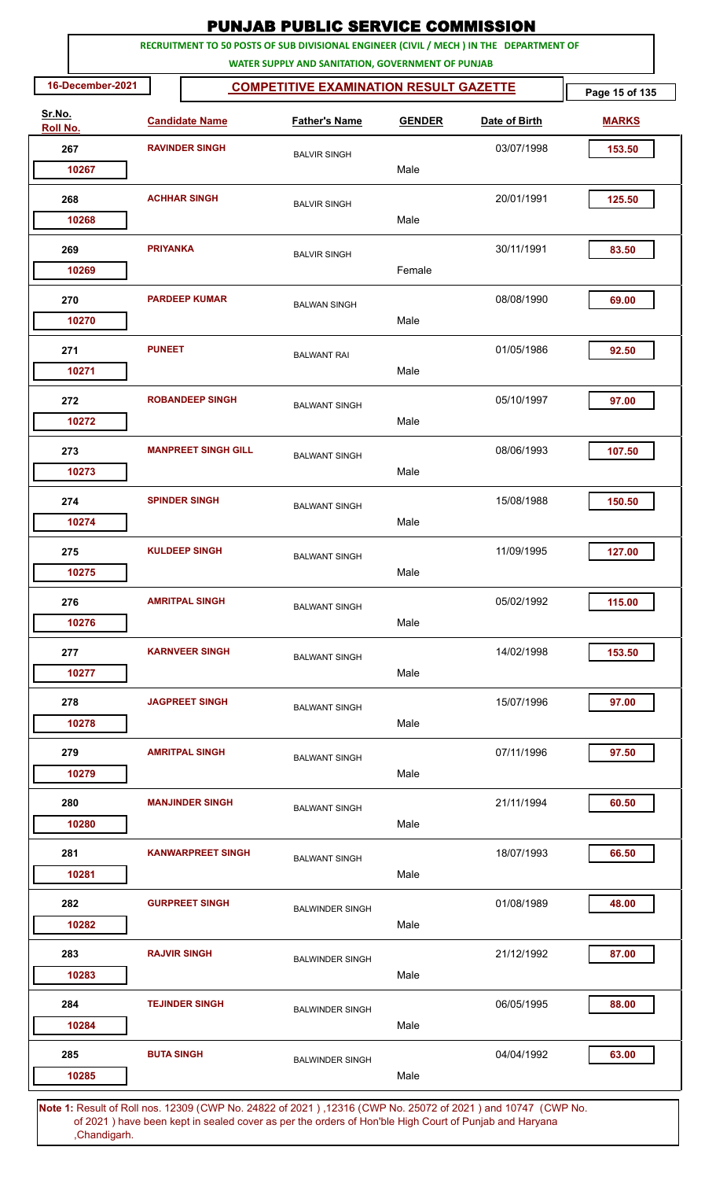|                    |                       |                            | <b>PUNJAB PUBLIC SERVICE COMMISSION</b>                                                                                                      |               |               |                |
|--------------------|-----------------------|----------------------------|----------------------------------------------------------------------------------------------------------------------------------------------|---------------|---------------|----------------|
|                    |                       |                            | RECRUITMENT TO 50 POSTS OF SUB DIVISIONAL ENGINEER (CIVIL / MECH ) IN THE DEPARTMENT OF<br>WATER SUPPLY AND SANITATION, GOVERNMENT OF PUNJAB |               |               |                |
| 16-December-2021   |                       |                            | <b>COMPETITIVE EXAMINATION RESULT GAZETTE</b>                                                                                                |               |               | Page 15 of 135 |
| Sr.No.<br>Roll No. |                       | <b>Candidate Name</b>      | <b>Father's Name</b>                                                                                                                         | <b>GENDER</b> | Date of Birth | <b>MARKS</b>   |
| 267                | <b>RAVINDER SINGH</b> |                            | <b>BALVIR SINGH</b>                                                                                                                          |               | 03/07/1998    | 153.50         |
| 10267              |                       |                            |                                                                                                                                              | Male          |               |                |
| 268                |                       | <b>ACHHAR SINGH</b>        | <b>BALVIR SINGH</b>                                                                                                                          | Male          | 20/01/1991    | 125.50         |
| 10268              |                       |                            |                                                                                                                                              |               |               |                |
| 269<br>10269       | <b>PRIYANKA</b>       |                            | <b>BALVIR SINGH</b>                                                                                                                          | Female        | 30/11/1991    | 83.50          |
| 270                |                       | <b>PARDEEP KUMAR</b>       | <b>BALWAN SINGH</b>                                                                                                                          |               | 08/08/1990    | 69.00          |
| 10270              |                       |                            |                                                                                                                                              | Male          |               |                |
| 271<br>10271       | <b>PUNEET</b>         |                            | <b>BALWANT RAI</b>                                                                                                                           | Male          | 01/05/1986    | 92.50          |
| 272<br>10272       |                       | <b>ROBANDEEP SINGH</b>     | <b>BALWANT SINGH</b>                                                                                                                         | Male          | 05/10/1997    | 97.00          |
| 273                |                       | <b>MANPREET SINGH GILL</b> | <b>BALWANT SINGH</b>                                                                                                                         |               | 08/06/1993    | 107.50         |
| 10273              |                       |                            |                                                                                                                                              | Male          |               |                |
| 274<br>10274       |                       | <b>SPINDER SINGH</b>       | <b>BALWANT SINGH</b>                                                                                                                         | Male          | 15/08/1988    | 150.50         |
|                    |                       |                            |                                                                                                                                              |               |               |                |
| 275<br>10275       |                       | <b>KULDEEP SINGH</b>       | <b>BALWANT SINGH</b>                                                                                                                         | Male          | 11/09/1995    | 127.00         |
| 276<br>10276       |                       | <b>AMRITPAL SINGH</b>      | <b>BALWANT SINGH</b>                                                                                                                         | Male          | 05/02/1992    | 115.00         |
| 277<br>10277       |                       | <b>KARNVEER SINGH</b>      | <b>BALWANT SINGH</b>                                                                                                                         | Male          | 14/02/1998    | 153.50         |
| 278                |                       | <b>JAGPREET SINGH</b>      | <b>BALWANT SINGH</b>                                                                                                                         |               | 15/07/1996    | 97.00          |
| 10278              |                       |                            |                                                                                                                                              | Male          |               |                |
| 279<br>10279       |                       | <b>AMRITPAL SINGH</b>      | <b>BALWANT SINGH</b>                                                                                                                         | Male          | 07/11/1996    | 97.50          |
| 280<br>10280       |                       | <b>MANJINDER SINGH</b>     | <b>BALWANT SINGH</b>                                                                                                                         | Male          | 21/11/1994    | 60.50          |
| 281                |                       | <b>KANWARPREET SINGH</b>   | <b>BALWANT SINGH</b>                                                                                                                         |               | 18/07/1993    | 66.50          |
| 10281              |                       |                            |                                                                                                                                              | Male          |               |                |
| 282<br>10282       |                       | <b>GURPREET SINGH</b>      | <b>BALWINDER SINGH</b>                                                                                                                       | Male          | 01/08/1989    | 48.00          |
| 283                |                       | <b>RAJVIR SINGH</b>        | <b>BALWINDER SINGH</b>                                                                                                                       |               | 21/12/1992    | 87.00          |
| 10283              |                       |                            |                                                                                                                                              | Male          |               |                |
| 284<br>10284       |                       | <b>TEJINDER SINGH</b>      | <b>BALWINDER SINGH</b>                                                                                                                       | Male          | 06/05/1995    | 88.00          |
| 285                | <b>BUTA SINGH</b>     |                            | <b>BALWINDER SINGH</b>                                                                                                                       | Male          | 04/04/1992    | 63.00          |
| 10285              |                       |                            |                                                                                                                                              |               |               |                |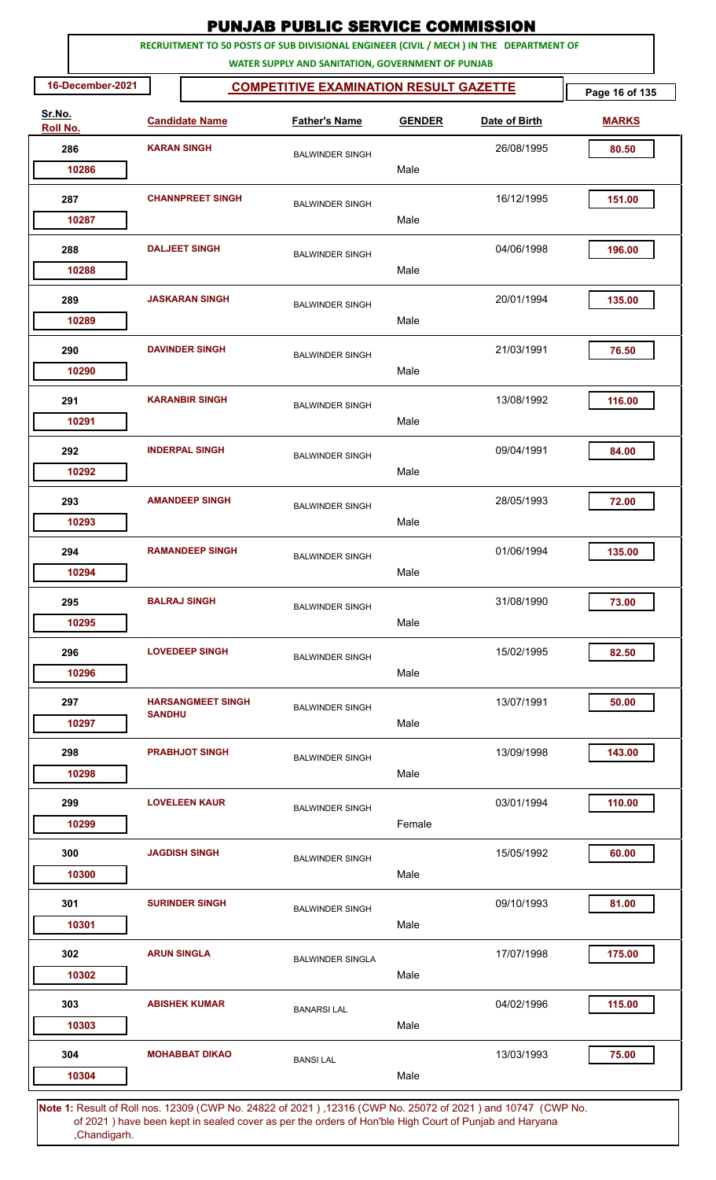|                    |                                                                                     |                          | <b>PUNJAB PUBLIC SERVICE COMMISSION</b>                                                                                                      |               |               |              |  |  |  |  |  |
|--------------------|-------------------------------------------------------------------------------------|--------------------------|----------------------------------------------------------------------------------------------------------------------------------------------|---------------|---------------|--------------|--|--|--|--|--|
|                    |                                                                                     |                          | RECRUITMENT TO 50 POSTS OF SUB DIVISIONAL ENGINEER (CIVIL / MECH ) IN THE DEPARTMENT OF<br>WATER SUPPLY AND SANITATION, GOVERNMENT OF PUNJAB |               |               |              |  |  |  |  |  |
|                    | 16-December-2021<br><b>COMPETITIVE EXAMINATION RESULT GAZETTE</b><br>Page 16 of 135 |                          |                                                                                                                                              |               |               |              |  |  |  |  |  |
| Sr.No.<br>Roll No. |                                                                                     | <b>Candidate Name</b>    | <b>Father's Name</b>                                                                                                                         | <b>GENDER</b> | Date of Birth | <b>MARKS</b> |  |  |  |  |  |
| 286                | <b>KARAN SINGH</b>                                                                  |                          | <b>BALWINDER SINGH</b>                                                                                                                       |               | 26/08/1995    | 80.50        |  |  |  |  |  |
| 10286              |                                                                                     |                          |                                                                                                                                              | Male          |               |              |  |  |  |  |  |
| 287                |                                                                                     | <b>CHANNPREET SINGH</b>  | <b>BALWINDER SINGH</b>                                                                                                                       |               | 16/12/1995    | 151.00       |  |  |  |  |  |
| 10287              |                                                                                     |                          |                                                                                                                                              | Male          |               |              |  |  |  |  |  |
| 288                |                                                                                     | <b>DALJEET SINGH</b>     | <b>BALWINDER SINGH</b>                                                                                                                       |               | 04/06/1998    | 196.00       |  |  |  |  |  |
| 10288              |                                                                                     |                          |                                                                                                                                              | Male          |               |              |  |  |  |  |  |
| 289                |                                                                                     | <b>JASKARAN SINGH</b>    | <b>BALWINDER SINGH</b>                                                                                                                       |               | 20/01/1994    | 135.00       |  |  |  |  |  |
| 10289              |                                                                                     |                          |                                                                                                                                              | Male          |               |              |  |  |  |  |  |
| 290                |                                                                                     | <b>DAVINDER SINGH</b>    | <b>BALWINDER SINGH</b>                                                                                                                       |               | 21/03/1991    | 76.50        |  |  |  |  |  |
| 10290              |                                                                                     |                          |                                                                                                                                              | Male          |               |              |  |  |  |  |  |
| 291                |                                                                                     | <b>KARANBIR SINGH</b>    | <b>BALWINDER SINGH</b>                                                                                                                       |               | 13/08/1992    | 116.00       |  |  |  |  |  |
| 10291              |                                                                                     |                          |                                                                                                                                              | Male          |               |              |  |  |  |  |  |
| 292                |                                                                                     | <b>INDERPAL SINGH</b>    | <b>BALWINDER SINGH</b>                                                                                                                       |               | 09/04/1991    | 84.00        |  |  |  |  |  |
| 10292              |                                                                                     |                          |                                                                                                                                              | Male          |               |              |  |  |  |  |  |
| 293                |                                                                                     | <b>AMANDEEP SINGH</b>    | <b>BALWINDER SINGH</b>                                                                                                                       |               | 28/05/1993    | 72.00        |  |  |  |  |  |
| 10293              |                                                                                     |                          |                                                                                                                                              | Male          |               |              |  |  |  |  |  |
| 294                |                                                                                     | <b>RAMANDEEP SINGH</b>   | <b>BALWINDER SINGH</b>                                                                                                                       |               | 01/06/1994    | 135.00       |  |  |  |  |  |
| 10294              |                                                                                     |                          |                                                                                                                                              | Male          |               |              |  |  |  |  |  |
| 295                |                                                                                     | <b>BALRAJ SINGH</b>      | <b>BALWINDER SINGH</b>                                                                                                                       |               | 31/08/1990    | 73.00        |  |  |  |  |  |
| 10295              |                                                                                     |                          |                                                                                                                                              | Male          |               |              |  |  |  |  |  |
| 296<br>10296       |                                                                                     | <b>LOVEDEEP SINGH</b>    | <b>BALWINDER SINGH</b>                                                                                                                       | Male          | 15/02/1995    | 82.50        |  |  |  |  |  |
|                    |                                                                                     |                          |                                                                                                                                              |               |               |              |  |  |  |  |  |
| 297<br>10297       | <b>SANDHII</b>                                                                      | <b>HARSANGMEET SINGH</b> | <b>BALWINDER SINGH</b>                                                                                                                       | Male          | 13/07/1991    | 50.00        |  |  |  |  |  |
|                    |                                                                                     |                          |                                                                                                                                              |               |               |              |  |  |  |  |  |
| 298<br>10298       |                                                                                     | <b>PRABHJOT SINGH</b>    | <b>BALWINDER SINGH</b>                                                                                                                       | Male          | 13/09/1998    | 143.00       |  |  |  |  |  |
|                    |                                                                                     | <b>LOVELEEN KAUR</b>     |                                                                                                                                              |               |               |              |  |  |  |  |  |
| 299<br>10299       |                                                                                     |                          | <b>BALWINDER SINGH</b>                                                                                                                       | Female        | 03/01/1994    | 110.00       |  |  |  |  |  |
| 300                |                                                                                     | <b>JAGDISH SINGH</b>     |                                                                                                                                              |               | 15/05/1992    | 60.00        |  |  |  |  |  |
| 10300              |                                                                                     |                          | <b>BALWINDER SINGH</b>                                                                                                                       | Male          |               |              |  |  |  |  |  |
| 301                |                                                                                     | <b>SURINDER SINGH</b>    |                                                                                                                                              |               | 09/10/1993    | 81.00        |  |  |  |  |  |
| 10301              |                                                                                     |                          | <b>BALWINDER SINGH</b>                                                                                                                       | Male          |               |              |  |  |  |  |  |
| 302                |                                                                                     | <b>ARUN SINGLA</b>       | <b>BALWINDER SINGLA</b>                                                                                                                      |               | 17/07/1998    | 175.00       |  |  |  |  |  |
| 10302              |                                                                                     |                          |                                                                                                                                              | Male          |               |              |  |  |  |  |  |
| 303                |                                                                                     | <b>ABISHEK KUMAR</b>     | <b>BANARSILAL</b>                                                                                                                            |               | 04/02/1996    | 115.00       |  |  |  |  |  |
| 10303              |                                                                                     |                          |                                                                                                                                              | Male          |               |              |  |  |  |  |  |
| 304                |                                                                                     | <b>MOHABBAT DIKAO</b>    | <b>BANSILAL</b>                                                                                                                              |               | 13/03/1993    | 75.00        |  |  |  |  |  |
| 10304              |                                                                                     |                          |                                                                                                                                              | Male          |               |              |  |  |  |  |  |
|                    |                                                                                     |                          |                                                                                                                                              |               |               |              |  |  |  |  |  |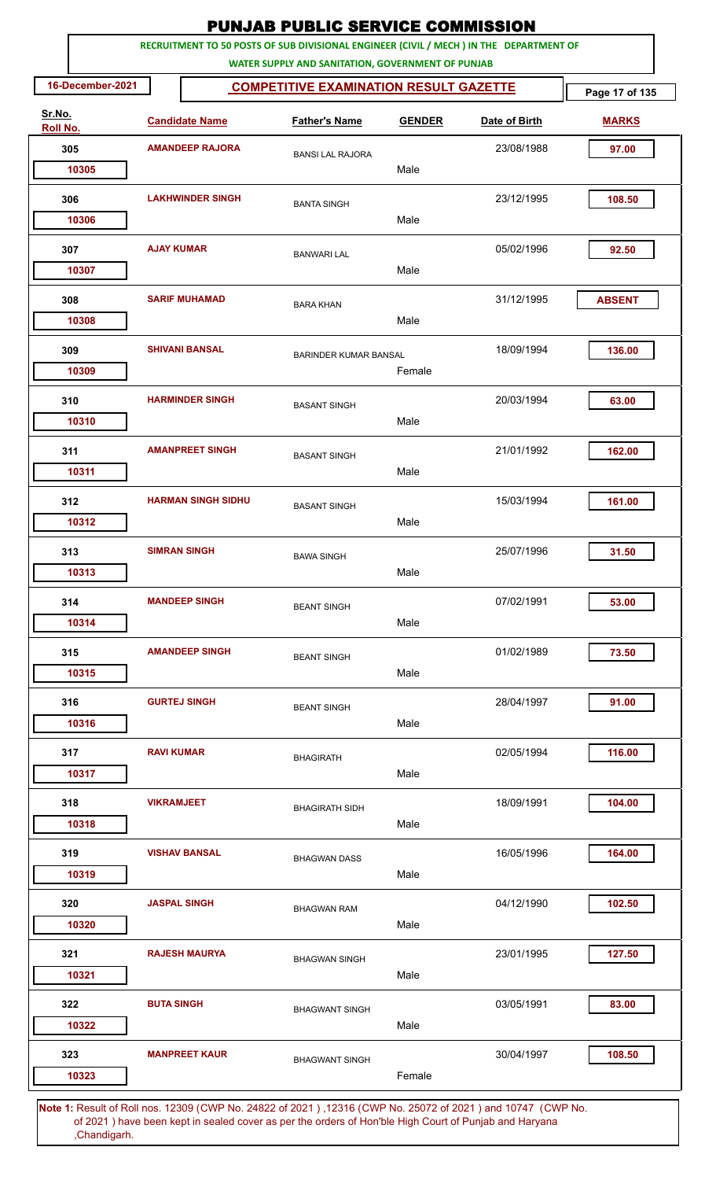|        |                  |                        |                           | <b>PUNJAB PUBLIC SERVICE COMMISSION</b>                                                                                                      |               |               |                |
|--------|------------------|------------------------|---------------------------|----------------------------------------------------------------------------------------------------------------------------------------------|---------------|---------------|----------------|
|        |                  |                        |                           | RECRUITMENT TO 50 POSTS OF SUB DIVISIONAL ENGINEER (CIVIL / MECH ) IN THE DEPARTMENT OF<br>WATER SUPPLY AND SANITATION, GOVERNMENT OF PUNJAB |               |               |                |
|        | 16-December-2021 |                        |                           | <b>COMPETITIVE EXAMINATION RESULT GAZETTE</b>                                                                                                |               |               | Page 17 of 135 |
| Sr.No. | Roll No.         |                        | <b>Candidate Name</b>     | <b>Father's Name</b>                                                                                                                         | <b>GENDER</b> | Date of Birth | <b>MARKS</b>   |
| 305    |                  | <b>AMANDEEP RAJORA</b> |                           | <b>BANSI LAL RAJORA</b>                                                                                                                      |               | 23/08/1988    | 97.00          |
|        | 10305            |                        |                           |                                                                                                                                              | Male          |               |                |
| 306    | 10306            |                        | <b>LAKHWINDER SINGH</b>   | <b>BANTA SINGH</b>                                                                                                                           | Male          | 23/12/1995    | 108.50         |
|        |                  |                        |                           |                                                                                                                                              |               |               |                |
| 307    |                  | <b>AJAY KUMAR</b>      |                           | <b>BANWARI LAL</b>                                                                                                                           |               | 05/02/1996    | 92.50          |
|        | 10307            |                        |                           |                                                                                                                                              | Male          |               |                |
| 308    |                  |                        | <b>SARIF MUHAMAD</b>      | <b>BARA KHAN</b>                                                                                                                             |               | 31/12/1995    | <b>ABSENT</b>  |
|        | 10308            |                        |                           |                                                                                                                                              | Male          |               |                |
| 309    |                  |                        | <b>SHIVANI BANSAL</b>     | <b>BARINDER KUMAR BANSAL</b>                                                                                                                 |               | 18/09/1994    | 136.00         |
|        | 10309            |                        |                           |                                                                                                                                              | Female        |               |                |
| 310    |                  |                        | <b>HARMINDER SINGH</b>    | <b>BASANT SINGH</b>                                                                                                                          |               | 20/03/1994    | 63.00          |
|        | 10310            |                        |                           |                                                                                                                                              | Male          |               |                |
| 311    |                  |                        | <b>AMANPREET SINGH</b>    | <b>BASANT SINGH</b>                                                                                                                          |               | 21/01/1992    | 162.00         |
|        | 10311            |                        |                           |                                                                                                                                              | Male          |               |                |
| 312    |                  |                        | <b>HARMAN SINGH SIDHU</b> | <b>BASANT SINGH</b>                                                                                                                          |               | 15/03/1994    | 161.00         |
|        | 10312            |                        |                           |                                                                                                                                              | Male          |               |                |
| 313    |                  |                        | <b>SIMRAN SINGH</b>       |                                                                                                                                              |               | 25/07/1996    | 31.50          |
|        | 10313            |                        |                           | <b>BAWA SINGH</b>                                                                                                                            | Male          |               |                |
| 314    |                  |                        | <b>MANDEEP SINGH</b>      |                                                                                                                                              |               | 07/02/1991    | 53.00          |
|        | 10314            |                        |                           | <b>BEANT SINGH</b>                                                                                                                           | Male          |               |                |
|        |                  |                        |                           |                                                                                                                                              |               |               |                |
| 315    | 10315            |                        | <b>AMANDEEP SINGH</b>     | <b>BEANT SINGH</b>                                                                                                                           | Male          | 01/02/1989    | 73.50          |
|        |                  |                        |                           |                                                                                                                                              |               |               |                |
| 316    |                  |                        | <b>GURTEJ SINGH</b>       | <b>BEANT SINGH</b>                                                                                                                           |               | 28/04/1997    | 91.00          |
|        | 10316            |                        |                           |                                                                                                                                              | Male          |               |                |
| 317    |                  | <b>RAVI KUMAR</b>      |                           | <b>BHAGIRATH</b>                                                                                                                             |               | 02/05/1994    | 116.00         |
|        | 10317            |                        |                           |                                                                                                                                              | Male          |               |                |
| 318    |                  | <b>VIKRAMJEET</b>      |                           | <b>BHAGIRATH SIDH</b>                                                                                                                        |               | 18/09/1991    | 104.00         |
|        | 10318            |                        |                           |                                                                                                                                              | Male          |               |                |
| 319    |                  |                        | <b>VISHAV BANSAL</b>      | <b>BHAGWAN DASS</b>                                                                                                                          |               | 16/05/1996    | 164.00         |
|        | 10319            |                        |                           |                                                                                                                                              | Male          |               |                |
| 320    |                  |                        | <b>JASPAL SINGH</b>       | <b>BHAGWAN RAM</b>                                                                                                                           |               | 04/12/1990    | 102.50         |
|        | 10320            |                        |                           |                                                                                                                                              | Male          |               |                |
| 321    |                  |                        | <b>RAJESH MAURYA</b>      | <b>BHAGWAN SINGH</b>                                                                                                                         |               | 23/01/1995    | 127.50         |
|        | 10321            |                        |                           |                                                                                                                                              | Male          |               |                |
| 322    |                  | <b>BUTA SINGH</b>      |                           |                                                                                                                                              |               | 03/05/1991    | 83.00          |
|        | 10322            |                        |                           | <b>BHAGWANT SINGH</b>                                                                                                                        | Male          |               |                |
| 323    |                  |                        | <b>MANPREET KAUR</b>      |                                                                                                                                              |               | 30/04/1997    | 108.50         |
|        | 10323            |                        |                           | <b>BHAGWANT SINGH</b>                                                                                                                        | Female        |               |                |
|        |                  |                        |                           |                                                                                                                                              |               |               |                |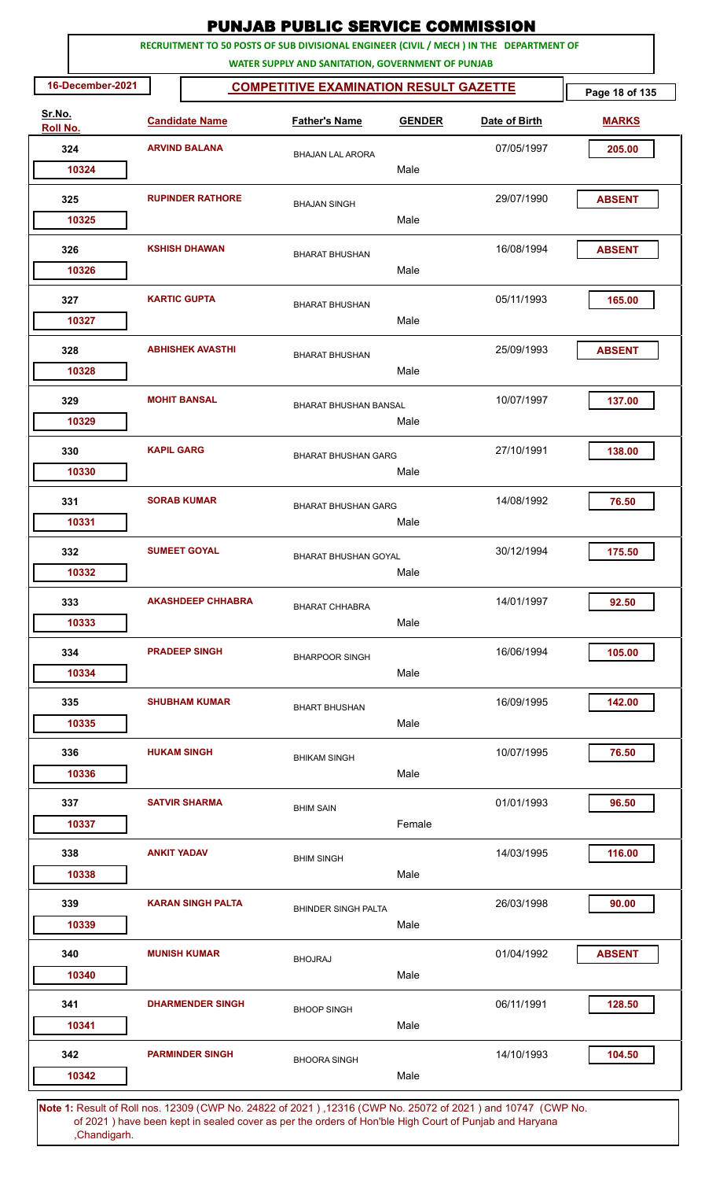| RECRUITMENT TO 50 POSTS OF SUB DIVISIONAL ENGINEER (CIVIL / MECH ) IN THE DEPARTMENT OF<br>WATER SUPPLY AND SANITATION, GOVERNMENT OF PUNJAB<br>16-December-2021<br><b>COMPETITIVE EXAMINATION RESULT GAZETTE</b><br>Sr.No.<br><b>Candidate Name</b><br><b>Father's Name</b><br><b>GENDER</b><br>Date of Birth<br>Roll No.<br>324<br><b>ARVIND BALANA</b><br>07/05/1997<br><b>BHAJAN LAL ARORA</b><br>Male<br>10324 | Page 18 of 135<br><b>MARKS</b><br>205.00 |
|---------------------------------------------------------------------------------------------------------------------------------------------------------------------------------------------------------------------------------------------------------------------------------------------------------------------------------------------------------------------------------------------------------------------|------------------------------------------|
|                                                                                                                                                                                                                                                                                                                                                                                                                     |                                          |
|                                                                                                                                                                                                                                                                                                                                                                                                                     |                                          |
|                                                                                                                                                                                                                                                                                                                                                                                                                     |                                          |
|                                                                                                                                                                                                                                                                                                                                                                                                                     |                                          |
|                                                                                                                                                                                                                                                                                                                                                                                                                     |                                          |
| <b>RUPINDER RATHORE</b><br>29/07/1990<br>325<br><b>BHAJAN SINGH</b><br>Male<br>10325                                                                                                                                                                                                                                                                                                                                | <b>ABSENT</b>                            |
|                                                                                                                                                                                                                                                                                                                                                                                                                     |                                          |
| 16/08/1994<br>326<br><b>KSHISH DHAWAN</b><br><b>BHARAT BHUSHAN</b><br>Male<br>10326                                                                                                                                                                                                                                                                                                                                 | <b>ABSENT</b>                            |
| <b>KARTIC GUPTA</b><br>327<br>05/11/1993                                                                                                                                                                                                                                                                                                                                                                            | 165.00                                   |
| <b>BHARAT BHUSHAN</b><br>Male<br>10327                                                                                                                                                                                                                                                                                                                                                                              |                                          |
| <b>ABHISHEK AVASTHI</b><br>25/09/1993<br>328<br><b>BHARAT BHUSHAN</b>                                                                                                                                                                                                                                                                                                                                               | <b>ABSENT</b>                            |
| Male<br>10328                                                                                                                                                                                                                                                                                                                                                                                                       |                                          |
| 329<br><b>MOHIT BANSAL</b><br>10/07/1997<br><b>BHARAT BHUSHAN BANSAL</b><br>10329<br>Male                                                                                                                                                                                                                                                                                                                           | 137.00                                   |
| <b>KAPIL GARG</b><br>27/10/1991<br>330                                                                                                                                                                                                                                                                                                                                                                              | 138.00                                   |
| <b>BHARAT BHUSHAN GARG</b><br>10330<br>Male                                                                                                                                                                                                                                                                                                                                                                         |                                          |
| <b>SORAB KUMAR</b><br>14/08/1992<br>331<br><b>BHARAT BHUSHAN GARG</b>                                                                                                                                                                                                                                                                                                                                               | 76.50                                    |
| 10331<br>Male                                                                                                                                                                                                                                                                                                                                                                                                       |                                          |
| 30/12/1994<br>332<br><b>SUMEET GOYAL</b><br><b>BHARAT BHUSHAN GOYAL</b>                                                                                                                                                                                                                                                                                                                                             | 175.50                                   |
| 10332<br>Male                                                                                                                                                                                                                                                                                                                                                                                                       |                                          |
| <b>AKASHDEEP CHHABRA</b><br>333<br>14/01/1997<br><b>BHARAT CHHABRA</b>                                                                                                                                                                                                                                                                                                                                              | 92.50                                    |
| Male<br>10333                                                                                                                                                                                                                                                                                                                                                                                                       |                                          |
| <b>PRADEEP SINGH</b><br>16/06/1994<br>334<br><b>BHARPOOR SINGH</b>                                                                                                                                                                                                                                                                                                                                                  | 105.00                                   |
| Male<br>10334                                                                                                                                                                                                                                                                                                                                                                                                       |                                          |
| 16/09/1995<br>335<br><b>SHUBHAM KUMAR</b><br><b>BHART BHUSHAN</b>                                                                                                                                                                                                                                                                                                                                                   | 142.00                                   |
| Male<br>10335                                                                                                                                                                                                                                                                                                                                                                                                       |                                          |
| <b>HUKAM SINGH</b><br>336<br>10/07/1995<br><b>BHIKAM SINGH</b>                                                                                                                                                                                                                                                                                                                                                      | 76.50                                    |
| Male<br>10336                                                                                                                                                                                                                                                                                                                                                                                                       |                                          |
| <b>SATVIR SHARMA</b><br>01/01/1993<br>337<br><b>BHIM SAIN</b>                                                                                                                                                                                                                                                                                                                                                       | 96.50                                    |
| Female<br>10337                                                                                                                                                                                                                                                                                                                                                                                                     |                                          |
| 14/03/1995<br>338<br><b>ANKIT YADAV</b><br><b>BHIM SINGH</b>                                                                                                                                                                                                                                                                                                                                                        | 116.00                                   |
| Male<br>10338                                                                                                                                                                                                                                                                                                                                                                                                       |                                          |
| <b>KARAN SINGH PALTA</b><br>26/03/1998<br>339<br><b>BHINDER SINGH PALTA</b>                                                                                                                                                                                                                                                                                                                                         | 90.00                                    |
| 10339<br>Male                                                                                                                                                                                                                                                                                                                                                                                                       |                                          |
| <b>MUNISH KUMAR</b><br>01/04/1992<br>340<br><b>BHOJRAJ</b>                                                                                                                                                                                                                                                                                                                                                          | <b>ABSENT</b>                            |
| Male<br>10340                                                                                                                                                                                                                                                                                                                                                                                                       |                                          |
| 06/11/1991<br>341<br><b>DHARMENDER SINGH</b><br><b>BHOOP SINGH</b>                                                                                                                                                                                                                                                                                                                                                  | 128.50                                   |
| Male<br>10341                                                                                                                                                                                                                                                                                                                                                                                                       |                                          |
| <b>PARMINDER SINGH</b><br>14/10/1993<br>342<br><b>BHOORA SINGH</b>                                                                                                                                                                                                                                                                                                                                                  | 104.50                                   |
| Male<br>10342                                                                                                                                                                                                                                                                                                                                                                                                       |                                          |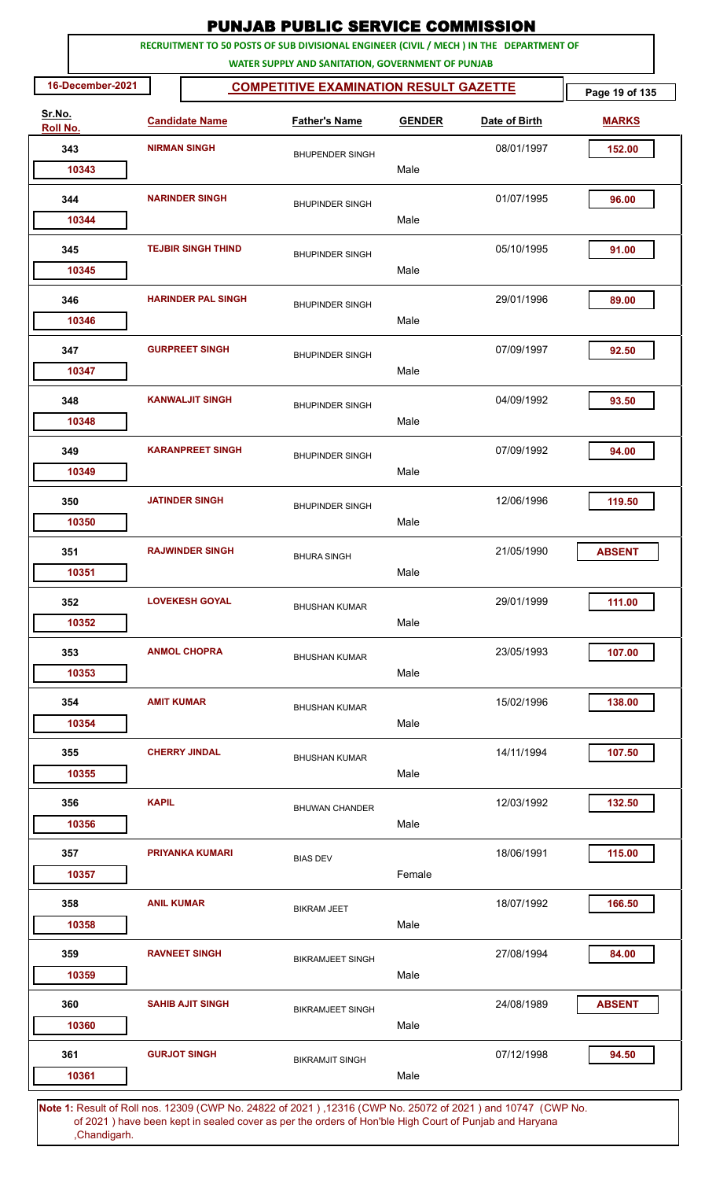|                    |                                                                   |                           | <b>PUNJAB PUBLIC SERVICE COMMISSION</b>                                                                                                      |               |               |               |  |  |  |  |  |
|--------------------|-------------------------------------------------------------------|---------------------------|----------------------------------------------------------------------------------------------------------------------------------------------|---------------|---------------|---------------|--|--|--|--|--|
|                    |                                                                   |                           | RECRUITMENT TO 50 POSTS OF SUB DIVISIONAL ENGINEER (CIVIL / MECH ) IN THE DEPARTMENT OF<br>WATER SUPPLY AND SANITATION, GOVERNMENT OF PUNJAB |               |               |               |  |  |  |  |  |
|                    | 16-December-2021<br><b>COMPETITIVE EXAMINATION RESULT GAZETTE</b> |                           |                                                                                                                                              |               |               |               |  |  |  |  |  |
| Sr.No.<br>Roll No. |                                                                   | <b>Candidate Name</b>     | <b>Father's Name</b>                                                                                                                         | <b>GENDER</b> | Date of Birth | <b>MARKS</b>  |  |  |  |  |  |
| 343                |                                                                   | <b>NIRMAN SINGH</b>       | <b>BHUPENDER SINGH</b>                                                                                                                       |               | 08/01/1997    | 152.00        |  |  |  |  |  |
| 10343              |                                                                   |                           |                                                                                                                                              | Male          |               |               |  |  |  |  |  |
| 344                |                                                                   | <b>NARINDER SINGH</b>     | <b>BHUPINDER SINGH</b>                                                                                                                       |               | 01/07/1995    | 96.00         |  |  |  |  |  |
| 10344              |                                                                   |                           |                                                                                                                                              | Male          |               |               |  |  |  |  |  |
| 345<br>10345       |                                                                   | <b>TEJBIR SINGH THIND</b> | <b>BHUPINDER SINGH</b>                                                                                                                       | Male          | 05/10/1995    | 91.00         |  |  |  |  |  |
|                    |                                                                   |                           |                                                                                                                                              |               |               |               |  |  |  |  |  |
| 346<br>10346       |                                                                   | <b>HARINDER PAL SINGH</b> | <b>BHUPINDER SINGH</b>                                                                                                                       | Male          | 29/01/1996    | 89.00         |  |  |  |  |  |
| 347                |                                                                   | <b>GURPREET SINGH</b>     |                                                                                                                                              |               | 07/09/1997    | 92.50         |  |  |  |  |  |
| 10347              |                                                                   |                           | <b>BHUPINDER SINGH</b>                                                                                                                       | Male          |               |               |  |  |  |  |  |
| 348                |                                                                   | <b>KANWALJIT SINGH</b>    | <b>BHUPINDER SINGH</b>                                                                                                                       |               | 04/09/1992    | 93.50         |  |  |  |  |  |
| 10348              |                                                                   |                           |                                                                                                                                              | Male          |               |               |  |  |  |  |  |
| 349                |                                                                   | <b>KARANPREET SINGH</b>   | <b>BHUPINDER SINGH</b>                                                                                                                       |               | 07/09/1992    | 94.00         |  |  |  |  |  |
| 10349              |                                                                   |                           |                                                                                                                                              | Male          |               |               |  |  |  |  |  |
| 350                |                                                                   | <b>JATINDER SINGH</b>     | <b>BHUPINDER SINGH</b>                                                                                                                       |               | 12/06/1996    | 119.50        |  |  |  |  |  |
| 10350              |                                                                   |                           |                                                                                                                                              | Male          |               |               |  |  |  |  |  |
| 351                |                                                                   | <b>RAJWINDER SINGH</b>    | <b>BHURA SINGH</b>                                                                                                                           |               | 21/05/1990    | <b>ABSENT</b> |  |  |  |  |  |
| 10351              |                                                                   |                           |                                                                                                                                              | Male          |               |               |  |  |  |  |  |
| 352                |                                                                   | <b>LOVEKESH GOYAL</b>     | <b>BHUSHAN KUMAR</b>                                                                                                                         |               | 29/01/1999    | 111.00        |  |  |  |  |  |
| 10352              |                                                                   |                           |                                                                                                                                              | Male          |               |               |  |  |  |  |  |
| 353                |                                                                   | <b>ANMOL CHOPRA</b>       | <b>BHUSHAN KUMAR</b>                                                                                                                         |               | 23/05/1993    | 107.00        |  |  |  |  |  |
| 10353              |                                                                   |                           |                                                                                                                                              | Male          |               |               |  |  |  |  |  |
| 354                | <b>AMIT KUMAR</b>                                                 |                           | <b>BHUSHAN KUMAR</b>                                                                                                                         |               | 15/02/1996    | 138.00        |  |  |  |  |  |
| 10354              |                                                                   |                           |                                                                                                                                              | Male          |               |               |  |  |  |  |  |
| 355                |                                                                   | <b>CHERRY JINDAL</b>      | <b>BHUSHAN KUMAR</b>                                                                                                                         |               | 14/11/1994    | 107.50        |  |  |  |  |  |
| 10355              |                                                                   |                           |                                                                                                                                              | Male          |               |               |  |  |  |  |  |
| 356                | <b>KAPIL</b>                                                      |                           | <b>BHUWAN CHANDER</b>                                                                                                                        |               | 12/03/1992    | 132.50        |  |  |  |  |  |
| 10356              |                                                                   |                           |                                                                                                                                              | Male          |               |               |  |  |  |  |  |
| 357                |                                                                   | <b>PRIYANKA KUMARI</b>    | <b>BIAS DEV</b>                                                                                                                              |               | 18/06/1991    | 115.00        |  |  |  |  |  |
| 10357              |                                                                   |                           |                                                                                                                                              | Female        |               |               |  |  |  |  |  |
| 358                | <b>ANIL KUMAR</b>                                                 |                           | <b>BIKRAM JEET</b>                                                                                                                           |               | 18/07/1992    | 166.50        |  |  |  |  |  |
| 10358              |                                                                   |                           |                                                                                                                                              | Male          |               |               |  |  |  |  |  |
| 359                |                                                                   | <b>RAVNEET SINGH</b>      | <b>BIKRAMJEET SINGH</b>                                                                                                                      |               | 27/08/1994    | 84.00         |  |  |  |  |  |
| 10359              |                                                                   |                           |                                                                                                                                              | Male          |               |               |  |  |  |  |  |
| 360                |                                                                   | <b>SAHIB AJIT SINGH</b>   | <b>BIKRAMJEET SINGH</b>                                                                                                                      |               | 24/08/1989    | <b>ABSENT</b> |  |  |  |  |  |
| 10360              |                                                                   |                           |                                                                                                                                              | Male          |               |               |  |  |  |  |  |
| 361                |                                                                   | <b>GURJOT SINGH</b>       | <b>BIKRAMJIT SINGH</b>                                                                                                                       |               | 07/12/1998    | 94.50         |  |  |  |  |  |
| 10361              |                                                                   |                           |                                                                                                                                              | Male          |               |               |  |  |  |  |  |
|                    |                                                                   |                           | 4. Repult of Rollings, 19200 (CMD No. 24892 of 2021), 19216 (CMD No. 25072 of 2021) and 10747 (CMD No                                        |               |               |               |  |  |  |  |  |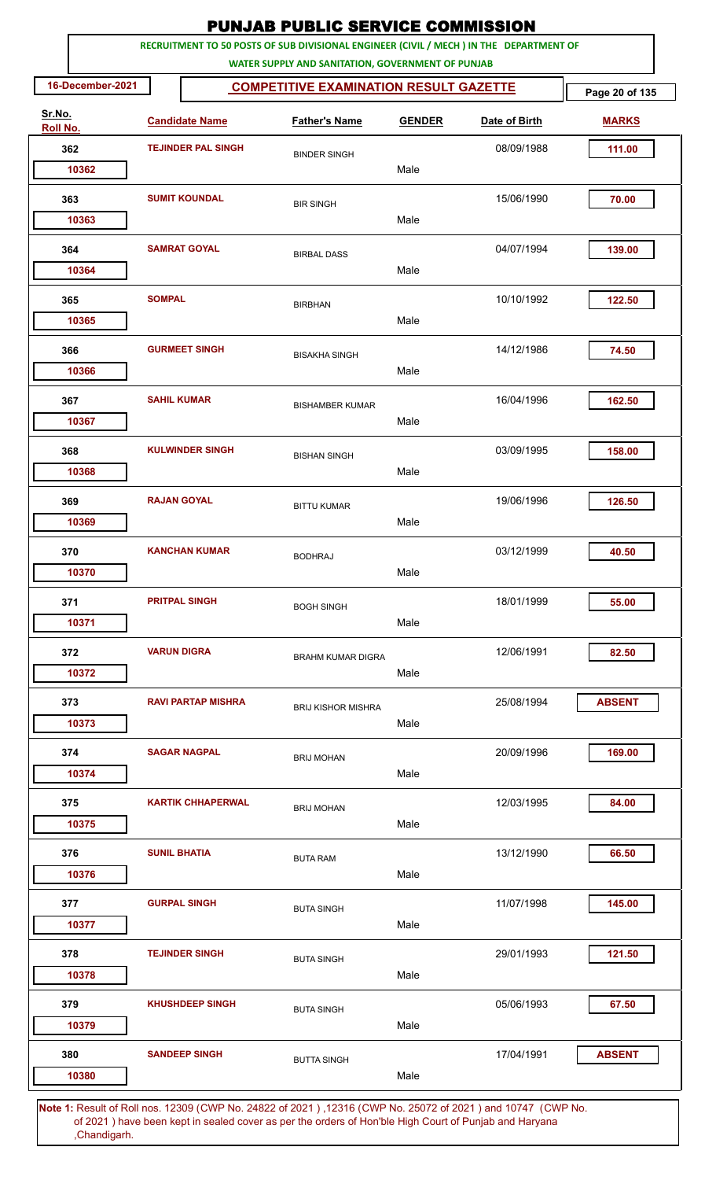| RECRUITMENT TO 50 POSTS OF SUB DIVISIONAL ENGINEER (CIVIL / MECH ) IN THE DEPARTMENT OF<br>WATER SUPPLY AND SANITATION, GOVERNMENT OF PUNJAB<br>16-December-2021<br><b>COMPETITIVE EXAMINATION RESULT GAZETTE</b><br>Page 20 of 135<br>Sr.No.<br><b>Candidate Name</b><br><b>Father's Name</b><br><b>GENDER</b><br>Date of Birth<br><b>MARKS</b><br>Roll No.<br>362<br><b>TEJINDER PAL SINGH</b><br>08/09/1988<br>111.00<br><b>BINDER SINGH</b><br>10362<br>Male<br><b>SUMIT KOUNDAL</b><br>15/06/1990<br>70.00<br>363<br><b>BIR SINGH</b><br>Male<br>10363<br>04/07/1994<br>364<br><b>SAMRAT GOYAL</b><br>139.00<br><b>BIRBAL DASS</b><br>Male<br>10364<br><b>SOMPAL</b><br>365<br>10/10/1992<br>122.50<br><b>BIRBHAN</b><br>Male<br>10365<br><b>GURMEET SINGH</b><br>14/12/1986<br>366<br>74.50<br><b>BISAKHA SINGH</b><br>Male<br>10366<br><b>SAHIL KUMAR</b><br>16/04/1996<br>367<br>162.50<br><b>BISHAMBER KUMAR</b><br>10367<br>Male<br><b>KULWINDER SINGH</b><br>03/09/1995<br>368<br>158.00<br><b>BISHAN SINGH</b><br>Male<br>10368<br><b>RAJAN GOYAL</b><br>19/06/1996<br>369<br>126.50<br><b>BITTU KUMAR</b><br>Male<br>10369<br>03/12/1999<br>370<br><b>KANCHAN KUMAR</b><br>40.50<br><b>BODHRAJ</b><br>Male<br>10370<br><b>PRITPAL SINGH</b><br>371<br>18/01/1999<br>55.00<br><b>BOGH SINGH</b><br>Male<br>10371<br><b>VARUN DIGRA</b><br>12/06/1991<br>372<br>82.50<br><b>BRAHM KUMAR DIGRA</b><br>10372<br>Male<br>25/08/1994<br>373<br><b>RAVI PARTAP MISHRA</b><br><b>ABSENT</b><br><b>BRIJ KISHOR MISHRA</b><br>10373<br>Male<br><b>SAGAR NAGPAL</b><br>374<br>20/09/1996<br>169.00<br><b>BRIJ MOHAN</b><br>Male<br>10374<br><b>KARTIK CHHAPERWAL</b><br>12/03/1995<br>84.00<br>375<br><b>BRIJ MOHAN</b><br>Male<br>10375<br>13/12/1990<br>66.50<br>376<br><b>SUNIL BHATIA</b><br><b>BUTA RAM</b><br>Male<br>10376<br><b>GURPAL SINGH</b><br>11/07/1998<br>377<br>145.00<br><b>BUTA SINGH</b><br>Male<br>10377<br><b>TEJINDER SINGH</b><br>29/01/1993<br>378<br>121.50<br><b>BUTA SINGH</b><br>10378<br>Male<br>05/06/1993<br>379<br><b>KHUSHDEEP SINGH</b><br>67.50<br><b>BUTA SINGH</b> |  |  | <b>PUNJAB PUBLIC SERVICE COMMISSION</b> |  |  |
|------------------------------------------------------------------------------------------------------------------------------------------------------------------------------------------------------------------------------------------------------------------------------------------------------------------------------------------------------------------------------------------------------------------------------------------------------------------------------------------------------------------------------------------------------------------------------------------------------------------------------------------------------------------------------------------------------------------------------------------------------------------------------------------------------------------------------------------------------------------------------------------------------------------------------------------------------------------------------------------------------------------------------------------------------------------------------------------------------------------------------------------------------------------------------------------------------------------------------------------------------------------------------------------------------------------------------------------------------------------------------------------------------------------------------------------------------------------------------------------------------------------------------------------------------------------------------------------------------------------------------------------------------------------------------------------------------------------------------------------------------------------------------------------------------------------------------------------------------------------------------------------------------------------------------------------------------------------------------------------------------------------------------------------------------------------------------------------------------------|--|--|-----------------------------------------|--|--|
|                                                                                                                                                                                                                                                                                                                                                                                                                                                                                                                                                                                                                                                                                                                                                                                                                                                                                                                                                                                                                                                                                                                                                                                                                                                                                                                                                                                                                                                                                                                                                                                                                                                                                                                                                                                                                                                                                                                                                                                                                                                                                                            |  |  |                                         |  |  |
|                                                                                                                                                                                                                                                                                                                                                                                                                                                                                                                                                                                                                                                                                                                                                                                                                                                                                                                                                                                                                                                                                                                                                                                                                                                                                                                                                                                                                                                                                                                                                                                                                                                                                                                                                                                                                                                                                                                                                                                                                                                                                                            |  |  |                                         |  |  |
|                                                                                                                                                                                                                                                                                                                                                                                                                                                                                                                                                                                                                                                                                                                                                                                                                                                                                                                                                                                                                                                                                                                                                                                                                                                                                                                                                                                                                                                                                                                                                                                                                                                                                                                                                                                                                                                                                                                                                                                                                                                                                                            |  |  |                                         |  |  |
|                                                                                                                                                                                                                                                                                                                                                                                                                                                                                                                                                                                                                                                                                                                                                                                                                                                                                                                                                                                                                                                                                                                                                                                                                                                                                                                                                                                                                                                                                                                                                                                                                                                                                                                                                                                                                                                                                                                                                                                                                                                                                                            |  |  |                                         |  |  |
|                                                                                                                                                                                                                                                                                                                                                                                                                                                                                                                                                                                                                                                                                                                                                                                                                                                                                                                                                                                                                                                                                                                                                                                                                                                                                                                                                                                                                                                                                                                                                                                                                                                                                                                                                                                                                                                                                                                                                                                                                                                                                                            |  |  |                                         |  |  |
|                                                                                                                                                                                                                                                                                                                                                                                                                                                                                                                                                                                                                                                                                                                                                                                                                                                                                                                                                                                                                                                                                                                                                                                                                                                                                                                                                                                                                                                                                                                                                                                                                                                                                                                                                                                                                                                                                                                                                                                                                                                                                                            |  |  |                                         |  |  |
|                                                                                                                                                                                                                                                                                                                                                                                                                                                                                                                                                                                                                                                                                                                                                                                                                                                                                                                                                                                                                                                                                                                                                                                                                                                                                                                                                                                                                                                                                                                                                                                                                                                                                                                                                                                                                                                                                                                                                                                                                                                                                                            |  |  |                                         |  |  |
|                                                                                                                                                                                                                                                                                                                                                                                                                                                                                                                                                                                                                                                                                                                                                                                                                                                                                                                                                                                                                                                                                                                                                                                                                                                                                                                                                                                                                                                                                                                                                                                                                                                                                                                                                                                                                                                                                                                                                                                                                                                                                                            |  |  |                                         |  |  |
|                                                                                                                                                                                                                                                                                                                                                                                                                                                                                                                                                                                                                                                                                                                                                                                                                                                                                                                                                                                                                                                                                                                                                                                                                                                                                                                                                                                                                                                                                                                                                                                                                                                                                                                                                                                                                                                                                                                                                                                                                                                                                                            |  |  |                                         |  |  |
|                                                                                                                                                                                                                                                                                                                                                                                                                                                                                                                                                                                                                                                                                                                                                                                                                                                                                                                                                                                                                                                                                                                                                                                                                                                                                                                                                                                                                                                                                                                                                                                                                                                                                                                                                                                                                                                                                                                                                                                                                                                                                                            |  |  |                                         |  |  |
|                                                                                                                                                                                                                                                                                                                                                                                                                                                                                                                                                                                                                                                                                                                                                                                                                                                                                                                                                                                                                                                                                                                                                                                                                                                                                                                                                                                                                                                                                                                                                                                                                                                                                                                                                                                                                                                                                                                                                                                                                                                                                                            |  |  |                                         |  |  |
|                                                                                                                                                                                                                                                                                                                                                                                                                                                                                                                                                                                                                                                                                                                                                                                                                                                                                                                                                                                                                                                                                                                                                                                                                                                                                                                                                                                                                                                                                                                                                                                                                                                                                                                                                                                                                                                                                                                                                                                                                                                                                                            |  |  |                                         |  |  |
|                                                                                                                                                                                                                                                                                                                                                                                                                                                                                                                                                                                                                                                                                                                                                                                                                                                                                                                                                                                                                                                                                                                                                                                                                                                                                                                                                                                                                                                                                                                                                                                                                                                                                                                                                                                                                                                                                                                                                                                                                                                                                                            |  |  |                                         |  |  |
|                                                                                                                                                                                                                                                                                                                                                                                                                                                                                                                                                                                                                                                                                                                                                                                                                                                                                                                                                                                                                                                                                                                                                                                                                                                                                                                                                                                                                                                                                                                                                                                                                                                                                                                                                                                                                                                                                                                                                                                                                                                                                                            |  |  |                                         |  |  |
|                                                                                                                                                                                                                                                                                                                                                                                                                                                                                                                                                                                                                                                                                                                                                                                                                                                                                                                                                                                                                                                                                                                                                                                                                                                                                                                                                                                                                                                                                                                                                                                                                                                                                                                                                                                                                                                                                                                                                                                                                                                                                                            |  |  |                                         |  |  |
|                                                                                                                                                                                                                                                                                                                                                                                                                                                                                                                                                                                                                                                                                                                                                                                                                                                                                                                                                                                                                                                                                                                                                                                                                                                                                                                                                                                                                                                                                                                                                                                                                                                                                                                                                                                                                                                                                                                                                                                                                                                                                                            |  |  |                                         |  |  |
|                                                                                                                                                                                                                                                                                                                                                                                                                                                                                                                                                                                                                                                                                                                                                                                                                                                                                                                                                                                                                                                                                                                                                                                                                                                                                                                                                                                                                                                                                                                                                                                                                                                                                                                                                                                                                                                                                                                                                                                                                                                                                                            |  |  |                                         |  |  |
|                                                                                                                                                                                                                                                                                                                                                                                                                                                                                                                                                                                                                                                                                                                                                                                                                                                                                                                                                                                                                                                                                                                                                                                                                                                                                                                                                                                                                                                                                                                                                                                                                                                                                                                                                                                                                                                                                                                                                                                                                                                                                                            |  |  |                                         |  |  |
|                                                                                                                                                                                                                                                                                                                                                                                                                                                                                                                                                                                                                                                                                                                                                                                                                                                                                                                                                                                                                                                                                                                                                                                                                                                                                                                                                                                                                                                                                                                                                                                                                                                                                                                                                                                                                                                                                                                                                                                                                                                                                                            |  |  |                                         |  |  |
|                                                                                                                                                                                                                                                                                                                                                                                                                                                                                                                                                                                                                                                                                                                                                                                                                                                                                                                                                                                                                                                                                                                                                                                                                                                                                                                                                                                                                                                                                                                                                                                                                                                                                                                                                                                                                                                                                                                                                                                                                                                                                                            |  |  |                                         |  |  |
|                                                                                                                                                                                                                                                                                                                                                                                                                                                                                                                                                                                                                                                                                                                                                                                                                                                                                                                                                                                                                                                                                                                                                                                                                                                                                                                                                                                                                                                                                                                                                                                                                                                                                                                                                                                                                                                                                                                                                                                                                                                                                                            |  |  |                                         |  |  |
|                                                                                                                                                                                                                                                                                                                                                                                                                                                                                                                                                                                                                                                                                                                                                                                                                                                                                                                                                                                                                                                                                                                                                                                                                                                                                                                                                                                                                                                                                                                                                                                                                                                                                                                                                                                                                                                                                                                                                                                                                                                                                                            |  |  |                                         |  |  |
|                                                                                                                                                                                                                                                                                                                                                                                                                                                                                                                                                                                                                                                                                                                                                                                                                                                                                                                                                                                                                                                                                                                                                                                                                                                                                                                                                                                                                                                                                                                                                                                                                                                                                                                                                                                                                                                                                                                                                                                                                                                                                                            |  |  |                                         |  |  |
|                                                                                                                                                                                                                                                                                                                                                                                                                                                                                                                                                                                                                                                                                                                                                                                                                                                                                                                                                                                                                                                                                                                                                                                                                                                                                                                                                                                                                                                                                                                                                                                                                                                                                                                                                                                                                                                                                                                                                                                                                                                                                                            |  |  |                                         |  |  |
|                                                                                                                                                                                                                                                                                                                                                                                                                                                                                                                                                                                                                                                                                                                                                                                                                                                                                                                                                                                                                                                                                                                                                                                                                                                                                                                                                                                                                                                                                                                                                                                                                                                                                                                                                                                                                                                                                                                                                                                                                                                                                                            |  |  |                                         |  |  |
|                                                                                                                                                                                                                                                                                                                                                                                                                                                                                                                                                                                                                                                                                                                                                                                                                                                                                                                                                                                                                                                                                                                                                                                                                                                                                                                                                                                                                                                                                                                                                                                                                                                                                                                                                                                                                                                                                                                                                                                                                                                                                                            |  |  |                                         |  |  |
|                                                                                                                                                                                                                                                                                                                                                                                                                                                                                                                                                                                                                                                                                                                                                                                                                                                                                                                                                                                                                                                                                                                                                                                                                                                                                                                                                                                                                                                                                                                                                                                                                                                                                                                                                                                                                                                                                                                                                                                                                                                                                                            |  |  |                                         |  |  |
|                                                                                                                                                                                                                                                                                                                                                                                                                                                                                                                                                                                                                                                                                                                                                                                                                                                                                                                                                                                                                                                                                                                                                                                                                                                                                                                                                                                                                                                                                                                                                                                                                                                                                                                                                                                                                                                                                                                                                                                                                                                                                                            |  |  |                                         |  |  |
|                                                                                                                                                                                                                                                                                                                                                                                                                                                                                                                                                                                                                                                                                                                                                                                                                                                                                                                                                                                                                                                                                                                                                                                                                                                                                                                                                                                                                                                                                                                                                                                                                                                                                                                                                                                                                                                                                                                                                                                                                                                                                                            |  |  |                                         |  |  |
|                                                                                                                                                                                                                                                                                                                                                                                                                                                                                                                                                                                                                                                                                                                                                                                                                                                                                                                                                                                                                                                                                                                                                                                                                                                                                                                                                                                                                                                                                                                                                                                                                                                                                                                                                                                                                                                                                                                                                                                                                                                                                                            |  |  |                                         |  |  |
|                                                                                                                                                                                                                                                                                                                                                                                                                                                                                                                                                                                                                                                                                                                                                                                                                                                                                                                                                                                                                                                                                                                                                                                                                                                                                                                                                                                                                                                                                                                                                                                                                                                                                                                                                                                                                                                                                                                                                                                                                                                                                                            |  |  |                                         |  |  |
|                                                                                                                                                                                                                                                                                                                                                                                                                                                                                                                                                                                                                                                                                                                                                                                                                                                                                                                                                                                                                                                                                                                                                                                                                                                                                                                                                                                                                                                                                                                                                                                                                                                                                                                                                                                                                                                                                                                                                                                                                                                                                                            |  |  |                                         |  |  |
|                                                                                                                                                                                                                                                                                                                                                                                                                                                                                                                                                                                                                                                                                                                                                                                                                                                                                                                                                                                                                                                                                                                                                                                                                                                                                                                                                                                                                                                                                                                                                                                                                                                                                                                                                                                                                                                                                                                                                                                                                                                                                                            |  |  |                                         |  |  |
|                                                                                                                                                                                                                                                                                                                                                                                                                                                                                                                                                                                                                                                                                                                                                                                                                                                                                                                                                                                                                                                                                                                                                                                                                                                                                                                                                                                                                                                                                                                                                                                                                                                                                                                                                                                                                                                                                                                                                                                                                                                                                                            |  |  |                                         |  |  |
|                                                                                                                                                                                                                                                                                                                                                                                                                                                                                                                                                                                                                                                                                                                                                                                                                                                                                                                                                                                                                                                                                                                                                                                                                                                                                                                                                                                                                                                                                                                                                                                                                                                                                                                                                                                                                                                                                                                                                                                                                                                                                                            |  |  |                                         |  |  |
|                                                                                                                                                                                                                                                                                                                                                                                                                                                                                                                                                                                                                                                                                                                                                                                                                                                                                                                                                                                                                                                                                                                                                                                                                                                                                                                                                                                                                                                                                                                                                                                                                                                                                                                                                                                                                                                                                                                                                                                                                                                                                                            |  |  |                                         |  |  |
| Male<br>10379                                                                                                                                                                                                                                                                                                                                                                                                                                                                                                                                                                                                                                                                                                                                                                                                                                                                                                                                                                                                                                                                                                                                                                                                                                                                                                                                                                                                                                                                                                                                                                                                                                                                                                                                                                                                                                                                                                                                                                                                                                                                                              |  |  |                                         |  |  |
| <b>SANDEEP SINGH</b><br>17/04/1991<br>380<br><b>ABSENT</b><br><b>BUTTA SINGH</b>                                                                                                                                                                                                                                                                                                                                                                                                                                                                                                                                                                                                                                                                                                                                                                                                                                                                                                                                                                                                                                                                                                                                                                                                                                                                                                                                                                                                                                                                                                                                                                                                                                                                                                                                                                                                                                                                                                                                                                                                                           |  |  |                                         |  |  |
| Male<br>10380                                                                                                                                                                                                                                                                                                                                                                                                                                                                                                                                                                                                                                                                                                                                                                                                                                                                                                                                                                                                                                                                                                                                                                                                                                                                                                                                                                                                                                                                                                                                                                                                                                                                                                                                                                                                                                                                                                                                                                                                                                                                                              |  |  |                                         |  |  |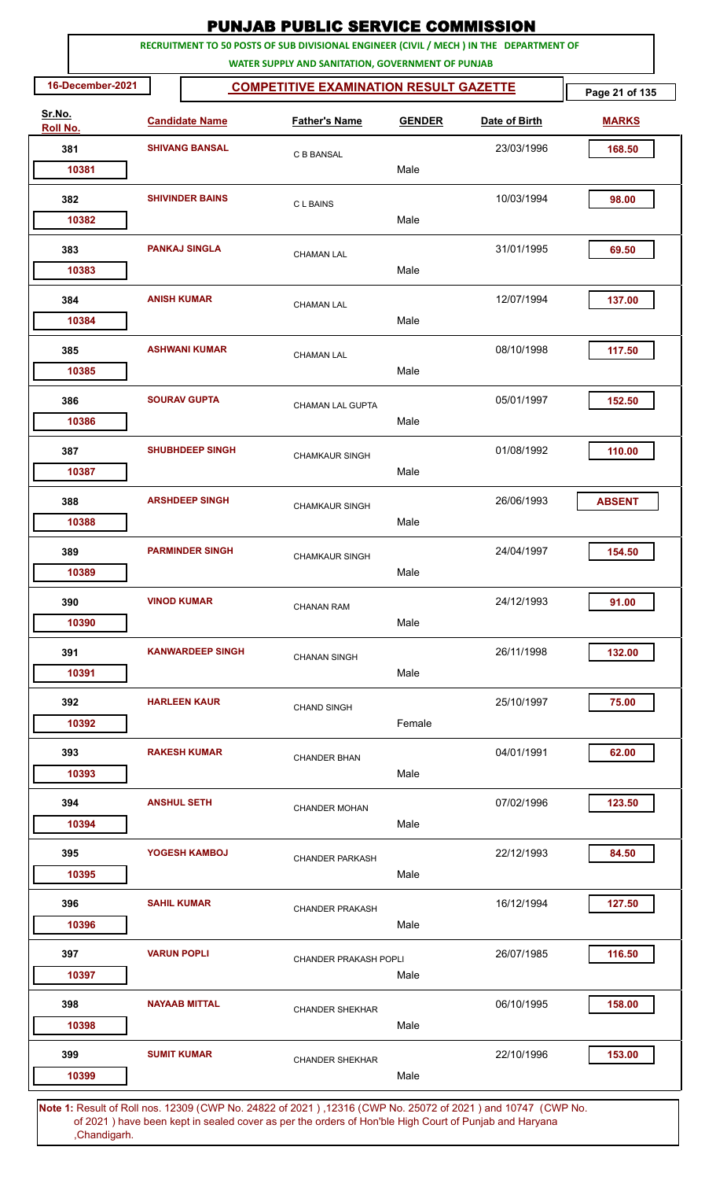|                    |                       |                         |                                                   |               | <b>PUNJAB PUBLIC SERVICE COMMISSION</b>                                                               |                |
|--------------------|-----------------------|-------------------------|---------------------------------------------------|---------------|-------------------------------------------------------------------------------------------------------|----------------|
|                    |                       |                         | WATER SUPPLY AND SANITATION, GOVERNMENT OF PUNJAB |               | RECRUITMENT TO 50 POSTS OF SUB DIVISIONAL ENGINEER (CIVIL / MECH ) IN THE DEPARTMENT OF               |                |
| 16-December-2021   |                       |                         | <b>COMPETITIVE EXAMINATION RESULT GAZETTE</b>     |               |                                                                                                       | Page 21 of 135 |
| Sr.No.<br>Roll No. | <b>Candidate Name</b> |                         | <b>Father's Name</b>                              | <b>GENDER</b> | Date of Birth                                                                                         | <b>MARKS</b>   |
| 381                | <b>SHIVANG BANSAL</b> |                         | C B BANSAL                                        |               | 23/03/1996                                                                                            | 168.50         |
| 10381              |                       |                         |                                                   | Male          |                                                                                                       |                |
| 382<br>10382       |                       | <b>SHIVINDER BAINS</b>  | <b>CLBAINS</b>                                    | Male          | 10/03/1994                                                                                            | 98.00          |
|                    |                       |                         |                                                   |               |                                                                                                       |                |
| 383<br>10383       |                       | <b>PANKAJ SINGLA</b>    | <b>CHAMAN LAL</b>                                 | Male          | 31/01/1995                                                                                            | 69.50          |
| 384<br>10384       |                       | <b>ANISH KUMAR</b>      | <b>CHAMAN LAL</b>                                 | Male          | 12/07/1994                                                                                            | 137.00         |
|                    |                       |                         |                                                   |               |                                                                                                       |                |
| 385<br>10385       |                       | <b>ASHWANI KUMAR</b>    | <b>CHAMAN LAL</b>                                 | Male          | 08/10/1998                                                                                            | 117.50         |
| 386<br>10386       |                       | <b>SOURAV GUPTA</b>     | <b>CHAMAN LAL GUPTA</b>                           | Male          | 05/01/1997                                                                                            | 152.50         |
| 387                |                       | <b>SHUBHDEEP SINGH</b>  | <b>CHAMKAUR SINGH</b>                             |               | 01/08/1992                                                                                            | 110.00         |
| 10387              |                       |                         |                                                   | Male          |                                                                                                       |                |
| 388                |                       | <b>ARSHDEEP SINGH</b>   | <b>CHAMKAUR SINGH</b>                             |               | 26/06/1993                                                                                            | <b>ABSENT</b>  |
| 10388              |                       |                         |                                                   | Male          |                                                                                                       |                |
| 389<br>10389       |                       | <b>PARMINDER SINGH</b>  | <b>CHAMKAUR SINGH</b>                             | Male          | 24/04/1997                                                                                            | 154.50         |
| 390                |                       | <b>VINOD KUMAR</b>      | <b>CHANAN RAM</b>                                 | Male          | 24/12/1993                                                                                            | 91.00          |
| 10390              |                       |                         |                                                   |               |                                                                                                       |                |
| 391<br>10391       |                       | <b>KANWARDEEP SINGH</b> | <b>CHANAN SINGH</b>                               | Male          | 26/11/1998                                                                                            | 132.00         |
| 392<br>10392       |                       | <b>HARLEEN KAUR</b>     | <b>CHAND SINGH</b>                                | Female        | 25/10/1997                                                                                            | 75.00          |
|                    |                       |                         |                                                   |               |                                                                                                       |                |
| 393<br>10393       |                       | <b>RAKESH KUMAR</b>     | <b>CHANDER BHAN</b>                               | Male          | 04/01/1991                                                                                            | 62.00          |
| 394<br>10394       |                       | <b>ANSHUL SETH</b>      | <b>CHANDER MOHAN</b>                              | Male          | 07/02/1996                                                                                            | 123.50         |
|                    |                       |                         |                                                   |               |                                                                                                       |                |
| 395<br>10395       |                       | YOGESH KAMBOJ           | <b>CHANDER PARKASH</b>                            | Male          | 22/12/1993                                                                                            | 84.50          |
| 396                | <b>SAHIL KUMAR</b>    |                         | <b>CHANDER PRAKASH</b>                            |               | 16/12/1994                                                                                            | 127.50         |
| 10396              |                       |                         |                                                   | Male          |                                                                                                       |                |
| 397<br>10397       | <b>VARUN POPLI</b>    |                         | CHANDER PRAKASH POPLI                             | Male          | 26/07/1985                                                                                            | 116.50         |
| 398                |                       | <b>NAYAAB MITTAL</b>    | <b>CHANDER SHEKHAR</b>                            |               | 06/10/1995                                                                                            | 158.00         |
| 10398              |                       |                         |                                                   | Male          |                                                                                                       |                |
| 399<br>10399       |                       | <b>SUMIT KUMAR</b>      | <b>CHANDER SHEKHAR</b>                            | Male          | 22/10/1996                                                                                            | 153.00         |
|                    |                       |                         |                                                   |               | 1: Result of Bollings, 12200 (CWD No. 24822 of 2021), 12216 (CWD No. 25072 of 2021) and 10747 (CWD No |                |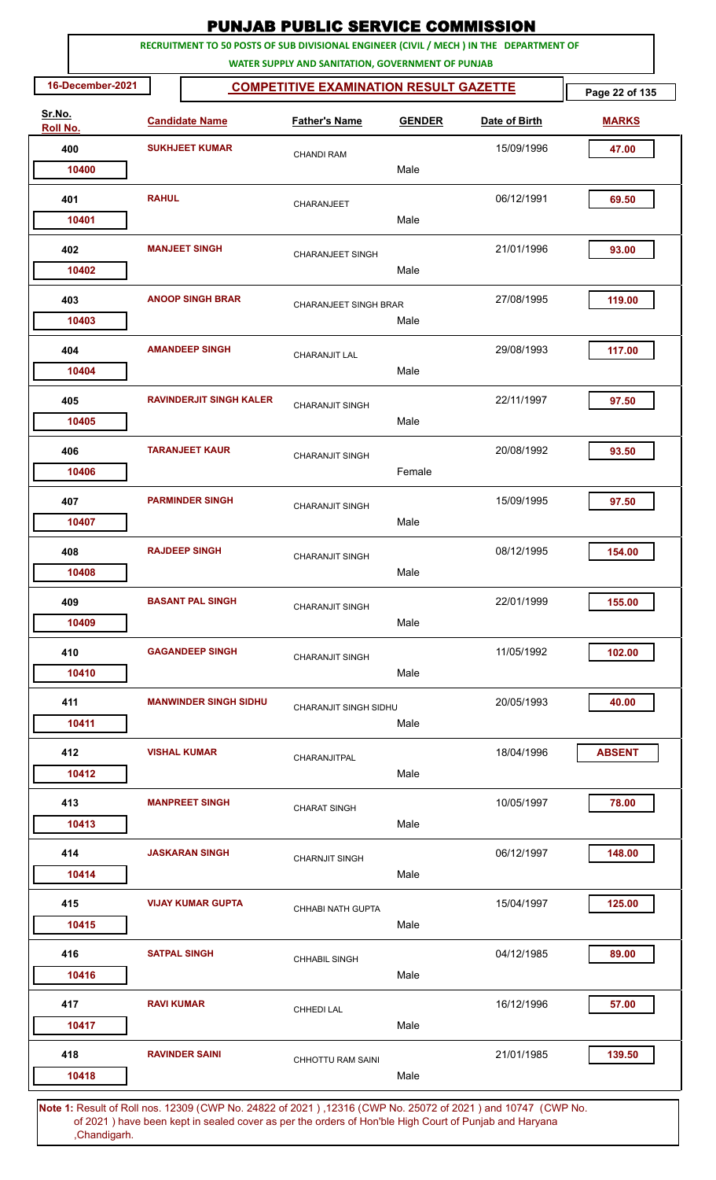|                    |                  |                       |                                | <b>PUNJAB PUBLIC SERVICE COMMISSION</b>                                                                      |               |                                                                                         |                |
|--------------------|------------------|-----------------------|--------------------------------|--------------------------------------------------------------------------------------------------------------|---------------|-----------------------------------------------------------------------------------------|----------------|
|                    |                  |                       |                                | WATER SUPPLY AND SANITATION, GOVERNMENT OF PUNJAB                                                            |               | RECRUITMENT TO 50 POSTS OF SUB DIVISIONAL ENGINEER (CIVIL / MECH ) IN THE DEPARTMENT OF |                |
|                    | 16-December-2021 |                       |                                | <b>COMPETITIVE EXAMINATION RESULT GAZETTE</b>                                                                |               |                                                                                         | Page 22 of 135 |
| Sr.No.<br>Roll No. |                  |                       | <b>Candidate Name</b>          | <b>Father's Name</b>                                                                                         | <b>GENDER</b> | Date of Birth                                                                           | <b>MARKS</b>   |
| 400                |                  | <b>SUKHJEET KUMAR</b> |                                | <b>CHANDI RAM</b>                                                                                            |               | 15/09/1996                                                                              | 47.00          |
|                    | 10400            |                       |                                |                                                                                                              | Male          |                                                                                         |                |
| 401                |                  | <b>RAHUL</b>          |                                | CHARANJEET                                                                                                   |               | 06/12/1991                                                                              | 69.50          |
|                    | 10401            |                       |                                |                                                                                                              | Male          |                                                                                         |                |
| 402                |                  |                       | <b>MANJEET SINGH</b>           | <b>CHARANJEET SINGH</b>                                                                                      |               | 21/01/1996                                                                              | 93.00          |
|                    | 10402            |                       |                                |                                                                                                              | Male          |                                                                                         |                |
| 403                |                  |                       | <b>ANOOP SINGH BRAR</b>        | <b>CHARANJEET SINGH BRAR</b>                                                                                 |               | 27/08/1995                                                                              | 119.00         |
|                    | 10403            |                       |                                |                                                                                                              | Male          |                                                                                         |                |
| 404                |                  |                       | <b>AMANDEEP SINGH</b>          | <b>CHARANJIT LAL</b>                                                                                         |               | 29/08/1993                                                                              | 117.00         |
|                    | 10404            |                       |                                |                                                                                                              | Male          |                                                                                         |                |
| 405                |                  |                       | <b>RAVINDERJIT SINGH KALER</b> | <b>CHARANJIT SINGH</b>                                                                                       |               | 22/11/1997                                                                              | 97.50          |
|                    | 10405            |                       |                                |                                                                                                              | Male          |                                                                                         |                |
| 406                |                  |                       | <b>TARANJEET KAUR</b>          | <b>CHARANJIT SINGH</b>                                                                                       |               | 20/08/1992                                                                              | 93.50          |
|                    | 10406            |                       |                                |                                                                                                              | Female        |                                                                                         |                |
| 407                |                  |                       | <b>PARMINDER SINGH</b>         | <b>CHARANJIT SINGH</b>                                                                                       |               | 15/09/1995                                                                              | 97.50          |
|                    | 10407            |                       |                                |                                                                                                              | Male          |                                                                                         |                |
| 408                |                  |                       | <b>RAJDEEP SINGH</b>           | <b>CHARANJIT SINGH</b>                                                                                       |               | 08/12/1995                                                                              | 154.00         |
|                    | 10408            |                       |                                |                                                                                                              | Male          |                                                                                         |                |
| 409                |                  |                       | <b>BASANT PAL SINGH</b>        | <b>CHARANJIT SINGH</b>                                                                                       |               | 22/01/1999                                                                              | 155.00         |
|                    | 10409            |                       |                                |                                                                                                              | Male          |                                                                                         |                |
| 410                |                  |                       | <b>GAGANDEEP SINGH</b>         | <b>CHARANJIT SINGH</b>                                                                                       |               | 11/05/1992                                                                              | 102.00         |
|                    | 10410            |                       |                                |                                                                                                              | Male          |                                                                                         |                |
| 411                |                  |                       | <b>MANWINDER SINGH SIDHU</b>   | CHARANJIT SINGH SIDHU                                                                                        |               | 20/05/1993                                                                              | 40.00          |
|                    | 10411            |                       |                                |                                                                                                              | Male          |                                                                                         |                |
| 412                |                  |                       | <b>VISHAL KUMAR</b>            | CHARANJITPAL                                                                                                 |               | 18/04/1996                                                                              | <b>ABSENT</b>  |
|                    | 10412            |                       |                                |                                                                                                              | Male          |                                                                                         |                |
| 413                |                  |                       | <b>MANPREET SINGH</b>          | <b>CHARAT SINGH</b>                                                                                          |               | 10/05/1997                                                                              | 78.00          |
|                    | 10413            |                       |                                |                                                                                                              | Male          |                                                                                         |                |
| 414                |                  |                       | <b>JASKARAN SINGH</b>          | <b>CHARNJIT SINGH</b>                                                                                        |               | 06/12/1997                                                                              | 148.00         |
|                    | 10414            |                       |                                |                                                                                                              | Male          |                                                                                         |                |
| 415                |                  |                       | <b>VIJAY KUMAR GUPTA</b>       | CHHABI NATH GUPTA                                                                                            |               | 15/04/1997                                                                              | 125.00         |
|                    | 10415            |                       |                                |                                                                                                              | Male          |                                                                                         |                |
| 416                |                  | <b>SATPAL SINGH</b>   |                                | <b>CHHABIL SINGH</b>                                                                                         |               | 04/12/1985                                                                              | 89.00          |
|                    | 10416            |                       |                                |                                                                                                              | Male          |                                                                                         |                |
| 417                |                  | <b>RAVI KUMAR</b>     |                                | <b>CHHEDI LAL</b>                                                                                            |               | 16/12/1996                                                                              | 57.00          |
|                    | 10417            |                       |                                |                                                                                                              | Male          |                                                                                         |                |
| 418                |                  |                       | <b>RAVINDER SAINI</b>          | <b>CHHOTTU RAM SAINI</b>                                                                                     |               | 21/01/1985                                                                              | 139.50         |
|                    | 10418            |                       |                                |                                                                                                              | Male          |                                                                                         |                |
|                    |                  |                       |                                | Note 1: Pesult of Pollings, 12309 (CWP No. 24822 of 2021), 12316 (CWP No. 25072 of 2021) and 10747. (CWP No. |               |                                                                                         |                |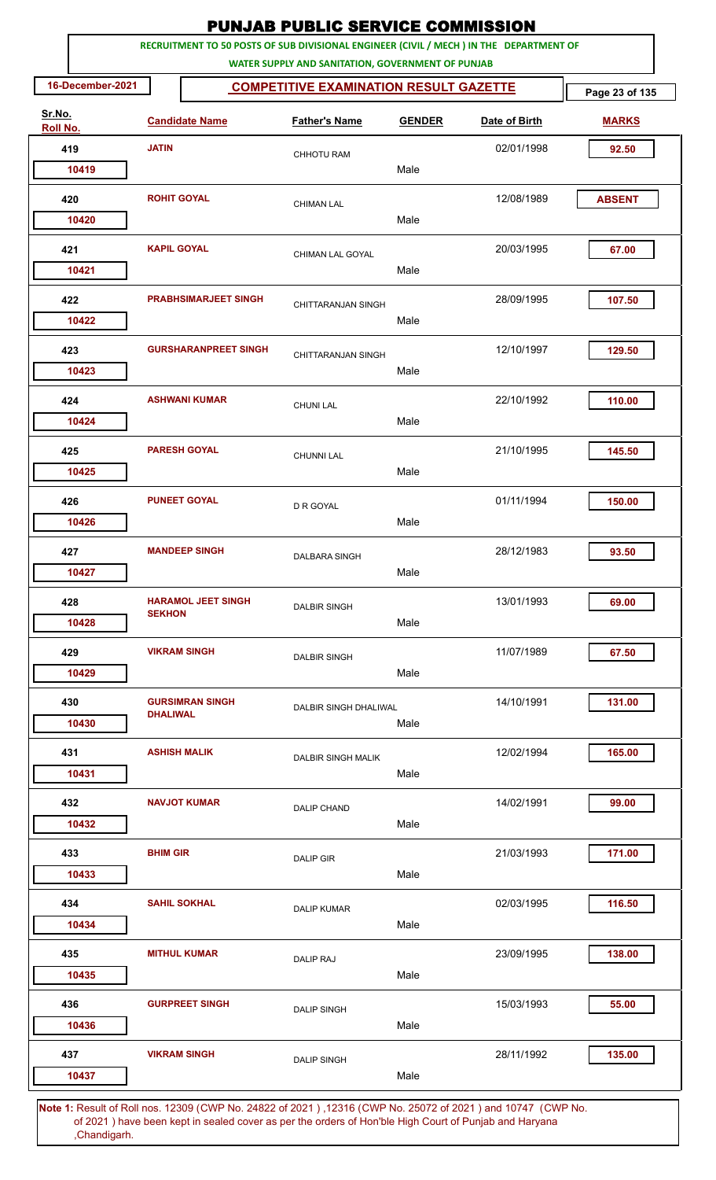|                    |                                                                   |                             | <b>PUNJAB PUBLIC SERVICE COMMISSION</b>                                                                                                      |               |               |               |  |  |  |  |  |
|--------------------|-------------------------------------------------------------------|-----------------------------|----------------------------------------------------------------------------------------------------------------------------------------------|---------------|---------------|---------------|--|--|--|--|--|
|                    |                                                                   |                             | RECRUITMENT TO 50 POSTS OF SUB DIVISIONAL ENGINEER (CIVIL / MECH ) IN THE DEPARTMENT OF<br>WATER SUPPLY AND SANITATION, GOVERNMENT OF PUNJAB |               |               |               |  |  |  |  |  |
|                    | 16-December-2021<br><b>COMPETITIVE EXAMINATION RESULT GAZETTE</b> |                             |                                                                                                                                              |               |               |               |  |  |  |  |  |
| Sr.No.<br>Roll No. |                                                                   | <b>Candidate Name</b>       | <b>Father's Name</b>                                                                                                                         | <b>GENDER</b> | Date of Birth | <b>MARKS</b>  |  |  |  |  |  |
| 419                | <b>JATIN</b>                                                      |                             | <b>CHHOTU RAM</b>                                                                                                                            |               | 02/01/1998    | 92.50         |  |  |  |  |  |
| 10419              |                                                                   |                             |                                                                                                                                              | Male          |               |               |  |  |  |  |  |
| 420<br>10420       | <b>ROHIT GOYAL</b>                                                |                             | <b>CHIMAN LAL</b>                                                                                                                            | Male          | 12/08/1989    | <b>ABSENT</b> |  |  |  |  |  |
|                    |                                                                   |                             |                                                                                                                                              |               |               |               |  |  |  |  |  |
| 421<br>10421       | <b>KAPIL GOYAL</b>                                                |                             | CHIMAN LAL GOYAL                                                                                                                             | Male          | 20/03/1995    | 67.00         |  |  |  |  |  |
| 422<br>10422       |                                                                   | <b>PRABHSIMARJEET SINGH</b> | CHITTARANJAN SINGH                                                                                                                           | Male          | 28/09/1995    | 107.50        |  |  |  |  |  |
|                    |                                                                   |                             |                                                                                                                                              |               |               |               |  |  |  |  |  |
| 423<br>10423       |                                                                   | <b>GURSHARANPREET SINGH</b> | CHITTARANJAN SINGH                                                                                                                           | Male          | 12/10/1997    | 129.50        |  |  |  |  |  |
| 424                |                                                                   | <b>ASHWANI KUMAR</b>        | <b>CHUNI LAL</b>                                                                                                                             |               | 22/10/1992    | 110.00        |  |  |  |  |  |
| 10424              |                                                                   |                             |                                                                                                                                              | Male          |               |               |  |  |  |  |  |
| 425                |                                                                   | <b>PARESH GOYAL</b>         | <b>CHUNNI LAL</b>                                                                                                                            |               | 21/10/1995    | 145.50        |  |  |  |  |  |
| 10425              |                                                                   |                             |                                                                                                                                              | Male          |               |               |  |  |  |  |  |
| 426<br>10426       |                                                                   | <b>PUNEET GOYAL</b>         | D R GOYAL                                                                                                                                    | Male          | 01/11/1994    | 150.00        |  |  |  |  |  |
| 427                |                                                                   | <b>MANDEEP SINGH</b>        |                                                                                                                                              |               | 28/12/1983    | 93.50         |  |  |  |  |  |
| 10427              |                                                                   |                             | DALBARA SINGH                                                                                                                                | Male          |               |               |  |  |  |  |  |
| 428                | <b>SEKHON</b>                                                     | <b>HARAMOL JEET SINGH</b>   | <b>DALBIR SINGH</b>                                                                                                                          |               | 13/01/1993    | 69.00         |  |  |  |  |  |
| 10428              |                                                                   |                             |                                                                                                                                              | Male          |               |               |  |  |  |  |  |
| 429<br>10429       |                                                                   | <b>VIKRAM SINGH</b>         | <b>DALBIR SINGH</b>                                                                                                                          | Male          | 11/07/1989    | 67.50         |  |  |  |  |  |
|                    |                                                                   | <b>GURSIMRAN SINGH</b>      |                                                                                                                                              |               | 14/10/1991    |               |  |  |  |  |  |
| 430<br>10430       | <b>DHAI IWAI</b>                                                  |                             | DALBIR SINGH DHALIWAL                                                                                                                        | Male          |               | 131.00        |  |  |  |  |  |
| 431                |                                                                   | <b>ASHISH MALIK</b>         | <b>DALBIR SINGH MALIK</b>                                                                                                                    |               | 12/02/1994    | 165.00        |  |  |  |  |  |
| 10431              |                                                                   |                             |                                                                                                                                              | Male          |               |               |  |  |  |  |  |
| 432                |                                                                   | <b>NAVJOT KUMAR</b>         | <b>DALIP CHAND</b>                                                                                                                           |               | 14/02/1991    | 99.00         |  |  |  |  |  |
| 10432              |                                                                   |                             |                                                                                                                                              | Male          |               |               |  |  |  |  |  |
| 433                | <b>BHIM GIR</b>                                                   |                             | <b>DALIP GIR</b>                                                                                                                             |               | 21/03/1993    | 171.00        |  |  |  |  |  |
| 10433              |                                                                   |                             |                                                                                                                                              | Male          |               |               |  |  |  |  |  |
| 434                |                                                                   | <b>SAHIL SOKHAL</b>         | <b>DALIP KUMAR</b>                                                                                                                           | Male          | 02/03/1995    | 116.50        |  |  |  |  |  |
| 10434              |                                                                   |                             |                                                                                                                                              |               |               |               |  |  |  |  |  |
| 435<br>10435       |                                                                   | <b>MITHUL KUMAR</b>         | <b>DALIP RAJ</b>                                                                                                                             | Male          | 23/09/1995    | 138.00        |  |  |  |  |  |
| 436                |                                                                   | <b>GURPREET SINGH</b>       | <b>DALIP SINGH</b>                                                                                                                           |               | 15/03/1993    | 55.00         |  |  |  |  |  |
| 10436              |                                                                   |                             |                                                                                                                                              | Male          |               |               |  |  |  |  |  |
| 437                |                                                                   | <b>VIKRAM SINGH</b>         | <b>DALIP SINGH</b>                                                                                                                           |               | 28/11/1992    | 135.00        |  |  |  |  |  |
| 10437              |                                                                   |                             |                                                                                                                                              | Male          |               |               |  |  |  |  |  |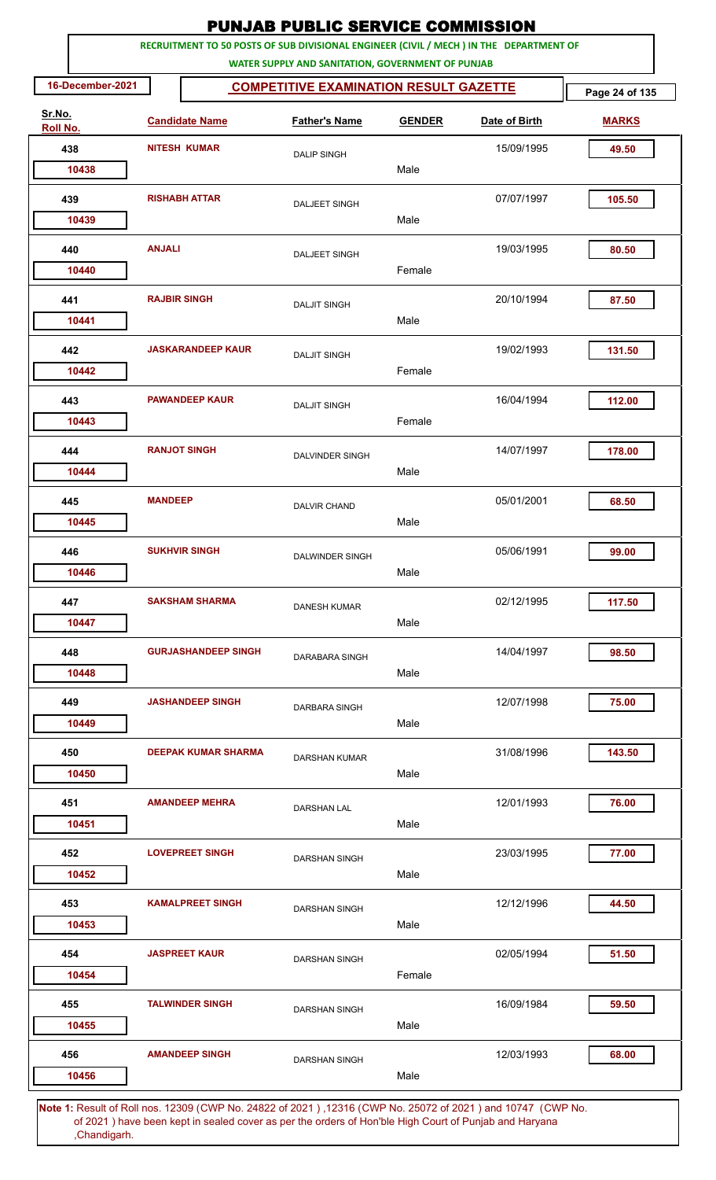| RECRUITMENT TO 50 POSTS OF SUB DIVISIONAL ENGINEER (CIVIL / MECH ) IN THE DEPARTMENT OF<br>WATER SUPPLY AND SANITATION, GOVERNMENT OF PUNJAB<br>16-December-2021<br><b>COMPETITIVE EXAMINATION RESULT GAZETTE</b><br>Sr.No.<br><b>Candidate Name</b><br><b>Father's Name</b><br><b>GENDER</b><br>Date of Birth<br>Roll No.<br>438<br><b>NITESH KUMAR</b><br>15/09/1995<br><b>DALIP SINGH</b><br>Male<br>10438<br><b>RISHABH ATTAR</b><br>439<br>07/07/1997<br><b>DALJEET SINGH</b><br>Male<br>10439<br><b>ANJALI</b><br>19/03/1995<br>440 | Page 24 of 135<br><b>MARKS</b><br>49.50<br>105.50 |
|-------------------------------------------------------------------------------------------------------------------------------------------------------------------------------------------------------------------------------------------------------------------------------------------------------------------------------------------------------------------------------------------------------------------------------------------------------------------------------------------------------------------------------------------|---------------------------------------------------|
|                                                                                                                                                                                                                                                                                                                                                                                                                                                                                                                                           |                                                   |
|                                                                                                                                                                                                                                                                                                                                                                                                                                                                                                                                           |                                                   |
|                                                                                                                                                                                                                                                                                                                                                                                                                                                                                                                                           |                                                   |
|                                                                                                                                                                                                                                                                                                                                                                                                                                                                                                                                           |                                                   |
|                                                                                                                                                                                                                                                                                                                                                                                                                                                                                                                                           |                                                   |
|                                                                                                                                                                                                                                                                                                                                                                                                                                                                                                                                           |                                                   |
|                                                                                                                                                                                                                                                                                                                                                                                                                                                                                                                                           |                                                   |
| <b>DALJEET SINGH</b><br>Female<br>10440                                                                                                                                                                                                                                                                                                                                                                                                                                                                                                   | 80.50                                             |
|                                                                                                                                                                                                                                                                                                                                                                                                                                                                                                                                           |                                                   |
| <b>RAJBIR SINGH</b><br>441<br>20/10/1994<br><b>DALJIT SINGH</b><br>Male<br>10441                                                                                                                                                                                                                                                                                                                                                                                                                                                          | 87.50                                             |
| <b>JASKARANDEEP KAUR</b><br>19/02/1993<br>442<br><b>DALJIT SINGH</b>                                                                                                                                                                                                                                                                                                                                                                                                                                                                      | 131.50                                            |
| Female<br>10442                                                                                                                                                                                                                                                                                                                                                                                                                                                                                                                           |                                                   |
| <b>PAWANDEEP KAUR</b><br>16/04/1994<br>443<br><b>DALJIT SINGH</b>                                                                                                                                                                                                                                                                                                                                                                                                                                                                         | 112.00                                            |
| Female<br>10443                                                                                                                                                                                                                                                                                                                                                                                                                                                                                                                           |                                                   |
| <b>RANJOT SINGH</b><br>444<br>14/07/1997<br><b>DALVINDER SINGH</b>                                                                                                                                                                                                                                                                                                                                                                                                                                                                        | 178.00                                            |
| Male<br>10444                                                                                                                                                                                                                                                                                                                                                                                                                                                                                                                             |                                                   |
| <b>MANDEEP</b><br>05/01/2001<br>445<br><b>DALVIR CHAND</b>                                                                                                                                                                                                                                                                                                                                                                                                                                                                                | 68.50                                             |
| Male<br>10445                                                                                                                                                                                                                                                                                                                                                                                                                                                                                                                             |                                                   |
| 05/06/1991<br>446<br><b>SUKHVIR SINGH</b><br>DALWINDER SINGH                                                                                                                                                                                                                                                                                                                                                                                                                                                                              | 99.00                                             |
| Male<br>10446                                                                                                                                                                                                                                                                                                                                                                                                                                                                                                                             |                                                   |
| <b>SAKSHAM SHARMA</b><br>447<br>02/12/1995<br><b>DANESH KUMAR</b>                                                                                                                                                                                                                                                                                                                                                                                                                                                                         | 117.50                                            |
| Male<br>10447                                                                                                                                                                                                                                                                                                                                                                                                                                                                                                                             |                                                   |
| <b>GURJASHANDEEP SINGH</b><br>14/04/1997<br>448<br><b>DARABARA SINGH</b><br>Male                                                                                                                                                                                                                                                                                                                                                                                                                                                          | 98.50                                             |
| 10448                                                                                                                                                                                                                                                                                                                                                                                                                                                                                                                                     |                                                   |
| 12/07/1998<br>449<br><b>JASHANDEEP SINGH</b><br>DARBARA SINGH<br>Male<br>10449                                                                                                                                                                                                                                                                                                                                                                                                                                                            | 75.00                                             |
|                                                                                                                                                                                                                                                                                                                                                                                                                                                                                                                                           |                                                   |
| 450<br><b>DEEPAK KUMAR SHARMA</b><br>31/08/1996<br><b>DARSHAN KUMAR</b><br>Male<br>10450                                                                                                                                                                                                                                                                                                                                                                                                                                                  | 143.50                                            |
| <b>AMANDEEP MEHRA</b><br>12/01/1993<br>451                                                                                                                                                                                                                                                                                                                                                                                                                                                                                                | 76.00                                             |
| <b>DARSHAN LAL</b><br>Male<br>10451                                                                                                                                                                                                                                                                                                                                                                                                                                                                                                       |                                                   |
| 23/03/1995<br>452<br><b>LOVEPREET SINGH</b><br>DARSHAN SINGH                                                                                                                                                                                                                                                                                                                                                                                                                                                                              | 77.00                                             |
| Male<br>10452                                                                                                                                                                                                                                                                                                                                                                                                                                                                                                                             |                                                   |
| <b>KAMALPREET SINGH</b><br>453<br>12/12/1996<br><b>DARSHAN SINGH</b>                                                                                                                                                                                                                                                                                                                                                                                                                                                                      | 44.50                                             |
| Male<br>10453                                                                                                                                                                                                                                                                                                                                                                                                                                                                                                                             |                                                   |
| <b>JASPREET KAUR</b><br>02/05/1994<br>454<br><b>DARSHAN SINGH</b>                                                                                                                                                                                                                                                                                                                                                                                                                                                                         | 51.50                                             |
| Female<br>10454                                                                                                                                                                                                                                                                                                                                                                                                                                                                                                                           |                                                   |
| 16/09/1984<br>455<br><b>TALWINDER SINGH</b><br><b>DARSHAN SINGH</b>                                                                                                                                                                                                                                                                                                                                                                                                                                                                       | 59.50                                             |
| Male<br>10455                                                                                                                                                                                                                                                                                                                                                                                                                                                                                                                             |                                                   |
| <b>AMANDEEP SINGH</b><br>12/03/1993<br>456<br><b>DARSHAN SINGH</b>                                                                                                                                                                                                                                                                                                                                                                                                                                                                        | 68.00                                             |
| Male<br>10456                                                                                                                                                                                                                                                                                                                                                                                                                                                                                                                             |                                                   |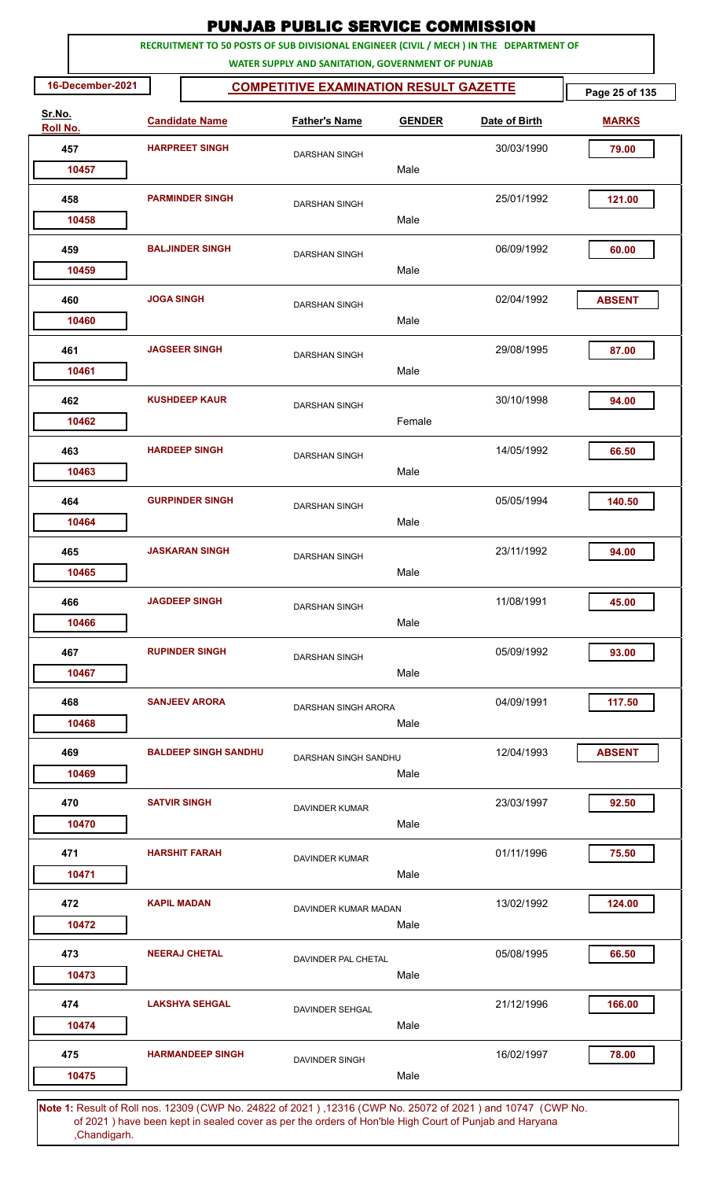|                    |                   |                             | <b>PUNJAB PUBLIC SERVICE COMMISSION</b>                                                            |               |               |                |
|--------------------|-------------------|-----------------------------|----------------------------------------------------------------------------------------------------|---------------|---------------|----------------|
|                    |                   |                             | RECRUITMENT TO 50 POSTS OF SUB DIVISIONAL ENGINEER (CIVIL / MECH ) IN THE DEPARTMENT OF            |               |               |                |
| 16-December-2021   |                   |                             | WATER SUPPLY AND SANITATION, GOVERNMENT OF PUNJAB<br><b>COMPETITIVE EXAMINATION RESULT GAZETTE</b> |               |               | Page 25 of 135 |
| Sr.No.<br>Roll No. |                   | <b>Candidate Name</b>       | <b>Father's Name</b>                                                                               | <b>GENDER</b> | Date of Birth | <b>MARKS</b>   |
| 457                |                   | <b>HARPREET SINGH</b>       | <b>DARSHAN SINGH</b>                                                                               |               | 30/03/1990    | 79.00          |
| 10457              |                   |                             |                                                                                                    | Male          |               |                |
| 458                |                   | <b>PARMINDER SINGH</b>      | <b>DARSHAN SINGH</b>                                                                               |               | 25/01/1992    | 121.00         |
| 10458              |                   |                             |                                                                                                    | Male          |               |                |
| 459<br>10459       |                   | <b>BALJINDER SINGH</b>      | <b>DARSHAN SINGH</b>                                                                               | Male          | 06/09/1992    | 60.00          |
|                    |                   |                             |                                                                                                    |               |               |                |
| 460<br>10460       | <b>JOGA SINGH</b> |                             | <b>DARSHAN SINGH</b>                                                                               | Male          | 02/04/1992    | <b>ABSENT</b>  |
| 461                |                   | <b>JAGSEER SINGH</b>        |                                                                                                    |               | 29/08/1995    | 87.00          |
| 10461              |                   |                             | <b>DARSHAN SINGH</b>                                                                               | Male          |               |                |
| 462                |                   | <b>KUSHDEEP KAUR</b>        | <b>DARSHAN SINGH</b>                                                                               |               | 30/10/1998    | 94.00          |
| 10462              |                   |                             |                                                                                                    | Female        |               |                |
| 463                |                   | <b>HARDEEP SINGH</b>        | <b>DARSHAN SINGH</b>                                                                               |               | 14/05/1992    | 66.50          |
| 10463              |                   |                             |                                                                                                    | Male          |               |                |
| 464                |                   | <b>GURPINDER SINGH</b>      | <b>DARSHAN SINGH</b>                                                                               |               | 05/05/1994    | 140.50         |
| 10464              |                   |                             |                                                                                                    | Male          |               |                |
| 465<br>10465       |                   | <b>JASKARAN SINGH</b>       | DARSHAN SINGH                                                                                      | Male          | 23/11/1992    | 94.00          |
|                    |                   |                             |                                                                                                    |               |               |                |
| 466<br>10466       |                   | <b>JAGDEEP SINGH</b>        | <b>DARSHAN SINGH</b>                                                                               | Male          | 11/08/1991    | 45.00          |
| 467                |                   | <b>RUPINDER SINGH</b>       |                                                                                                    |               | 05/09/1992    | 93.00          |
| 10467              |                   |                             | <b>DARSHAN SINGH</b>                                                                               | Male          |               |                |
| 468                |                   | <b>SANJEEV ARORA</b>        | DARSHAN SINGH ARORA                                                                                |               | 04/09/1991    | 117.50         |
| 10468              |                   |                             |                                                                                                    | Male          |               |                |
| 469                |                   | <b>BALDEEP SINGH SANDHU</b> | DARSHAN SINGH SANDHU                                                                               |               | 12/04/1993    | <b>ABSENT</b>  |
| 10469              |                   |                             |                                                                                                    | Male          |               |                |
| 470<br>10470       |                   | <b>SATVIR SINGH</b>         | <b>DAVINDER KUMAR</b>                                                                              | Male          | 23/03/1997    | 92.50          |
|                    |                   |                             |                                                                                                    |               |               |                |
| 471<br>10471       |                   | <b>HARSHIT FARAH</b>        | <b>DAVINDER KUMAR</b>                                                                              | Male          | 01/11/1996    | 75.50          |
| 472                |                   | <b>KAPIL MADAN</b>          |                                                                                                    |               | 13/02/1992    | 124.00         |
| 10472              |                   |                             | DAVINDER KUMAR MADAN                                                                               | Male          |               |                |
| 473                |                   | <b>NEERAJ CHETAL</b>        | DAVINDER PAL CHETAL                                                                                |               | 05/08/1995    | 66.50          |
| 10473              |                   |                             |                                                                                                    | Male          |               |                |
| 474                |                   | <b>LAKSHYA SEHGAL</b>       | <b>DAVINDER SEHGAL</b>                                                                             |               | 21/12/1996    | 166.00         |
| 10474              |                   |                             |                                                                                                    | Male          |               |                |
| 475<br>10475       |                   | <b>HARMANDEEP SINGH</b>     | <b>DAVINDER SINGH</b>                                                                              | Male          | 16/02/1997    | 78.00          |
|                    |                   |                             |                                                                                                    |               |               |                |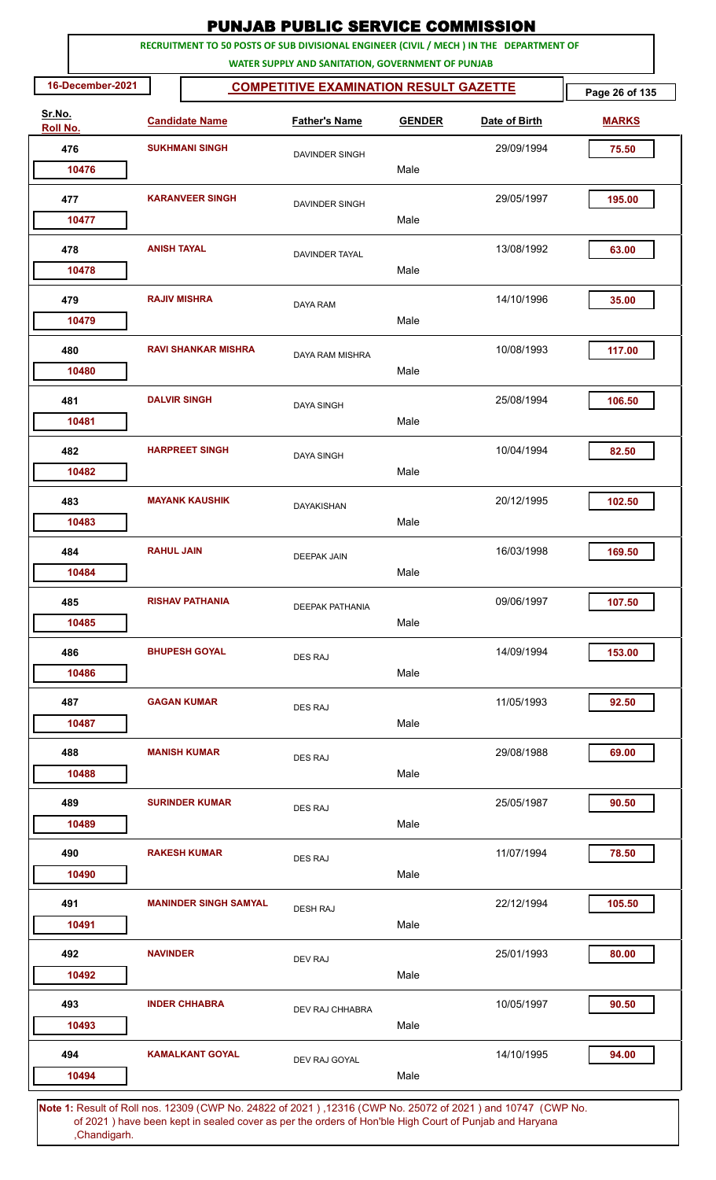|                    |                    |                              | <b>PUNJAB PUBLIC SERVICE COMMISSION</b>                                                                                                      |               |               |                |
|--------------------|--------------------|------------------------------|----------------------------------------------------------------------------------------------------------------------------------------------|---------------|---------------|----------------|
|                    |                    |                              | RECRUITMENT TO 50 POSTS OF SUB DIVISIONAL ENGINEER (CIVIL / MECH ) IN THE DEPARTMENT OF<br>WATER SUPPLY AND SANITATION, GOVERNMENT OF PUNJAB |               |               |                |
| 16-December-2021   |                    |                              | <b>COMPETITIVE EXAMINATION RESULT GAZETTE</b>                                                                                                |               |               | Page 26 of 135 |
| Sr.No.<br>Roll No. |                    | <b>Candidate Name</b>        | <b>Father's Name</b>                                                                                                                         | <b>GENDER</b> | Date of Birth | <b>MARKS</b>   |
| 476                |                    | <b>SUKHMANI SINGH</b>        | <b>DAVINDER SINGH</b>                                                                                                                        |               | 29/09/1994    | 75.50          |
| 10476              |                    |                              |                                                                                                                                              | Male          |               |                |
| 477                |                    | <b>KARANVEER SINGH</b>       | DAVINDER SINGH                                                                                                                               |               | 29/05/1997    | 195.00         |
| 10477              |                    |                              |                                                                                                                                              | Male          |               |                |
| 478<br>10478       | <b>ANISH TAYAL</b> |                              | DAVINDER TAYAL                                                                                                                               | Male          | 13/08/1992    | 63.00          |
| 479                |                    | <b>RAJIV MISHRA</b>          | <b>DAYA RAM</b>                                                                                                                              |               | 14/10/1996    | 35.00          |
| 10479              |                    |                              |                                                                                                                                              | Male          |               |                |
| 480<br>10480       |                    | <b>RAVI SHANKAR MISHRA</b>   | DAYA RAM MISHRA                                                                                                                              | Male          | 10/08/1993    | 117.00         |
| 481                |                    | <b>DALVIR SINGH</b>          | <b>DAYA SINGH</b>                                                                                                                            |               | 25/08/1994    | 106.50         |
| 10481              |                    |                              |                                                                                                                                              | Male          |               |                |
| 482                |                    | <b>HARPREET SINGH</b>        | <b>DAYA SINGH</b>                                                                                                                            |               | 10/04/1994    | 82.50          |
| 10482              |                    |                              |                                                                                                                                              | Male          |               |                |
| 483                |                    | <b>MAYANK KAUSHIK</b>        | <b>DAYAKISHAN</b>                                                                                                                            | Male          | 20/12/1995    | 102.50         |
| 10483              |                    |                              |                                                                                                                                              |               |               |                |
| 484<br>10484       | <b>RAHUL JAIN</b>  |                              | <b>DEEPAK JAIN</b>                                                                                                                           | Male          | 16/03/1998    | 169.50         |
| 485                |                    | <b>RISHAV PATHANIA</b>       | <b>DEEPAK PATHANIA</b>                                                                                                                       |               | 09/06/1997    | 107.50         |
| 10485              |                    |                              |                                                                                                                                              | Male          |               |                |
| 486                |                    | <b>BHUPESH GOYAL</b>         | <b>DES RAJ</b>                                                                                                                               |               | 14/09/1994    | 153.00         |
| 10486              |                    |                              |                                                                                                                                              | Male          |               |                |
| 487                |                    | <b>GAGAN KUMAR</b>           | DES RAJ                                                                                                                                      |               | 11/05/1993    | 92.50          |
| 10487              |                    |                              |                                                                                                                                              | Male          |               |                |
| 488<br>10488       |                    | <b>MANISH KUMAR</b>          | <b>DES RAJ</b>                                                                                                                               | Male          | 29/08/1988    | 69.00          |
| 489                |                    | <b>SURINDER KUMAR</b>        |                                                                                                                                              |               | 25/05/1987    | 90.50          |
| 10489              |                    |                              | <b>DES RAJ</b>                                                                                                                               | Male          |               |                |
| 490                |                    | <b>RAKESH KUMAR</b>          | DES RAJ                                                                                                                                      |               | 11/07/1994    | 78.50          |
| 10490              |                    |                              |                                                                                                                                              | Male          |               |                |
| 491                |                    | <b>MANINDER SINGH SAMYAL</b> | <b>DESH RAJ</b>                                                                                                                              |               | 22/12/1994    | 105.50         |
| 10491              |                    |                              |                                                                                                                                              | Male          |               |                |
| 492                | <b>NAVINDER</b>    |                              | DEV RAJ                                                                                                                                      |               | 25/01/1993    | 80.00          |
| 10492              |                    |                              |                                                                                                                                              | Male          |               |                |
| 493<br>10493       |                    | <b>INDER CHHABRA</b>         | DEV RAJ CHHABRA                                                                                                                              | Male          | 10/05/1997    | 90.50          |
| 494                |                    | <b>KAMALKANT GOYAL</b>       | DEV RAJ GOYAL                                                                                                                                |               | 14/10/1995    | 94.00          |
| 10494              |                    |                              |                                                                                                                                              | Male          |               |                |
|                    |                    |                              | 4. Result of Dell nee 19200 (CMD No. 24822 of 2021), 19246 (CMD No. 25072 of 2021) and 10747 (CMD No                                         |               |               |                |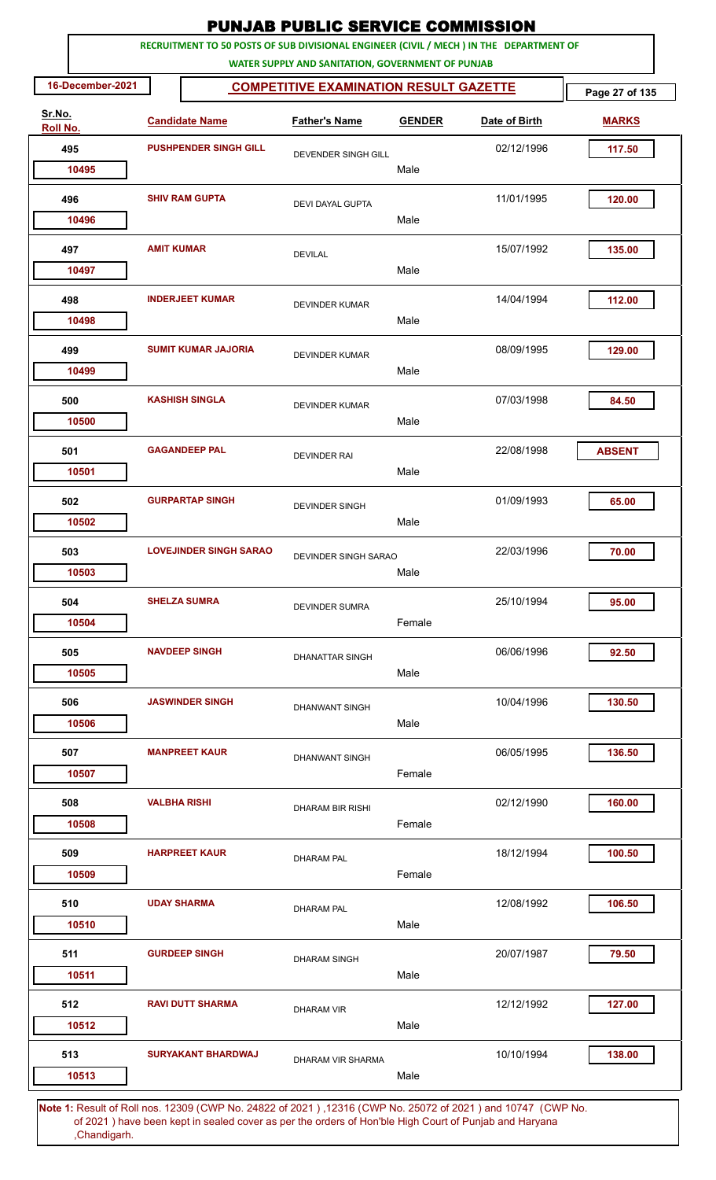|                    |                   |                               | <b>PUNJAB PUBLIC SERVICE COMMISSION</b>                                                                                                      |               |                                                                               |                |
|--------------------|-------------------|-------------------------------|----------------------------------------------------------------------------------------------------------------------------------------------|---------------|-------------------------------------------------------------------------------|----------------|
|                    |                   |                               | RECRUITMENT TO 50 POSTS OF SUB DIVISIONAL ENGINEER (CIVIL / MECH ) IN THE DEPARTMENT OF<br>WATER SUPPLY AND SANITATION, GOVERNMENT OF PUNJAB |               |                                                                               |                |
| 16-December-2021   |                   |                               | <b>COMPETITIVE EXAMINATION RESULT GAZETTE</b>                                                                                                |               |                                                                               | Page 27 of 135 |
| Sr.No.<br>Roll No. |                   | <b>Candidate Name</b>         | <b>Father's Name</b>                                                                                                                         | <b>GENDER</b> | Date of Birth                                                                 | <b>MARKS</b>   |
| 495                |                   | <b>PUSHPENDER SINGH GILL</b>  | DEVENDER SINGH GILL                                                                                                                          |               | 02/12/1996                                                                    | 117.50         |
| 10495              |                   |                               |                                                                                                                                              | Male          |                                                                               |                |
| 496                |                   | <b>SHIV RAM GUPTA</b>         | <b>DEVI DAYAL GUPTA</b>                                                                                                                      |               | 11/01/1995                                                                    | 120.00         |
| 10496              |                   |                               |                                                                                                                                              | Male          |                                                                               |                |
| 497<br>10497       | <b>AMIT KUMAR</b> |                               | <b>DEVILAL</b>                                                                                                                               | Male          | 15/07/1992                                                                    | 135.00         |
|                    |                   |                               |                                                                                                                                              |               |                                                                               |                |
| 498<br>10498       |                   | <b>INDERJEET KUMAR</b>        | <b>DEVINDER KUMAR</b>                                                                                                                        | Male          | 14/04/1994                                                                    | 112.00         |
| 499                |                   | <b>SUMIT KUMAR JAJORIA</b>    |                                                                                                                                              |               | 08/09/1995                                                                    | 129.00         |
| 10499              |                   |                               | <b>DEVINDER KUMAR</b>                                                                                                                        | Male          |                                                                               |                |
| 500                |                   | <b>KASHISH SINGLA</b>         | <b>DEVINDER KUMAR</b>                                                                                                                        |               | 07/03/1998                                                                    | 84.50          |
| 10500              |                   |                               |                                                                                                                                              | Male          |                                                                               |                |
| 501                |                   | <b>GAGANDEEP PAL</b>          | <b>DEVINDER RAI</b>                                                                                                                          |               | 22/08/1998                                                                    | <b>ABSENT</b>  |
| 10501              |                   |                               |                                                                                                                                              | Male          |                                                                               |                |
| 502                |                   | <b>GURPARTAP SINGH</b>        | <b>DEVINDER SINGH</b>                                                                                                                        |               | 01/09/1993                                                                    | 65.00          |
| 10502              |                   |                               |                                                                                                                                              | Male          |                                                                               |                |
| 503                |                   | <b>LOVEJINDER SINGH SARAO</b> | DEVINDER SINGH SARAO                                                                                                                         |               | 22/03/1996                                                                    | 70.00          |
| 10503              |                   |                               |                                                                                                                                              | Male          |                                                                               |                |
| 504                |                   | <b>SHELZA SUMRA</b>           | <b>DEVINDER SUMRA</b>                                                                                                                        |               | 25/10/1994                                                                    | 95.00          |
| 10504              |                   |                               |                                                                                                                                              | Female        |                                                                               |                |
| 505                |                   | <b>NAVDEEP SINGH</b>          | <b>DHANATTAR SINGH</b>                                                                                                                       |               | 06/06/1996                                                                    | 92.50          |
| 10505              |                   |                               |                                                                                                                                              | Male          |                                                                               |                |
| 506                |                   | <b>JASWINDER SINGH</b>        | <b>DHANWANT SINGH</b>                                                                                                                        |               | 10/04/1996                                                                    | 130.50         |
| 10506              |                   |                               |                                                                                                                                              | Male          |                                                                               |                |
| 507                |                   | <b>MANPREET KAUR</b>          | <b>DHANWANT SINGH</b>                                                                                                                        |               | 06/05/1995                                                                    | 136.50         |
| 10507              |                   |                               |                                                                                                                                              | Female        |                                                                               |                |
| 508                |                   | <b>VALBHA RISHI</b>           | DHARAM BIR RISHI                                                                                                                             |               | 02/12/1990                                                                    | 160.00         |
| 10508              |                   |                               |                                                                                                                                              | Female        |                                                                               |                |
| 509                |                   | <b>HARPREET KAUR</b>          | <b>DHARAM PAL</b>                                                                                                                            |               | 18/12/1994                                                                    | 100.50         |
| 10509              |                   |                               |                                                                                                                                              | Female        |                                                                               |                |
| 510                |                   | <b>UDAY SHARMA</b>            | <b>DHARAM PAL</b>                                                                                                                            |               | 12/08/1992                                                                    | 106.50         |
| 10510              |                   |                               |                                                                                                                                              | Male          |                                                                               |                |
| 511                |                   | <b>GURDEEP SINGH</b>          | <b>DHARAM SINGH</b>                                                                                                                          |               | 20/07/1987                                                                    | 79.50          |
| 10511              |                   |                               |                                                                                                                                              | Male          |                                                                               |                |
| 512                |                   | <b>RAVI DUTT SHARMA</b>       | <b>DHARAM VIR</b>                                                                                                                            |               | 12/12/1992                                                                    | 127.00         |
| 10512              |                   |                               |                                                                                                                                              | Male          |                                                                               |                |
| 513                |                   | <b>SURYAKANT BHARDWAJ</b>     | DHARAM VIR SHARMA                                                                                                                            |               | 10/10/1994                                                                    | 138.00         |
| 10513              |                   |                               |                                                                                                                                              | Male          |                                                                               |                |
|                    | F <sub>DB</sub>   |                               |                                                                                                                                              |               | 10000 (CMD No. 24820 of 2001) 10016 (CMD No. 25072 of 2001) and 10747 (CMD No |                |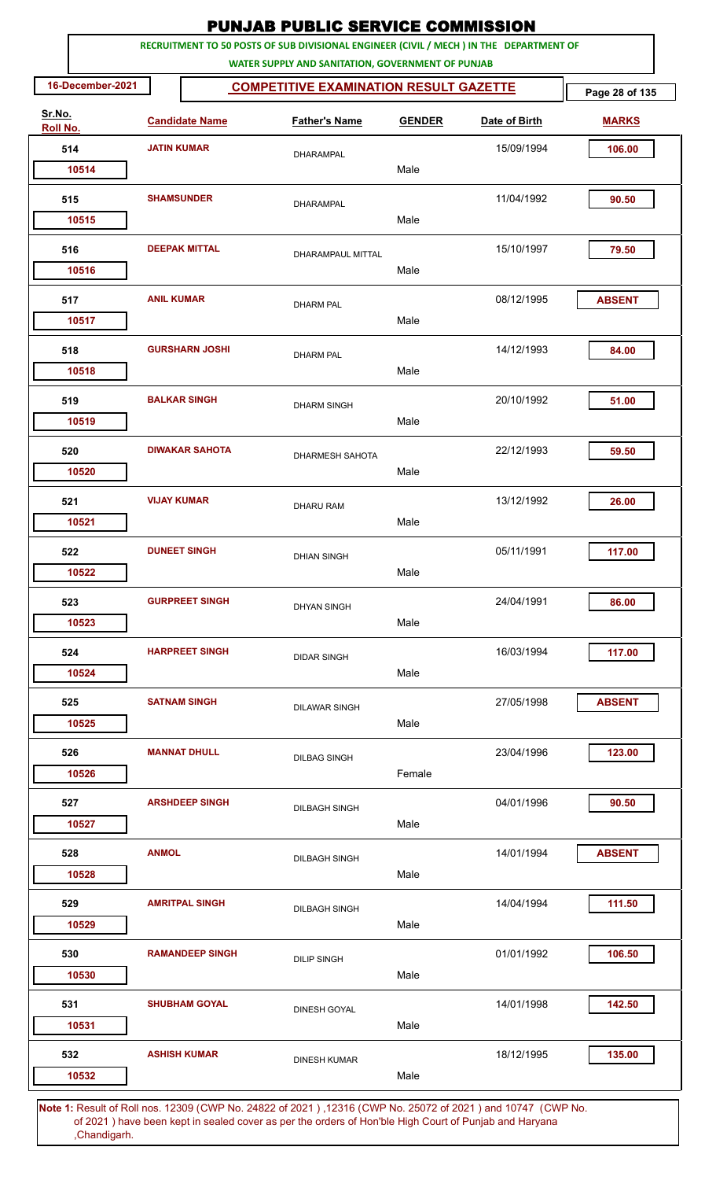|                    |                  |                    |                        |                                                   |               | <b>PUNJAB PUBLIC SERVICE COMMISSION</b>                                                 |                |
|--------------------|------------------|--------------------|------------------------|---------------------------------------------------|---------------|-----------------------------------------------------------------------------------------|----------------|
|                    |                  |                    |                        | WATER SUPPLY AND SANITATION, GOVERNMENT OF PUNJAB |               | RECRUITMENT TO 50 POSTS OF SUB DIVISIONAL ENGINEER (CIVIL / MECH ) IN THE DEPARTMENT OF |                |
|                    | 16-December-2021 |                    |                        | <b>COMPETITIVE EXAMINATION RESULT GAZETTE</b>     |               |                                                                                         | Page 28 of 135 |
| Sr.No.<br>Roll No. |                  |                    | <b>Candidate Name</b>  | <b>Father's Name</b>                              | <b>GENDER</b> | Date of Birth                                                                           | <b>MARKS</b>   |
|                    | 514              | <b>JATIN KUMAR</b> |                        | <b>DHARAMPAL</b>                                  |               | 15/09/1994                                                                              | 106.00         |
|                    | 10514            |                    |                        |                                                   | Male          |                                                                                         |                |
|                    | 515              |                    | <b>SHAMSUNDER</b>      | <b>DHARAMPAL</b>                                  |               | 11/04/1992                                                                              | 90.50          |
|                    | 10515            |                    |                        |                                                   | Male          |                                                                                         |                |
|                    | 516<br>10516     |                    | <b>DEEPAK MITTAL</b>   | DHARAMPAUL MITTAL                                 | Male          | 15/10/1997                                                                              | 79.50          |
|                    |                  |                    |                        |                                                   |               |                                                                                         |                |
|                    | 517<br>10517     | <b>ANIL KUMAR</b>  |                        | <b>DHARM PAL</b>                                  | Male          | 08/12/1995                                                                              | <b>ABSENT</b>  |
|                    | 518              |                    | <b>GURSHARN JOSHI</b>  |                                                   |               | 14/12/1993                                                                              | 84.00          |
|                    | 10518            |                    |                        | <b>DHARM PAL</b>                                  | Male          |                                                                                         |                |
|                    | 519              |                    | <b>BALKAR SINGH</b>    | <b>DHARM SINGH</b>                                |               | 20/10/1992                                                                              | 51.00          |
|                    | 10519            |                    |                        |                                                   | Male          |                                                                                         |                |
|                    | 520              |                    | <b>DIWAKAR SAHOTA</b>  | DHARMESH SAHOTA                                   |               | 22/12/1993                                                                              | 59.50          |
|                    | 10520            |                    |                        |                                                   | Male          |                                                                                         |                |
|                    | 521              | <b>VIJAY KUMAR</b> |                        | <b>DHARU RAM</b>                                  |               | 13/12/1992                                                                              | 26.00          |
|                    | 10521            |                    |                        |                                                   | Male          |                                                                                         |                |
|                    | 522              |                    | <b>DUNEET SINGH</b>    | <b>DHIAN SINGH</b>                                |               | 05/11/1991                                                                              | 117.00         |
|                    | 10522            |                    |                        |                                                   | Male          |                                                                                         |                |
|                    | 523              |                    | <b>GURPREET SINGH</b>  | <b>DHYAN SINGH</b>                                |               | 24/04/1991                                                                              | 86.00          |
|                    | 10523            |                    |                        |                                                   | Male          |                                                                                         |                |
|                    | 524              |                    | <b>HARPREET SINGH</b>  | <b>DIDAR SINGH</b>                                |               | 16/03/1994                                                                              | 117.00         |
|                    | 10524            |                    |                        |                                                   | Male          |                                                                                         |                |
|                    | 525              |                    | <b>SATNAM SINGH</b>    | <b>DILAWAR SINGH</b>                              |               | 27/05/1998                                                                              | <b>ABSENT</b>  |
|                    | 10525            |                    |                        |                                                   | Male          |                                                                                         |                |
|                    | 526              |                    | <b>MANNAT DHULL</b>    | <b>DILBAG SINGH</b>                               |               | 23/04/1996                                                                              | 123.00         |
|                    | 10526            |                    |                        |                                                   | Female        |                                                                                         |                |
|                    | 527              |                    | <b>ARSHDEEP SINGH</b>  | <b>DILBAGH SINGH</b>                              |               | 04/01/1996                                                                              | 90.50          |
|                    | 10527            |                    |                        |                                                   | Male          |                                                                                         |                |
|                    | 528              | <b>ANMOL</b>       |                        | <b>DILBAGH SINGH</b>                              |               | 14/01/1994                                                                              | <b>ABSENT</b>  |
|                    | 10528            |                    |                        |                                                   | Male          |                                                                                         |                |
|                    | 529              |                    | <b>AMRITPAL SINGH</b>  | <b>DILBAGH SINGH</b>                              |               | 14/04/1994                                                                              | 111.50         |
|                    | 10529            |                    |                        |                                                   | Male          |                                                                                         |                |
|                    | 530              |                    | <b>RAMANDEEP SINGH</b> | <b>DILIP SINGH</b>                                |               | 01/01/1992                                                                              | 106.50         |
|                    | 10530            |                    |                        |                                                   | Male          |                                                                                         |                |
|                    | 531              |                    | <b>SHUBHAM GOYAL</b>   | DINESH GOYAL                                      |               | 14/01/1998                                                                              | 142.50         |
|                    | 10531            |                    |                        |                                                   | Male          |                                                                                         |                |
|                    | 532              |                    | <b>ASHISH KUMAR</b>    | <b>DINESH KUMAR</b>                               |               | 18/12/1995                                                                              | 135.00         |
|                    | 10532            |                    |                        |                                                   | Male          |                                                                                         |                |
|                    |                  |                    |                        |                                                   |               |                                                                                         |                |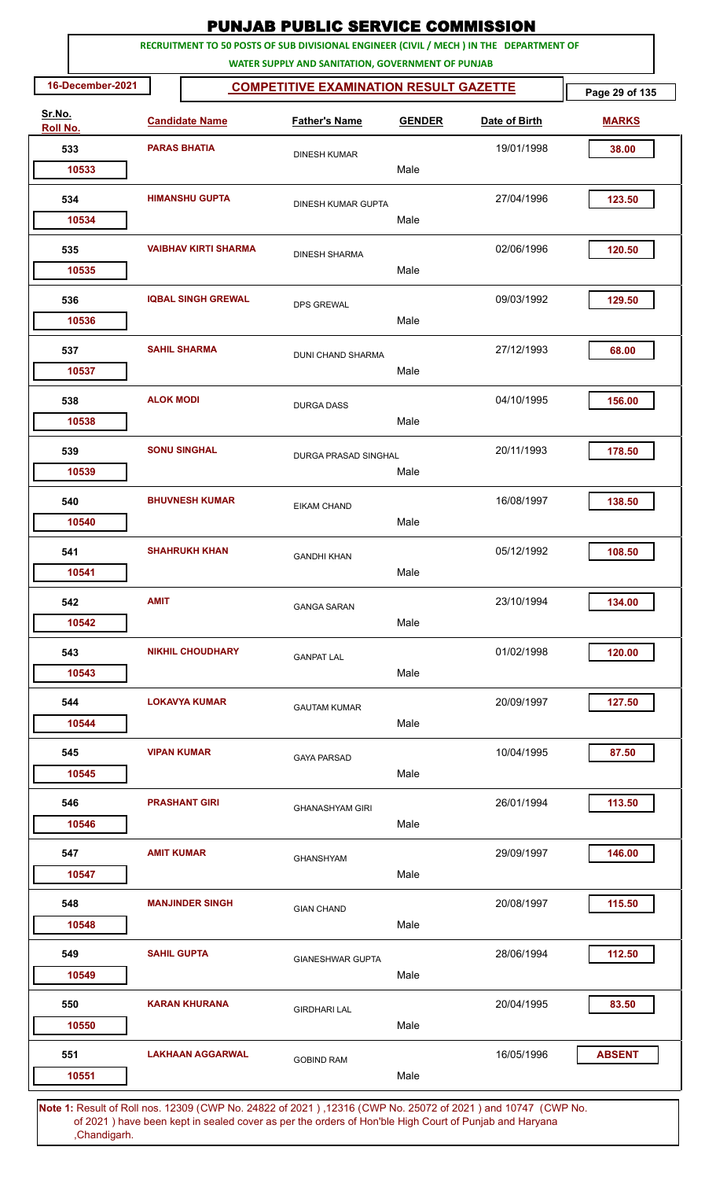| RECRUITMENT TO 50 POSTS OF SUB DIVISIONAL ENGINEER (CIVIL / MECH ) IN THE DEPARTMENT OF<br>WATER SUPPLY AND SANITATION, GOVERNMENT OF PUNJAB<br>16-December-2021<br><b>COMPETITIVE EXAMINATION RESULT GAZETTE</b><br>Page 29 of 135<br>Sr.No.<br><b>Candidate Name</b><br><b>Father's Name</b><br><b>GENDER</b><br>Date of Birth<br><b>MARKS</b><br>Roll No.<br>533<br><b>PARAS BHATIA</b><br>19/01/1998<br>38.00<br><b>DINESH KUMAR</b><br>Male<br>10533<br><b>HIMANSHU GUPTA</b><br>123.50<br>534<br>27/04/1996<br><b>DINESH KUMAR GUPTA</b><br>Male<br>10534<br>02/06/1996<br>535<br><b>VAIBHAV KIRTI SHARMA</b><br>120.50<br><b>DINESH SHARMA</b><br>Male<br>10535<br><b>IQBAL SINGH GREWAL</b><br>536<br>09/03/1992<br>129.50<br><b>DPS GREWAL</b><br>Male<br>10536<br><b>SAHIL SHARMA</b><br>27/12/1993<br>68.00<br>537<br><b>DUNI CHAND SHARMA</b><br>Male<br>10537<br><b>ALOK MODI</b><br>04/10/1995<br>538<br>156.00<br><b>DURGA DASS</b><br>10538<br>Male<br><b>SONU SINGHAL</b><br>539<br>20/11/1993<br>178.50<br>DURGA PRASAD SINGHAL<br>10539<br>Male<br><b>BHUVNESH KUMAR</b><br>16/08/1997<br>540<br>138.50<br><b>EIKAM CHAND</b><br>Male<br>10540<br>05/12/1992<br>541<br><b>SHAHRUKH KHAN</b><br>108.50<br><b>GANDHI KHAN</b><br>Male<br>10541<br><b>AMIT</b><br>542<br>23/10/1994<br>134.00<br><b>GANGA SARAN</b><br>Male<br>10542<br><b>NIKHIL CHOUDHARY</b><br>01/02/1998<br>120.00<br>543<br><b>GANPAT LAL</b><br>Male<br>10543<br>20/09/1997<br><b>LOKAVYA KUMAR</b><br>127.50<br>544<br><b>GAUTAM KUMAR</b><br>Male<br>10544<br>545<br><b>VIPAN KUMAR</b><br>10/04/1995<br>87.50<br><b>GAYA PARSAD</b><br>Male<br>10545<br><b>PRASHANT GIRI</b><br>26/01/1994<br>113.50<br>546<br><b>GHANASHYAM GIRI</b><br>Male<br>10546<br>29/09/1997<br>146.00<br>547<br><b>AMIT KUMAR</b><br><b>GHANSHYAM</b><br>Male<br>10547<br><b>MANJINDER SINGH</b><br>548<br>20/08/1997<br>115.50<br><b>GIAN CHAND</b><br>Male<br>10548<br><b>SAHIL GUPTA</b><br>28/06/1994<br>112.50<br>549<br><b>GIANESHWAR GUPTA</b><br>10549<br>Male<br>20/04/1995<br>550<br><b>KARAN KHURANA</b><br>83.50<br><b>GIRDHARI LAL</b><br>Male<br>10550<br><b>LAKHAAN AGGARWAL</b><br>16/05/1996<br>551<br><b>ABSENT</b><br><b>GOBIND RAM</b><br>Male<br>10551 |  |  | <b>PUNJAB PUBLIC SERVICE COMMISSION</b> |  |  |
|------------------------------------------------------------------------------------------------------------------------------------------------------------------------------------------------------------------------------------------------------------------------------------------------------------------------------------------------------------------------------------------------------------------------------------------------------------------------------------------------------------------------------------------------------------------------------------------------------------------------------------------------------------------------------------------------------------------------------------------------------------------------------------------------------------------------------------------------------------------------------------------------------------------------------------------------------------------------------------------------------------------------------------------------------------------------------------------------------------------------------------------------------------------------------------------------------------------------------------------------------------------------------------------------------------------------------------------------------------------------------------------------------------------------------------------------------------------------------------------------------------------------------------------------------------------------------------------------------------------------------------------------------------------------------------------------------------------------------------------------------------------------------------------------------------------------------------------------------------------------------------------------------------------------------------------------------------------------------------------------------------------------------------------------------------------------------------------------------------------------------------------------------------------------------------------------------------------------------------------------|--|--|-----------------------------------------|--|--|
|                                                                                                                                                                                                                                                                                                                                                                                                                                                                                                                                                                                                                                                                                                                                                                                                                                                                                                                                                                                                                                                                                                                                                                                                                                                                                                                                                                                                                                                                                                                                                                                                                                                                                                                                                                                                                                                                                                                                                                                                                                                                                                                                                                                                                                                |  |  |                                         |  |  |
|                                                                                                                                                                                                                                                                                                                                                                                                                                                                                                                                                                                                                                                                                                                                                                                                                                                                                                                                                                                                                                                                                                                                                                                                                                                                                                                                                                                                                                                                                                                                                                                                                                                                                                                                                                                                                                                                                                                                                                                                                                                                                                                                                                                                                                                |  |  |                                         |  |  |
|                                                                                                                                                                                                                                                                                                                                                                                                                                                                                                                                                                                                                                                                                                                                                                                                                                                                                                                                                                                                                                                                                                                                                                                                                                                                                                                                                                                                                                                                                                                                                                                                                                                                                                                                                                                                                                                                                                                                                                                                                                                                                                                                                                                                                                                |  |  |                                         |  |  |
|                                                                                                                                                                                                                                                                                                                                                                                                                                                                                                                                                                                                                                                                                                                                                                                                                                                                                                                                                                                                                                                                                                                                                                                                                                                                                                                                                                                                                                                                                                                                                                                                                                                                                                                                                                                                                                                                                                                                                                                                                                                                                                                                                                                                                                                |  |  |                                         |  |  |
|                                                                                                                                                                                                                                                                                                                                                                                                                                                                                                                                                                                                                                                                                                                                                                                                                                                                                                                                                                                                                                                                                                                                                                                                                                                                                                                                                                                                                                                                                                                                                                                                                                                                                                                                                                                                                                                                                                                                                                                                                                                                                                                                                                                                                                                |  |  |                                         |  |  |
|                                                                                                                                                                                                                                                                                                                                                                                                                                                                                                                                                                                                                                                                                                                                                                                                                                                                                                                                                                                                                                                                                                                                                                                                                                                                                                                                                                                                                                                                                                                                                                                                                                                                                                                                                                                                                                                                                                                                                                                                                                                                                                                                                                                                                                                |  |  |                                         |  |  |
|                                                                                                                                                                                                                                                                                                                                                                                                                                                                                                                                                                                                                                                                                                                                                                                                                                                                                                                                                                                                                                                                                                                                                                                                                                                                                                                                                                                                                                                                                                                                                                                                                                                                                                                                                                                                                                                                                                                                                                                                                                                                                                                                                                                                                                                |  |  |                                         |  |  |
|                                                                                                                                                                                                                                                                                                                                                                                                                                                                                                                                                                                                                                                                                                                                                                                                                                                                                                                                                                                                                                                                                                                                                                                                                                                                                                                                                                                                                                                                                                                                                                                                                                                                                                                                                                                                                                                                                                                                                                                                                                                                                                                                                                                                                                                |  |  |                                         |  |  |
|                                                                                                                                                                                                                                                                                                                                                                                                                                                                                                                                                                                                                                                                                                                                                                                                                                                                                                                                                                                                                                                                                                                                                                                                                                                                                                                                                                                                                                                                                                                                                                                                                                                                                                                                                                                                                                                                                                                                                                                                                                                                                                                                                                                                                                                |  |  |                                         |  |  |
|                                                                                                                                                                                                                                                                                                                                                                                                                                                                                                                                                                                                                                                                                                                                                                                                                                                                                                                                                                                                                                                                                                                                                                                                                                                                                                                                                                                                                                                                                                                                                                                                                                                                                                                                                                                                                                                                                                                                                                                                                                                                                                                                                                                                                                                |  |  |                                         |  |  |
|                                                                                                                                                                                                                                                                                                                                                                                                                                                                                                                                                                                                                                                                                                                                                                                                                                                                                                                                                                                                                                                                                                                                                                                                                                                                                                                                                                                                                                                                                                                                                                                                                                                                                                                                                                                                                                                                                                                                                                                                                                                                                                                                                                                                                                                |  |  |                                         |  |  |
|                                                                                                                                                                                                                                                                                                                                                                                                                                                                                                                                                                                                                                                                                                                                                                                                                                                                                                                                                                                                                                                                                                                                                                                                                                                                                                                                                                                                                                                                                                                                                                                                                                                                                                                                                                                                                                                                                                                                                                                                                                                                                                                                                                                                                                                |  |  |                                         |  |  |
|                                                                                                                                                                                                                                                                                                                                                                                                                                                                                                                                                                                                                                                                                                                                                                                                                                                                                                                                                                                                                                                                                                                                                                                                                                                                                                                                                                                                                                                                                                                                                                                                                                                                                                                                                                                                                                                                                                                                                                                                                                                                                                                                                                                                                                                |  |  |                                         |  |  |
|                                                                                                                                                                                                                                                                                                                                                                                                                                                                                                                                                                                                                                                                                                                                                                                                                                                                                                                                                                                                                                                                                                                                                                                                                                                                                                                                                                                                                                                                                                                                                                                                                                                                                                                                                                                                                                                                                                                                                                                                                                                                                                                                                                                                                                                |  |  |                                         |  |  |
|                                                                                                                                                                                                                                                                                                                                                                                                                                                                                                                                                                                                                                                                                                                                                                                                                                                                                                                                                                                                                                                                                                                                                                                                                                                                                                                                                                                                                                                                                                                                                                                                                                                                                                                                                                                                                                                                                                                                                                                                                                                                                                                                                                                                                                                |  |  |                                         |  |  |
|                                                                                                                                                                                                                                                                                                                                                                                                                                                                                                                                                                                                                                                                                                                                                                                                                                                                                                                                                                                                                                                                                                                                                                                                                                                                                                                                                                                                                                                                                                                                                                                                                                                                                                                                                                                                                                                                                                                                                                                                                                                                                                                                                                                                                                                |  |  |                                         |  |  |
|                                                                                                                                                                                                                                                                                                                                                                                                                                                                                                                                                                                                                                                                                                                                                                                                                                                                                                                                                                                                                                                                                                                                                                                                                                                                                                                                                                                                                                                                                                                                                                                                                                                                                                                                                                                                                                                                                                                                                                                                                                                                                                                                                                                                                                                |  |  |                                         |  |  |
|                                                                                                                                                                                                                                                                                                                                                                                                                                                                                                                                                                                                                                                                                                                                                                                                                                                                                                                                                                                                                                                                                                                                                                                                                                                                                                                                                                                                                                                                                                                                                                                                                                                                                                                                                                                                                                                                                                                                                                                                                                                                                                                                                                                                                                                |  |  |                                         |  |  |
|                                                                                                                                                                                                                                                                                                                                                                                                                                                                                                                                                                                                                                                                                                                                                                                                                                                                                                                                                                                                                                                                                                                                                                                                                                                                                                                                                                                                                                                                                                                                                                                                                                                                                                                                                                                                                                                                                                                                                                                                                                                                                                                                                                                                                                                |  |  |                                         |  |  |
|                                                                                                                                                                                                                                                                                                                                                                                                                                                                                                                                                                                                                                                                                                                                                                                                                                                                                                                                                                                                                                                                                                                                                                                                                                                                                                                                                                                                                                                                                                                                                                                                                                                                                                                                                                                                                                                                                                                                                                                                                                                                                                                                                                                                                                                |  |  |                                         |  |  |
|                                                                                                                                                                                                                                                                                                                                                                                                                                                                                                                                                                                                                                                                                                                                                                                                                                                                                                                                                                                                                                                                                                                                                                                                                                                                                                                                                                                                                                                                                                                                                                                                                                                                                                                                                                                                                                                                                                                                                                                                                                                                                                                                                                                                                                                |  |  |                                         |  |  |
|                                                                                                                                                                                                                                                                                                                                                                                                                                                                                                                                                                                                                                                                                                                                                                                                                                                                                                                                                                                                                                                                                                                                                                                                                                                                                                                                                                                                                                                                                                                                                                                                                                                                                                                                                                                                                                                                                                                                                                                                                                                                                                                                                                                                                                                |  |  |                                         |  |  |
|                                                                                                                                                                                                                                                                                                                                                                                                                                                                                                                                                                                                                                                                                                                                                                                                                                                                                                                                                                                                                                                                                                                                                                                                                                                                                                                                                                                                                                                                                                                                                                                                                                                                                                                                                                                                                                                                                                                                                                                                                                                                                                                                                                                                                                                |  |  |                                         |  |  |
|                                                                                                                                                                                                                                                                                                                                                                                                                                                                                                                                                                                                                                                                                                                                                                                                                                                                                                                                                                                                                                                                                                                                                                                                                                                                                                                                                                                                                                                                                                                                                                                                                                                                                                                                                                                                                                                                                                                                                                                                                                                                                                                                                                                                                                                |  |  |                                         |  |  |
|                                                                                                                                                                                                                                                                                                                                                                                                                                                                                                                                                                                                                                                                                                                                                                                                                                                                                                                                                                                                                                                                                                                                                                                                                                                                                                                                                                                                                                                                                                                                                                                                                                                                                                                                                                                                                                                                                                                                                                                                                                                                                                                                                                                                                                                |  |  |                                         |  |  |
|                                                                                                                                                                                                                                                                                                                                                                                                                                                                                                                                                                                                                                                                                                                                                                                                                                                                                                                                                                                                                                                                                                                                                                                                                                                                                                                                                                                                                                                                                                                                                                                                                                                                                                                                                                                                                                                                                                                                                                                                                                                                                                                                                                                                                                                |  |  |                                         |  |  |
|                                                                                                                                                                                                                                                                                                                                                                                                                                                                                                                                                                                                                                                                                                                                                                                                                                                                                                                                                                                                                                                                                                                                                                                                                                                                                                                                                                                                                                                                                                                                                                                                                                                                                                                                                                                                                                                                                                                                                                                                                                                                                                                                                                                                                                                |  |  |                                         |  |  |
|                                                                                                                                                                                                                                                                                                                                                                                                                                                                                                                                                                                                                                                                                                                                                                                                                                                                                                                                                                                                                                                                                                                                                                                                                                                                                                                                                                                                                                                                                                                                                                                                                                                                                                                                                                                                                                                                                                                                                                                                                                                                                                                                                                                                                                                |  |  |                                         |  |  |
|                                                                                                                                                                                                                                                                                                                                                                                                                                                                                                                                                                                                                                                                                                                                                                                                                                                                                                                                                                                                                                                                                                                                                                                                                                                                                                                                                                                                                                                                                                                                                                                                                                                                                                                                                                                                                                                                                                                                                                                                                                                                                                                                                                                                                                                |  |  |                                         |  |  |
|                                                                                                                                                                                                                                                                                                                                                                                                                                                                                                                                                                                                                                                                                                                                                                                                                                                                                                                                                                                                                                                                                                                                                                                                                                                                                                                                                                                                                                                                                                                                                                                                                                                                                                                                                                                                                                                                                                                                                                                                                                                                                                                                                                                                                                                |  |  |                                         |  |  |
|                                                                                                                                                                                                                                                                                                                                                                                                                                                                                                                                                                                                                                                                                                                                                                                                                                                                                                                                                                                                                                                                                                                                                                                                                                                                                                                                                                                                                                                                                                                                                                                                                                                                                                                                                                                                                                                                                                                                                                                                                                                                                                                                                                                                                                                |  |  |                                         |  |  |
|                                                                                                                                                                                                                                                                                                                                                                                                                                                                                                                                                                                                                                                                                                                                                                                                                                                                                                                                                                                                                                                                                                                                                                                                                                                                                                                                                                                                                                                                                                                                                                                                                                                                                                                                                                                                                                                                                                                                                                                                                                                                                                                                                                                                                                                |  |  |                                         |  |  |
|                                                                                                                                                                                                                                                                                                                                                                                                                                                                                                                                                                                                                                                                                                                                                                                                                                                                                                                                                                                                                                                                                                                                                                                                                                                                                                                                                                                                                                                                                                                                                                                                                                                                                                                                                                                                                                                                                                                                                                                                                                                                                                                                                                                                                                                |  |  |                                         |  |  |
|                                                                                                                                                                                                                                                                                                                                                                                                                                                                                                                                                                                                                                                                                                                                                                                                                                                                                                                                                                                                                                                                                                                                                                                                                                                                                                                                                                                                                                                                                                                                                                                                                                                                                                                                                                                                                                                                                                                                                                                                                                                                                                                                                                                                                                                |  |  |                                         |  |  |
|                                                                                                                                                                                                                                                                                                                                                                                                                                                                                                                                                                                                                                                                                                                                                                                                                                                                                                                                                                                                                                                                                                                                                                                                                                                                                                                                                                                                                                                                                                                                                                                                                                                                                                                                                                                                                                                                                                                                                                                                                                                                                                                                                                                                                                                |  |  |                                         |  |  |
|                                                                                                                                                                                                                                                                                                                                                                                                                                                                                                                                                                                                                                                                                                                                                                                                                                                                                                                                                                                                                                                                                                                                                                                                                                                                                                                                                                                                                                                                                                                                                                                                                                                                                                                                                                                                                                                                                                                                                                                                                                                                                                                                                                                                                                                |  |  |                                         |  |  |
|                                                                                                                                                                                                                                                                                                                                                                                                                                                                                                                                                                                                                                                                                                                                                                                                                                                                                                                                                                                                                                                                                                                                                                                                                                                                                                                                                                                                                                                                                                                                                                                                                                                                                                                                                                                                                                                                                                                                                                                                                                                                                                                                                                                                                                                |  |  |                                         |  |  |
|                                                                                                                                                                                                                                                                                                                                                                                                                                                                                                                                                                                                                                                                                                                                                                                                                                                                                                                                                                                                                                                                                                                                                                                                                                                                                                                                                                                                                                                                                                                                                                                                                                                                                                                                                                                                                                                                                                                                                                                                                                                                                                                                                                                                                                                |  |  |                                         |  |  |
|                                                                                                                                                                                                                                                                                                                                                                                                                                                                                                                                                                                                                                                                                                                                                                                                                                                                                                                                                                                                                                                                                                                                                                                                                                                                                                                                                                                                                                                                                                                                                                                                                                                                                                                                                                                                                                                                                                                                                                                                                                                                                                                                                                                                                                                |  |  |                                         |  |  |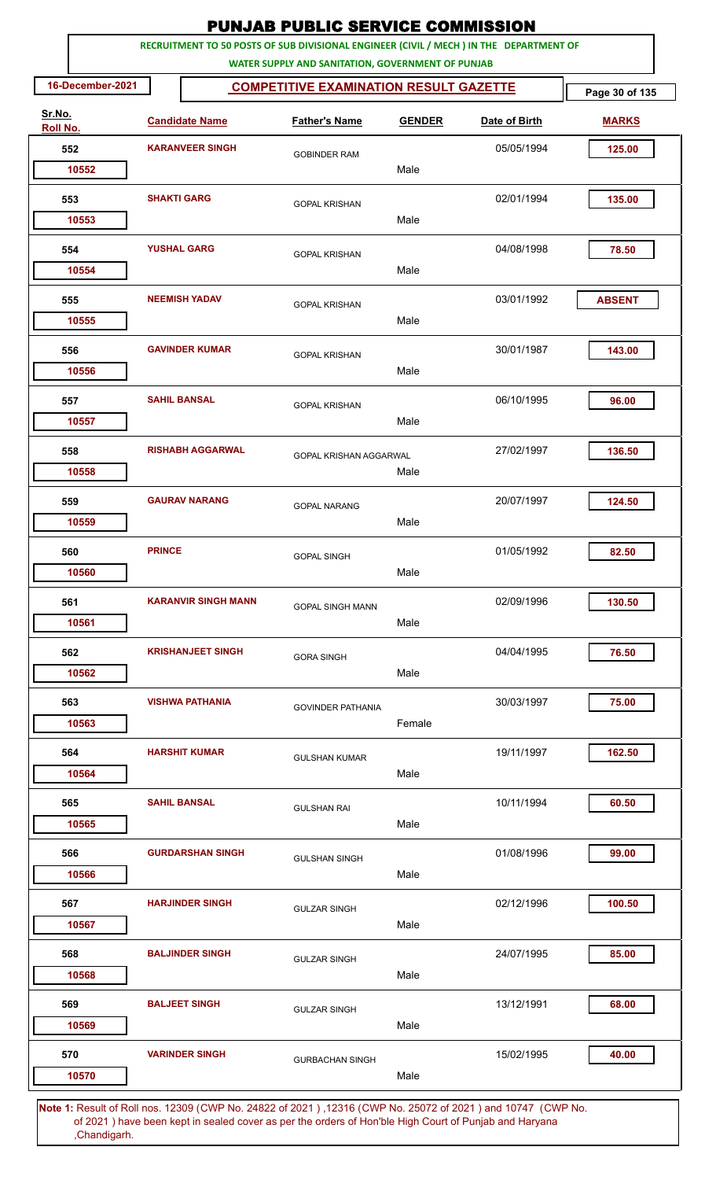|          |                  |                    |                            | <b>PUNJAB PUBLIC SERVICE COMMISSION</b>           |               |                                                                                                             |                |
|----------|------------------|--------------------|----------------------------|---------------------------------------------------|---------------|-------------------------------------------------------------------------------------------------------------|----------------|
|          |                  |                    |                            | WATER SUPPLY AND SANITATION, GOVERNMENT OF PUNJAB |               | RECRUITMENT TO 50 POSTS OF SUB DIVISIONAL ENGINEER (CIVIL / MECH ) IN THE DEPARTMENT OF                     |                |
|          | 16-December-2021 |                    |                            | <b>COMPETITIVE EXAMINATION RESULT GAZETTE</b>     |               |                                                                                                             | Page 30 of 135 |
| Sr.No.   |                  |                    | <b>Candidate Name</b>      | <b>Father's Name</b>                              | <b>GENDER</b> | Date of Birth                                                                                               | <b>MARKS</b>   |
| Roll No. | 552              |                    | <b>KARANVEER SINGH</b>     | <b>GOBINDER RAM</b>                               |               | 05/05/1994                                                                                                  | 125.00         |
|          | 10552            |                    |                            |                                                   | Male          |                                                                                                             |                |
|          | 553              | <b>SHAKTI GARG</b> |                            | <b>GOPAL KRISHAN</b>                              |               | 02/01/1994                                                                                                  | 135.00         |
|          | 10553            |                    |                            |                                                   | Male          |                                                                                                             |                |
|          | 554              |                    | <b>YUSHAL GARG</b>         | <b>GOPAL KRISHAN</b>                              |               | 04/08/1998                                                                                                  | 78.50          |
|          | 10554            |                    |                            |                                                   | Male          |                                                                                                             |                |
|          | 555              |                    | <b>NEEMISH YADAV</b>       | <b>GOPAL KRISHAN</b>                              |               | 03/01/1992                                                                                                  | <b>ABSENT</b>  |
|          | 10555            |                    |                            |                                                   | Male          |                                                                                                             |                |
|          | 556              |                    | <b>GAVINDER KUMAR</b>      | <b>GOPAL KRISHAN</b>                              |               | 30/01/1987                                                                                                  | 143.00         |
|          | 10556            |                    |                            |                                                   | Male          |                                                                                                             |                |
|          | 557              |                    | <b>SAHIL BANSAL</b>        | <b>GOPAL KRISHAN</b>                              |               | 06/10/1995                                                                                                  | 96.00          |
|          | 10557            |                    |                            |                                                   | Male          |                                                                                                             |                |
|          | 558              |                    | <b>RISHABH AGGARWAL</b>    | GOPAL KRISHAN AGGARWAL                            |               | 27/02/1997                                                                                                  | 136.50         |
|          | 10558            |                    |                            |                                                   | Male          |                                                                                                             |                |
|          | 559              |                    | <b>GAURAV NARANG</b>       | <b>GOPAL NARANG</b>                               |               | 20/07/1997                                                                                                  | 124.50         |
|          | 10559            |                    |                            |                                                   | Male          |                                                                                                             |                |
|          | 560              | <b>PRINCE</b>      |                            | <b>GOPAL SINGH</b>                                |               | 01/05/1992                                                                                                  | 82.50          |
|          | 10560            |                    |                            |                                                   | Male          |                                                                                                             |                |
|          | 561              |                    | <b>KARANVIR SINGH MANN</b> | <b>GOPAL SINGH MANN</b>                           |               | 02/09/1996                                                                                                  | 130.50         |
|          | 10561            |                    |                            |                                                   | Male          |                                                                                                             |                |
|          | 562<br>10562     |                    | <b>KRISHANJEET SINGH</b>   | <b>GORA SINGH</b>                                 | Male          | 04/04/1995                                                                                                  | 76.50          |
|          |                  |                    |                            |                                                   |               |                                                                                                             |                |
|          | 563<br>10563     |                    | <b>VISHWA PATHANIA</b>     | <b>GOVINDER PATHANIA</b>                          | Female        | 30/03/1997                                                                                                  | 75.00          |
|          |                  |                    |                            |                                                   |               |                                                                                                             |                |
|          | 564<br>10564     |                    | <b>HARSHIT KUMAR</b>       | <b>GULSHAN KUMAR</b>                              | Male          | 19/11/1997                                                                                                  | 162.50         |
|          |                  |                    | <b>SAHIL BANSAL</b>        |                                                   |               | 10/11/1994                                                                                                  | 60.50          |
|          | 565<br>10565     |                    |                            | <b>GULSHAN RAI</b>                                | Male          |                                                                                                             |                |
|          | 566              |                    | <b>GURDARSHAN SINGH</b>    |                                                   |               | 01/08/1996                                                                                                  | 99.00          |
|          | 10566            |                    |                            | <b>GULSHAN SINGH</b>                              | Male          |                                                                                                             |                |
|          | 567              |                    | <b>HARJINDER SINGH</b>     |                                                   |               | 02/12/1996                                                                                                  | 100.50         |
|          | 10567            |                    |                            | <b>GULZAR SINGH</b>                               | Male          |                                                                                                             |                |
|          | 568              |                    | <b>BALJINDER SINGH</b>     | <b>GULZAR SINGH</b>                               |               | 24/07/1995                                                                                                  | 85.00          |
|          | 10568            |                    |                            |                                                   | Male          |                                                                                                             |                |
|          | 569              |                    | <b>BALJEET SINGH</b>       | <b>GULZAR SINGH</b>                               |               | 13/12/1991                                                                                                  | 68.00          |
|          | 10569            |                    |                            |                                                   | Male          |                                                                                                             |                |
|          | 570              |                    | <b>VARINDER SINGH</b>      | <b>GURBACHAN SINGH</b>                            |               | 15/02/1995                                                                                                  | 40.00          |
|          | 10570            |                    |                            |                                                   | Male          |                                                                                                             |                |
|          |                  |                    |                            |                                                   |               | Note 1: Result of Roll nos. 12309 (CWP No. 24822 of 2021), 12316 (CWP No. 25072 of 2021) and 10747 (CWP No. |                |

 of 2021 ) have been kept in sealed cover as per the orders of Hon'ble High Court of Punjab and Haryana ,Chandigarh.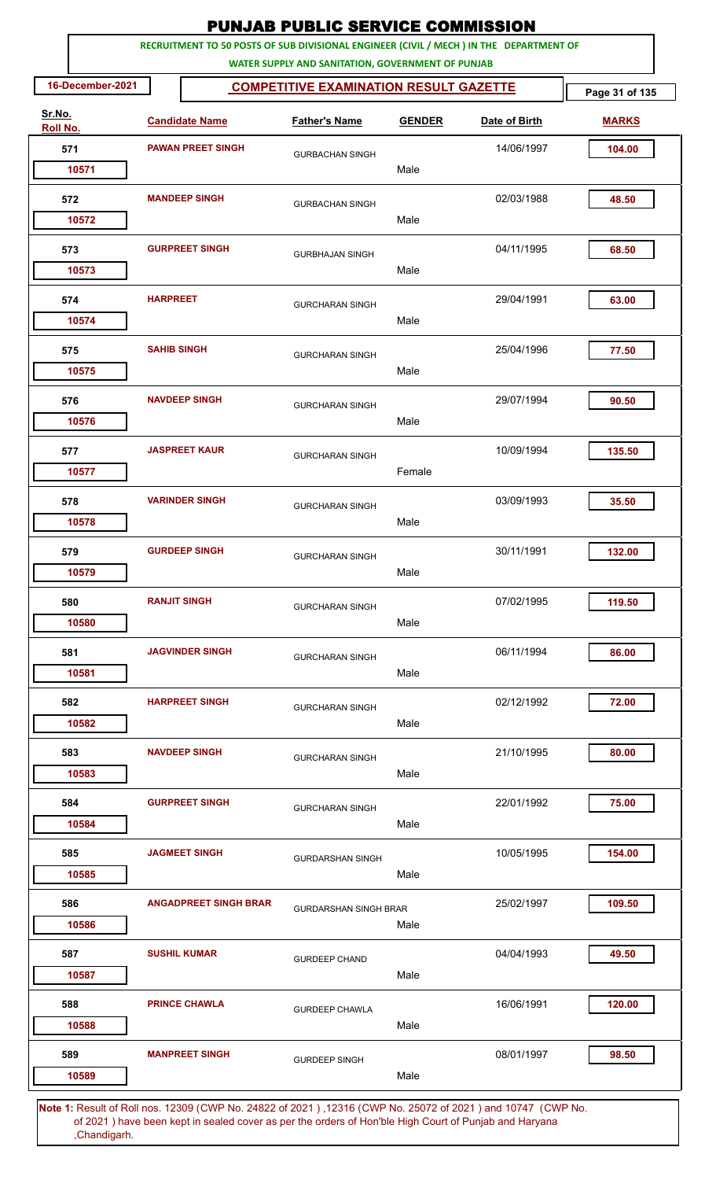|                    |                  |                      |                              | <b>PUNJAB PUBLIC SERVICE COMMISSION</b>                                                                                                      |               |               |                |
|--------------------|------------------|----------------------|------------------------------|----------------------------------------------------------------------------------------------------------------------------------------------|---------------|---------------|----------------|
|                    |                  |                      |                              | RECRUITMENT TO 50 POSTS OF SUB DIVISIONAL ENGINEER (CIVIL / MECH ) IN THE DEPARTMENT OF<br>WATER SUPPLY AND SANITATION, GOVERNMENT OF PUNJAB |               |               |                |
|                    | 16-December-2021 |                      |                              | <b>COMPETITIVE EXAMINATION RESULT GAZETTE</b>                                                                                                |               |               | Page 31 of 135 |
| Sr.No.<br>Roll No. |                  |                      | <b>Candidate Name</b>        | <b>Father's Name</b>                                                                                                                         | <b>GENDER</b> | Date of Birth | <b>MARKS</b>   |
| 571                |                  |                      | <b>PAWAN PREET SINGH</b>     | <b>GURBACHAN SINGH</b>                                                                                                                       |               | 14/06/1997    | 104.00         |
|                    | 10571            |                      |                              |                                                                                                                                              | Male          |               |                |
| 572                |                  | <b>MANDEEP SINGH</b> |                              | <b>GURBACHAN SINGH</b>                                                                                                                       |               | 02/03/1988    | 48.50          |
|                    | 10572            |                      |                              |                                                                                                                                              | Male          |               |                |
| 573                | 10573            |                      | <b>GURPREET SINGH</b>        | <b>GURBHAJAN SINGH</b>                                                                                                                       | Male          | 04/11/1995    | 68.50          |
| 574                |                  | <b>HARPREET</b>      |                              | <b>GURCHARAN SINGH</b>                                                                                                                       |               | 29/04/1991    | 63.00          |
|                    | 10574            |                      |                              |                                                                                                                                              | Male          |               |                |
| 575                | 10575            | <b>SAHIB SINGH</b>   |                              | <b>GURCHARAN SINGH</b>                                                                                                                       | Male          | 25/04/1996    | 77.50          |
|                    |                  |                      | <b>NAVDEEP SINGH</b>         |                                                                                                                                              |               |               |                |
| 576                | 10576            |                      |                              | <b>GURCHARAN SINGH</b>                                                                                                                       | Male          | 29/07/1994    | 90.50          |
| 577                |                  |                      | <b>JASPREET KAUR</b>         | <b>GURCHARAN SINGH</b>                                                                                                                       |               | 10/09/1994    | 135.50         |
|                    | 10577            |                      |                              |                                                                                                                                              | Female        |               |                |
| 578                | 10578            |                      | <b>VARINDER SINGH</b>        | <b>GURCHARAN SINGH</b>                                                                                                                       | Male          | 03/09/1993    | 35.50          |
|                    |                  |                      |                              |                                                                                                                                              |               |               |                |
| 579                | 10579            |                      | <b>GURDEEP SINGH</b>         | <b>GURCHARAN SINGH</b>                                                                                                                       | Male          | 30/11/1991    | 132.00         |
| 580                |                  | <b>RANJIT SINGH</b>  |                              | <b>GURCHARAN SINGH</b>                                                                                                                       |               | 07/02/1995    | 119.50         |
|                    | 10580            |                      |                              |                                                                                                                                              | Male          |               |                |
| 581                | 10581            |                      | <b>JAGVINDER SINGH</b>       | <b>GURCHARAN SINGH</b>                                                                                                                       | Male          | 06/11/1994    | 86.00          |
| 582                |                  |                      | <b>HARPREET SINGH</b>        |                                                                                                                                              |               | 02/12/1992    | 72.00          |
|                    | 10582            |                      |                              | <b>GURCHARAN SINGH</b>                                                                                                                       | Male          |               |                |
| 583                |                  |                      | <b>NAVDEEP SINGH</b>         | <b>GURCHARAN SINGH</b>                                                                                                                       |               | 21/10/1995    | 80.00          |
|                    | 10583            |                      |                              |                                                                                                                                              | Male          |               |                |
| 584                | 10584            |                      | <b>GURPREET SINGH</b>        | <b>GURCHARAN SINGH</b>                                                                                                                       | Male          | 22/01/1992    | 75.00          |
|                    |                  |                      |                              |                                                                                                                                              |               |               |                |
| 585                | 10585            |                      | <b>JAGMEET SINGH</b>         | <b>GURDARSHAN SINGH</b>                                                                                                                      | Male          | 10/05/1995    | 154.00         |
| 586                |                  |                      | <b>ANGADPREET SINGH BRAR</b> | <b>GURDARSHAN SINGH BRAR</b>                                                                                                                 |               | 25/02/1997    | 109.50         |
|                    | 10586            |                      |                              |                                                                                                                                              | Male          |               |                |
| 587                |                  |                      | <b>SUSHIL KUMAR</b>          | <b>GURDEEP CHAND</b>                                                                                                                         |               | 04/04/1993    | 49.50          |
|                    | 10587            |                      |                              |                                                                                                                                              | Male          |               |                |
| 588                | 10588            |                      | <b>PRINCE CHAWLA</b>         | <b>GURDEEP CHAWLA</b>                                                                                                                        | Male          | 16/06/1991    | 120.00         |
| 589                |                  |                      | <b>MANPREET SINGH</b>        | <b>GURDEEP SINGH</b>                                                                                                                         |               | 08/01/1997    | 98.50          |
|                    | 10589            |                      |                              |                                                                                                                                              | Male          |               |                |
|                    |                  |                      |                              |                                                                                                                                              |               |               |                |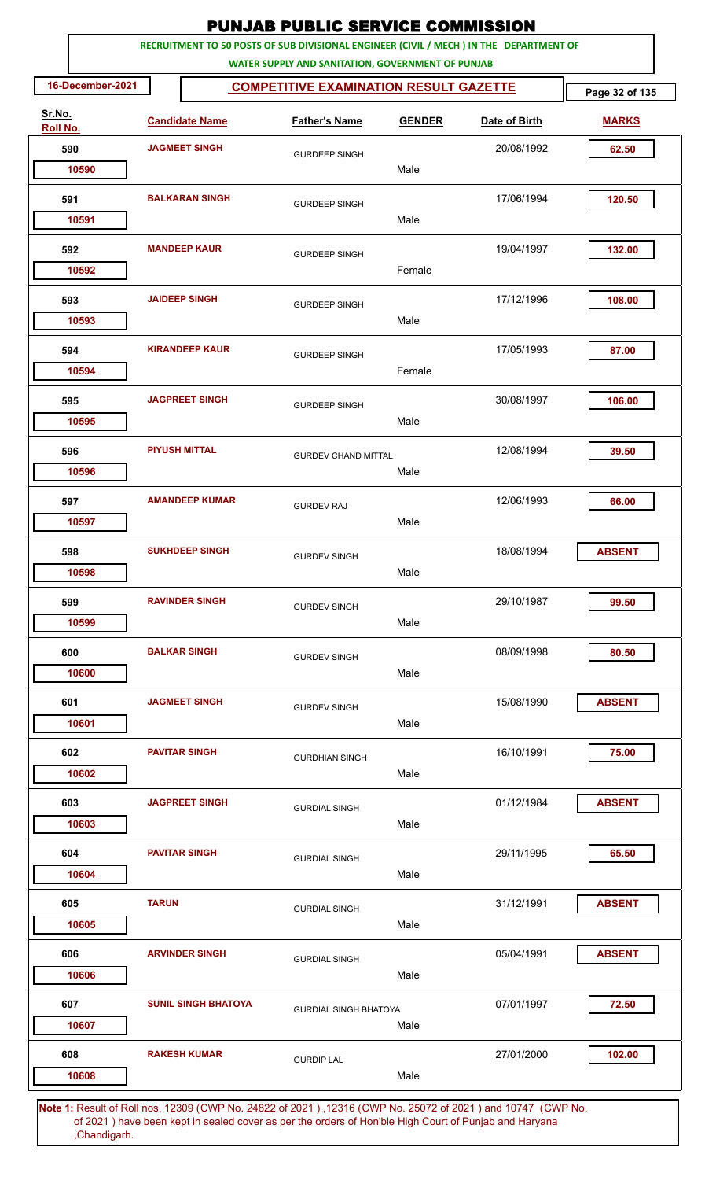|                    |              |                            |                                                   |               | <b>PUNJAB PUBLIC SERVICE COMMISSION</b>                                                                      |                |
|--------------------|--------------|----------------------------|---------------------------------------------------|---------------|--------------------------------------------------------------------------------------------------------------|----------------|
|                    |              |                            | WATER SUPPLY AND SANITATION, GOVERNMENT OF PUNJAB |               | RECRUITMENT TO 50 POSTS OF SUB DIVISIONAL ENGINEER (CIVIL / MECH ) IN THE DEPARTMENT OF                      |                |
| 16-December-2021   |              |                            | <b>COMPETITIVE EXAMINATION RESULT GAZETTE</b>     |               |                                                                                                              | Page 32 of 135 |
| Sr.No.<br>Roll No. |              | <b>Candidate Name</b>      | <b>Father's Name</b>                              | <b>GENDER</b> | Date of Birth                                                                                                | <b>MARKS</b>   |
| 590                |              | <b>JAGMEET SINGH</b>       | <b>GURDEEP SINGH</b>                              |               | 20/08/1992                                                                                                   | 62.50          |
| 10590              |              |                            |                                                   | Male          |                                                                                                              |                |
| 591                |              | <b>BALKARAN SINGH</b>      | <b>GURDEEP SINGH</b>                              |               | 17/06/1994                                                                                                   | 120.50         |
| 10591              |              |                            |                                                   | Male          |                                                                                                              |                |
| 592<br>10592       |              | <b>MANDEEP KAUR</b>        | <b>GURDEEP SINGH</b>                              | Female        | 19/04/1997                                                                                                   | 132.00         |
|                    |              |                            |                                                   |               |                                                                                                              |                |
| 593<br>10593       |              | <b>JAIDEEP SINGH</b>       | <b>GURDEEP SINGH</b>                              | Male          | 17/12/1996                                                                                                   | 108.00         |
| 594                |              | <b>KIRANDEEP KAUR</b>      | <b>GURDEEP SINGH</b>                              |               | 17/05/1993                                                                                                   | 87.00          |
| 10594              |              |                            |                                                   | Female        |                                                                                                              |                |
| 595                |              | <b>JAGPREET SINGH</b>      | <b>GURDEEP SINGH</b>                              |               | 30/08/1997                                                                                                   | 106.00         |
| 10595              |              |                            |                                                   | Male          |                                                                                                              |                |
| 596<br>10596       |              | <b>PIYUSH MITTAL</b>       | <b>GURDEV CHAND MITTAL</b>                        | Male          | 12/08/1994                                                                                                   | 39.50          |
| 597                |              | <b>AMANDEEP KUMAR</b>      |                                                   |               | 12/06/1993                                                                                                   | 66.00          |
| 10597              |              |                            | <b>GURDEV RAJ</b>                                 | Male          |                                                                                                              |                |
| 598                |              | <b>SUKHDEEP SINGH</b>      | <b>GURDEV SINGH</b>                               |               | 18/08/1994                                                                                                   | <b>ABSENT</b>  |
| 10598              |              |                            |                                                   | Male          |                                                                                                              |                |
| 599                |              | <b>RAVINDER SINGH</b>      | <b>GURDEV SINGH</b>                               |               | 29/10/1987                                                                                                   | 99.50          |
| 10599              |              |                            |                                                   | Male          |                                                                                                              |                |
| 600                |              | <b>BALKAR SINGH</b>        | <b>GURDEV SINGH</b>                               |               | 08/09/1998                                                                                                   | 80.50          |
| 10600              |              |                            |                                                   | Male          |                                                                                                              |                |
| 601<br>10601       |              | <b>JAGMEET SINGH</b>       | <b>GURDEV SINGH</b>                               | Male          | 15/08/1990                                                                                                   | <b>ABSENT</b>  |
| 602                |              | <b>PAVITAR SINGH</b>       |                                                   |               | 16/10/1991                                                                                                   | 75.00          |
| 10602              |              |                            | <b>GURDHIAN SINGH</b>                             | Male          |                                                                                                              |                |
| 603                |              | <b>JAGPREET SINGH</b>      | <b>GURDIAL SINGH</b>                              |               | 01/12/1984                                                                                                   | <b>ABSENT</b>  |
| 10603              |              |                            |                                                   | Male          |                                                                                                              |                |
| 604                |              | <b>PAVITAR SINGH</b>       | <b>GURDIAL SINGH</b>                              |               | 29/11/1995                                                                                                   | 65.50          |
| 10604              |              |                            |                                                   | Male          |                                                                                                              |                |
| 605                | <b>TARUN</b> |                            | <b>GURDIAL SINGH</b>                              |               | 31/12/1991                                                                                                   | <b>ABSENT</b>  |
| 10605              |              |                            |                                                   | Male          |                                                                                                              |                |
| 606<br>10606       |              | <b>ARVINDER SINGH</b>      | <b>GURDIAL SINGH</b>                              | Male          | 05/04/1991                                                                                                   | <b>ABSENT</b>  |
| 607                |              | <b>SUNIL SINGH BHATOYA</b> |                                                   |               | 07/01/1997                                                                                                   | 72.50          |
| 10607              |              |                            | <b>GURDIAL SINGH BHATOYA</b>                      | Male          |                                                                                                              |                |
| 608                |              | <b>RAKESH KUMAR</b>        | <b>GURDIP LAL</b>                                 |               | 27/01/2000                                                                                                   | 102.00         |
| 10608              |              |                            |                                                   | Male          |                                                                                                              |                |
|                    |              |                            |                                                   |               | Note 1: Pesult of Pollings, 12300 (CMP No. 24822 of 2021), 12316 (CMP No. 25072 of 2021) and 10747. (CMP No. |                |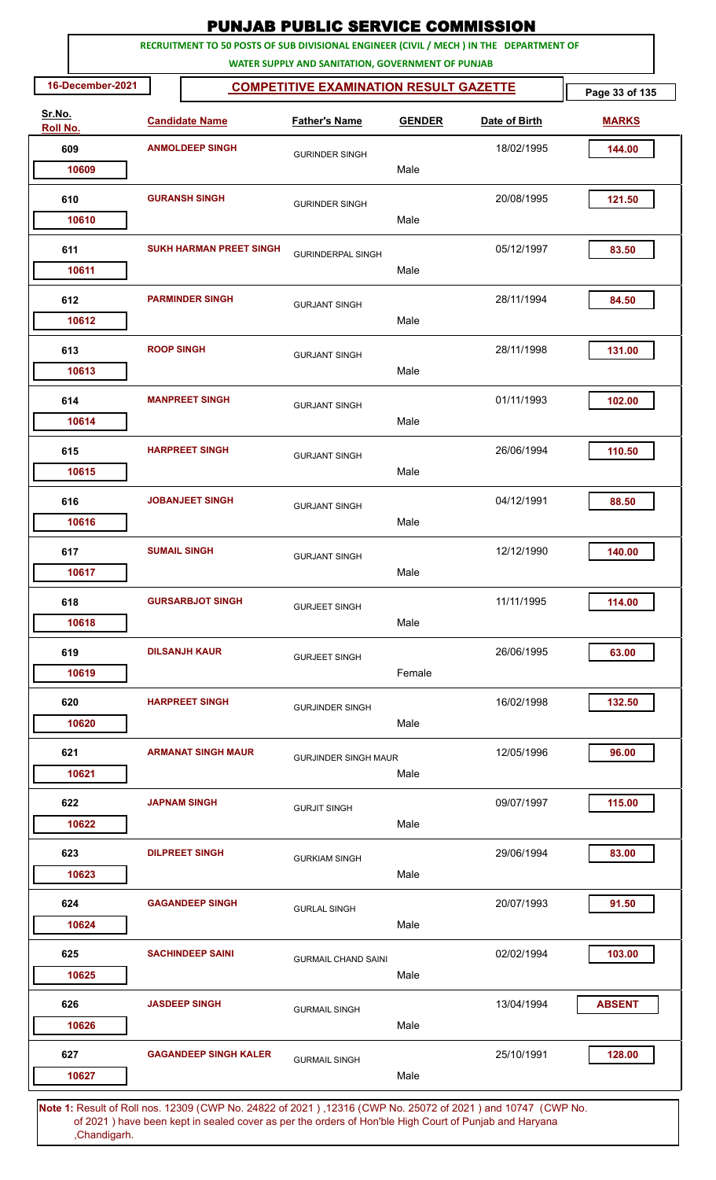|                    |                   |                                                                                         | <b>PUNJAB PUBLIC SERVICE COMMISSION</b>           |               |               |                |
|--------------------|-------------------|-----------------------------------------------------------------------------------------|---------------------------------------------------|---------------|---------------|----------------|
|                    |                   | RECRUITMENT TO 50 POSTS OF SUB DIVISIONAL ENGINEER (CIVIL / MECH ) IN THE DEPARTMENT OF | WATER SUPPLY AND SANITATION, GOVERNMENT OF PUNJAB |               |               |                |
| 16-December-2021   |                   |                                                                                         | <b>COMPETITIVE EXAMINATION RESULT GAZETTE</b>     |               |               | Page 33 of 135 |
| Sr.No.<br>Roll No. |                   | <b>Candidate Name</b>                                                                   | <b>Father's Name</b>                              | <b>GENDER</b> | Date of Birth | <b>MARKS</b>   |
| 609                |                   | <b>ANMOLDEEP SINGH</b>                                                                  | <b>GURINDER SINGH</b>                             |               | 18/02/1995    | 144.00         |
| 10609              |                   |                                                                                         |                                                   | Male          |               |                |
| 610                |                   | <b>GURANSH SINGH</b>                                                                    | <b>GURINDER SINGH</b>                             | Male          | 20/08/1995    | 121.50         |
| 10610              |                   |                                                                                         |                                                   |               |               |                |
| 611<br>10611       |                   | <b>SUKH HARMAN PREET SINGH</b>                                                          | <b>GURINDERPAL SINGH</b>                          | Male          | 05/12/1997    | 83.50          |
| 612<br>10612       |                   | <b>PARMINDER SINGH</b>                                                                  | <b>GURJANT SINGH</b>                              | Male          | 28/11/1994    | 84.50          |
| 613<br>10613       | <b>ROOP SINGH</b> |                                                                                         | <b>GURJANT SINGH</b>                              | Male          | 28/11/1998    | 131.00         |
| 614<br>10614       |                   | <b>MANPREET SINGH</b>                                                                   | <b>GURJANT SINGH</b>                              | Male          | 01/11/1993    | 102.00         |
| 615<br>10615       |                   | <b>HARPREET SINGH</b>                                                                   | <b>GURJANT SINGH</b>                              | Male          | 26/06/1994    | 110.50         |
| 616                |                   | <b>JOBANJEET SINGH</b>                                                                  | <b>GURJANT SINGH</b>                              |               | 04/12/1991    | 88.50          |
| 10616              |                   |                                                                                         |                                                   | Male          |               |                |
| 617<br>10617       |                   | <b>SUMAIL SINGH</b>                                                                     | <b>GURJANT SINGH</b>                              | Male          | 12/12/1990    | 140.00         |
| 618<br>10618       |                   | <b>GURSARBJOT SINGH</b>                                                                 | <b>GURJEET SINGH</b>                              | Male          | 11/11/1995    | 114.00         |
| 619<br>10619       |                   | <b>DILSANJH KAUR</b>                                                                    | <b>GURJEET SINGH</b>                              | Female        | 26/06/1995    | 63.00          |
| 620<br>10620       |                   | <b>HARPREET SINGH</b>                                                                   | <b>GURJINDER SINGH</b>                            | Male          | 16/02/1998    | 132.50         |
| 621<br>10621       |                   | <b>ARMANAT SINGH MAUR</b>                                                               | <b>GURJINDER SINGH MAUR</b>                       | Male          | 12/05/1996    | 96.00          |
| 622<br>10622       |                   | <b>JAPNAM SINGH</b>                                                                     | <b>GURJIT SINGH</b>                               | Male          | 09/07/1997    | 115.00         |
| 623<br>10623       |                   | <b>DILPREET SINGH</b>                                                                   | <b>GURKIAM SINGH</b>                              | Male          | 29/06/1994    | 83.00          |
| 624<br>10624       |                   | <b>GAGANDEEP SINGH</b>                                                                  | <b>GURLAL SINGH</b>                               | Male          | 20/07/1993    | 91.50          |
| 625<br>10625       |                   | <b>SACHINDEEP SAINI</b>                                                                 | <b>GURMAIL CHAND SAINI</b>                        | Male          | 02/02/1994    | 103.00         |
| 626<br>10626       |                   | <b>JASDEEP SINGH</b>                                                                    | <b>GURMAIL SINGH</b>                              | Male          | 13/04/1994    | <b>ABSENT</b>  |
| 627<br>10627       |                   | <b>GAGANDEEP SINGH KALER</b>                                                            | <b>GURMAIL SINGH</b>                              | Male          | 25/10/1991    | 128.00         |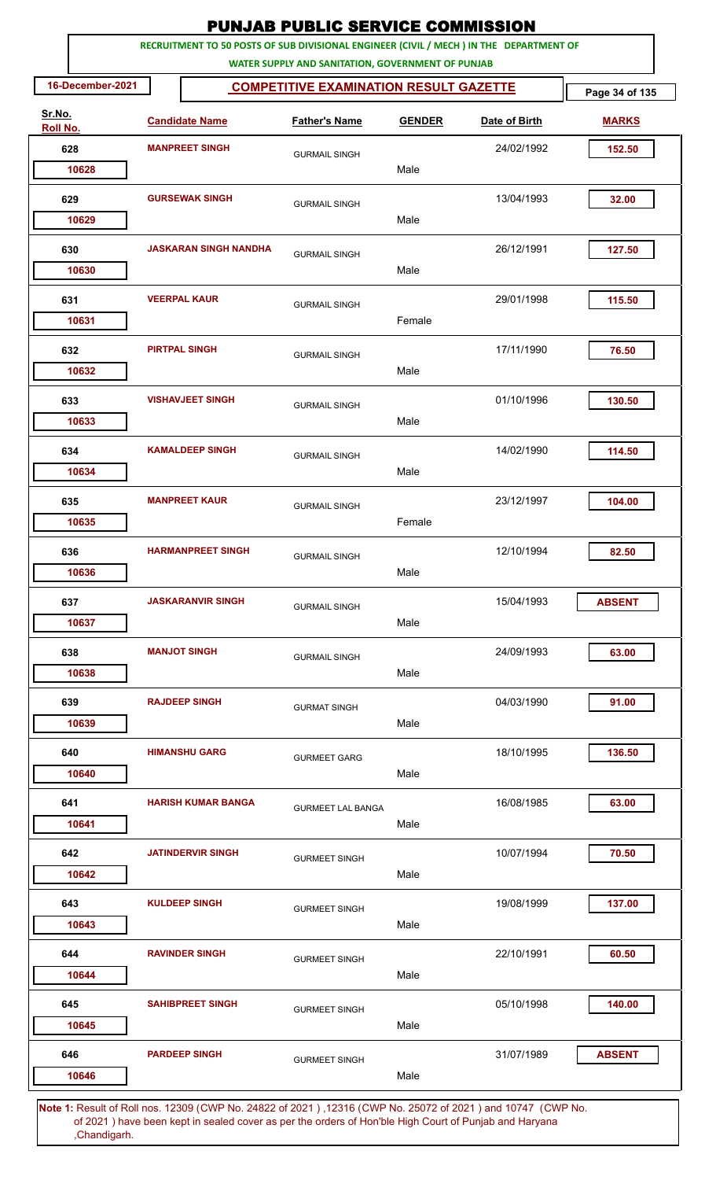|                    |                              | <b>PUNJAB PUBLIC SERVICE COMMISSION</b>                                                                                                      |               |               |                |
|--------------------|------------------------------|----------------------------------------------------------------------------------------------------------------------------------------------|---------------|---------------|----------------|
|                    |                              | RECRUITMENT TO 50 POSTS OF SUB DIVISIONAL ENGINEER (CIVIL / MECH ) IN THE DEPARTMENT OF<br>WATER SUPPLY AND SANITATION, GOVERNMENT OF PUNJAB |               |               |                |
| 16-December-2021   |                              | <b>COMPETITIVE EXAMINATION RESULT GAZETTE</b>                                                                                                |               |               | Page 34 of 135 |
| Sr.No.<br>Roll No. | <b>Candidate Name</b>        | <b>Father's Name</b>                                                                                                                         | <b>GENDER</b> | Date of Birth | <b>MARKS</b>   |
| 628                | <b>MANPREET SINGH</b>        | <b>GURMAIL SINGH</b>                                                                                                                         |               | 24/02/1992    | 152.50         |
| 10628              |                              |                                                                                                                                              | Male          |               |                |
| 629                | <b>GURSEWAK SINGH</b>        | <b>GURMAIL SINGH</b>                                                                                                                         |               | 13/04/1993    | 32.00          |
| 10629              |                              |                                                                                                                                              | Male          |               |                |
| 630<br>10630       | <b>JASKARAN SINGH NANDHA</b> | <b>GURMAIL SINGH</b>                                                                                                                         | Male          | 26/12/1991    | 127.50         |
| 631                | <b>VEERPAL KAUR</b>          | <b>GURMAIL SINGH</b>                                                                                                                         |               | 29/01/1998    | 115.50         |
| 10631              |                              |                                                                                                                                              | Female        |               |                |
| 632<br>10632       | <b>PIRTPAL SINGH</b>         | <b>GURMAIL SINGH</b>                                                                                                                         | Male          | 17/11/1990    | 76.50          |
| 633                | <b>VISHAVJEET SINGH</b>      | <b>GURMAIL SINGH</b>                                                                                                                         |               | 01/10/1996    | 130.50         |
| 10633              |                              |                                                                                                                                              | Male          |               |                |
| 634<br>10634       | <b>KAMALDEEP SINGH</b>       | <b>GURMAIL SINGH</b>                                                                                                                         | Male          | 14/02/1990    | 114.50         |
|                    | <b>MANPREET KAUR</b>         |                                                                                                                                              |               | 23/12/1997    |                |
| 635<br>10635       |                              | <b>GURMAIL SINGH</b>                                                                                                                         | Female        |               | 104.00         |
| 636                | <b>HARMANPREET SINGH</b>     | <b>GURMAIL SINGH</b>                                                                                                                         |               | 12/10/1994    | 82.50          |
| 10636              |                              |                                                                                                                                              | Male          |               |                |
| 637                | <b>JASKARANVIR SINGH</b>     | <b>GURMAIL SINGH</b>                                                                                                                         | Male          | 15/04/1993    | <b>ABSENT</b>  |
| 10637              |                              |                                                                                                                                              |               |               |                |
| 638<br>10638       | <b>MANJOT SINGH</b>          | <b>GURMAIL SINGH</b>                                                                                                                         | Male          | 24/09/1993    | 63.00          |
| 639                | <b>RAJDEEP SINGH</b>         |                                                                                                                                              |               | 04/03/1990    | 91.00          |
| 10639              |                              | <b>GURMAT SINGH</b>                                                                                                                          | Male          |               |                |
| 640                | <b>HIMANSHU GARG</b>         | <b>GURMEET GARG</b>                                                                                                                          |               | 18/10/1995    | 136.50         |
| 10640              |                              |                                                                                                                                              | Male          |               |                |
| 641<br>10641       | <b>HARISH KUMAR BANGA</b>    | <b>GURMEET LAL BANGA</b>                                                                                                                     | Male          | 16/08/1985    | 63.00          |
| 642                | <b>JATINDERVIR SINGH</b>     |                                                                                                                                              |               | 10/07/1994    | 70.50          |
| 10642              |                              | <b>GURMEET SINGH</b>                                                                                                                         | Male          |               |                |
| 643                | <b>KULDEEP SINGH</b>         | <b>GURMEET SINGH</b>                                                                                                                         |               | 19/08/1999    | 137.00         |
| 10643              |                              |                                                                                                                                              | Male          |               |                |
| 644                | <b>RAVINDER SINGH</b>        | <b>GURMEET SINGH</b>                                                                                                                         |               | 22/10/1991    | 60.50          |
| 10644              |                              |                                                                                                                                              | Male          |               |                |
| 645<br>10645       | <b>SAHIBPREET SINGH</b>      | <b>GURMEET SINGH</b>                                                                                                                         | Male          | 05/10/1998    | 140.00         |
| 646                | <b>PARDEEP SINGH</b>         | <b>GURMEET SINGH</b>                                                                                                                         |               | 31/07/1989    | <b>ABSENT</b>  |
| 10646              |                              |                                                                                                                                              | Male          |               |                |
|                    |                              | 4. Repult of Rollings, 19200 (CMD No. 24892 of 2021), 19216 (CMD No. 25072 of 2021) and 10747 (CMD No                                        |               |               |                |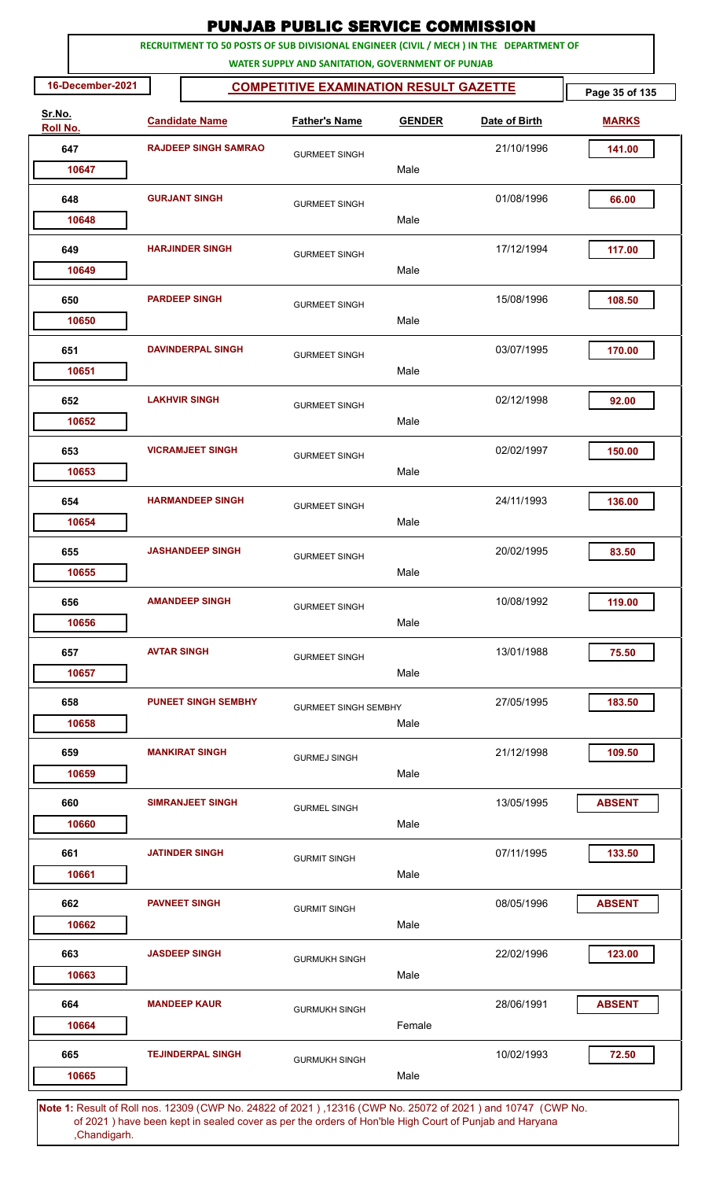|                    |                    |                             | <b>PUNJAB PUBLIC SERVICE COMMISSION</b>                                                            |        |                                                                                                             |                |
|--------------------|--------------------|-----------------------------|----------------------------------------------------------------------------------------------------|--------|-------------------------------------------------------------------------------------------------------------|----------------|
|                    |                    |                             | RECRUITMENT TO 50 POSTS OF SUB DIVISIONAL ENGINEER (CIVIL / MECH ) IN THE DEPARTMENT OF            |        |                                                                                                             |                |
| 16-December-2021   |                    |                             | WATER SUPPLY AND SANITATION, GOVERNMENT OF PUNJAB<br><b>COMPETITIVE EXAMINATION RESULT GAZETTE</b> |        |                                                                                                             | Page 35 of 135 |
| Sr.No.<br>Roll No. |                    | <b>Candidate Name</b>       | <b>Father's Name</b><br><b>GENDER</b>                                                              |        | Date of Birth                                                                                               | <b>MARKS</b>   |
| 647                |                    | <b>RAJDEEP SINGH SAMRAO</b> |                                                                                                    |        | 21/10/1996                                                                                                  | 141.00         |
| 10647              |                    |                             | <b>GURMEET SINGH</b>                                                                               | Male   |                                                                                                             |                |
| 648                |                    | <b>GURJANT SINGH</b>        | <b>GURMEET SINGH</b>                                                                               |        | 01/08/1996                                                                                                  | 66.00          |
| 10648              |                    |                             |                                                                                                    | Male   |                                                                                                             |                |
| 649                |                    | <b>HARJINDER SINGH</b>      | <b>GURMEET SINGH</b>                                                                               |        | 17/12/1994                                                                                                  | 117.00         |
| 10649              |                    |                             |                                                                                                    | Male   |                                                                                                             |                |
| 650                |                    | <b>PARDEEP SINGH</b>        | <b>GURMEET SINGH</b>                                                                               |        | 15/08/1996                                                                                                  | 108.50         |
| 10650              |                    |                             |                                                                                                    | Male   |                                                                                                             |                |
| 651                |                    | <b>DAVINDERPAL SINGH</b>    | <b>GURMEET SINGH</b>                                                                               | Male   | 03/07/1995                                                                                                  | 170.00         |
| 10651              |                    |                             |                                                                                                    |        |                                                                                                             |                |
| 652<br>10652       |                    | <b>LAKHVIR SINGH</b>        | <b>GURMEET SINGH</b>                                                                               | Male   | 02/12/1998                                                                                                  | 92.00          |
| 653                |                    | <b>VICRAMJEET SINGH</b>     |                                                                                                    |        | 02/02/1997                                                                                                  | 150.00         |
| 10653              |                    |                             | <b>GURMEET SINGH</b>                                                                               | Male   |                                                                                                             |                |
| 654                |                    | <b>HARMANDEEP SINGH</b>     | <b>GURMEET SINGH</b>                                                                               |        | 24/11/1993                                                                                                  | 136.00         |
| 10654              |                    |                             |                                                                                                    | Male   |                                                                                                             |                |
| 655                |                    | <b>JASHANDEEP SINGH</b>     | <b>GURMEET SINGH</b>                                                                               |        | 20/02/1995                                                                                                  | 83.50          |
| 10655              |                    |                             |                                                                                                    | Male   |                                                                                                             |                |
| 656                |                    | <b>AMANDEEP SINGH</b>       | <b>GURMEET SINGH</b>                                                                               |        | 10/08/1992                                                                                                  | 119.00         |
| 10656              |                    |                             |                                                                                                    | Male   |                                                                                                             |                |
| 657                | <b>AVTAR SINGH</b> |                             | <b>GURMEET SINGH</b>                                                                               |        | 13/01/1988                                                                                                  | 75.50          |
| 10657              |                    |                             |                                                                                                    | Male   |                                                                                                             |                |
| 658                |                    | <b>PUNEET SINGH SEMBHY</b>  | <b>GURMEET SINGH SEMBHY</b>                                                                        | Male   | 27/05/1995                                                                                                  | 183.50         |
| 10658              |                    |                             |                                                                                                    |        |                                                                                                             |                |
| 659<br>10659       |                    | <b>MANKIRAT SINGH</b>       | <b>GURMEJ SINGH</b>                                                                                | Male   | 21/12/1998                                                                                                  | 109.50         |
| 660                |                    | <b>SIMRANJEET SINGH</b>     |                                                                                                    |        | 13/05/1995                                                                                                  | <b>ABSENT</b>  |
| 10660              |                    |                             | <b>GURMEL SINGH</b>                                                                                | Male   |                                                                                                             |                |
| 661                |                    | <b>JATINDER SINGH</b>       | <b>GURMIT SINGH</b>                                                                                |        | 07/11/1995                                                                                                  | 133.50         |
| 10661              |                    |                             |                                                                                                    | Male   |                                                                                                             |                |
| 662                |                    | <b>PAVNEET SINGH</b>        | <b>GURMIT SINGH</b>                                                                                |        | 08/05/1996                                                                                                  | <b>ABSENT</b>  |
| 10662              |                    |                             |                                                                                                    | Male   |                                                                                                             |                |
| 663                |                    | <b>JASDEEP SINGH</b>        | <b>GURMUKH SINGH</b>                                                                               |        | 22/02/1996                                                                                                  | 123.00         |
| 10663              |                    |                             |                                                                                                    | Male   |                                                                                                             |                |
| 664                |                    | <b>MANDEEP KAUR</b>         | <b>GURMUKH SINGH</b>                                                                               |        | 28/06/1991                                                                                                  | <b>ABSENT</b>  |
| 10664              |                    |                             |                                                                                                    | Female |                                                                                                             |                |
| 665<br>10665       |                    | <b>TEJINDERPAL SINGH</b>    | <b>GURMUKH SINGH</b>                                                                               | Male   | 10/02/1993                                                                                                  | 72.50          |
|                    |                    |                             |                                                                                                    |        | Note 1: Pesult of Pollings, 12309 (CMP No. 24822 of 2021), 12316 (CMP No. 25072 of 2021) and 10747 (CMP No. |                |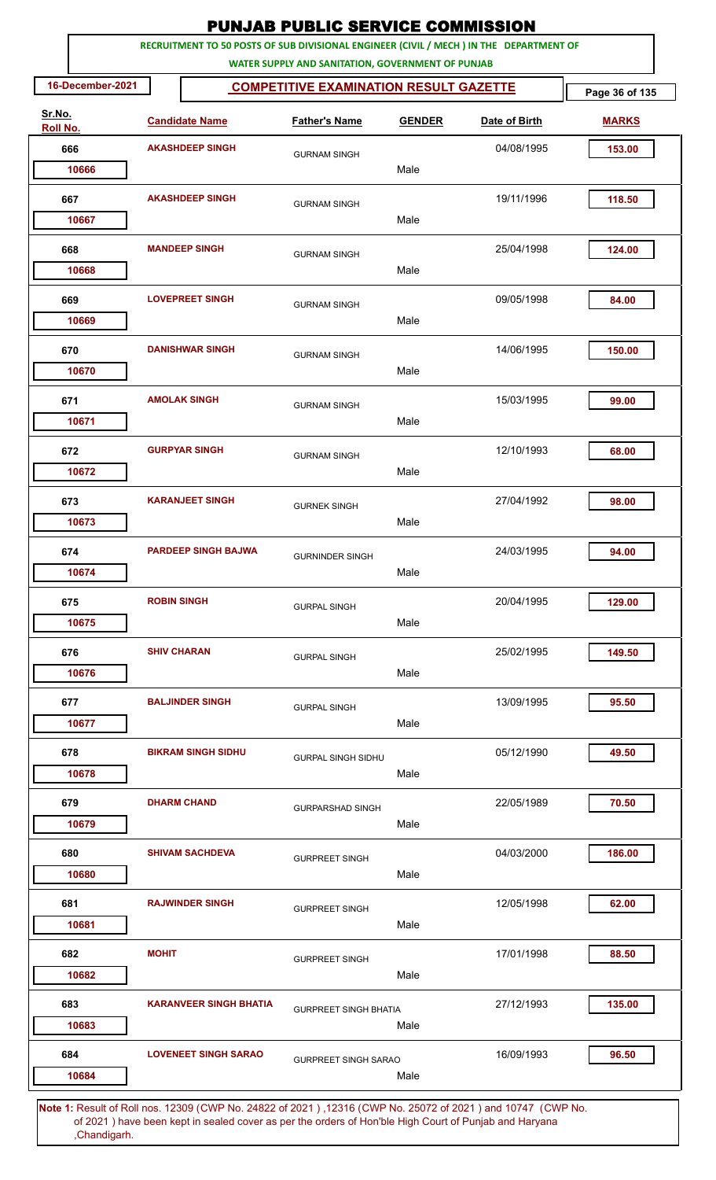|                    |                    |                                                                                         | <b>PUNJAB PUBLIC SERVICE COMMISSION</b>           |               |               |                |
|--------------------|--------------------|-----------------------------------------------------------------------------------------|---------------------------------------------------|---------------|---------------|----------------|
|                    |                    | RECRUITMENT TO 50 POSTS OF SUB DIVISIONAL ENGINEER (CIVIL / MECH ) IN THE DEPARTMENT OF | WATER SUPPLY AND SANITATION, GOVERNMENT OF PUNJAB |               |               |                |
| 16-December-2021   |                    |                                                                                         | <b>COMPETITIVE EXAMINATION RESULT GAZETTE</b>     |               |               | Page 36 of 135 |
| Sr.No.<br>Roll No. |                    | <b>Candidate Name</b>                                                                   | <b>Father's Name</b>                              | <b>GENDER</b> | Date of Birth | <b>MARKS</b>   |
| 666                |                    | <b>AKASHDEEP SINGH</b>                                                                  | <b>GURNAM SINGH</b>                               |               | 04/08/1995    | 153.00         |
| 10666              |                    |                                                                                         |                                                   | Male          |               |                |
| 667                |                    | <b>AKASHDEEP SINGH</b>                                                                  | <b>GURNAM SINGH</b>                               | Male          | 19/11/1996    | 118.50         |
| 10667              |                    |                                                                                         |                                                   |               |               |                |
| 668<br>10668       |                    | <b>MANDEEP SINGH</b>                                                                    | <b>GURNAM SINGH</b>                               | Male          | 25/04/1998    | 124.00         |
| 669<br>10669       |                    | <b>LOVEPREET SINGH</b>                                                                  | <b>GURNAM SINGH</b>                               | Male          | 09/05/1998    | 84.00          |
| 670<br>10670       |                    | <b>DANISHWAR SINGH</b>                                                                  | <b>GURNAM SINGH</b>                               | Male          | 14/06/1995    | 150.00         |
| 671<br>10671       |                    | <b>AMOLAK SINGH</b>                                                                     | <b>GURNAM SINGH</b>                               | Male          | 15/03/1995    | 99.00          |
| 672<br>10672       |                    | <b>GURPYAR SINGH</b>                                                                    | <b>GURNAM SINGH</b>                               | Male          | 12/10/1993    | 68.00          |
| 673<br>10673       |                    | <b>KARANJEET SINGH</b>                                                                  | <b>GURNEK SINGH</b>                               | Male          | 27/04/1992    | 98.00          |
| 674<br>10674       |                    | <b>PARDEEP SINGH BAJWA</b>                                                              | <b>GURNINDER SINGH</b>                            | Male          | 24/03/1995    | 94.00          |
| 675<br>10675       | <b>ROBIN SINGH</b> |                                                                                         | <b>GURPAL SINGH</b>                               | Male          | 20/04/1995    | 129.00         |
| 676<br>10676       | <b>SHIV CHARAN</b> |                                                                                         | <b>GURPAL SINGH</b>                               | Male          | 25/02/1995    | 149.50         |
| 677<br>10677       |                    | <b>BALJINDER SINGH</b>                                                                  | <b>GURPAL SINGH</b>                               | Male          | 13/09/1995    | 95.50          |
| 678<br>10678       |                    | <b>BIKRAM SINGH SIDHU</b>                                                               | <b>GURPAL SINGH SIDHU</b>                         | Male          | 05/12/1990    | 49.50          |
| 679<br>10679       |                    | <b>DHARM CHAND</b>                                                                      | <b>GURPARSHAD SINGH</b>                           | Male          | 22/05/1989    | 70.50          |
| 680<br>10680       |                    | <b>SHIVAM SACHDEVA</b>                                                                  | <b>GURPREET SINGH</b>                             | Male          | 04/03/2000    | 186.00         |
| 681<br>10681       |                    | <b>RAJWINDER SINGH</b>                                                                  | <b>GURPREET SINGH</b>                             | Male          | 12/05/1998    | 62.00          |
| 682<br>10682       | <b>MOHIT</b>       |                                                                                         | <b>GURPREET SINGH</b>                             | Male          | 17/01/1998    | 88.50          |
| 683<br>10683       |                    | <b>KARANVEER SINGH BHATIA</b>                                                           | <b>GURPREET SINGH BHATIA</b>                      | Male          | 27/12/1993    | 135.00         |
| 684<br>10684       |                    | <b>LOVENEET SINGH SARAO</b>                                                             | <b>GURPREET SINGH SARAO</b>                       | Male          | 16/09/1993    | 96.50          |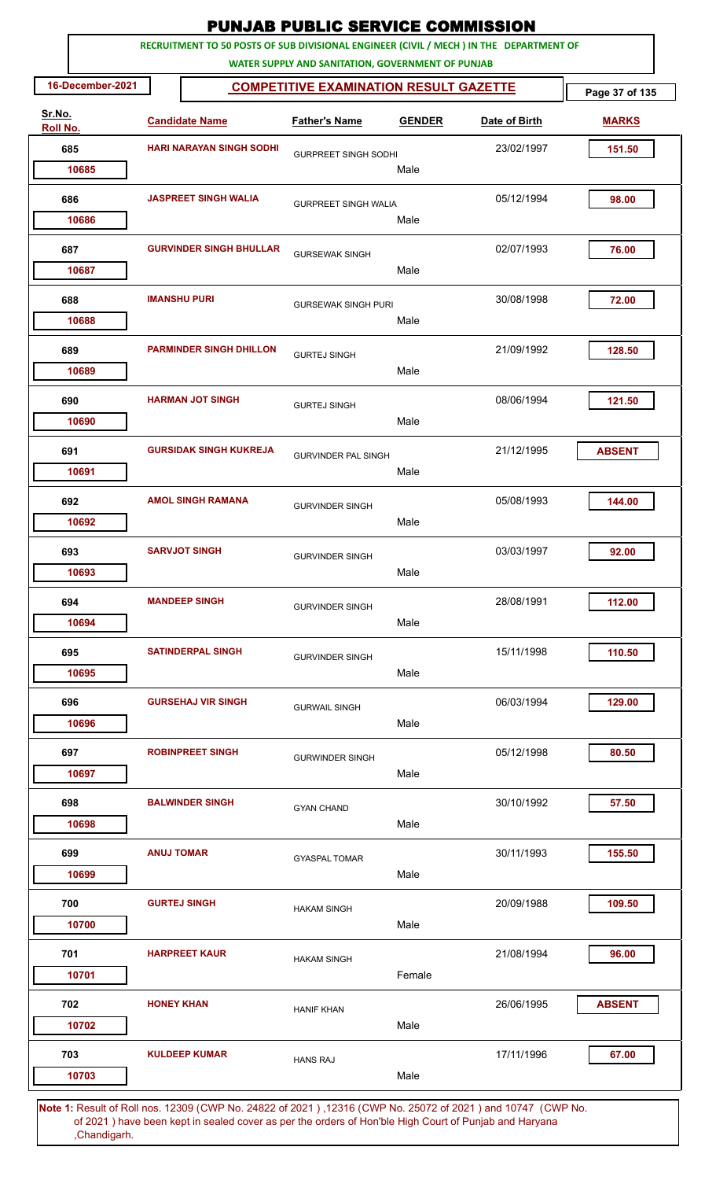| <b>PUNJAB PUBLIC SERVICE COMMISSION</b> |                   |                                                                                         |                                                                                                    |               |                                                                                                                  |                |  |  |  |
|-----------------------------------------|-------------------|-----------------------------------------------------------------------------------------|----------------------------------------------------------------------------------------------------|---------------|------------------------------------------------------------------------------------------------------------------|----------------|--|--|--|
|                                         |                   | RECRUITMENT TO 50 POSTS OF SUB DIVISIONAL ENGINEER (CIVIL / MECH ) IN THE DEPARTMENT OF |                                                                                                    |               |                                                                                                                  |                |  |  |  |
| 16-December-2021                        |                   |                                                                                         | WATER SUPPLY AND SANITATION, GOVERNMENT OF PUNJAB<br><b>COMPETITIVE EXAMINATION RESULT GAZETTE</b> |               |                                                                                                                  | Page 37 of 135 |  |  |  |
| Sr.No.                                  |                   |                                                                                         |                                                                                                    |               |                                                                                                                  |                |  |  |  |
| Roll No.                                |                   | <b>Candidate Name</b>                                                                   | <b>Father's Name</b>                                                                               | <b>GENDER</b> | Date of Birth                                                                                                    | <b>MARKS</b>   |  |  |  |
| 685                                     |                   | <b>HARI NARAYAN SINGH SODHI</b>                                                         | <b>GURPREET SINGH SODHI</b>                                                                        |               | 23/02/1997                                                                                                       | 151.50         |  |  |  |
| 10685                                   |                   |                                                                                         |                                                                                                    | Male          |                                                                                                                  |                |  |  |  |
| 686                                     |                   | <b>JASPREET SINGH WALIA</b>                                                             | <b>GURPREET SINGH WALIA</b>                                                                        |               | 05/12/1994                                                                                                       | 98.00          |  |  |  |
| 10686                                   |                   |                                                                                         |                                                                                                    | Male          |                                                                                                                  |                |  |  |  |
| 687                                     |                   | <b>GURVINDER SINGH BHULLAR</b>                                                          | <b>GURSEWAK SINGH</b>                                                                              |               | 02/07/1993                                                                                                       | 76.00          |  |  |  |
| 10687                                   |                   |                                                                                         |                                                                                                    | Male          |                                                                                                                  |                |  |  |  |
| 688                                     |                   | <b>IMANSHU PURI</b>                                                                     | <b>GURSEWAK SINGH PURI</b>                                                                         |               | 30/08/1998                                                                                                       | 72.00          |  |  |  |
| 10688                                   |                   |                                                                                         |                                                                                                    | Male          |                                                                                                                  |                |  |  |  |
| 689                                     |                   | <b>PARMINDER SINGH DHILLON</b>                                                          | <b>GURTEJ SINGH</b>                                                                                |               | 21/09/1992                                                                                                       | 128.50         |  |  |  |
| 10689                                   |                   |                                                                                         |                                                                                                    | Male          |                                                                                                                  |                |  |  |  |
| 690                                     |                   | <b>HARMAN JOT SINGH</b>                                                                 | <b>GURTEJ SINGH</b>                                                                                |               | 08/06/1994                                                                                                       | 121.50         |  |  |  |
| 10690                                   |                   |                                                                                         |                                                                                                    | Male          |                                                                                                                  |                |  |  |  |
| 691                                     |                   | <b>GURSIDAK SINGH KUKREJA</b>                                                           | <b>GURVINDER PAL SINGH</b>                                                                         |               | 21/12/1995                                                                                                       | <b>ABSENT</b>  |  |  |  |
| 10691                                   |                   |                                                                                         |                                                                                                    | Male          |                                                                                                                  |                |  |  |  |
| 692                                     |                   | <b>AMOL SINGH RAMANA</b>                                                                | <b>GURVINDER SINGH</b>                                                                             |               | 05/08/1993                                                                                                       | 144.00         |  |  |  |
| 10692                                   |                   |                                                                                         |                                                                                                    | Male          |                                                                                                                  |                |  |  |  |
| 693                                     |                   | <b>SARVJOT SINGH</b>                                                                    |                                                                                                    |               | 03/03/1997                                                                                                       | 92.00          |  |  |  |
| 10693                                   |                   |                                                                                         | <b>GURVINDER SINGH</b>                                                                             | Male          |                                                                                                                  |                |  |  |  |
| 694                                     |                   | <b>MANDEEP SINGH</b>                                                                    |                                                                                                    |               | 28/08/1991                                                                                                       | 112.00         |  |  |  |
| 10694                                   |                   |                                                                                         | <b>GURVINDER SINGH</b>                                                                             | Male          |                                                                                                                  |                |  |  |  |
| 695                                     |                   | <b>SATINDERPAL SINGH</b>                                                                |                                                                                                    |               | 15/11/1998                                                                                                       | 110.50         |  |  |  |
| 10695                                   |                   |                                                                                         | <b>GURVINDER SINGH</b>                                                                             | Male          |                                                                                                                  |                |  |  |  |
| 696                                     |                   | <b>GURSEHAJ VIR SINGH</b>                                                               |                                                                                                    |               | 06/03/1994                                                                                                       | 129.00         |  |  |  |
| 10696                                   |                   |                                                                                         | <b>GURWAIL SINGH</b>                                                                               | Male          |                                                                                                                  |                |  |  |  |
|                                         |                   |                                                                                         |                                                                                                    |               |                                                                                                                  |                |  |  |  |
| 697<br>10697                            |                   | <b>ROBINPREET SINGH</b>                                                                 | <b>GURWINDER SINGH</b>                                                                             | Male          | 05/12/1998                                                                                                       | 80.50          |  |  |  |
|                                         |                   |                                                                                         |                                                                                                    |               |                                                                                                                  |                |  |  |  |
| 698<br>10698                            |                   | <b>BALWINDER SINGH</b>                                                                  | <b>GYAN CHAND</b>                                                                                  | Male          | 30/10/1992                                                                                                       | 57.50          |  |  |  |
|                                         |                   |                                                                                         |                                                                                                    |               |                                                                                                                  |                |  |  |  |
| 699                                     | <b>ANUJ TOMAR</b> |                                                                                         | <b>GYASPAL TOMAR</b>                                                                               |               | 30/11/1993                                                                                                       | 155.50         |  |  |  |
| 10699                                   |                   |                                                                                         |                                                                                                    | Male          |                                                                                                                  |                |  |  |  |
| 700                                     |                   | <b>GURTEJ SINGH</b>                                                                     | <b>HAKAM SINGH</b>                                                                                 |               | 20/09/1988                                                                                                       | 109.50         |  |  |  |
| 10700                                   |                   |                                                                                         |                                                                                                    | Male          |                                                                                                                  |                |  |  |  |
| 701                                     |                   | <b>HARPREET KAUR</b>                                                                    | <b>HAKAM SINGH</b>                                                                                 |               | 21/08/1994                                                                                                       | 96.00          |  |  |  |
| 10701                                   |                   |                                                                                         |                                                                                                    | Female        |                                                                                                                  |                |  |  |  |
| 702                                     | <b>HONEY KHAN</b> |                                                                                         | <b>HANIF KHAN</b>                                                                                  |               | 26/06/1995                                                                                                       | <b>ABSENT</b>  |  |  |  |
| 10702                                   |                   |                                                                                         |                                                                                                    | Male          |                                                                                                                  |                |  |  |  |
| 703                                     |                   | <b>KULDEEP KUMAR</b>                                                                    | <b>HANS RAJ</b>                                                                                    |               | 17/11/1996                                                                                                       | 67.00          |  |  |  |
| 10703                                   |                   |                                                                                         |                                                                                                    | Male          |                                                                                                                  |                |  |  |  |
|                                         |                   |                                                                                         |                                                                                                    |               | <b>Note 1:</b> Result of Roll nos 12309 (CWP No. 24822 of 2021) 12316 (CWP No. 25072 of 2021) and 10747 (CWP No. |                |  |  |  |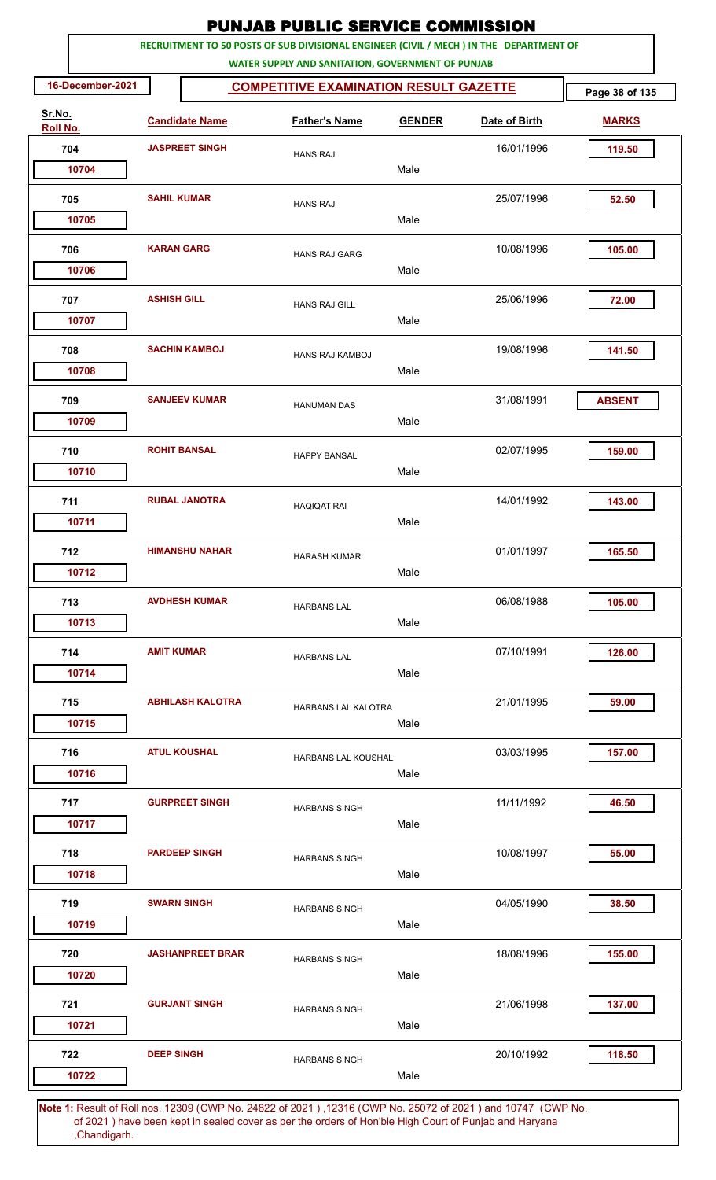|                    |                    |                         | <b>PUNJAB PUBLIC SERVICE COMMISSION</b>                                                                                                      |               |               |                |
|--------------------|--------------------|-------------------------|----------------------------------------------------------------------------------------------------------------------------------------------|---------------|---------------|----------------|
|                    |                    |                         | RECRUITMENT TO 50 POSTS OF SUB DIVISIONAL ENGINEER (CIVIL / MECH ) IN THE DEPARTMENT OF<br>WATER SUPPLY AND SANITATION, GOVERNMENT OF PUNJAB |               |               |                |
| 16-December-2021   |                    |                         | <b>COMPETITIVE EXAMINATION RESULT GAZETTE</b>                                                                                                |               |               | Page 38 of 135 |
| Sr.No.<br>Roll No. |                    | <b>Candidate Name</b>   | <b>Father's Name</b>                                                                                                                         | <b>GENDER</b> | Date of Birth | <b>MARKS</b>   |
| 704                |                    | <b>JASPREET SINGH</b>   | <b>HANS RAJ</b>                                                                                                                              |               | 16/01/1996    | 119.50         |
| 10704              |                    |                         |                                                                                                                                              | Male          |               |                |
| 705                | <b>SAHIL KUMAR</b> |                         | <b>HANS RAJ</b>                                                                                                                              |               | 25/07/1996    | 52.50          |
| 10705              |                    |                         |                                                                                                                                              | Male          |               |                |
| 706<br>10706       | <b>KARAN GARG</b>  |                         | <b>HANS RAJ GARG</b>                                                                                                                         | Male          | 10/08/1996    | 105.00         |
|                    |                    |                         |                                                                                                                                              |               |               |                |
| 707<br>10707       | <b>ASHISH GILL</b> |                         | <b>HANS RAJ GILL</b>                                                                                                                         | Male          | 25/06/1996    | 72.00          |
| 708                |                    | <b>SACHIN KAMBOJ</b>    | <b>HANS RAJ KAMBOJ</b>                                                                                                                       |               | 19/08/1996    | 141.50         |
| 10708              |                    |                         |                                                                                                                                              | Male          |               |                |
| 709<br>10709       |                    | <b>SANJEEV KUMAR</b>    | <b>HANUMAN DAS</b>                                                                                                                           | Male          | 31/08/1991    | <b>ABSENT</b>  |
|                    |                    |                         |                                                                                                                                              |               |               |                |
| 710<br>10710       |                    | <b>ROHIT BANSAL</b>     | <b>HAPPY BANSAL</b>                                                                                                                          | Male          | 02/07/1995    | 159.00         |
| 711                |                    | <b>RUBAL JANOTRA</b>    | <b>HAQIQAT RAI</b>                                                                                                                           |               | 14/01/1992    | 143.00         |
| 10711              |                    |                         |                                                                                                                                              | Male          |               |                |
| 712                |                    | <b>HIMANSHU NAHAR</b>   | <b>HARASH KUMAR</b>                                                                                                                          |               | 01/01/1997    | 165.50         |
| 10712              |                    |                         |                                                                                                                                              | Male          |               |                |
| 713                |                    | <b>AVDHESH KUMAR</b>    | <b>HARBANS LAL</b>                                                                                                                           |               | 06/08/1988    | 105.00         |
| 10713              |                    |                         |                                                                                                                                              | Male          |               |                |
| 714                | <b>AMIT KUMAR</b>  |                         | <b>HARBANS LAL</b>                                                                                                                           |               | 07/10/1991    | 126.00         |
| 10714              |                    |                         |                                                                                                                                              | Male          |               |                |
| 715                |                    | <b>ABHILASH KALOTRA</b> | HARBANS LAL KALOTRA                                                                                                                          |               | 21/01/1995    | 59.00          |
| 10715              |                    |                         |                                                                                                                                              | Male          |               |                |
| 716<br>10716       |                    | <b>ATUL KOUSHAL</b>     | HARBANS LAL KOUSHAL                                                                                                                          | Male          | 03/03/1995    | 157.00         |
|                    |                    |                         |                                                                                                                                              |               |               |                |
| 717<br>10717       |                    | <b>GURPREET SINGH</b>   | <b>HARBANS SINGH</b>                                                                                                                         | Male          | 11/11/1992    | 46.50          |
| 718                |                    | <b>PARDEEP SINGH</b>    |                                                                                                                                              |               | 10/08/1997    | 55.00          |
| 10718              |                    |                         | <b>HARBANS SINGH</b>                                                                                                                         | Male          |               |                |
| 719                | <b>SWARN SINGH</b> |                         | <b>HARBANS SINGH</b>                                                                                                                         |               | 04/05/1990    | 38.50          |
| 10719              |                    |                         |                                                                                                                                              | Male          |               |                |
| 720                |                    | <b>JASHANPREET BRAR</b> | <b>HARBANS SINGH</b>                                                                                                                         |               | 18/08/1996    | 155.00         |
| 10720              |                    |                         |                                                                                                                                              | Male          |               |                |
| 721                |                    | <b>GURJANT SINGH</b>    | <b>HARBANS SINGH</b>                                                                                                                         |               | 21/06/1998    | 137.00         |
| 10721              |                    |                         |                                                                                                                                              | Male          |               |                |
| 722                | <b>DEEP SINGH</b>  |                         | <b>HARBANS SINGH</b>                                                                                                                         |               | 20/10/1992    | 118.50         |
| 10722              |                    |                         |                                                                                                                                              | Male          |               |                |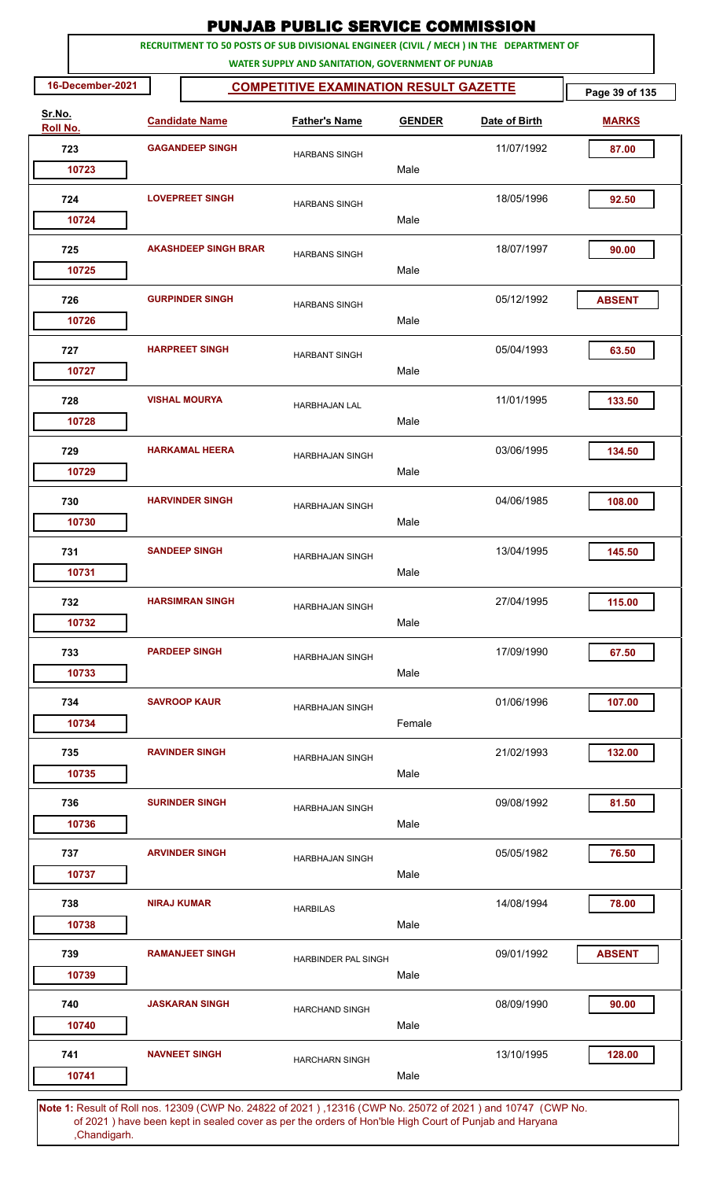|                    | <b>PUNJAB PUBLIC SERVICE COMMISSION</b>                                                                                                      |                        |                             |                                               |               |               |                |  |  |  |  |
|--------------------|----------------------------------------------------------------------------------------------------------------------------------------------|------------------------|-----------------------------|-----------------------------------------------|---------------|---------------|----------------|--|--|--|--|
|                    | RECRUITMENT TO 50 POSTS OF SUB DIVISIONAL ENGINEER (CIVIL / MECH ) IN THE DEPARTMENT OF<br>WATER SUPPLY AND SANITATION, GOVERNMENT OF PUNJAB |                        |                             |                                               |               |               |                |  |  |  |  |
|                    | 16-December-2021                                                                                                                             |                        |                             | <b>COMPETITIVE EXAMINATION RESULT GAZETTE</b> |               |               | Page 39 of 135 |  |  |  |  |
| Sr.No.<br>Roll No. |                                                                                                                                              |                        | <b>Candidate Name</b>       | <b>Father's Name</b>                          | <b>GENDER</b> | Date of Birth | <b>MARKS</b>   |  |  |  |  |
|                    | 723                                                                                                                                          | <b>GAGANDEEP SINGH</b> |                             | <b>HARBANS SINGH</b>                          |               | 11/07/1992    | 87.00          |  |  |  |  |
|                    | 10723                                                                                                                                        |                        |                             |                                               | Male          |               |                |  |  |  |  |
|                    | 724                                                                                                                                          |                        | <b>LOVEPREET SINGH</b>      | <b>HARBANS SINGH</b>                          |               | 18/05/1996    | 92.50          |  |  |  |  |
|                    | 10724                                                                                                                                        |                        |                             |                                               | Male          |               |                |  |  |  |  |
|                    | 725<br>10725                                                                                                                                 |                        | <b>AKASHDEEP SINGH BRAR</b> | <b>HARBANS SINGH</b>                          | Male          | 18/07/1997    | 90.00          |  |  |  |  |
|                    | 726                                                                                                                                          |                        | <b>GURPINDER SINGH</b>      | <b>HARBANS SINGH</b>                          |               | 05/12/1992    | <b>ABSENT</b>  |  |  |  |  |
|                    | 10726                                                                                                                                        |                        |                             |                                               | Male          |               |                |  |  |  |  |
|                    | 727<br>10727                                                                                                                                 |                        | <b>HARPREET SINGH</b>       | <b>HARBANT SINGH</b>                          | Male          | 05/04/1993    | 63.50          |  |  |  |  |
|                    | 728                                                                                                                                          |                        | <b>VISHAL MOURYA</b>        |                                               |               | 11/01/1995    | 133.50         |  |  |  |  |
|                    | 10728                                                                                                                                        |                        |                             | <b>HARBHAJAN LAL</b>                          | Male          |               |                |  |  |  |  |
|                    | 729                                                                                                                                          |                        | <b>HARKAMAL HEERA</b>       | <b>HARBHAJAN SINGH</b>                        |               | 03/06/1995    | 134.50         |  |  |  |  |
|                    | 10729                                                                                                                                        |                        |                             |                                               | Male          |               |                |  |  |  |  |
|                    | 730                                                                                                                                          |                        | <b>HARVINDER SINGH</b>      | <b>HARBHAJAN SINGH</b>                        |               | 04/06/1985    | 108.00         |  |  |  |  |
|                    | 10730                                                                                                                                        |                        |                             |                                               | Male          |               |                |  |  |  |  |
|                    | 731                                                                                                                                          |                        | <b>SANDEEP SINGH</b>        | <b>HARBHAJAN SINGH</b>                        |               | 13/04/1995    | 145.50         |  |  |  |  |
|                    | 10731                                                                                                                                        |                        |                             |                                               | Male          |               |                |  |  |  |  |
|                    | 732                                                                                                                                          |                        | <b>HARSIMRAN SINGH</b>      | <b>HARBHAJAN SINGH</b>                        |               | 27/04/1995    | 115.00         |  |  |  |  |
|                    | 10732                                                                                                                                        |                        |                             |                                               | Male          |               |                |  |  |  |  |
|                    | 733                                                                                                                                          |                        | <b>PARDEEP SINGH</b>        | <b>HARBHAJAN SINGH</b>                        |               | 17/09/1990    | 67.50          |  |  |  |  |
|                    | 10733                                                                                                                                        |                        |                             |                                               | Male          |               |                |  |  |  |  |
|                    | 734                                                                                                                                          |                        | <b>SAVROOP KAUR</b>         | <b>HARBHAJAN SINGH</b>                        |               | 01/06/1996    | 107.00         |  |  |  |  |
|                    | 10734                                                                                                                                        |                        |                             |                                               | Female        |               |                |  |  |  |  |
|                    | 735                                                                                                                                          |                        | <b>RAVINDER SINGH</b>       | <b>HARBHAJAN SINGH</b>                        |               | 21/02/1993    | 132.00         |  |  |  |  |
|                    | 10735                                                                                                                                        |                        |                             |                                               | Male          |               |                |  |  |  |  |
|                    | 736                                                                                                                                          |                        | <b>SURINDER SINGH</b>       | <b>HARBHAJAN SINGH</b>                        |               | 09/08/1992    | 81.50          |  |  |  |  |
|                    | 10736                                                                                                                                        |                        |                             |                                               | Male          |               |                |  |  |  |  |
|                    | 737                                                                                                                                          |                        | <b>ARVINDER SINGH</b>       | <b>HARBHAJAN SINGH</b>                        |               | 05/05/1982    | 76.50          |  |  |  |  |
|                    | 10737                                                                                                                                        |                        |                             |                                               | Male          |               |                |  |  |  |  |
|                    | 738                                                                                                                                          | <b>NIRAJ KUMAR</b>     |                             | <b>HARBILAS</b>                               |               | 14/08/1994    | 78.00          |  |  |  |  |
|                    | 10738                                                                                                                                        |                        |                             |                                               | Male          |               |                |  |  |  |  |
|                    | 739                                                                                                                                          |                        | <b>RAMANJEET SINGH</b>      | <b>HARBINDER PAL SINGH</b>                    |               | 09/01/1992    | <b>ABSENT</b>  |  |  |  |  |
|                    | 10739                                                                                                                                        |                        |                             |                                               | Male          |               |                |  |  |  |  |
|                    | 740<br>10740                                                                                                                                 |                        | <b>JASKARAN SINGH</b>       | <b>HARCHAND SINGH</b>                         | Male          | 08/09/1990    | 90.00          |  |  |  |  |
|                    | 741                                                                                                                                          |                        | <b>NAVNEET SINGH</b>        | <b>HARCHARN SINGH</b>                         |               | 13/10/1995    | 128.00         |  |  |  |  |
|                    | 10741                                                                                                                                        |                        |                             |                                               | Male          |               |                |  |  |  |  |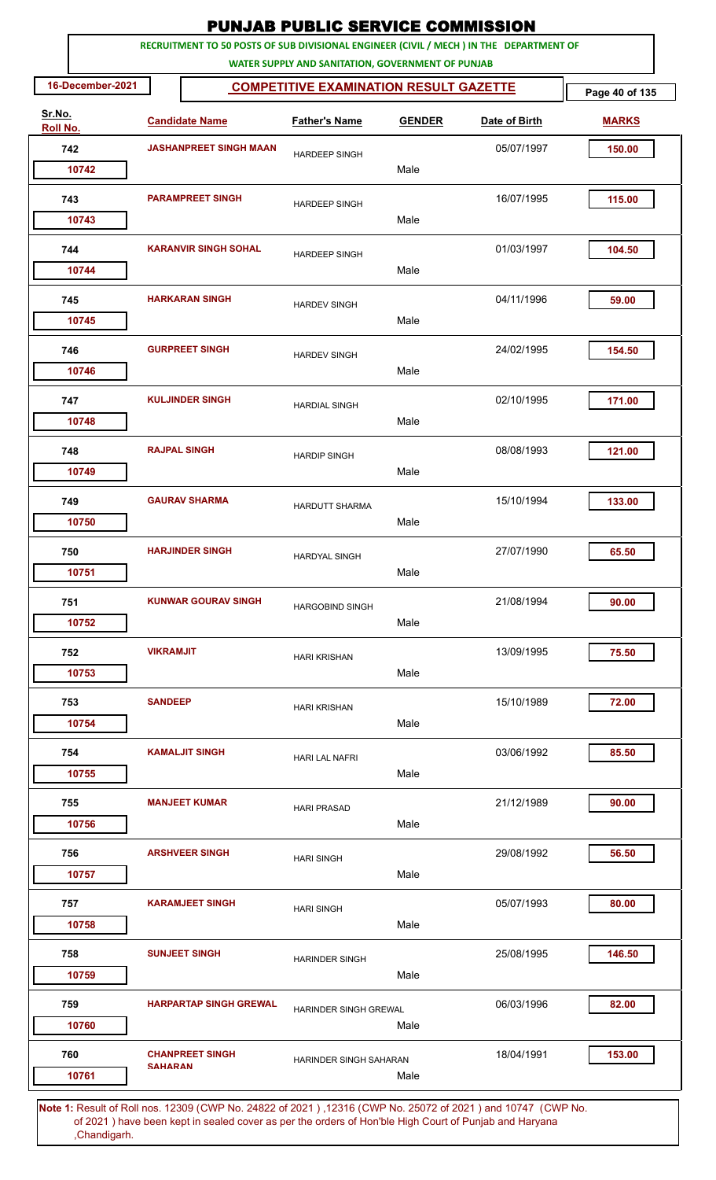|                           | <b>PUNJAB PUBLIC SERVICE COMMISSION</b><br>RECRUITMENT TO 50 POSTS OF SUB DIVISIONAL ENGINEER (CIVIL / MECH ) IN THE DEPARTMENT OF |                                                                                                              |                                                   |               |               |                |  |  |  |  |  |
|---------------------------|------------------------------------------------------------------------------------------------------------------------------------|--------------------------------------------------------------------------------------------------------------|---------------------------------------------------|---------------|---------------|----------------|--|--|--|--|--|
|                           |                                                                                                                                    |                                                                                                              | WATER SUPPLY AND SANITATION, GOVERNMENT OF PUNJAB |               |               |                |  |  |  |  |  |
| 16-December-2021          |                                                                                                                                    |                                                                                                              | <b>COMPETITIVE EXAMINATION RESULT GAZETTE</b>     |               |               | Page 40 of 135 |  |  |  |  |  |
| Sr.No.<br><b>Roll No.</b> |                                                                                                                                    | <b>Candidate Name</b>                                                                                        | <b>Father's Name</b>                              | <b>GENDER</b> | Date of Birth | <b>MARKS</b>   |  |  |  |  |  |
| 742                       |                                                                                                                                    | <b>JASHANPREET SINGH MAAN</b>                                                                                | <b>HARDEEP SINGH</b>                              |               | 05/07/1997    | 150.00         |  |  |  |  |  |
| 10742                     |                                                                                                                                    |                                                                                                              |                                                   | Male          |               |                |  |  |  |  |  |
| 743                       |                                                                                                                                    | <b>PARAMPREET SINGH</b>                                                                                      | <b>HARDEEP SINGH</b>                              |               | 16/07/1995    | 115.00         |  |  |  |  |  |
| 10743                     |                                                                                                                                    |                                                                                                              |                                                   | Male          |               |                |  |  |  |  |  |
| 744                       | <b>KARANVIR SINGH SOHAL</b>                                                                                                        |                                                                                                              | <b>HARDEEP SINGH</b>                              |               | 01/03/1997    | 104.50         |  |  |  |  |  |
| 10744                     |                                                                                                                                    |                                                                                                              |                                                   | Male          |               |                |  |  |  |  |  |
| 745                       | <b>HARKARAN SINGH</b>                                                                                                              |                                                                                                              | <b>HARDEV SINGH</b>                               |               | 04/11/1996    | 59.00          |  |  |  |  |  |
| 10745                     |                                                                                                                                    |                                                                                                              |                                                   | Male          |               |                |  |  |  |  |  |
| 746                       |                                                                                                                                    | <b>GURPREET SINGH</b>                                                                                        | <b>HARDEV SINGH</b>                               |               | 24/02/1995    | 154.50         |  |  |  |  |  |
| 10746                     |                                                                                                                                    |                                                                                                              |                                                   | Male          |               |                |  |  |  |  |  |
| 747                       |                                                                                                                                    | <b>KULJINDER SINGH</b>                                                                                       | <b>HARDIAL SINGH</b>                              |               | 02/10/1995    | 171.00         |  |  |  |  |  |
| 10748                     |                                                                                                                                    |                                                                                                              |                                                   | Male          |               |                |  |  |  |  |  |
| 748                       |                                                                                                                                    | <b>RAJPAL SINGH</b>                                                                                          | <b>HARDIP SINGH</b>                               |               | 08/08/1993    | 121.00         |  |  |  |  |  |
| 10749                     |                                                                                                                                    |                                                                                                              |                                                   | Male          |               |                |  |  |  |  |  |
| 749                       |                                                                                                                                    | <b>GAURAV SHARMA</b>                                                                                         | <b>HARDUTT SHARMA</b>                             |               | 15/10/1994    | 133.00         |  |  |  |  |  |
| 10750                     |                                                                                                                                    |                                                                                                              |                                                   | Male          |               |                |  |  |  |  |  |
| 750                       |                                                                                                                                    | <b>HARJINDER SINGH</b>                                                                                       | <b>HARDYAL SINGH</b>                              |               | 27/07/1990    | 65.50          |  |  |  |  |  |
| 10751                     |                                                                                                                                    |                                                                                                              |                                                   | Male          |               |                |  |  |  |  |  |
| 751                       |                                                                                                                                    | <b>KUNWAR GOURAV SINGH</b>                                                                                   | <b>HARGOBIND SINGH</b>                            |               | 21/08/1994    | 90.00          |  |  |  |  |  |
| 10752                     |                                                                                                                                    |                                                                                                              |                                                   | Male          |               |                |  |  |  |  |  |
| 752                       | <b>VIKRAMJIT</b>                                                                                                                   |                                                                                                              | <b>HARI KRISHAN</b>                               |               | 13/09/1995    | 75.50          |  |  |  |  |  |
| 10753                     |                                                                                                                                    |                                                                                                              |                                                   | Male          |               |                |  |  |  |  |  |
| 753                       | <b>SANDEEP</b>                                                                                                                     |                                                                                                              | <b>HARI KRISHAN</b>                               |               | 15/10/1989    | 72.00          |  |  |  |  |  |
| 10754                     |                                                                                                                                    |                                                                                                              |                                                   | Male          |               |                |  |  |  |  |  |
| 754                       |                                                                                                                                    | <b>KAMALJIT SINGH</b>                                                                                        | <b>HARI LAL NAFRI</b>                             |               | 03/06/1992    | 85.50          |  |  |  |  |  |
| 10755                     |                                                                                                                                    |                                                                                                              |                                                   | Male          |               |                |  |  |  |  |  |
| 755                       |                                                                                                                                    | <b>MANJEET KUMAR</b>                                                                                         | <b>HARI PRASAD</b>                                |               | 21/12/1989    | 90.00          |  |  |  |  |  |
| 10756                     |                                                                                                                                    |                                                                                                              |                                                   | Male          |               |                |  |  |  |  |  |
| 756                       |                                                                                                                                    | <b>ARSHVEER SINGH</b>                                                                                        | <b>HARI SINGH</b>                                 |               | 29/08/1992    | 56.50          |  |  |  |  |  |
| 10757                     |                                                                                                                                    |                                                                                                              |                                                   | Male          |               |                |  |  |  |  |  |
| 757                       |                                                                                                                                    | <b>KARAMJEET SINGH</b>                                                                                       | <b>HARI SINGH</b>                                 |               | 05/07/1993    | 80.00          |  |  |  |  |  |
| 10758                     |                                                                                                                                    |                                                                                                              |                                                   | Male          |               |                |  |  |  |  |  |
| 758                       |                                                                                                                                    | <b>SUNJEET SINGH</b>                                                                                         | <b>HARINDER SINGH</b>                             |               | 25/08/1995    | 146.50         |  |  |  |  |  |
| 10759                     |                                                                                                                                    |                                                                                                              |                                                   | Male          |               |                |  |  |  |  |  |
| 759                       |                                                                                                                                    | <b>HARPARTAP SINGH GREWAL</b>                                                                                | HARINDER SINGH GREWAL                             |               | 06/03/1996    | 82.00          |  |  |  |  |  |
| 10760                     |                                                                                                                                    |                                                                                                              |                                                   | Male          |               |                |  |  |  |  |  |
| 760                       |                                                                                                                                    | <b>CHANPREET SINGH</b>                                                                                       | HARINDER SINGH SAHARAN                            |               | 18/04/1991    | 153.00         |  |  |  |  |  |
| 10761                     | <b>SAHARAN</b>                                                                                                                     |                                                                                                              |                                                   | Male          |               |                |  |  |  |  |  |
|                           |                                                                                                                                    | Note 1: Pesult of Pollings, 12300 (CMP No. 24822 of 2021), 12316 (CMP No. 25072 of 2021) and 10747. (CMP No. |                                                   |               |               |                |  |  |  |  |  |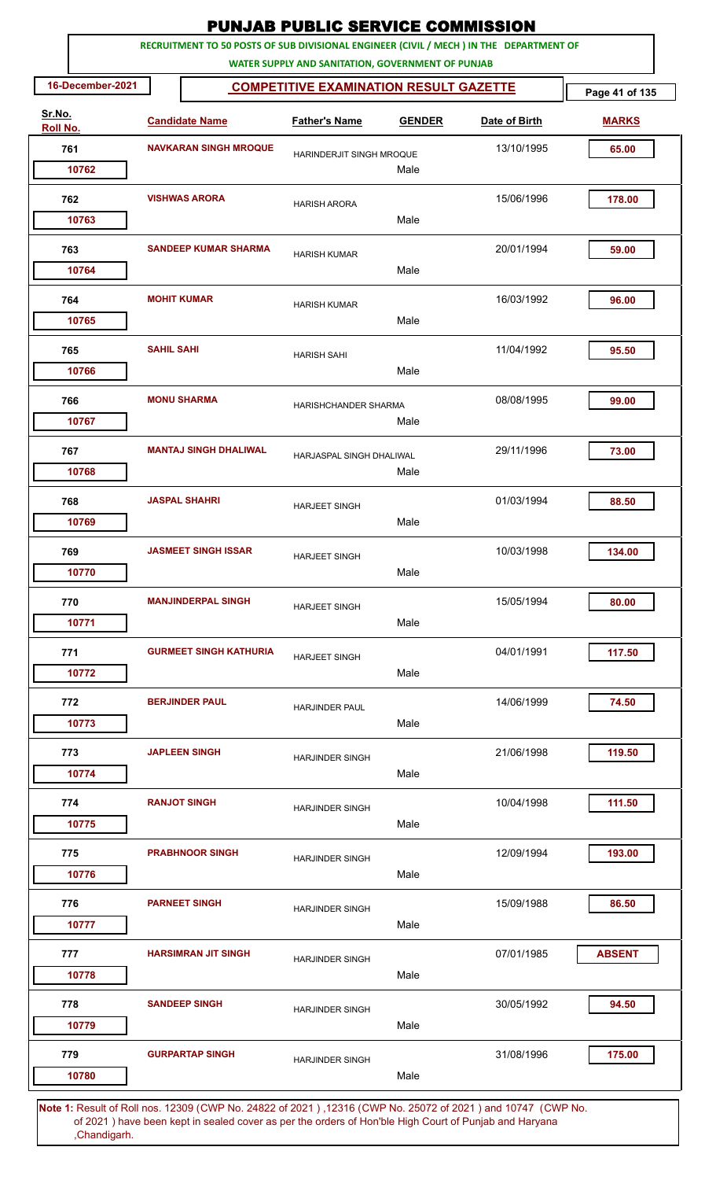|                    |                    |                               | <b>PUNJAB PUBLIC SERVICE COMMISSION</b>           |               |                                                                                         |                |
|--------------------|--------------------|-------------------------------|---------------------------------------------------|---------------|-----------------------------------------------------------------------------------------|----------------|
|                    |                    |                               | WATER SUPPLY AND SANITATION, GOVERNMENT OF PUNJAB |               | RECRUITMENT TO 50 POSTS OF SUB DIVISIONAL ENGINEER (CIVIL / MECH ) IN THE DEPARTMENT OF |                |
| 16-December-2021   |                    |                               | <b>COMPETITIVE EXAMINATION RESULT GAZETTE</b>     |               |                                                                                         | Page 41 of 135 |
| Sr.No.<br>Roll No. |                    | <b>Candidate Name</b>         | <b>Father's Name</b>                              | <b>GENDER</b> | Date of Birth                                                                           | <b>MARKS</b>   |
| 761                |                    | <b>NAVKARAN SINGH MROQUE</b>  | HARINDERJIT SINGH MROQUE                          |               | 13/10/1995                                                                              | 65.00          |
| 10762              |                    |                               |                                                   | Male          |                                                                                         |                |
| 762                |                    | <b>VISHWAS ARORA</b>          | <b>HARISH ARORA</b>                               |               | 15/06/1996                                                                              | 178.00         |
| 10763              |                    |                               |                                                   | Male          |                                                                                         |                |
| 763                |                    | <b>SANDEEP KUMAR SHARMA</b>   | <b>HARISH KUMAR</b>                               |               | 20/01/1994                                                                              | 59.00          |
| 10764              |                    |                               |                                                   | Male          |                                                                                         |                |
| 764                | <b>MOHIT KUMAR</b> |                               | <b>HARISH KUMAR</b>                               |               | 16/03/1992                                                                              | 96.00          |
| 10765              |                    |                               |                                                   | Male          |                                                                                         |                |
| 765                | <b>SAHIL SAHI</b>  |                               | <b>HARISH SAHI</b>                                |               | 11/04/1992                                                                              | 95.50          |
| 10766              |                    |                               |                                                   | Male          |                                                                                         |                |
| 766                |                    | <b>MONU SHARMA</b>            | HARISHCHANDER SHARMA                              |               | 08/08/1995                                                                              | 99.00          |
| 10767              |                    |                               |                                                   | Male          |                                                                                         |                |
| 767                |                    | <b>MANTAJ SINGH DHALIWAL</b>  | HARJASPAL SINGH DHALIWAL                          |               | 29/11/1996                                                                              | 73.00          |
| 10768              |                    |                               |                                                   | Male          |                                                                                         |                |
| 768                |                    | <b>JASPAL SHAHRI</b>          | <b>HARJEET SINGH</b>                              |               | 01/03/1994                                                                              | 88.50          |
| 10769              |                    |                               |                                                   | Male          |                                                                                         |                |
| 769                |                    | <b>JASMEET SINGH ISSAR</b>    | <b>HARJEET SINGH</b>                              |               | 10/03/1998                                                                              | 134.00         |
| 10770              |                    |                               |                                                   | Male          |                                                                                         |                |
| 770                |                    | <b>MANJINDERPAL SINGH</b>     | <b>HARJEET SINGH</b>                              |               | 15/05/1994                                                                              | 80.00          |
| 10771              |                    |                               |                                                   | Male          |                                                                                         |                |
| 771                |                    | <b>GURMEET SINGH KATHURIA</b> | <b>HARJEET SINGH</b>                              |               | 04/01/1991                                                                              | 117.50         |
| 10772              |                    |                               |                                                   | Male          |                                                                                         |                |
| 772                |                    | <b>BERJINDER PAUL</b>         | <b>HARJINDER PAUL</b>                             |               | 14/06/1999                                                                              | 74.50          |
| 10773              |                    |                               |                                                   | Male          |                                                                                         |                |
| 773                |                    | <b>JAPLEEN SINGH</b>          | <b>HARJINDER SINGH</b>                            |               | 21/06/1998                                                                              | 119.50         |
| 10774              |                    |                               |                                                   | Male          |                                                                                         |                |
| 774                |                    | <b>RANJOT SINGH</b>           | <b>HARJINDER SINGH</b>                            |               | 10/04/1998                                                                              | 111.50         |
| 10775              |                    |                               |                                                   | Male          |                                                                                         |                |
| 775<br>10776       |                    | <b>PRABHNOOR SINGH</b>        | <b>HARJINDER SINGH</b>                            | Male          | 12/09/1994                                                                              | 193.00         |
|                    |                    |                               |                                                   |               |                                                                                         |                |
| 776                |                    | <b>PARNEET SINGH</b>          | <b>HARJINDER SINGH</b>                            | Male          | 15/09/1988                                                                              | 86.50          |
| 10777              |                    |                               |                                                   |               |                                                                                         |                |
| 777<br>10778       |                    | <b>HARSIMRAN JIT SINGH</b>    | HARJINDER SINGH                                   | Male          | 07/01/1985                                                                              | <b>ABSENT</b>  |
|                    |                    |                               |                                                   |               |                                                                                         |                |
| 778<br>10779       |                    | <b>SANDEEP SINGH</b>          | <b>HARJINDER SINGH</b>                            | Male          | 30/05/1992                                                                              | 94.50          |
|                    |                    |                               |                                                   |               |                                                                                         |                |
| 779<br>10780       |                    | <b>GURPARTAP SINGH</b>        | <b>HARJINDER SINGH</b>                            | Male          | 31/08/1996                                                                              | 175.00         |
|                    |                    |                               |                                                   |               |                                                                                         |                |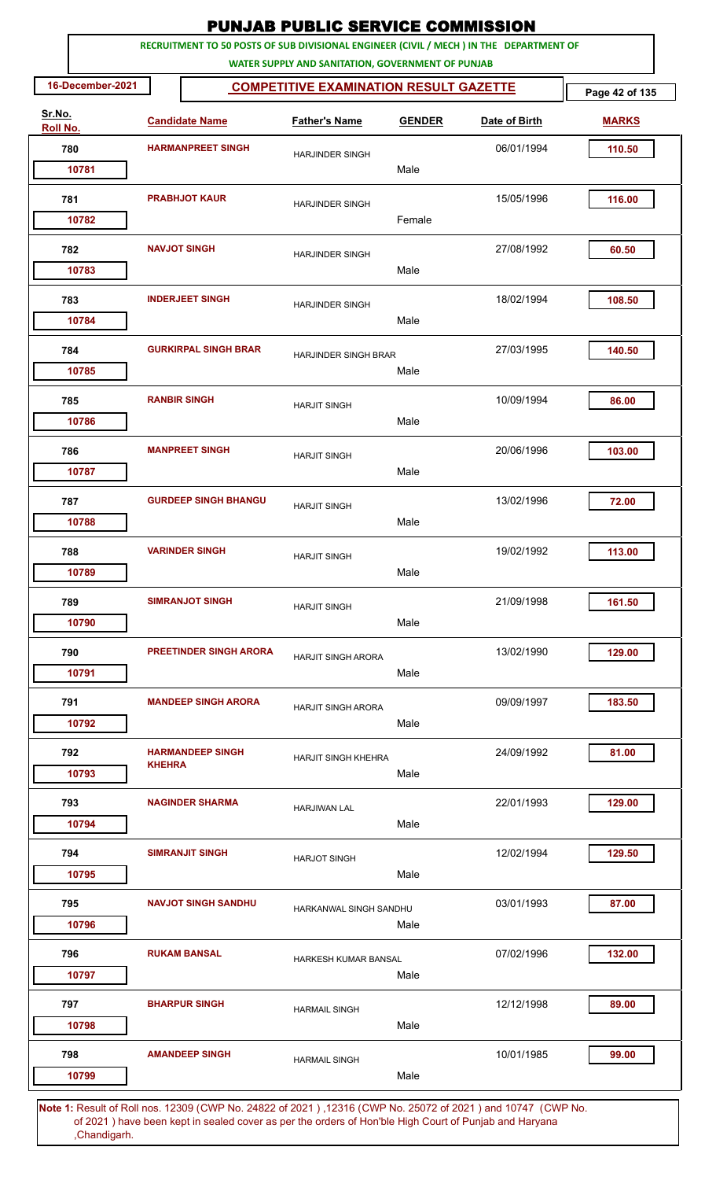|                    |               |                               | <b>PUNJAB PUBLIC SERVICE COMMISSION</b>                                                                                                      |               |               |                |
|--------------------|---------------|-------------------------------|----------------------------------------------------------------------------------------------------------------------------------------------|---------------|---------------|----------------|
|                    |               |                               | RECRUITMENT TO 50 POSTS OF SUB DIVISIONAL ENGINEER (CIVIL / MECH ) IN THE DEPARTMENT OF<br>WATER SUPPLY AND SANITATION, GOVERNMENT OF PUNJAB |               |               |                |
| 16-December-2021   |               |                               | <b>COMPETITIVE EXAMINATION RESULT GAZETTE</b>                                                                                                |               |               | Page 42 of 135 |
| Sr.No.<br>Roll No. |               | <b>Candidate Name</b>         | <b>Father's Name</b>                                                                                                                         | <b>GENDER</b> | Date of Birth | <b>MARKS</b>   |
| 780                |               | <b>HARMANPREET SINGH</b>      | <b>HARJINDER SINGH</b>                                                                                                                       |               | 06/01/1994    | 110.50         |
| 10781              |               |                               |                                                                                                                                              | Male          |               |                |
| 781                |               | <b>PRABHJOT KAUR</b>          | <b>HARJINDER SINGH</b>                                                                                                                       |               | 15/05/1996    | 116.00         |
| 10782              |               |                               |                                                                                                                                              | Female        |               |                |
| 782<br>10783       |               | <b>NAVJOT SINGH</b>           | <b>HARJINDER SINGH</b>                                                                                                                       | Male          | 27/08/1992    | 60.50          |
|                    |               |                               |                                                                                                                                              |               |               |                |
| 783<br>10784       |               | <b>INDERJEET SINGH</b>        | <b>HARJINDER SINGH</b>                                                                                                                       | Male          | 18/02/1994    | 108.50         |
| 784                |               | <b>GURKIRPAL SINGH BRAR</b>   | HARJINDER SINGH BRAR                                                                                                                         |               | 27/03/1995    | 140.50         |
| 10785              |               |                               |                                                                                                                                              | Male          |               |                |
| 785<br>10786       |               | <b>RANBIR SINGH</b>           | <b>HARJIT SINGH</b>                                                                                                                          | Male          | 10/09/1994    | 86.00          |
| 786                |               | <b>MANPREET SINGH</b>         |                                                                                                                                              |               | 20/06/1996    | 103.00         |
| 10787              |               |                               | <b>HARJIT SINGH</b>                                                                                                                          | Male          |               |                |
| 787                |               | <b>GURDEEP SINGH BHANGU</b>   | <b>HARJIT SINGH</b>                                                                                                                          |               | 13/02/1996    | 72.00          |
| 10788              |               |                               |                                                                                                                                              | Male          |               |                |
| 788                |               | <b>VARINDER SINGH</b>         | <b>HARJIT SINGH</b>                                                                                                                          |               | 19/02/1992    | 113.00         |
| 10789              |               |                               |                                                                                                                                              | Male          |               |                |
| 789                |               | <b>SIMRANJOT SINGH</b>        | <b>HARJIT SINGH</b>                                                                                                                          |               | 21/09/1998    | 161.50         |
| 10790              |               |                               |                                                                                                                                              | Male          |               |                |
| 790                |               | <b>PREETINDER SINGH ARORA</b> | <b>HARJIT SINGH ARORA</b>                                                                                                                    |               | 13/02/1990    | 129.00         |
| 10791              |               |                               |                                                                                                                                              | Male          |               |                |
| 791                |               | <b>MANDEEP SINGH ARORA</b>    | <b>HARJIT SINGH ARORA</b>                                                                                                                    |               | 09/09/1997    | 183.50         |
| 10792              |               |                               |                                                                                                                                              | Male          |               |                |
| 792                | <b>KHEHRA</b> | <b>HARMANDEEP SINGH</b>       | <b>HARJIT SINGH KHEHRA</b>                                                                                                                   |               | 24/09/1992    | 81.00          |
| 10793              |               |                               |                                                                                                                                              | Male          |               |                |
| 793<br>10794       |               | <b>NAGINDER SHARMA</b>        | <b>HARJIWAN LAL</b>                                                                                                                          | Male          | 22/01/1993    | 129.00         |
| 794                |               | <b>SIMRANJIT SINGH</b>        |                                                                                                                                              |               | 12/02/1994    | 129.50         |
| 10795              |               |                               | <b>HARJOT SINGH</b>                                                                                                                          | Male          |               |                |
| 795                |               | <b>NAVJOT SINGH SANDHU</b>    | HARKANWAL SINGH SANDHU                                                                                                                       |               | 03/01/1993    | 87.00          |
| 10796              |               |                               |                                                                                                                                              | Male          |               |                |
| 796                |               | <b>RUKAM BANSAL</b>           | HARKESH KUMAR BANSAL                                                                                                                         |               | 07/02/1996    | 132.00         |
| 10797              |               |                               |                                                                                                                                              | Male          |               |                |
| 797                |               | <b>BHARPUR SINGH</b>          | <b>HARMAIL SINGH</b>                                                                                                                         |               | 12/12/1998    | 89.00          |
| 10798              |               |                               |                                                                                                                                              | Male          |               |                |
| 798                |               | <b>AMANDEEP SINGH</b>         | <b>HARMAIL SINGH</b>                                                                                                                         |               | 10/01/1985    | 99.00          |
| 10799              |               |                               |                                                                                                                                              | Male          |               |                |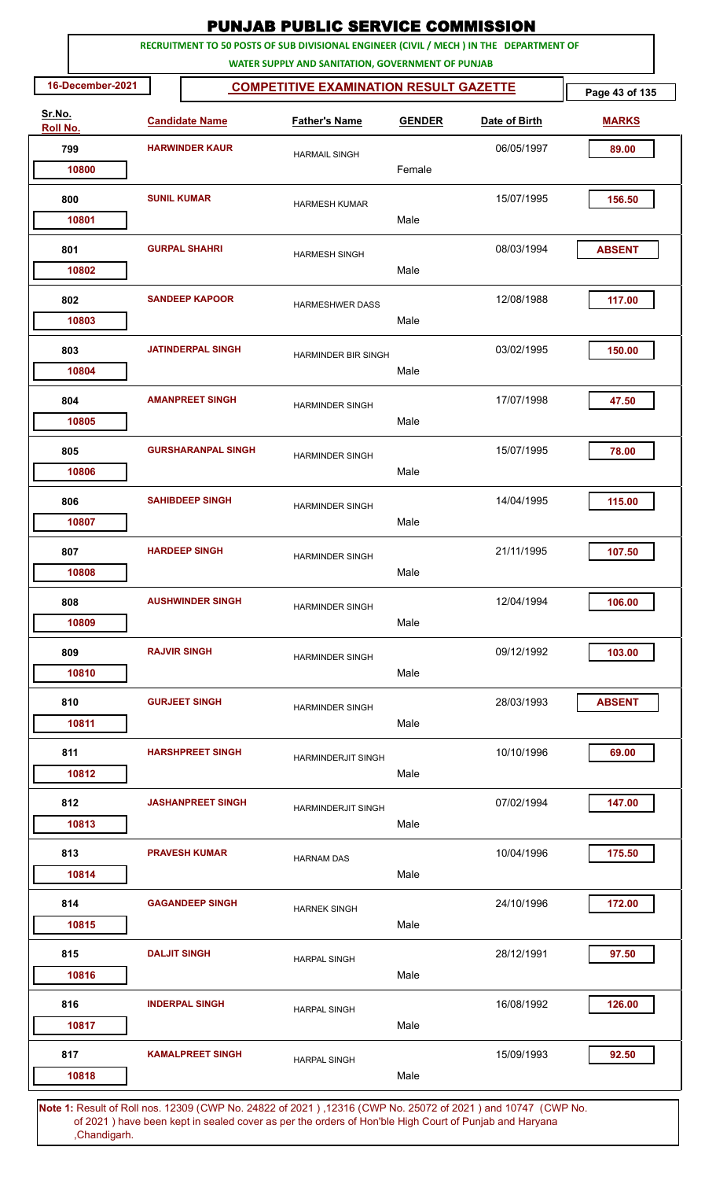|                    |                     |                           | <b>PUNJAB PUBLIC SERVICE COMMISSION</b>                                                                                                      |               |               |                |
|--------------------|---------------------|---------------------------|----------------------------------------------------------------------------------------------------------------------------------------------|---------------|---------------|----------------|
|                    |                     |                           | RECRUITMENT TO 50 POSTS OF SUB DIVISIONAL ENGINEER (CIVIL / MECH ) IN THE DEPARTMENT OF<br>WATER SUPPLY AND SANITATION, GOVERNMENT OF PUNJAB |               |               |                |
| 16-December-2021   |                     |                           | <b>COMPETITIVE EXAMINATION RESULT GAZETTE</b>                                                                                                |               |               | Page 43 of 135 |
| Sr.No.<br>Roll No. |                     | <b>Candidate Name</b>     | <b>Father's Name</b>                                                                                                                         | <b>GENDER</b> | Date of Birth | <b>MARKS</b>   |
| 799                |                     | <b>HARWINDER KAUR</b>     | <b>HARMAIL SINGH</b>                                                                                                                         |               | 06/05/1997    | 89.00          |
| 10800              |                     |                           |                                                                                                                                              | Female        |               |                |
| 800<br>10801       | <b>SUNIL KUMAR</b>  |                           | <b>HARMESH KUMAR</b>                                                                                                                         | Male          | 15/07/1995    | 156.50         |
|                    |                     |                           |                                                                                                                                              |               |               |                |
| 801<br>10802       |                     | <b>GURPAL SHAHRI</b>      | <b>HARMESH SINGH</b>                                                                                                                         | Male          | 08/03/1994    | <b>ABSENT</b>  |
| 802<br>10803       |                     | <b>SANDEEP KAPOOR</b>     | <b>HARMESHWER DASS</b>                                                                                                                       | Male          | 12/08/1988    | 117.00         |
| 803<br>10804       |                     | <b>JATINDERPAL SINGH</b>  | HARMINDER BIR SINGH                                                                                                                          | Male          | 03/02/1995    | 150.00         |
| 804<br>10805       |                     | <b>AMANPREET SINGH</b>    | <b>HARMINDER SINGH</b>                                                                                                                       | Male          | 17/07/1998    | 47.50          |
| 805<br>10806       |                     | <b>GURSHARANPAL SINGH</b> | <b>HARMINDER SINGH</b>                                                                                                                       | Male          | 15/07/1995    | 78.00          |
| 806<br>10807       |                     | <b>SAHIBDEEP SINGH</b>    | <b>HARMINDER SINGH</b>                                                                                                                       | Male          | 14/04/1995    | 115.00         |
| 807<br>10808       |                     | <b>HARDEEP SINGH</b>      | <b>HARMINDER SINGH</b>                                                                                                                       | Male          | 21/11/1995    | 107.50         |
| 808<br>10809       |                     | <b>AUSHWINDER SINGH</b>   | <b>HARMINDER SINGH</b>                                                                                                                       | Male          | 12/04/1994    | 106.00         |
| 809<br>10810       | <b>RAJVIR SINGH</b> |                           | <b>HARMINDER SINGH</b>                                                                                                                       | Male          | 09/12/1992    | 103.00         |
| 810<br>10811       |                     | <b>GURJEET SINGH</b>      | <b>HARMINDER SINGH</b>                                                                                                                       | Male          | 28/03/1993    | <b>ABSENT</b>  |
| 811<br>10812       |                     | <b>HARSHPREET SINGH</b>   | <b>HARMINDERJIT SINGH</b>                                                                                                                    | Male          | 10/10/1996    | 69.00          |
| 812<br>10813       |                     | <b>JASHANPREET SINGH</b>  | <b>HARMINDERJIT SINGH</b>                                                                                                                    | Male          | 07/02/1994    | 147.00         |
| 813<br>10814       |                     | <b>PRAVESH KUMAR</b>      | <b>HARNAM DAS</b>                                                                                                                            | Male          | 10/04/1996    | 175.50         |
| 814<br>10815       |                     | <b>GAGANDEEP SINGH</b>    | <b>HARNEK SINGH</b>                                                                                                                          | Male          | 24/10/1996    | 172.00         |
| 815<br>10816       | <b>DALJIT SINGH</b> |                           | <b>HARPAL SINGH</b>                                                                                                                          | Male          | 28/12/1991    | 97.50          |
| 816<br>10817       |                     | <b>INDERPAL SINGH</b>     | <b>HARPAL SINGH</b>                                                                                                                          | Male          | 16/08/1992    | 126.00         |
| 817<br>10818       |                     | <b>KAMALPREET SINGH</b>   | <b>HARPAL SINGH</b>                                                                                                                          | Male          | 15/09/1993    | 92.50          |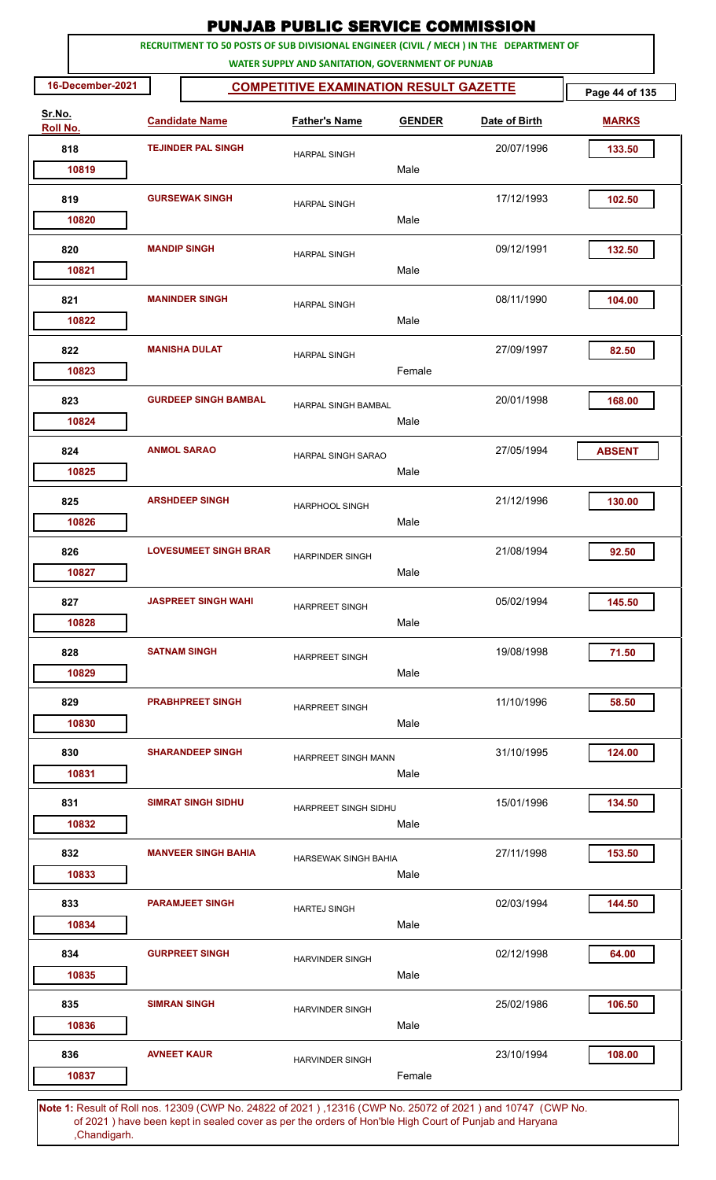|                    |                                                                                         | <b>PUNJAB PUBLIC SERVICE COMMISSION</b>           |               |               |                |
|--------------------|-----------------------------------------------------------------------------------------|---------------------------------------------------|---------------|---------------|----------------|
|                    | RECRUITMENT TO 50 POSTS OF SUB DIVISIONAL ENGINEER (CIVIL / MECH ) IN THE DEPARTMENT OF | WATER SUPPLY AND SANITATION, GOVERNMENT OF PUNJAB |               |               |                |
| 16-December-2021   |                                                                                         | <b>COMPETITIVE EXAMINATION RESULT GAZETTE</b>     |               |               | Page 44 of 135 |
| Sr.No.<br>Roll No. | <b>Candidate Name</b>                                                                   | <b>Father's Name</b>                              | <b>GENDER</b> | Date of Birth | <b>MARKS</b>   |
| 818                | <b>TEJINDER PAL SINGH</b>                                                               | <b>HARPAL SINGH</b>                               |               | 20/07/1996    | 133.50         |
| 10819              |                                                                                         |                                                   | Male          |               |                |
| 819                | <b>GURSEWAK SINGH</b>                                                                   | <b>HARPAL SINGH</b>                               |               | 17/12/1993    | 102.50         |
| 10820              |                                                                                         |                                                   | Male          |               |                |
| 820                | <b>MANDIP SINGH</b>                                                                     | <b>HARPAL SINGH</b>                               |               | 09/12/1991    | 132.50         |
| 10821              |                                                                                         |                                                   | Male          |               |                |
| 821<br>10822       | <b>MANINDER SINGH</b>                                                                   | <b>HARPAL SINGH</b>                               | Male          | 08/11/1990    | 104.00         |
|                    |                                                                                         |                                                   |               |               |                |
| 822<br>10823       | <b>MANISHA DULAT</b>                                                                    | <b>HARPAL SINGH</b>                               | Female        | 27/09/1997    | 82.50          |
| 823                | <b>GURDEEP SINGH BAMBAL</b>                                                             |                                                   |               | 20/01/1998    | 168.00         |
| 10824              |                                                                                         | HARPAL SINGH BAMBAL                               | Male          |               |                |
| 824                | <b>ANMOL SARAO</b>                                                                      | HARPAL SINGH SARAO                                |               | 27/05/1994    | <b>ABSENT</b>  |
| 10825              |                                                                                         |                                                   | Male          |               |                |
| 825                | <b>ARSHDEEP SINGH</b>                                                                   | <b>HARPHOOL SINGH</b>                             |               | 21/12/1996    | 130.00         |
| 10826              |                                                                                         |                                                   | Male          |               |                |
| 826                | <b>LOVESUMEET SINGH BRAR</b>                                                            | <b>HARPINDER SINGH</b>                            |               | 21/08/1994    | 92.50          |
| 10827              |                                                                                         |                                                   | Male          |               |                |
| 827                | <b>JASPREET SINGH WAHI</b>                                                              | <b>HARPREET SINGH</b>                             |               | 05/02/1994    | 145.50         |
| 10828              |                                                                                         |                                                   | Male          |               |                |
| 828                | <b>SATNAM SINGH</b>                                                                     |                                                   |               | 19/08/1998    | 71.50          |
| 10829              |                                                                                         | <b>HARPREET SINGH</b>                             | Male          |               |                |
|                    |                                                                                         |                                                   |               |               |                |
| 829<br>10830       | <b>PRABHPREET SINGH</b>                                                                 | <b>HARPREET SINGH</b>                             | Male          | 11/10/1996    | 58.50          |
|                    |                                                                                         |                                                   |               |               |                |
| 830                | <b>SHARANDEEP SINGH</b>                                                                 | HARPREET SINGH MANN                               |               | 31/10/1995    | 124.00         |
| 10831              |                                                                                         |                                                   | Male          |               |                |
| 831                | <b>SIMRAT SINGH SIDHU</b>                                                               | HARPREET SINGH SIDHU                              |               | 15/01/1996    | 134.50         |
| 10832              |                                                                                         |                                                   | Male          |               |                |
| 832                | <b>MANVEER SINGH BAHIA</b>                                                              | HARSEWAK SINGH BAHIA                              |               | 27/11/1998    | 153.50         |
| 10833              |                                                                                         |                                                   | Male          |               |                |
| 833                | <b>PARAMJEET SINGH</b>                                                                  |                                                   |               | 02/03/1994    | 144.50         |
| 10834              |                                                                                         | <b>HARTEJ SINGH</b>                               | Male          |               |                |
| 834                | <b>GURPREET SINGH</b>                                                                   | <b>HARVINDER SINGH</b>                            |               | 02/12/1998    | 64.00          |
| 10835              |                                                                                         |                                                   | Male          |               |                |
| 835                | <b>SIMRAN SINGH</b>                                                                     | <b>HARVINDER SINGH</b>                            |               | 25/02/1986    | 106.50         |
| 10836              |                                                                                         |                                                   | Male          |               |                |
| 836                | <b>AVNEET KAUR</b>                                                                      | <b>HARVINDER SINGH</b>                            |               | 23/10/1994    | 108.00         |
| 10837              |                                                                                         |                                                   | Female        |               |                |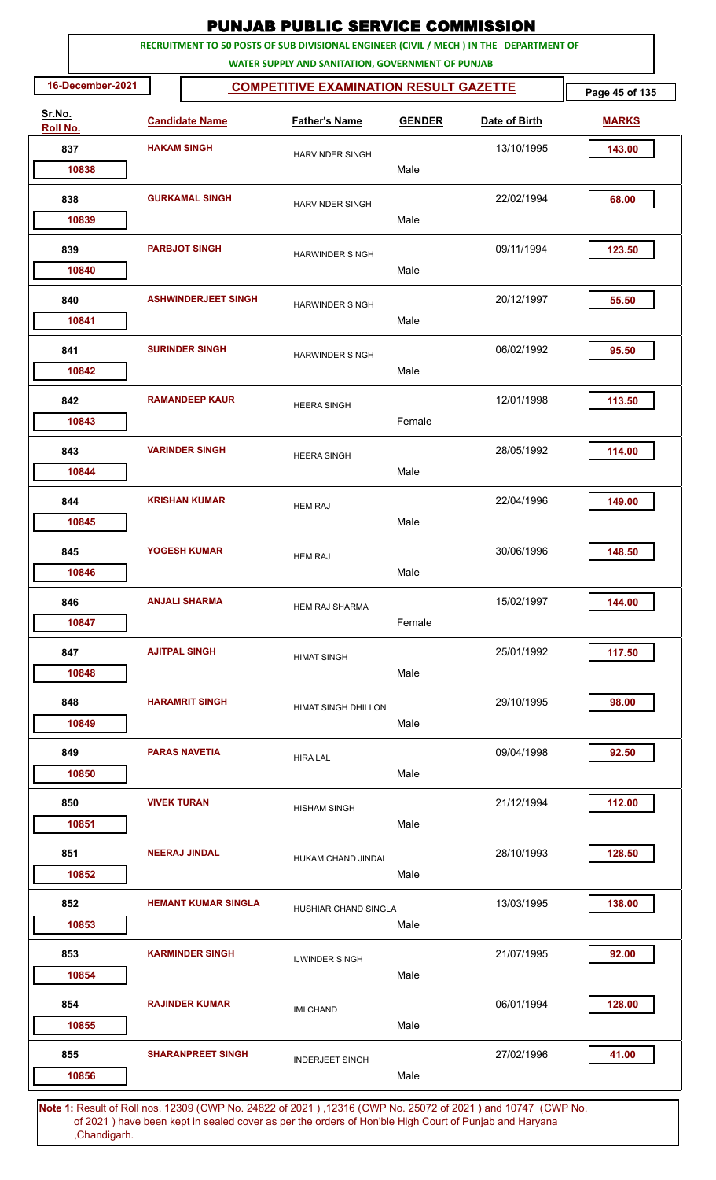|                    |                  |                       | <b>PUNJAB PUBLIC SERVICE COMMISSION</b> |                                                                                                                                              |               |               |                |  |  |  |  |  |
|--------------------|------------------|-----------------------|-----------------------------------------|----------------------------------------------------------------------------------------------------------------------------------------------|---------------|---------------|----------------|--|--|--|--|--|
|                    |                  |                       |                                         | RECRUITMENT TO 50 POSTS OF SUB DIVISIONAL ENGINEER (CIVIL / MECH ) IN THE DEPARTMENT OF<br>WATER SUPPLY AND SANITATION, GOVERNMENT OF PUNJAB |               |               |                |  |  |  |  |  |
|                    | 16-December-2021 |                       |                                         | <b>COMPETITIVE EXAMINATION RESULT GAZETTE</b>                                                                                                |               |               | Page 45 of 135 |  |  |  |  |  |
| Sr.No.<br>Roll No. |                  |                       | <b>Candidate Name</b>                   | <b>Father's Name</b>                                                                                                                         | <b>GENDER</b> | Date of Birth | <b>MARKS</b>   |  |  |  |  |  |
| 837                |                  | <b>HAKAM SINGH</b>    |                                         | <b>HARVINDER SINGH</b>                                                                                                                       |               | 13/10/1995    | 143.00         |  |  |  |  |  |
|                    | 10838            |                       |                                         |                                                                                                                                              | Male          |               |                |  |  |  |  |  |
| 838                | 10839            | <b>GURKAMAL SINGH</b> |                                         | <b>HARVINDER SINGH</b>                                                                                                                       | Male          | 22/02/1994    | 68.00          |  |  |  |  |  |
|                    |                  |                       |                                         |                                                                                                                                              |               |               |                |  |  |  |  |  |
| 839                | 10840            |                       | <b>PARBJOT SINGH</b>                    | <b>HARWINDER SINGH</b>                                                                                                                       | Male          | 09/11/1994    | 123.50         |  |  |  |  |  |
| 840                | 10841            |                       | <b>ASHWINDERJEET SINGH</b>              | <b>HARWINDER SINGH</b>                                                                                                                       | Male          | 20/12/1997    | 55.50          |  |  |  |  |  |
| 841                | 10842            |                       | <b>SURINDER SINGH</b>                   | <b>HARWINDER SINGH</b>                                                                                                                       | Male          | 06/02/1992    | 95.50          |  |  |  |  |  |
| 842                | 10843            |                       | <b>RAMANDEEP KAUR</b>                   | <b>HEERA SINGH</b>                                                                                                                           | Female        | 12/01/1998    | 113.50         |  |  |  |  |  |
| 843                |                  |                       | <b>VARINDER SINGH</b>                   | <b>HEERA SINGH</b>                                                                                                                           |               | 28/05/1992    | 114.00         |  |  |  |  |  |
| 844                | 10844            |                       | <b>KRISHAN KUMAR</b>                    | <b>HEM RAJ</b>                                                                                                                               | Male          | 22/04/1996    | 149.00         |  |  |  |  |  |
|                    | 10845            |                       |                                         |                                                                                                                                              | Male          |               |                |  |  |  |  |  |
| 845                | 10846            |                       | <b>YOGESH KUMAR</b>                     | <b>HEM RAJ</b>                                                                                                                               | Male          | 30/06/1996    | 148.50         |  |  |  |  |  |
| 846                | 10847            |                       | <b>ANJALI SHARMA</b>                    | <b>HEM RAJ SHARMA</b>                                                                                                                        | Female        | 15/02/1997    | 144.00         |  |  |  |  |  |
| 847                | 10848            |                       | <b>AJITPAL SINGH</b>                    | <b>HIMAT SINGH</b>                                                                                                                           | Male          | 25/01/1992    | 117.50         |  |  |  |  |  |
| 848                | 10849            |                       | <b>HARAMRIT SINGH</b>                   | <b>HIMAT SINGH DHILLON</b>                                                                                                                   | Male          | 29/10/1995    | 98.00          |  |  |  |  |  |
| 849                | 10850            |                       | <b>PARAS NAVETIA</b>                    | <b>HIRA LAL</b>                                                                                                                              | Male          | 09/04/1998    | 92.50          |  |  |  |  |  |
| 850                | 10851            | <b>VIVEK TURAN</b>    |                                         | <b>HISHAM SINGH</b>                                                                                                                          | Male          | 21/12/1994    | 112.00         |  |  |  |  |  |
| 851                | 10852            |                       | <b>NEERAJ JINDAL</b>                    | HUKAM CHAND JINDAL                                                                                                                           | Male          | 28/10/1993    | 128.50         |  |  |  |  |  |
| 852                | 10853            |                       | <b>HEMANT KUMAR SINGLA</b>              | HUSHIAR CHAND SINGLA                                                                                                                         | Male          | 13/03/1995    | 138.00         |  |  |  |  |  |
| 853                | 10854            |                       | <b>KARMINDER SINGH</b>                  | <b>IJWINDER SINGH</b>                                                                                                                        | Male          | 21/07/1995    | 92.00          |  |  |  |  |  |
| 854                | 10855            |                       | <b>RAJINDER KUMAR</b>                   | <b>IMI CHAND</b>                                                                                                                             | Male          | 06/01/1994    | 128.00         |  |  |  |  |  |
| 855                | 10856            |                       | <b>SHARANPREET SINGH</b>                | <b>INDERJEET SINGH</b>                                                                                                                       | Male          | 27/02/1996    | 41.00          |  |  |  |  |  |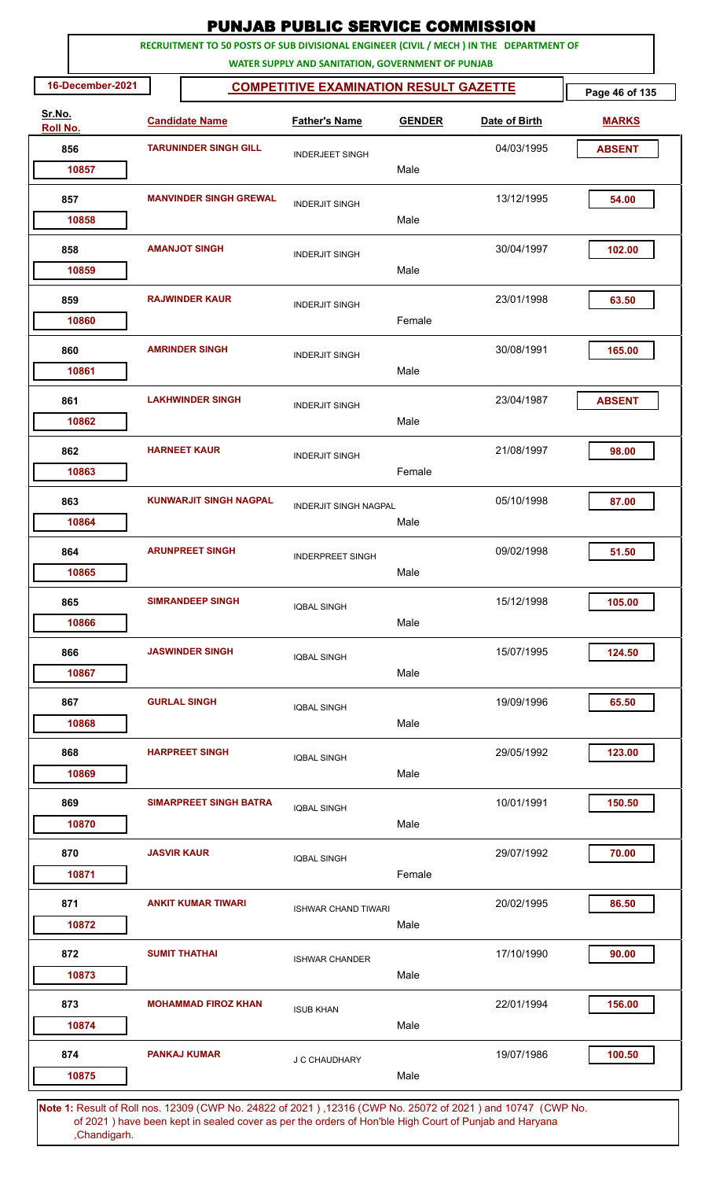| RECRUITMENT TO 50 POSTS OF SUB DIVISIONAL ENGINEER (CIVIL / MECH ) IN THE DEPARTMENT OF<br>WATER SUPPLY AND SANITATION, GOVERNMENT OF PUNJAB<br>16-December-2021<br><b>COMPETITIVE EXAMINATION RESULT GAZETTE</b><br>Page 46 of 135<br>Sr.No.<br><b>Candidate Name</b><br><b>Father's Name</b><br>Date of Birth<br><b>GENDER</b><br><b>MARKS</b><br>Roll No.<br>856<br><b>TARUNINDER SINGH GILL</b><br>04/03/1995<br><b>ABSENT</b><br><b>INDERJEET SINGH</b><br>Male<br>10857<br><b>MANVINDER SINGH GREWAL</b><br>13/12/1995<br>54.00<br>857<br><b>INDERJIT SINGH</b><br>Male<br>10858<br>858<br><b>AMANJOT SINGH</b><br>30/04/1997<br>102.00<br><b>INDERJIT SINGH</b><br>Male<br>10859<br>859<br><b>RAJWINDER KAUR</b><br>23/01/1998<br>63.50<br><b>INDERJIT SINGH</b><br>Female<br>10860<br><b>AMRINDER SINGH</b><br>30/08/1991<br>165.00<br>860<br><b>INDERJIT SINGH</b><br>Male<br>10861<br><b>LAKHWINDER SINGH</b><br><b>ABSENT</b><br>861<br>23/04/1987<br><b>INDERJIT SINGH</b><br>10862<br>Male<br><b>HARNEET KAUR</b><br>21/08/1997<br>862<br>98.00<br><b>INDERJIT SINGH</b><br>Female<br>10863<br><b>KUNWARJIT SINGH NAGPAL</b><br>863<br>05/10/1998<br>87.00<br><b>INDERJIT SINGH NAGPAL</b><br>Male<br>10864<br>864<br><b>ARUNPREET SINGH</b><br>09/02/1998<br>51.50<br><b>INDERPREET SINGH</b><br>10865<br>Male<br><b>SIMRANDEEP SINGH</b><br>865<br>15/12/1998<br>105.00<br><b>IQBAL SINGH</b><br>Male<br>10866<br><b>JASWINDER SINGH</b><br>15/07/1995<br>124.50<br>866<br><b>IQBAL SINGH</b><br>10867<br>Male<br>867<br><b>GURLAL SINGH</b><br>19/09/1996<br>65.50<br><b>IQBAL SINGH</b><br>10868<br>Male<br>868<br><b>HARPREET SINGH</b><br>29/05/1992<br>123.00<br><b>IQBAL SINGH</b><br>10869<br>Male<br><b>SIMARPREET SINGH BATRA</b><br>10/01/1991<br>150.50<br>869<br><b>IQBAL SINGH</b><br>Male<br>10870<br>870<br><b>JASVIR KAUR</b><br>29/07/1992<br>70.00<br><b>IQBAL SINGH</b><br>Female<br>10871<br>871<br><b>ANKIT KUMAR TIWARI</b><br>20/02/1995<br>86.50<br><b>ISHWAR CHAND TIWARI</b><br>10872<br>Male<br><b>SUMIT THATHAI</b><br>17/10/1990<br>872<br>90.00<br><b>ISHWAR CHANDER</b><br>10873<br>Male<br>156.00<br>873<br><b>MOHAMMAD FIROZ KHAN</b><br>22/01/1994<br><b>ISUB KHAN</b><br>10874<br>Male<br><b>PANKAJ KUMAR</b><br>19/07/1986<br>874<br>100.50<br>J C CHAUDHARY<br>Male<br>10875 |  |  | <b>PUNJAB PUBLIC SERVICE COMMISSION</b> |  |  |
|----------------------------------------------------------------------------------------------------------------------------------------------------------------------------------------------------------------------------------------------------------------------------------------------------------------------------------------------------------------------------------------------------------------------------------------------------------------------------------------------------------------------------------------------------------------------------------------------------------------------------------------------------------------------------------------------------------------------------------------------------------------------------------------------------------------------------------------------------------------------------------------------------------------------------------------------------------------------------------------------------------------------------------------------------------------------------------------------------------------------------------------------------------------------------------------------------------------------------------------------------------------------------------------------------------------------------------------------------------------------------------------------------------------------------------------------------------------------------------------------------------------------------------------------------------------------------------------------------------------------------------------------------------------------------------------------------------------------------------------------------------------------------------------------------------------------------------------------------------------------------------------------------------------------------------------------------------------------------------------------------------------------------------------------------------------------------------------------------------------------------------------------------------------------------------------------------------------------------------------------------------------------------------------------------------------------------------|--|--|-----------------------------------------|--|--|
|                                                                                                                                                                                                                                                                                                                                                                                                                                                                                                                                                                                                                                                                                                                                                                                                                                                                                                                                                                                                                                                                                                                                                                                                                                                                                                                                                                                                                                                                                                                                                                                                                                                                                                                                                                                                                                                                                                                                                                                                                                                                                                                                                                                                                                                                                                                                  |  |  |                                         |  |  |
|                                                                                                                                                                                                                                                                                                                                                                                                                                                                                                                                                                                                                                                                                                                                                                                                                                                                                                                                                                                                                                                                                                                                                                                                                                                                                                                                                                                                                                                                                                                                                                                                                                                                                                                                                                                                                                                                                                                                                                                                                                                                                                                                                                                                                                                                                                                                  |  |  |                                         |  |  |
|                                                                                                                                                                                                                                                                                                                                                                                                                                                                                                                                                                                                                                                                                                                                                                                                                                                                                                                                                                                                                                                                                                                                                                                                                                                                                                                                                                                                                                                                                                                                                                                                                                                                                                                                                                                                                                                                                                                                                                                                                                                                                                                                                                                                                                                                                                                                  |  |  |                                         |  |  |
|                                                                                                                                                                                                                                                                                                                                                                                                                                                                                                                                                                                                                                                                                                                                                                                                                                                                                                                                                                                                                                                                                                                                                                                                                                                                                                                                                                                                                                                                                                                                                                                                                                                                                                                                                                                                                                                                                                                                                                                                                                                                                                                                                                                                                                                                                                                                  |  |  |                                         |  |  |
|                                                                                                                                                                                                                                                                                                                                                                                                                                                                                                                                                                                                                                                                                                                                                                                                                                                                                                                                                                                                                                                                                                                                                                                                                                                                                                                                                                                                                                                                                                                                                                                                                                                                                                                                                                                                                                                                                                                                                                                                                                                                                                                                                                                                                                                                                                                                  |  |  |                                         |  |  |
|                                                                                                                                                                                                                                                                                                                                                                                                                                                                                                                                                                                                                                                                                                                                                                                                                                                                                                                                                                                                                                                                                                                                                                                                                                                                                                                                                                                                                                                                                                                                                                                                                                                                                                                                                                                                                                                                                                                                                                                                                                                                                                                                                                                                                                                                                                                                  |  |  |                                         |  |  |
|                                                                                                                                                                                                                                                                                                                                                                                                                                                                                                                                                                                                                                                                                                                                                                                                                                                                                                                                                                                                                                                                                                                                                                                                                                                                                                                                                                                                                                                                                                                                                                                                                                                                                                                                                                                                                                                                                                                                                                                                                                                                                                                                                                                                                                                                                                                                  |  |  |                                         |  |  |
|                                                                                                                                                                                                                                                                                                                                                                                                                                                                                                                                                                                                                                                                                                                                                                                                                                                                                                                                                                                                                                                                                                                                                                                                                                                                                                                                                                                                                                                                                                                                                                                                                                                                                                                                                                                                                                                                                                                                                                                                                                                                                                                                                                                                                                                                                                                                  |  |  |                                         |  |  |
|                                                                                                                                                                                                                                                                                                                                                                                                                                                                                                                                                                                                                                                                                                                                                                                                                                                                                                                                                                                                                                                                                                                                                                                                                                                                                                                                                                                                                                                                                                                                                                                                                                                                                                                                                                                                                                                                                                                                                                                                                                                                                                                                                                                                                                                                                                                                  |  |  |                                         |  |  |
|                                                                                                                                                                                                                                                                                                                                                                                                                                                                                                                                                                                                                                                                                                                                                                                                                                                                                                                                                                                                                                                                                                                                                                                                                                                                                                                                                                                                                                                                                                                                                                                                                                                                                                                                                                                                                                                                                                                                                                                                                                                                                                                                                                                                                                                                                                                                  |  |  |                                         |  |  |
|                                                                                                                                                                                                                                                                                                                                                                                                                                                                                                                                                                                                                                                                                                                                                                                                                                                                                                                                                                                                                                                                                                                                                                                                                                                                                                                                                                                                                                                                                                                                                                                                                                                                                                                                                                                                                                                                                                                                                                                                                                                                                                                                                                                                                                                                                                                                  |  |  |                                         |  |  |
|                                                                                                                                                                                                                                                                                                                                                                                                                                                                                                                                                                                                                                                                                                                                                                                                                                                                                                                                                                                                                                                                                                                                                                                                                                                                                                                                                                                                                                                                                                                                                                                                                                                                                                                                                                                                                                                                                                                                                                                                                                                                                                                                                                                                                                                                                                                                  |  |  |                                         |  |  |
|                                                                                                                                                                                                                                                                                                                                                                                                                                                                                                                                                                                                                                                                                                                                                                                                                                                                                                                                                                                                                                                                                                                                                                                                                                                                                                                                                                                                                                                                                                                                                                                                                                                                                                                                                                                                                                                                                                                                                                                                                                                                                                                                                                                                                                                                                                                                  |  |  |                                         |  |  |
|                                                                                                                                                                                                                                                                                                                                                                                                                                                                                                                                                                                                                                                                                                                                                                                                                                                                                                                                                                                                                                                                                                                                                                                                                                                                                                                                                                                                                                                                                                                                                                                                                                                                                                                                                                                                                                                                                                                                                                                                                                                                                                                                                                                                                                                                                                                                  |  |  |                                         |  |  |
|                                                                                                                                                                                                                                                                                                                                                                                                                                                                                                                                                                                                                                                                                                                                                                                                                                                                                                                                                                                                                                                                                                                                                                                                                                                                                                                                                                                                                                                                                                                                                                                                                                                                                                                                                                                                                                                                                                                                                                                                                                                                                                                                                                                                                                                                                                                                  |  |  |                                         |  |  |
|                                                                                                                                                                                                                                                                                                                                                                                                                                                                                                                                                                                                                                                                                                                                                                                                                                                                                                                                                                                                                                                                                                                                                                                                                                                                                                                                                                                                                                                                                                                                                                                                                                                                                                                                                                                                                                                                                                                                                                                                                                                                                                                                                                                                                                                                                                                                  |  |  |                                         |  |  |
|                                                                                                                                                                                                                                                                                                                                                                                                                                                                                                                                                                                                                                                                                                                                                                                                                                                                                                                                                                                                                                                                                                                                                                                                                                                                                                                                                                                                                                                                                                                                                                                                                                                                                                                                                                                                                                                                                                                                                                                                                                                                                                                                                                                                                                                                                                                                  |  |  |                                         |  |  |
|                                                                                                                                                                                                                                                                                                                                                                                                                                                                                                                                                                                                                                                                                                                                                                                                                                                                                                                                                                                                                                                                                                                                                                                                                                                                                                                                                                                                                                                                                                                                                                                                                                                                                                                                                                                                                                                                                                                                                                                                                                                                                                                                                                                                                                                                                                                                  |  |  |                                         |  |  |
|                                                                                                                                                                                                                                                                                                                                                                                                                                                                                                                                                                                                                                                                                                                                                                                                                                                                                                                                                                                                                                                                                                                                                                                                                                                                                                                                                                                                                                                                                                                                                                                                                                                                                                                                                                                                                                                                                                                                                                                                                                                                                                                                                                                                                                                                                                                                  |  |  |                                         |  |  |
|                                                                                                                                                                                                                                                                                                                                                                                                                                                                                                                                                                                                                                                                                                                                                                                                                                                                                                                                                                                                                                                                                                                                                                                                                                                                                                                                                                                                                                                                                                                                                                                                                                                                                                                                                                                                                                                                                                                                                                                                                                                                                                                                                                                                                                                                                                                                  |  |  |                                         |  |  |
|                                                                                                                                                                                                                                                                                                                                                                                                                                                                                                                                                                                                                                                                                                                                                                                                                                                                                                                                                                                                                                                                                                                                                                                                                                                                                                                                                                                                                                                                                                                                                                                                                                                                                                                                                                                                                                                                                                                                                                                                                                                                                                                                                                                                                                                                                                                                  |  |  |                                         |  |  |
|                                                                                                                                                                                                                                                                                                                                                                                                                                                                                                                                                                                                                                                                                                                                                                                                                                                                                                                                                                                                                                                                                                                                                                                                                                                                                                                                                                                                                                                                                                                                                                                                                                                                                                                                                                                                                                                                                                                                                                                                                                                                                                                                                                                                                                                                                                                                  |  |  |                                         |  |  |
|                                                                                                                                                                                                                                                                                                                                                                                                                                                                                                                                                                                                                                                                                                                                                                                                                                                                                                                                                                                                                                                                                                                                                                                                                                                                                                                                                                                                                                                                                                                                                                                                                                                                                                                                                                                                                                                                                                                                                                                                                                                                                                                                                                                                                                                                                                                                  |  |  |                                         |  |  |
|                                                                                                                                                                                                                                                                                                                                                                                                                                                                                                                                                                                                                                                                                                                                                                                                                                                                                                                                                                                                                                                                                                                                                                                                                                                                                                                                                                                                                                                                                                                                                                                                                                                                                                                                                                                                                                                                                                                                                                                                                                                                                                                                                                                                                                                                                                                                  |  |  |                                         |  |  |
|                                                                                                                                                                                                                                                                                                                                                                                                                                                                                                                                                                                                                                                                                                                                                                                                                                                                                                                                                                                                                                                                                                                                                                                                                                                                                                                                                                                                                                                                                                                                                                                                                                                                                                                                                                                                                                                                                                                                                                                                                                                                                                                                                                                                                                                                                                                                  |  |  |                                         |  |  |
|                                                                                                                                                                                                                                                                                                                                                                                                                                                                                                                                                                                                                                                                                                                                                                                                                                                                                                                                                                                                                                                                                                                                                                                                                                                                                                                                                                                                                                                                                                                                                                                                                                                                                                                                                                                                                                                                                                                                                                                                                                                                                                                                                                                                                                                                                                                                  |  |  |                                         |  |  |
|                                                                                                                                                                                                                                                                                                                                                                                                                                                                                                                                                                                                                                                                                                                                                                                                                                                                                                                                                                                                                                                                                                                                                                                                                                                                                                                                                                                                                                                                                                                                                                                                                                                                                                                                                                                                                                                                                                                                                                                                                                                                                                                                                                                                                                                                                                                                  |  |  |                                         |  |  |
|                                                                                                                                                                                                                                                                                                                                                                                                                                                                                                                                                                                                                                                                                                                                                                                                                                                                                                                                                                                                                                                                                                                                                                                                                                                                                                                                                                                                                                                                                                                                                                                                                                                                                                                                                                                                                                                                                                                                                                                                                                                                                                                                                                                                                                                                                                                                  |  |  |                                         |  |  |
|                                                                                                                                                                                                                                                                                                                                                                                                                                                                                                                                                                                                                                                                                                                                                                                                                                                                                                                                                                                                                                                                                                                                                                                                                                                                                                                                                                                                                                                                                                                                                                                                                                                                                                                                                                                                                                                                                                                                                                                                                                                                                                                                                                                                                                                                                                                                  |  |  |                                         |  |  |
|                                                                                                                                                                                                                                                                                                                                                                                                                                                                                                                                                                                                                                                                                                                                                                                                                                                                                                                                                                                                                                                                                                                                                                                                                                                                                                                                                                                                                                                                                                                                                                                                                                                                                                                                                                                                                                                                                                                                                                                                                                                                                                                                                                                                                                                                                                                                  |  |  |                                         |  |  |
|                                                                                                                                                                                                                                                                                                                                                                                                                                                                                                                                                                                                                                                                                                                                                                                                                                                                                                                                                                                                                                                                                                                                                                                                                                                                                                                                                                                                                                                                                                                                                                                                                                                                                                                                                                                                                                                                                                                                                                                                                                                                                                                                                                                                                                                                                                                                  |  |  |                                         |  |  |
|                                                                                                                                                                                                                                                                                                                                                                                                                                                                                                                                                                                                                                                                                                                                                                                                                                                                                                                                                                                                                                                                                                                                                                                                                                                                                                                                                                                                                                                                                                                                                                                                                                                                                                                                                                                                                                                                                                                                                                                                                                                                                                                                                                                                                                                                                                                                  |  |  |                                         |  |  |
|                                                                                                                                                                                                                                                                                                                                                                                                                                                                                                                                                                                                                                                                                                                                                                                                                                                                                                                                                                                                                                                                                                                                                                                                                                                                                                                                                                                                                                                                                                                                                                                                                                                                                                                                                                                                                                                                                                                                                                                                                                                                                                                                                                                                                                                                                                                                  |  |  |                                         |  |  |
|                                                                                                                                                                                                                                                                                                                                                                                                                                                                                                                                                                                                                                                                                                                                                                                                                                                                                                                                                                                                                                                                                                                                                                                                                                                                                                                                                                                                                                                                                                                                                                                                                                                                                                                                                                                                                                                                                                                                                                                                                                                                                                                                                                                                                                                                                                                                  |  |  |                                         |  |  |
|                                                                                                                                                                                                                                                                                                                                                                                                                                                                                                                                                                                                                                                                                                                                                                                                                                                                                                                                                                                                                                                                                                                                                                                                                                                                                                                                                                                                                                                                                                                                                                                                                                                                                                                                                                                                                                                                                                                                                                                                                                                                                                                                                                                                                                                                                                                                  |  |  |                                         |  |  |
|                                                                                                                                                                                                                                                                                                                                                                                                                                                                                                                                                                                                                                                                                                                                                                                                                                                                                                                                                                                                                                                                                                                                                                                                                                                                                                                                                                                                                                                                                                                                                                                                                                                                                                                                                                                                                                                                                                                                                                                                                                                                                                                                                                                                                                                                                                                                  |  |  |                                         |  |  |
|                                                                                                                                                                                                                                                                                                                                                                                                                                                                                                                                                                                                                                                                                                                                                                                                                                                                                                                                                                                                                                                                                                                                                                                                                                                                                                                                                                                                                                                                                                                                                                                                                                                                                                                                                                                                                                                                                                                                                                                                                                                                                                                                                                                                                                                                                                                                  |  |  |                                         |  |  |
|                                                                                                                                                                                                                                                                                                                                                                                                                                                                                                                                                                                                                                                                                                                                                                                                                                                                                                                                                                                                                                                                                                                                                                                                                                                                                                                                                                                                                                                                                                                                                                                                                                                                                                                                                                                                                                                                                                                                                                                                                                                                                                                                                                                                                                                                                                                                  |  |  |                                         |  |  |
|                                                                                                                                                                                                                                                                                                                                                                                                                                                                                                                                                                                                                                                                                                                                                                                                                                                                                                                                                                                                                                                                                                                                                                                                                                                                                                                                                                                                                                                                                                                                                                                                                                                                                                                                                                                                                                                                                                                                                                                                                                                                                                                                                                                                                                                                                                                                  |  |  |                                         |  |  |
|                                                                                                                                                                                                                                                                                                                                                                                                                                                                                                                                                                                                                                                                                                                                                                                                                                                                                                                                                                                                                                                                                                                                                                                                                                                                                                                                                                                                                                                                                                                                                                                                                                                                                                                                                                                                                                                                                                                                                                                                                                                                                                                                                                                                                                                                                                                                  |  |  |                                         |  |  |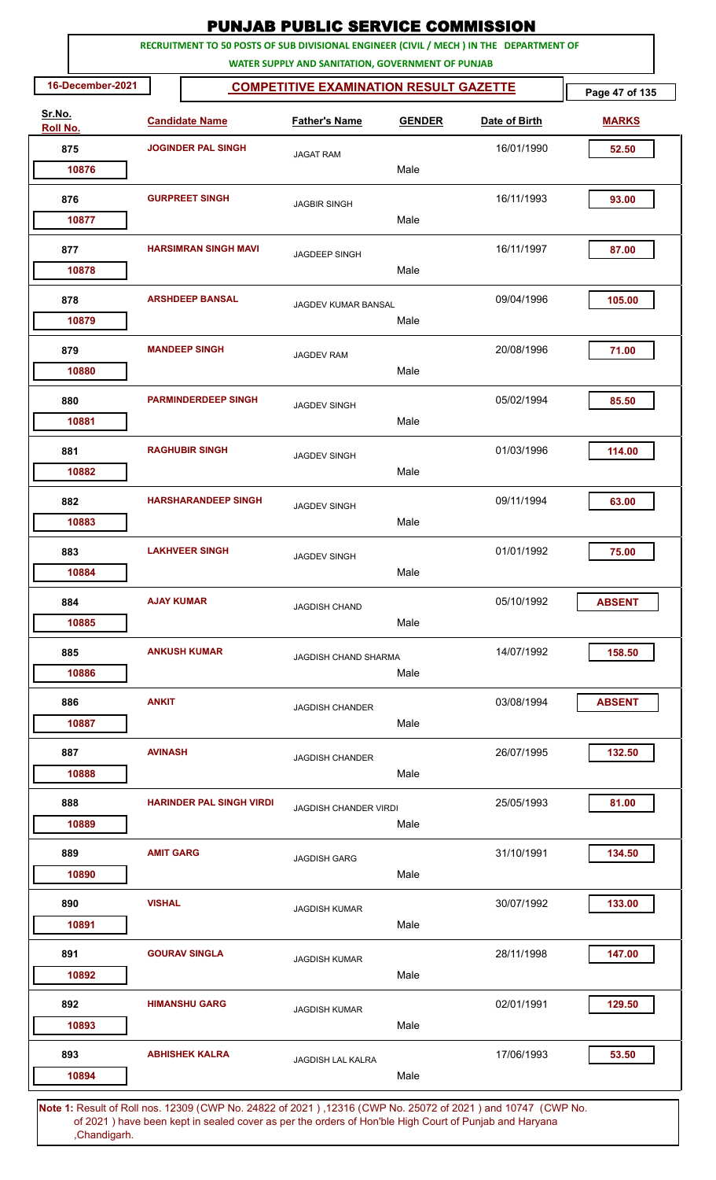|                    | <b>PUNJAB PUBLIC SERVICE COMMISSION</b> |                                 |                                                   |               |                                                                                                             |                |  |  |  |  |
|--------------------|-----------------------------------------|---------------------------------|---------------------------------------------------|---------------|-------------------------------------------------------------------------------------------------------------|----------------|--|--|--|--|
|                    |                                         |                                 | WATER SUPPLY AND SANITATION, GOVERNMENT OF PUNJAB |               | RECRUITMENT TO 50 POSTS OF SUB DIVISIONAL ENGINEER (CIVIL / MECH ) IN THE DEPARTMENT OF                     |                |  |  |  |  |
| 16-December-2021   |                                         |                                 | <b>COMPETITIVE EXAMINATION RESULT GAZETTE</b>     |               |                                                                                                             | Page 47 of 135 |  |  |  |  |
| Sr.No.<br>Roll No. |                                         | <b>Candidate Name</b>           | <b>Father's Name</b>                              | <b>GENDER</b> | Date of Birth                                                                                               | <b>MARKS</b>   |  |  |  |  |
| 875                |                                         | <b>JOGINDER PAL SINGH</b>       | <b>JAGAT RAM</b>                                  |               | 16/01/1990                                                                                                  | 52.50          |  |  |  |  |
| 10876              |                                         |                                 |                                                   | Male          |                                                                                                             |                |  |  |  |  |
| 876<br>10877       |                                         | <b>GURPREET SINGH</b>           | <b>JAGBIR SINGH</b>                               | Male          | 16/11/1993                                                                                                  | 93.00          |  |  |  |  |
| 877                |                                         | <b>HARSIMRAN SINGH MAVI</b>     | JAGDEEP SINGH                                     |               | 16/11/1997                                                                                                  | 87.00          |  |  |  |  |
| 10878              |                                         |                                 |                                                   | Male          |                                                                                                             |                |  |  |  |  |
| 878<br>10879       | <b>ARSHDEEP BANSAL</b>                  |                                 | JAGDEV KUMAR BANSAL                               | Male          | 09/04/1996                                                                                                  | 105.00         |  |  |  |  |
| 879<br>10880       |                                         | <b>MANDEEP SINGH</b>            | <b>JAGDEV RAM</b>                                 | Male          | 20/08/1996                                                                                                  | 71.00          |  |  |  |  |
| 880<br>10881       |                                         | <b>PARMINDERDEEP SINGH</b>      | <b>JAGDEV SINGH</b>                               | Male          | 05/02/1994                                                                                                  | 85.50          |  |  |  |  |
| 881<br>10882       |                                         | <b>RAGHUBIR SINGH</b>           | <b>JAGDEV SINGH</b>                               | Male          | 01/03/1996                                                                                                  | 114.00         |  |  |  |  |
| 882<br>10883       |                                         | <b>HARSHARANDEEP SINGH</b>      | <b>JAGDEV SINGH</b>                               | Male          | 09/11/1994                                                                                                  | 63.00          |  |  |  |  |
| 883                |                                         | <b>LAKHVEER SINGH</b>           | <b>JAGDEV SINGH</b>                               |               | 01/01/1992                                                                                                  | 75.00          |  |  |  |  |
| 10884<br>884       | <b>AJAY KUMAR</b>                       |                                 | <b>JAGDISH CHAND</b>                              | Male          | 05/10/1992                                                                                                  | <b>ABSENT</b>  |  |  |  |  |
| 10885              |                                         |                                 |                                                   | Male          |                                                                                                             |                |  |  |  |  |
| 885<br>10886       |                                         | <b>ANKUSH KUMAR</b>             | <b>JAGDISH CHAND SHARMA</b>                       | Male          | 14/07/1992                                                                                                  | 158.50         |  |  |  |  |
| 886<br>10887       | <b>ANKIT</b>                            |                                 | <b>JAGDISH CHANDER</b>                            | Male          | 03/08/1994                                                                                                  | <b>ABSENT</b>  |  |  |  |  |
| 887<br>10888       | <b>AVINASH</b>                          |                                 | <b>JAGDISH CHANDER</b>                            | Male          | 26/07/1995                                                                                                  | 132.50         |  |  |  |  |
| 888<br>10889       |                                         | <b>HARINDER PAL SINGH VIRDI</b> | <b>JAGDISH CHANDER VIRDI</b>                      | Male          | 25/05/1993                                                                                                  | 81.00          |  |  |  |  |
| 889<br>10890       | <b>AMIT GARG</b>                        |                                 | <b>JAGDISH GARG</b>                               | Male          | 31/10/1991                                                                                                  | 134.50         |  |  |  |  |
| 890<br>10891       | <b>VISHAL</b>                           |                                 | <b>JAGDISH KUMAR</b>                              | Male          | 30/07/1992                                                                                                  | 133.00         |  |  |  |  |
| 891<br>10892       |                                         | <b>GOURAV SINGLA</b>            | <b>JAGDISH KUMAR</b>                              | Male          | 28/11/1998                                                                                                  | 147.00         |  |  |  |  |
| 892<br>10893       |                                         | <b>HIMANSHU GARG</b>            | <b>JAGDISH KUMAR</b>                              | Male          | 02/01/1991                                                                                                  | 129.50         |  |  |  |  |
| 893<br>10894       |                                         | <b>ABHISHEK KALRA</b>           | <b>JAGDISH LAL KALRA</b>                          | Male          | 17/06/1993                                                                                                  | 53.50          |  |  |  |  |
|                    |                                         |                                 |                                                   |               | Note 1: Posuit of Pollippe, 12300 (CMP No. 24822 of 2021), 12316 (CMP No. 25072 of 2021) and 10747 (CMP No. |                |  |  |  |  |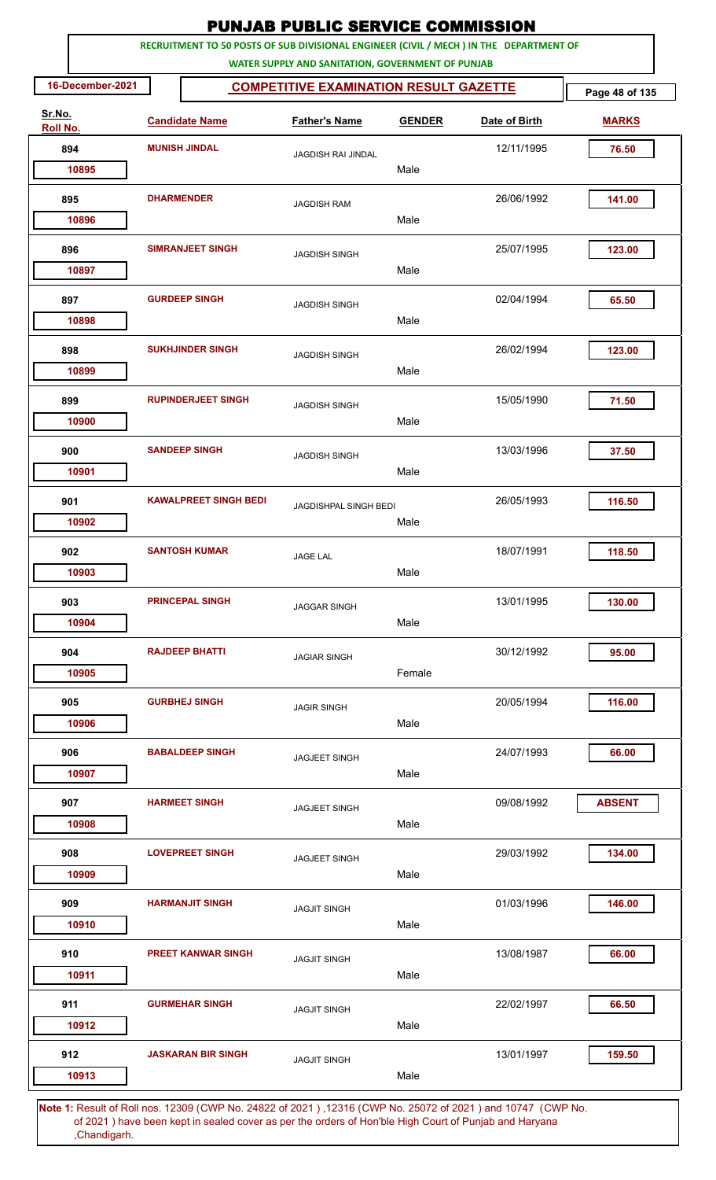|                    |                  |                              | <b>PUNJAB PUBLIC SERVICE COMMISSION</b>                                                                                                      |               |               |                |
|--------------------|------------------|------------------------------|----------------------------------------------------------------------------------------------------------------------------------------------|---------------|---------------|----------------|
|                    |                  |                              | RECRUITMENT TO 50 POSTS OF SUB DIVISIONAL ENGINEER (CIVIL / MECH ) IN THE DEPARTMENT OF<br>WATER SUPPLY AND SANITATION, GOVERNMENT OF PUNJAB |               |               |                |
|                    | 16-December-2021 |                              | <b>COMPETITIVE EXAMINATION RESULT GAZETTE</b>                                                                                                |               |               | Page 48 of 135 |
| Sr.No.<br>Roll No. |                  | <b>Candidate Name</b>        | <b>Father's Name</b>                                                                                                                         | <b>GENDER</b> | Date of Birth | <b>MARKS</b>   |
|                    | 894              | <b>MUNISH JINDAL</b>         | <b>JAGDISH RAI JINDAL</b>                                                                                                                    |               | 12/11/1995    | 76.50          |
|                    | 10895            |                              |                                                                                                                                              | Male          |               |                |
|                    | 895              | <b>DHARMENDER</b>            | <b>JAGDISH RAM</b>                                                                                                                           |               | 26/06/1992    | 141.00         |
|                    | 10896            |                              |                                                                                                                                              | Male          |               |                |
|                    | 896<br>10897     | <b>SIMRANJEET SINGH</b>      | <b>JAGDISH SINGH</b>                                                                                                                         | Male          | 25/07/1995    | 123.00         |
|                    |                  |                              |                                                                                                                                              |               |               |                |
|                    | 897<br>10898     | <b>GURDEEP SINGH</b>         | <b>JAGDISH SINGH</b>                                                                                                                         | Male          | 02/04/1994    | 65.50          |
|                    | 898              | <b>SUKHJINDER SINGH</b>      | <b>JAGDISH SINGH</b>                                                                                                                         |               | 26/02/1994    | 123.00         |
|                    | 10899            |                              |                                                                                                                                              | Male          |               |                |
|                    | 899              | <b>RUPINDERJEET SINGH</b>    | <b>JAGDISH SINGH</b>                                                                                                                         |               | 15/05/1990    | 71.50          |
|                    | 10900            |                              |                                                                                                                                              | Male          |               |                |
|                    | 900              | <b>SANDEEP SINGH</b>         | <b>JAGDISH SINGH</b>                                                                                                                         |               | 13/03/1996    | 37.50          |
|                    | 10901            |                              |                                                                                                                                              | Male          |               |                |
|                    | 901              | <b>KAWALPREET SINGH BEDI</b> | JAGDISHPAL SINGH BEDI                                                                                                                        |               | 26/05/1993    | 116.50         |
|                    | 10902            |                              |                                                                                                                                              | Male          |               |                |
|                    | 902              | <b>SANTOSH KUMAR</b>         | <b>JAGE LAL</b>                                                                                                                              |               | 18/07/1991    | 118.50         |
|                    | 10903            |                              |                                                                                                                                              | Male          |               |                |
|                    | 903              | <b>PRINCEPAL SINGH</b>       | <b>JAGGAR SINGH</b>                                                                                                                          |               | 13/01/1995    | 130.00         |
|                    | 10904            |                              |                                                                                                                                              | Male          |               |                |
|                    | 904              | <b>RAJDEEP BHATTI</b>        | <b>JAGIAR SINGH</b>                                                                                                                          |               | 30/12/1992    | 95.00          |
|                    | 10905            |                              |                                                                                                                                              | Female        |               |                |
|                    | 905              | <b>GURBHEJ SINGH</b>         | <b>JAGIR SINGH</b>                                                                                                                           |               | 20/05/1994    | 116.00         |
|                    | 10906            |                              |                                                                                                                                              | Male          |               |                |
|                    | 906              | <b>BABALDEEP SINGH</b>       | <b>JAGJEET SINGH</b>                                                                                                                         |               | 24/07/1993    | 66.00          |
|                    | 10907            |                              |                                                                                                                                              | Male          |               |                |
|                    | 907              | <b>HARMEET SINGH</b>         | <b>JAGJEET SINGH</b>                                                                                                                         |               | 09/08/1992    | <b>ABSENT</b>  |
|                    | 10908            |                              |                                                                                                                                              | Male          |               |                |
|                    | 908              | <b>LOVEPREET SINGH</b>       | <b>JAGJEET SINGH</b>                                                                                                                         |               | 29/03/1992    | 134.00         |
|                    | 10909            |                              |                                                                                                                                              | Male          |               |                |
|                    | 909              | <b>HARMANJIT SINGH</b>       | <b>JAGJIT SINGH</b>                                                                                                                          |               | 01/03/1996    | 146.00         |
|                    | 10910            |                              |                                                                                                                                              | Male          |               |                |
|                    | 910              | <b>PREET KANWAR SINGH</b>    | <b>JAGJIT SINGH</b>                                                                                                                          |               | 13/08/1987    | 66.00          |
|                    | 10911            |                              |                                                                                                                                              | Male          |               |                |
|                    | 911              | <b>GURMEHAR SINGH</b>        | <b>JAGJIT SINGH</b>                                                                                                                          |               | 22/02/1997    | 66.50          |
|                    | 10912            |                              |                                                                                                                                              | Male          |               |                |
|                    | 912              | <b>JASKARAN BIR SINGH</b>    | <b>JAGJIT SINGH</b>                                                                                                                          |               | 13/01/1997    | 159.50         |
|                    | 10913            |                              |                                                                                                                                              | Male          |               |                |
|                    |                  |                              |                                                                                                                                              |               |               |                |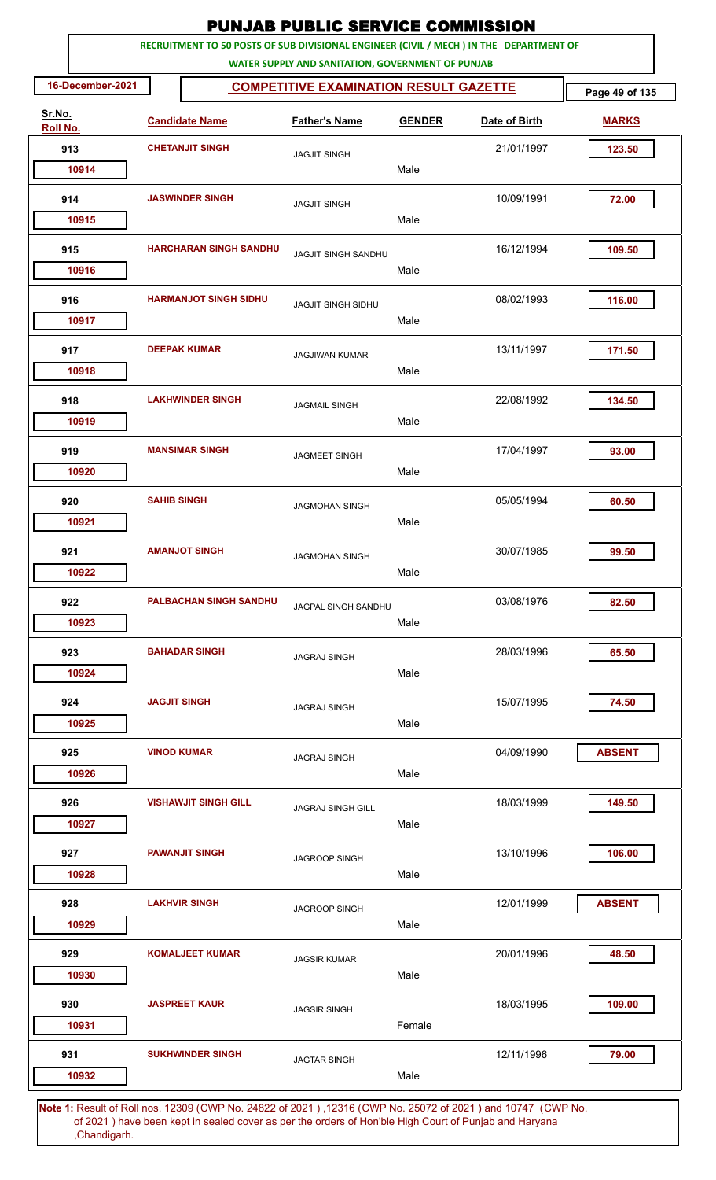| <b>PUNJAB PUBLIC SERVICE COMMISSION</b><br>RECRUITMENT TO 50 POSTS OF SUB DIVISIONAL ENGINEER (CIVIL / MECH ) IN THE DEPARTMENT OF |                     |                               |                                                   |               |                                                                                                       |                |  |  |  |  |
|------------------------------------------------------------------------------------------------------------------------------------|---------------------|-------------------------------|---------------------------------------------------|---------------|-------------------------------------------------------------------------------------------------------|----------------|--|--|--|--|
|                                                                                                                                    |                     |                               | WATER SUPPLY AND SANITATION, GOVERNMENT OF PUNJAB |               |                                                                                                       |                |  |  |  |  |
| 16-December-2021                                                                                                                   |                     |                               | <b>COMPETITIVE EXAMINATION RESULT GAZETTE</b>     |               |                                                                                                       | Page 49 of 135 |  |  |  |  |
| Sr.No.<br>Roll No.                                                                                                                 |                     | <b>Candidate Name</b>         | <b>Father's Name</b>                              | <b>GENDER</b> | Date of Birth                                                                                         | <b>MARKS</b>   |  |  |  |  |
| 913                                                                                                                                |                     | <b>CHETANJIT SINGH</b>        | <b>JAGJIT SINGH</b>                               |               | 21/01/1997                                                                                            | 123.50         |  |  |  |  |
| 10914                                                                                                                              |                     |                               |                                                   | Male          |                                                                                                       |                |  |  |  |  |
| 914                                                                                                                                |                     | <b>JASWINDER SINGH</b>        | <b>JAGJIT SINGH</b>                               |               | 10/09/1991                                                                                            | 72.00          |  |  |  |  |
| 10915                                                                                                                              |                     |                               |                                                   | Male          |                                                                                                       |                |  |  |  |  |
| 915<br>10916                                                                                                                       |                     | <b>HARCHARAN SINGH SANDHU</b> | <b>JAGJIT SINGH SANDHU</b>                        | Male          | 16/12/1994                                                                                            | 109.50         |  |  |  |  |
| 916<br>10917                                                                                                                       |                     | <b>HARMANJOT SINGH SIDHU</b>  | <b>JAGJIT SINGH SIDHU</b>                         | Male          | 08/02/1993                                                                                            | 116.00         |  |  |  |  |
| 917<br>10918                                                                                                                       |                     | <b>DEEPAK KUMAR</b>           | <b>JAGJIWAN KUMAR</b>                             | Male          | 13/11/1997                                                                                            | 171.50         |  |  |  |  |
| 918<br>10919                                                                                                                       |                     | <b>LAKHWINDER SINGH</b>       | <b>JAGMAIL SINGH</b>                              | Male          | 22/08/1992                                                                                            | 134.50         |  |  |  |  |
| 919<br>10920                                                                                                                       |                     | <b>MANSIMAR SINGH</b>         | <b>JAGMEET SINGH</b>                              | Male          | 17/04/1997                                                                                            | 93.00          |  |  |  |  |
| 920<br>10921                                                                                                                       | <b>SAHIB SINGH</b>  |                               | <b>JAGMOHAN SINGH</b>                             | Male          | 05/05/1994                                                                                            | 60.50          |  |  |  |  |
| 921                                                                                                                                |                     | <b>AMANJOT SINGH</b>          | <b>JAGMOHAN SINGH</b>                             |               | 30/07/1985                                                                                            | 99.50          |  |  |  |  |
| 10922                                                                                                                              |                     |                               |                                                   | Male          |                                                                                                       |                |  |  |  |  |
| 922<br>10923                                                                                                                       |                     | <b>PALBACHAN SINGH SANDHU</b> | JAGPAL SINGH SANDHU                               | Male          | 03/08/1976                                                                                            | 82.50          |  |  |  |  |
| 923<br>10924                                                                                                                       |                     | <b>BAHADAR SINGH</b>          | <b>JAGRAJ SINGH</b>                               | Male          | 28/03/1996                                                                                            | 65.50          |  |  |  |  |
| 924<br>10925                                                                                                                       | <b>JAGJIT SINGH</b> |                               | <b>JAGRAJ SINGH</b>                               | Male          | 15/07/1995                                                                                            | 74.50          |  |  |  |  |
| 925<br>10926                                                                                                                       |                     | <b>VINOD KUMAR</b>            | <b>JAGRAJ SINGH</b>                               | Male          | 04/09/1990                                                                                            | <b>ABSENT</b>  |  |  |  |  |
| 926<br>10927                                                                                                                       |                     | <b>VISHAWJIT SINGH GILL</b>   | <b>JAGRAJ SINGH GILL</b>                          | Male          | 18/03/1999                                                                                            | 149.50         |  |  |  |  |
| 927<br>10928                                                                                                                       |                     | <b>PAWANJIT SINGH</b>         | JAGROOP SINGH                                     | Male          | 13/10/1996                                                                                            | 106.00         |  |  |  |  |
| 928<br>10929                                                                                                                       |                     | <b>LAKHVIR SINGH</b>          | <b>JAGROOP SINGH</b>                              | Male          | 12/01/1999                                                                                            | <b>ABSENT</b>  |  |  |  |  |
| 929<br>10930                                                                                                                       |                     | <b>KOMALJEET KUMAR</b>        | <b>JAGSIR KUMAR</b>                               | Male          | 20/01/1996                                                                                            | 48.50          |  |  |  |  |
| 930<br>10931                                                                                                                       |                     | <b>JASPREET KAUR</b>          | <b>JAGSIR SINGH</b>                               | Female        | 18/03/1995                                                                                            | 109.00         |  |  |  |  |
| 931                                                                                                                                |                     | <b>SUKHWINDER SINGH</b>       | <b>JAGTAR SINGH</b>                               |               | 12/11/1996                                                                                            | 79.00          |  |  |  |  |
| 10932                                                                                                                              |                     |                               |                                                   | Male          | 1: Result of Bollings, 12200 (CWD No. 24822 of 2021), 12216 (CWD No. 25072 of 2021) and 10747 (CWD No |                |  |  |  |  |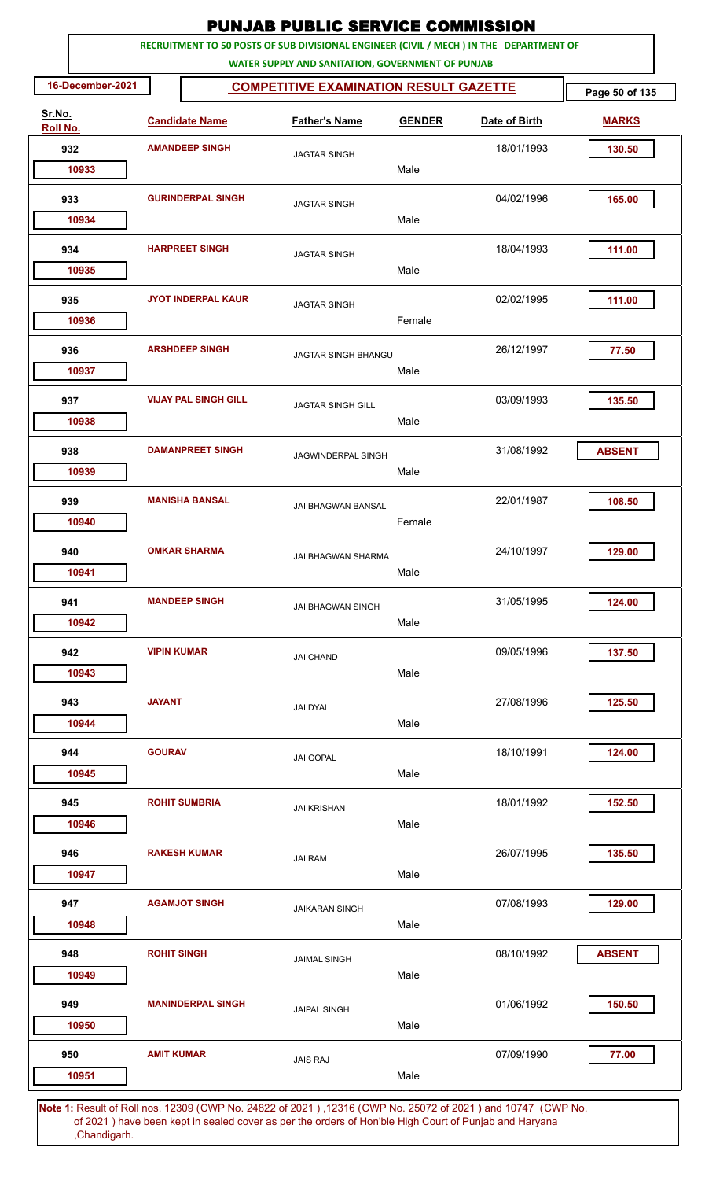|                    |                       |                             | <b>PUNJAB PUBLIC SERVICE COMMISSION</b>                                                                                                      |               |               |                |
|--------------------|-----------------------|-----------------------------|----------------------------------------------------------------------------------------------------------------------------------------------|---------------|---------------|----------------|
|                    |                       |                             | RECRUITMENT TO 50 POSTS OF SUB DIVISIONAL ENGINEER (CIVIL / MECH ) IN THE DEPARTMENT OF<br>WATER SUPPLY AND SANITATION, GOVERNMENT OF PUNJAB |               |               |                |
| 16-December-2021   |                       |                             | <b>COMPETITIVE EXAMINATION RESULT GAZETTE</b>                                                                                                |               |               | Page 50 of 135 |
| Sr.No.<br>Roll No. |                       | <b>Candidate Name</b>       | <b>Father's Name</b>                                                                                                                         | <b>GENDER</b> | Date of Birth | <b>MARKS</b>   |
| 932                |                       | <b>AMANDEEP SINGH</b>       | <b>JAGTAR SINGH</b>                                                                                                                          |               | 18/01/1993    | 130.50         |
| 10933              |                       |                             |                                                                                                                                              | Male          |               |                |
| 933<br>10934       |                       | <b>GURINDERPAL SINGH</b>    | <b>JAGTAR SINGH</b>                                                                                                                          | Male          | 04/02/1996    | 165.00         |
| 934                | <b>HARPREET SINGH</b> |                             | <b>JAGTAR SINGH</b>                                                                                                                          |               | 18/04/1993    | 111.00         |
| 10935              |                       |                             |                                                                                                                                              | Male          |               |                |
| 935<br>10936       |                       | <b>JYOT INDERPAL KAUR</b>   | <b>JAGTAR SINGH</b>                                                                                                                          | Female        | 02/02/1995    | 111.00         |
| 936<br>10937       |                       | <b>ARSHDEEP SINGH</b>       | <b>JAGTAR SINGH BHANGU</b>                                                                                                                   | Male          | 26/12/1997    | 77.50          |
| 937<br>10938       |                       | <b>VIJAY PAL SINGH GILL</b> | <b>JAGTAR SINGH GILL</b>                                                                                                                     | Male          | 03/09/1993    | 135.50         |
| 938                |                       | <b>DAMANPREET SINGH</b>     | JAGWINDERPAL SINGH                                                                                                                           |               | 31/08/1992    | <b>ABSENT</b>  |
| 10939<br>939       |                       | <b>MANISHA BANSAL</b>       | <b>JAI BHAGWAN BANSAL</b>                                                                                                                    | Male          | 22/01/1987    | 108.50         |
| 10940              |                       |                             |                                                                                                                                              | Female        |               |                |
| 940<br>10941       |                       | <b>OMKAR SHARMA</b>         | JAI BHAGWAN SHARMA                                                                                                                           | Male          | 24/10/1997    | 129.00         |
| 941<br>10942       |                       | <b>MANDEEP SINGH</b>        | <b>JAI BHAGWAN SINGH</b>                                                                                                                     | Male          | 31/05/1995    | 124.00         |
| 942<br>10943       | <b>VIPIN KUMAR</b>    |                             | <b>JAI CHAND</b>                                                                                                                             | Male          | 09/05/1996    | 137.50         |
| 943<br>10944       | <b>JAYANT</b>         |                             | <b>JAI DYAL</b>                                                                                                                              | Male          | 27/08/1996    | 125.50         |
| 944<br>10945       | <b>GOURAV</b>         |                             | <b>JAI GOPAL</b>                                                                                                                             | Male          | 18/10/1991    | 124.00         |
| 945                |                       | <b>ROHIT SUMBRIA</b>        | <b>JAI KRISHAN</b>                                                                                                                           | Male          | 18/01/1992    | 152.50         |
| 10946<br>946       |                       | <b>RAKESH KUMAR</b>         | <b>JAI RAM</b>                                                                                                                               |               | 26/07/1995    | 135.50         |
| 10947<br>947       |                       | <b>AGAMJOT SINGH</b>        | <b>JAIKARAN SINGH</b>                                                                                                                        | Male          | 07/08/1993    | 129.00         |
| 10948<br>948       | <b>ROHIT SINGH</b>    |                             | <b>JAIMAL SINGH</b>                                                                                                                          | Male          | 08/10/1992    | <b>ABSENT</b>  |
| 10949              |                       |                             |                                                                                                                                              | Male          |               |                |
| 949<br>10950       |                       | <b>MANINDERPAL SINGH</b>    | <b>JAIPAL SINGH</b>                                                                                                                          | Male          | 01/06/1992    | 150.50         |
| 950                | <b>AMIT KUMAR</b>     |                             | <b>JAIS RAJ</b>                                                                                                                              |               | 07/09/1990    | 77.00          |
| 10951              |                       |                             | 1. Result of Bollings, 19200 (CMD No. 24922 of 2021), 19216 (CMD No. 25072 of 2021) and 10747 (CMD No                                        | Male          |               |                |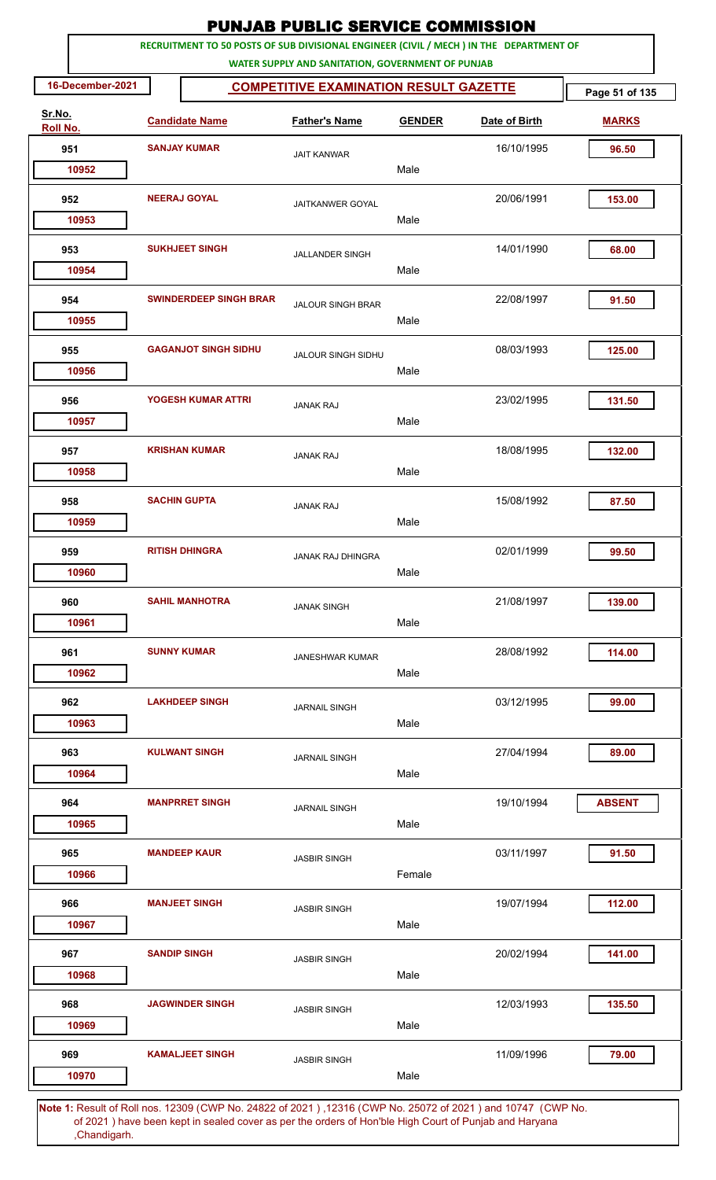| RECRUITMENT TO 50 POSTS OF SUB DIVISIONAL ENGINEER (CIVIL / MECH ) IN THE DEPARTMENT OF<br>WATER SUPPLY AND SANITATION, GOVERNMENT OF PUNJAB<br>16-December-2021<br><b>COMPETITIVE EXAMINATION RESULT GAZETTE</b><br>Sr.No.<br><b>Candidate Name</b><br><b>Father's Name</b><br><b>GENDER</b><br>Date of Birth<br>Roll No.<br><b>SANJAY KUMAR</b><br>16/10/1995<br>951<br>96.50<br><b>JAIT KANWAR</b><br>Male<br>10952<br>952<br><b>NEERAJ GOYAL</b><br>20/06/1991<br>153.00<br>JAITKANWER GOYAL<br>Male<br>10953<br>14/01/1990<br>953<br><b>SUKHJEET SINGH</b><br>68.00<br><b>JALLANDER SINGH</b><br>Male<br>10954<br><b>SWINDERDEEP SINGH BRAR</b><br>22/08/1997<br>954<br>91.50<br><b>JALOUR SINGH BRAR</b><br>Male<br>10955<br><b>GAGANJOT SINGH SIDHU</b><br>08/03/1993<br>955<br>125.00<br>JALOUR SINGH SIDHU<br>Male<br>10956<br>23/02/1995<br>956<br><b>YOGESH KUMAR ATTRI</b><br>131.50<br><b>JANAK RAJ</b><br>10957<br>Male<br><b>KRISHAN KUMAR</b><br>18/08/1995<br>957<br>132.00<br><b>JANAK RAJ</b><br>Male<br>10958<br><b>SACHIN GUPTA</b><br>15/08/1992<br>958<br>87.50<br><b>JANAK RAJ</b><br>Male<br>10959<br>02/01/1999<br>959<br><b>RITISH DHINGRA</b><br>99.50<br>JANAK RAJ DHINGRA<br>Male<br>10960<br><b>SAHIL MANHOTRA</b><br>960<br>21/08/1997<br>139.00<br><b>JANAK SINGH</b><br>Male<br>10961<br><b>SUNNY KUMAR</b><br>28/08/1992<br>114.00<br>961<br><b>JANESHWAR KUMAR</b><br>10962<br>Male<br>03/12/1995<br>962<br><b>LAKHDEEP SINGH</b><br>99.00<br><b>JARNAIL SINGH</b><br>Male<br>10963<br><b>KULWANT SINGH</b><br>963<br>27/04/1994<br>89.00<br><b>JARNAIL SINGH</b><br>Male<br>10964<br><b>MANPRRET SINGH</b><br>19/10/1994<br>964<br><b>ABSENT</b><br><b>JARNAIL SINGH</b><br>Male<br>10965<br>03/11/1997<br>965<br><b>MANDEEP KAUR</b><br>91.50<br><b>JASBIR SINGH</b><br>Female<br>10966<br><b>MANJEET SINGH</b><br>966<br>19/07/1994<br>112.00<br><b>JASBIR SINGH</b><br>Male<br>10967<br><b>SANDIP SINGH</b><br>20/02/1994<br>141.00<br>967<br><b>JASBIR SINGH</b><br>Male<br>10968<br>12/03/1993<br>135.50<br>968<br><b>JAGWINDER SINGH</b><br><b>JASBIR SINGH</b><br>Male<br>10969 |  |  | <b>PUNJAB PUBLIC SERVICE COMMISSION</b> |  |                |
|-----------------------------------------------------------------------------------------------------------------------------------------------------------------------------------------------------------------------------------------------------------------------------------------------------------------------------------------------------------------------------------------------------------------------------------------------------------------------------------------------------------------------------------------------------------------------------------------------------------------------------------------------------------------------------------------------------------------------------------------------------------------------------------------------------------------------------------------------------------------------------------------------------------------------------------------------------------------------------------------------------------------------------------------------------------------------------------------------------------------------------------------------------------------------------------------------------------------------------------------------------------------------------------------------------------------------------------------------------------------------------------------------------------------------------------------------------------------------------------------------------------------------------------------------------------------------------------------------------------------------------------------------------------------------------------------------------------------------------------------------------------------------------------------------------------------------------------------------------------------------------------------------------------------------------------------------------------------------------------------------------------------------------------------------------------------------------------------------------------------------------|--|--|-----------------------------------------|--|----------------|
|                                                                                                                                                                                                                                                                                                                                                                                                                                                                                                                                                                                                                                                                                                                                                                                                                                                                                                                                                                                                                                                                                                                                                                                                                                                                                                                                                                                                                                                                                                                                                                                                                                                                                                                                                                                                                                                                                                                                                                                                                                                                                                                             |  |  |                                         |  |                |
|                                                                                                                                                                                                                                                                                                                                                                                                                                                                                                                                                                                                                                                                                                                                                                                                                                                                                                                                                                                                                                                                                                                                                                                                                                                                                                                                                                                                                                                                                                                                                                                                                                                                                                                                                                                                                                                                                                                                                                                                                                                                                                                             |  |  |                                         |  | Page 51 of 135 |
|                                                                                                                                                                                                                                                                                                                                                                                                                                                                                                                                                                                                                                                                                                                                                                                                                                                                                                                                                                                                                                                                                                                                                                                                                                                                                                                                                                                                                                                                                                                                                                                                                                                                                                                                                                                                                                                                                                                                                                                                                                                                                                                             |  |  |                                         |  | <b>MARKS</b>   |
|                                                                                                                                                                                                                                                                                                                                                                                                                                                                                                                                                                                                                                                                                                                                                                                                                                                                                                                                                                                                                                                                                                                                                                                                                                                                                                                                                                                                                                                                                                                                                                                                                                                                                                                                                                                                                                                                                                                                                                                                                                                                                                                             |  |  |                                         |  |                |
|                                                                                                                                                                                                                                                                                                                                                                                                                                                                                                                                                                                                                                                                                                                                                                                                                                                                                                                                                                                                                                                                                                                                                                                                                                                                                                                                                                                                                                                                                                                                                                                                                                                                                                                                                                                                                                                                                                                                                                                                                                                                                                                             |  |  |                                         |  |                |
|                                                                                                                                                                                                                                                                                                                                                                                                                                                                                                                                                                                                                                                                                                                                                                                                                                                                                                                                                                                                                                                                                                                                                                                                                                                                                                                                                                                                                                                                                                                                                                                                                                                                                                                                                                                                                                                                                                                                                                                                                                                                                                                             |  |  |                                         |  |                |
|                                                                                                                                                                                                                                                                                                                                                                                                                                                                                                                                                                                                                                                                                                                                                                                                                                                                                                                                                                                                                                                                                                                                                                                                                                                                                                                                                                                                                                                                                                                                                                                                                                                                                                                                                                                                                                                                                                                                                                                                                                                                                                                             |  |  |                                         |  |                |
|                                                                                                                                                                                                                                                                                                                                                                                                                                                                                                                                                                                                                                                                                                                                                                                                                                                                                                                                                                                                                                                                                                                                                                                                                                                                                                                                                                                                                                                                                                                                                                                                                                                                                                                                                                                                                                                                                                                                                                                                                                                                                                                             |  |  |                                         |  |                |
|                                                                                                                                                                                                                                                                                                                                                                                                                                                                                                                                                                                                                                                                                                                                                                                                                                                                                                                                                                                                                                                                                                                                                                                                                                                                                                                                                                                                                                                                                                                                                                                                                                                                                                                                                                                                                                                                                                                                                                                                                                                                                                                             |  |  |                                         |  |                |
|                                                                                                                                                                                                                                                                                                                                                                                                                                                                                                                                                                                                                                                                                                                                                                                                                                                                                                                                                                                                                                                                                                                                                                                                                                                                                                                                                                                                                                                                                                                                                                                                                                                                                                                                                                                                                                                                                                                                                                                                                                                                                                                             |  |  |                                         |  |                |
|                                                                                                                                                                                                                                                                                                                                                                                                                                                                                                                                                                                                                                                                                                                                                                                                                                                                                                                                                                                                                                                                                                                                                                                                                                                                                                                                                                                                                                                                                                                                                                                                                                                                                                                                                                                                                                                                                                                                                                                                                                                                                                                             |  |  |                                         |  |                |
|                                                                                                                                                                                                                                                                                                                                                                                                                                                                                                                                                                                                                                                                                                                                                                                                                                                                                                                                                                                                                                                                                                                                                                                                                                                                                                                                                                                                                                                                                                                                                                                                                                                                                                                                                                                                                                                                                                                                                                                                                                                                                                                             |  |  |                                         |  |                |
|                                                                                                                                                                                                                                                                                                                                                                                                                                                                                                                                                                                                                                                                                                                                                                                                                                                                                                                                                                                                                                                                                                                                                                                                                                                                                                                                                                                                                                                                                                                                                                                                                                                                                                                                                                                                                                                                                                                                                                                                                                                                                                                             |  |  |                                         |  |                |
|                                                                                                                                                                                                                                                                                                                                                                                                                                                                                                                                                                                                                                                                                                                                                                                                                                                                                                                                                                                                                                                                                                                                                                                                                                                                                                                                                                                                                                                                                                                                                                                                                                                                                                                                                                                                                                                                                                                                                                                                                                                                                                                             |  |  |                                         |  |                |
|                                                                                                                                                                                                                                                                                                                                                                                                                                                                                                                                                                                                                                                                                                                                                                                                                                                                                                                                                                                                                                                                                                                                                                                                                                                                                                                                                                                                                                                                                                                                                                                                                                                                                                                                                                                                                                                                                                                                                                                                                                                                                                                             |  |  |                                         |  |                |
|                                                                                                                                                                                                                                                                                                                                                                                                                                                                                                                                                                                                                                                                                                                                                                                                                                                                                                                                                                                                                                                                                                                                                                                                                                                                                                                                                                                                                                                                                                                                                                                                                                                                                                                                                                                                                                                                                                                                                                                                                                                                                                                             |  |  |                                         |  |                |
|                                                                                                                                                                                                                                                                                                                                                                                                                                                                                                                                                                                                                                                                                                                                                                                                                                                                                                                                                                                                                                                                                                                                                                                                                                                                                                                                                                                                                                                                                                                                                                                                                                                                                                                                                                                                                                                                                                                                                                                                                                                                                                                             |  |  |                                         |  |                |
|                                                                                                                                                                                                                                                                                                                                                                                                                                                                                                                                                                                                                                                                                                                                                                                                                                                                                                                                                                                                                                                                                                                                                                                                                                                                                                                                                                                                                                                                                                                                                                                                                                                                                                                                                                                                                                                                                                                                                                                                                                                                                                                             |  |  |                                         |  |                |
|                                                                                                                                                                                                                                                                                                                                                                                                                                                                                                                                                                                                                                                                                                                                                                                                                                                                                                                                                                                                                                                                                                                                                                                                                                                                                                                                                                                                                                                                                                                                                                                                                                                                                                                                                                                                                                                                                                                                                                                                                                                                                                                             |  |  |                                         |  |                |
|                                                                                                                                                                                                                                                                                                                                                                                                                                                                                                                                                                                                                                                                                                                                                                                                                                                                                                                                                                                                                                                                                                                                                                                                                                                                                                                                                                                                                                                                                                                                                                                                                                                                                                                                                                                                                                                                                                                                                                                                                                                                                                                             |  |  |                                         |  |                |
|                                                                                                                                                                                                                                                                                                                                                                                                                                                                                                                                                                                                                                                                                                                                                                                                                                                                                                                                                                                                                                                                                                                                                                                                                                                                                                                                                                                                                                                                                                                                                                                                                                                                                                                                                                                                                                                                                                                                                                                                                                                                                                                             |  |  |                                         |  |                |
|                                                                                                                                                                                                                                                                                                                                                                                                                                                                                                                                                                                                                                                                                                                                                                                                                                                                                                                                                                                                                                                                                                                                                                                                                                                                                                                                                                                                                                                                                                                                                                                                                                                                                                                                                                                                                                                                                                                                                                                                                                                                                                                             |  |  |                                         |  |                |
|                                                                                                                                                                                                                                                                                                                                                                                                                                                                                                                                                                                                                                                                                                                                                                                                                                                                                                                                                                                                                                                                                                                                                                                                                                                                                                                                                                                                                                                                                                                                                                                                                                                                                                                                                                                                                                                                                                                                                                                                                                                                                                                             |  |  |                                         |  |                |
| <b>KAMALJEET SINGH</b><br>11/09/1996<br>969<br>79.00<br><b>JASBIR SINGH</b><br>Male<br>10970                                                                                                                                                                                                                                                                                                                                                                                                                                                                                                                                                                                                                                                                                                                                                                                                                                                                                                                                                                                                                                                                                                                                                                                                                                                                                                                                                                                                                                                                                                                                                                                                                                                                                                                                                                                                                                                                                                                                                                                                                                |  |  |                                         |  |                |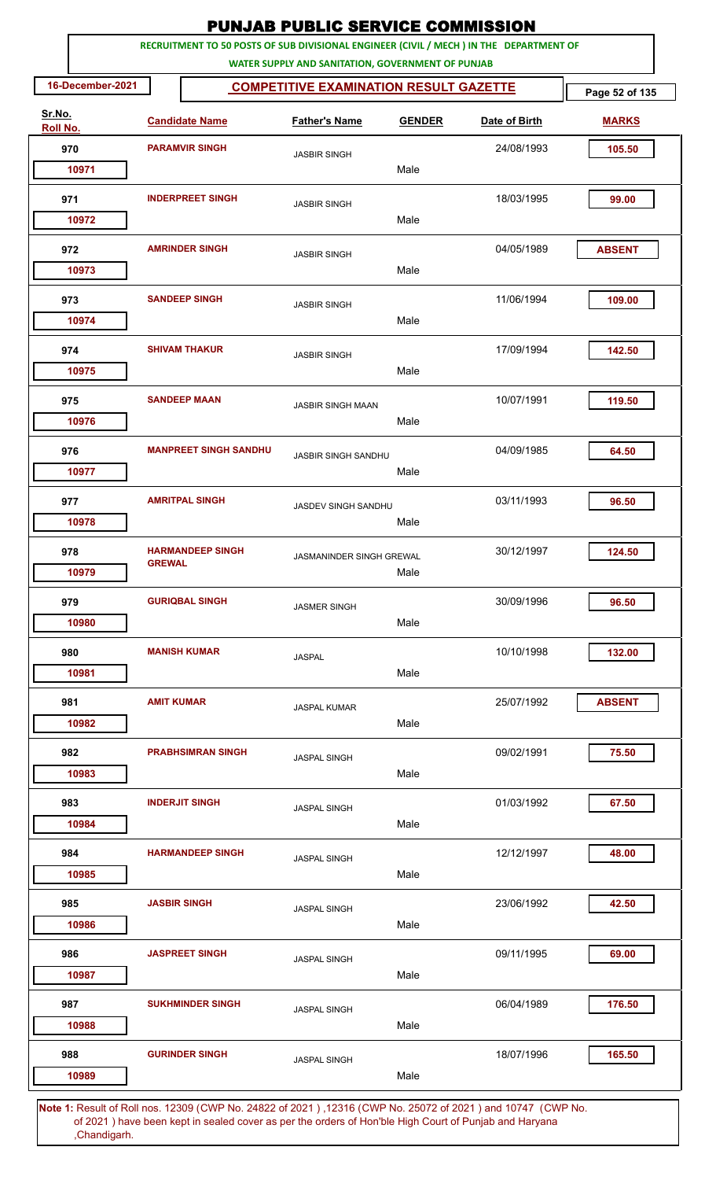|                    |                     |                              | <b>PUNJAB PUBLIC SERVICE COMMISSION</b>           |               |                                                                                                       |                |
|--------------------|---------------------|------------------------------|---------------------------------------------------|---------------|-------------------------------------------------------------------------------------------------------|----------------|
|                    |                     |                              | WATER SUPPLY AND SANITATION, GOVERNMENT OF PUNJAB |               | RECRUITMENT TO 50 POSTS OF SUB DIVISIONAL ENGINEER (CIVIL / MECH ) IN THE DEPARTMENT OF               |                |
| 16-December-2021   |                     |                              | <b>COMPETITIVE EXAMINATION RESULT GAZETTE</b>     |               |                                                                                                       | Page 52 of 135 |
| Sr.No.<br>Roll No. |                     | <b>Candidate Name</b>        | <b>Father's Name</b>                              | <b>GENDER</b> | Date of Birth                                                                                         | <b>MARKS</b>   |
| 970                |                     | <b>PARAMVIR SINGH</b>        | <b>JASBIR SINGH</b>                               |               | 24/08/1993                                                                                            | 105.50         |
| 10971              |                     |                              |                                                   | Male          |                                                                                                       |                |
| 971<br>10972       |                     | <b>INDERPREET SINGH</b>      | <b>JASBIR SINGH</b>                               | Male          | 18/03/1995                                                                                            | 99.00          |
| 972                |                     | <b>AMRINDER SINGH</b>        |                                                   |               | 04/05/1989                                                                                            | <b>ABSENT</b>  |
| 10973              |                     |                              | <b>JASBIR SINGH</b>                               | Male          |                                                                                                       |                |
| 973<br>10974       |                     | <b>SANDEEP SINGH</b>         | <b>JASBIR SINGH</b>                               | Male          | 11/06/1994                                                                                            | 109.00         |
| 974<br>10975       |                     | <b>SHIVAM THAKUR</b>         | <b>JASBIR SINGH</b>                               | Male          | 17/09/1994                                                                                            | 142.50         |
| 975<br>10976       |                     | <b>SANDEEP MAAN</b>          | <b>JASBIR SINGH MAAN</b>                          | Male          | 10/07/1991                                                                                            | 119.50         |
| 976<br>10977       |                     | <b>MANPREET SINGH SANDHU</b> | JASBIR SINGH SANDHU                               | Male          | 04/09/1985                                                                                            | 64.50          |
| 977<br>10978       |                     | <b>AMRITPAL SINGH</b>        | <b>JASDEV SINGH SANDHU</b>                        | Male          | 03/11/1993                                                                                            | 96.50          |
| 978                | <b>GREWAI</b>       | <b>HARMANDEEP SINGH</b>      | JASMANINDER SINGH GREWAL                          |               | 30/12/1997                                                                                            | 124.50         |
| 10979<br>979       |                     | <b>GURIQBAL SINGH</b>        | <b>JASMER SINGH</b>                               | Male          | 30/09/1996                                                                                            | 96.50          |
| 10980<br>980       |                     | <b>MANISH KUMAR</b>          | <b>JASPAL</b>                                     | Male          | 10/10/1998                                                                                            | 132.00         |
| 10981              |                     |                              |                                                   | Male          |                                                                                                       |                |
| 981<br>10982       | <b>AMIT KUMAR</b>   |                              | <b>JASPAL KUMAR</b>                               | Male          | 25/07/1992                                                                                            | <b>ABSENT</b>  |
| 982<br>10983       |                     | <b>PRABHSIMRAN SINGH</b>     | <b>JASPAL SINGH</b>                               | Male          | 09/02/1991                                                                                            | 75.50          |
| 983<br>10984       |                     | <b>INDERJIT SINGH</b>        | <b>JASPAL SINGH</b>                               | Male          | 01/03/1992                                                                                            | 67.50          |
| 984<br>10985       |                     | <b>HARMANDEEP SINGH</b>      | <b>JASPAL SINGH</b>                               | Male          | 12/12/1997                                                                                            | 48.00          |
| 985<br>10986       | <b>JASBIR SINGH</b> |                              | <b>JASPAL SINGH</b>                               | Male          | 23/06/1992                                                                                            | 42.50          |
| 986<br>10987       |                     | <b>JASPREET SINGH</b>        | <b>JASPAL SINGH</b>                               | Male          | 09/11/1995                                                                                            | 69.00          |
| 987<br>10988       |                     | <b>SUKHMINDER SINGH</b>      | <b>JASPAL SINGH</b>                               | Male          | 06/04/1989                                                                                            | 176.50         |
| 988                |                     | <b>GURINDER SINGH</b>        | <b>JASPAL SINGH</b>                               |               | 18/07/1996                                                                                            | 165.50         |
| 10989              |                     |                              |                                                   | Male          | 1. Result of Bollings, 12200 (CWD No. 24922 of 2021), 12216 (CWD No. 25072 of 2021) and 10747 (CWD No |                |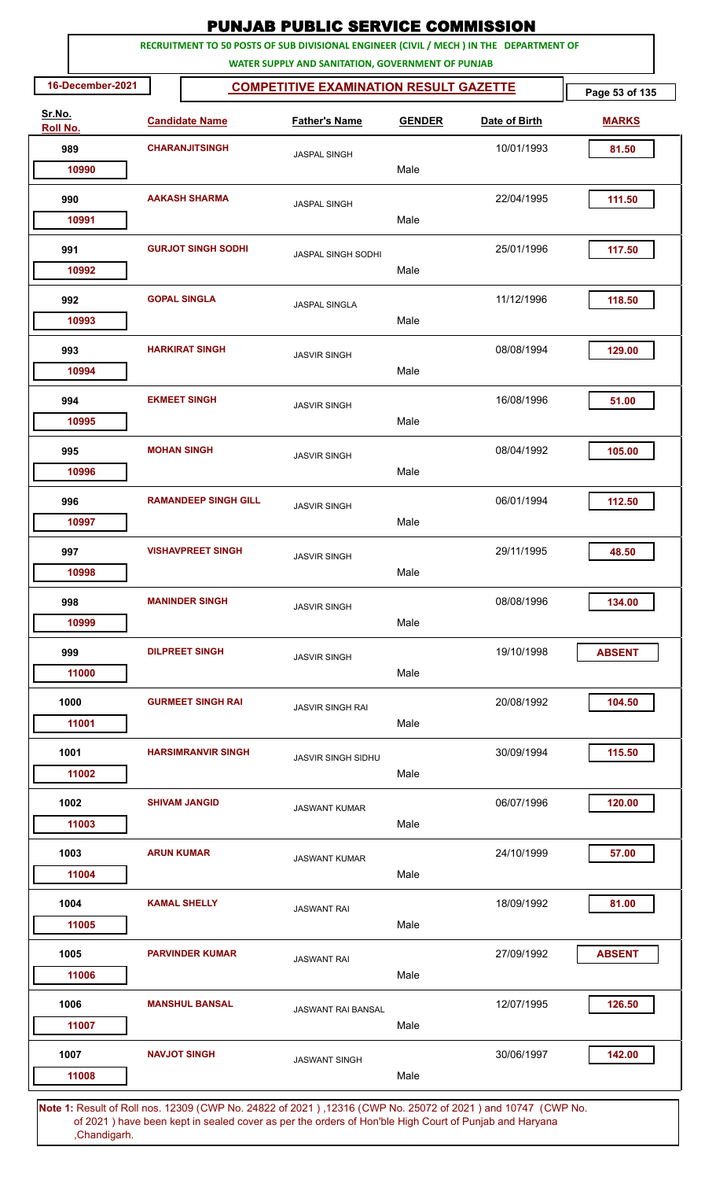|                    |                   |                             | <b>PUNJAB PUBLIC SERVICE COMMISSION</b>                                                                                                      |               |                                                                                                       |                |
|--------------------|-------------------|-----------------------------|----------------------------------------------------------------------------------------------------------------------------------------------|---------------|-------------------------------------------------------------------------------------------------------|----------------|
|                    |                   |                             | RECRUITMENT TO 50 POSTS OF SUB DIVISIONAL ENGINEER (CIVIL / MECH ) IN THE DEPARTMENT OF<br>WATER SUPPLY AND SANITATION, GOVERNMENT OF PUNJAB |               |                                                                                                       |                |
| 16-December-2021   |                   |                             | <b>COMPETITIVE EXAMINATION RESULT GAZETTE</b>                                                                                                |               |                                                                                                       | Page 53 of 135 |
| Sr.No.<br>Roll No. |                   | <b>Candidate Name</b>       | <b>Father's Name</b>                                                                                                                         | <b>GENDER</b> | Date of Birth                                                                                         | <b>MARKS</b>   |
| 989                |                   | <b>CHARANJITSINGH</b>       | <b>JASPAL SINGH</b>                                                                                                                          |               | 10/01/1993                                                                                            | 81.50          |
| 10990              |                   |                             |                                                                                                                                              | Male          |                                                                                                       |                |
| 990                |                   | <b>AAKASH SHARMA</b>        | <b>JASPAL SINGH</b>                                                                                                                          |               | 22/04/1995                                                                                            | 111.50         |
| 10991              |                   |                             |                                                                                                                                              | Male          |                                                                                                       |                |
| 991<br>10992       |                   | <b>GURJOT SINGH SODHI</b>   | <b>JASPAL SINGH SODHI</b>                                                                                                                    | Male          | 25/01/1996                                                                                            | 117.50         |
|                    |                   |                             |                                                                                                                                              |               |                                                                                                       |                |
| 992<br>10993       |                   | <b>GOPAL SINGLA</b>         | <b>JASPAL SINGLA</b>                                                                                                                         | Male          | 11/12/1996                                                                                            | 118.50         |
| 993                |                   | <b>HARKIRAT SINGH</b>       | <b>JASVIR SINGH</b>                                                                                                                          |               | 08/08/1994                                                                                            | 129.00         |
| 10994              |                   |                             |                                                                                                                                              | Male          |                                                                                                       |                |
| 994                |                   | <b>EKMEET SINGH</b>         | <b>JASVIR SINGH</b>                                                                                                                          |               | 16/08/1996                                                                                            | 51.00          |
| 10995              |                   |                             |                                                                                                                                              | Male          |                                                                                                       |                |
| 995<br>10996       |                   | <b>MOHAN SINGH</b>          | <b>JASVIR SINGH</b>                                                                                                                          | Male          | 08/04/1992                                                                                            | 105.00         |
|                    |                   |                             |                                                                                                                                              |               |                                                                                                       |                |
| 996<br>10997       |                   | <b>RAMANDEEP SINGH GILL</b> | <b>JASVIR SINGH</b>                                                                                                                          | Male          | 06/01/1994                                                                                            | 112.50         |
| 997                |                   | <b>VISHAVPREET SINGH</b>    |                                                                                                                                              |               | 29/11/1995                                                                                            | 48.50          |
| 10998              |                   |                             | <b>JASVIR SINGH</b>                                                                                                                          | Male          |                                                                                                       |                |
| 998                |                   | <b>MANINDER SINGH</b>       | <b>JASVIR SINGH</b>                                                                                                                          |               | 08/08/1996                                                                                            | 134.00         |
| 10999              |                   |                             |                                                                                                                                              | Male          |                                                                                                       |                |
| 999                |                   | <b>DILPREET SINGH</b>       | <b>JASVIR SINGH</b>                                                                                                                          |               | 19/10/1998                                                                                            | <b>ABSENT</b>  |
| 11000              |                   |                             |                                                                                                                                              | Male          |                                                                                                       |                |
| 1000               |                   | <b>GURMEET SINGH RAI</b>    | <b>JASVIR SINGH RAI</b>                                                                                                                      |               | 20/08/1992                                                                                            | 104.50         |
| 11001              |                   |                             |                                                                                                                                              | Male          |                                                                                                       |                |
| 1001<br>11002      |                   | <b>HARSIMRANVIR SINGH</b>   | <b>JASVIR SINGH SIDHU</b>                                                                                                                    | Male          | 30/09/1994                                                                                            | 115.50         |
| 1002               |                   | <b>SHIVAM JANGID</b>        | <b>JASWANT KUMAR</b>                                                                                                                         |               | 06/07/1996                                                                                            | 120.00         |
| 11003              |                   |                             |                                                                                                                                              | Male          |                                                                                                       |                |
| 1003               | <b>ARUN KUMAR</b> |                             | <b>JASWANT KUMAR</b>                                                                                                                         |               | 24/10/1999                                                                                            | 57.00          |
| 11004              |                   |                             |                                                                                                                                              | Male          |                                                                                                       |                |
| 1004               |                   | <b>KAMAL SHELLY</b>         | <b>JASWANT RAI</b>                                                                                                                           |               | 18/09/1992                                                                                            | 81.00          |
| 11005              |                   |                             |                                                                                                                                              | Male          |                                                                                                       |                |
| 1005               |                   | <b>PARVINDER KUMAR</b>      | <b>JASWANT RAI</b>                                                                                                                           |               | 27/09/1992                                                                                            | <b>ABSENT</b>  |
| 11006              |                   |                             |                                                                                                                                              | Male          |                                                                                                       |                |
| 1006<br>11007      |                   | <b>MANSHUL BANSAL</b>       | <b>JASWANT RAI BANSAL</b>                                                                                                                    | Male          | 12/07/1995                                                                                            | 126.50         |
| 1007               |                   | <b>NAVJOT SINGH</b>         |                                                                                                                                              |               | 30/06/1997                                                                                            | 142.00         |
| 11008              |                   |                             | <b>JASWANT SINGH</b>                                                                                                                         | Male          |                                                                                                       |                |
|                    |                   |                             |                                                                                                                                              |               | 4. Repult of Rollings, 19200 (CMD No. 24892 of 2021), 19216 (CMD No. 25072 of 2021) and 10747 (CMD No |                |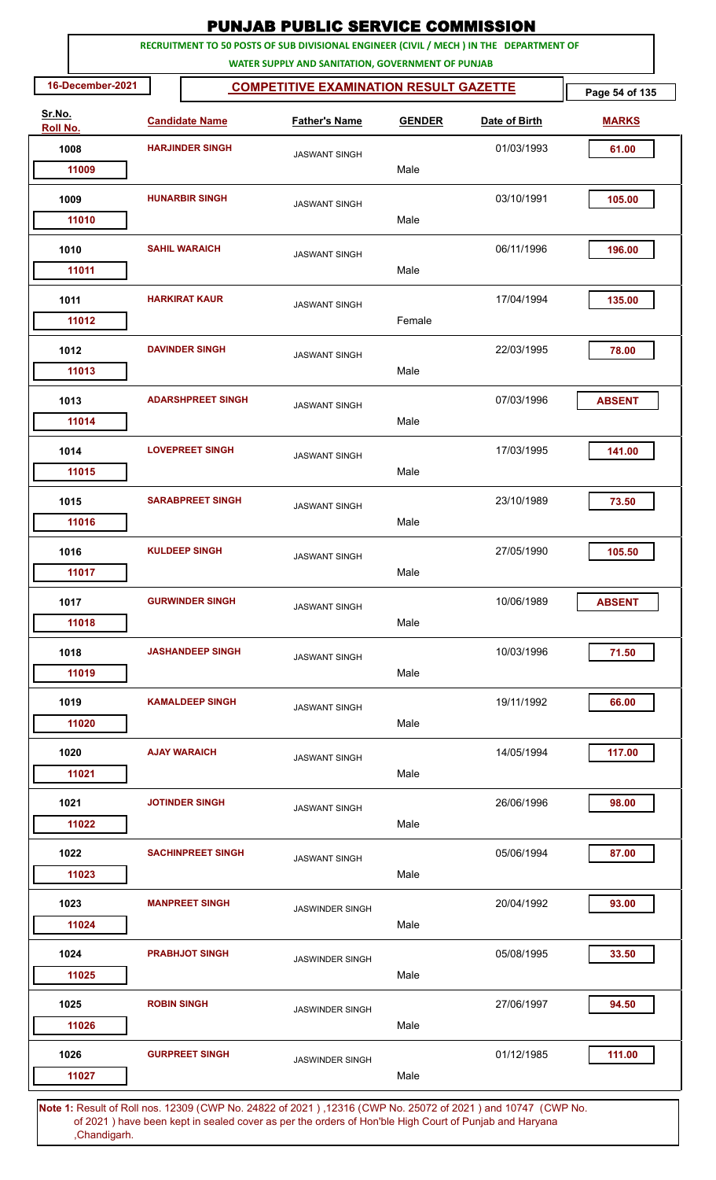| RECRUITMENT TO 50 POSTS OF SUB DIVISIONAL ENGINEER (CIVIL / MECH ) IN THE DEPARTMENT OF<br>WATER SUPPLY AND SANITATION, GOVERNMENT OF PUNJAB<br>16-December-2021<br><b>COMPETITIVE EXAMINATION RESULT GAZETTE</b><br>Sr.No.<br><b>Father's Name</b><br><b>Candidate Name</b><br><b>GENDER</b><br>Date of Birth<br>Roll No.<br><b>HARJINDER SINGH</b><br>1008<br>01/03/1993<br><b>JASWANT SINGH</b><br>Male<br>11009<br><b>HUNARBIR SINGH</b><br>03/10/1991<br>1009<br><b>JASWANT SINGH</b><br>Male<br>11010<br>06/11/1996<br>1010<br><b>SAHIL WARAICH</b><br><b>JASWANT SINGH</b><br>Male<br>11011<br><b>HARKIRAT KAUR</b><br>1011<br>17/04/1994<br><b>JASWANT SINGH</b><br>Female<br>11012<br><b>DAVINDER SINGH</b><br>22/03/1995<br>1012<br><b>JASWANT SINGH</b><br>Male<br>11013<br><b>ADARSHPREET SINGH</b><br>07/03/1996<br>1013<br><b>ABSENT</b><br><b>JASWANT SINGH</b><br>11014<br>Male<br><b>LOVEPREET SINGH</b><br>17/03/1995<br>1014<br><b>JASWANT SINGH</b><br>Male<br>11015<br><b>SARABPREET SINGH</b><br>23/10/1989<br>1015<br><b>JASWANT SINGH</b><br>Male<br>11016<br>27/05/1990<br>1016<br><b>KULDEEP SINGH</b><br><b>JASWANT SINGH</b><br>Male<br>11017<br><b>GURWINDER SINGH</b><br>10/06/1989<br>1017<br><b>ABSENT</b><br><b>JASWANT SINGH</b><br>Male<br>11018<br><b>JASHANDEEP SINGH</b><br>10/03/1996<br>1018<br><b>JASWANT SINGH</b><br>11019<br>Male<br>19/11/1992<br>1019<br><b>KAMALDEEP SINGH</b><br><b>JASWANT SINGH</b><br>Male<br>11020<br><b>AJAY WARAICH</b><br>1020<br>14/05/1994<br><b>JASWANT SINGH</b><br>Male<br>11021<br><b>JOTINDER SINGH</b><br>26/06/1996<br>1021<br><b>JASWANT SINGH</b><br>Male<br>11022<br>1022<br><b>SACHINPREET SINGH</b><br>05/06/1994<br><b>JASWANT SINGH</b><br>Male<br>11023<br><b>MANPREET SINGH</b><br>1023<br>20/04/1992<br><b>JASWINDER SINGH</b><br>Male<br>11024<br><b>PRABHJOT SINGH</b><br>05/08/1995<br>1024<br><b>JASWINDER SINGH</b><br>Male<br>11025<br>1025<br><b>ROBIN SINGH</b><br>27/06/1997<br><b>JASWINDER SINGH</b><br>Male<br>11026 |                |  | <b>PUNJAB PUBLIC SERVICE COMMISSION</b> |  |  |  |
|----------------------------------------------------------------------------------------------------------------------------------------------------------------------------------------------------------------------------------------------------------------------------------------------------------------------------------------------------------------------------------------------------------------------------------------------------------------------------------------------------------------------------------------------------------------------------------------------------------------------------------------------------------------------------------------------------------------------------------------------------------------------------------------------------------------------------------------------------------------------------------------------------------------------------------------------------------------------------------------------------------------------------------------------------------------------------------------------------------------------------------------------------------------------------------------------------------------------------------------------------------------------------------------------------------------------------------------------------------------------------------------------------------------------------------------------------------------------------------------------------------------------------------------------------------------------------------------------------------------------------------------------------------------------------------------------------------------------------------------------------------------------------------------------------------------------------------------------------------------------------------------------------------------------------------------------------------------------------------------------------------------------------|----------------|--|-----------------------------------------|--|--|--|
|                                                                                                                                                                                                                                                                                                                                                                                                                                                                                                                                                                                                                                                                                                                                                                                                                                                                                                                                                                                                                                                                                                                                                                                                                                                                                                                                                                                                                                                                                                                                                                                                                                                                                                                                                                                                                                                                                                                                                                                                                            |                |  |                                         |  |  |  |
|                                                                                                                                                                                                                                                                                                                                                                                                                                                                                                                                                                                                                                                                                                                                                                                                                                                                                                                                                                                                                                                                                                                                                                                                                                                                                                                                                                                                                                                                                                                                                                                                                                                                                                                                                                                                                                                                                                                                                                                                                            | Page 54 of 135 |  |                                         |  |  |  |
|                                                                                                                                                                                                                                                                                                                                                                                                                                                                                                                                                                                                                                                                                                                                                                                                                                                                                                                                                                                                                                                                                                                                                                                                                                                                                                                                                                                                                                                                                                                                                                                                                                                                                                                                                                                                                                                                                                                                                                                                                            | <b>MARKS</b>   |  |                                         |  |  |  |
|                                                                                                                                                                                                                                                                                                                                                                                                                                                                                                                                                                                                                                                                                                                                                                                                                                                                                                                                                                                                                                                                                                                                                                                                                                                                                                                                                                                                                                                                                                                                                                                                                                                                                                                                                                                                                                                                                                                                                                                                                            | 61.00          |  |                                         |  |  |  |
|                                                                                                                                                                                                                                                                                                                                                                                                                                                                                                                                                                                                                                                                                                                                                                                                                                                                                                                                                                                                                                                                                                                                                                                                                                                                                                                                                                                                                                                                                                                                                                                                                                                                                                                                                                                                                                                                                                                                                                                                                            |                |  |                                         |  |  |  |
|                                                                                                                                                                                                                                                                                                                                                                                                                                                                                                                                                                                                                                                                                                                                                                                                                                                                                                                                                                                                                                                                                                                                                                                                                                                                                                                                                                                                                                                                                                                                                                                                                                                                                                                                                                                                                                                                                                                                                                                                                            | 105.00         |  |                                         |  |  |  |
|                                                                                                                                                                                                                                                                                                                                                                                                                                                                                                                                                                                                                                                                                                                                                                                                                                                                                                                                                                                                                                                                                                                                                                                                                                                                                                                                                                                                                                                                                                                                                                                                                                                                                                                                                                                                                                                                                                                                                                                                                            | 196.00         |  |                                         |  |  |  |
|                                                                                                                                                                                                                                                                                                                                                                                                                                                                                                                                                                                                                                                                                                                                                                                                                                                                                                                                                                                                                                                                                                                                                                                                                                                                                                                                                                                                                                                                                                                                                                                                                                                                                                                                                                                                                                                                                                                                                                                                                            |                |  |                                         |  |  |  |
|                                                                                                                                                                                                                                                                                                                                                                                                                                                                                                                                                                                                                                                                                                                                                                                                                                                                                                                                                                                                                                                                                                                                                                                                                                                                                                                                                                                                                                                                                                                                                                                                                                                                                                                                                                                                                                                                                                                                                                                                                            | 135.00         |  |                                         |  |  |  |
|                                                                                                                                                                                                                                                                                                                                                                                                                                                                                                                                                                                                                                                                                                                                                                                                                                                                                                                                                                                                                                                                                                                                                                                                                                                                                                                                                                                                                                                                                                                                                                                                                                                                                                                                                                                                                                                                                                                                                                                                                            | 78.00          |  |                                         |  |  |  |
|                                                                                                                                                                                                                                                                                                                                                                                                                                                                                                                                                                                                                                                                                                                                                                                                                                                                                                                                                                                                                                                                                                                                                                                                                                                                                                                                                                                                                                                                                                                                                                                                                                                                                                                                                                                                                                                                                                                                                                                                                            |                |  |                                         |  |  |  |
|                                                                                                                                                                                                                                                                                                                                                                                                                                                                                                                                                                                                                                                                                                                                                                                                                                                                                                                                                                                                                                                                                                                                                                                                                                                                                                                                                                                                                                                                                                                                                                                                                                                                                                                                                                                                                                                                                                                                                                                                                            | 141.00         |  |                                         |  |  |  |
|                                                                                                                                                                                                                                                                                                                                                                                                                                                                                                                                                                                                                                                                                                                                                                                                                                                                                                                                                                                                                                                                                                                                                                                                                                                                                                                                                                                                                                                                                                                                                                                                                                                                                                                                                                                                                                                                                                                                                                                                                            | 73.50          |  |                                         |  |  |  |
|                                                                                                                                                                                                                                                                                                                                                                                                                                                                                                                                                                                                                                                                                                                                                                                                                                                                                                                                                                                                                                                                                                                                                                                                                                                                                                                                                                                                                                                                                                                                                                                                                                                                                                                                                                                                                                                                                                                                                                                                                            |                |  |                                         |  |  |  |
|                                                                                                                                                                                                                                                                                                                                                                                                                                                                                                                                                                                                                                                                                                                                                                                                                                                                                                                                                                                                                                                                                                                                                                                                                                                                                                                                                                                                                                                                                                                                                                                                                                                                                                                                                                                                                                                                                                                                                                                                                            | 105.50         |  |                                         |  |  |  |
|                                                                                                                                                                                                                                                                                                                                                                                                                                                                                                                                                                                                                                                                                                                                                                                                                                                                                                                                                                                                                                                                                                                                                                                                                                                                                                                                                                                                                                                                                                                                                                                                                                                                                                                                                                                                                                                                                                                                                                                                                            |                |  |                                         |  |  |  |
|                                                                                                                                                                                                                                                                                                                                                                                                                                                                                                                                                                                                                                                                                                                                                                                                                                                                                                                                                                                                                                                                                                                                                                                                                                                                                                                                                                                                                                                                                                                                                                                                                                                                                                                                                                                                                                                                                                                                                                                                                            | 71.50          |  |                                         |  |  |  |
|                                                                                                                                                                                                                                                                                                                                                                                                                                                                                                                                                                                                                                                                                                                                                                                                                                                                                                                                                                                                                                                                                                                                                                                                                                                                                                                                                                                                                                                                                                                                                                                                                                                                                                                                                                                                                                                                                                                                                                                                                            | 66.00          |  |                                         |  |  |  |
|                                                                                                                                                                                                                                                                                                                                                                                                                                                                                                                                                                                                                                                                                                                                                                                                                                                                                                                                                                                                                                                                                                                                                                                                                                                                                                                                                                                                                                                                                                                                                                                                                                                                                                                                                                                                                                                                                                                                                                                                                            | 117.00         |  |                                         |  |  |  |
|                                                                                                                                                                                                                                                                                                                                                                                                                                                                                                                                                                                                                                                                                                                                                                                                                                                                                                                                                                                                                                                                                                                                                                                                                                                                                                                                                                                                                                                                                                                                                                                                                                                                                                                                                                                                                                                                                                                                                                                                                            | 98.00          |  |                                         |  |  |  |
|                                                                                                                                                                                                                                                                                                                                                                                                                                                                                                                                                                                                                                                                                                                                                                                                                                                                                                                                                                                                                                                                                                                                                                                                                                                                                                                                                                                                                                                                                                                                                                                                                                                                                                                                                                                                                                                                                                                                                                                                                            | 87.00          |  |                                         |  |  |  |
|                                                                                                                                                                                                                                                                                                                                                                                                                                                                                                                                                                                                                                                                                                                                                                                                                                                                                                                                                                                                                                                                                                                                                                                                                                                                                                                                                                                                                                                                                                                                                                                                                                                                                                                                                                                                                                                                                                                                                                                                                            | 93.00          |  |                                         |  |  |  |
|                                                                                                                                                                                                                                                                                                                                                                                                                                                                                                                                                                                                                                                                                                                                                                                                                                                                                                                                                                                                                                                                                                                                                                                                                                                                                                                                                                                                                                                                                                                                                                                                                                                                                                                                                                                                                                                                                                                                                                                                                            | 33.50          |  |                                         |  |  |  |
|                                                                                                                                                                                                                                                                                                                                                                                                                                                                                                                                                                                                                                                                                                                                                                                                                                                                                                                                                                                                                                                                                                                                                                                                                                                                                                                                                                                                                                                                                                                                                                                                                                                                                                                                                                                                                                                                                                                                                                                                                            |                |  |                                         |  |  |  |
|                                                                                                                                                                                                                                                                                                                                                                                                                                                                                                                                                                                                                                                                                                                                                                                                                                                                                                                                                                                                                                                                                                                                                                                                                                                                                                                                                                                                                                                                                                                                                                                                                                                                                                                                                                                                                                                                                                                                                                                                                            | 94.50          |  |                                         |  |  |  |
| <b>GURPREET SINGH</b><br>01/12/1985<br>1026<br><b>JASWINDER SINGH</b><br>Male<br>11027                                                                                                                                                                                                                                                                                                                                                                                                                                                                                                                                                                                                                                                                                                                                                                                                                                                                                                                                                                                                                                                                                                                                                                                                                                                                                                                                                                                                                                                                                                                                                                                                                                                                                                                                                                                                                                                                                                                                     | 111.00         |  |                                         |  |  |  |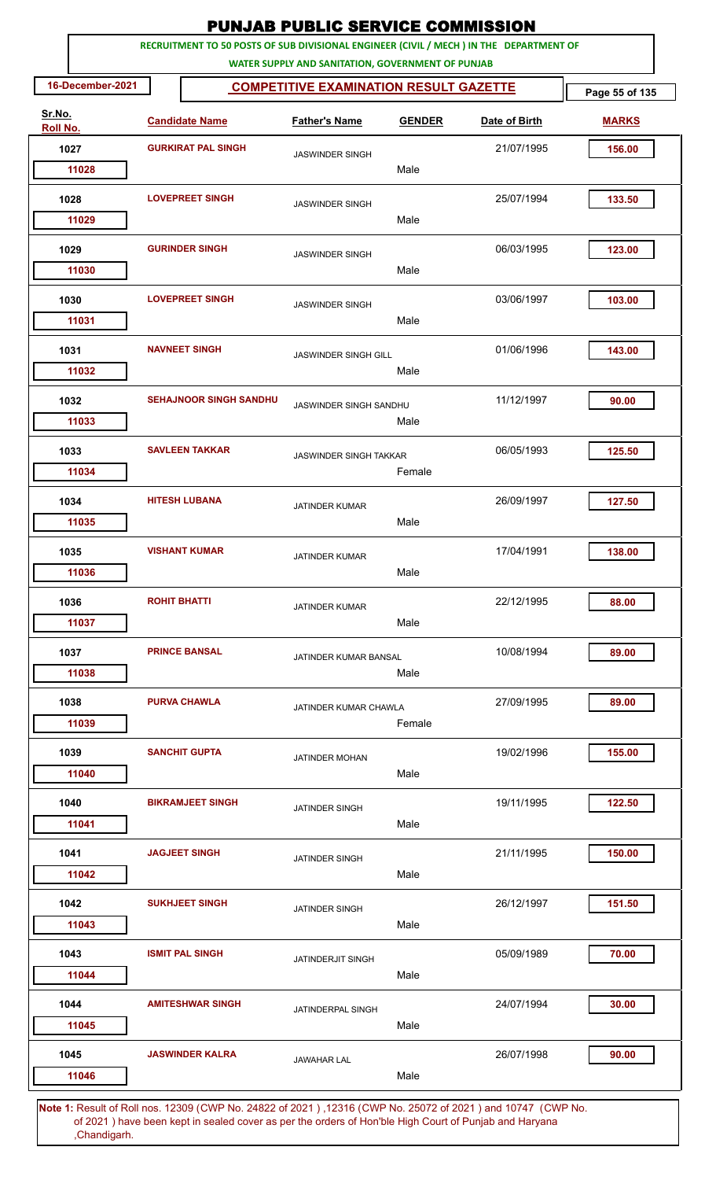|                    |                                                                                         | <b>PUNJAB PUBLIC SERVICE COMMISSION</b>           |               |               |                |
|--------------------|-----------------------------------------------------------------------------------------|---------------------------------------------------|---------------|---------------|----------------|
|                    | RECRUITMENT TO 50 POSTS OF SUB DIVISIONAL ENGINEER (CIVIL / MECH ) IN THE DEPARTMENT OF | WATER SUPPLY AND SANITATION, GOVERNMENT OF PUNJAB |               |               |                |
| 16-December-2021   |                                                                                         | <b>COMPETITIVE EXAMINATION RESULT GAZETTE</b>     |               |               | Page 55 of 135 |
| Sr.No.<br>Roll No. | <b>Candidate Name</b>                                                                   | <b>Father's Name</b>                              | <b>GENDER</b> | Date of Birth | <b>MARKS</b>   |
| 1027               | <b>GURKIRAT PAL SINGH</b>                                                               | <b>JASWINDER SINGH</b>                            |               | 21/07/1995    | 156.00         |
| 11028              |                                                                                         |                                                   | Male          |               |                |
| 1028               | <b>LOVEPREET SINGH</b>                                                                  | <b>JASWINDER SINGH</b>                            |               | 25/07/1994    | 133.50         |
| 11029              |                                                                                         |                                                   | Male          |               |                |
| 1029<br>11030      | <b>GURINDER SINGH</b>                                                                   | <b>JASWINDER SINGH</b>                            | Male          | 06/03/1995    | 123.00         |
|                    |                                                                                         |                                                   |               |               |                |
| 1030<br>11031      | <b>LOVEPREET SINGH</b>                                                                  | <b>JASWINDER SINGH</b>                            | Male          | 03/06/1997    | 103.00         |
| 1031<br>11032      | <b>NAVNEET SINGH</b>                                                                    | <b>JASWINDER SINGH GILL</b>                       | Male          | 01/06/1996    | 143.00         |
| 1032<br>11033      | <b>SEHAJNOOR SINGH SANDHU</b>                                                           | JASWINDER SINGH SANDHU                            | Male          | 11/12/1997    | 90.00          |
| 1033<br>11034      | <b>SAVLEEN TAKKAR</b>                                                                   | <b>JASWINDER SINGH TAKKAR</b>                     | Female        | 06/05/1993    | 125.50         |
| 1034<br>11035      | <b>HITESH LUBANA</b>                                                                    | <b>JATINDER KUMAR</b>                             | Male          | 26/09/1997    | 127.50         |
| 1035<br>11036      | <b>VISHANT KUMAR</b>                                                                    | JATINDER KUMAR                                    | Male          | 17/04/1991    | 138.00         |
| 1036<br>11037      | <b>ROHIT BHATTI</b>                                                                     | <b>JATINDER KUMAR</b>                             | Male          | 22/12/1995    | 88.00          |
| 1037<br>11038      | <b>PRINCE BANSAL</b>                                                                    | <b>JATINDER KUMAR BANSAL</b>                      | Male          | 10/08/1994    | 89.00          |
| 1038<br>11039      | <b>PURVA CHAWLA</b>                                                                     | JATINDER KUMAR CHAWLA                             | Female        | 27/09/1995    | 89.00          |
| 1039<br>11040      | <b>SANCHIT GUPTA</b>                                                                    | <b>JATINDER MOHAN</b>                             | Male          | 19/02/1996    | 155.00         |
| 1040<br>11041      | <b>BIKRAMJEET SINGH</b>                                                                 | <b>JATINDER SINGH</b>                             | Male          | 19/11/1995    | 122.50         |
| 1041<br>11042      | <b>JAGJEET SINGH</b>                                                                    | JATINDER SINGH                                    | Male          | 21/11/1995    | 150.00         |
| 1042<br>11043      | <b>SUKHJEET SINGH</b>                                                                   | <b>JATINDER SINGH</b>                             | Male          | 26/12/1997    | 151.50         |
| 1043<br>11044      | <b>ISMIT PAL SINGH</b>                                                                  | <b>JATINDERJIT SINGH</b>                          | Male          | 05/09/1989    | 70.00          |
| 1044<br>11045      | <b>AMITESHWAR SINGH</b>                                                                 | JATINDERPAL SINGH                                 | Male          | 24/07/1994    | 30.00          |
| 1045<br>11046      | <b>JASWINDER KALRA</b>                                                                  | <b>JAWAHAR LAL</b>                                | Male          | 26/07/1998    | 90.00          |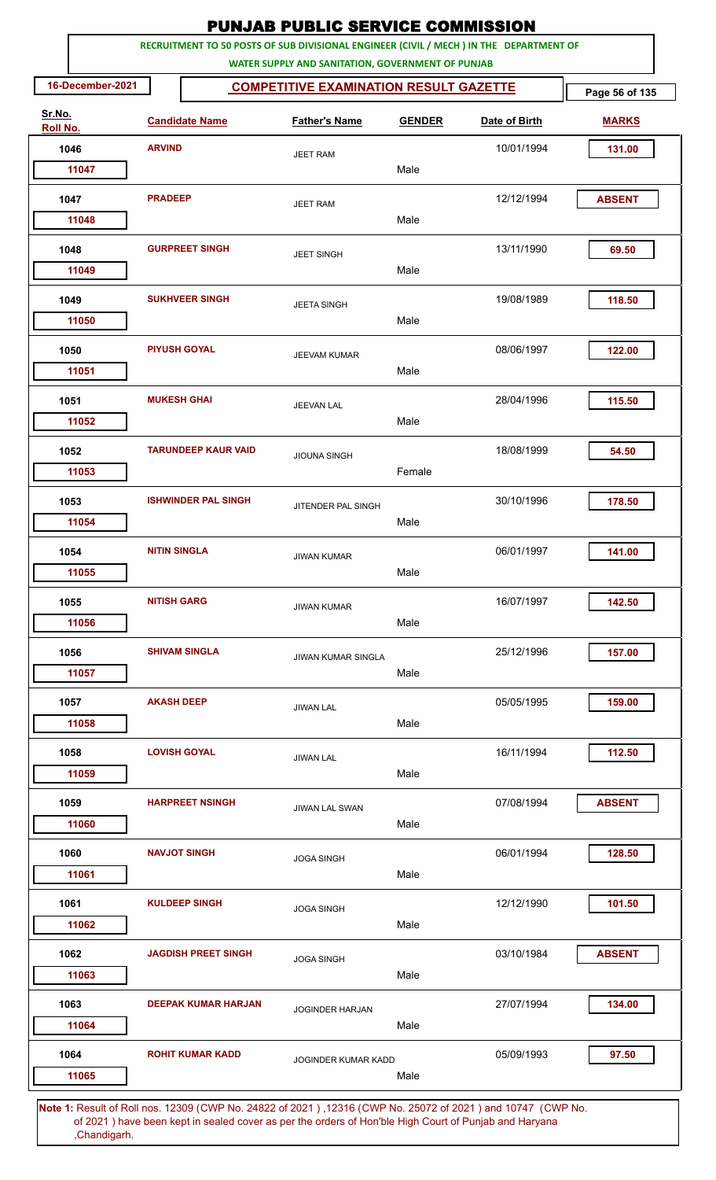|                    |                     |                            | <b>PUNJAB PUBLIC SERVICE COMMISSION</b>                                                                                                      |               |               |                |
|--------------------|---------------------|----------------------------|----------------------------------------------------------------------------------------------------------------------------------------------|---------------|---------------|----------------|
|                    |                     |                            | RECRUITMENT TO 50 POSTS OF SUB DIVISIONAL ENGINEER (CIVIL / MECH ) IN THE DEPARTMENT OF<br>WATER SUPPLY AND SANITATION, GOVERNMENT OF PUNJAB |               |               |                |
| 16-December-2021   |                     |                            | <b>COMPETITIVE EXAMINATION RESULT GAZETTE</b>                                                                                                |               |               | Page 56 of 135 |
| Sr.No.<br>Roll No. |                     | <b>Candidate Name</b>      | <b>Father's Name</b>                                                                                                                         | <b>GENDER</b> | Date of Birth | <b>MARKS</b>   |
| 1046               | <b>ARVIND</b>       |                            | <b>JEET RAM</b>                                                                                                                              |               | 10/01/1994    | 131.00         |
| 11047              |                     |                            |                                                                                                                                              | Male          |               |                |
| 1047               | <b>PRADEEP</b>      |                            | <b>JEET RAM</b>                                                                                                                              |               | 12/12/1994    | <b>ABSENT</b>  |
| 11048              |                     |                            |                                                                                                                                              | Male          |               |                |
| 1048<br>11049      |                     | <b>GURPREET SINGH</b>      | <b>JEET SINGH</b>                                                                                                                            | Male          | 13/11/1990    | 69.50          |
| 1049               |                     | <b>SUKHVEER SINGH</b>      | <b>JEETA SINGH</b>                                                                                                                           |               | 19/08/1989    | 118.50         |
| 11050              |                     |                            |                                                                                                                                              | Male          |               |                |
| 1050<br>11051      |                     | <b>PIYUSH GOYAL</b>        | <b>JEEVAM KUMAR</b>                                                                                                                          | Male          | 08/06/1997    | 122.00         |
| 1051               |                     | <b>MUKESH GHAI</b>         |                                                                                                                                              |               | 28/04/1996    | 115.50         |
| 11052              |                     |                            | <b>JEEVAN LAL</b>                                                                                                                            | Male          |               |                |
| 1052               |                     | <b>TARUNDEEP KAUR VAID</b> | <b>JIOUNA SINGH</b>                                                                                                                          |               | 18/08/1999    | 54.50          |
| 11053              |                     |                            |                                                                                                                                              | Female        |               |                |
| 1053<br>11054      |                     | <b>ISHWINDER PAL SINGH</b> | JITENDER PAL SINGH                                                                                                                           | Male          | 30/10/1996    | 178.50         |
|                    | <b>NITIN SINGLA</b> |                            |                                                                                                                                              |               | 06/01/1997    |                |
| 1054<br>11055      |                     |                            | <b>JIWAN KUMAR</b>                                                                                                                           | Male          |               | 141.00         |
| 1055               | <b>NITISH GARG</b>  |                            | <b>JIWAN KUMAR</b>                                                                                                                           |               | 16/07/1997    | 142.50         |
| 11056              |                     |                            |                                                                                                                                              | Male          |               |                |
| 1056<br>11057      |                     | <b>SHIVAM SINGLA</b>       | <b>JIWAN KUMAR SINGLA</b>                                                                                                                    | Male          | 25/12/1996    | 157.00         |
| 1057               | <b>AKASH DEEP</b>   |                            |                                                                                                                                              |               | 05/05/1995    | 159.00         |
| 11058              |                     |                            | <b>JIWAN LAL</b>                                                                                                                             | Male          |               |                |
| 1058               |                     | <b>LOVISH GOYAL</b>        | <b>JIWAN LAL</b>                                                                                                                             |               | 16/11/1994    | 112.50         |
| 11059              |                     |                            |                                                                                                                                              | Male          |               |                |
| 1059<br>11060      |                     | <b>HARPREET NSINGH</b>     | <b>JIWAN LAL SWAN</b>                                                                                                                        | Male          | 07/08/1994    | <b>ABSENT</b>  |
| 1060               |                     | <b>NAVJOT SINGH</b>        | <b>JOGA SINGH</b>                                                                                                                            |               | 06/01/1994    | 128.50         |
| 11061              |                     |                            |                                                                                                                                              | Male          |               |                |
| 1061               |                     | <b>KULDEEP SINGH</b>       | <b>JOGA SINGH</b>                                                                                                                            |               | 12/12/1990    | 101.50         |
| 11062              |                     |                            |                                                                                                                                              | Male          |               |                |
| 1062<br>11063      |                     | <b>JAGDISH PREET SINGH</b> | <b>JOGA SINGH</b>                                                                                                                            | Male          | 03/10/1984    | <b>ABSENT</b>  |
| 1063               |                     | <b>DEEPAK KUMAR HARJAN</b> | <b>JOGINDER HARJAN</b>                                                                                                                       |               | 27/07/1994    | 134.00         |
| 11064              |                     |                            |                                                                                                                                              | Male          |               |                |
| 1064               |                     | <b>ROHIT KUMAR KADD</b>    | <b>JOGINDER KUMAR KADD</b>                                                                                                                   |               | 05/09/1993    | 97.50          |
| 11065              |                     |                            |                                                                                                                                              | Male          |               |                |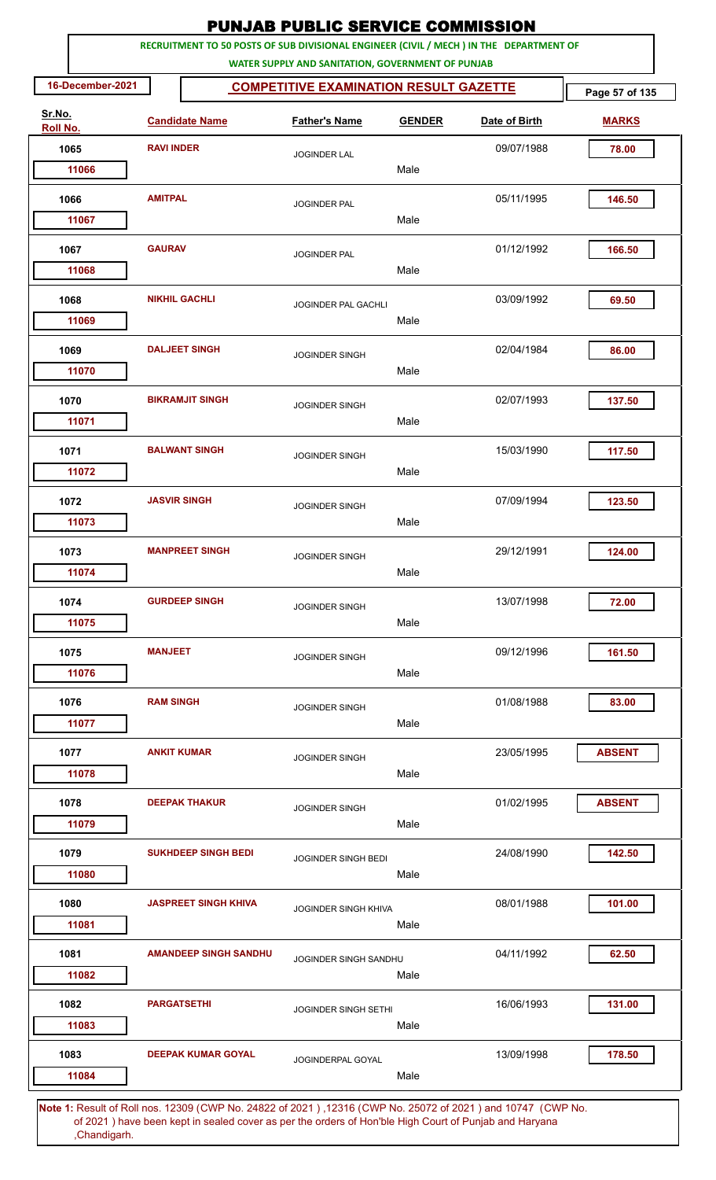|                    |                      |                              | <b>PUNJAB PUBLIC SERVICE COMMISSION</b>                                                                                                      |               |               |                |
|--------------------|----------------------|------------------------------|----------------------------------------------------------------------------------------------------------------------------------------------|---------------|---------------|----------------|
|                    |                      |                              | RECRUITMENT TO 50 POSTS OF SUB DIVISIONAL ENGINEER (CIVIL / MECH ) IN THE DEPARTMENT OF<br>WATER SUPPLY AND SANITATION, GOVERNMENT OF PUNJAB |               |               |                |
| 16-December-2021   |                      |                              | <b>COMPETITIVE EXAMINATION RESULT GAZETTE</b>                                                                                                |               |               | Page 57 of 135 |
| Sr.No.<br>Roll No. |                      | <b>Candidate Name</b>        | <b>Father's Name</b>                                                                                                                         | <b>GENDER</b> | Date of Birth | <b>MARKS</b>   |
| 1065               | <b>RAVI INDER</b>    |                              | <b>JOGINDER LAL</b>                                                                                                                          |               | 09/07/1988    | 78.00          |
| 11066              |                      |                              |                                                                                                                                              | Male          |               |                |
| 1066               | <b>AMITPAL</b>       |                              | <b>JOGINDER PAL</b>                                                                                                                          |               | 05/11/1995    | 146.50         |
| 11067              |                      |                              |                                                                                                                                              | Male          |               |                |
| 1067<br>11068      | <b>GAURAV</b>        |                              | <b>JOGINDER PAL</b>                                                                                                                          | Male          | 01/12/1992    | 166.50         |
| 1068               | <b>NIKHIL GACHLI</b> |                              |                                                                                                                                              |               | 03/09/1992    | 69.50          |
| 11069              |                      |                              | JOGINDER PAL GACHLI                                                                                                                          | Male          |               |                |
| 1069               |                      | <b>DALJEET SINGH</b>         | <b>JOGINDER SINGH</b>                                                                                                                        | Male          | 02/04/1984    | 86.00          |
| 11070              |                      |                              |                                                                                                                                              |               |               |                |
| 1070<br>11071      |                      | <b>BIKRAMJIT SINGH</b>       | <b>JOGINDER SINGH</b>                                                                                                                        | Male          | 02/07/1993    | 137.50         |
| 1071               |                      | <b>BALWANT SINGH</b>         |                                                                                                                                              |               | 15/03/1990    | 117.50         |
| 11072              |                      |                              | <b>JOGINDER SINGH</b>                                                                                                                        | Male          |               |                |
| 1072               | <b>JASVIR SINGH</b>  |                              | <b>JOGINDER SINGH</b>                                                                                                                        |               | 07/09/1994    | 123.50         |
| 11073              |                      |                              |                                                                                                                                              | Male          |               |                |
| 1073               |                      | <b>MANPREET SINGH</b>        | <b>JOGINDER SINGH</b>                                                                                                                        |               | 29/12/1991    | 124.00         |
| 11074              |                      |                              |                                                                                                                                              | Male          |               |                |
| 1074               |                      | <b>GURDEEP SINGH</b>         | <b>JOGINDER SINGH</b>                                                                                                                        |               | 13/07/1998    | 72.00          |
| 11075              |                      |                              |                                                                                                                                              | Male          |               |                |
| 1075               | <b>MANJEET</b>       |                              | <b>JOGINDER SINGH</b>                                                                                                                        |               | 09/12/1996    | 161.50         |
| 11076              |                      |                              |                                                                                                                                              | Male          |               |                |
| 1076               | <b>RAM SINGH</b>     |                              | <b>JOGINDER SINGH</b>                                                                                                                        |               | 01/08/1988    | 83.00          |
| 11077              |                      |                              |                                                                                                                                              | Male          |               |                |
| 1077<br>11078      | <b>ANKIT KUMAR</b>   |                              | <b>JOGINDER SINGH</b>                                                                                                                        | Male          | 23/05/1995    | <b>ABSENT</b>  |
| 1078               |                      | <b>DEEPAK THAKUR</b>         |                                                                                                                                              |               | 01/02/1995    | <b>ABSENT</b>  |
| 11079              |                      |                              | <b>JOGINDER SINGH</b>                                                                                                                        | Male          |               |                |
| 1079               |                      | <b>SUKHDEEP SINGH BEDI</b>   | JOGINDER SINGH BEDI                                                                                                                          |               | 24/08/1990    | 142.50         |
| 11080              |                      |                              |                                                                                                                                              | Male          |               |                |
| 1080               |                      | <b>JASPREET SINGH KHIVA</b>  | <b>JOGINDER SINGH KHIVA</b>                                                                                                                  |               | 08/01/1988    | 101.00         |
| 11081              |                      |                              |                                                                                                                                              | Male          |               |                |
| 1081               |                      | <b>AMANDEEP SINGH SANDHU</b> | JOGINDER SINGH SANDHU                                                                                                                        |               | 04/11/1992    | 62.50          |
| 11082              |                      |                              |                                                                                                                                              | Male          |               |                |
| 1082               | <b>PARGATSETHI</b>   |                              | <b>JOGINDER SINGH SETHI</b>                                                                                                                  |               | 16/06/1993    | 131.00         |
| 11083              |                      |                              |                                                                                                                                              | Male          |               |                |
| 1083<br>11084      |                      | <b>DEEPAK KUMAR GOYAL</b>    | JOGINDERPAL GOYAL                                                                                                                            | Male          | 13/09/1998    | 178.50         |
|                    |                      |                              |                                                                                                                                              |               |               |                |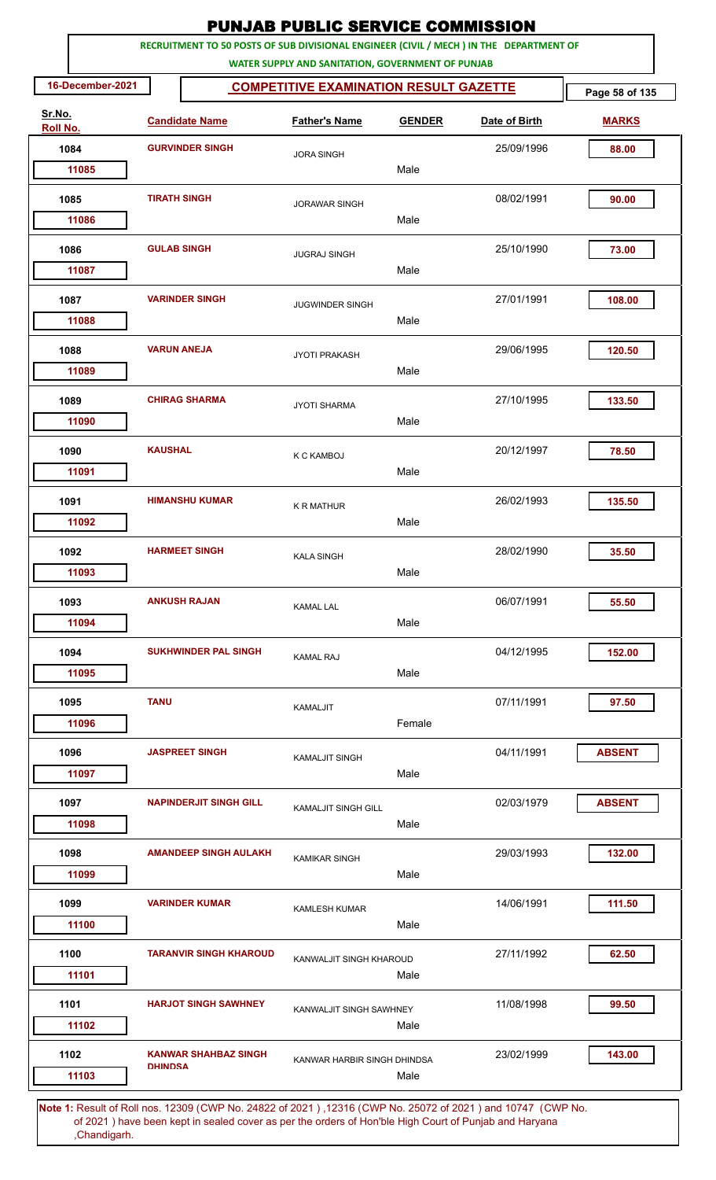|                        |                     |                               | <b>PUNJAB PUBLIC SERVICE COMMISSION</b>           |               |                                                                                         |                |
|------------------------|---------------------|-------------------------------|---------------------------------------------------|---------------|-----------------------------------------------------------------------------------------|----------------|
|                        |                     |                               | WATER SUPPLY AND SANITATION, GOVERNMENT OF PUNJAB |               | RECRUITMENT TO 50 POSTS OF SUB DIVISIONAL ENGINEER (CIVIL / MECH ) IN THE DEPARTMENT OF |                |
| 16-December-2021       |                     |                               | <b>COMPETITIVE EXAMINATION RESULT GAZETTE</b>     |               |                                                                                         | Page 58 of 135 |
| Sr.No.<br>Roll No.     |                     | <b>Candidate Name</b>         | <b>Father's Name</b>                              | <b>GENDER</b> | Date of Birth                                                                           | <b>MARKS</b>   |
| 1084                   |                     | <b>GURVINDER SINGH</b>        | <b>JORA SINGH</b>                                 |               | 25/09/1996                                                                              | 88.00          |
| 11085                  |                     |                               |                                                   | Male          |                                                                                         |                |
| 1085<br>11086          | <b>TIRATH SINGH</b> |                               | <b>JORAWAR SINGH</b>                              | Male          | 08/02/1991                                                                              | 90.00          |
|                        |                     |                               |                                                   |               |                                                                                         |                |
| 1086<br>11087          | <b>GULAB SINGH</b>  |                               | <b>JUGRAJ SINGH</b>                               | Male          | 25/10/1990                                                                              | 73.00          |
|                        |                     |                               |                                                   |               |                                                                                         |                |
| 1087<br>11088          |                     | <b>VARINDER SINGH</b>         | <b>JUGWINDER SINGH</b>                            | Male          | 27/01/1991                                                                              | 108.00         |
| 1088<br>11089          |                     | <b>VARUN ANEJA</b>            | <b>JYOTI PRAKASH</b>                              | Male          | 29/06/1995                                                                              | 120.50         |
| 1089<br>11090          |                     | <b>CHIRAG SHARMA</b>          | <b>JYOTI SHARMA</b>                               | Male          | 27/10/1995                                                                              | 133.50         |
| 1090                   | <b>KAUSHAL</b>      |                               | <b>K C KAMBOJ</b>                                 |               | 20/12/1997                                                                              | 78.50          |
| 11091                  |                     |                               |                                                   | Male          |                                                                                         |                |
| 1091<br>11092          |                     | <b>HIMANSHU KUMAR</b>         | <b>K R MATHUR</b>                                 | Male          | 26/02/1993                                                                              | 135.50         |
| 1092                   |                     | <b>HARMEET SINGH</b>          | <b>KALA SINGH</b>                                 |               | 28/02/1990                                                                              | 35.50          |
| 11093                  |                     |                               |                                                   | Male          |                                                                                         |                |
| 1093<br>11094          |                     | <b>ANKUSH RAJAN</b>           | <b>KAMAL LAL</b>                                  | Male          | 06/07/1991                                                                              | 55.50          |
| 1094                   |                     | <b>SUKHWINDER PAL SINGH</b>   |                                                   |               | 04/12/1995                                                                              | 152.00         |
| 11095                  |                     |                               | <b>KAMAL RAJ</b>                                  | Male          |                                                                                         |                |
| 1095<br>11096          | <b>TANU</b>         |                               | <b>KAMALJIT</b>                                   | Female        | 07/11/1991                                                                              | 97.50          |
| 1096<br>11097          |                     | <b>JASPREET SINGH</b>         | <b>KAMALJIT SINGH</b>                             | Male          | 04/11/1991                                                                              | <b>ABSENT</b>  |
| 1097<br>11098          |                     | <b>NAPINDERJIT SINGH GILL</b> | <b>KAMALJIT SINGH GILL</b>                        | Male          | 02/03/1979                                                                              | <b>ABSENT</b>  |
| 1098<br>11099          |                     | <b>AMANDEEP SINGH AULAKH</b>  | <b>KAMIKAR SINGH</b>                              | Male          | 29/03/1993                                                                              | 132.00         |
| 1099                   |                     | <b>VARINDER KUMAR</b>         | <b>KAMLESH KUMAR</b>                              |               | 14/06/1991                                                                              | 111.50         |
| 11100<br>1100<br>11101 |                     | <b>TARANVIR SINGH KHAROUD</b> | KANWALJIT SINGH KHAROUD                           | Male<br>Male  | 27/11/1992                                                                              | 62.50          |
| 1101<br>11102          |                     | <b>HARJOT SINGH SAWHNEY</b>   | KANWALJIT SINGH SAWHNEY                           | Male          | 11/08/1998                                                                              | 99.50          |
| 1102<br>11103          | <b>DHINDSA</b>      | <b>KANWAR SHAHBAZ SINGH</b>   | KANWAR HARBIR SINGH DHINDSA                       | Male          | 23/02/1999                                                                              | 143.00         |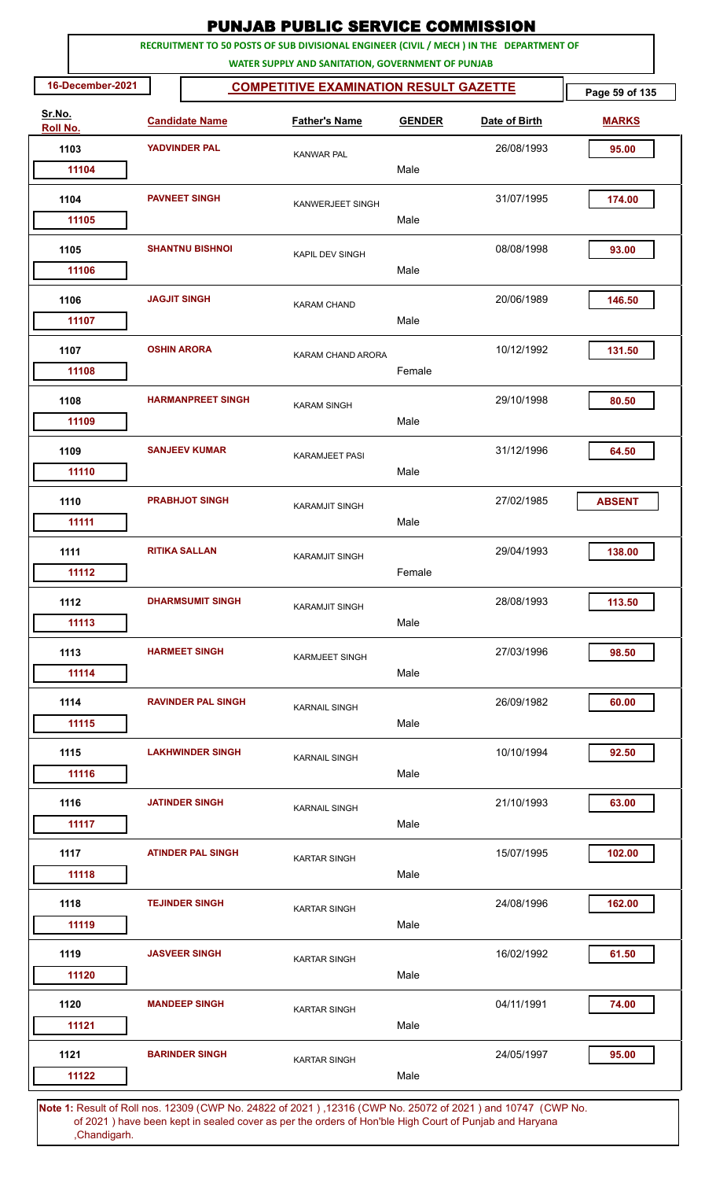|                    |                  |                     |                           | <b>PUNJAB PUBLIC SERVICE COMMISSION</b>                                                                                                      |               |               |                |
|--------------------|------------------|---------------------|---------------------------|----------------------------------------------------------------------------------------------------------------------------------------------|---------------|---------------|----------------|
|                    |                  |                     |                           | RECRUITMENT TO 50 POSTS OF SUB DIVISIONAL ENGINEER (CIVIL / MECH ) IN THE DEPARTMENT OF<br>WATER SUPPLY AND SANITATION, GOVERNMENT OF PUNJAB |               |               |                |
|                    | 16-December-2021 |                     |                           | <b>COMPETITIVE EXAMINATION RESULT GAZETTE</b>                                                                                                |               |               | Page 59 of 135 |
| Sr.No.<br>Roll No. |                  |                     | <b>Candidate Name</b>     | <b>Father's Name</b>                                                                                                                         | <b>GENDER</b> | Date of Birth | <b>MARKS</b>   |
| 1103               |                  |                     | <b>YADVINDER PAL</b>      | <b>KANWAR PAL</b>                                                                                                                            |               | 26/08/1993    | 95.00          |
|                    | 11104            |                     |                           |                                                                                                                                              | Male          |               |                |
| 1104               |                  |                     | <b>PAVNEET SINGH</b>      | KANWERJEET SINGH                                                                                                                             |               | 31/07/1995    | 174.00         |
|                    | 11105            |                     |                           |                                                                                                                                              | Male          |               |                |
| 1105               | 11106            |                     | <b>SHANTNU BISHNOI</b>    | <b>KAPIL DEV SINGH</b>                                                                                                                       | Male          | 08/08/1998    | 93.00          |
| 1106               | 11107            | <b>JAGJIT SINGH</b> |                           | <b>KARAM CHAND</b>                                                                                                                           | Male          | 20/06/1989    | 146.50         |
| 1107               | 11108            |                     | <b>OSHIN ARORA</b>        | KARAM CHAND ARORA                                                                                                                            | Female        | 10/12/1992    | 131.50         |
| 1108               | 11109            |                     | <b>HARMANPREET SINGH</b>  | <b>KARAM SINGH</b>                                                                                                                           | Male          | 29/10/1998    | 80.50          |
| 1109               | 11110            |                     | <b>SANJEEV KUMAR</b>      | KARAMJEET PASI                                                                                                                               | Male          | 31/12/1996    | 64.50          |
| 1110               | 11111            |                     | <b>PRABHJOT SINGH</b>     | <b>KARAMJIT SINGH</b>                                                                                                                        | Male          | 27/02/1985    | <b>ABSENT</b>  |
| 1111               |                  |                     | <b>RITIKA SALLAN</b>      | <b>KARAMJIT SINGH</b>                                                                                                                        |               | 29/04/1993    | 138.00         |
| 1112               | 11112            |                     | <b>DHARMSUMIT SINGH</b>   | <b>KARAMJIT SINGH</b>                                                                                                                        | Female        | 28/08/1993    | 113.50         |
|                    | 11113            |                     |                           |                                                                                                                                              | Male          |               |                |
| 1113               | 11114            |                     | <b>HARMEET SINGH</b>      | <b>KARMJEET SINGH</b>                                                                                                                        | Male          | 27/03/1996    | 98.50          |
| 1114               | 11115            |                     | <b>RAVINDER PAL SINGH</b> | <b>KARNAIL SINGH</b>                                                                                                                         | Male          | 26/09/1982    | 60.00          |
| 1115               | 11116            |                     | <b>LAKHWINDER SINGH</b>   | <b>KARNAIL SINGH</b>                                                                                                                         | Male          | 10/10/1994    | 92.50          |
| 1116               | 11117            |                     | <b>JATINDER SINGH</b>     | <b>KARNAIL SINGH</b>                                                                                                                         | Male          | 21/10/1993    | 63.00          |
| 1117               | 11118            |                     | <b>ATINDER PAL SINGH</b>  | <b>KARTAR SINGH</b>                                                                                                                          | Male          | 15/07/1995    | 102.00         |
| 1118               | 11119            |                     | <b>TEJINDER SINGH</b>     | <b>KARTAR SINGH</b>                                                                                                                          | Male          | 24/08/1996    | 162.00         |
| 1119               | 11120            |                     | <b>JASVEER SINGH</b>      | <b>KARTAR SINGH</b>                                                                                                                          | Male          | 16/02/1992    | 61.50          |
| 1120               | 11121            |                     | <b>MANDEEP SINGH</b>      | <b>KARTAR SINGH</b>                                                                                                                          | Male          | 04/11/1991    | 74.00          |
| 1121               | 11122            |                     | <b>BARINDER SINGH</b>     | <b>KARTAR SINGH</b>                                                                                                                          | Male          | 24/05/1997    | 95.00          |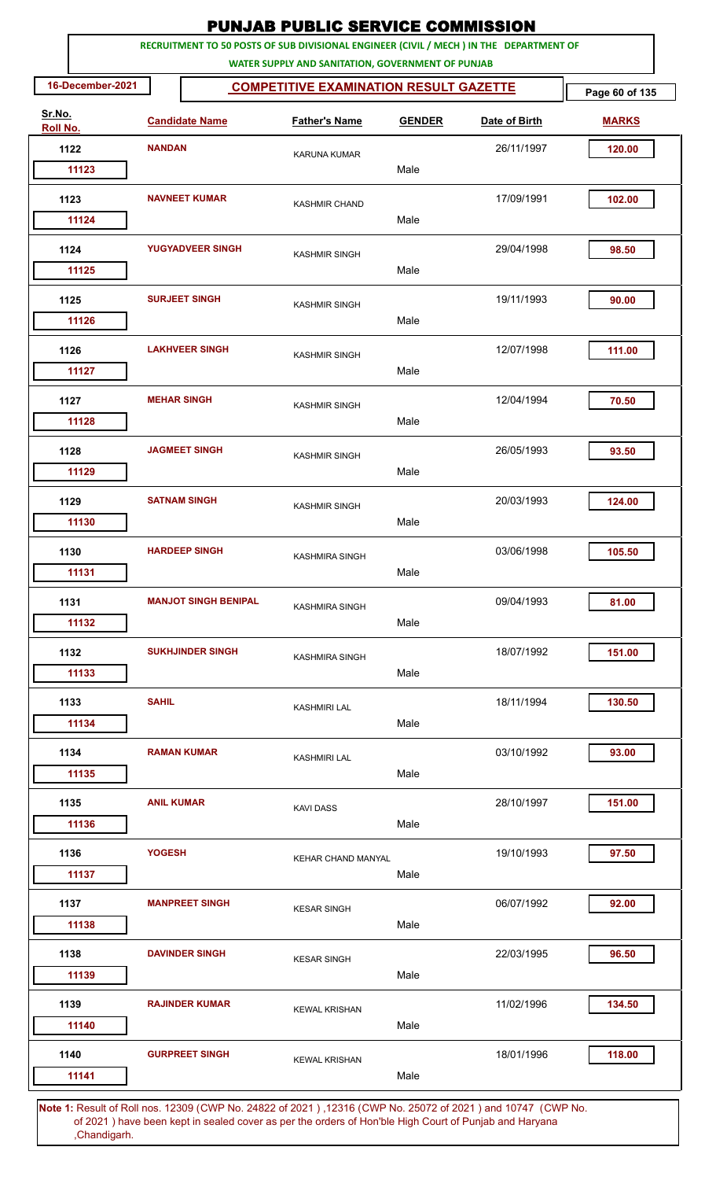|                    |                  |                    |                             | <b>PUNJAB PUBLIC SERVICE COMMISSION</b>                                                                                                      |               |               |                |
|--------------------|------------------|--------------------|-----------------------------|----------------------------------------------------------------------------------------------------------------------------------------------|---------------|---------------|----------------|
|                    |                  |                    |                             | RECRUITMENT TO 50 POSTS OF SUB DIVISIONAL ENGINEER (CIVIL / MECH ) IN THE DEPARTMENT OF<br>WATER SUPPLY AND SANITATION, GOVERNMENT OF PUNJAB |               |               |                |
|                    | 16-December-2021 |                    |                             | <b>COMPETITIVE EXAMINATION RESULT GAZETTE</b>                                                                                                |               |               | Page 60 of 135 |
| Sr.No.<br>Roll No. |                  |                    | <b>Candidate Name</b>       | <b>Father's Name</b>                                                                                                                         | <b>GENDER</b> | Date of Birth | <b>MARKS</b>   |
| 1122               |                  | <b>NANDAN</b>      |                             | <b>KARUNA KUMAR</b>                                                                                                                          |               | 26/11/1997    | 120.00         |
| 11123              |                  |                    |                             |                                                                                                                                              | Male          |               |                |
| 1123               |                  |                    | <b>NAVNEET KUMAR</b>        | <b>KASHMIR CHAND</b>                                                                                                                         |               | 17/09/1991    | 102.00         |
| 11124              |                  |                    |                             |                                                                                                                                              | Male          |               |                |
| 1124<br>11125      |                  |                    | <b>YUGYADVEER SINGH</b>     | <b>KASHMIR SINGH</b>                                                                                                                         | Male          | 29/04/1998    | 98.50          |
| 1125               |                  |                    | <b>SURJEET SINGH</b>        | <b>KASHMIR SINGH</b>                                                                                                                         |               | 19/11/1993    | 90.00          |
| 11126              |                  |                    |                             |                                                                                                                                              | Male          |               |                |
| 1126<br>11127      |                  |                    | <b>LAKHVEER SINGH</b>       | <b>KASHMIR SINGH</b>                                                                                                                         | Male          | 12/07/1998    | 111.00         |
| 1127               |                  | <b>MEHAR SINGH</b> |                             | <b>KASHMIR SINGH</b>                                                                                                                         |               | 12/04/1994    | 70.50          |
| 11128              |                  |                    |                             |                                                                                                                                              | Male          |               |                |
| 1128<br>11129      |                  |                    | <b>JAGMEET SINGH</b>        | <b>KASHMIR SINGH</b>                                                                                                                         | Male          | 26/05/1993    | 93.50          |
|                    |                  |                    | <b>SATNAM SINGH</b>         |                                                                                                                                              |               |               | 124.00         |
| 1129<br>11130      |                  |                    |                             | <b>KASHMIR SINGH</b>                                                                                                                         | Male          | 20/03/1993    |                |
| 1130               |                  |                    | <b>HARDEEP SINGH</b>        | KASHMIRA SINGH                                                                                                                               |               | 03/06/1998    | 105.50         |
| 11131              |                  |                    |                             |                                                                                                                                              | Male          |               |                |
| 1131               |                  |                    | <b>MANJOT SINGH BENIPAL</b> | <b>KASHMIRA SINGH</b>                                                                                                                        |               | 09/04/1993    | 81.00          |
| 11132              |                  |                    |                             |                                                                                                                                              | Male          |               |                |
| 1132<br>11133      |                  |                    | <b>SUKHJINDER SINGH</b>     | <b>KASHMIRA SINGH</b>                                                                                                                        | Male          | 18/07/1992    | 151.00         |
| 1133               |                  | <b>SAHIL</b>       |                             | <b>KASHMIRI LAL</b>                                                                                                                          |               | 18/11/1994    | 130.50         |
| 11134              |                  |                    |                             |                                                                                                                                              | Male          |               |                |
| 1134<br>11135      |                  |                    | <b>RAMAN KUMAR</b>          | <b>KASHMIRI LAL</b>                                                                                                                          | Male          | 03/10/1992    | 93.00          |
|                    |                  |                    |                             |                                                                                                                                              |               |               |                |
| 1135<br>11136      |                  | <b>ANIL KUMAR</b>  |                             | <b>KAVI DASS</b>                                                                                                                             | Male          | 28/10/1997    | 151.00         |
| 1136               |                  | <b>YOGESH</b>      |                             | KEHAR CHAND MANYAL                                                                                                                           |               | 19/10/1993    | 97.50          |
| 11137              |                  |                    |                             |                                                                                                                                              | Male          |               |                |
| 1137               |                  |                    | <b>MANPREET SINGH</b>       | <b>KESAR SINGH</b>                                                                                                                           |               | 06/07/1992    | 92.00          |
| 11138              |                  |                    |                             |                                                                                                                                              | Male          |               |                |
| 1138<br>11139      |                  |                    | <b>DAVINDER SINGH</b>       | <b>KESAR SINGH</b>                                                                                                                           | Male          | 22/03/1995    | 96.50          |
| 1139               |                  |                    | <b>RAJINDER KUMAR</b>       |                                                                                                                                              |               | 11/02/1996    | 134.50         |
| 11140              |                  |                    |                             | <b>KEWAL KRISHAN</b>                                                                                                                         | Male          |               |                |
| 1140               |                  |                    | <b>GURPREET SINGH</b>       | <b>KEWAL KRISHAN</b>                                                                                                                         |               | 18/01/1996    | 118.00         |
| 11141              |                  |                    |                             |                                                                                                                                              | Male          |               |                |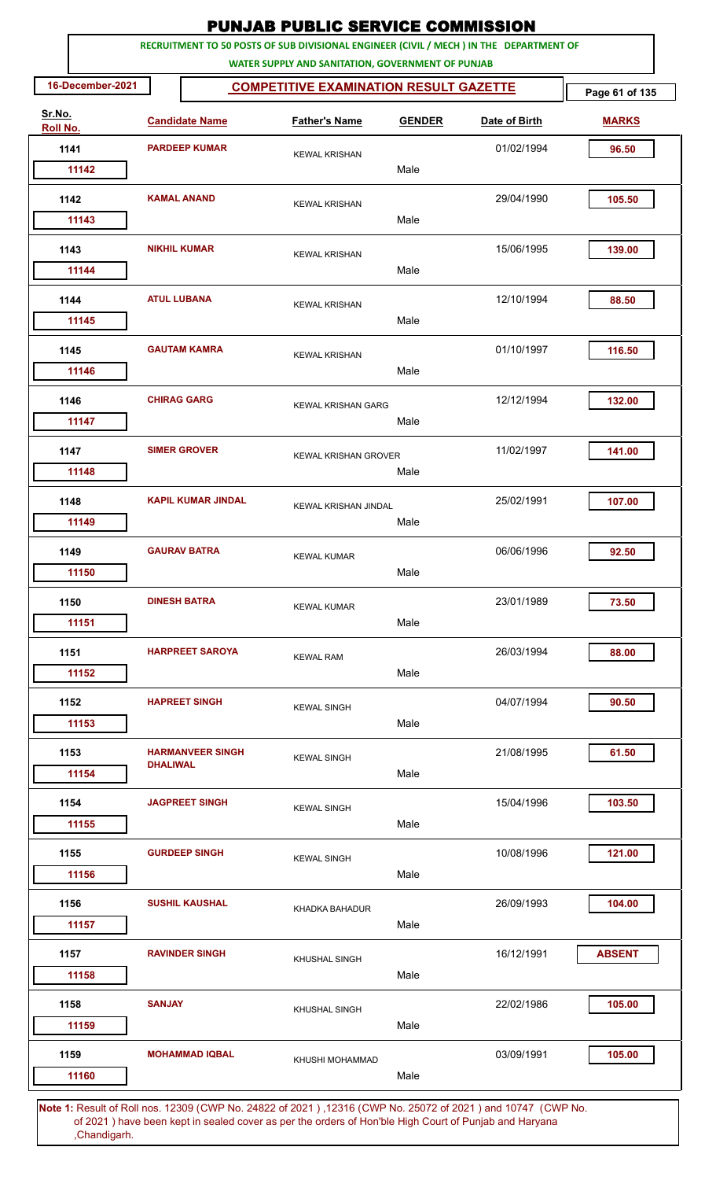|                    | RECRUITMENT TO 50 POSTS OF SUB DIVISIONAL ENGINEER (CIVIL / MECH ) IN THE DEPARTMENT OF<br>WATER SUPPLY AND SANITATION, GOVERNMENT OF PUNJAB |                           |                                               |               |               |                |  |  |  |  |  |
|--------------------|----------------------------------------------------------------------------------------------------------------------------------------------|---------------------------|-----------------------------------------------|---------------|---------------|----------------|--|--|--|--|--|
| 16-December-2021   |                                                                                                                                              |                           | <b>COMPETITIVE EXAMINATION RESULT GAZETTE</b> |               |               | Page 61 of 135 |  |  |  |  |  |
| Sr.No.<br>Roll No. |                                                                                                                                              | <b>Candidate Name</b>     | <b>Father's Name</b>                          | <b>GENDER</b> | Date of Birth | <b>MARKS</b>   |  |  |  |  |  |
| 1141               |                                                                                                                                              | <b>PARDEEP KUMAR</b>      | <b>KEWAL KRISHAN</b>                          |               | 01/02/1994    | 96.50          |  |  |  |  |  |
| 11142              |                                                                                                                                              |                           |                                               | Male          |               |                |  |  |  |  |  |
| 1142<br>11143      |                                                                                                                                              | <b>KAMAL ANAND</b>        | <b>KEWAL KRISHAN</b>                          | Male          | 29/04/1990    | 105.50         |  |  |  |  |  |
| 1143               |                                                                                                                                              | <b>NIKHIL KUMAR</b>       | <b>KEWAL KRISHAN</b>                          |               | 15/06/1995    | 139.00         |  |  |  |  |  |
| 11144              |                                                                                                                                              |                           |                                               | Male          |               |                |  |  |  |  |  |
| 1144<br>11145      |                                                                                                                                              | <b>ATUL LUBANA</b>        | <b>KEWAL KRISHAN</b>                          | Male          | 12/10/1994    | 88.50          |  |  |  |  |  |
| 1145<br>11146      |                                                                                                                                              | <b>GAUTAM KAMRA</b>       | <b>KEWAL KRISHAN</b>                          | Male          | 01/10/1997    | 116.50         |  |  |  |  |  |
| 1146<br>11147      |                                                                                                                                              | <b>CHIRAG GARG</b>        | <b>KEWAL KRISHAN GARG</b>                     | Male          | 12/12/1994    | 132.00         |  |  |  |  |  |
| 1147<br>11148      |                                                                                                                                              | <b>SIMER GROVER</b>       | <b>KEWAL KRISHAN GROVER</b>                   | Male          | 11/02/1997    | 141.00         |  |  |  |  |  |
| 1148<br>11149      |                                                                                                                                              | <b>KAPIL KUMAR JINDAL</b> | <b>KEWAL KRISHAN JINDAL</b>                   | Male          | 25/02/1991    | 107.00         |  |  |  |  |  |
| 1149<br>11150      |                                                                                                                                              | <b>GAURAV BATRA</b>       | <b>KEWAL KUMAR</b>                            | Male          | 06/06/1996    | 92.50          |  |  |  |  |  |
| 1150<br>11151      |                                                                                                                                              | <b>DINESH BATRA</b>       | <b>KEWAL KUMAR</b>                            | Male          | 23/01/1989    | 73.50          |  |  |  |  |  |
| 1151<br>11152      |                                                                                                                                              | <b>HARPREET SAROYA</b>    | <b>KEWAL RAM</b>                              | Male          | 26/03/1994    | 88.00          |  |  |  |  |  |
| 1152<br>11153      |                                                                                                                                              | <b>HAPREET SINGH</b>      | <b>KEWAL SINGH</b>                            | Male          | 04/07/1994    | 90.50          |  |  |  |  |  |
| 1153<br>11154      | <b>DHALIWAL</b>                                                                                                                              | <b>HARMANVEER SINGH</b>   | <b>KEWAL SINGH</b>                            | Male          | 21/08/1995    | 61.50          |  |  |  |  |  |
| 1154<br>11155      |                                                                                                                                              | <b>JAGPREET SINGH</b>     | <b>KEWAL SINGH</b>                            | Male          | 15/04/1996    | 103.50         |  |  |  |  |  |
| 1155<br>11156      |                                                                                                                                              | <b>GURDEEP SINGH</b>      | <b>KEWAL SINGH</b>                            | Male          | 10/08/1996    | 121.00         |  |  |  |  |  |
| 1156<br>11157      |                                                                                                                                              | <b>SUSHIL KAUSHAL</b>     | KHADKA BAHADUR                                | Male          | 26/09/1993    | 104.00         |  |  |  |  |  |
| 1157<br>11158      |                                                                                                                                              | <b>RAVINDER SINGH</b>     | KHUSHAL SINGH                                 | Male          | 16/12/1991    | <b>ABSENT</b>  |  |  |  |  |  |
| 1158<br>11159      | <b>SANJAY</b>                                                                                                                                |                           | KHUSHAL SINGH                                 | Male          | 22/02/1986    | 105.00         |  |  |  |  |  |
| 1159<br>11160      |                                                                                                                                              | <b>MOHAMMAD IQBAL</b>     | KHUSHI MOHAMMAD                               | Male          | 03/09/1991    | 105.00         |  |  |  |  |  |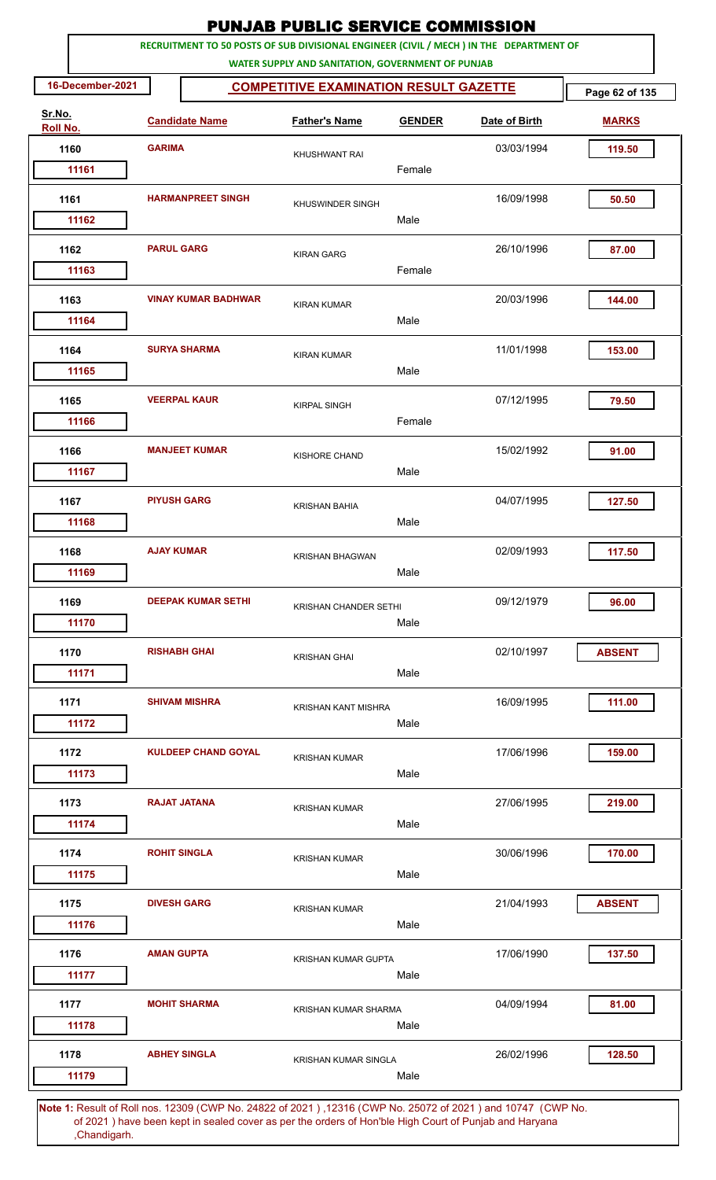|                    |                  |                          |                            | <b>PUNJAB PUBLIC SERVICE COMMISSION</b>                                                                                                      |               |               |                |
|--------------------|------------------|--------------------------|----------------------------|----------------------------------------------------------------------------------------------------------------------------------------------|---------------|---------------|----------------|
|                    |                  |                          |                            | RECRUITMENT TO 50 POSTS OF SUB DIVISIONAL ENGINEER (CIVIL / MECH ) IN THE DEPARTMENT OF<br>WATER SUPPLY AND SANITATION, GOVERNMENT OF PUNJAB |               |               |                |
|                    | 16-December-2021 |                          |                            | <b>COMPETITIVE EXAMINATION RESULT GAZETTE</b>                                                                                                |               |               | Page 62 of 135 |
| Sr.No.<br>Roll No. |                  |                          | <b>Candidate Name</b>      | <b>Father's Name</b>                                                                                                                         | <b>GENDER</b> | Date of Birth | <b>MARKS</b>   |
|                    | 1160             | <b>GARIMA</b>            |                            | <b>KHUSHWANT RAI</b>                                                                                                                         |               | 03/03/1994    | 119.50         |
|                    | 11161            |                          |                            |                                                                                                                                              | Female        |               |                |
|                    | 1161             | <b>HARMANPREET SINGH</b> |                            | <b>KHUSWINDER SINGH</b>                                                                                                                      |               | 16/09/1998    | 50.50          |
|                    | 11162            |                          |                            |                                                                                                                                              | Male          |               |                |
|                    | 1162             | <b>PARUL GARG</b>        |                            | <b>KIRAN GARG</b>                                                                                                                            |               | 26/10/1996    | 87.00          |
|                    | 11163            |                          |                            |                                                                                                                                              | Female        |               |                |
|                    | 1163             |                          | <b>VINAY KUMAR BADHWAR</b> | <b>KIRAN KUMAR</b>                                                                                                                           |               | 20/03/1996    | 144.00         |
|                    | 11164            |                          |                            |                                                                                                                                              | Male          |               |                |
|                    | 1164             |                          | <b>SURYA SHARMA</b>        | <b>KIRAN KUMAR</b>                                                                                                                           | Male          | 11/01/1998    | 153.00         |
|                    | 11165            |                          |                            |                                                                                                                                              |               |               |                |
|                    | 1165             |                          | <b>VEERPAL KAUR</b>        | <b>KIRPAL SINGH</b>                                                                                                                          | Female        | 07/12/1995    | 79.50          |
|                    | 11166            |                          |                            |                                                                                                                                              |               |               |                |
|                    | 1166             |                          | <b>MANJEET KUMAR</b>       | <b>KISHORE CHAND</b>                                                                                                                         |               | 15/02/1992    | 91.00          |
|                    | 11167            |                          |                            |                                                                                                                                              | Male          |               |                |
|                    | 1167             | <b>PIYUSH GARG</b>       |                            | <b>KRISHAN BAHIA</b>                                                                                                                         |               | 04/07/1995    | 127.50         |
|                    | 11168            |                          |                            |                                                                                                                                              | Male          |               |                |
|                    | 1168             | <b>AJAY KUMAR</b>        |                            | <b>KRISHAN BHAGWAN</b>                                                                                                                       |               | 02/09/1993    | 117.50         |
|                    | 11169            |                          |                            |                                                                                                                                              | Male          |               |                |
|                    | 1169             |                          | <b>DEEPAK KUMAR SETHI</b>  | <b>KRISHAN CHANDER SETHI</b>                                                                                                                 |               | 09/12/1979    | 96.00          |
|                    | 11170            |                          |                            |                                                                                                                                              | Male          |               |                |
|                    | 1170             |                          | <b>RISHABH GHAI</b>        | <b>KRISHAN GHAI</b>                                                                                                                          |               | 02/10/1997    | <b>ABSENT</b>  |
|                    | 11171            |                          |                            |                                                                                                                                              | Male          |               |                |
|                    | 1171             |                          | <b>SHIVAM MISHRA</b>       | <b>KRISHAN KANT MISHRA</b>                                                                                                                   |               | 16/09/1995    | 111.00         |
|                    | 11172            |                          |                            |                                                                                                                                              | Male          |               |                |
|                    | 1172             |                          | <b>KULDEEP CHAND GOYAL</b> | <b>KRISHAN KUMAR</b>                                                                                                                         |               | 17/06/1996    | 159.00         |
|                    | 11173            |                          |                            |                                                                                                                                              | Male          |               |                |
|                    | 1173             |                          | <b>RAJAT JATANA</b>        | <b>KRISHAN KUMAR</b>                                                                                                                         |               | 27/06/1995    | 219.00         |
|                    | 11174            |                          |                            |                                                                                                                                              | Male          |               |                |
|                    | 1174             |                          | <b>ROHIT SINGLA</b>        |                                                                                                                                              |               | 30/06/1996    | 170.00         |
|                    | 11175            |                          |                            | <b>KRISHAN KUMAR</b>                                                                                                                         | Male          |               |                |
|                    | 1175             | <b>DIVESH GARG</b>       |                            |                                                                                                                                              |               | 21/04/1993    | <b>ABSENT</b>  |
|                    | 11176            |                          |                            | <b>KRISHAN KUMAR</b>                                                                                                                         | Male          |               |                |
|                    | 1176             | <b>AMAN GUPTA</b>        |                            |                                                                                                                                              |               | 17/06/1990    | 137.50         |
|                    | 11177            |                          |                            | <b>KRISHAN KUMAR GUPTA</b>                                                                                                                   | Male          |               |                |
|                    | 1177             |                          | <b>MOHIT SHARMA</b>        |                                                                                                                                              |               | 04/09/1994    | 81.00          |
|                    | 11178            |                          |                            | KRISHAN KUMAR SHARMA                                                                                                                         | Male          |               |                |
|                    | 1178             |                          | <b>ABHEY SINGLA</b>        |                                                                                                                                              |               | 26/02/1996    | 128.50         |
|                    | 11179            |                          |                            | <b>KRISHAN KUMAR SINGLA</b>                                                                                                                  | Male          |               |                |
|                    |                  |                          |                            |                                                                                                                                              |               |               |                |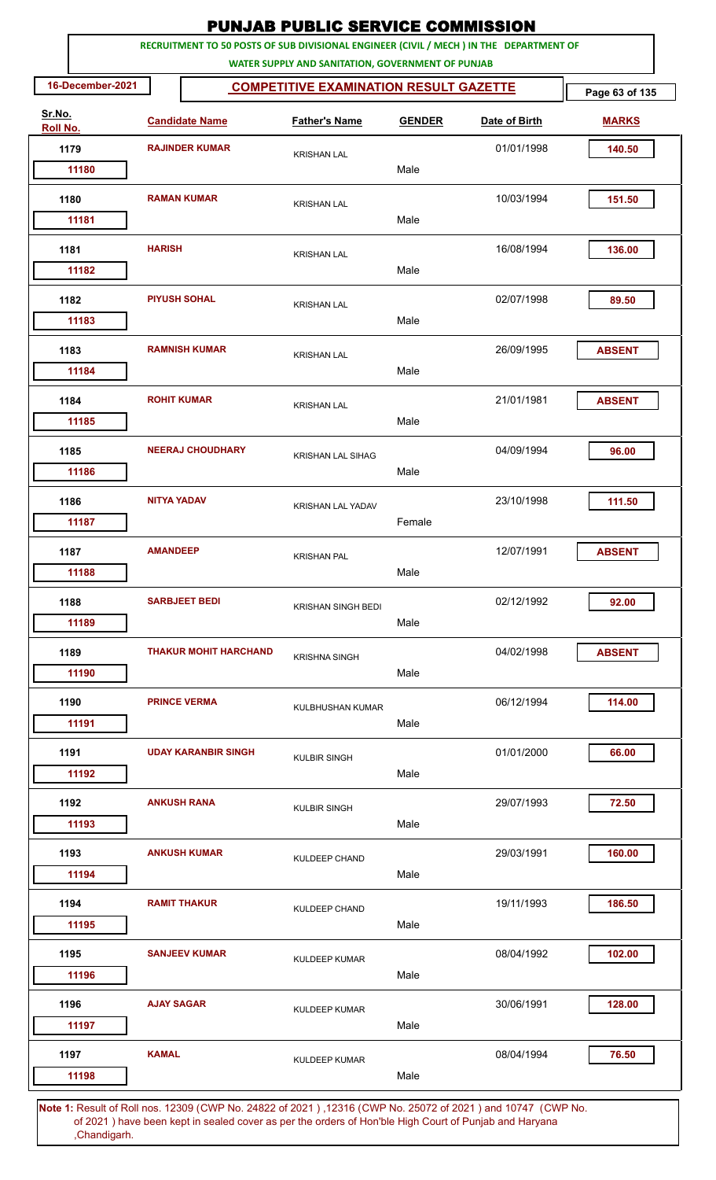|                    |                  |                    |                              | <b>PUNJAB PUBLIC SERVICE COMMISSION</b>                                                                                                      |               |               |                |
|--------------------|------------------|--------------------|------------------------------|----------------------------------------------------------------------------------------------------------------------------------------------|---------------|---------------|----------------|
|                    |                  |                    |                              | RECRUITMENT TO 50 POSTS OF SUB DIVISIONAL ENGINEER (CIVIL / MECH ) IN THE DEPARTMENT OF<br>WATER SUPPLY AND SANITATION, GOVERNMENT OF PUNJAB |               |               |                |
|                    | 16-December-2021 |                    |                              | <b>COMPETITIVE EXAMINATION RESULT GAZETTE</b>                                                                                                |               |               | Page 63 of 135 |
| Sr.No.<br>Roll No. |                  |                    | <b>Candidate Name</b>        | <b>Father's Name</b>                                                                                                                         | <b>GENDER</b> | Date of Birth | <b>MARKS</b>   |
| 1179               |                  |                    | <b>RAJINDER KUMAR</b>        | <b>KRISHAN LAL</b>                                                                                                                           |               | 01/01/1998    | 140.50         |
|                    | 11180            |                    |                              |                                                                                                                                              | Male          |               |                |
| 1180               |                  |                    | <b>RAMAN KUMAR</b>           | <b>KRISHAN LAL</b>                                                                                                                           | Male          | 10/03/1994    | 151.50         |
|                    | 11181            |                    |                              |                                                                                                                                              |               |               |                |
| 1181               | 11182            | <b>HARISH</b>      |                              | <b>KRISHAN LAL</b>                                                                                                                           | Male          | 16/08/1994    | 136.00         |
|                    |                  |                    |                              |                                                                                                                                              |               |               |                |
| 1182               | 11183            |                    | <b>PIYUSH SOHAL</b>          | <b>KRISHAN LAL</b>                                                                                                                           | Male          | 02/07/1998    | 89.50          |
| 1183               |                  |                    | <b>RAMNISH KUMAR</b>         | <b>KRISHAN LAL</b>                                                                                                                           |               | 26/09/1995    | <b>ABSENT</b>  |
|                    | 11184            |                    |                              |                                                                                                                                              | Male          |               |                |
| 1184               |                  | <b>ROHIT KUMAR</b> |                              | <b>KRISHAN LAL</b>                                                                                                                           |               | 21/01/1981    | <b>ABSENT</b>  |
|                    | 11185            |                    |                              |                                                                                                                                              | Male          |               |                |
| 1185               |                  |                    | <b>NEERAJ CHOUDHARY</b>      | <b>KRISHAN LAL SIHAG</b>                                                                                                                     |               | 04/09/1994    | 96.00          |
|                    | 11186            |                    |                              |                                                                                                                                              | Male          |               |                |
| 1186               |                  | <b>NITYA YADAV</b> |                              | <b>KRISHAN LAL YADAV</b>                                                                                                                     |               | 23/10/1998    | 111.50         |
|                    | 11187            |                    |                              |                                                                                                                                              | Female        |               |                |
| 1187               |                  | <b>AMANDEEP</b>    |                              | <b>KRISHAN PAL</b>                                                                                                                           |               | 12/07/1991    | <b>ABSENT</b>  |
|                    | 11188            |                    |                              |                                                                                                                                              | Male          |               |                |
| 1188               |                  |                    | <b>SARBJEET BEDI</b>         | <b>KRISHAN SINGH BEDI</b>                                                                                                                    |               | 02/12/1992    | 92.00          |
|                    | 11189            |                    |                              |                                                                                                                                              | Male          |               |                |
| 1189               |                  |                    | <b>THAKUR MOHIT HARCHAND</b> | <b>KRISHNA SINGH</b>                                                                                                                         |               | 04/02/1998    | <b>ABSENT</b>  |
|                    | 11190            |                    |                              |                                                                                                                                              | Male          |               |                |
| 1190               |                  |                    | <b>PRINCE VERMA</b>          | KULBHUSHAN KUMAR                                                                                                                             |               | 06/12/1994    | 114.00         |
|                    | 11191            |                    |                              |                                                                                                                                              | Male          |               |                |
| 1191               |                  |                    | <b>UDAY KARANBIR SINGH</b>   | <b>KULBIR SINGH</b>                                                                                                                          |               | 01/01/2000    | 66.00          |
|                    | 11192            |                    |                              |                                                                                                                                              | Male          |               |                |
| 1192               |                  |                    | <b>ANKUSH RANA</b>           | <b>KULBIR SINGH</b>                                                                                                                          |               | 29/07/1993    | 72.50          |
|                    | 11193            |                    |                              |                                                                                                                                              | Male          |               |                |
| 1193               |                  |                    | <b>ANKUSH KUMAR</b>          | KULDEEP CHAND                                                                                                                                |               | 29/03/1991    | 160.00         |
|                    | 11194            |                    |                              |                                                                                                                                              | Male          |               |                |
| 1194               | 11195            |                    | <b>RAMIT THAKUR</b>          | <b>KULDEEP CHAND</b>                                                                                                                         | Male          | 19/11/1993    | 186.50         |
|                    |                  |                    |                              |                                                                                                                                              |               |               |                |
| 1195               | 11196            |                    | <b>SANJEEV KUMAR</b>         | <b>KULDEEP KUMAR</b>                                                                                                                         | Male          | 08/04/1992    | 102.00         |
|                    |                  | <b>AJAY SAGAR</b>  |                              |                                                                                                                                              |               |               |                |
| 1196               | 11197            |                    |                              | <b>KULDEEP KUMAR</b>                                                                                                                         | Male          | 30/06/1991    | 128.00         |
| 1197               |                  | <b>KAMAL</b>       |                              | <b>KULDEEP KUMAR</b>                                                                                                                         |               | 08/04/1994    | 76.50          |
|                    | 11198            |                    |                              |                                                                                                                                              | Male          |               |                |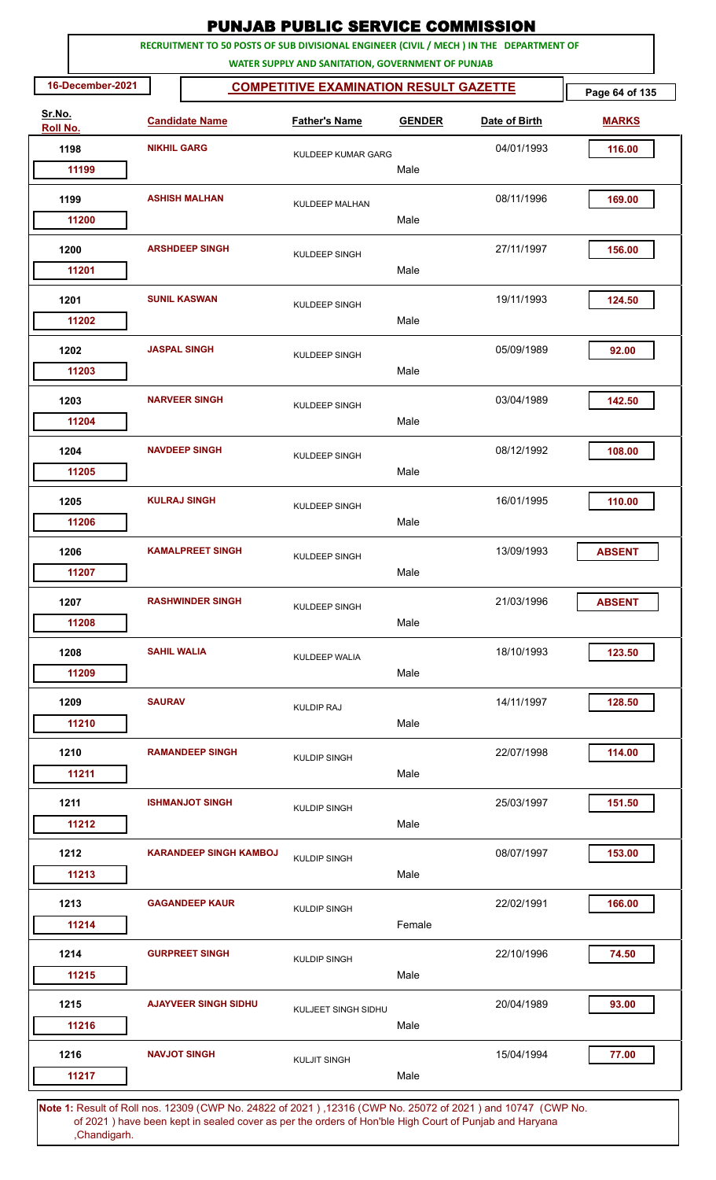|                        |                     |                               | <b>PUNJAB PUBLIC SERVICE COMMISSION</b>                                                                                                      |                |               |                |
|------------------------|---------------------|-------------------------------|----------------------------------------------------------------------------------------------------------------------------------------------|----------------|---------------|----------------|
|                        |                     |                               | RECRUITMENT TO 50 POSTS OF SUB DIVISIONAL ENGINEER (CIVIL / MECH ) IN THE DEPARTMENT OF<br>WATER SUPPLY AND SANITATION, GOVERNMENT OF PUNJAB |                |               |                |
| 16-December-2021       |                     |                               | <b>COMPETITIVE EXAMINATION RESULT GAZETTE</b>                                                                                                |                |               | Page 64 of 135 |
| Sr.No.<br>Roll No.     |                     | <b>Candidate Name</b>         | <b>Father's Name</b>                                                                                                                         | <b>GENDER</b>  | Date of Birth | <b>MARKS</b>   |
| 1198                   | <b>NIKHIL GARG</b>  |                               | KULDEEP KUMAR GARG                                                                                                                           |                | 04/01/1993    | 116.00         |
| 11199                  |                     |                               |                                                                                                                                              | Male           |               |                |
| 1199                   |                     | <b>ASHISH MALHAN</b>          | <b>KULDEEP MALHAN</b>                                                                                                                        |                | 08/11/1996    | 169.00         |
| 11200                  |                     |                               |                                                                                                                                              | Male           |               |                |
| 1200<br>11201          |                     | <b>ARSHDEEP SINGH</b>         | KULDEEP SINGH                                                                                                                                | Male           | 27/11/1997    | 156.00         |
| 1201<br>11202          |                     | <b>SUNIL KASWAN</b>           | <b>KULDEEP SINGH</b>                                                                                                                         | Male           | 19/11/1993    | 124.50         |
| 1202<br>11203          | <b>JASPAL SINGH</b> |                               | <b>KULDEEP SINGH</b>                                                                                                                         | Male           | 05/09/1989    | 92.00          |
| 1203<br>11204          |                     | <b>NARVEER SINGH</b>          | KULDEEP SINGH                                                                                                                                | Male           | 03/04/1989    | 142.50         |
| 1204                   |                     | <b>NAVDEEP SINGH</b>          | <b>KULDEEP SINGH</b>                                                                                                                         | Male           | 08/12/1992    | 108.00         |
| 11205<br>1205          |                     | <b>KULRAJ SINGH</b>           | <b>KULDEEP SINGH</b>                                                                                                                         |                | 16/01/1995    | 110.00         |
| 11206                  |                     |                               |                                                                                                                                              | Male           |               |                |
| 1206<br>11207          |                     | <b>KAMALPREET SINGH</b>       | KULDEEP SINGH                                                                                                                                | Male           | 13/09/1993    | <b>ABSENT</b>  |
| 1207<br>11208          |                     | <b>RASHWINDER SINGH</b>       | <b>KULDEEP SINGH</b>                                                                                                                         | Male           | 21/03/1996    | <b>ABSENT</b>  |
| 1208<br>11209          | <b>SAHIL WALIA</b>  |                               | KULDEEP WALIA                                                                                                                                | Male           | 18/10/1993    | 123.50         |
| 1209<br>11210          | <b>SAURAV</b>       |                               | <b>KULDIP RAJ</b>                                                                                                                            | Male           | 14/11/1997    | 128.50         |
| 1210<br>11211          |                     | <b>RAMANDEEP SINGH</b>        | <b>KULDIP SINGH</b>                                                                                                                          | Male           | 22/07/1998    | 114.00         |
| 1211<br>11212          |                     | <b>ISHMANJOT SINGH</b>        | <b>KULDIP SINGH</b>                                                                                                                          | Male           | 25/03/1997    | 151.50         |
| 1212<br>11213          |                     | <b>KARANDEEP SINGH KAMBOJ</b> | <b>KULDIP SINGH</b>                                                                                                                          | Male           | 08/07/1997    | 153.00         |
| 1213                   |                     | <b>GAGANDEEP KAUR</b>         | <b>KULDIP SINGH</b>                                                                                                                          |                | 22/02/1991    | 166.00         |
| 11214<br>1214<br>11215 |                     | <b>GURPREET SINGH</b>         | <b>KULDIP SINGH</b>                                                                                                                          | Female<br>Male | 22/10/1996    | 74.50          |
| 1215<br>11216          |                     | <b>AJAYVEER SINGH SIDHU</b>   | KULJEET SINGH SIDHU                                                                                                                          | Male           | 20/04/1989    | 93.00          |
| 1216                   |                     | <b>NAVJOT SINGH</b>           | <b>KULJIT SINGH</b>                                                                                                                          |                | 15/04/1994    | 77.00          |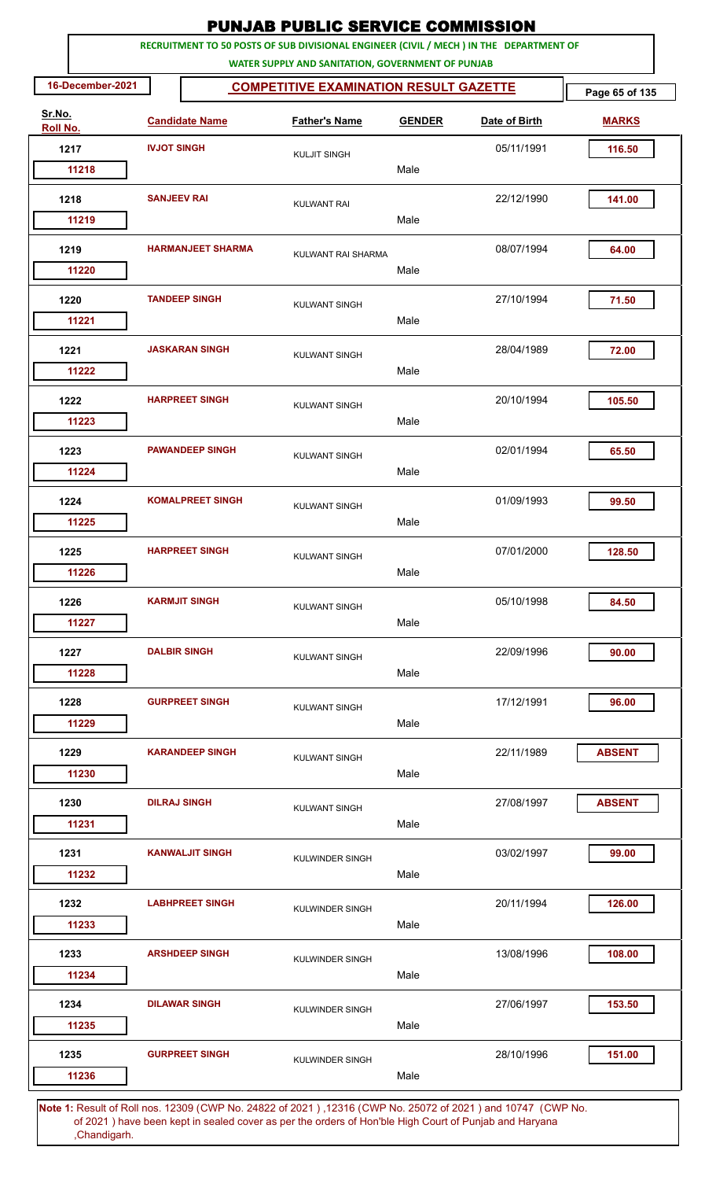| <b>PUNJAB PUBLIC SERVICE COMMISSION</b><br>RECRUITMENT TO 50 POSTS OF SUB DIVISIONAL ENGINEER (CIVIL / MECH ) IN THE DEPARTMENT OF |                     |                          |                                                                                                      |               |               |                |  |  |  |
|------------------------------------------------------------------------------------------------------------------------------------|---------------------|--------------------------|------------------------------------------------------------------------------------------------------|---------------|---------------|----------------|--|--|--|
|                                                                                                                                    |                     |                          | WATER SUPPLY AND SANITATION, GOVERNMENT OF PUNJAB                                                    |               |               |                |  |  |  |
| 16-December-2021                                                                                                                   |                     |                          | <b>COMPETITIVE EXAMINATION RESULT GAZETTE</b>                                                        |               |               | Page 65 of 135 |  |  |  |
| Sr.No.<br>Roll No.                                                                                                                 |                     | <b>Candidate Name</b>    | <b>Father's Name</b>                                                                                 | <b>GENDER</b> | Date of Birth | <b>MARKS</b>   |  |  |  |
| 1217                                                                                                                               | <b>IVJOT SINGH</b>  |                          | <b>KULJIT SINGH</b>                                                                                  |               | 05/11/1991    | 116.50         |  |  |  |
| 11218                                                                                                                              |                     |                          |                                                                                                      | Male          |               |                |  |  |  |
| 1218                                                                                                                               | <b>SANJEEV RAI</b>  |                          | <b>KULWANT RAI</b>                                                                                   |               | 22/12/1990    | 141.00         |  |  |  |
| 11219                                                                                                                              |                     |                          |                                                                                                      | Male          |               |                |  |  |  |
| 1219<br>11220                                                                                                                      |                     | <b>HARMANJEET SHARMA</b> | KULWANT RAI SHARMA                                                                                   | Male          | 08/07/1994    | 64.00          |  |  |  |
| 1220                                                                                                                               |                     | <b>TANDEEP SINGH</b>     |                                                                                                      |               | 27/10/1994    | 71.50          |  |  |  |
| 11221                                                                                                                              |                     |                          | <b>KULWANT SINGH</b>                                                                                 | Male          |               |                |  |  |  |
| 1221<br>11222                                                                                                                      |                     | <b>JASKARAN SINGH</b>    | <b>KULWANT SINGH</b>                                                                                 | Male          | 28/04/1989    | 72.00          |  |  |  |
|                                                                                                                                    |                     |                          |                                                                                                      |               |               |                |  |  |  |
| 1222<br>11223                                                                                                                      |                     | <b>HARPREET SINGH</b>    | <b>KULWANT SINGH</b>                                                                                 | Male          | 20/10/1994    | 105.50         |  |  |  |
| 1223                                                                                                                               |                     | <b>PAWANDEEP SINGH</b>   | <b>KULWANT SINGH</b>                                                                                 |               | 02/01/1994    | 65.50          |  |  |  |
| 11224                                                                                                                              |                     |                          |                                                                                                      | Male          |               |                |  |  |  |
| 1224                                                                                                                               |                     | <b>KOMALPREET SINGH</b>  | <b>KULWANT SINGH</b>                                                                                 |               | 01/09/1993    | 99.50          |  |  |  |
| 11225                                                                                                                              |                     |                          |                                                                                                      | Male          |               |                |  |  |  |
| 1225<br>11226                                                                                                                      |                     | <b>HARPREET SINGH</b>    | <b>KULWANT SINGH</b>                                                                                 | Male          | 07/01/2000    | 128.50         |  |  |  |
| 1226                                                                                                                               |                     | <b>KARMJIT SINGH</b>     | <b>KULWANT SINGH</b>                                                                                 |               | 05/10/1998    | 84.50          |  |  |  |
| 11227                                                                                                                              |                     |                          |                                                                                                      | Male          |               |                |  |  |  |
| 1227                                                                                                                               |                     | <b>DALBIR SINGH</b>      | <b>KULWANT SINGH</b>                                                                                 |               | 22/09/1996    | 90.00          |  |  |  |
| 11228                                                                                                                              |                     |                          |                                                                                                      | Male          |               |                |  |  |  |
| 1228<br>11229                                                                                                                      |                     | <b>GURPREET SINGH</b>    | <b>KULWANT SINGH</b>                                                                                 | Male          | 17/12/1991    | 96.00          |  |  |  |
|                                                                                                                                    |                     |                          |                                                                                                      |               |               |                |  |  |  |
| 1229<br>11230                                                                                                                      |                     | <b>KARANDEEP SINGH</b>   | <b>KULWANT SINGH</b>                                                                                 | Male          | 22/11/1989    | <b>ABSENT</b>  |  |  |  |
| 1230                                                                                                                               | <b>DILRAJ SINGH</b> |                          | <b>KULWANT SINGH</b>                                                                                 |               | 27/08/1997    | <b>ABSENT</b>  |  |  |  |
| 11231                                                                                                                              |                     |                          |                                                                                                      | Male          |               |                |  |  |  |
| 1231                                                                                                                               |                     | <b>KANWALJIT SINGH</b>   | KULWINDER SINGH                                                                                      |               | 03/02/1997    | 99.00          |  |  |  |
| 11232                                                                                                                              |                     |                          |                                                                                                      | Male          |               |                |  |  |  |
| 1232<br>11233                                                                                                                      |                     | <b>LABHPREET SINGH</b>   | <b>KULWINDER SINGH</b>                                                                               | Male          | 20/11/1994    | 126.00         |  |  |  |
| 1233                                                                                                                               |                     | <b>ARSHDEEP SINGH</b>    |                                                                                                      |               | 13/08/1996    | 108.00         |  |  |  |
| 11234                                                                                                                              |                     |                          | KULWINDER SINGH                                                                                      | Male          |               |                |  |  |  |
| 1234                                                                                                                               |                     | <b>DILAWAR SINGH</b>     | <b>KULWINDER SINGH</b>                                                                               |               | 27/06/1997    | 153.50         |  |  |  |
| 11235                                                                                                                              |                     |                          |                                                                                                      | Male          |               |                |  |  |  |
| 1235                                                                                                                               |                     | <b>GURPREET SINGH</b>    | <b>KULWINDER SINGH</b>                                                                               | Male          | 28/10/1996    | 151.00         |  |  |  |
| 11236                                                                                                                              |                     |                          | 4. Result of Religion 19200 (CMD No. 24822 of 2021), 19216 (CMD No. 25072 of 2021) and 10747 (CMD No |               |               |                |  |  |  |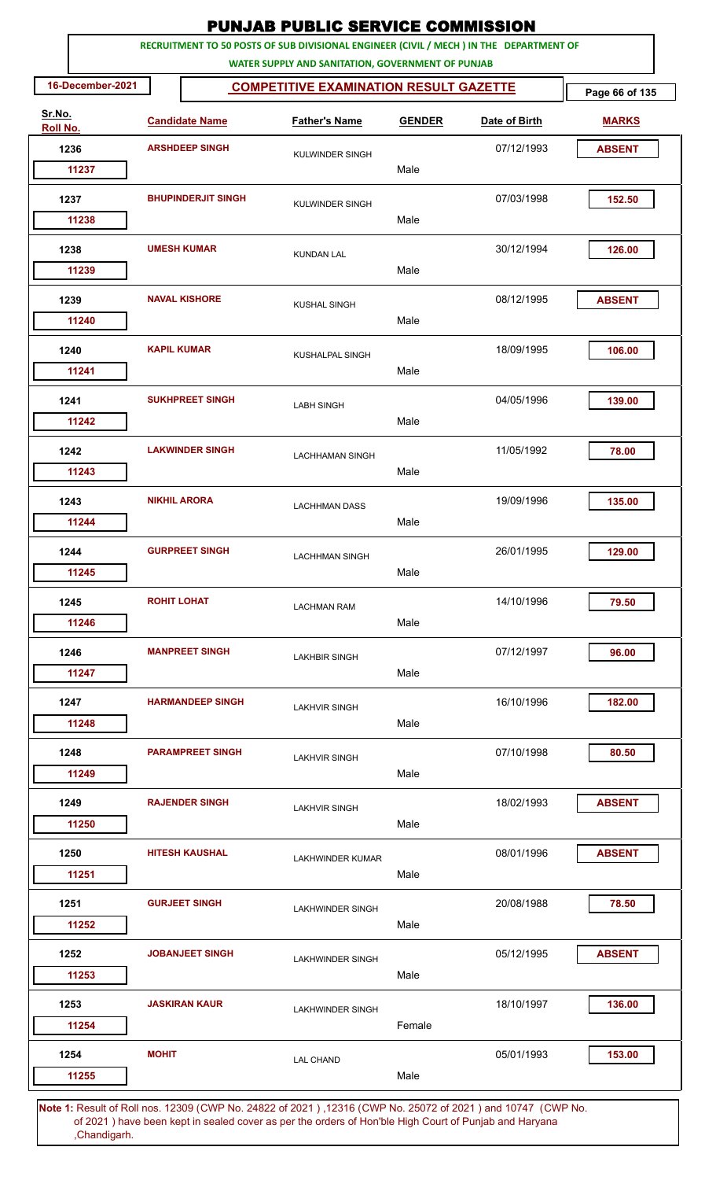|                    |                    |                           | <b>PUNJAB PUBLIC SERVICE COMMISSION</b>                                                                                                      |               |               |                |
|--------------------|--------------------|---------------------------|----------------------------------------------------------------------------------------------------------------------------------------------|---------------|---------------|----------------|
|                    |                    |                           | RECRUITMENT TO 50 POSTS OF SUB DIVISIONAL ENGINEER (CIVIL / MECH ) IN THE DEPARTMENT OF<br>WATER SUPPLY AND SANITATION, GOVERNMENT OF PUNJAB |               |               |                |
| 16-December-2021   |                    |                           | <b>COMPETITIVE EXAMINATION RESULT GAZETTE</b>                                                                                                |               |               | Page 66 of 135 |
| Sr.No.<br>Roll No. |                    | <b>Candidate Name</b>     | <b>Father's Name</b>                                                                                                                         | <b>GENDER</b> | Date of Birth | <b>MARKS</b>   |
| 1236               |                    | <b>ARSHDEEP SINGH</b>     | <b>KULWINDER SINGH</b>                                                                                                                       |               | 07/12/1993    | <b>ABSENT</b>  |
| 11237              |                    |                           |                                                                                                                                              | Male          |               |                |
| 1237               |                    | <b>BHUPINDERJIT SINGH</b> | KULWINDER SINGH                                                                                                                              |               | 07/03/1998    | 152.50         |
| 11238              |                    |                           |                                                                                                                                              | Male          |               |                |
| 1238<br>11239      |                    | <b>UMESH KUMAR</b>        | <b>KUNDAN LAL</b>                                                                                                                            | Male          | 30/12/1994    | 126.00         |
|                    |                    |                           |                                                                                                                                              |               |               |                |
| 1239<br>11240      |                    | <b>NAVAL KISHORE</b>      | <b>KUSHAL SINGH</b>                                                                                                                          | Male          | 08/12/1995    | <b>ABSENT</b>  |
| 1240               |                    | <b>KAPIL KUMAR</b>        | KUSHALPAL SINGH                                                                                                                              |               | 18/09/1995    | 106.00         |
| 11241              |                    |                           |                                                                                                                                              | Male          |               |                |
| 1241<br>11242      |                    | <b>SUKHPREET SINGH</b>    | <b>LABH SINGH</b>                                                                                                                            | Male          | 04/05/1996    | 139.00         |
| 1242               |                    | <b>LAKWINDER SINGH</b>    |                                                                                                                                              |               | 11/05/1992    | 78.00          |
| 11243              |                    |                           | <b>LACHHAMAN SINGH</b>                                                                                                                       | Male          |               |                |
| 1243               |                    | <b>NIKHIL ARORA</b>       | <b>LACHHMAN DASS</b>                                                                                                                         |               | 19/09/1996    | 135.00         |
| 11244              |                    |                           |                                                                                                                                              | Male          |               |                |
| 1244               |                    | <b>GURPREET SINGH</b>     | <b>LACHHMAN SINGH</b>                                                                                                                        |               | 26/01/1995    | 129.00         |
| 11245              |                    |                           |                                                                                                                                              | Male          |               |                |
| 1245               | <b>ROHIT LOHAT</b> |                           | <b>LACHMAN RAM</b>                                                                                                                           |               | 14/10/1996    | 79.50          |
| 11246              |                    |                           |                                                                                                                                              | Male          |               |                |
| 1246               |                    | <b>MANPREET SINGH</b>     | <b>LAKHBIR SINGH</b>                                                                                                                         |               | 07/12/1997    | 96.00          |
| 11247              |                    |                           |                                                                                                                                              | Male          |               |                |
| 1247               |                    | <b>HARMANDEEP SINGH</b>   | <b>LAKHVIR SINGH</b>                                                                                                                         |               | 16/10/1996    | 182.00         |
| 11248              |                    |                           |                                                                                                                                              | Male          |               |                |
| 1248               |                    | <b>PARAMPREET SINGH</b>   | <b>LAKHVIR SINGH</b>                                                                                                                         |               | 07/10/1998    | 80.50          |
| 11249              |                    |                           |                                                                                                                                              | Male          |               |                |
| 1249<br>11250      |                    | <b>RAJENDER SINGH</b>     | <b>LAKHVIR SINGH</b>                                                                                                                         | Male          | 18/02/1993    | <b>ABSENT</b>  |
|                    |                    |                           |                                                                                                                                              |               |               |                |
| 1250<br>11251      |                    | <b>HITESH KAUSHAL</b>     | <b>LAKHWINDER KUMAR</b>                                                                                                                      | Male          | 08/01/1996    | <b>ABSENT</b>  |
| 1251               |                    | <b>GURJEET SINGH</b>      | <b>LAKHWINDER SINGH</b>                                                                                                                      |               | 20/08/1988    | 78.50          |
| 11252              |                    |                           |                                                                                                                                              | Male          |               |                |
| 1252               |                    | <b>JOBANJEET SINGH</b>    | <b>LAKHWINDER SINGH</b>                                                                                                                      |               | 05/12/1995    | <b>ABSENT</b>  |
| 11253              |                    |                           |                                                                                                                                              | Male          |               |                |
| 1253               |                    | <b>JASKIRAN KAUR</b>      | <b>LAKHWINDER SINGH</b>                                                                                                                      |               | 18/10/1997    | 136.00         |
| 11254              |                    |                           |                                                                                                                                              | Female        |               |                |
| 1254<br>11255      | <b>MOHIT</b>       |                           | <b>LAL CHAND</b>                                                                                                                             | Male          | 05/01/1993    | 153.00         |
|                    |                    |                           |                                                                                                                                              |               |               |                |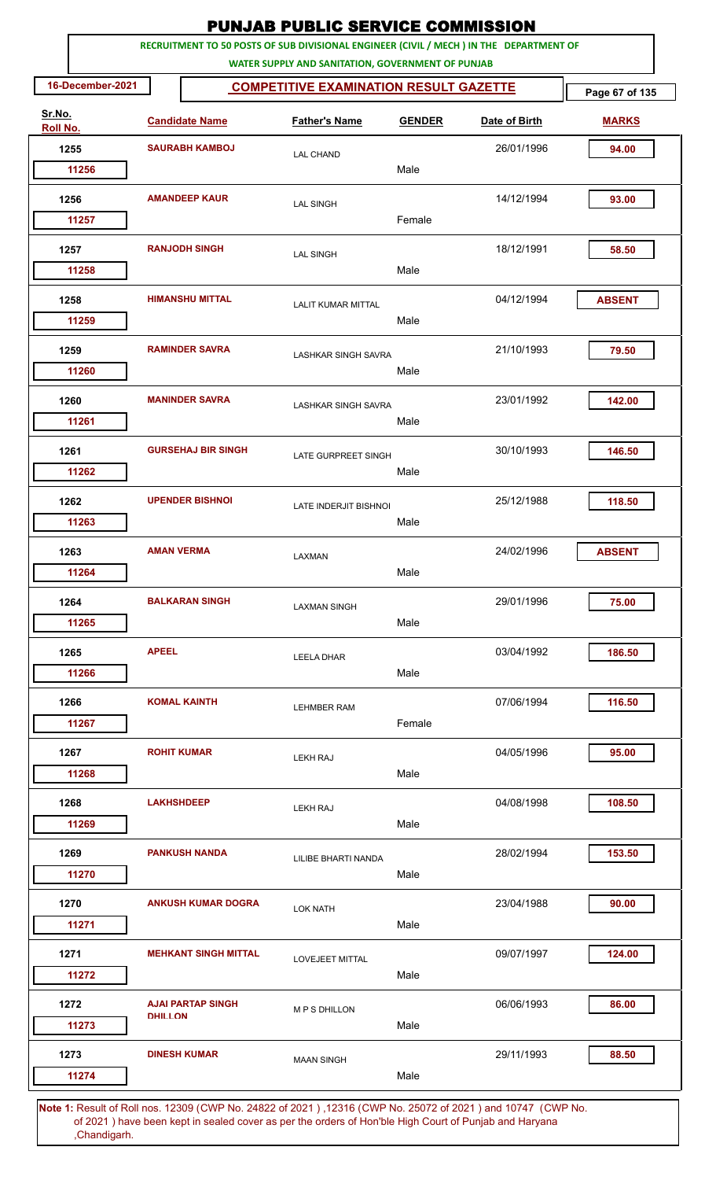|                    |                  |                      |                             | <b>PUNJAB PUBLIC SERVICE COMMISSION</b>                                                                                                      |               |               |                |
|--------------------|------------------|----------------------|-----------------------------|----------------------------------------------------------------------------------------------------------------------------------------------|---------------|---------------|----------------|
|                    |                  |                      |                             | RECRUITMENT TO 50 POSTS OF SUB DIVISIONAL ENGINEER (CIVIL / MECH ) IN THE DEPARTMENT OF<br>WATER SUPPLY AND SANITATION, GOVERNMENT OF PUNJAB |               |               |                |
|                    | 16-December-2021 |                      |                             | <b>COMPETITIVE EXAMINATION RESULT GAZETTE</b>                                                                                                |               |               | Page 67 of 135 |
| Sr.No.<br>Roll No. |                  |                      | <b>Candidate Name</b>       | <b>Father's Name</b>                                                                                                                         | <b>GENDER</b> | Date of Birth | <b>MARKS</b>   |
|                    | 1255             |                      | <b>SAURABH KAMBOJ</b>       | <b>LAL CHAND</b>                                                                                                                             |               | 26/01/1996    | 94.00          |
|                    | 11256            |                      |                             |                                                                                                                                              | Male          |               |                |
|                    | 1256             | <b>AMANDEEP KAUR</b> |                             | <b>LAL SINGH</b>                                                                                                                             |               | 14/12/1994    | 93.00          |
|                    | 11257            |                      |                             |                                                                                                                                              | Female        |               |                |
|                    | 1257<br>11258    |                      | <b>RANJODH SINGH</b>        | <b>LAL SINGH</b>                                                                                                                             | Male          | 18/12/1991    | 58.50          |
|                    |                  |                      | <b>HIMANSHU MITTAL</b>      |                                                                                                                                              |               |               |                |
|                    | 1258<br>11259    |                      |                             | <b>LALIT KUMAR MITTAL</b>                                                                                                                    | Male          | 04/12/1994    | <b>ABSENT</b>  |
|                    | 1259             |                      | <b>RAMINDER SAVRA</b>       | <b>LASHKAR SINGH SAVRA</b>                                                                                                                   |               | 21/10/1993    | 79.50          |
|                    | 11260            |                      |                             |                                                                                                                                              | Male          |               |                |
|                    | 1260<br>11261    |                      | <b>MANINDER SAVRA</b>       | <b>LASHKAR SINGH SAVRA</b>                                                                                                                   | Male          | 23/01/1992    | 142.00         |
|                    | 1261             |                      | <b>GURSEHAJ BIR SINGH</b>   |                                                                                                                                              |               | 30/10/1993    | 146.50         |
|                    | 11262            |                      |                             | LATE GURPREET SINGH                                                                                                                          | Male          |               |                |
|                    | 1262             |                      | <b>UPENDER BISHNOI</b>      | <b>LATE INDERJIT BISHNOI</b>                                                                                                                 |               | 25/12/1988    | 118.50         |
|                    | 11263            |                      |                             |                                                                                                                                              | Male          |               |                |
|                    | 1263             | <b>AMAN VERMA</b>    |                             | LAXMAN                                                                                                                                       |               | 24/02/1996    | <b>ABSENT</b>  |
|                    | 11264            |                      |                             |                                                                                                                                              | Male          |               |                |
|                    | 1264             |                      | <b>BALKARAN SINGH</b>       | <b>LAXMAN SINGH</b>                                                                                                                          |               | 29/01/1996    | 75.00          |
|                    | 11265            |                      |                             |                                                                                                                                              | Male          |               |                |
|                    | 1265             | <b>APEEL</b>         |                             | <b>LEELA DHAR</b>                                                                                                                            |               | 03/04/1992    | 186.50         |
|                    | 11266            |                      |                             |                                                                                                                                              | Male          |               |                |
|                    | 1266             |                      | <b>KOMAL KAINTH</b>         | <b>LEHMBER RAM</b>                                                                                                                           |               | 07/06/1994    | 116.50         |
|                    | 11267            |                      |                             |                                                                                                                                              | Female        |               |                |
|                    | 1267             | <b>ROHIT KUMAR</b>   |                             | <b>LEKH RAJ</b>                                                                                                                              |               | 04/05/1996    | 95.00          |
|                    | 11268            |                      |                             |                                                                                                                                              | Male          |               |                |
|                    | 1268             | <b>LAKHSHDEEP</b>    |                             | <b>LEKH RAJ</b>                                                                                                                              |               | 04/08/1998    | 108.50         |
|                    | 11269            |                      |                             |                                                                                                                                              | Male          |               |                |
|                    | 1269             |                      | <b>PANKUSH NANDA</b>        | LILIBE BHARTI NANDA                                                                                                                          |               | 28/02/1994    | 153.50         |
|                    | 11270            |                      |                             |                                                                                                                                              | Male          |               |                |
|                    | 1270             |                      | <b>ANKUSH KUMAR DOGRA</b>   | <b>LOK NATH</b>                                                                                                                              |               | 23/04/1988    | 90.00          |
|                    | 11271            |                      |                             |                                                                                                                                              | Male          |               |                |
|                    | 1271             |                      | <b>MEHKANT SINGH MITTAL</b> | LOVEJEET MITTAL                                                                                                                              |               | 09/07/1997    | 124.00         |
|                    | 11272            |                      |                             |                                                                                                                                              | Male          |               |                |
|                    | 1272             |                      | <b>AJAI PARTAP SINGH</b>    | <b>MPS DHILLON</b>                                                                                                                           |               | 06/06/1993    | 86.00          |
|                    | 11273            | <b>DHILLON</b>       |                             |                                                                                                                                              | Male          |               |                |
|                    | 1273             |                      | <b>DINESH KUMAR</b>         | <b>MAAN SINGH</b>                                                                                                                            |               | 29/11/1993    | 88.50          |
|                    | 11274            |                      |                             |                                                                                                                                              | Male          |               |                |
|                    |                  |                      |                             |                                                                                                                                              |               |               |                |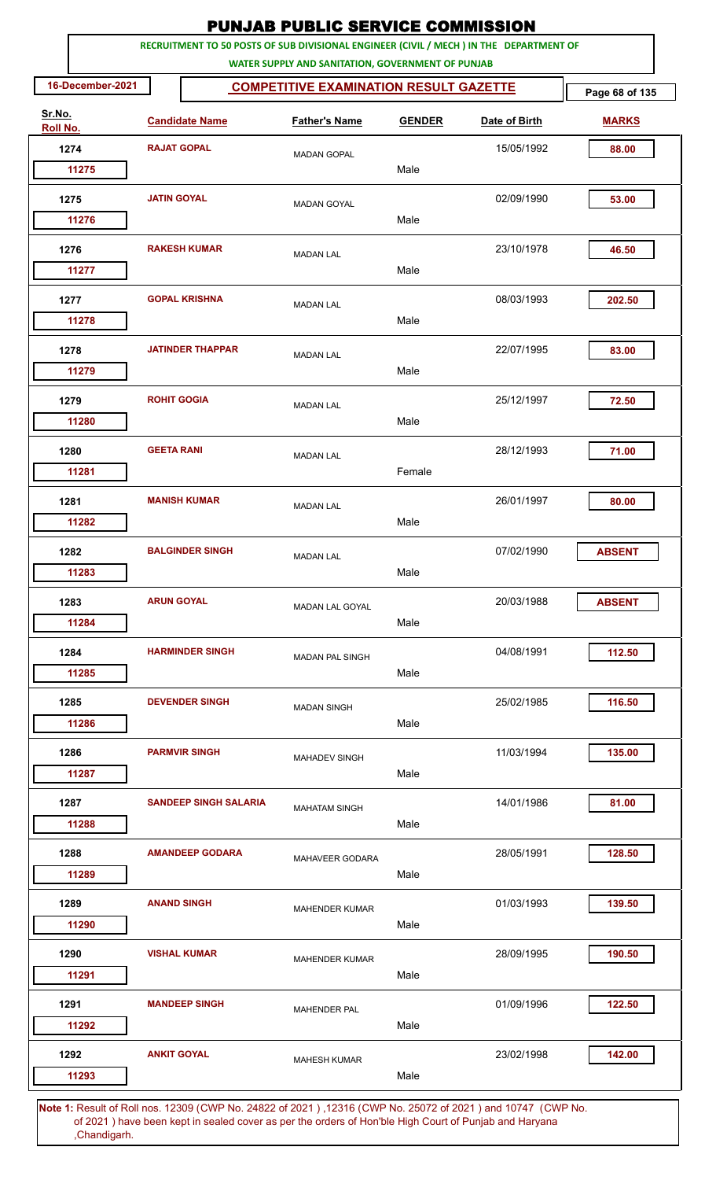|                    |                    |                              | <b>PUNJAB PUBLIC SERVICE COMMISSION</b>                                                                                                      |               |               |                |
|--------------------|--------------------|------------------------------|----------------------------------------------------------------------------------------------------------------------------------------------|---------------|---------------|----------------|
|                    |                    |                              | RECRUITMENT TO 50 POSTS OF SUB DIVISIONAL ENGINEER (CIVIL / MECH ) IN THE DEPARTMENT OF<br>WATER SUPPLY AND SANITATION, GOVERNMENT OF PUNJAB |               |               |                |
| 16-December-2021   |                    |                              | <b>COMPETITIVE EXAMINATION RESULT GAZETTE</b>                                                                                                |               |               | Page 68 of 135 |
| Sr.No.<br>Roll No. |                    | <b>Candidate Name</b>        | <b>Father's Name</b>                                                                                                                         | <b>GENDER</b> | Date of Birth | <b>MARKS</b>   |
| 1274               |                    | <b>RAJAT GOPAL</b>           | <b>MADAN GOPAL</b>                                                                                                                           |               | 15/05/1992    | 88.00          |
| 11275              |                    |                              |                                                                                                                                              | Male          |               |                |
| 1275               | <b>JATIN GOYAL</b> |                              | <b>MADAN GOYAL</b>                                                                                                                           | Male          | 02/09/1990    | 53.00          |
| 11276              |                    |                              |                                                                                                                                              |               |               |                |
| 1276<br>11277      |                    | <b>RAKESH KUMAR</b>          | <b>MADAN LAL</b>                                                                                                                             | Male          | 23/10/1978    | 46.50          |
|                    |                    |                              |                                                                                                                                              |               |               |                |
| 1277<br>11278      |                    | <b>GOPAL KRISHNA</b>         | <b>MADAN LAL</b>                                                                                                                             | Male          | 08/03/1993    | 202.50         |
| 1278               |                    | <b>JATINDER THAPPAR</b>      | <b>MADAN LAL</b>                                                                                                                             |               | 22/07/1995    | 83.00          |
| 11279              |                    |                              |                                                                                                                                              | Male          |               |                |
| 1279<br>11280      | <b>ROHIT GOGIA</b> |                              | <b>MADAN LAL</b>                                                                                                                             | Male          | 25/12/1997    | 72.50          |
| 1280               | <b>GEETA RANI</b>  |                              |                                                                                                                                              |               | 28/12/1993    | 71.00          |
| 11281              |                    |                              | <b>MADAN LAL</b>                                                                                                                             | Female        |               |                |
| 1281               |                    | <b>MANISH KUMAR</b>          | <b>MADAN LAL</b>                                                                                                                             |               | 26/01/1997    | 80.00          |
| 11282              |                    |                              |                                                                                                                                              | Male          |               |                |
| 1282               |                    | <b>BALGINDER SINGH</b>       | <b>MADAN LAL</b>                                                                                                                             |               | 07/02/1990    | <b>ABSENT</b>  |
| 11283              |                    |                              |                                                                                                                                              | Male          |               |                |
| 1283               | <b>ARUN GOYAL</b>  |                              | <b>MADAN LAL GOYAL</b>                                                                                                                       |               | 20/03/1988    | <b>ABSENT</b>  |
| 11284              |                    |                              |                                                                                                                                              | Male          |               |                |
| 1284<br>11285      |                    | <b>HARMINDER SINGH</b>       | <b>MADAN PAL SINGH</b>                                                                                                                       | Male          | 04/08/1991    | 112.50         |
|                    |                    |                              |                                                                                                                                              |               |               |                |
| 1285<br>11286      |                    | <b>DEVENDER SINGH</b>        | <b>MADAN SINGH</b>                                                                                                                           | Male          | 25/02/1985    | 116.50         |
| 1286               |                    | <b>PARMVIR SINGH</b>         |                                                                                                                                              |               | 11/03/1994    | 135.00         |
| 11287              |                    |                              | <b>MAHADEV SINGH</b>                                                                                                                         | Male          |               |                |
| 1287               |                    | <b>SANDEEP SINGH SALARIA</b> | <b>MAHATAM SINGH</b>                                                                                                                         |               | 14/01/1986    | 81.00          |
| 11288              |                    |                              |                                                                                                                                              | Male          |               |                |
| 1288               |                    | <b>AMANDEEP GODARA</b>       | MAHAVEER GODARA                                                                                                                              |               | 28/05/1991    | 128.50         |
| 11289              |                    |                              |                                                                                                                                              | Male          |               |                |
| 1289<br>11290      |                    | <b>ANAND SINGH</b>           | <b>MAHENDER KUMAR</b>                                                                                                                        | Male          | 01/03/1993    | 139.50         |
| 1290               |                    | <b>VISHAL KUMAR</b>          |                                                                                                                                              |               | 28/09/1995    | 190.50         |
| 11291              |                    |                              | <b>MAHENDER KUMAR</b>                                                                                                                        | Male          |               |                |
| 1291               |                    | <b>MANDEEP SINGH</b>         | <b>MAHENDER PAL</b>                                                                                                                          |               | 01/09/1996    | 122.50         |
| 11292              |                    |                              |                                                                                                                                              | Male          |               |                |
| 1292               | <b>ANKIT GOYAL</b> |                              | <b>MAHESH KUMAR</b>                                                                                                                          |               | 23/02/1998    | 142.00         |
| 11293              |                    |                              |                                                                                                                                              | Male          |               |                |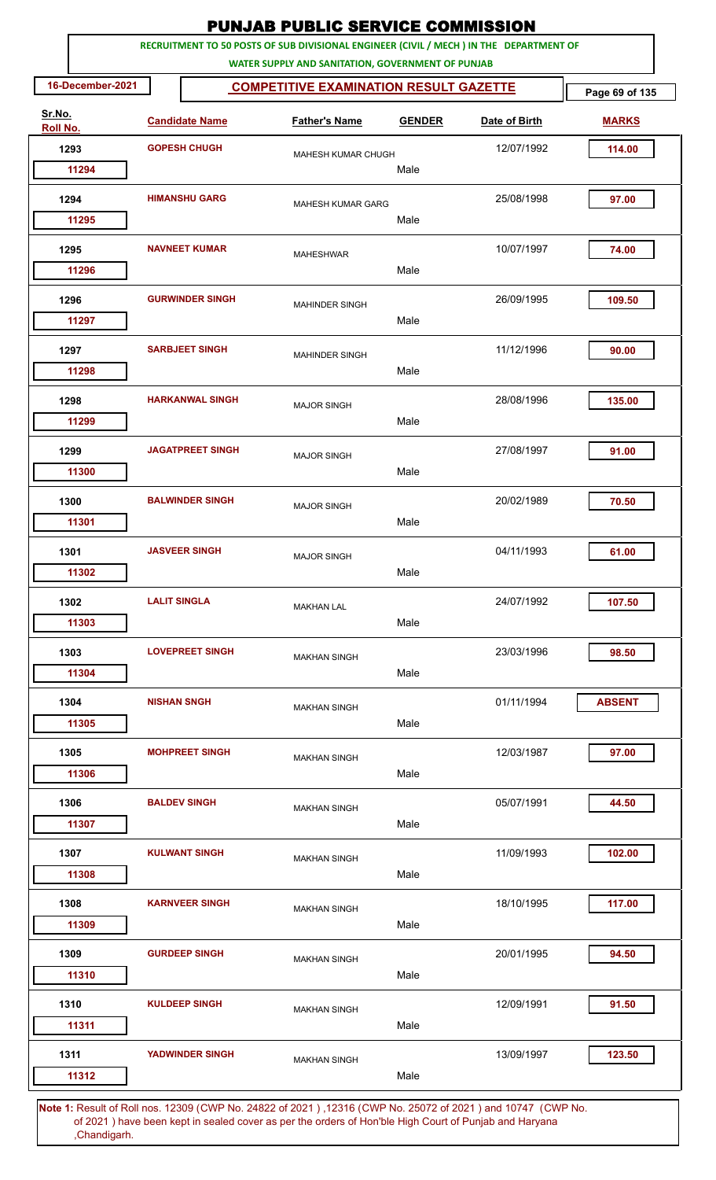|                    |                     |                         | <b>PUNJAB PUBLIC SERVICE COMMISSION</b>                                                                                                      |               |               |                |
|--------------------|---------------------|-------------------------|----------------------------------------------------------------------------------------------------------------------------------------------|---------------|---------------|----------------|
|                    |                     |                         | RECRUITMENT TO 50 POSTS OF SUB DIVISIONAL ENGINEER (CIVIL / MECH ) IN THE DEPARTMENT OF<br>WATER SUPPLY AND SANITATION, GOVERNMENT OF PUNJAB |               |               |                |
| 16-December-2021   |                     |                         | <b>COMPETITIVE EXAMINATION RESULT GAZETTE</b>                                                                                                |               |               | Page 69 of 135 |
| Sr.No.<br>Roll No. |                     | <b>Candidate Name</b>   | <b>Father's Name</b>                                                                                                                         | <b>GENDER</b> | Date of Birth | <b>MARKS</b>   |
| 1293               |                     | <b>GOPESH CHUGH</b>     | <b>MAHESH KUMAR CHUGH</b>                                                                                                                    |               | 12/07/1992    | 114.00         |
| 11294              |                     |                         |                                                                                                                                              | Male          |               |                |
| 1294               |                     | <b>HIMANSHU GARG</b>    | <b>MAHESH KUMAR GARG</b>                                                                                                                     |               | 25/08/1998    | 97.00          |
| 11295              |                     |                         |                                                                                                                                              | Male          |               |                |
| 1295<br>11296      |                     | <b>NAVNEET KUMAR</b>    | <b>MAHESHWAR</b>                                                                                                                             | Male          | 10/07/1997    | 74.00          |
| 1296               |                     | <b>GURWINDER SINGH</b>  | <b>MAHINDER SINGH</b>                                                                                                                        |               | 26/09/1995    | 109.50         |
| 11297              |                     |                         |                                                                                                                                              | Male          |               |                |
| 1297<br>11298      |                     | <b>SARBJEET SINGH</b>   | <b>MAHINDER SINGH</b>                                                                                                                        | Male          | 11/12/1996    | 90.00          |
| 1298               |                     | <b>HARKANWAL SINGH</b>  |                                                                                                                                              |               | 28/08/1996    | 135.00         |
| 11299              |                     |                         | <b>MAJOR SINGH</b>                                                                                                                           | Male          |               |                |
| 1299               |                     | <b>JAGATPREET SINGH</b> | <b>MAJOR SINGH</b>                                                                                                                           |               | 27/08/1997    | 91.00          |
| 11300              |                     |                         |                                                                                                                                              | Male          |               |                |
| 1300               |                     | <b>BALWINDER SINGH</b>  | <b>MAJOR SINGH</b>                                                                                                                           |               | 20/02/1989    | 70.50          |
| 11301              |                     |                         |                                                                                                                                              | Male          |               |                |
| 1301               |                     | <b>JASVEER SINGH</b>    | <b>MAJOR SINGH</b>                                                                                                                           |               | 04/11/1993    | 61.00          |
| 11302              |                     |                         |                                                                                                                                              | Male          |               |                |
| 1302               | <b>LALIT SINGLA</b> |                         | <b>MAKHAN LAL</b>                                                                                                                            |               | 24/07/1992    | 107.50         |
| 11303              |                     |                         |                                                                                                                                              | Male          |               |                |
| 1303               |                     | <b>LOVEPREET SINGH</b>  | <b>MAKHAN SINGH</b>                                                                                                                          |               | 23/03/1996    | 98.50          |
| 11304              |                     |                         |                                                                                                                                              | Male          |               |                |
| 1304               | <b>NISHAN SNGH</b>  |                         | <b>MAKHAN SINGH</b>                                                                                                                          |               | 01/11/1994    | <b>ABSENT</b>  |
| 11305              |                     |                         |                                                                                                                                              | Male          |               |                |
| 1305<br>11306      |                     | <b>MOHPREET SINGH</b>   | <b>MAKHAN SINGH</b>                                                                                                                          | Male          | 12/03/1987    | 97.00          |
| 1306               |                     | <b>BALDEV SINGH</b>     |                                                                                                                                              |               | 05/07/1991    | 44.50          |
| 11307              |                     |                         | <b>MAKHAN SINGH</b>                                                                                                                          | Male          |               |                |
| 1307               |                     | <b>KULWANT SINGH</b>    | <b>MAKHAN SINGH</b>                                                                                                                          |               | 11/09/1993    | 102.00         |
| 11308              |                     |                         |                                                                                                                                              | Male          |               |                |
| 1308               |                     | <b>KARNVEER SINGH</b>   | <b>MAKHAN SINGH</b>                                                                                                                          |               | 18/10/1995    | 117.00         |
| 11309              |                     |                         |                                                                                                                                              | Male          |               |                |
| 1309               |                     | <b>GURDEEP SINGH</b>    | <b>MAKHAN SINGH</b>                                                                                                                          |               | 20/01/1995    | 94.50          |
| 11310              |                     |                         |                                                                                                                                              | Male          |               |                |
| 1310               |                     | <b>KULDEEP SINGH</b>    | <b>MAKHAN SINGH</b>                                                                                                                          |               | 12/09/1991    | 91.50          |
| 11311              |                     |                         |                                                                                                                                              | Male          |               |                |
| 1311               |                     | <b>YADWINDER SINGH</b>  | <b>MAKHAN SINGH</b>                                                                                                                          |               | 13/09/1997    | 123.50         |
| 11312              |                     |                         |                                                                                                                                              | Male          |               |                |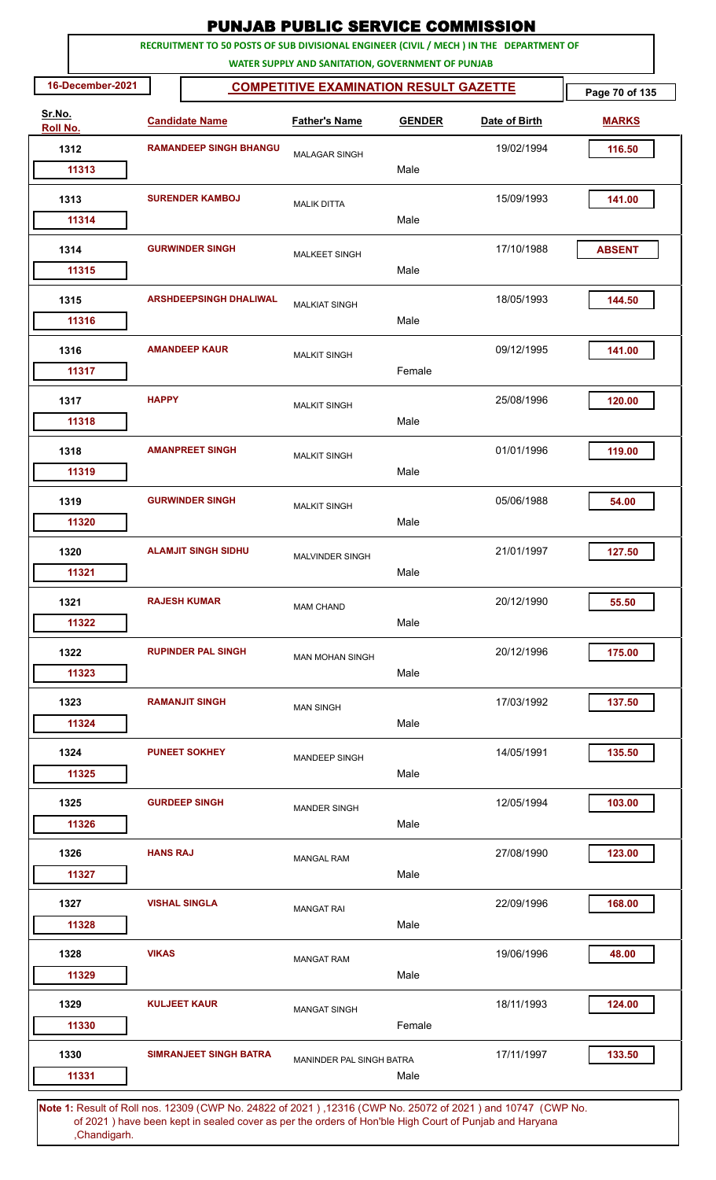|                           |                        |                                                                                                              | <b>PUNJAB PUBLIC SERVICE COMMISSION</b>           |               |               |                |
|---------------------------|------------------------|--------------------------------------------------------------------------------------------------------------|---------------------------------------------------|---------------|---------------|----------------|
|                           |                        | RECRUITMENT TO 50 POSTS OF SUB DIVISIONAL ENGINEER (CIVIL / MECH ) IN THE DEPARTMENT OF                      | WATER SUPPLY AND SANITATION, GOVERNMENT OF PUNJAB |               |               |                |
| 16-December-2021          |                        |                                                                                                              | <b>COMPETITIVE EXAMINATION RESULT GAZETTE</b>     |               |               | Page 70 of 135 |
| Sr.No.<br><b>Roll No.</b> |                        | <b>Candidate Name</b>                                                                                        | <b>Father's Name</b>                              | <b>GENDER</b> | Date of Birth | <b>MARKS</b>   |
| 1312                      |                        | <b>RAMANDEEP SINGH BHANGU</b>                                                                                | <b>MALAGAR SINGH</b>                              |               | 19/02/1994    | 116.50         |
| 11313                     |                        |                                                                                                              |                                                   | Male          |               |                |
| 1313                      |                        | <b>SURENDER KAMBOJ</b>                                                                                       | <b>MALIK DITTA</b>                                |               | 15/09/1993    | 141.00         |
| 11314                     |                        |                                                                                                              |                                                   | Male          |               |                |
| 1314                      |                        | <b>GURWINDER SINGH</b>                                                                                       | <b>MALKEET SINGH</b>                              |               | 17/10/1988    | <b>ABSENT</b>  |
| 11315                     |                        |                                                                                                              |                                                   | Male          |               |                |
| 1315                      |                        | <b>ARSHDEEPSINGH DHALIWAL</b>                                                                                | <b>MALKIAT SINGH</b>                              |               | 18/05/1993    | 144.50         |
| 11316                     |                        |                                                                                                              |                                                   | Male          |               |                |
| 1316                      |                        | <b>AMANDEEP KAUR</b>                                                                                         | <b>MALKIT SINGH</b>                               |               | 09/12/1995    | 141.00         |
| 11317                     |                        |                                                                                                              |                                                   | Female        |               |                |
| 1317                      | <b>HAPPY</b>           |                                                                                                              | <b>MALKIT SINGH</b>                               |               | 25/08/1996    | 120.00         |
| 11318                     |                        |                                                                                                              |                                                   | Male          |               |                |
| 1318                      |                        | <b>AMANPREET SINGH</b>                                                                                       | <b>MALKIT SINGH</b>                               |               | 01/01/1996    | 119.00         |
| 11319                     |                        |                                                                                                              |                                                   | Male          |               |                |
| 1319                      | <b>GURWINDER SINGH</b> |                                                                                                              | <b>MALKIT SINGH</b>                               |               | 05/06/1988    | 54.00          |
| 11320                     |                        |                                                                                                              |                                                   | Male          |               |                |
| 1320                      |                        | <b>ALAMJIT SINGH SIDHU</b>                                                                                   | <b>MALVINDER SINGH</b>                            |               | 21/01/1997    | 127.50         |
| 11321                     |                        |                                                                                                              |                                                   | Male          |               |                |
| 1321                      |                        | <b>RAJESH KUMAR</b>                                                                                          | <b>MAM CHAND</b>                                  |               | 20/12/1990    | 55.50          |
| 11322                     |                        |                                                                                                              |                                                   | Male          |               |                |
| 1322                      |                        | <b>RUPINDER PAL SINGH</b>                                                                                    | <b>MAN MOHAN SINGH</b>                            |               | 20/12/1996    | 175.00         |
| 11323                     |                        |                                                                                                              |                                                   | Male          |               |                |
| 1323                      |                        | <b>RAMANJIT SINGH</b>                                                                                        | <b>MAN SINGH</b>                                  | Male          | 17/03/1992    | 137.50         |
| 11324                     |                        |                                                                                                              |                                                   |               |               |                |
| 1324<br>11325             |                        | <b>PUNEET SOKHEY</b>                                                                                         | <b>MANDEEP SINGH</b>                              | Male          | 14/05/1991    | 135.50         |
|                           |                        |                                                                                                              |                                                   |               |               |                |
| 1325<br>11326             |                        | <b>GURDEEP SINGH</b>                                                                                         | <b>MANDER SINGH</b>                               | Male          | 12/05/1994    | 103.00         |
|                           | <b>HANS RAJ</b>        |                                                                                                              |                                                   |               | 27/08/1990    |                |
| 1326<br>11327             |                        |                                                                                                              | <b>MANGAL RAM</b>                                 | Male          |               | 123.00         |
| 1327                      |                        | <b>VISHAL SINGLA</b>                                                                                         |                                                   |               | 22/09/1996    | 168.00         |
| 11328                     |                        |                                                                                                              | <b>MANGAT RAI</b>                                 | Male          |               |                |
| 1328                      | <b>VIKAS</b>           |                                                                                                              |                                                   |               | 19/06/1996    | 48.00          |
| 11329                     |                        |                                                                                                              | <b>MANGAT RAM</b>                                 | Male          |               |                |
| 1329                      |                        | <b>KULJEET KAUR</b>                                                                                          |                                                   |               | 18/11/1993    | 124.00         |
| 11330                     |                        |                                                                                                              | <b>MANGAT SINGH</b>                               | Female        |               |                |
| 1330                      |                        | <b>SIMRANJEET SINGH BATRA</b>                                                                                | MANINDER PAL SINGH BATRA                          |               | 17/11/1997    | 133.50         |
| 11331                     |                        |                                                                                                              |                                                   | Male          |               |                |
|                           |                        | Note 1: Pesult of Pollings, 12300 (CMP No. 24822 of 2021), 12316 (CMP No. 25072 of 2021) and 10747. (CMP No. |                                                   |               |               |                |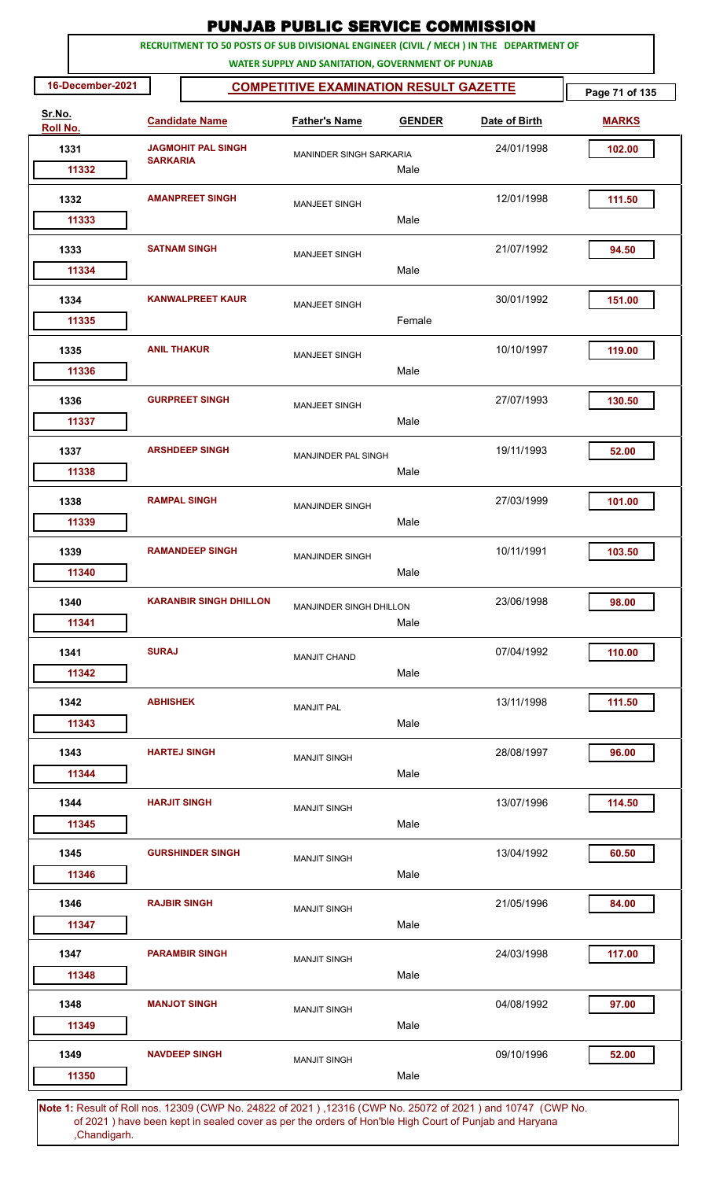|                                                                                                      |                     |                                                                                         | <b>PUNJAB PUBLIC SERVICE COMMISSION</b>           |               |               |                |
|------------------------------------------------------------------------------------------------------|---------------------|-----------------------------------------------------------------------------------------|---------------------------------------------------|---------------|---------------|----------------|
|                                                                                                      |                     | RECRUITMENT TO 50 POSTS OF SUB DIVISIONAL ENGINEER (CIVIL / MECH ) IN THE DEPARTMENT OF | WATER SUPPLY AND SANITATION, GOVERNMENT OF PUNJAB |               |               |                |
| 16-December-2021                                                                                     |                     |                                                                                         | <b>COMPETITIVE EXAMINATION RESULT GAZETTE</b>     |               |               | Page 71 of 135 |
| Sr.No.<br>Roll No.                                                                                   |                     | <b>Candidate Name</b>                                                                   | <b>Father's Name</b>                              | <b>GENDER</b> | Date of Birth | <b>MARKS</b>   |
| 1331<br>11332                                                                                        | <b>SARKARIA</b>     | <b>JAGMOHIT PAL SINGH</b>                                                               | MANINDER SINGH SARKARIA                           | Male          | 24/01/1998    | 102.00         |
| 1332<br>11333                                                                                        |                     | <b>AMANPREET SINGH</b>                                                                  | <b>MANJEET SINGH</b>                              | Male          | 12/01/1998    | 111.50         |
| 1333<br>11334                                                                                        | <b>SATNAM SINGH</b> |                                                                                         | <b>MANJEET SINGH</b>                              | Male          | 21/07/1992    | 94.50          |
| 1334<br>11335                                                                                        |                     | <b>KANWALPREET KAUR</b>                                                                 | <b>MANJEET SINGH</b>                              | Female        | 30/01/1992    | 151.00         |
| 1335<br>11336                                                                                        | <b>ANIL THAKUR</b>  |                                                                                         | <b>MANJEET SINGH</b>                              | Male          | 10/10/1997    | 119.00         |
| 1336<br>11337                                                                                        |                     | <b>GURPREET SINGH</b>                                                                   | <b>MANJEET SINGH</b>                              | Male          | 27/07/1993    | 130.50         |
| 1337<br>11338                                                                                        |                     | <b>ARSHDEEP SINGH</b>                                                                   | MANJINDER PAL SINGH                               | Male          | 19/11/1993    | 52.00          |
| 1338<br>11339                                                                                        |                     | <b>RAMPAL SINGH</b>                                                                     | <b>MANJINDER SINGH</b>                            | Male          | 27/03/1999    | 101.00         |
| 1339<br>11340                                                                                        |                     | <b>RAMANDEEP SINGH</b>                                                                  | <b>MANJINDER SINGH</b>                            | Male          | 10/11/1991    | 103.50         |
| 1340<br>11341                                                                                        |                     | <b>KARANBIR SINGH DHILLON</b>                                                           | <b>MANJINDER SINGH DHILLON</b>                    | Male          | 23/06/1998    | 98.00          |
| 1341<br>11342                                                                                        | <b>SURAJ</b>        |                                                                                         | <b>MANJIT CHAND</b>                               | Male          | 07/04/1992    | 110.00         |
| 1342<br>11343                                                                                        | <b>ABHISHEK</b>     |                                                                                         | <b>MANJIT PAL</b>                                 | Male          | 13/11/1998    | 111.50         |
| 1343<br>11344                                                                                        |                     | <b>HARTEJ SINGH</b>                                                                     | <b>MANJIT SINGH</b>                               | Male          | 28/08/1997    | 96.00          |
| 1344<br>11345                                                                                        | <b>HARJIT SINGH</b> |                                                                                         | <b>MANJIT SINGH</b>                               | Male          | 13/07/1996    | 114.50         |
| 1345<br>11346                                                                                        |                     | <b>GURSHINDER SINGH</b>                                                                 | <b>MANJIT SINGH</b>                               | Male          | 13/04/1992    | 60.50          |
| 1346<br>11347                                                                                        |                     | <b>RAJBIR SINGH</b>                                                                     | <b>MANJIT SINGH</b>                               | Male          | 21/05/1996    | 84.00          |
| 1347<br>11348                                                                                        |                     | <b>PARAMBIR SINGH</b>                                                                   | <b>MANJIT SINGH</b>                               | Male          | 24/03/1998    | 117.00         |
| 1348<br>11349                                                                                        |                     | <b>MANJOT SINGH</b>                                                                     | <b>MANJIT SINGH</b>                               | Male          | 04/08/1992    | 97.00          |
| 1349<br>11350                                                                                        |                     | <b>NAVDEEP SINGH</b>                                                                    | <b>MANJIT SINGH</b>                               | Male          | 09/10/1996    | 52.00          |
| 4. Result of Religion 19200 (CMD No. 24822 of 2021), 19216 (CMD No. 25072 of 2021) and 10747 (CMD No |                     |                                                                                         |                                                   |               |               |                |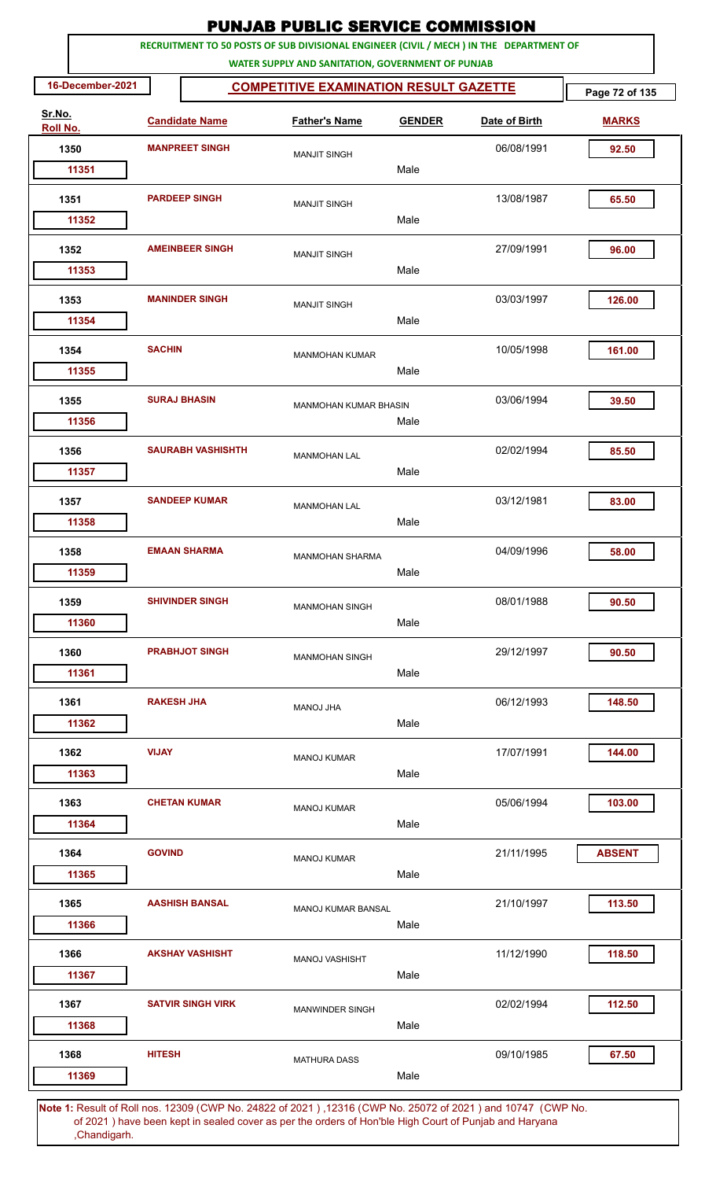|                    |                  |                   |                          | <b>PUNJAB PUBLIC SERVICE COMMISSION</b>                                                                                                      |               |               |                |
|--------------------|------------------|-------------------|--------------------------|----------------------------------------------------------------------------------------------------------------------------------------------|---------------|---------------|----------------|
|                    |                  |                   |                          | RECRUITMENT TO 50 POSTS OF SUB DIVISIONAL ENGINEER (CIVIL / MECH ) IN THE DEPARTMENT OF<br>WATER SUPPLY AND SANITATION, GOVERNMENT OF PUNJAB |               |               |                |
|                    | 16-December-2021 |                   |                          | <b>COMPETITIVE EXAMINATION RESULT GAZETTE</b>                                                                                                |               |               | Page 72 of 135 |
| Sr.No.<br>Roll No. |                  |                   | <b>Candidate Name</b>    | <b>Father's Name</b>                                                                                                                         | <b>GENDER</b> | Date of Birth | <b>MARKS</b>   |
|                    | 1350             |                   | <b>MANPREET SINGH</b>    | <b>MANJIT SINGH</b>                                                                                                                          |               | 06/08/1991    | 92.50          |
|                    | 11351            |                   |                          |                                                                                                                                              | Male          |               |                |
|                    | 1351             |                   | <b>PARDEEP SINGH</b>     | <b>MANJIT SINGH</b>                                                                                                                          |               | 13/08/1987    | 65.50          |
|                    | 11352            |                   |                          |                                                                                                                                              | Male          |               |                |
|                    | 1352<br>11353    |                   | <b>AMEINBEER SINGH</b>   | <b>MANJIT SINGH</b>                                                                                                                          | Male          | 27/09/1991    | 96.00          |
|                    |                  |                   |                          |                                                                                                                                              |               |               |                |
|                    | 1353             |                   | <b>MANINDER SINGH</b>    | <b>MANJIT SINGH</b>                                                                                                                          |               | 03/03/1997    | 126.00         |
|                    | 11354            |                   |                          |                                                                                                                                              | Male          |               |                |
|                    | 1354<br>11355    | <b>SACHIN</b>     |                          | <b>MANMOHAN KUMAR</b>                                                                                                                        | Male          | 10/05/1998    | 161.00         |
|                    | 1355             |                   | <b>SURAJ BHASIN</b>      |                                                                                                                                              |               | 03/06/1994    | 39.50          |
|                    | 11356            |                   |                          | <b>MANMOHAN KUMAR BHASIN</b>                                                                                                                 | Male          |               |                |
|                    | 1356             |                   | <b>SAURABH VASHISHTH</b> | <b>MANMOHAN LAL</b>                                                                                                                          |               | 02/02/1994    | 85.50          |
|                    | 11357            |                   |                          |                                                                                                                                              | Male          |               |                |
|                    | 1357             |                   | <b>SANDEEP KUMAR</b>     | <b>MANMOHAN LAL</b>                                                                                                                          |               | 03/12/1981    | 83.00          |
|                    | 11358            |                   |                          |                                                                                                                                              | Male          |               |                |
|                    | 1358             |                   | <b>EMAAN SHARMA</b>      | <b>MANMOHAN SHARMA</b>                                                                                                                       |               | 04/09/1996    | 58.00          |
|                    | 11359            |                   |                          |                                                                                                                                              | Male          |               |                |
|                    | 1359             |                   | <b>SHIVINDER SINGH</b>   | <b>MANMOHAN SINGH</b>                                                                                                                        |               | 08/01/1988    | 90.50          |
|                    | 11360            |                   |                          |                                                                                                                                              | Male          |               |                |
|                    | 1360             |                   | <b>PRABHJOT SINGH</b>    | <b>MANMOHAN SINGH</b>                                                                                                                        |               | 29/12/1997    | 90.50          |
|                    | 11361            |                   |                          |                                                                                                                                              | Male          |               |                |
|                    | 1361             | <b>RAKESH JHA</b> |                          | MANOJ JHA                                                                                                                                    |               | 06/12/1993    | 148.50         |
|                    | 11362            |                   |                          |                                                                                                                                              | Male          |               |                |
|                    | 1362             | <b>VIJAY</b>      |                          | <b>MANOJ KUMAR</b>                                                                                                                           |               | 17/07/1991    | 144.00         |
|                    | 11363            |                   |                          |                                                                                                                                              | Male          |               |                |
|                    | 1363             |                   | <b>CHETAN KUMAR</b>      | <b>MANOJ KUMAR</b>                                                                                                                           |               | 05/06/1994    | 103.00         |
|                    | 11364            |                   |                          |                                                                                                                                              | Male          |               |                |
|                    | 1364             | <b>GOVIND</b>     |                          | <b>MANOJ KUMAR</b>                                                                                                                           |               | 21/11/1995    | <b>ABSENT</b>  |
|                    | 11365            |                   |                          |                                                                                                                                              | Male          |               |                |
|                    | 1365             |                   | <b>AASHISH BANSAL</b>    | <b>MANOJ KUMAR BANSAL</b>                                                                                                                    |               | 21/10/1997    | 113.50         |
|                    | 11366            |                   |                          |                                                                                                                                              | Male          |               |                |
|                    | 1366             |                   | <b>AKSHAY VASHISHT</b>   | MANOJ VASHISHT                                                                                                                               |               | 11/12/1990    | 118.50         |
|                    | 11367            |                   |                          |                                                                                                                                              | Male          |               |                |
|                    | 1367             |                   | <b>SATVIR SINGH VIRK</b> | <b>MANWINDER SINGH</b>                                                                                                                       |               | 02/02/1994    | 112.50         |
|                    | 11368            |                   |                          |                                                                                                                                              | Male          |               |                |
|                    | 1368             | <b>HITESH</b>     |                          | <b>MATHURA DASS</b>                                                                                                                          |               | 09/10/1985    | 67.50          |
|                    | 11369            |                   |                          |                                                                                                                                              | Male          |               |                |
|                    |                  |                   |                          |                                                                                                                                              |               |               |                |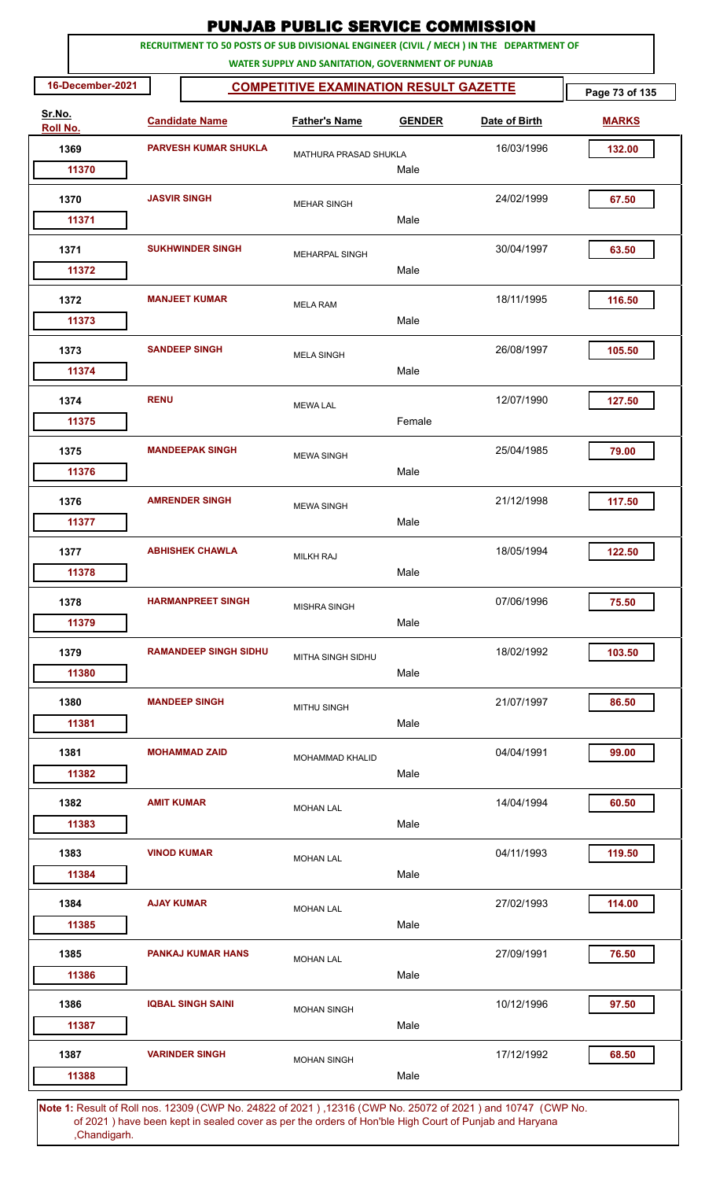|                    |                   |                              | <b>PUNJAB PUBLIC SERVICE COMMISSION</b>                                                                                                      |               |               |                |
|--------------------|-------------------|------------------------------|----------------------------------------------------------------------------------------------------------------------------------------------|---------------|---------------|----------------|
|                    |                   |                              | RECRUITMENT TO 50 POSTS OF SUB DIVISIONAL ENGINEER (CIVIL / MECH ) IN THE DEPARTMENT OF<br>WATER SUPPLY AND SANITATION, GOVERNMENT OF PUNJAB |               |               |                |
| 16-December-2021   |                   |                              | <b>COMPETITIVE EXAMINATION RESULT GAZETTE</b>                                                                                                |               |               | Page 73 of 135 |
| Sr.No.<br>Roll No. |                   | <b>Candidate Name</b>        | <b>Father's Name</b>                                                                                                                         | <b>GENDER</b> | Date of Birth | <b>MARKS</b>   |
| 1369               |                   | <b>PARVESH KUMAR SHUKLA</b>  | MATHURA PRASAD SHUKLA                                                                                                                        |               | 16/03/1996    | 132.00         |
| 11370              |                   |                              |                                                                                                                                              | Male          |               |                |
| 1370               |                   | <b>JASVIR SINGH</b>          | <b>MEHAR SINGH</b>                                                                                                                           |               | 24/02/1999    | 67.50          |
| 11371              |                   |                              |                                                                                                                                              | Male          |               |                |
| 1371<br>11372      |                   | <b>SUKHWINDER SINGH</b>      | MEHARPAL SINGH                                                                                                                               | Male          | 30/04/1997    | 63.50          |
|                    |                   |                              |                                                                                                                                              |               |               |                |
| 1372<br>11373      |                   | <b>MANJEET KUMAR</b>         | <b>MELA RAM</b>                                                                                                                              | Male          | 18/11/1995    | 116.50         |
|                    |                   | <b>SANDEEP SINGH</b>         |                                                                                                                                              |               |               |                |
| 1373<br>11374      |                   |                              | <b>MELA SINGH</b>                                                                                                                            | Male          | 26/08/1997    | 105.50         |
| 1374               | <b>RENU</b>       |                              | <b>MEWA LAL</b>                                                                                                                              |               | 12/07/1990    | 127.50         |
| 11375              |                   |                              |                                                                                                                                              | Female        |               |                |
| 1375               |                   | <b>MANDEEPAK SINGH</b>       | <b>MEWA SINGH</b>                                                                                                                            |               | 25/04/1985    | 79.00          |
| 11376              |                   |                              |                                                                                                                                              | Male          |               |                |
| 1376               |                   | <b>AMRENDER SINGH</b>        | <b>MEWA SINGH</b>                                                                                                                            |               | 21/12/1998    | 117.50         |
| 11377              |                   |                              |                                                                                                                                              | Male          |               |                |
| 1377               |                   | <b>ABHISHEK CHAWLA</b>       | <b>MILKH RAJ</b>                                                                                                                             |               | 18/05/1994    | 122.50         |
| 11378              |                   |                              |                                                                                                                                              | Male          |               |                |
| 1378               |                   | <b>HARMANPREET SINGH</b>     | <b>MISHRA SINGH</b>                                                                                                                          |               | 07/06/1996    | 75.50          |
| 11379              |                   |                              |                                                                                                                                              | Male          |               |                |
| 1379               |                   | <b>RAMANDEEP SINGH SIDHU</b> | MITHA SINGH SIDHU                                                                                                                            |               | 18/02/1992    | 103.50         |
| 11380              |                   |                              |                                                                                                                                              | Male          |               |                |
| 1380               |                   | <b>MANDEEP SINGH</b>         | <b>MITHU SINGH</b>                                                                                                                           |               | 21/07/1997    | 86.50          |
| 11381              |                   |                              |                                                                                                                                              | Male          |               |                |
| 1381<br>11382      |                   | <b>MOHAMMAD ZAID</b>         | MOHAMMAD KHALID                                                                                                                              | Male          | 04/04/1991    | 99.00          |
| 1382               | <b>AMIT KUMAR</b> |                              |                                                                                                                                              |               | 14/04/1994    | 60.50          |
| 11383              |                   |                              | <b>MOHAN LAL</b>                                                                                                                             | Male          |               |                |
| 1383               |                   | <b>VINOD KUMAR</b>           | <b>MOHAN LAL</b>                                                                                                                             |               | 04/11/1993    | 119.50         |
| 11384              |                   |                              |                                                                                                                                              | Male          |               |                |
| 1384               | <b>AJAY KUMAR</b> |                              | <b>MOHAN LAL</b>                                                                                                                             |               | 27/02/1993    | 114.00         |
| 11385              |                   |                              |                                                                                                                                              | Male          |               |                |
| 1385               |                   | <b>PANKAJ KUMAR HANS</b>     | <b>MOHAN LAL</b>                                                                                                                             |               | 27/09/1991    | 76.50          |
| 11386              |                   |                              |                                                                                                                                              | Male          |               |                |
| 1386               |                   | <b>IQBAL SINGH SAINI</b>     | <b>MOHAN SINGH</b>                                                                                                                           |               | 10/12/1996    | 97.50          |
| 11387              |                   |                              |                                                                                                                                              | Male          |               |                |
| 1387               |                   | <b>VARINDER SINGH</b>        | <b>MOHAN SINGH</b>                                                                                                                           |               | 17/12/1992    | 68.50          |
| 11388              |                   |                              |                                                                                                                                              | Male          |               |                |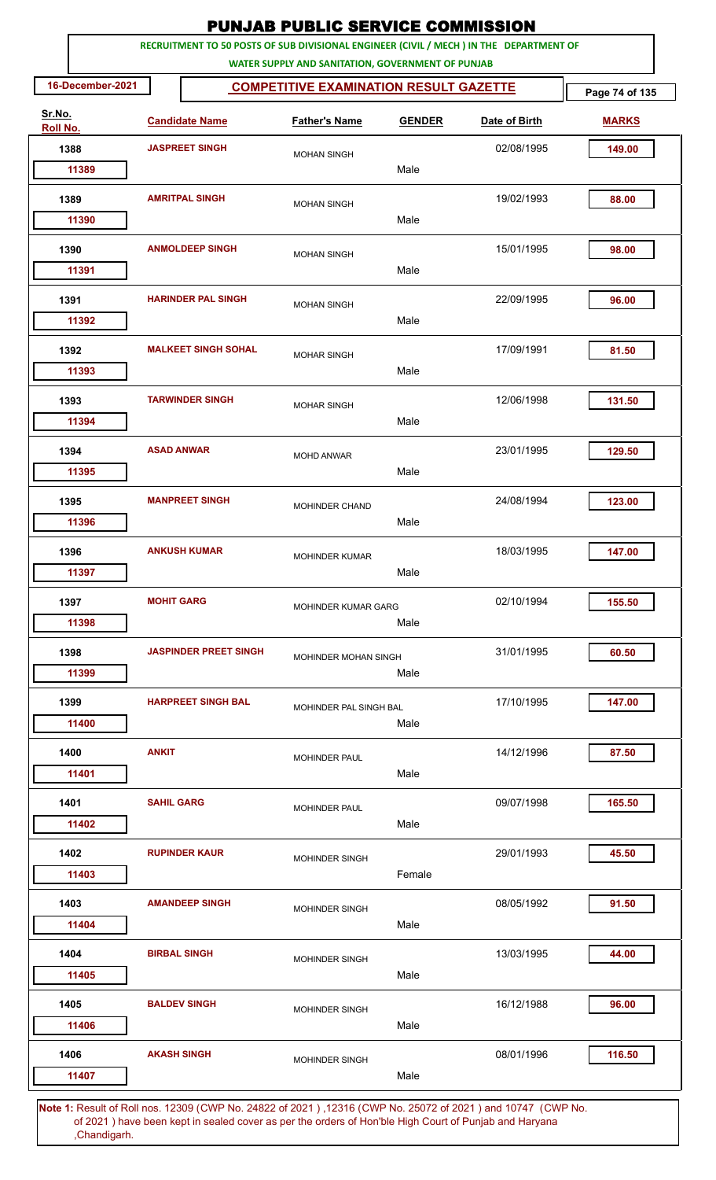|                    |                   |                              | <b>PUNJAB PUBLIC SERVICE COMMISSION</b>           |               |                                                                                         |                |
|--------------------|-------------------|------------------------------|---------------------------------------------------|---------------|-----------------------------------------------------------------------------------------|----------------|
|                    |                   |                              | WATER SUPPLY AND SANITATION, GOVERNMENT OF PUNJAB |               | RECRUITMENT TO 50 POSTS OF SUB DIVISIONAL ENGINEER (CIVIL / MECH ) IN THE DEPARTMENT OF |                |
| 16-December-2021   |                   |                              | <b>COMPETITIVE EXAMINATION RESULT GAZETTE</b>     |               |                                                                                         | Page 74 of 135 |
| Sr.No.<br>Roll No. |                   | <b>Candidate Name</b>        | <b>Father's Name</b>                              | <b>GENDER</b> | Date of Birth                                                                           | <b>MARKS</b>   |
| 1388               |                   | <b>JASPREET SINGH</b>        | <b>MOHAN SINGH</b>                                |               | 02/08/1995                                                                              | 149.00         |
| 11389              |                   |                              |                                                   | Male          |                                                                                         |                |
| 1389<br>11390      |                   | <b>AMRITPAL SINGH</b>        | <b>MOHAN SINGH</b>                                | Male          | 19/02/1993                                                                              | 88.00          |
| 1390               |                   | <b>ANMOLDEEP SINGH</b>       | <b>MOHAN SINGH</b>                                |               | 15/01/1995                                                                              | 98.00          |
| 11391              |                   |                              |                                                   | Male          |                                                                                         |                |
| 1391<br>11392      |                   | <b>HARINDER PAL SINGH</b>    | <b>MOHAN SINGH</b>                                | Male          | 22/09/1995                                                                              | 96.00          |
| 1392<br>11393      |                   | <b>MALKEET SINGH SOHAL</b>   | <b>MOHAR SINGH</b>                                | Male          | 17/09/1991                                                                              | 81.50          |
| 1393<br>11394      |                   | <b>TARWINDER SINGH</b>       | <b>MOHAR SINGH</b>                                | Male          | 12/06/1998                                                                              | 131.50         |
| 1394<br>11395      | <b>ASAD ANWAR</b> |                              | <b>MOHD ANWAR</b>                                 | Male          | 23/01/1995                                                                              | 129.50         |
| 1395<br>11396      |                   | <b>MANPREET SINGH</b>        | <b>MOHINDER CHAND</b>                             | Male          | 24/08/1994                                                                              | 123.00         |
| 1396<br>11397      |                   | <b>ANKUSH KUMAR</b>          | <b>MOHINDER KUMAR</b>                             | Male          | 18/03/1995                                                                              | 147.00         |
| 1397<br>11398      | <b>MOHIT GARG</b> |                              | MOHINDER KUMAR GARG                               | Male          | 02/10/1994                                                                              | 155.50         |
| 1398<br>11399      |                   | <b>JASPINDER PREET SINGH</b> | MOHINDER MOHAN SINGH                              | Male          | 31/01/1995                                                                              | 60.50          |
| 1399<br>11400      |                   | <b>HARPREET SINGH BAL</b>    | MOHINDER PAL SINGH BAL                            | Male          | 17/10/1995                                                                              | 147.00         |
| 1400<br>11401      | <b>ANKIT</b>      |                              | <b>MOHINDER PAUL</b>                              | Male          | 14/12/1996                                                                              | 87.50          |
| 1401<br>11402      | <b>SAHIL GARG</b> |                              | <b>MOHINDER PAUL</b>                              | Male          | 09/07/1998                                                                              | 165.50         |
| 1402<br>11403      |                   | <b>RUPINDER KAUR</b>         | MOHINDER SINGH                                    | Female        | 29/01/1993                                                                              | 45.50          |
| 1403<br>11404      |                   | <b>AMANDEEP SINGH</b>        | MOHINDER SINGH                                    | Male          | 08/05/1992                                                                              | 91.50          |
| 1404<br>11405      |                   | <b>BIRBAL SINGH</b>          | <b>MOHINDER SINGH</b>                             | Male          | 13/03/1995                                                                              | 44.00          |
| 1405<br>11406      |                   | <b>BALDEV SINGH</b>          | <b>MOHINDER SINGH</b>                             | Male          | 16/12/1988                                                                              | 96.00          |
| 1406               |                   | <b>AKASH SINGH</b>           | <b>MOHINDER SINGH</b>                             |               | 08/01/1996                                                                              | 116.50         |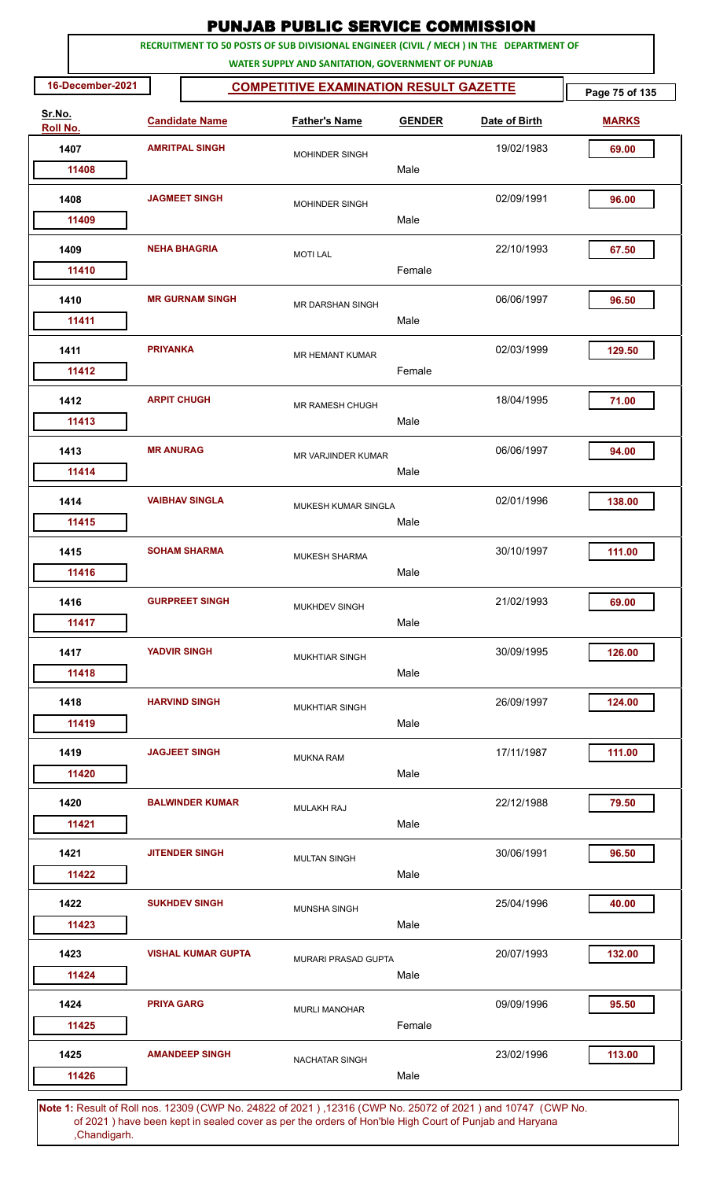|                    | <b>PUNJAB PUBLIC SERVICE COMMISSION</b><br>RECRUITMENT TO 50 POSTS OF SUB DIVISIONAL ENGINEER (CIVIL / MECH ) IN THE DEPARTMENT OF |                     |                           |  |                                                   |               |                                                                                                      |                |  |  |
|--------------------|------------------------------------------------------------------------------------------------------------------------------------|---------------------|---------------------------|--|---------------------------------------------------|---------------|------------------------------------------------------------------------------------------------------|----------------|--|--|
|                    |                                                                                                                                    |                     |                           |  | WATER SUPPLY AND SANITATION, GOVERNMENT OF PUNJAB |               |                                                                                                      |                |  |  |
|                    | 16-December-2021                                                                                                                   |                     |                           |  | <b>COMPETITIVE EXAMINATION RESULT GAZETTE</b>     |               |                                                                                                      | Page 75 of 135 |  |  |
| Sr.No.<br>Roll No. |                                                                                                                                    |                     | <b>Candidate Name</b>     |  | <b>Father's Name</b>                              | <b>GENDER</b> | Date of Birth                                                                                        | <b>MARKS</b>   |  |  |
| 1407               |                                                                                                                                    |                     | <b>AMRITPAL SINGH</b>     |  | MOHINDER SINGH                                    |               | 19/02/1983                                                                                           | 69.00          |  |  |
|                    | 11408                                                                                                                              |                     |                           |  |                                                   | Male          |                                                                                                      |                |  |  |
| 1408               | 11409                                                                                                                              |                     | <b>JAGMEET SINGH</b>      |  | MOHINDER SINGH                                    | Male          | 02/09/1991                                                                                           | 96.00          |  |  |
|                    |                                                                                                                                    |                     |                           |  |                                                   |               |                                                                                                      |                |  |  |
| 1409               | 11410                                                                                                                              |                     | <b>NEHA BHAGRIA</b>       |  | <b>MOTI LAL</b>                                   | Female        | 22/10/1993                                                                                           | 67.50          |  |  |
| 1410               |                                                                                                                                    |                     | <b>MR GURNAM SINGH</b>    |  | <b>MR DARSHAN SINGH</b>                           |               | 06/06/1997                                                                                           | 96.50          |  |  |
|                    | 11411                                                                                                                              |                     |                           |  |                                                   | Male          |                                                                                                      |                |  |  |
| 1411               | 11412                                                                                                                              | <b>PRIYANKA</b>     |                           |  | <b>MR HEMANT KUMAR</b>                            | Female        | 02/03/1999                                                                                           | 129.50         |  |  |
| 1412               |                                                                                                                                    | <b>ARPIT CHUGH</b>  |                           |  | MR RAMESH CHUGH                                   |               | 18/04/1995                                                                                           | 71.00          |  |  |
| 1413               | 11413                                                                                                                              | <b>MR ANURAG</b>    |                           |  |                                                   | Male          | 06/06/1997                                                                                           | 94.00          |  |  |
|                    | 11414                                                                                                                              |                     |                           |  | MR VARJINDER KUMAR                                | Male          |                                                                                                      |                |  |  |
| 1414               |                                                                                                                                    |                     | <b>VAIBHAV SINGLA</b>     |  | MUKESH KUMAR SINGLA                               |               | 02/01/1996                                                                                           | 138.00         |  |  |
|                    | 11415                                                                                                                              |                     |                           |  |                                                   | Male          |                                                                                                      |                |  |  |
| 1415               | 11416                                                                                                                              |                     | <b>SOHAM SHARMA</b>       |  | <b>MUKESH SHARMA</b>                              | Male          | 30/10/1997                                                                                           | 111.00         |  |  |
| 1416               | 11417                                                                                                                              |                     | <b>GURPREET SINGH</b>     |  | <b>MUKHDEV SINGH</b>                              | Male          | 21/02/1993                                                                                           | 69.00          |  |  |
| 1417               |                                                                                                                                    | <b>YADVIR SINGH</b> |                           |  | <b>MUKHTIAR SINGH</b>                             |               | 30/09/1995                                                                                           | 126.00         |  |  |
|                    | 11418                                                                                                                              |                     |                           |  |                                                   | Male          |                                                                                                      |                |  |  |
| 1418               | 11419                                                                                                                              |                     | <b>HARVIND SINGH</b>      |  | <b>MUKHTIAR SINGH</b>                             | Male          | 26/09/1997                                                                                           | 124.00         |  |  |
| 1419               | 11420                                                                                                                              |                     | <b>JAGJEET SINGH</b>      |  | <b>MUKNA RAM</b>                                  | Male          | 17/11/1987                                                                                           | 111.00         |  |  |
| 1420               |                                                                                                                                    |                     | <b>BALWINDER KUMAR</b>    |  | <b>MULAKH RAJ</b>                                 |               | 22/12/1988                                                                                           | 79.50          |  |  |
| 1421               | 11421                                                                                                                              |                     | <b>JITENDER SINGH</b>     |  | <b>MULTAN SINGH</b>                               | Male          | 30/06/1991                                                                                           | 96.50          |  |  |
|                    | 11422                                                                                                                              |                     |                           |  |                                                   | Male          |                                                                                                      |                |  |  |
| 1422               | 11423                                                                                                                              |                     | <b>SUKHDEV SINGH</b>      |  | <b>MUNSHA SINGH</b>                               | Male          | 25/04/1996                                                                                           | 40.00          |  |  |
| 1423               | 11424                                                                                                                              |                     | <b>VISHAL KUMAR GUPTA</b> |  | MURARI PRASAD GUPTA                               | Male          | 20/07/1993                                                                                           | 132.00         |  |  |
| 1424               |                                                                                                                                    | <b>PRIYA GARG</b>   |                           |  | <b>MURLI MANOHAR</b>                              |               | 09/09/1996                                                                                           | 95.50          |  |  |
| 1425               | 11425                                                                                                                              |                     | <b>AMANDEEP SINGH</b>     |  | <b>NACHATAR SINGH</b>                             | Female        | 23/02/1996                                                                                           | 113.00         |  |  |
|                    | 11426                                                                                                                              |                     |                           |  |                                                   | Male          |                                                                                                      |                |  |  |
|                    |                                                                                                                                    |                     |                           |  |                                                   |               | 4. Result of Religion 19200 (CMD No. 24822 of 2021), 19216 (CMD No. 25072 of 2021) and 10747 (CMD No |                |  |  |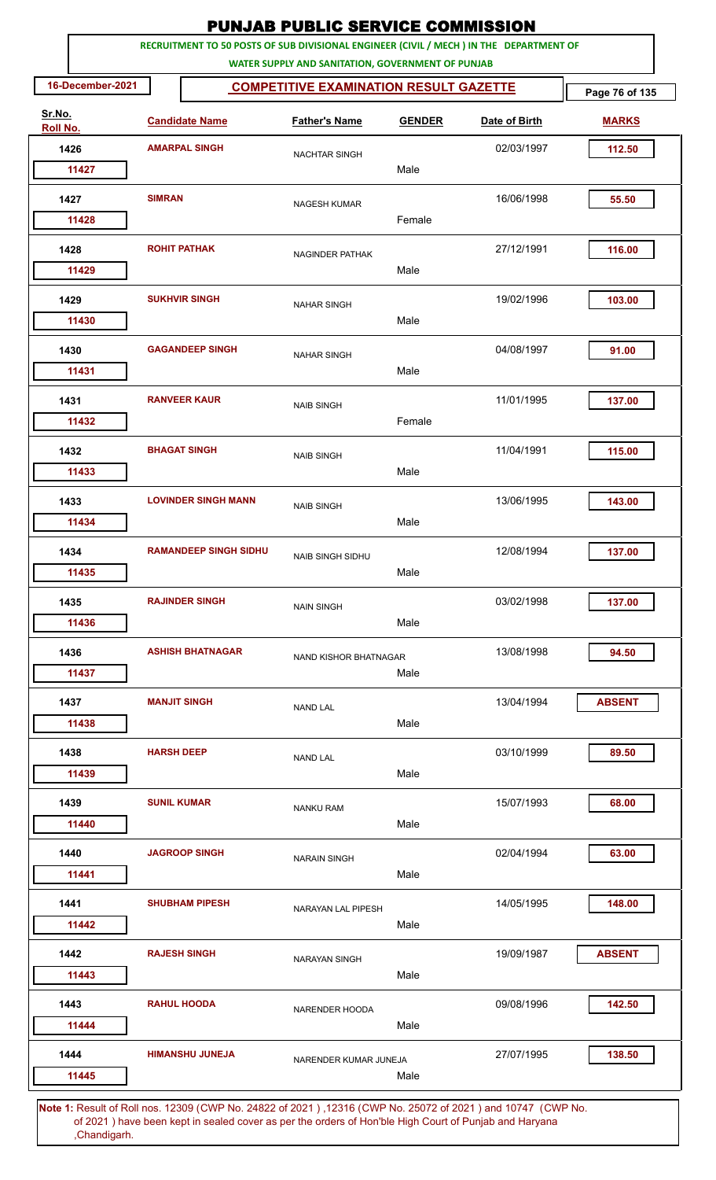| <b>PUNJAB PUBLIC SERVICE COMMISSION</b><br>RECRUITMENT TO 50 POSTS OF SUB DIVISIONAL ENGINEER (CIVIL / MECH ) IN THE DEPARTMENT OF |                    |                              |                                                   |               |               |                |  |  |  |
|------------------------------------------------------------------------------------------------------------------------------------|--------------------|------------------------------|---------------------------------------------------|---------------|---------------|----------------|--|--|--|
|                                                                                                                                    |                    |                              | WATER SUPPLY AND SANITATION, GOVERNMENT OF PUNJAB |               |               |                |  |  |  |
| 16-December-2021                                                                                                                   |                    |                              | <b>COMPETITIVE EXAMINATION RESULT GAZETTE</b>     |               |               | Page 76 of 135 |  |  |  |
| Sr.No.<br>Roll No.                                                                                                                 |                    | <b>Candidate Name</b>        | <b>Father's Name</b>                              | <b>GENDER</b> | Date of Birth | <b>MARKS</b>   |  |  |  |
| 1426                                                                                                                               |                    | <b>AMARPAL SINGH</b>         | <b>NACHTAR SINGH</b>                              |               | 02/03/1997    | 112.50         |  |  |  |
| 11427                                                                                                                              |                    |                              |                                                   | Male          |               |                |  |  |  |
| 1427                                                                                                                               | <b>SIMRAN</b>      |                              | <b>NAGESH KUMAR</b>                               | Female        | 16/06/1998    | 55.50          |  |  |  |
| 11428                                                                                                                              |                    |                              |                                                   |               |               |                |  |  |  |
| 1428<br>11429                                                                                                                      |                    | <b>ROHIT PATHAK</b>          | NAGINDER PATHAK                                   | Male          | 27/12/1991    | 116.00         |  |  |  |
| 1429                                                                                                                               |                    | <b>SUKHVIR SINGH</b>         | <b>NAHAR SINGH</b>                                |               | 19/02/1996    | 103.00         |  |  |  |
| 11430                                                                                                                              |                    |                              |                                                   | Male          |               |                |  |  |  |
| 1430<br>11431                                                                                                                      |                    | <b>GAGANDEEP SINGH</b>       | <b>NAHAR SINGH</b>                                | Male          | 04/08/1997    | 91.00          |  |  |  |
|                                                                                                                                    |                    |                              |                                                   |               |               |                |  |  |  |
| 1431<br>11432                                                                                                                      |                    | <b>RANVEER KAUR</b>          | <b>NAIB SINGH</b>                                 | Female        | 11/01/1995    | 137.00         |  |  |  |
| 1432                                                                                                                               |                    | <b>BHAGAT SINGH</b>          | <b>NAIB SINGH</b>                                 |               | 11/04/1991    | 115.00         |  |  |  |
| 11433                                                                                                                              |                    |                              |                                                   | Male          |               |                |  |  |  |
| 1433                                                                                                                               |                    | <b>LOVINDER SINGH MANN</b>   | <b>NAIB SINGH</b>                                 |               | 13/06/1995    | 143.00         |  |  |  |
| 11434                                                                                                                              |                    |                              |                                                   | Male          |               |                |  |  |  |
| 1434<br>11435                                                                                                                      |                    | <b>RAMANDEEP SINGH SIDHU</b> | <b>NAIB SINGH SIDHU</b>                           | Male          | 12/08/1994    | 137.00         |  |  |  |
| 1435                                                                                                                               |                    | <b>RAJINDER SINGH</b>        | <b>NAIN SINGH</b>                                 |               | 03/02/1998    | 137.00         |  |  |  |
| 11436                                                                                                                              |                    |                              |                                                   | Male          |               |                |  |  |  |
| 1436                                                                                                                               |                    | <b>ASHISH BHATNAGAR</b>      | NAND KISHOR BHATNAGAR                             |               | 13/08/1998    | 94.50          |  |  |  |
| 11437                                                                                                                              |                    |                              |                                                   | Male          |               |                |  |  |  |
| 1437                                                                                                                               |                    | <b>MANJIT SINGH</b>          | <b>NAND LAL</b>                                   |               | 13/04/1994    | <b>ABSENT</b>  |  |  |  |
| 11438                                                                                                                              |                    |                              |                                                   | Male          |               |                |  |  |  |
| 1438<br>11439                                                                                                                      | <b>HARSH DEEP</b>  |                              | <b>NAND LAL</b>                                   | Male          | 03/10/1999    | 89.50          |  |  |  |
| 1439                                                                                                                               | <b>SUNIL KUMAR</b> |                              | <b>NANKU RAM</b>                                  |               | 15/07/1993    | 68.00          |  |  |  |
| 11440                                                                                                                              |                    |                              |                                                   | Male          |               |                |  |  |  |
| 1440                                                                                                                               |                    | <b>JAGROOP SINGH</b>         | <b>NARAIN SINGH</b>                               |               | 02/04/1994    | 63.00          |  |  |  |
| 11441                                                                                                                              |                    |                              |                                                   | Male          |               |                |  |  |  |
| 1441                                                                                                                               |                    | <b>SHUBHAM PIPESH</b>        | NARAYAN LAL PIPESH                                |               | 14/05/1995    | 148.00         |  |  |  |
| 11442                                                                                                                              |                    |                              |                                                   | Male          |               |                |  |  |  |
| 1442<br>11443                                                                                                                      |                    | <b>RAJESH SINGH</b>          | <b>NARAYAN SINGH</b>                              | Male          | 19/09/1987    | <b>ABSENT</b>  |  |  |  |
| 1443                                                                                                                               |                    | <b>RAHUL HOODA</b>           | NARENDER HOODA                                    |               | 09/08/1996    | 142.50         |  |  |  |
| 11444                                                                                                                              |                    |                              |                                                   | Male          |               |                |  |  |  |
| 1444                                                                                                                               |                    | <b>HIMANSHU JUNEJA</b>       | NARENDER KUMAR JUNEJA                             |               | 27/07/1995    | 138.50         |  |  |  |
| 11445                                                                                                                              |                    |                              |                                                   | Male          |               |                |  |  |  |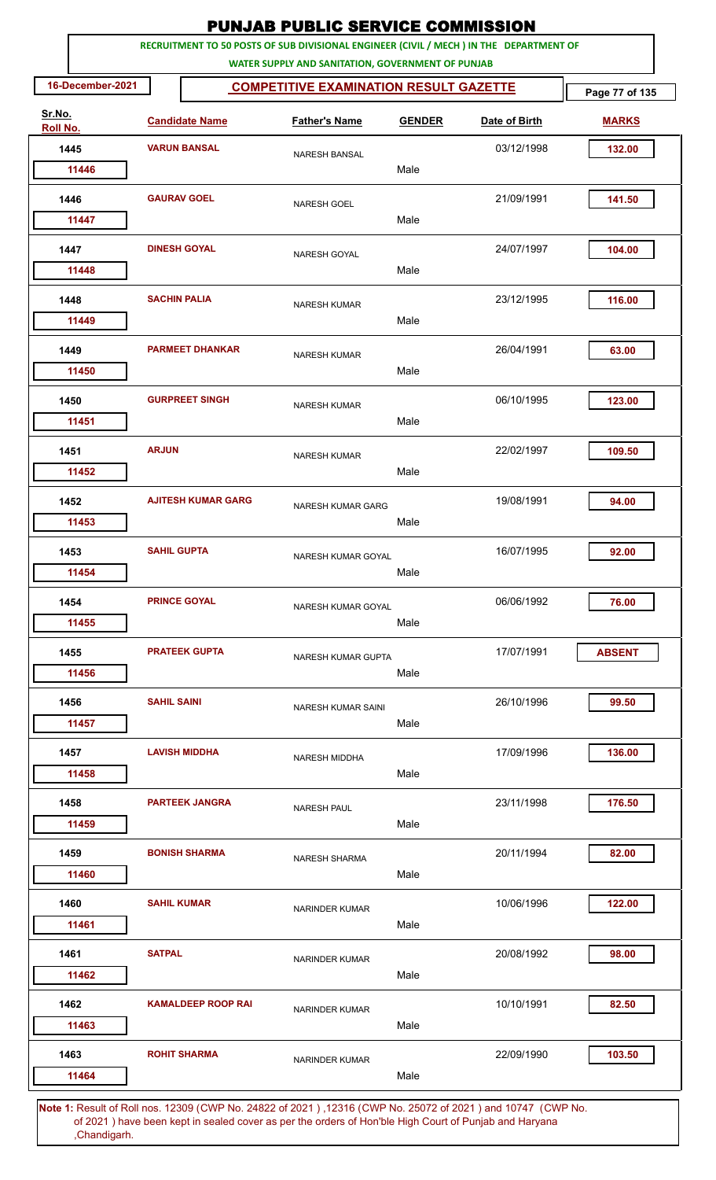| <b>PUNJAB PUBLIC SERVICE COMMISSION</b> |                     |                           |                                                                                                                                              |               |               |                |  |  |  |
|-----------------------------------------|---------------------|---------------------------|----------------------------------------------------------------------------------------------------------------------------------------------|---------------|---------------|----------------|--|--|--|
|                                         |                     |                           | RECRUITMENT TO 50 POSTS OF SUB DIVISIONAL ENGINEER (CIVIL / MECH ) IN THE DEPARTMENT OF<br>WATER SUPPLY AND SANITATION, GOVERNMENT OF PUNJAB |               |               |                |  |  |  |
| 16-December-2021                        |                     |                           | <b>COMPETITIVE EXAMINATION RESULT GAZETTE</b>                                                                                                |               |               | Page 77 of 135 |  |  |  |
| Sr.No.<br>Roll No.                      |                     | <b>Candidate Name</b>     | <b>Father's Name</b>                                                                                                                         | <b>GENDER</b> | Date of Birth | <b>MARKS</b>   |  |  |  |
| 1445                                    |                     | <b>VARUN BANSAL</b>       | <b>NARESH BANSAL</b>                                                                                                                         |               | 03/12/1998    | 132.00         |  |  |  |
| 11446                                   |                     |                           |                                                                                                                                              | Male          |               |                |  |  |  |
| 1446                                    |                     | <b>GAURAV GOEL</b>        | <b>NARESH GOEL</b>                                                                                                                           |               | 21/09/1991    | 141.50         |  |  |  |
| 11447                                   |                     |                           |                                                                                                                                              | Male          |               |                |  |  |  |
| 1447<br>11448                           |                     | <b>DINESH GOYAL</b>       | NARESH GOYAL                                                                                                                                 | Male          | 24/07/1997    | 104.00         |  |  |  |
|                                         | <b>SACHIN PALIA</b> |                           |                                                                                                                                              |               |               |                |  |  |  |
| 1448<br>11449                           |                     |                           | <b>NARESH KUMAR</b>                                                                                                                          | Male          | 23/12/1995    | 116.00         |  |  |  |
| 1449<br>11450                           |                     | <b>PARMEET DHANKAR</b>    | <b>NARESH KUMAR</b>                                                                                                                          | Male          | 26/04/1991    | 63.00          |  |  |  |
| 1450<br>11451                           |                     | <b>GURPREET SINGH</b>     | <b>NARESH KUMAR</b>                                                                                                                          | Male          | 06/10/1995    | 123.00         |  |  |  |
| 1451                                    | <b>ARJUN</b>        |                           | <b>NARESH KUMAR</b>                                                                                                                          |               | 22/02/1997    | 109.50         |  |  |  |
| 11452                                   |                     |                           |                                                                                                                                              | Male          |               |                |  |  |  |
| 1452<br>11453                           |                     | <b>AJITESH KUMAR GARG</b> | <b>NARESH KUMAR GARG</b>                                                                                                                     | Male          | 19/08/1991    | 94.00          |  |  |  |
| 1453                                    | <b>SAHIL GUPTA</b>  |                           |                                                                                                                                              |               | 16/07/1995    | 92.00          |  |  |  |
| 11454                                   |                     |                           | NARESH KUMAR GOYAL                                                                                                                           | Male          |               |                |  |  |  |
| 1454<br>11455                           |                     | <b>PRINCE GOYAL</b>       | NARESH KUMAR GOYAL                                                                                                                           | Male          | 06/06/1992    | 76.00          |  |  |  |
|                                         |                     |                           |                                                                                                                                              |               |               |                |  |  |  |
| 1455<br>11456                           |                     | <b>PRATEEK GUPTA</b>      | NARESH KUMAR GUPTA                                                                                                                           | Male          | 17/07/1991    | <b>ABSENT</b>  |  |  |  |
| 1456<br>11457                           | <b>SAHIL SAINI</b>  |                           | NARESH KUMAR SAINI                                                                                                                           | Male          | 26/10/1996    | 99.50          |  |  |  |
| 1457<br>11458                           |                     | <b>LAVISH MIDDHA</b>      | <b>NARESH MIDDHA</b>                                                                                                                         | Male          | 17/09/1996    | 136.00         |  |  |  |
| 1458<br>11459                           |                     | <b>PARTEEK JANGRA</b>     | <b>NARESH PAUL</b>                                                                                                                           | Male          | 23/11/1998    | 176.50         |  |  |  |
| 1459<br>11460                           |                     | <b>BONISH SHARMA</b>      | NARESH SHARMA                                                                                                                                | Male          | 20/11/1994    | 82.00          |  |  |  |
| 1460                                    | <b>SAHIL KUMAR</b>  |                           | <b>NARINDER KUMAR</b>                                                                                                                        |               | 10/06/1996    | 122.00         |  |  |  |
| 11461<br>1461                           | <b>SATPAL</b>       |                           | <b>NARINDER KUMAR</b>                                                                                                                        | Male          | 20/08/1992    | 98.00          |  |  |  |
| 11462<br>1462                           |                     | <b>KAMALDEEP ROOP RAI</b> | NARINDER KUMAR                                                                                                                               | Male          | 10/10/1991    | 82.50          |  |  |  |
| 11463                                   |                     |                           |                                                                                                                                              | Male          |               |                |  |  |  |
| 1463<br>11464                           |                     | <b>ROHIT SHARMA</b>       | <b>NARINDER KUMAR</b>                                                                                                                        | Male          | 22/09/1990    | 103.50         |  |  |  |
|                                         |                     |                           | Note 1: Pesult of Pollings, 12309 (CWP No. 24822 of 2021), 12316 (CWP No. 25072 of 2021) and 10747. (CWP No.                                 |               |               |                |  |  |  |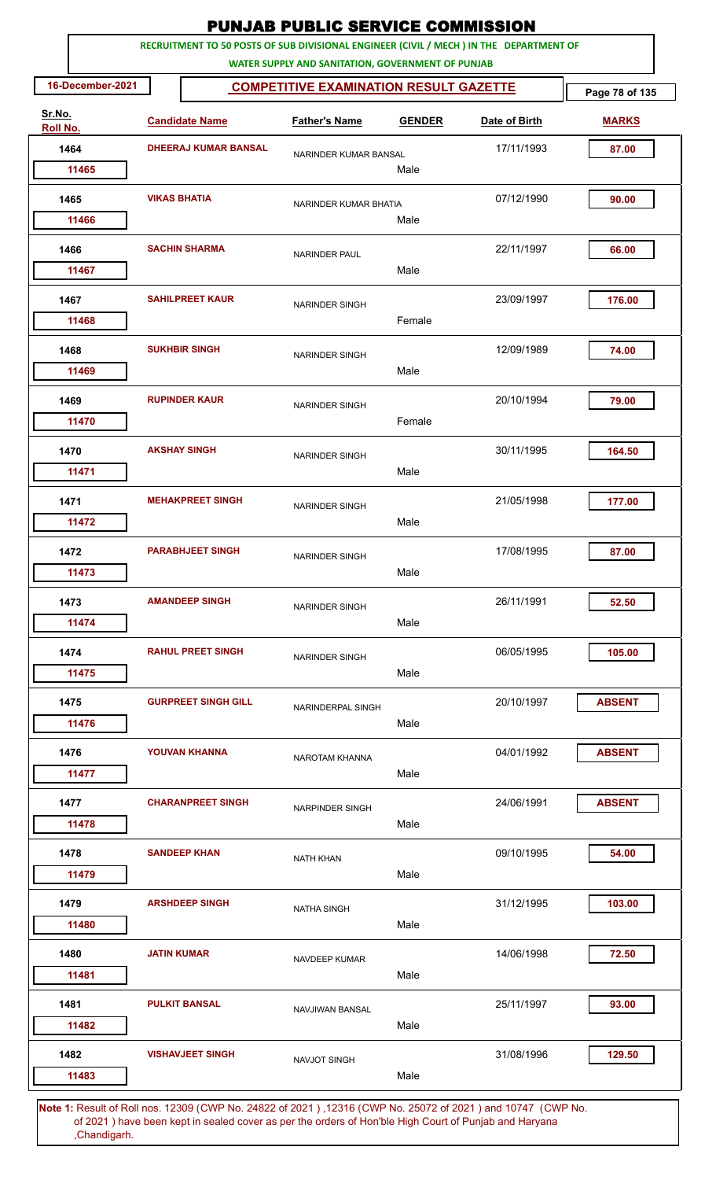|                    |                     |                             | <b>PUNJAB PUBLIC SERVICE COMMISSION</b>                                                                                                      |               |               |                |
|--------------------|---------------------|-----------------------------|----------------------------------------------------------------------------------------------------------------------------------------------|---------------|---------------|----------------|
|                    |                     |                             | RECRUITMENT TO 50 POSTS OF SUB DIVISIONAL ENGINEER (CIVIL / MECH ) IN THE DEPARTMENT OF<br>WATER SUPPLY AND SANITATION, GOVERNMENT OF PUNJAB |               |               |                |
| 16-December-2021   |                     |                             | <b>COMPETITIVE EXAMINATION RESULT GAZETTE</b>                                                                                                |               |               | Page 78 of 135 |
| Sr.No.<br>Roll No. |                     | <b>Candidate Name</b>       | <b>Father's Name</b>                                                                                                                         | <b>GENDER</b> | Date of Birth | <b>MARKS</b>   |
| 1464               |                     | <b>DHEERAJ KUMAR BANSAL</b> | NARINDER KUMAR BANSAL                                                                                                                        |               | 17/11/1993    | 87.00          |
| 11465              |                     |                             |                                                                                                                                              | Male          |               |                |
| 1465               | <b>VIKAS BHATIA</b> |                             | NARINDER KUMAR BHATIA                                                                                                                        |               | 07/12/1990    | 90.00          |
| 11466              |                     |                             |                                                                                                                                              | Male          |               |                |
| 1466<br>11467      |                     | <b>SACHIN SHARMA</b>        | <b>NARINDER PAUL</b>                                                                                                                         | Male          | 22/11/1997    | 66.00          |
|                    |                     |                             |                                                                                                                                              |               |               |                |
| 1467<br>11468      |                     | <b>SAHILPREET KAUR</b>      | <b>NARINDER SINGH</b>                                                                                                                        | Female        | 23/09/1997    | 176.00         |
| 1468               |                     | <b>SUKHBIR SINGH</b>        | <b>NARINDER SINGH</b>                                                                                                                        |               | 12/09/1989    | 74.00          |
| 11469              |                     |                             |                                                                                                                                              | Male          |               |                |
| 1469<br>11470      |                     | <b>RUPINDER KAUR</b>        | <b>NARINDER SINGH</b>                                                                                                                        | Female        | 20/10/1994    | 79.00          |
|                    |                     | <b>AKSHAY SINGH</b>         |                                                                                                                                              |               | 30/11/1995    |                |
| 1470<br>11471      |                     |                             | <b>NARINDER SINGH</b>                                                                                                                        | Male          |               | 164.50         |
| 1471               |                     | <b>MEHAKPREET SINGH</b>     | <b>NARINDER SINGH</b>                                                                                                                        |               | 21/05/1998    | 177.00         |
| 11472              |                     |                             |                                                                                                                                              | Male          |               |                |
| 1472               |                     | <b>PARABHJEET SINGH</b>     | <b>NARINDER SINGH</b>                                                                                                                        |               | 17/08/1995    | 87.00          |
| 11473              |                     |                             |                                                                                                                                              | Male          |               |                |
| 1473               |                     | <b>AMANDEEP SINGH</b>       | <b>NARINDER SINGH</b>                                                                                                                        |               | 26/11/1991    | 52.50          |
| 11474              |                     |                             |                                                                                                                                              | Male          |               |                |
| 1474               |                     | <b>RAHUL PREET SINGH</b>    | <b>NARINDER SINGH</b>                                                                                                                        |               | 06/05/1995    | 105.00         |
| 11475              |                     |                             |                                                                                                                                              | Male          |               |                |
| 1475               |                     | <b>GURPREET SINGH GILL</b>  | NARINDERPAL SINGH                                                                                                                            |               | 20/10/1997    | <b>ABSENT</b>  |
| 11476              |                     |                             |                                                                                                                                              | Male          |               |                |
| 1476               |                     | <b>YOUVAN KHANNA</b>        | NAROTAM KHANNA                                                                                                                               |               | 04/01/1992    | <b>ABSENT</b>  |
| 11477              |                     |                             |                                                                                                                                              | Male          |               |                |
| 1477               |                     | <b>CHARANPREET SINGH</b>    | <b>NARPINDER SINGH</b>                                                                                                                       |               | 24/06/1991    | <b>ABSENT</b>  |
| 11478              |                     |                             |                                                                                                                                              | Male          |               |                |
| 1478               |                     | <b>SANDEEP KHAN</b>         | <b>NATH KHAN</b>                                                                                                                             |               | 09/10/1995    | 54.00          |
| 11479              |                     |                             |                                                                                                                                              | Male          |               |                |
| 1479               |                     | <b>ARSHDEEP SINGH</b>       | <b>NATHA SINGH</b>                                                                                                                           |               | 31/12/1995    | 103.00         |
| 11480              |                     |                             |                                                                                                                                              | Male          |               |                |
| 1480               | <b>JATIN KUMAR</b>  |                             | NAVDEEP KUMAR                                                                                                                                |               | 14/06/1998    | 72.50          |
| 11481              |                     |                             |                                                                                                                                              | Male          |               |                |
| 1481               |                     | <b>PULKIT BANSAL</b>        | <b>NAVJIWAN BANSAL</b>                                                                                                                       |               | 25/11/1997    | 93.00          |
| 11482              |                     |                             |                                                                                                                                              | Male          |               |                |
| 1482               |                     | <b>VISHAVJEET SINGH</b>     | <b>NAVJOT SINGH</b>                                                                                                                          |               | 31/08/1996    | 129.50         |
| 11483              |                     |                             |                                                                                                                                              | Male          |               |                |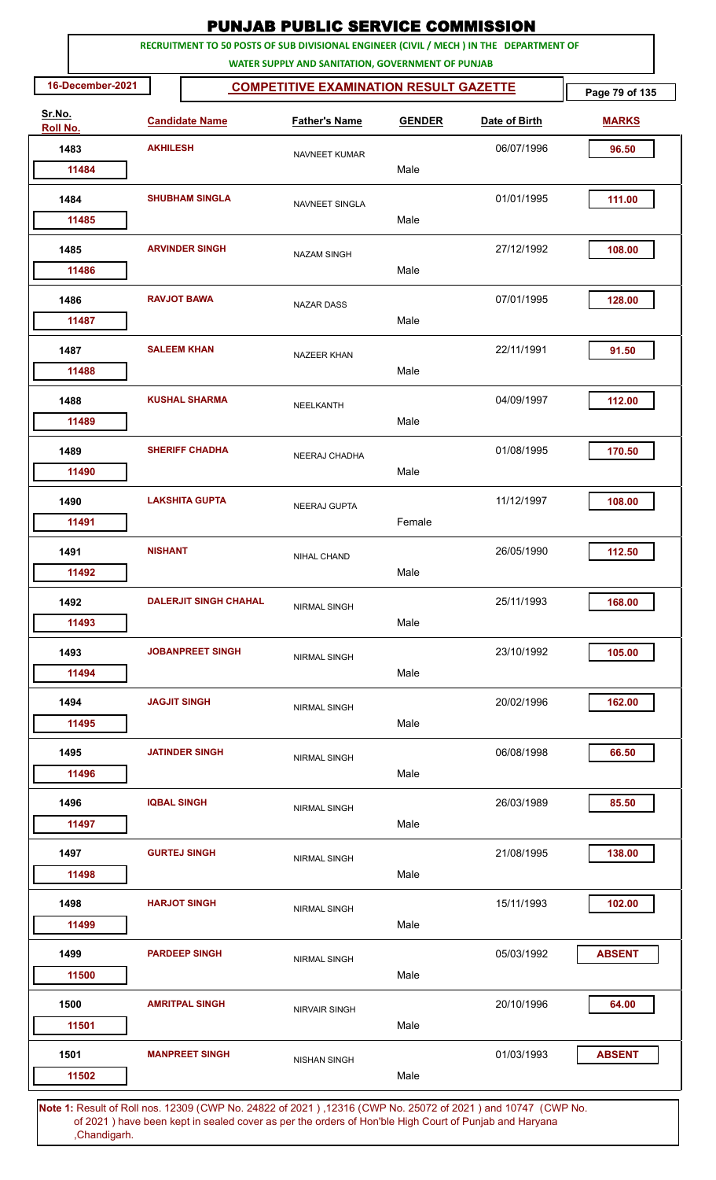|                    |                     |                              | <b>PUNJAB PUBLIC SERVICE COMMISSION</b>                                                                                                      |               |               |                |
|--------------------|---------------------|------------------------------|----------------------------------------------------------------------------------------------------------------------------------------------|---------------|---------------|----------------|
|                    |                     |                              | RECRUITMENT TO 50 POSTS OF SUB DIVISIONAL ENGINEER (CIVIL / MECH ) IN THE DEPARTMENT OF<br>WATER SUPPLY AND SANITATION, GOVERNMENT OF PUNJAB |               |               |                |
| 16-December-2021   |                     |                              | <b>COMPETITIVE EXAMINATION RESULT GAZETTE</b>                                                                                                |               |               | Page 79 of 135 |
| Sr.No.<br>Roll No. |                     | <b>Candidate Name</b>        | <b>Father's Name</b>                                                                                                                         | <b>GENDER</b> | Date of Birth | <b>MARKS</b>   |
| 1483               | <b>AKHILESH</b>     |                              | NAVNEET KUMAR                                                                                                                                |               | 06/07/1996    | 96.50          |
| 11484              |                     |                              |                                                                                                                                              | Male          |               |                |
| 1484               |                     | <b>SHUBHAM SINGLA</b>        | NAVNEET SINGLA                                                                                                                               | Male          | 01/01/1995    | 111.00         |
| 11485              |                     |                              |                                                                                                                                              |               |               |                |
| 1485<br>11486      |                     | <b>ARVINDER SINGH</b>        | <b>NAZAM SINGH</b>                                                                                                                           | Male          | 27/12/1992    | 108.00         |
| 1486<br>11487      |                     | <b>RAVJOT BAWA</b>           | <b>NAZAR DASS</b>                                                                                                                            | Male          | 07/01/1995    | 128.00         |
| 1487               |                     | <b>SALEEM KHAN</b>           | <b>NAZEER KHAN</b>                                                                                                                           |               | 22/11/1991    | 91.50          |
| 11488              |                     |                              |                                                                                                                                              | Male          |               |                |
| 1488<br>11489      |                     | <b>KUSHAL SHARMA</b>         | NEELKANTH                                                                                                                                    | Male          | 04/09/1997    | 112.00         |
| 1489<br>11490      |                     | <b>SHERIFF CHADHA</b>        | NEERAJ CHADHA                                                                                                                                | Male          | 01/08/1995    | 170.50         |
|                    |                     |                              |                                                                                                                                              |               |               |                |
| 1490<br>11491      |                     | <b>LAKSHITA GUPTA</b>        | <b>NEERAJ GUPTA</b>                                                                                                                          | Female        | 11/12/1997    | 108.00         |
| 1491               | <b>NISHANT</b>      |                              | NIHAL CHAND                                                                                                                                  |               | 26/05/1990    | 112.50         |
| 11492              |                     |                              |                                                                                                                                              | Male          |               |                |
| 1492<br>11493      |                     | <b>DALERJIT SINGH CHAHAL</b> | <b>NIRMAL SINGH</b>                                                                                                                          | Male          | 25/11/1993    | 168.00         |
| 1493               |                     | <b>JOBANPREET SINGH</b>      |                                                                                                                                              |               | 23/10/1992    | 105.00         |
| 11494              |                     |                              | <b>NIRMAL SINGH</b>                                                                                                                          | Male          |               |                |
| 1494<br>11495      | <b>JAGJIT SINGH</b> |                              | NIRMAL SINGH                                                                                                                                 | Male          | 20/02/1996    | 162.00         |
| 1495               |                     | <b>JATINDER SINGH</b>        |                                                                                                                                              |               | 06/08/1998    | 66.50          |
| 11496              |                     |                              | <b>NIRMAL SINGH</b>                                                                                                                          | Male          |               |                |
| 1496<br>11497      | <b>IQBAL SINGH</b>  |                              | <b>NIRMAL SINGH</b>                                                                                                                          | Male          | 26/03/1989    | 85.50          |
| 1497               |                     | <b>GURTEJ SINGH</b>          | <b>NIRMAL SINGH</b>                                                                                                                          |               | 21/08/1995    | 138.00         |
| 11498              |                     |                              |                                                                                                                                              | Male          |               |                |
| 1498<br>11499      |                     | <b>HARJOT SINGH</b>          | <b>NIRMAL SINGH</b>                                                                                                                          | Male          | 15/11/1993    | 102.00         |
| 1499               |                     | <b>PARDEEP SINGH</b>         | <b>NIRMAL SINGH</b>                                                                                                                          |               | 05/03/1992    | <b>ABSENT</b>  |
| 11500              |                     |                              |                                                                                                                                              | Male          |               |                |
| 1500<br>11501      |                     | <b>AMRITPAL SINGH</b>        | <b>NIRVAIR SINGH</b>                                                                                                                         | Male          | 20/10/1996    | 64.00          |
| 1501               |                     | <b>MANPREET SINGH</b>        | <b>NISHAN SINGH</b>                                                                                                                          |               | 01/03/1993    | <b>ABSENT</b>  |
| 11502              |                     |                              |                                                                                                                                              | Male          |               |                |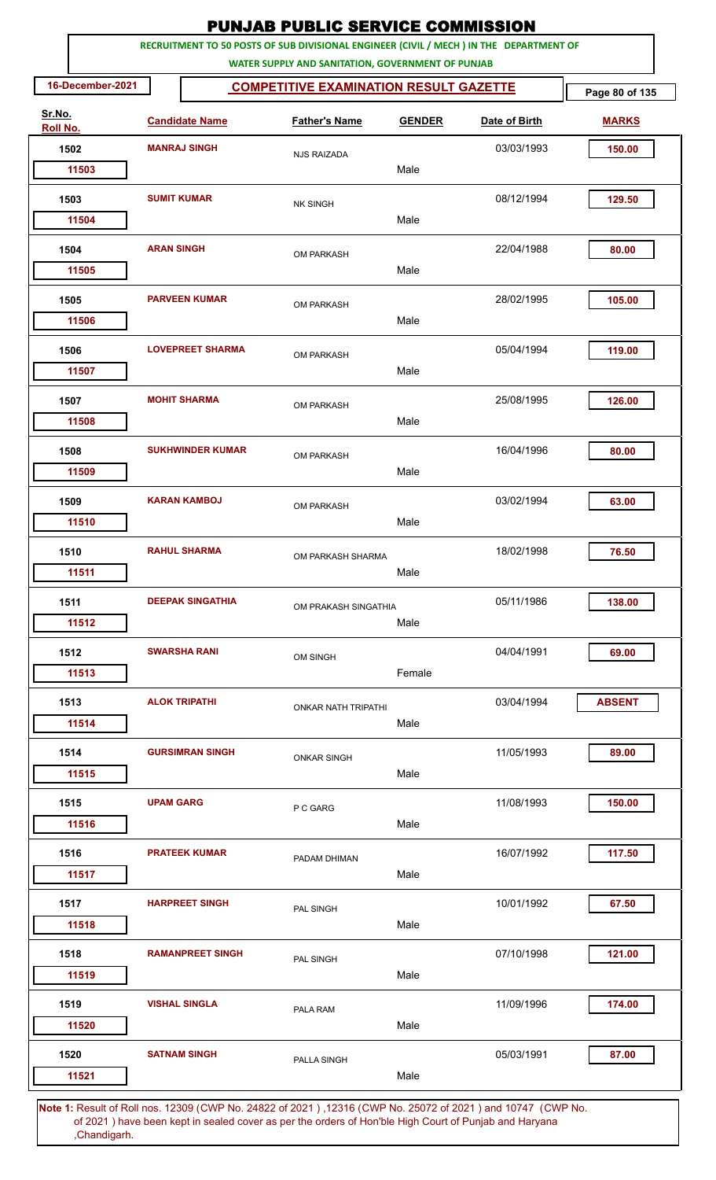| <b>PUNJAB PUBLIC SERVICE COMMISSION</b><br>RECRUITMENT TO 50 POSTS OF SUB DIVISIONAL ENGINEER (CIVIL / MECH ) IN THE DEPARTMENT OF |                    |                         |                                                   |               |                                                                               |                |  |  |  |
|------------------------------------------------------------------------------------------------------------------------------------|--------------------|-------------------------|---------------------------------------------------|---------------|-------------------------------------------------------------------------------|----------------|--|--|--|
|                                                                                                                                    |                    |                         | WATER SUPPLY AND SANITATION, GOVERNMENT OF PUNJAB |               |                                                                               |                |  |  |  |
| 16-December-2021                                                                                                                   |                    |                         | <b>COMPETITIVE EXAMINATION RESULT GAZETTE</b>     |               |                                                                               | Page 80 of 135 |  |  |  |
| Sr.No.<br>Roll No.                                                                                                                 |                    | <b>Candidate Name</b>   | <b>Father's Name</b>                              | <b>GENDER</b> | Date of Birth                                                                 | <b>MARKS</b>   |  |  |  |
| 1502                                                                                                                               |                    | <b>MANRAJ SINGH</b>     | <b>NJS RAIZADA</b>                                |               | 03/03/1993                                                                    | 150.00         |  |  |  |
| 11503                                                                                                                              |                    |                         |                                                   | Male          |                                                                               |                |  |  |  |
| 1503                                                                                                                               | <b>SUMIT KUMAR</b> |                         | <b>NK SINGH</b>                                   |               | 08/12/1994                                                                    | 129.50         |  |  |  |
| 11504                                                                                                                              |                    |                         |                                                   | Male          |                                                                               |                |  |  |  |
| 1504<br>11505                                                                                                                      | <b>ARAN SINGH</b>  |                         | OM PARKASH                                        | Male          | 22/04/1988                                                                    | 80.00          |  |  |  |
| 1505                                                                                                                               |                    | <b>PARVEEN KUMAR</b>    | <b>OM PARKASH</b>                                 |               | 28/02/1995                                                                    | 105.00         |  |  |  |
| 11506                                                                                                                              |                    |                         |                                                   | Male          |                                                                               |                |  |  |  |
| 1506<br>11507                                                                                                                      |                    | <b>LOVEPREET SHARMA</b> | <b>OM PARKASH</b>                                 | Male          | 05/04/1994                                                                    | 119.00         |  |  |  |
| 1507                                                                                                                               |                    | <b>MOHIT SHARMA</b>     | <b>OM PARKASH</b>                                 |               | 25/08/1995                                                                    | 126.00         |  |  |  |
| 11508                                                                                                                              |                    |                         |                                                   | Male          |                                                                               |                |  |  |  |
| 1508<br>11509                                                                                                                      |                    | <b>SUKHWINDER KUMAR</b> | <b>OM PARKASH</b>                                 | Male          | 16/04/1996                                                                    | 80.00          |  |  |  |
| 1509                                                                                                                               |                    | <b>KARAN KAMBOJ</b>     | <b>OM PARKASH</b>                                 |               | 03/02/1994                                                                    | 63.00          |  |  |  |
| 11510                                                                                                                              |                    |                         |                                                   | Male          |                                                                               |                |  |  |  |
| 1510<br>11511                                                                                                                      |                    | <b>RAHUL SHARMA</b>     | OM PARKASH SHARMA                                 | Male          | 18/02/1998                                                                    | 76.50          |  |  |  |
| 1511<br>11512                                                                                                                      |                    | <b>DEEPAK SINGATHIA</b> | OM PRAKASH SINGATHIA                              | Male          | 05/11/1986                                                                    | 138.00         |  |  |  |
| 1512<br>11513                                                                                                                      |                    | <b>SWARSHA RANI</b>     | <b>OM SINGH</b>                                   | Female        | 04/04/1991                                                                    | 69.00          |  |  |  |
| 1513<br>11514                                                                                                                      |                    | <b>ALOK TRIPATHI</b>    | ONKAR NATH TRIPATHI                               | Male          | 03/04/1994                                                                    | <b>ABSENT</b>  |  |  |  |
| 1514<br>11515                                                                                                                      |                    | <b>GURSIMRAN SINGH</b>  | <b>ONKAR SINGH</b>                                | Male          | 11/05/1993                                                                    | 89.00          |  |  |  |
| 1515<br>11516                                                                                                                      | <b>UPAM GARG</b>   |                         | P C GARG                                          | Male          | 11/08/1993                                                                    | 150.00         |  |  |  |
| 1516<br>11517                                                                                                                      |                    | <b>PRATEEK KUMAR</b>    | PADAM DHIMAN                                      | Male          | 16/07/1992                                                                    | 117.50         |  |  |  |
| 1517<br>11518                                                                                                                      |                    | <b>HARPREET SINGH</b>   | PAL SINGH                                         | Male          | 10/01/1992                                                                    | 67.50          |  |  |  |
| 1518<br>11519                                                                                                                      |                    | <b>RAMANPREET SINGH</b> | PAL SINGH                                         | Male          | 07/10/1998                                                                    | 121.00         |  |  |  |
| 1519<br>11520                                                                                                                      |                    | <b>VISHAL SINGLA</b>    | PALA RAM                                          | Male          | 11/09/1996                                                                    | 174.00         |  |  |  |
| 1520<br>11521                                                                                                                      |                    | <b>SATNAM SINGH</b>     | PALLA SINGH                                       | Male          | 05/03/1991                                                                    | 87.00          |  |  |  |
|                                                                                                                                    |                    |                         |                                                   |               | 10000 (CMD No. 24820 of 2001) 10016 (CMD No. 25072 of 2001) and 10747 (CMD No |                |  |  |  |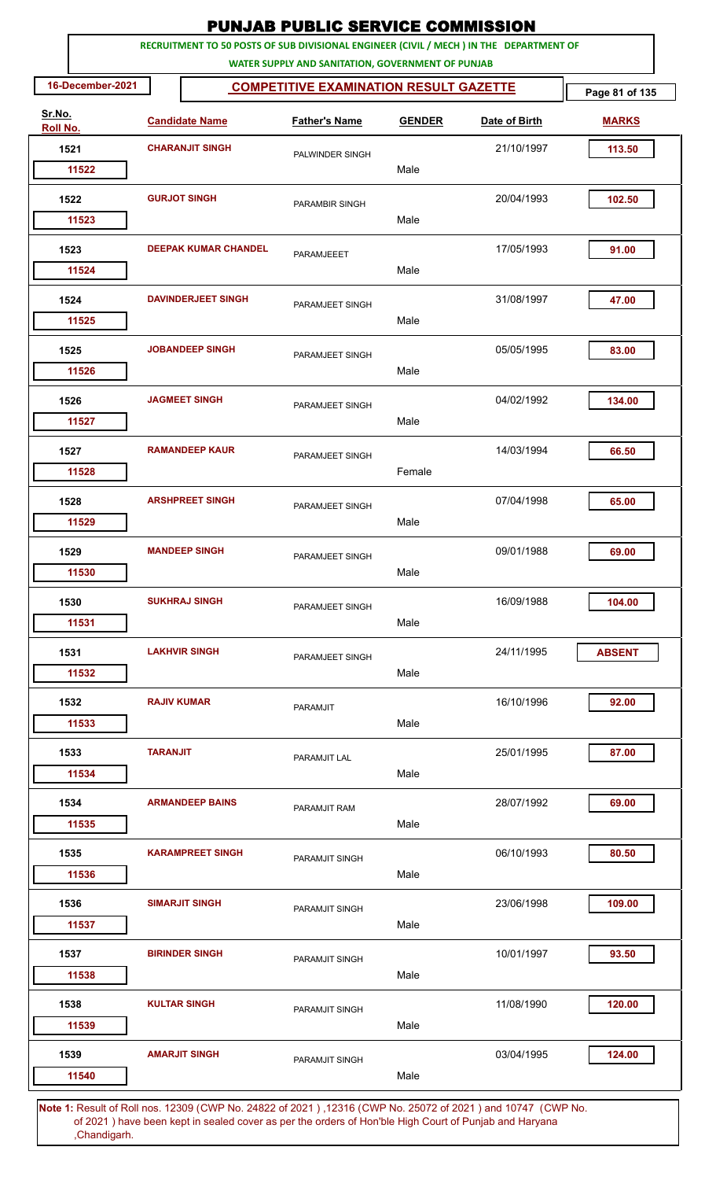| RECRUITMENT TO 50 POSTS OF SUB DIVISIONAL ENGINEER (CIVIL / MECH ) IN THE DEPARTMENT OF<br>WATER SUPPLY AND SANITATION, GOVERNMENT OF PUNJAB<br>16-December-2021<br><b>COMPETITIVE EXAMINATION RESULT GAZETTE</b><br>Sr.No.<br><b>Candidate Name</b><br><b>Father's Name</b><br><b>GENDER</b><br>Date of Birth<br>Roll No.<br><b>CHARANJIT SINGH</b><br>21/10/1997<br>1521<br>PALWINDER SINGH<br>Male<br>11522<br><b>GURJOT SINGH</b><br>20/04/1993<br>1522<br>PARAMBIR SINGH<br>Male<br>11523<br>17/05/1993<br>1523<br><b>DEEPAK KUMAR CHANDEL</b><br>PARAMJEEET<br>Male<br>11524<br><b>DAVINDERJEET SINGH</b><br>1524<br>31/08/1997<br>PARAMJEET SINGH<br>Male<br>11525 | Page 81 of 135<br><b>MARKS</b><br>113.50<br>102.50<br>91.00<br>47.00<br>83.00 |
|---------------------------------------------------------------------------------------------------------------------------------------------------------------------------------------------------------------------------------------------------------------------------------------------------------------------------------------------------------------------------------------------------------------------------------------------------------------------------------------------------------------------------------------------------------------------------------------------------------------------------------------------------------------------------|-------------------------------------------------------------------------------|
|                                                                                                                                                                                                                                                                                                                                                                                                                                                                                                                                                                                                                                                                           |                                                                               |
|                                                                                                                                                                                                                                                                                                                                                                                                                                                                                                                                                                                                                                                                           |                                                                               |
|                                                                                                                                                                                                                                                                                                                                                                                                                                                                                                                                                                                                                                                                           |                                                                               |
|                                                                                                                                                                                                                                                                                                                                                                                                                                                                                                                                                                                                                                                                           |                                                                               |
|                                                                                                                                                                                                                                                                                                                                                                                                                                                                                                                                                                                                                                                                           |                                                                               |
|                                                                                                                                                                                                                                                                                                                                                                                                                                                                                                                                                                                                                                                                           |                                                                               |
|                                                                                                                                                                                                                                                                                                                                                                                                                                                                                                                                                                                                                                                                           |                                                                               |
|                                                                                                                                                                                                                                                                                                                                                                                                                                                                                                                                                                                                                                                                           |                                                                               |
|                                                                                                                                                                                                                                                                                                                                                                                                                                                                                                                                                                                                                                                                           |                                                                               |
|                                                                                                                                                                                                                                                                                                                                                                                                                                                                                                                                                                                                                                                                           |                                                                               |
| <b>JOBANDEEP SINGH</b><br>05/05/1995<br>1525<br>PARAMJEET SINGH                                                                                                                                                                                                                                                                                                                                                                                                                                                                                                                                                                                                           |                                                                               |
| Male<br>11526                                                                                                                                                                                                                                                                                                                                                                                                                                                                                                                                                                                                                                                             |                                                                               |
| <b>JAGMEET SINGH</b><br>04/02/1992<br>1526<br>PARAMJEET SINGH<br>11527<br>Male                                                                                                                                                                                                                                                                                                                                                                                                                                                                                                                                                                                            | 134.00                                                                        |
| <b>RAMANDEEP KAUR</b><br>1527<br>14/03/1994<br>PARAMJEET SINGH                                                                                                                                                                                                                                                                                                                                                                                                                                                                                                                                                                                                            | 66.50                                                                         |
| Female<br>11528                                                                                                                                                                                                                                                                                                                                                                                                                                                                                                                                                                                                                                                           |                                                                               |
| <b>ARSHPREET SINGH</b><br>07/04/1998<br>1528<br>PARAMJEET SINGH                                                                                                                                                                                                                                                                                                                                                                                                                                                                                                                                                                                                           | 65.00                                                                         |
| Male<br>11529                                                                                                                                                                                                                                                                                                                                                                                                                                                                                                                                                                                                                                                             |                                                                               |
| 09/01/1988<br>1529<br><b>MANDEEP SINGH</b><br>PARAMJEET SINGH                                                                                                                                                                                                                                                                                                                                                                                                                                                                                                                                                                                                             | 69.00                                                                         |
| Male<br>11530                                                                                                                                                                                                                                                                                                                                                                                                                                                                                                                                                                                                                                                             |                                                                               |
| <b>SUKHRAJ SINGH</b><br>1530<br>16/09/1988<br>PARAMJEET SINGH                                                                                                                                                                                                                                                                                                                                                                                                                                                                                                                                                                                                             | 104.00                                                                        |
| Male<br>11531                                                                                                                                                                                                                                                                                                                                                                                                                                                                                                                                                                                                                                                             |                                                                               |
| <b>LAKHVIR SINGH</b><br>24/11/1995<br>1531<br>PARAMJEET SINGH<br>Male<br>11532                                                                                                                                                                                                                                                                                                                                                                                                                                                                                                                                                                                            | <b>ABSENT</b>                                                                 |
|                                                                                                                                                                                                                                                                                                                                                                                                                                                                                                                                                                                                                                                                           |                                                                               |
| 16/10/1996<br>1532<br><b>RAJIV KUMAR</b><br><b>PARAMJIT</b><br>Male<br>11533                                                                                                                                                                                                                                                                                                                                                                                                                                                                                                                                                                                              | 92.00                                                                         |
|                                                                                                                                                                                                                                                                                                                                                                                                                                                                                                                                                                                                                                                                           |                                                                               |
| 1533<br><b>TARANJIT</b><br>25/01/1995<br>PARAMJIT LAL<br>Male<br>11534                                                                                                                                                                                                                                                                                                                                                                                                                                                                                                                                                                                                    | 87.00                                                                         |
| <b>ARMANDEEP BAINS</b><br>28/07/1992<br>1534<br>PARAMJIT RAM                                                                                                                                                                                                                                                                                                                                                                                                                                                                                                                                                                                                              | 69.00                                                                         |
| Male<br>11535                                                                                                                                                                                                                                                                                                                                                                                                                                                                                                                                                                                                                                                             |                                                                               |
| 06/10/1993<br>1535<br><b>KARAMPREET SINGH</b><br>PARAMJIT SINGH                                                                                                                                                                                                                                                                                                                                                                                                                                                                                                                                                                                                           | 80.50                                                                         |
| Male<br>11536                                                                                                                                                                                                                                                                                                                                                                                                                                                                                                                                                                                                                                                             |                                                                               |
| <b>SIMARJIT SINGH</b><br>1536<br>23/06/1998<br>PARAMJIT SINGH                                                                                                                                                                                                                                                                                                                                                                                                                                                                                                                                                                                                             | 109.00                                                                        |
| Male<br>11537                                                                                                                                                                                                                                                                                                                                                                                                                                                                                                                                                                                                                                                             |                                                                               |
| <b>BIRINDER SINGH</b><br>10/01/1997<br>1537<br>PARAMJIT SINGH                                                                                                                                                                                                                                                                                                                                                                                                                                                                                                                                                                                                             | 93.50                                                                         |
| Male<br>11538                                                                                                                                                                                                                                                                                                                                                                                                                                                                                                                                                                                                                                                             |                                                                               |
| 11/08/1990<br>1538<br><b>KULTAR SINGH</b><br>PARAMJIT SINGH<br>Male<br>11539                                                                                                                                                                                                                                                                                                                                                                                                                                                                                                                                                                                              | 120.00                                                                        |
| <b>AMARJIT SINGH</b><br>03/04/1995<br>1539<br>PARAMJIT SINGH                                                                                                                                                                                                                                                                                                                                                                                                                                                                                                                                                                                                              | 124.00                                                                        |
| Male<br>11540                                                                                                                                                                                                                                                                                                                                                                                                                                                                                                                                                                                                                                                             |                                                                               |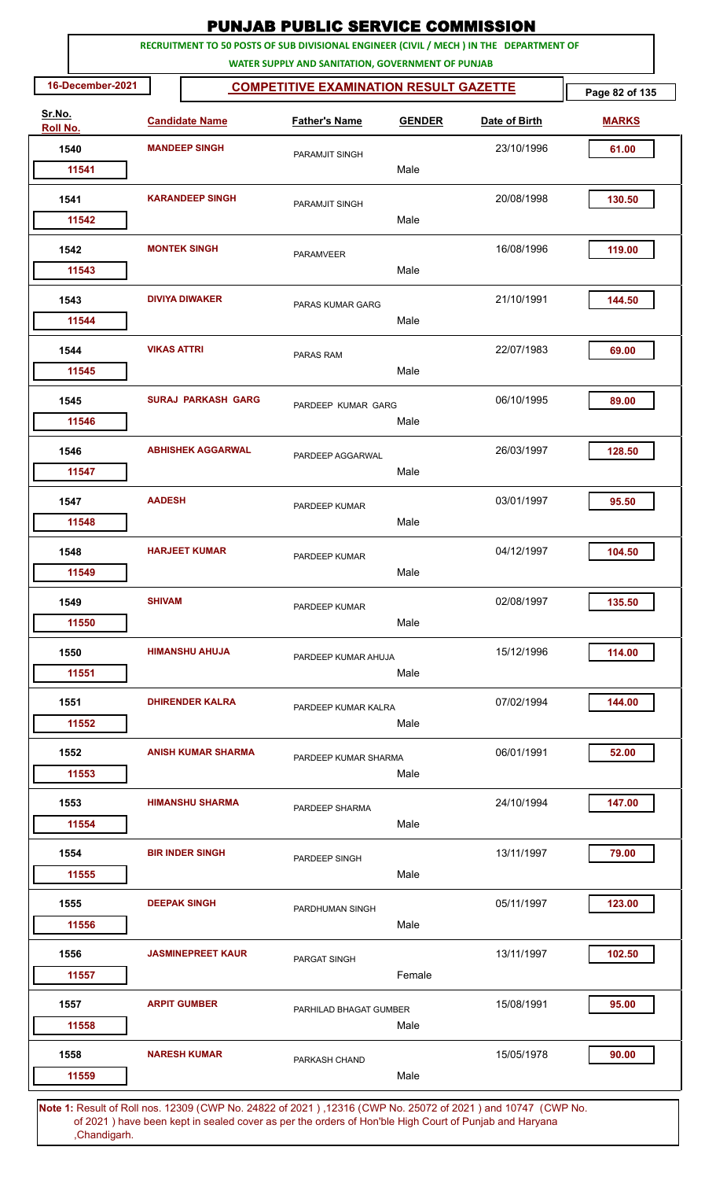|                    |                    |                           | <b>PUNJAB PUBLIC SERVICE COMMISSION</b>                                                                                                      |               |               |                |
|--------------------|--------------------|---------------------------|----------------------------------------------------------------------------------------------------------------------------------------------|---------------|---------------|----------------|
|                    |                    |                           | RECRUITMENT TO 50 POSTS OF SUB DIVISIONAL ENGINEER (CIVIL / MECH ) IN THE DEPARTMENT OF<br>WATER SUPPLY AND SANITATION, GOVERNMENT OF PUNJAB |               |               |                |
| 16-December-2021   |                    |                           | <b>COMPETITIVE EXAMINATION RESULT GAZETTE</b>                                                                                                |               |               | Page 82 of 135 |
| Sr.No.<br>Roll No. |                    | <b>Candidate Name</b>     | <b>Father's Name</b>                                                                                                                         | <b>GENDER</b> | Date of Birth | <b>MARKS</b>   |
| 1540               |                    | <b>MANDEEP SINGH</b>      | PARAMJIT SINGH                                                                                                                               |               | 23/10/1996    | 61.00          |
| 11541              |                    |                           |                                                                                                                                              | Male          |               |                |
| 1541               |                    | <b>KARANDEEP SINGH</b>    | PARAMJIT SINGH                                                                                                                               |               | 20/08/1998    | 130.50         |
| 11542              |                    |                           |                                                                                                                                              | Male          |               |                |
| 1542<br>11543      |                    | <b>MONTEK SINGH</b>       | <b>PARAMVEER</b>                                                                                                                             | Male          | 16/08/1996    | 119.00         |
|                    |                    |                           |                                                                                                                                              |               |               |                |
| 1543<br>11544      |                    | <b>DIVIYA DIWAKER</b>     | PARAS KUMAR GARG                                                                                                                             | Male          | 21/10/1991    | 144.50         |
| 1544               | <b>VIKAS ATTRI</b> |                           | <b>PARAS RAM</b>                                                                                                                             |               | 22/07/1983    | 69.00          |
| 11545              |                    |                           |                                                                                                                                              | Male          |               |                |
| 1545               |                    | <b>SURAJ PARKASH GARG</b> | PARDEEP KUMAR GARG                                                                                                                           |               | 06/10/1995    | 89.00          |
| 11546              |                    |                           |                                                                                                                                              | Male          |               |                |
| 1546               |                    | <b>ABHISHEK AGGARWAL</b>  |                                                                                                                                              |               | 26/03/1997    | 128.50         |
| 11547              |                    |                           | PARDEEP AGGARWAL                                                                                                                             | Male          |               |                |
| 1547               | <b>AADESH</b>      |                           |                                                                                                                                              |               | 03/01/1997    | 95.50          |
| 11548              |                    |                           | PARDEEP KUMAR                                                                                                                                | Male          |               |                |
| 1548               |                    | <b>HARJEET KUMAR</b>      |                                                                                                                                              |               | 04/12/1997    | 104.50         |
| 11549              |                    |                           | PARDEEP KUMAR                                                                                                                                | Male          |               |                |
| 1549               | <b>SHIVAM</b>      |                           | PARDEEP KUMAR                                                                                                                                |               | 02/08/1997    | 135.50         |
| 11550              |                    |                           |                                                                                                                                              | Male          |               |                |
| 1550               |                    | <b>HIMANSHU AHUJA</b>     | PARDEEP KUMAR AHUJA                                                                                                                          |               | 15/12/1996    | 114.00         |
| 11551              |                    |                           |                                                                                                                                              | Male          |               |                |
| 1551               |                    | <b>DHIRENDER KALRA</b>    | PARDEEP KUMAR KALRA                                                                                                                          |               | 07/02/1994    | 144.00         |
| 11552              |                    |                           |                                                                                                                                              | Male          |               |                |
| 1552               |                    | <b>ANISH KUMAR SHARMA</b> | PARDEEP KUMAR SHARMA                                                                                                                         |               | 06/01/1991    | 52.00          |
| 11553              |                    |                           |                                                                                                                                              | Male          |               |                |
| 1553               |                    | <b>HIMANSHU SHARMA</b>    | PARDEEP SHARMA                                                                                                                               |               | 24/10/1994    | 147.00         |
| 11554              |                    |                           |                                                                                                                                              | Male          |               |                |
| 1554               |                    | <b>BIR INDER SINGH</b>    | PARDEEP SINGH                                                                                                                                |               | 13/11/1997    | 79.00          |
| 11555              |                    |                           |                                                                                                                                              | Male          |               |                |
| 1555               |                    | <b>DEEPAK SINGH</b>       | PARDHUMAN SINGH                                                                                                                              |               | 05/11/1997    | 123.00         |
| 11556              |                    |                           |                                                                                                                                              | Male          |               |                |
| 1556               |                    | <b>JASMINEPREET KAUR</b>  | PARGAT SINGH                                                                                                                                 |               | 13/11/1997    | 102.50         |
| 11557              |                    |                           |                                                                                                                                              | Female        |               |                |
| 1557               |                    | <b>ARPIT GUMBER</b>       | PARHILAD BHAGAT GUMBER                                                                                                                       |               | 15/08/1991    | 95.00          |
| 11558              |                    |                           |                                                                                                                                              | Male          |               |                |
| 1558               |                    | <b>NARESH KUMAR</b>       | PARKASH CHAND                                                                                                                                |               | 15/05/1978    | 90.00          |
| 11559              |                    |                           |                                                                                                                                              | Male          |               |                |
|                    |                    |                           | 1: Result of Bollings, 12200 (CWD No. 24822 of 2021), 12216 (CWD No. 25072 of 2021) and 10747 (CWD No                                        |               |               |                |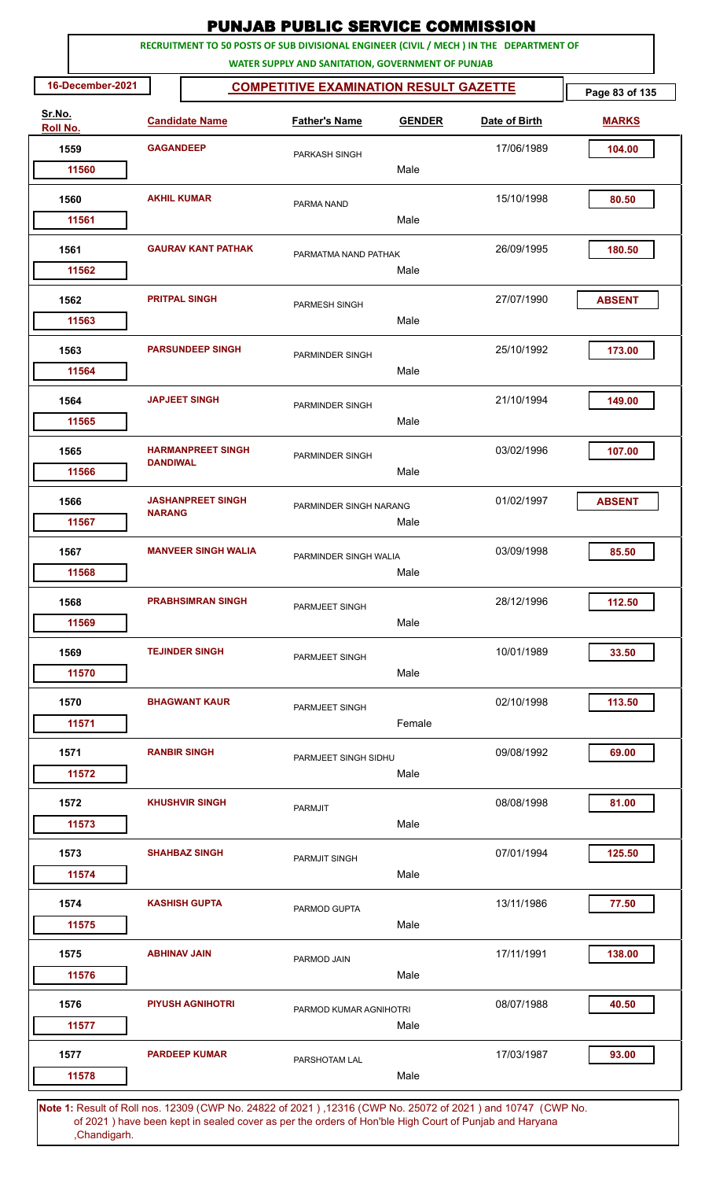| <b>PUNJAB PUBLIC SERVICE COMMISSION</b> |                                                                                                                                              |                            |                                               |               |                                                                                                              |                |  |  |  |  |
|-----------------------------------------|----------------------------------------------------------------------------------------------------------------------------------------------|----------------------------|-----------------------------------------------|---------------|--------------------------------------------------------------------------------------------------------------|----------------|--|--|--|--|
|                                         | RECRUITMENT TO 50 POSTS OF SUB DIVISIONAL ENGINEER (CIVIL / MECH ) IN THE DEPARTMENT OF<br>WATER SUPPLY AND SANITATION, GOVERNMENT OF PUNJAB |                            |                                               |               |                                                                                                              |                |  |  |  |  |
| 16-December-2021                        |                                                                                                                                              |                            | <b>COMPETITIVE EXAMINATION RESULT GAZETTE</b> |               |                                                                                                              | Page 83 of 135 |  |  |  |  |
| Sr.No.<br>Roll No.                      |                                                                                                                                              | <b>Candidate Name</b>      | <b>Father's Name</b>                          | <b>GENDER</b> | Date of Birth                                                                                                | <b>MARKS</b>   |  |  |  |  |
| 1559                                    | <b>GAGANDEEP</b>                                                                                                                             |                            | PARKASH SINGH                                 |               | 17/06/1989                                                                                                   | 104.00         |  |  |  |  |
| 11560                                   |                                                                                                                                              |                            |                                               | Male          |                                                                                                              |                |  |  |  |  |
| 1560<br>11561                           |                                                                                                                                              | <b>AKHIL KUMAR</b>         | PARMA NAND                                    | Male          | 15/10/1998                                                                                                   | 80.50          |  |  |  |  |
|                                         |                                                                                                                                              |                            |                                               |               |                                                                                                              |                |  |  |  |  |
| 1561<br>11562                           |                                                                                                                                              | <b>GAURAV KANT PATHAK</b>  | PARMATMA NAND PATHAK                          | Male          | 26/09/1995                                                                                                   | 180.50         |  |  |  |  |
| 1562                                    |                                                                                                                                              | <b>PRITPAL SINGH</b>       | PARMESH SINGH                                 |               | 27/07/1990                                                                                                   | <b>ABSENT</b>  |  |  |  |  |
| 11563                                   |                                                                                                                                              |                            |                                               | Male          |                                                                                                              |                |  |  |  |  |
| 1563<br>11564                           |                                                                                                                                              | <b>PARSUNDEEP SINGH</b>    | PARMINDER SINGH                               | Male          | 25/10/1992                                                                                                   | 173.00         |  |  |  |  |
| 1564                                    |                                                                                                                                              | <b>JAPJEET SINGH</b>       | PARMINDER SINGH                               |               | 21/10/1994                                                                                                   | 149.00         |  |  |  |  |
| 11565                                   |                                                                                                                                              |                            |                                               | Male          |                                                                                                              |                |  |  |  |  |
| 1565<br>11566                           | <b>DANDIWAL</b>                                                                                                                              | <b>HARMANPREET SINGH</b>   | PARMINDER SINGH                               | Male          | 03/02/1996                                                                                                   | 107.00         |  |  |  |  |
| 1566                                    |                                                                                                                                              | <b>JASHANPREET SINGH</b>   |                                               |               | 01/02/1997                                                                                                   | <b>ABSENT</b>  |  |  |  |  |
| 11567                                   | <b>NARANG</b>                                                                                                                                |                            | PARMINDER SINGH NARANG                        | Male          |                                                                                                              |                |  |  |  |  |
| 1567                                    |                                                                                                                                              | <b>MANVEER SINGH WALIA</b> | PARMINDER SINGH WALIA                         |               | 03/09/1998                                                                                                   | 85.50          |  |  |  |  |
| 11568                                   |                                                                                                                                              |                            |                                               | Male          |                                                                                                              |                |  |  |  |  |
| 1568                                    |                                                                                                                                              | <b>PRABHSIMRAN SINGH</b>   | PARMJEET SINGH                                |               | 28/12/1996                                                                                                   | 112.50         |  |  |  |  |
| 11569                                   |                                                                                                                                              |                            |                                               | Male          |                                                                                                              |                |  |  |  |  |
| 1569<br>11570                           |                                                                                                                                              | <b>TEJINDER SINGH</b>      | PARMJEET SINGH                                | Male          | 10/01/1989                                                                                                   | 33.50          |  |  |  |  |
|                                         |                                                                                                                                              |                            |                                               |               |                                                                                                              |                |  |  |  |  |
| 1570<br>11571                           |                                                                                                                                              | <b>BHAGWANT KAUR</b>       | PARMJEET SINGH                                | Female        | 02/10/1998                                                                                                   | 113.50         |  |  |  |  |
| 1571                                    |                                                                                                                                              | <b>RANBIR SINGH</b>        | PARMJEET SINGH SIDHU                          |               | 09/08/1992                                                                                                   | 69.00          |  |  |  |  |
| 11572                                   |                                                                                                                                              |                            |                                               | Male          |                                                                                                              |                |  |  |  |  |
| 1572                                    |                                                                                                                                              | <b>KHUSHVIR SINGH</b>      | <b>PARMJIT</b>                                |               | 08/08/1998                                                                                                   | 81.00          |  |  |  |  |
| 11573                                   |                                                                                                                                              |                            |                                               | Male          |                                                                                                              |                |  |  |  |  |
| 1573<br>11574                           |                                                                                                                                              | <b>SHAHBAZ SINGH</b>       | PARMJIT SINGH                                 | Male          | 07/01/1994                                                                                                   | 125.50         |  |  |  |  |
| 1574                                    |                                                                                                                                              | <b>KASHISH GUPTA</b>       |                                               |               | 13/11/1986                                                                                                   | 77.50          |  |  |  |  |
| 11575                                   |                                                                                                                                              |                            | PARMOD GUPTA                                  | Male          |                                                                                                              |                |  |  |  |  |
| 1575                                    | <b>ABHINAV JAIN</b>                                                                                                                          |                            | PARMOD JAIN                                   |               | 17/11/1991                                                                                                   | 138.00         |  |  |  |  |
| 11576                                   |                                                                                                                                              |                            |                                               | Male          |                                                                                                              |                |  |  |  |  |
| 1576<br>11577                           |                                                                                                                                              | <b>PIYUSH AGNIHOTRI</b>    | PARMOD KUMAR AGNIHOTRI                        | Male          | 08/07/1988                                                                                                   | 40.50          |  |  |  |  |
| 1577                                    |                                                                                                                                              | <b>PARDEEP KUMAR</b>       | PARSHOTAM LAL                                 |               | 17/03/1987                                                                                                   | 93.00          |  |  |  |  |
| 11578                                   |                                                                                                                                              |                            |                                               | Male          | Note 1: Pesult of Pollings, 12309 (CWP No. 24822 of 2021), 12316 (CWP No. 25072 of 2021) and 10747. (CWP No. |                |  |  |  |  |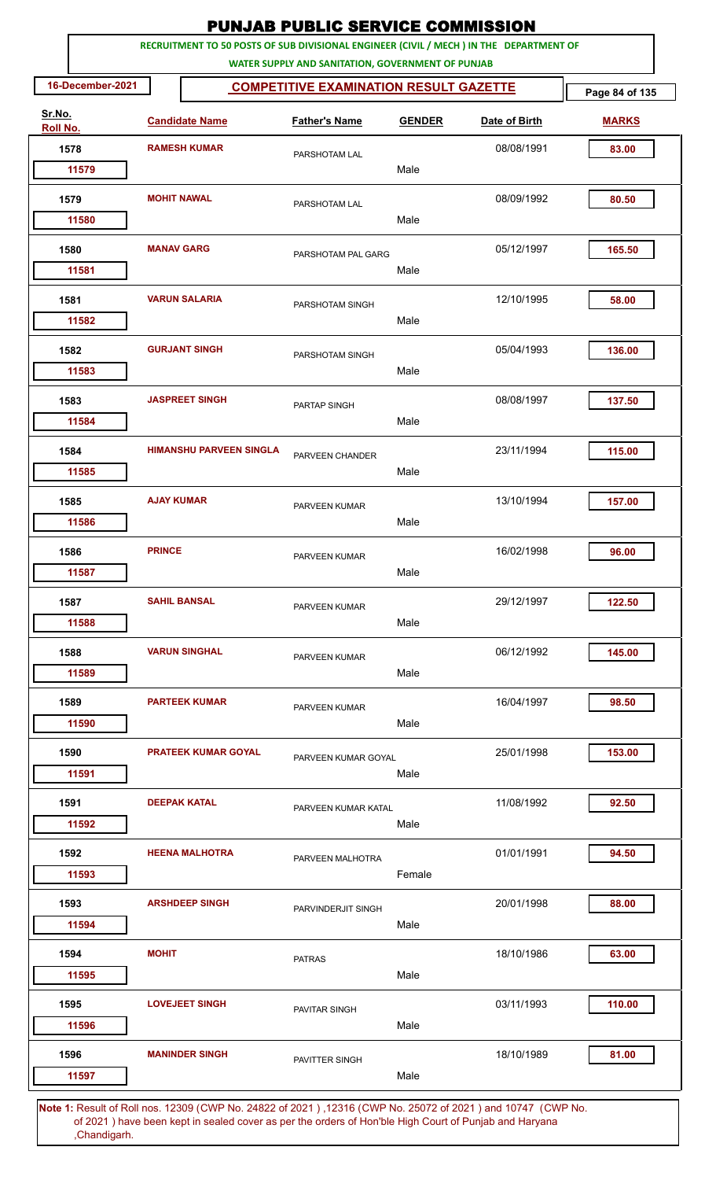| <b>PUNJAB PUBLIC SERVICE COMMISSION</b><br>RECRUITMENT TO 50 POSTS OF SUB DIVISIONAL ENGINEER (CIVIL / MECH ) IN THE DEPARTMENT OF |                     |                                |                                                   |               |                                                                                                                   |                |  |  |  |
|------------------------------------------------------------------------------------------------------------------------------------|---------------------|--------------------------------|---------------------------------------------------|---------------|-------------------------------------------------------------------------------------------------------------------|----------------|--|--|--|
|                                                                                                                                    |                     |                                | WATER SUPPLY AND SANITATION, GOVERNMENT OF PUNJAB |               |                                                                                                                   |                |  |  |  |
| 16-December-2021                                                                                                                   |                     |                                | <b>COMPETITIVE EXAMINATION RESULT GAZETTE</b>     |               |                                                                                                                   | Page 84 of 135 |  |  |  |
| Sr.No.<br>Roll No.                                                                                                                 |                     | <b>Candidate Name</b>          | <b>Father's Name</b>                              | <b>GENDER</b> | Date of Birth                                                                                                     | <b>MARKS</b>   |  |  |  |
| 1578                                                                                                                               |                     | <b>RAMESH KUMAR</b>            | PARSHOTAM LAL                                     |               | 08/08/1991                                                                                                        | 83.00          |  |  |  |
| 11579                                                                                                                              |                     |                                |                                                   | Male          |                                                                                                                   |                |  |  |  |
| 1579                                                                                                                               | <b>MOHIT NAWAL</b>  |                                | PARSHOTAM LAL                                     | Male          | 08/09/1992                                                                                                        | 80.50          |  |  |  |
| 11580                                                                                                                              |                     |                                |                                                   |               |                                                                                                                   |                |  |  |  |
| 1580<br>11581                                                                                                                      | <b>MANAV GARG</b>   |                                | PARSHOTAM PAL GARG                                | Male          | 05/12/1997                                                                                                        | 165.50         |  |  |  |
| 1581                                                                                                                               |                     | <b>VARUN SALARIA</b>           | PARSHOTAM SINGH                                   |               | 12/10/1995                                                                                                        | 58.00          |  |  |  |
| 11582                                                                                                                              |                     |                                |                                                   | Male          |                                                                                                                   |                |  |  |  |
| 1582<br>11583                                                                                                                      |                     | <b>GURJANT SINGH</b>           | PARSHOTAM SINGH                                   | Male          | 05/04/1993                                                                                                        | 136.00         |  |  |  |
| 1583                                                                                                                               |                     | <b>JASPREET SINGH</b>          | PARTAP SINGH                                      |               | 08/08/1997                                                                                                        | 137.50         |  |  |  |
| 11584                                                                                                                              |                     |                                |                                                   | Male          |                                                                                                                   |                |  |  |  |
| 1584<br>11585                                                                                                                      |                     | <b>HIMANSHU PARVEEN SINGLA</b> | PARVEEN CHANDER                                   | Male          | 23/11/1994                                                                                                        | 115.00         |  |  |  |
| 1585                                                                                                                               | <b>AJAY KUMAR</b>   |                                | PARVEEN KUMAR                                     |               | 13/10/1994                                                                                                        | 157.00         |  |  |  |
| 11586                                                                                                                              |                     |                                |                                                   | Male          |                                                                                                                   |                |  |  |  |
| 1586                                                                                                                               | <b>PRINCE</b>       |                                |                                                   |               | 16/02/1998                                                                                                        | 96.00          |  |  |  |
| 11587                                                                                                                              |                     |                                | PARVEEN KUMAR                                     | Male          |                                                                                                                   |                |  |  |  |
| 1587                                                                                                                               | <b>SAHIL BANSAL</b> |                                | PARVEEN KUMAR                                     |               | 29/12/1997                                                                                                        | 122.50         |  |  |  |
| 11588                                                                                                                              |                     |                                |                                                   | Male          |                                                                                                                   |                |  |  |  |
| 1588                                                                                                                               |                     | <b>VARUN SINGHAL</b>           | PARVEEN KUMAR                                     |               | 06/12/1992                                                                                                        | 145.00         |  |  |  |
| 11589                                                                                                                              |                     |                                |                                                   | Male          |                                                                                                                   |                |  |  |  |
| 1589                                                                                                                               |                     | <b>PARTEEK KUMAR</b>           | PARVEEN KUMAR                                     |               | 16/04/1997                                                                                                        | 98.50          |  |  |  |
| 11590                                                                                                                              |                     |                                |                                                   | Male          |                                                                                                                   |                |  |  |  |
| 1590<br>11591                                                                                                                      |                     | <b>PRATEEK KUMAR GOYAL</b>     | PARVEEN KUMAR GOYAL                               | Male          | 25/01/1998                                                                                                        | 153.00         |  |  |  |
| 1591                                                                                                                               |                     | <b>DEEPAK KATAL</b>            |                                                   |               | 11/08/1992                                                                                                        | 92.50          |  |  |  |
| 11592                                                                                                                              |                     |                                | PARVEEN KUMAR KATAL                               | Male          |                                                                                                                   |                |  |  |  |
| 1592                                                                                                                               |                     | <b>HEENA MALHOTRA</b>          | PARVEEN MALHOTRA                                  |               | 01/01/1991                                                                                                        | 94.50          |  |  |  |
| 11593                                                                                                                              |                     |                                |                                                   | Female        |                                                                                                                   |                |  |  |  |
| 1593<br>11594                                                                                                                      |                     | <b>ARSHDEEP SINGH</b>          | PARVINDERJIT SINGH                                | Male          | 20/01/1998                                                                                                        | 88.00          |  |  |  |
|                                                                                                                                    |                     |                                |                                                   |               |                                                                                                                   |                |  |  |  |
| 1594<br>11595                                                                                                                      | <b>MOHIT</b>        |                                | <b>PATRAS</b>                                     | Male          | 18/10/1986                                                                                                        | 63.00          |  |  |  |
| 1595                                                                                                                               |                     | <b>LOVEJEET SINGH</b>          | PAVITAR SINGH                                     |               | 03/11/1993                                                                                                        | 110.00         |  |  |  |
| 11596                                                                                                                              |                     |                                |                                                   | Male          |                                                                                                                   |                |  |  |  |
| 1596<br>11597                                                                                                                      |                     | <b>MANINDER SINGH</b>          | PAVITTER SINGH                                    | Male          | 18/10/1989                                                                                                        | 81.00          |  |  |  |
|                                                                                                                                    |                     |                                |                                                   |               | <b>Note 1:</b> Result of Roll nos. 12309 (CWP No. 24822 of 2021) 12316 (CWP No. 25072 of 2021) and 10747 (CWP No. |                |  |  |  |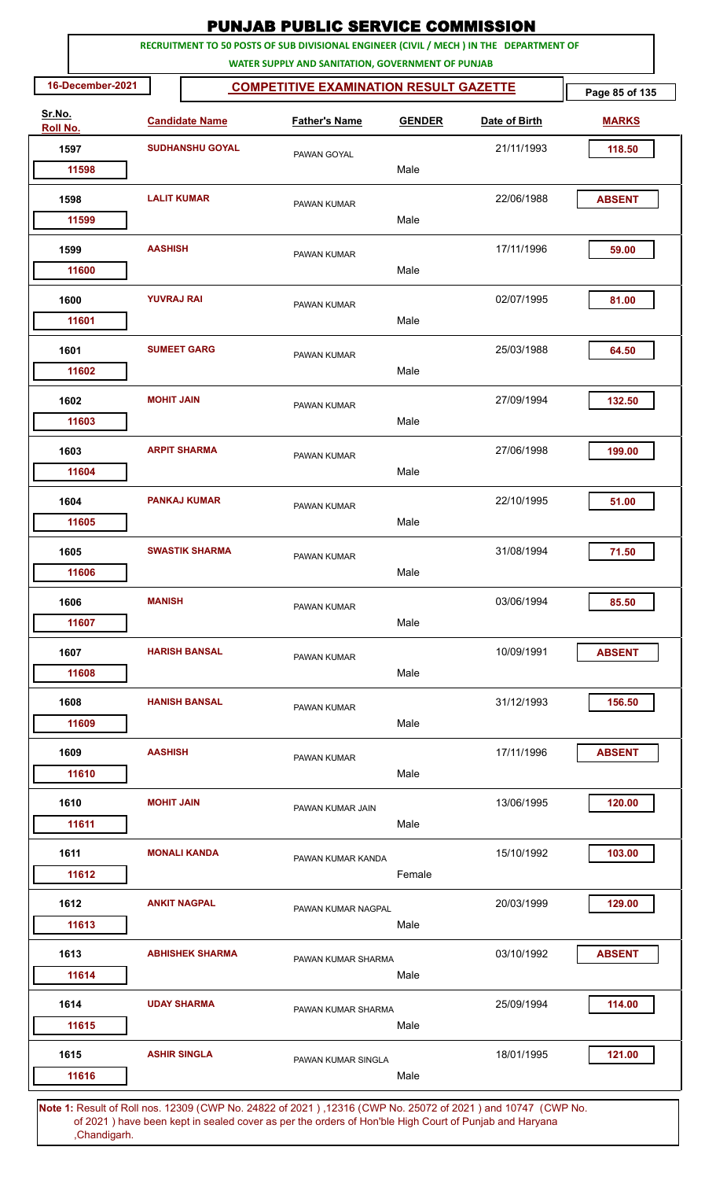|                    |                     |                        | <b>PUNJAB PUBLIC SERVICE COMMISSION</b>                                                                                                      |               |               |                |
|--------------------|---------------------|------------------------|----------------------------------------------------------------------------------------------------------------------------------------------|---------------|---------------|----------------|
|                    |                     |                        | RECRUITMENT TO 50 POSTS OF SUB DIVISIONAL ENGINEER (CIVIL / MECH ) IN THE DEPARTMENT OF<br>WATER SUPPLY AND SANITATION, GOVERNMENT OF PUNJAB |               |               |                |
| 16-December-2021   |                     |                        | <b>COMPETITIVE EXAMINATION RESULT GAZETTE</b>                                                                                                |               |               | Page 85 of 135 |
| Sr.No.<br>Roll No. |                     | <b>Candidate Name</b>  | <b>Father's Name</b>                                                                                                                         | <b>GENDER</b> | Date of Birth | <b>MARKS</b>   |
| 1597               |                     | <b>SUDHANSHU GOYAL</b> | PAWAN GOYAL                                                                                                                                  |               | 21/11/1993    | 118.50         |
| 11598              |                     |                        |                                                                                                                                              | Male          |               |                |
| 1598               | <b>LALIT KUMAR</b>  |                        | PAWAN KUMAR                                                                                                                                  |               | 22/06/1988    | <b>ABSENT</b>  |
| 11599              |                     |                        |                                                                                                                                              | Male          |               |                |
| 1599<br>11600      | <b>AASHISH</b>      |                        | PAWAN KUMAR                                                                                                                                  | Male          | 17/11/1996    | 59.00          |
|                    |                     |                        |                                                                                                                                              |               |               |                |
| 1600<br>11601      | <b>YUVRAJ RAI</b>   |                        | PAWAN KUMAR                                                                                                                                  | Male          | 02/07/1995    | 81.00          |
| 1601               |                     | <b>SUMEET GARG</b>     | PAWAN KUMAR                                                                                                                                  |               | 25/03/1988    | 64.50          |
| 11602              |                     |                        |                                                                                                                                              | Male          |               |                |
| 1602<br>11603      | <b>MOHIT JAIN</b>   |                        | PAWAN KUMAR                                                                                                                                  | Male          | 27/09/1994    | 132.50         |
|                    |                     |                        |                                                                                                                                              |               |               |                |
| 1603<br>11604      |                     | <b>ARPIT SHARMA</b>    | PAWAN KUMAR                                                                                                                                  | Male          | 27/06/1998    | 199.00         |
| 1604               |                     | <b>PANKAJ KUMAR</b>    | PAWAN KUMAR                                                                                                                                  |               | 22/10/1995    | 51.00          |
| 11605              |                     |                        |                                                                                                                                              | Male          |               |                |
| 1605               |                     | <b>SWASTIK SHARMA</b>  | PAWAN KUMAR                                                                                                                                  |               | 31/08/1994    | 71.50          |
| 11606              |                     |                        |                                                                                                                                              | Male          |               |                |
| 1606               | <b>MANISH</b>       |                        | PAWAN KUMAR                                                                                                                                  |               | 03/06/1994    | 85.50          |
| 11607              |                     |                        |                                                                                                                                              | Male          |               |                |
| 1607               |                     | <b>HARISH BANSAL</b>   | PAWAN KUMAR                                                                                                                                  |               | 10/09/1991    | <b>ABSENT</b>  |
| 11608              |                     |                        |                                                                                                                                              | Male          |               |                |
| 1608               |                     | <b>HANISH BANSAL</b>   | PAWAN KUMAR                                                                                                                                  |               | 31/12/1993    | 156.50         |
| 11609              |                     |                        |                                                                                                                                              | Male          |               |                |
| 1609               | <b>AASHISH</b>      |                        | PAWAN KUMAR                                                                                                                                  |               | 17/11/1996    | <b>ABSENT</b>  |
| 11610              |                     |                        |                                                                                                                                              | Male          |               |                |
| 1610               | <b>MOHIT JAIN</b>   |                        | PAWAN KUMAR JAIN                                                                                                                             |               | 13/06/1995    | 120.00         |
| 11611              |                     |                        |                                                                                                                                              | Male          |               |                |
| 1611               |                     | <b>MONALI KANDA</b>    | PAWAN KUMAR KANDA                                                                                                                            |               | 15/10/1992    | 103.00         |
| 11612              |                     |                        |                                                                                                                                              | Female        |               |                |
| 1612               |                     | <b>ANKIT NAGPAL</b>    | PAWAN KUMAR NAGPAL                                                                                                                           |               | 20/03/1999    | 129.00         |
| 11613              |                     |                        |                                                                                                                                              | Male          |               |                |
| 1613               |                     | <b>ABHISHEK SHARMA</b> | PAWAN KUMAR SHARMA                                                                                                                           |               | 03/10/1992    | <b>ABSENT</b>  |
| 11614              |                     |                        |                                                                                                                                              | Male          |               |                |
| 1614<br>11615      |                     | <b>UDAY SHARMA</b>     | PAWAN KUMAR SHARMA                                                                                                                           | Male          | 25/09/1994    | 114.00         |
| 1615               | <b>ASHIR SINGLA</b> |                        | PAWAN KUMAR SINGLA                                                                                                                           |               | 18/01/1995    | 121.00         |
| 11616              |                     |                        |                                                                                                                                              | Male          |               |                |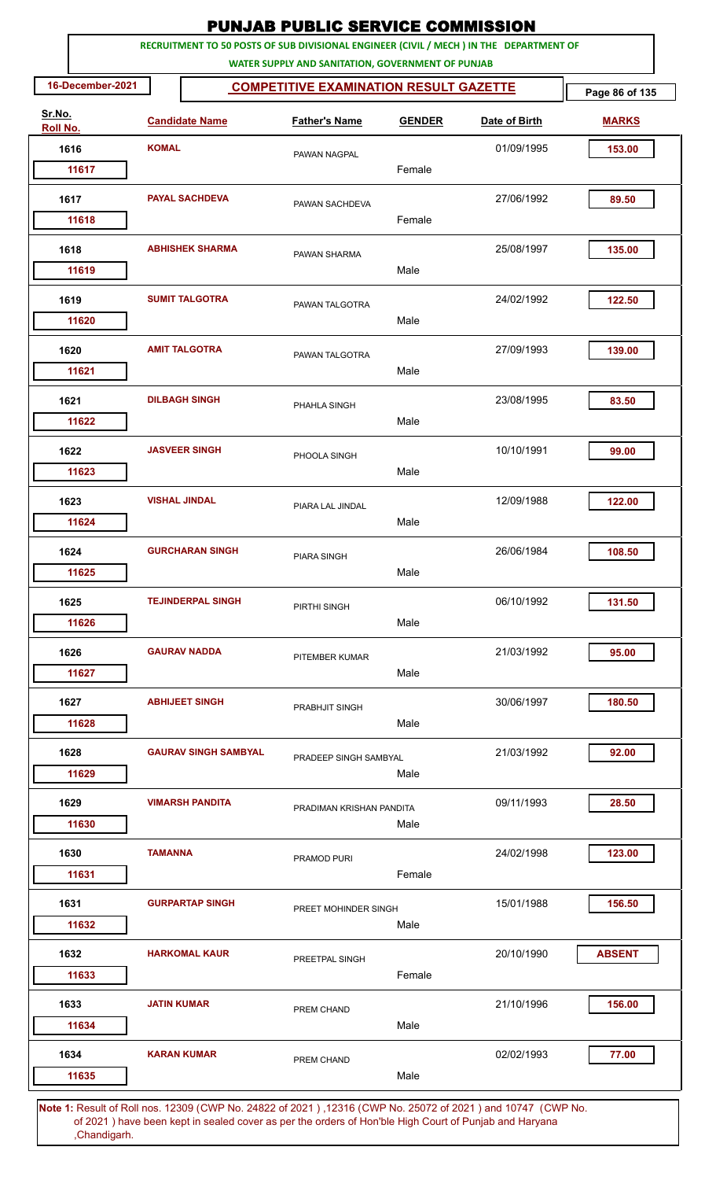| RECRUITMENT TO 50 POSTS OF SUB DIVISIONAL ENGINEER (CIVIL / MECH ) IN THE DEPARTMENT OF<br>WATER SUPPLY AND SANITATION, GOVERNMENT OF PUNJAB<br>16-December-2021<br><b>COMPETITIVE EXAMINATION RESULT GAZETTE</b><br>Page 86 of 135<br>Sr.No.<br><b>Candidate Name</b><br><b>Father's Name</b><br><b>GENDER</b><br>Date of Birth<br><b>MARKS</b><br>Roll No.<br><b>KOMAL</b><br>1616<br>01/09/1995<br>153.00<br>PAWAN NAGPAL<br>Female<br>11617<br><b>PAYAL SACHDEVA</b><br>27/06/1992<br>89.50<br>1617<br>PAWAN SACHDEVA<br>Female<br>11618<br>25/08/1997<br>1618<br><b>ABHISHEK SHARMA</b><br>135.00<br>PAWAN SHARMA<br>Male<br>11619<br><b>SUMIT TALGOTRA</b><br>1619<br>24/02/1992<br>122.50<br>PAWAN TALGOTRA<br>Male<br>11620<br><b>AMIT TALGOTRA</b><br>27/09/1993<br>139.00<br>1620<br>PAWAN TALGOTRA<br>Male<br>11621<br>23/08/1995<br>1621<br><b>DILBAGH SINGH</b><br>83.50<br>PHAHLA SINGH<br>11622<br>Male<br><b>JASVEER SINGH</b><br>10/10/1991<br>1622<br>99.00<br>PHOOLA SINGH<br>Male<br>11623<br><b>VISHAL JINDAL</b><br>12/09/1988<br>122.00<br>1623<br>PIARA LAL JINDAL<br>Male<br>11624<br>26/06/1984<br>1624<br><b>GURCHARAN SINGH</b><br>108.50<br><b>PIARA SINGH</b><br>Male<br>11625<br><b>TEJINDERPAL SINGH</b><br>1625<br>06/10/1992<br>131.50<br>PIRTHI SINGH<br>Male<br>11626<br><b>GAURAV NADDA</b><br>1626<br>21/03/1992<br>95.00<br>PITEMBER KUMAR<br>Male<br>11627<br>1627<br><b>ABHIJEET SINGH</b><br>30/06/1997<br>180.50<br>PRABHJIT SINGH<br>11628<br>Male<br>1628<br><b>GAURAV SINGH SAMBYAL</b><br>21/03/1992<br>92.00<br>PRADEEP SINGH SAMBYAL<br>11629<br>Male<br><b>VIMARSH PANDITA</b><br>09/11/1993<br>28.50<br>1629<br>PRADIMAN KRISHAN PANDITA<br>11630<br>Male<br>24/02/1998<br>123.00<br>1630<br><b>TAMANNA</b><br>PRAMOD PURI<br>Female<br>11631<br>1631<br><b>GURPARTAP SINGH</b><br>15/01/1988<br>156.50<br>PREET MOHINDER SINGH<br>11632<br>Male<br><b>HARKOMAL KAUR</b><br>20/10/1990<br>1632<br><b>ABSENT</b><br>PREETPAL SINGH<br>Female<br>11633<br>21/10/1996<br>156.00<br>1633<br><b>JATIN KUMAR</b><br>PREM CHAND<br>Male<br>11634<br><b>KARAN KUMAR</b><br>02/02/1993<br>1634<br>77.00<br>PREM CHAND<br>Male<br>11635 |  |  | <b>PUNJAB PUBLIC SERVICE COMMISSION</b> |  |  |
|----------------------------------------------------------------------------------------------------------------------------------------------------------------------------------------------------------------------------------------------------------------------------------------------------------------------------------------------------------------------------------------------------------------------------------------------------------------------------------------------------------------------------------------------------------------------------------------------------------------------------------------------------------------------------------------------------------------------------------------------------------------------------------------------------------------------------------------------------------------------------------------------------------------------------------------------------------------------------------------------------------------------------------------------------------------------------------------------------------------------------------------------------------------------------------------------------------------------------------------------------------------------------------------------------------------------------------------------------------------------------------------------------------------------------------------------------------------------------------------------------------------------------------------------------------------------------------------------------------------------------------------------------------------------------------------------------------------------------------------------------------------------------------------------------------------------------------------------------------------------------------------------------------------------------------------------------------------------------------------------------------------------------------------------------------------------------------------------------------------------------------------------------------------------------------|--|--|-----------------------------------------|--|--|
|                                                                                                                                                                                                                                                                                                                                                                                                                                                                                                                                                                                                                                                                                                                                                                                                                                                                                                                                                                                                                                                                                                                                                                                                                                                                                                                                                                                                                                                                                                                                                                                                                                                                                                                                                                                                                                                                                                                                                                                                                                                                                                                                                                                  |  |  |                                         |  |  |
|                                                                                                                                                                                                                                                                                                                                                                                                                                                                                                                                                                                                                                                                                                                                                                                                                                                                                                                                                                                                                                                                                                                                                                                                                                                                                                                                                                                                                                                                                                                                                                                                                                                                                                                                                                                                                                                                                                                                                                                                                                                                                                                                                                                  |  |  |                                         |  |  |
|                                                                                                                                                                                                                                                                                                                                                                                                                                                                                                                                                                                                                                                                                                                                                                                                                                                                                                                                                                                                                                                                                                                                                                                                                                                                                                                                                                                                                                                                                                                                                                                                                                                                                                                                                                                                                                                                                                                                                                                                                                                                                                                                                                                  |  |  |                                         |  |  |
|                                                                                                                                                                                                                                                                                                                                                                                                                                                                                                                                                                                                                                                                                                                                                                                                                                                                                                                                                                                                                                                                                                                                                                                                                                                                                                                                                                                                                                                                                                                                                                                                                                                                                                                                                                                                                                                                                                                                                                                                                                                                                                                                                                                  |  |  |                                         |  |  |
|                                                                                                                                                                                                                                                                                                                                                                                                                                                                                                                                                                                                                                                                                                                                                                                                                                                                                                                                                                                                                                                                                                                                                                                                                                                                                                                                                                                                                                                                                                                                                                                                                                                                                                                                                                                                                                                                                                                                                                                                                                                                                                                                                                                  |  |  |                                         |  |  |
|                                                                                                                                                                                                                                                                                                                                                                                                                                                                                                                                                                                                                                                                                                                                                                                                                                                                                                                                                                                                                                                                                                                                                                                                                                                                                                                                                                                                                                                                                                                                                                                                                                                                                                                                                                                                                                                                                                                                                                                                                                                                                                                                                                                  |  |  |                                         |  |  |
|                                                                                                                                                                                                                                                                                                                                                                                                                                                                                                                                                                                                                                                                                                                                                                                                                                                                                                                                                                                                                                                                                                                                                                                                                                                                                                                                                                                                                                                                                                                                                                                                                                                                                                                                                                                                                                                                                                                                                                                                                                                                                                                                                                                  |  |  |                                         |  |  |
|                                                                                                                                                                                                                                                                                                                                                                                                                                                                                                                                                                                                                                                                                                                                                                                                                                                                                                                                                                                                                                                                                                                                                                                                                                                                                                                                                                                                                                                                                                                                                                                                                                                                                                                                                                                                                                                                                                                                                                                                                                                                                                                                                                                  |  |  |                                         |  |  |
|                                                                                                                                                                                                                                                                                                                                                                                                                                                                                                                                                                                                                                                                                                                                                                                                                                                                                                                                                                                                                                                                                                                                                                                                                                                                                                                                                                                                                                                                                                                                                                                                                                                                                                                                                                                                                                                                                                                                                                                                                                                                                                                                                                                  |  |  |                                         |  |  |
|                                                                                                                                                                                                                                                                                                                                                                                                                                                                                                                                                                                                                                                                                                                                                                                                                                                                                                                                                                                                                                                                                                                                                                                                                                                                                                                                                                                                                                                                                                                                                                                                                                                                                                                                                                                                                                                                                                                                                                                                                                                                                                                                                                                  |  |  |                                         |  |  |
|                                                                                                                                                                                                                                                                                                                                                                                                                                                                                                                                                                                                                                                                                                                                                                                                                                                                                                                                                                                                                                                                                                                                                                                                                                                                                                                                                                                                                                                                                                                                                                                                                                                                                                                                                                                                                                                                                                                                                                                                                                                                                                                                                                                  |  |  |                                         |  |  |
|                                                                                                                                                                                                                                                                                                                                                                                                                                                                                                                                                                                                                                                                                                                                                                                                                                                                                                                                                                                                                                                                                                                                                                                                                                                                                                                                                                                                                                                                                                                                                                                                                                                                                                                                                                                                                                                                                                                                                                                                                                                                                                                                                                                  |  |  |                                         |  |  |
|                                                                                                                                                                                                                                                                                                                                                                                                                                                                                                                                                                                                                                                                                                                                                                                                                                                                                                                                                                                                                                                                                                                                                                                                                                                                                                                                                                                                                                                                                                                                                                                                                                                                                                                                                                                                                                                                                                                                                                                                                                                                                                                                                                                  |  |  |                                         |  |  |
|                                                                                                                                                                                                                                                                                                                                                                                                                                                                                                                                                                                                                                                                                                                                                                                                                                                                                                                                                                                                                                                                                                                                                                                                                                                                                                                                                                                                                                                                                                                                                                                                                                                                                                                                                                                                                                                                                                                                                                                                                                                                                                                                                                                  |  |  |                                         |  |  |
|                                                                                                                                                                                                                                                                                                                                                                                                                                                                                                                                                                                                                                                                                                                                                                                                                                                                                                                                                                                                                                                                                                                                                                                                                                                                                                                                                                                                                                                                                                                                                                                                                                                                                                                                                                                                                                                                                                                                                                                                                                                                                                                                                                                  |  |  |                                         |  |  |
|                                                                                                                                                                                                                                                                                                                                                                                                                                                                                                                                                                                                                                                                                                                                                                                                                                                                                                                                                                                                                                                                                                                                                                                                                                                                                                                                                                                                                                                                                                                                                                                                                                                                                                                                                                                                                                                                                                                                                                                                                                                                                                                                                                                  |  |  |                                         |  |  |
|                                                                                                                                                                                                                                                                                                                                                                                                                                                                                                                                                                                                                                                                                                                                                                                                                                                                                                                                                                                                                                                                                                                                                                                                                                                                                                                                                                                                                                                                                                                                                                                                                                                                                                                                                                                                                                                                                                                                                                                                                                                                                                                                                                                  |  |  |                                         |  |  |
|                                                                                                                                                                                                                                                                                                                                                                                                                                                                                                                                                                                                                                                                                                                                                                                                                                                                                                                                                                                                                                                                                                                                                                                                                                                                                                                                                                                                                                                                                                                                                                                                                                                                                                                                                                                                                                                                                                                                                                                                                                                                                                                                                                                  |  |  |                                         |  |  |
|                                                                                                                                                                                                                                                                                                                                                                                                                                                                                                                                                                                                                                                                                                                                                                                                                                                                                                                                                                                                                                                                                                                                                                                                                                                                                                                                                                                                                                                                                                                                                                                                                                                                                                                                                                                                                                                                                                                                                                                                                                                                                                                                                                                  |  |  |                                         |  |  |
|                                                                                                                                                                                                                                                                                                                                                                                                                                                                                                                                                                                                                                                                                                                                                                                                                                                                                                                                                                                                                                                                                                                                                                                                                                                                                                                                                                                                                                                                                                                                                                                                                                                                                                                                                                                                                                                                                                                                                                                                                                                                                                                                                                                  |  |  |                                         |  |  |
|                                                                                                                                                                                                                                                                                                                                                                                                                                                                                                                                                                                                                                                                                                                                                                                                                                                                                                                                                                                                                                                                                                                                                                                                                                                                                                                                                                                                                                                                                                                                                                                                                                                                                                                                                                                                                                                                                                                                                                                                                                                                                                                                                                                  |  |  |                                         |  |  |
|                                                                                                                                                                                                                                                                                                                                                                                                                                                                                                                                                                                                                                                                                                                                                                                                                                                                                                                                                                                                                                                                                                                                                                                                                                                                                                                                                                                                                                                                                                                                                                                                                                                                                                                                                                                                                                                                                                                                                                                                                                                                                                                                                                                  |  |  |                                         |  |  |
|                                                                                                                                                                                                                                                                                                                                                                                                                                                                                                                                                                                                                                                                                                                                                                                                                                                                                                                                                                                                                                                                                                                                                                                                                                                                                                                                                                                                                                                                                                                                                                                                                                                                                                                                                                                                                                                                                                                                                                                                                                                                                                                                                                                  |  |  |                                         |  |  |
|                                                                                                                                                                                                                                                                                                                                                                                                                                                                                                                                                                                                                                                                                                                                                                                                                                                                                                                                                                                                                                                                                                                                                                                                                                                                                                                                                                                                                                                                                                                                                                                                                                                                                                                                                                                                                                                                                                                                                                                                                                                                                                                                                                                  |  |  |                                         |  |  |
|                                                                                                                                                                                                                                                                                                                                                                                                                                                                                                                                                                                                                                                                                                                                                                                                                                                                                                                                                                                                                                                                                                                                                                                                                                                                                                                                                                                                                                                                                                                                                                                                                                                                                                                                                                                                                                                                                                                                                                                                                                                                                                                                                                                  |  |  |                                         |  |  |
|                                                                                                                                                                                                                                                                                                                                                                                                                                                                                                                                                                                                                                                                                                                                                                                                                                                                                                                                                                                                                                                                                                                                                                                                                                                                                                                                                                                                                                                                                                                                                                                                                                                                                                                                                                                                                                                                                                                                                                                                                                                                                                                                                                                  |  |  |                                         |  |  |
|                                                                                                                                                                                                                                                                                                                                                                                                                                                                                                                                                                                                                                                                                                                                                                                                                                                                                                                                                                                                                                                                                                                                                                                                                                                                                                                                                                                                                                                                                                                                                                                                                                                                                                                                                                                                                                                                                                                                                                                                                                                                                                                                                                                  |  |  |                                         |  |  |
|                                                                                                                                                                                                                                                                                                                                                                                                                                                                                                                                                                                                                                                                                                                                                                                                                                                                                                                                                                                                                                                                                                                                                                                                                                                                                                                                                                                                                                                                                                                                                                                                                                                                                                                                                                                                                                                                                                                                                                                                                                                                                                                                                                                  |  |  |                                         |  |  |
|                                                                                                                                                                                                                                                                                                                                                                                                                                                                                                                                                                                                                                                                                                                                                                                                                                                                                                                                                                                                                                                                                                                                                                                                                                                                                                                                                                                                                                                                                                                                                                                                                                                                                                                                                                                                                                                                                                                                                                                                                                                                                                                                                                                  |  |  |                                         |  |  |
|                                                                                                                                                                                                                                                                                                                                                                                                                                                                                                                                                                                                                                                                                                                                                                                                                                                                                                                                                                                                                                                                                                                                                                                                                                                                                                                                                                                                                                                                                                                                                                                                                                                                                                                                                                                                                                                                                                                                                                                                                                                                                                                                                                                  |  |  |                                         |  |  |
|                                                                                                                                                                                                                                                                                                                                                                                                                                                                                                                                                                                                                                                                                                                                                                                                                                                                                                                                                                                                                                                                                                                                                                                                                                                                                                                                                                                                                                                                                                                                                                                                                                                                                                                                                                                                                                                                                                                                                                                                                                                                                                                                                                                  |  |  |                                         |  |  |
|                                                                                                                                                                                                                                                                                                                                                                                                                                                                                                                                                                                                                                                                                                                                                                                                                                                                                                                                                                                                                                                                                                                                                                                                                                                                                                                                                                                                                                                                                                                                                                                                                                                                                                                                                                                                                                                                                                                                                                                                                                                                                                                                                                                  |  |  |                                         |  |  |
|                                                                                                                                                                                                                                                                                                                                                                                                                                                                                                                                                                                                                                                                                                                                                                                                                                                                                                                                                                                                                                                                                                                                                                                                                                                                                                                                                                                                                                                                                                                                                                                                                                                                                                                                                                                                                                                                                                                                                                                                                                                                                                                                                                                  |  |  |                                         |  |  |
|                                                                                                                                                                                                                                                                                                                                                                                                                                                                                                                                                                                                                                                                                                                                                                                                                                                                                                                                                                                                                                                                                                                                                                                                                                                                                                                                                                                                                                                                                                                                                                                                                                                                                                                                                                                                                                                                                                                                                                                                                                                                                                                                                                                  |  |  |                                         |  |  |
|                                                                                                                                                                                                                                                                                                                                                                                                                                                                                                                                                                                                                                                                                                                                                                                                                                                                                                                                                                                                                                                                                                                                                                                                                                                                                                                                                                                                                                                                                                                                                                                                                                                                                                                                                                                                                                                                                                                                                                                                                                                                                                                                                                                  |  |  |                                         |  |  |
|                                                                                                                                                                                                                                                                                                                                                                                                                                                                                                                                                                                                                                                                                                                                                                                                                                                                                                                                                                                                                                                                                                                                                                                                                                                                                                                                                                                                                                                                                                                                                                                                                                                                                                                                                                                                                                                                                                                                                                                                                                                                                                                                                                                  |  |  |                                         |  |  |
|                                                                                                                                                                                                                                                                                                                                                                                                                                                                                                                                                                                                                                                                                                                                                                                                                                                                                                                                                                                                                                                                                                                                                                                                                                                                                                                                                                                                                                                                                                                                                                                                                                                                                                                                                                                                                                                                                                                                                                                                                                                                                                                                                                                  |  |  |                                         |  |  |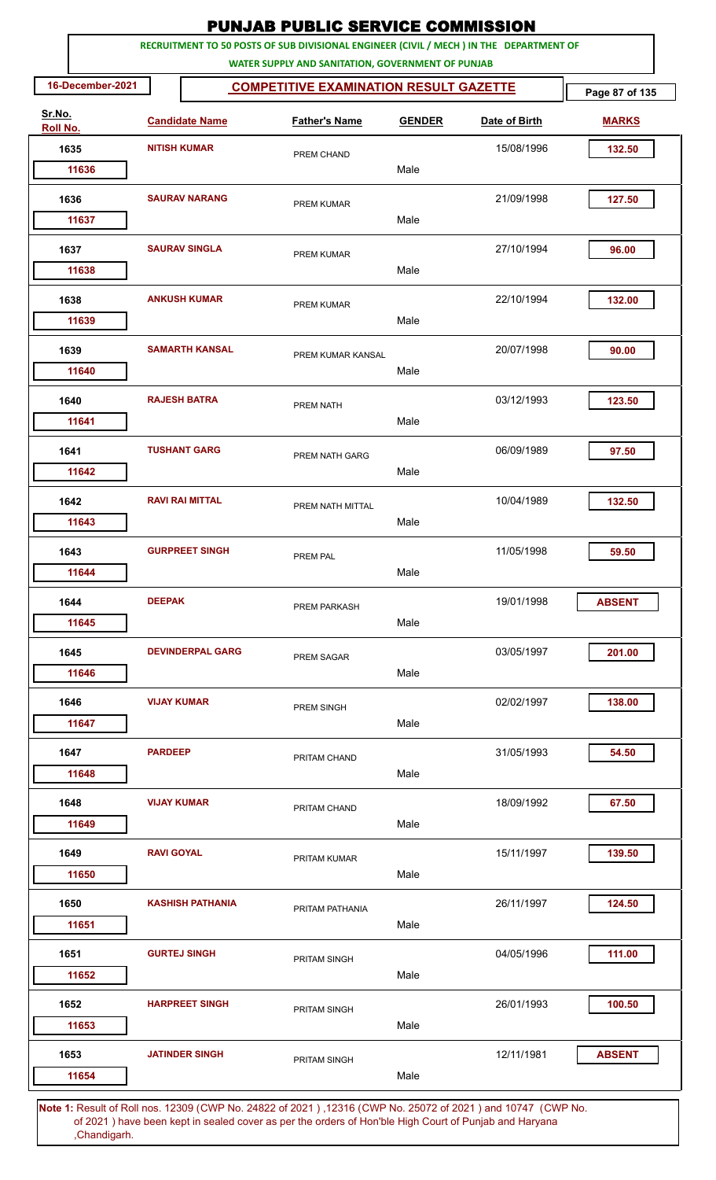| RECRUITMENT TO 50 POSTS OF SUB DIVISIONAL ENGINEER (CIVIL / MECH ) IN THE DEPARTMENT OF<br>WATER SUPPLY AND SANITATION, GOVERNMENT OF PUNJAB<br>16-December-2021<br><b>COMPETITIVE EXAMINATION RESULT GAZETTE</b><br>Page 87 of 135<br>Sr.No.<br><b>Candidate Name</b><br><b>Father's Name</b><br><b>GENDER</b><br>Date of Birth<br><b>MARKS</b><br>Roll No.<br><b>NITISH KUMAR</b><br>15/08/1996<br>1635<br>132.50<br>PREM CHAND<br>Male<br>11636<br><b>SAURAV NARANG</b><br>21/09/1998<br>127.50<br>1636<br>PREM KUMAR<br>Male<br>11637<br>27/10/1994<br>1637<br><b>SAURAV SINGLA</b><br>96.00<br>PREM KUMAR<br>Male<br>11638<br><b>ANKUSH KUMAR</b><br>1638<br>22/10/1994<br>132.00<br>PREM KUMAR<br>Male<br>11639<br><b>SAMARTH KANSAL</b><br>20/07/1998<br>1639<br>90.00<br>PREM KUMAR KANSAL<br>11640<br>Male<br>03/12/1993<br>1640<br><b>RAJESH BATRA</b><br>123.50<br>PREM NATH<br>11641<br>Male<br><b>TUSHANT GARG</b><br>06/09/1989<br>1641<br>97.50<br>PREM NATH GARG<br>Male<br>11642<br><b>RAVI RAI MITTAL</b><br>10/04/1989<br>132.50<br>1642<br>PREM NATH MITTAL<br>Male<br>11643<br>11/05/1998<br>1643<br><b>GURPREET SINGH</b><br>59.50<br>PREM PAL<br>Male<br>11644<br><b>DEEPAK</b><br>19/01/1998<br>1644<br><b>ABSENT</b><br>PREM PARKASH<br>Male<br>11645<br><b>DEVINDERPAL GARG</b><br>03/05/1997<br>201.00<br>1645<br><b>PREM SAGAR</b><br>Male<br>11646<br>1646<br><b>VIJAY KUMAR</b><br>02/02/1997<br>138.00<br>PREM SINGH<br>Male<br>11647<br>1647<br><b>PARDEEP</b><br>31/05/1993<br>54.50<br>PRITAM CHAND<br>Male<br>11648<br><b>VIJAY KUMAR</b><br>18/09/1992<br>67.50<br>1648<br>PRITAM CHAND<br>Male<br>11649<br>15/11/1997<br>139.50<br>1649<br><b>RAVI GOYAL</b><br>PRITAM KUMAR<br>Male<br>11650<br><b>KASHISH PATHANIA</b><br>26/11/1997<br>1650<br>124.50<br>PRITAM PATHANIA<br>Male<br>11651<br><b>GURTEJ SINGH</b><br>111.00<br>1651<br>04/05/1996<br><b>PRITAM SINGH</b><br>11652<br>Male<br>26/01/1993<br>100.50<br>1652<br><b>HARPREET SINGH</b><br>PRITAM SINGH<br>Male<br>11653<br><b>JATINDER SINGH</b><br>12/11/1981<br>1653<br><b>ABSENT</b><br>PRITAM SINGH<br>Male<br>11654 |  |  |  |  | <b>PUNJAB PUBLIC SERVICE COMMISSION</b> |  |
|-----------------------------------------------------------------------------------------------------------------------------------------------------------------------------------------------------------------------------------------------------------------------------------------------------------------------------------------------------------------------------------------------------------------------------------------------------------------------------------------------------------------------------------------------------------------------------------------------------------------------------------------------------------------------------------------------------------------------------------------------------------------------------------------------------------------------------------------------------------------------------------------------------------------------------------------------------------------------------------------------------------------------------------------------------------------------------------------------------------------------------------------------------------------------------------------------------------------------------------------------------------------------------------------------------------------------------------------------------------------------------------------------------------------------------------------------------------------------------------------------------------------------------------------------------------------------------------------------------------------------------------------------------------------------------------------------------------------------------------------------------------------------------------------------------------------------------------------------------------------------------------------------------------------------------------------------------------------------------------------------------------------------------------------------------------------------------------------------------------------------------|--|--|--|--|-----------------------------------------|--|
|                                                                                                                                                                                                                                                                                                                                                                                                                                                                                                                                                                                                                                                                                                                                                                                                                                                                                                                                                                                                                                                                                                                                                                                                                                                                                                                                                                                                                                                                                                                                                                                                                                                                                                                                                                                                                                                                                                                                                                                                                                                                                                                             |  |  |  |  |                                         |  |
|                                                                                                                                                                                                                                                                                                                                                                                                                                                                                                                                                                                                                                                                                                                                                                                                                                                                                                                                                                                                                                                                                                                                                                                                                                                                                                                                                                                                                                                                                                                                                                                                                                                                                                                                                                                                                                                                                                                                                                                                                                                                                                                             |  |  |  |  |                                         |  |
|                                                                                                                                                                                                                                                                                                                                                                                                                                                                                                                                                                                                                                                                                                                                                                                                                                                                                                                                                                                                                                                                                                                                                                                                                                                                                                                                                                                                                                                                                                                                                                                                                                                                                                                                                                                                                                                                                                                                                                                                                                                                                                                             |  |  |  |  |                                         |  |
|                                                                                                                                                                                                                                                                                                                                                                                                                                                                                                                                                                                                                                                                                                                                                                                                                                                                                                                                                                                                                                                                                                                                                                                                                                                                                                                                                                                                                                                                                                                                                                                                                                                                                                                                                                                                                                                                                                                                                                                                                                                                                                                             |  |  |  |  |                                         |  |
|                                                                                                                                                                                                                                                                                                                                                                                                                                                                                                                                                                                                                                                                                                                                                                                                                                                                                                                                                                                                                                                                                                                                                                                                                                                                                                                                                                                                                                                                                                                                                                                                                                                                                                                                                                                                                                                                                                                                                                                                                                                                                                                             |  |  |  |  |                                         |  |
|                                                                                                                                                                                                                                                                                                                                                                                                                                                                                                                                                                                                                                                                                                                                                                                                                                                                                                                                                                                                                                                                                                                                                                                                                                                                                                                                                                                                                                                                                                                                                                                                                                                                                                                                                                                                                                                                                                                                                                                                                                                                                                                             |  |  |  |  |                                         |  |
|                                                                                                                                                                                                                                                                                                                                                                                                                                                                                                                                                                                                                                                                                                                                                                                                                                                                                                                                                                                                                                                                                                                                                                                                                                                                                                                                                                                                                                                                                                                                                                                                                                                                                                                                                                                                                                                                                                                                                                                                                                                                                                                             |  |  |  |  |                                         |  |
|                                                                                                                                                                                                                                                                                                                                                                                                                                                                                                                                                                                                                                                                                                                                                                                                                                                                                                                                                                                                                                                                                                                                                                                                                                                                                                                                                                                                                                                                                                                                                                                                                                                                                                                                                                                                                                                                                                                                                                                                                                                                                                                             |  |  |  |  |                                         |  |
|                                                                                                                                                                                                                                                                                                                                                                                                                                                                                                                                                                                                                                                                                                                                                                                                                                                                                                                                                                                                                                                                                                                                                                                                                                                                                                                                                                                                                                                                                                                                                                                                                                                                                                                                                                                                                                                                                                                                                                                                                                                                                                                             |  |  |  |  |                                         |  |
|                                                                                                                                                                                                                                                                                                                                                                                                                                                                                                                                                                                                                                                                                                                                                                                                                                                                                                                                                                                                                                                                                                                                                                                                                                                                                                                                                                                                                                                                                                                                                                                                                                                                                                                                                                                                                                                                                                                                                                                                                                                                                                                             |  |  |  |  |                                         |  |
|                                                                                                                                                                                                                                                                                                                                                                                                                                                                                                                                                                                                                                                                                                                                                                                                                                                                                                                                                                                                                                                                                                                                                                                                                                                                                                                                                                                                                                                                                                                                                                                                                                                                                                                                                                                                                                                                                                                                                                                                                                                                                                                             |  |  |  |  |                                         |  |
|                                                                                                                                                                                                                                                                                                                                                                                                                                                                                                                                                                                                                                                                                                                                                                                                                                                                                                                                                                                                                                                                                                                                                                                                                                                                                                                                                                                                                                                                                                                                                                                                                                                                                                                                                                                                                                                                                                                                                                                                                                                                                                                             |  |  |  |  |                                         |  |
|                                                                                                                                                                                                                                                                                                                                                                                                                                                                                                                                                                                                                                                                                                                                                                                                                                                                                                                                                                                                                                                                                                                                                                                                                                                                                                                                                                                                                                                                                                                                                                                                                                                                                                                                                                                                                                                                                                                                                                                                                                                                                                                             |  |  |  |  |                                         |  |
|                                                                                                                                                                                                                                                                                                                                                                                                                                                                                                                                                                                                                                                                                                                                                                                                                                                                                                                                                                                                                                                                                                                                                                                                                                                                                                                                                                                                                                                                                                                                                                                                                                                                                                                                                                                                                                                                                                                                                                                                                                                                                                                             |  |  |  |  |                                         |  |
|                                                                                                                                                                                                                                                                                                                                                                                                                                                                                                                                                                                                                                                                                                                                                                                                                                                                                                                                                                                                                                                                                                                                                                                                                                                                                                                                                                                                                                                                                                                                                                                                                                                                                                                                                                                                                                                                                                                                                                                                                                                                                                                             |  |  |  |  |                                         |  |
|                                                                                                                                                                                                                                                                                                                                                                                                                                                                                                                                                                                                                                                                                                                                                                                                                                                                                                                                                                                                                                                                                                                                                                                                                                                                                                                                                                                                                                                                                                                                                                                                                                                                                                                                                                                                                                                                                                                                                                                                                                                                                                                             |  |  |  |  |                                         |  |
|                                                                                                                                                                                                                                                                                                                                                                                                                                                                                                                                                                                                                                                                                                                                                                                                                                                                                                                                                                                                                                                                                                                                                                                                                                                                                                                                                                                                                                                                                                                                                                                                                                                                                                                                                                                                                                                                                                                                                                                                                                                                                                                             |  |  |  |  |                                         |  |
|                                                                                                                                                                                                                                                                                                                                                                                                                                                                                                                                                                                                                                                                                                                                                                                                                                                                                                                                                                                                                                                                                                                                                                                                                                                                                                                                                                                                                                                                                                                                                                                                                                                                                                                                                                                                                                                                                                                                                                                                                                                                                                                             |  |  |  |  |                                         |  |
|                                                                                                                                                                                                                                                                                                                                                                                                                                                                                                                                                                                                                                                                                                                                                                                                                                                                                                                                                                                                                                                                                                                                                                                                                                                                                                                                                                                                                                                                                                                                                                                                                                                                                                                                                                                                                                                                                                                                                                                                                                                                                                                             |  |  |  |  |                                         |  |
|                                                                                                                                                                                                                                                                                                                                                                                                                                                                                                                                                                                                                                                                                                                                                                                                                                                                                                                                                                                                                                                                                                                                                                                                                                                                                                                                                                                                                                                                                                                                                                                                                                                                                                                                                                                                                                                                                                                                                                                                                                                                                                                             |  |  |  |  |                                         |  |
|                                                                                                                                                                                                                                                                                                                                                                                                                                                                                                                                                                                                                                                                                                                                                                                                                                                                                                                                                                                                                                                                                                                                                                                                                                                                                                                                                                                                                                                                                                                                                                                                                                                                                                                                                                                                                                                                                                                                                                                                                                                                                                                             |  |  |  |  |                                         |  |
|                                                                                                                                                                                                                                                                                                                                                                                                                                                                                                                                                                                                                                                                                                                                                                                                                                                                                                                                                                                                                                                                                                                                                                                                                                                                                                                                                                                                                                                                                                                                                                                                                                                                                                                                                                                                                                                                                                                                                                                                                                                                                                                             |  |  |  |  |                                         |  |
|                                                                                                                                                                                                                                                                                                                                                                                                                                                                                                                                                                                                                                                                                                                                                                                                                                                                                                                                                                                                                                                                                                                                                                                                                                                                                                                                                                                                                                                                                                                                                                                                                                                                                                                                                                                                                                                                                                                                                                                                                                                                                                                             |  |  |  |  |                                         |  |
|                                                                                                                                                                                                                                                                                                                                                                                                                                                                                                                                                                                                                                                                                                                                                                                                                                                                                                                                                                                                                                                                                                                                                                                                                                                                                                                                                                                                                                                                                                                                                                                                                                                                                                                                                                                                                                                                                                                                                                                                                                                                                                                             |  |  |  |  |                                         |  |
|                                                                                                                                                                                                                                                                                                                                                                                                                                                                                                                                                                                                                                                                                                                                                                                                                                                                                                                                                                                                                                                                                                                                                                                                                                                                                                                                                                                                                                                                                                                                                                                                                                                                                                                                                                                                                                                                                                                                                                                                                                                                                                                             |  |  |  |  |                                         |  |
|                                                                                                                                                                                                                                                                                                                                                                                                                                                                                                                                                                                                                                                                                                                                                                                                                                                                                                                                                                                                                                                                                                                                                                                                                                                                                                                                                                                                                                                                                                                                                                                                                                                                                                                                                                                                                                                                                                                                                                                                                                                                                                                             |  |  |  |  |                                         |  |
|                                                                                                                                                                                                                                                                                                                                                                                                                                                                                                                                                                                                                                                                                                                                                                                                                                                                                                                                                                                                                                                                                                                                                                                                                                                                                                                                                                                                                                                                                                                                                                                                                                                                                                                                                                                                                                                                                                                                                                                                                                                                                                                             |  |  |  |  |                                         |  |
|                                                                                                                                                                                                                                                                                                                                                                                                                                                                                                                                                                                                                                                                                                                                                                                                                                                                                                                                                                                                                                                                                                                                                                                                                                                                                                                                                                                                                                                                                                                                                                                                                                                                                                                                                                                                                                                                                                                                                                                                                                                                                                                             |  |  |  |  |                                         |  |
|                                                                                                                                                                                                                                                                                                                                                                                                                                                                                                                                                                                                                                                                                                                                                                                                                                                                                                                                                                                                                                                                                                                                                                                                                                                                                                                                                                                                                                                                                                                                                                                                                                                                                                                                                                                                                                                                                                                                                                                                                                                                                                                             |  |  |  |  |                                         |  |
|                                                                                                                                                                                                                                                                                                                                                                                                                                                                                                                                                                                                                                                                                                                                                                                                                                                                                                                                                                                                                                                                                                                                                                                                                                                                                                                                                                                                                                                                                                                                                                                                                                                                                                                                                                                                                                                                                                                                                                                                                                                                                                                             |  |  |  |  |                                         |  |
|                                                                                                                                                                                                                                                                                                                                                                                                                                                                                                                                                                                                                                                                                                                                                                                                                                                                                                                                                                                                                                                                                                                                                                                                                                                                                                                                                                                                                                                                                                                                                                                                                                                                                                                                                                                                                                                                                                                                                                                                                                                                                                                             |  |  |  |  |                                         |  |
|                                                                                                                                                                                                                                                                                                                                                                                                                                                                                                                                                                                                                                                                                                                                                                                                                                                                                                                                                                                                                                                                                                                                                                                                                                                                                                                                                                                                                                                                                                                                                                                                                                                                                                                                                                                                                                                                                                                                                                                                                                                                                                                             |  |  |  |  |                                         |  |
|                                                                                                                                                                                                                                                                                                                                                                                                                                                                                                                                                                                                                                                                                                                                                                                                                                                                                                                                                                                                                                                                                                                                                                                                                                                                                                                                                                                                                                                                                                                                                                                                                                                                                                                                                                                                                                                                                                                                                                                                                                                                                                                             |  |  |  |  |                                         |  |
|                                                                                                                                                                                                                                                                                                                                                                                                                                                                                                                                                                                                                                                                                                                                                                                                                                                                                                                                                                                                                                                                                                                                                                                                                                                                                                                                                                                                                                                                                                                                                                                                                                                                                                                                                                                                                                                                                                                                                                                                                                                                                                                             |  |  |  |  |                                         |  |
|                                                                                                                                                                                                                                                                                                                                                                                                                                                                                                                                                                                                                                                                                                                                                                                                                                                                                                                                                                                                                                                                                                                                                                                                                                                                                                                                                                                                                                                                                                                                                                                                                                                                                                                                                                                                                                                                                                                                                                                                                                                                                                                             |  |  |  |  |                                         |  |
|                                                                                                                                                                                                                                                                                                                                                                                                                                                                                                                                                                                                                                                                                                                                                                                                                                                                                                                                                                                                                                                                                                                                                                                                                                                                                                                                                                                                                                                                                                                                                                                                                                                                                                                                                                                                                                                                                                                                                                                                                                                                                                                             |  |  |  |  |                                         |  |
|                                                                                                                                                                                                                                                                                                                                                                                                                                                                                                                                                                                                                                                                                                                                                                                                                                                                                                                                                                                                                                                                                                                                                                                                                                                                                                                                                                                                                                                                                                                                                                                                                                                                                                                                                                                                                                                                                                                                                                                                                                                                                                                             |  |  |  |  |                                         |  |
|                                                                                                                                                                                                                                                                                                                                                                                                                                                                                                                                                                                                                                                                                                                                                                                                                                                                                                                                                                                                                                                                                                                                                                                                                                                                                                                                                                                                                                                                                                                                                                                                                                                                                                                                                                                                                                                                                                                                                                                                                                                                                                                             |  |  |  |  |                                         |  |
|                                                                                                                                                                                                                                                                                                                                                                                                                                                                                                                                                                                                                                                                                                                                                                                                                                                                                                                                                                                                                                                                                                                                                                                                                                                                                                                                                                                                                                                                                                                                                                                                                                                                                                                                                                                                                                                                                                                                                                                                                                                                                                                             |  |  |  |  |                                         |  |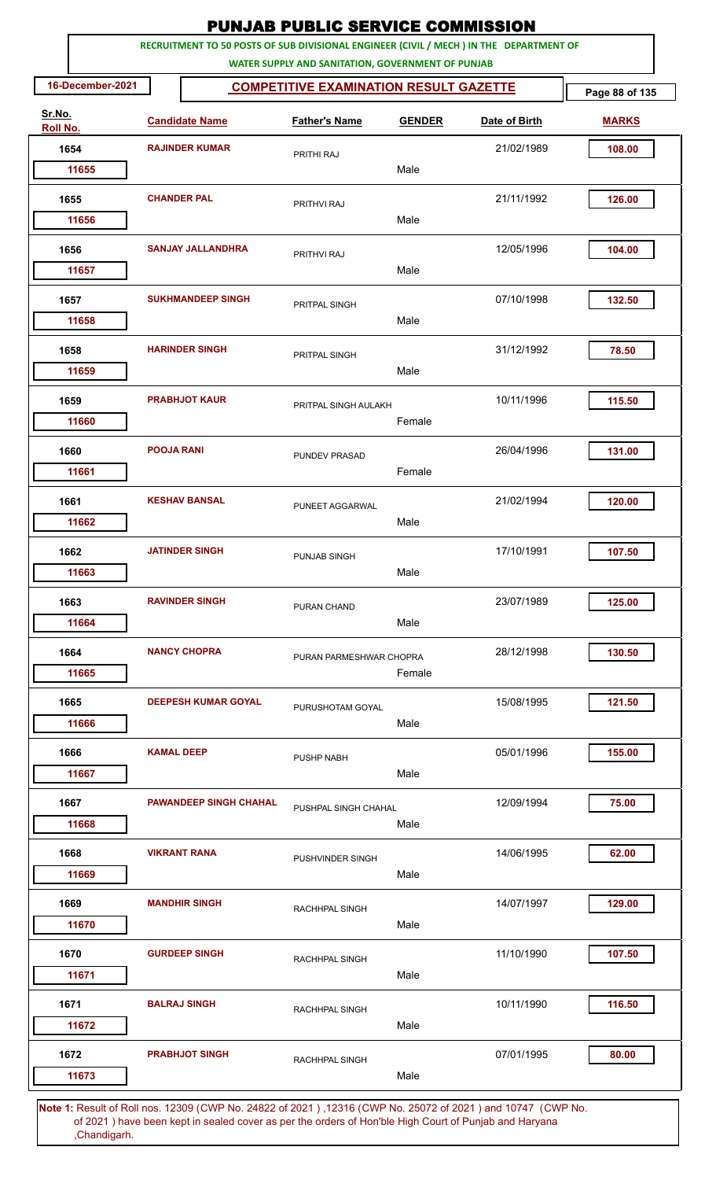| 16-December-2021<br>Sr.No.<br>Roll No.<br>1654<br>11655<br>1655<br>11656 |                    | RECRUITMENT TO 50 POSTS OF SUB DIVISIONAL ENGINEER (CIVIL / MECH ) IN THE DEPARTMENT OF<br><b>Candidate Name</b> | WATER SUPPLY AND SANITATION, GOVERNMENT OF PUNJAB |                                               |               | Page 88 of 135 |  |  |  |  |  |  |  |
|--------------------------------------------------------------------------|--------------------|------------------------------------------------------------------------------------------------------------------|---------------------------------------------------|-----------------------------------------------|---------------|----------------|--|--|--|--|--|--|--|
|                                                                          |                    |                                                                                                                  |                                                   |                                               |               |                |  |  |  |  |  |  |  |
|                                                                          |                    |                                                                                                                  |                                                   | <b>COMPETITIVE EXAMINATION RESULT GAZETTE</b> |               |                |  |  |  |  |  |  |  |
|                                                                          |                    |                                                                                                                  | <b>Father's Name</b>                              | <b>GENDER</b>                                 | Date of Birth | <b>MARKS</b>   |  |  |  |  |  |  |  |
|                                                                          |                    | <b>RAJINDER KUMAR</b>                                                                                            | PRITHI RAJ                                        |                                               | 21/02/1989    | 108.00         |  |  |  |  |  |  |  |
|                                                                          |                    |                                                                                                                  |                                                   | Male                                          |               |                |  |  |  |  |  |  |  |
|                                                                          | <b>CHANDER PAL</b> |                                                                                                                  | PRITHVI RAJ                                       | Male                                          | 21/11/1992    | 126.00         |  |  |  |  |  |  |  |
|                                                                          |                    |                                                                                                                  |                                                   |                                               |               |                |  |  |  |  |  |  |  |
| 1656<br>11657                                                            |                    | <b>SANJAY JALLANDHRA</b>                                                                                         | PRITHVI RAJ                                       | Male                                          | 12/05/1996    | 104.00         |  |  |  |  |  |  |  |
| 1657<br>11658                                                            |                    | <b>SUKHMANDEEP SINGH</b>                                                                                         | PRITPAL SINGH                                     | Male                                          | 07/10/1998    | 132.50         |  |  |  |  |  |  |  |
| 1658<br>11659                                                            |                    | <b>HARINDER SINGH</b>                                                                                            | PRITPAL SINGH                                     | Male                                          | 31/12/1992    | 78.50          |  |  |  |  |  |  |  |
| 1659<br>11660                                                            |                    | <b>PRABHJOT KAUR</b>                                                                                             | PRITPAL SINGH AULAKH                              | Female                                        | 10/11/1996    | 115.50         |  |  |  |  |  |  |  |
| 1660                                                                     | <b>POOJA RANI</b>  |                                                                                                                  | <b>PUNDEV PRASAD</b>                              | Female                                        | 26/04/1996    | 131.00         |  |  |  |  |  |  |  |
| 11661<br>1661                                                            |                    | <b>KESHAV BANSAL</b>                                                                                             | PUNEET AGGARWAL                                   |                                               | 21/02/1994    | 120.00         |  |  |  |  |  |  |  |
| 11662                                                                    |                    |                                                                                                                  |                                                   | Male                                          |               |                |  |  |  |  |  |  |  |
| 1662<br>11663                                                            |                    | <b>JATINDER SINGH</b>                                                                                            | PUNJAB SINGH                                      | Male                                          | 17/10/1991    | 107.50         |  |  |  |  |  |  |  |
| 1663<br>11664                                                            |                    | <b>RAVINDER SINGH</b>                                                                                            | PURAN CHAND                                       | Male                                          | 23/07/1989    | 125.00         |  |  |  |  |  |  |  |
| 1664<br>11665                                                            |                    | <b>NANCY CHOPRA</b>                                                                                              | PURAN PARMESHWAR CHOPRA                           | Female                                        | 28/12/1998    | 130.50         |  |  |  |  |  |  |  |
| 1665<br>11666                                                            |                    | <b>DEEPESH KUMAR GOYAL</b>                                                                                       | PURUSHOTAM GOYAL                                  | Male                                          | 15/08/1995    | 121.50         |  |  |  |  |  |  |  |
| 1666<br>11667                                                            | <b>KAMAL DEEP</b>  |                                                                                                                  | PUSHP NABH                                        | Male                                          | 05/01/1996    | 155.00         |  |  |  |  |  |  |  |
| 1667<br>11668                                                            |                    | <b>PAWANDEEP SINGH CHAHAL</b>                                                                                    | PUSHPAL SINGH CHAHAL                              | Male                                          | 12/09/1994    | 75.00          |  |  |  |  |  |  |  |
| 1668<br>11669                                                            |                    | <b>VIKRANT RANA</b>                                                                                              | PUSHVINDER SINGH                                  | Male                                          | 14/06/1995    | 62.00          |  |  |  |  |  |  |  |
| 1669<br>11670                                                            |                    | <b>MANDHIR SINGH</b>                                                                                             | <b>RACHHPAL SINGH</b>                             | Male                                          | 14/07/1997    | 129.00         |  |  |  |  |  |  |  |
| 1670<br>11671                                                            |                    | <b>GURDEEP SINGH</b>                                                                                             | RACHHPAL SINGH                                    | Male                                          | 11/10/1990    | 107.50         |  |  |  |  |  |  |  |
| 1671<br>11672                                                            |                    | <b>BALRAJ SINGH</b>                                                                                              | RACHHPAL SINGH                                    | Male                                          | 10/11/1990    | 116.50         |  |  |  |  |  |  |  |
| 1672<br>11673                                                            |                    | <b>PRABHJOT SINGH</b>                                                                                            | <b>RACHHPAL SINGH</b>                             | Male                                          | 07/01/1995    | 80.00          |  |  |  |  |  |  |  |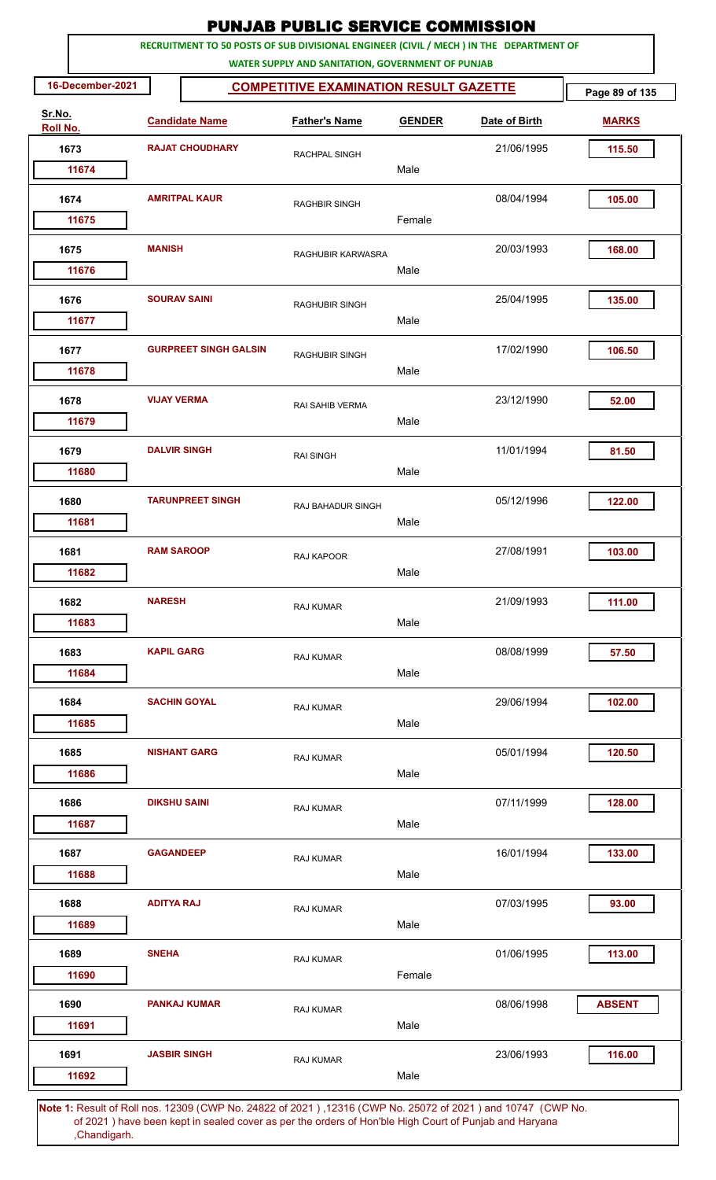|                    |                     |                              | <b>PUNJAB PUBLIC SERVICE COMMISSION</b>                                                                                                      |               |               |                |
|--------------------|---------------------|------------------------------|----------------------------------------------------------------------------------------------------------------------------------------------|---------------|---------------|----------------|
|                    |                     |                              | RECRUITMENT TO 50 POSTS OF SUB DIVISIONAL ENGINEER (CIVIL / MECH ) IN THE DEPARTMENT OF<br>WATER SUPPLY AND SANITATION, GOVERNMENT OF PUNJAB |               |               |                |
| 16-December-2021   |                     |                              | <b>COMPETITIVE EXAMINATION RESULT GAZETTE</b>                                                                                                |               |               | Page 89 of 135 |
| Sr.No.<br>Roll No. |                     | <b>Candidate Name</b>        | <b>Father's Name</b>                                                                                                                         | <b>GENDER</b> | Date of Birth | <b>MARKS</b>   |
| 1673               |                     | <b>RAJAT CHOUDHARY</b>       | RACHPAL SINGH                                                                                                                                |               | 21/06/1995    | 115.50         |
| 11674              |                     |                              |                                                                                                                                              | Male          |               |                |
| 1674               |                     | <b>AMRITPAL KAUR</b>         | <b>RAGHBIR SINGH</b>                                                                                                                         |               | 08/04/1994    | 105.00         |
| 11675              |                     |                              |                                                                                                                                              | Female        |               |                |
| 1675<br>11676      | <b>MANISH</b>       |                              | RAGHUBIR KARWASRA                                                                                                                            | Male          | 20/03/1993    | 168.00         |
| 1676               | <b>SOURAV SAINI</b> |                              | <b>RAGHUBIR SINGH</b>                                                                                                                        |               | 25/04/1995    | 135.00         |
| 11677              |                     |                              |                                                                                                                                              | Male          |               |                |
| 1677<br>11678      |                     | <b>GURPREET SINGH GALSIN</b> | <b>RAGHUBIR SINGH</b>                                                                                                                        | Male          | 17/02/1990    | 106.50         |
| 1678               | <b>VIJAY VERMA</b>  |                              | RAI SAHIB VERMA                                                                                                                              |               | 23/12/1990    | 52.00          |
| 11679              |                     |                              |                                                                                                                                              | Male          |               |                |
| 1679<br>11680      | <b>DALVIR SINGH</b> |                              | <b>RAI SINGH</b>                                                                                                                             | Male          | 11/01/1994    | 81.50          |
|                    |                     | <b>TARUNPREET SINGH</b>      |                                                                                                                                              |               | 05/12/1996    | 122.00         |
| 1680<br>11681      |                     |                              | RAJ BAHADUR SINGH                                                                                                                            | Male          |               |                |
| 1681               | <b>RAM SAROOP</b>   |                              | RAJ KAPOOR                                                                                                                                   |               | 27/08/1991    | 103.00         |
| 11682              |                     |                              |                                                                                                                                              | Male          |               |                |
| 1682               | <b>NARESH</b>       |                              | <b>RAJ KUMAR</b>                                                                                                                             |               | 21/09/1993    | 111.00         |
| 11683              |                     |                              |                                                                                                                                              | Male          |               |                |
| 1683<br>11684      | <b>KAPIL GARG</b>   |                              | RAJ KUMAR                                                                                                                                    | Male          | 08/08/1999    | 57.50          |
|                    |                     |                              |                                                                                                                                              |               |               |                |
| 1684<br>11685      |                     | <b>SACHIN GOYAL</b>          | RAJ KUMAR                                                                                                                                    | Male          | 29/06/1994    | 102.00         |
| 1685               |                     | <b>NISHANT GARG</b>          | <b>RAJ KUMAR</b>                                                                                                                             |               | 05/01/1994    | 120.50         |
| 11686              |                     |                              |                                                                                                                                              | Male          |               |                |
| 1686               | <b>DIKSHU SAINI</b> |                              | <b>RAJ KUMAR</b>                                                                                                                             |               | 07/11/1999    | 128.00         |
| 11687              |                     |                              |                                                                                                                                              | Male          |               |                |
| 1687               | <b>GAGANDEEP</b>    |                              | RAJ KUMAR                                                                                                                                    |               | 16/01/1994    | 133.00         |
| 11688              |                     |                              |                                                                                                                                              | Male          |               |                |
| 1688<br>11689      | <b>ADITYA RAJ</b>   |                              | RAJ KUMAR                                                                                                                                    | Male          | 07/03/1995    | 93.00          |
| 1689               | <b>SNEHA</b>        |                              |                                                                                                                                              |               | 01/06/1995    | 113.00         |
| 11690              |                     |                              | RAJ KUMAR                                                                                                                                    | Female        |               |                |
| 1690               |                     | <b>PANKAJ KUMAR</b>          | RAJ KUMAR                                                                                                                                    |               | 08/06/1998    | <b>ABSENT</b>  |
| 11691              |                     |                              |                                                                                                                                              | Male          |               |                |
| 1691<br>11692      | <b>JASBIR SINGH</b> |                              | <b>RAJ KUMAR</b>                                                                                                                             | Male          | 23/06/1993    | 116.00         |
|                    |                     |                              | Note 1: Pesult of Pollings, 12300 (CMP No. 24822 of 2021), 12316 (CMP No. 25072 of 2021) and 10747. (CMP No.                                 |               |               |                |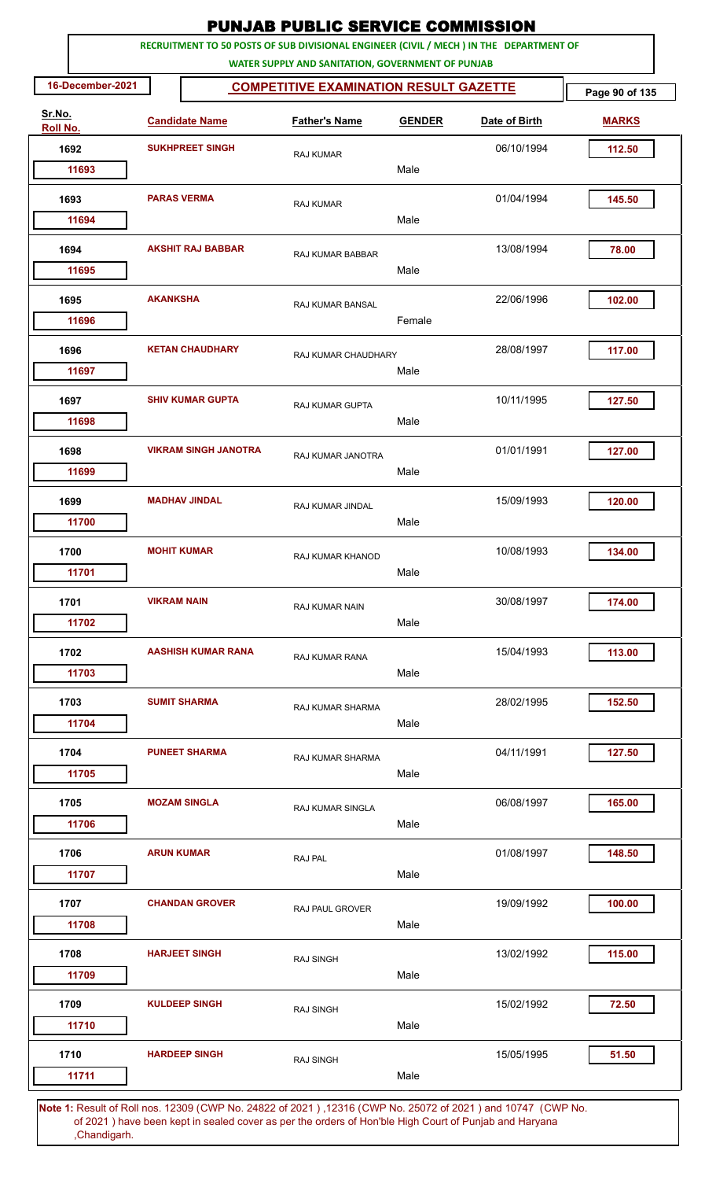|                    |                  |                    |                             | <b>PUNJAB PUBLIC SERVICE COMMISSION</b>                                                                                                      |               |               |                |
|--------------------|------------------|--------------------|-----------------------------|----------------------------------------------------------------------------------------------------------------------------------------------|---------------|---------------|----------------|
|                    |                  |                    |                             | RECRUITMENT TO 50 POSTS OF SUB DIVISIONAL ENGINEER (CIVIL / MECH ) IN THE DEPARTMENT OF<br>WATER SUPPLY AND SANITATION, GOVERNMENT OF PUNJAB |               |               |                |
|                    | 16-December-2021 |                    |                             | <b>COMPETITIVE EXAMINATION RESULT GAZETTE</b>                                                                                                |               |               | Page 90 of 135 |
| Sr.No.<br>Roll No. |                  |                    | <b>Candidate Name</b>       | <b>Father's Name</b>                                                                                                                         | <b>GENDER</b> | Date of Birth | <b>MARKS</b>   |
| 1692               |                  |                    | <b>SUKHPREET SINGH</b>      | <b>RAJ KUMAR</b>                                                                                                                             |               | 06/10/1994    | 112.50         |
|                    | 11693            |                    |                             |                                                                                                                                              | Male          |               |                |
| 1693               | 11694            | <b>PARAS VERMA</b> |                             | RAJ KUMAR                                                                                                                                    | Male          | 01/04/1994    | 145.50         |
|                    |                  |                    |                             |                                                                                                                                              |               |               |                |
| 1694               | 11695            |                    | <b>AKSHIT RAJ BABBAR</b>    | RAJ KUMAR BABBAR                                                                                                                             | Male          | 13/08/1994    | 78.00          |
| 1695               |                  | <b>AKANKSHA</b>    |                             |                                                                                                                                              |               | 22/06/1996    | 102.00         |
|                    | 11696            |                    |                             | RAJ KUMAR BANSAL                                                                                                                             | Female        |               |                |
| 1696               |                  |                    | <b>KETAN CHAUDHARY</b>      | RAJ KUMAR CHAUDHARY                                                                                                                          |               | 28/08/1997    | 117.00         |
|                    | 11697            |                    |                             |                                                                                                                                              | Male          |               |                |
| 1697               | 11698            |                    | <b>SHIV KUMAR GUPTA</b>     | <b>RAJ KUMAR GUPTA</b>                                                                                                                       | Male          | 10/11/1995    | 127.50         |
| 1698               |                  |                    | <b>VIKRAM SINGH JANOTRA</b> | RAJ KUMAR JANOTRA                                                                                                                            |               | 01/01/1991    | 127.00         |
|                    | 11699            |                    |                             |                                                                                                                                              | Male          |               |                |
| 1699               |                  |                    | <b>MADHAV JINDAL</b>        | <b>RAJ KUMAR JINDAL</b>                                                                                                                      |               | 15/09/1993    | 120.00         |
|                    | 11700            |                    |                             |                                                                                                                                              | Male          |               |                |
| 1700               |                  | <b>MOHIT KUMAR</b> |                             | RAJ KUMAR KHANOD                                                                                                                             |               | 10/08/1993    | 134.00         |
|                    | 11701            |                    |                             |                                                                                                                                              | Male          |               |                |
| 1701               |                  | <b>VIKRAM NAIN</b> |                             | RAJ KUMAR NAIN                                                                                                                               |               | 30/08/1997    | 174.00         |
|                    | 11702            |                    |                             |                                                                                                                                              | Male          |               |                |
| 1702               |                  |                    | <b>AASHISH KUMAR RANA</b>   | <b>RAJ KUMAR RANA</b>                                                                                                                        |               | 15/04/1993    | 113.00         |
|                    | 11703            |                    |                             |                                                                                                                                              | Male          |               |                |
| 1703               |                  |                    | <b>SUMIT SHARMA</b>         | RAJ KUMAR SHARMA                                                                                                                             |               | 28/02/1995    | 152.50         |
|                    | 11704            |                    |                             |                                                                                                                                              | Male          |               |                |
| 1704               |                  |                    | <b>PUNEET SHARMA</b>        | <b>RAJ KUMAR SHARMA</b>                                                                                                                      |               | 04/11/1991    | 127.50         |
|                    | 11705            |                    |                             |                                                                                                                                              | Male          |               |                |
| 1705               |                  |                    | <b>MOZAM SINGLA</b>         | <b>RAJ KUMAR SINGLA</b>                                                                                                                      |               | 06/08/1997    | 165.00         |
|                    | 11706            |                    |                             |                                                                                                                                              | Male          |               |                |
| 1706               |                  | <b>ARUN KUMAR</b>  |                             | RAJ PAL                                                                                                                                      |               | 01/08/1997    | 148.50         |
|                    | 11707            |                    |                             |                                                                                                                                              | Male          |               |                |
| 1707               | 11708            |                    | <b>CHANDAN GROVER</b>       | RAJ PAUL GROVER                                                                                                                              | Male          | 19/09/1992    | 100.00         |
|                    |                  |                    | <b>HARJEET SINGH</b>        |                                                                                                                                              |               | 13/02/1992    | 115.00         |
| 1708               | 11709            |                    |                             | <b>RAJ SINGH</b>                                                                                                                             | Male          |               |                |
| 1709               |                  |                    | <b>KULDEEP SINGH</b>        | <b>RAJ SINGH</b>                                                                                                                             |               | 15/02/1992    | 72.50          |
|                    | 11710            |                    |                             |                                                                                                                                              | Male          |               |                |
| 1710               |                  |                    | <b>HARDEEP SINGH</b>        | <b>RAJ SINGH</b>                                                                                                                             |               | 15/05/1995    | 51.50          |
|                    | 11711            |                    |                             |                                                                                                                                              | Male          |               |                |
|                    |                  |                    |                             |                                                                                                                                              |               |               |                |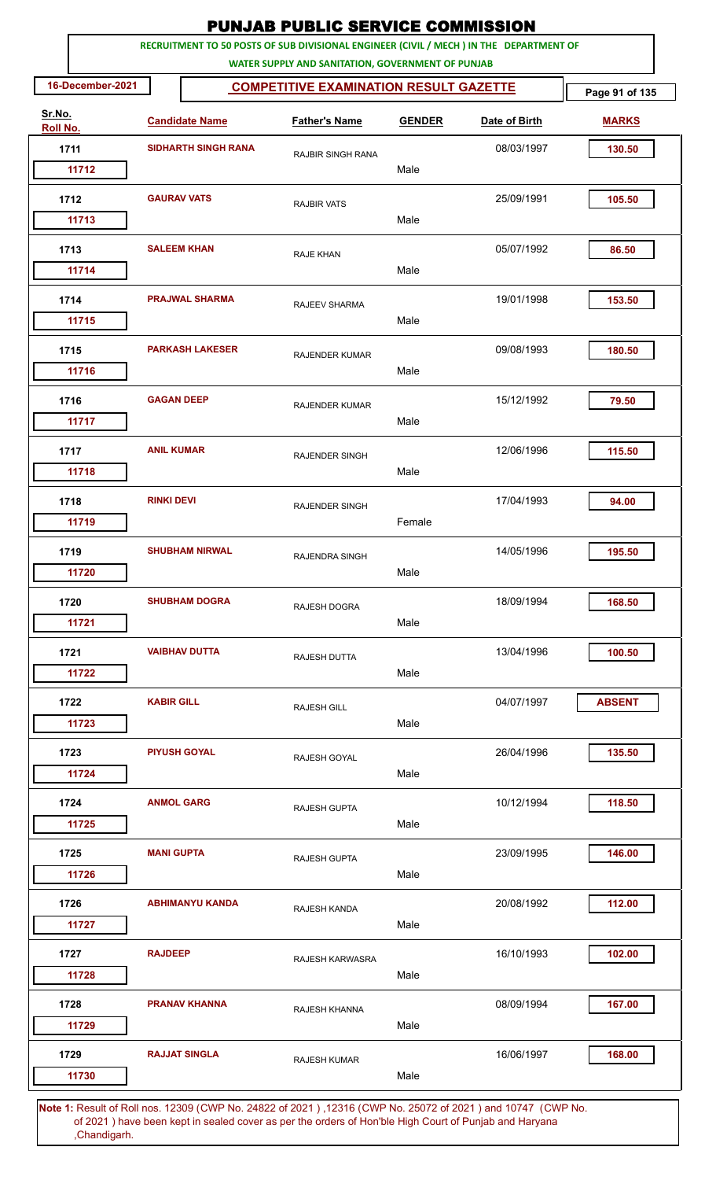|                           |                  |                    |                            | <b>PUNJAB PUBLIC SERVICE COMMISSION</b>                                                                                                      |               |               |                |
|---------------------------|------------------|--------------------|----------------------------|----------------------------------------------------------------------------------------------------------------------------------------------|---------------|---------------|----------------|
|                           |                  |                    |                            | RECRUITMENT TO 50 POSTS OF SUB DIVISIONAL ENGINEER (CIVIL / MECH ) IN THE DEPARTMENT OF<br>WATER SUPPLY AND SANITATION, GOVERNMENT OF PUNJAB |               |               |                |
|                           | 16-December-2021 |                    |                            | <b>COMPETITIVE EXAMINATION RESULT GAZETTE</b>                                                                                                |               |               | Page 91 of 135 |
| Sr.No.<br><b>Roll No.</b> |                  |                    | <b>Candidate Name</b>      | <b>Father's Name</b>                                                                                                                         | <b>GENDER</b> | Date of Birth | <b>MARKS</b>   |
|                           | 1711             |                    | <b>SIDHARTH SINGH RANA</b> | RAJBIR SINGH RANA                                                                                                                            |               | 08/03/1997    | 130.50         |
|                           | 11712            |                    |                            |                                                                                                                                              | Male          |               |                |
|                           | 1712             | <b>GAURAV VATS</b> |                            | <b>RAJBIR VATS</b>                                                                                                                           |               | 25/09/1991    | 105.50         |
|                           | 11713            |                    |                            |                                                                                                                                              | Male          |               |                |
|                           | 1713             |                    | <b>SALEEM KHAN</b>         | <b>RAJE KHAN</b>                                                                                                                             |               | 05/07/1992    | 86.50          |
|                           | 11714            |                    |                            |                                                                                                                                              | Male          |               |                |
|                           | 1714             |                    | <b>PRAJWAL SHARMA</b>      | RAJEEV SHARMA                                                                                                                                |               | 19/01/1998    | 153.50         |
|                           | 11715            |                    |                            |                                                                                                                                              | Male          |               |                |
|                           | 1715             |                    | <b>PARKASH LAKESER</b>     | <b>RAJENDER KUMAR</b>                                                                                                                        |               | 09/08/1993    | 180.50         |
|                           | 11716            |                    |                            |                                                                                                                                              | Male          |               |                |
|                           | 1716             | <b>GAGAN DEEP</b>  |                            | <b>RAJENDER KUMAR</b>                                                                                                                        |               | 15/12/1992    | 79.50          |
|                           | 11717            |                    |                            |                                                                                                                                              | Male          |               |                |
|                           | 1717             | <b>ANIL KUMAR</b>  |                            | <b>RAJENDER SINGH</b>                                                                                                                        |               | 12/06/1996    | 115.50         |
|                           | 11718            |                    |                            |                                                                                                                                              | Male          |               |                |
|                           | 1718             | <b>RINKI DEVI</b>  |                            | <b>RAJENDER SINGH</b>                                                                                                                        |               | 17/04/1993    | 94.00          |
|                           | 11719            |                    |                            |                                                                                                                                              | Female        |               |                |
|                           | 1719             |                    | <b>SHUBHAM NIRWAL</b>      | RAJENDRA SINGH                                                                                                                               |               | 14/05/1996    | 195.50         |
|                           | 11720            |                    |                            |                                                                                                                                              | Male          |               |                |
|                           | 1720             |                    | <b>SHUBHAM DOGRA</b>       | <b>RAJESH DOGRA</b>                                                                                                                          |               | 18/09/1994    | 168.50         |
|                           | 11721            |                    |                            |                                                                                                                                              | Male          |               |                |
|                           | 1721             |                    | <b>VAIBHAV DUTTA</b>       | RAJESH DUTTA                                                                                                                                 |               | 13/04/1996    | 100.50         |
|                           | 11722            |                    |                            |                                                                                                                                              | Male          |               |                |
|                           | 1722             | <b>KABIR GILL</b>  |                            | <b>RAJESH GILL</b>                                                                                                                           |               | 04/07/1997    | <b>ABSENT</b>  |
|                           | 11723            |                    |                            |                                                                                                                                              | Male          |               |                |
|                           | 1723             |                    | <b>PIYUSH GOYAL</b>        | RAJESH GOYAL                                                                                                                                 |               | 26/04/1996    | 135.50         |
|                           | 11724            |                    |                            |                                                                                                                                              | Male          |               |                |
|                           | 1724             | <b>ANMOL GARG</b>  |                            | <b>RAJESH GUPTA</b>                                                                                                                          |               | 10/12/1994    | 118.50         |
|                           | 11725            |                    |                            |                                                                                                                                              | Male          |               |                |
|                           | 1725             | <b>MANI GUPTA</b>  |                            | <b>RAJESH GUPTA</b>                                                                                                                          |               | 23/09/1995    | 146.00         |
|                           | 11726            |                    |                            |                                                                                                                                              | Male          |               |                |
|                           | 1726             |                    | <b>ABHIMANYU KANDA</b>     | RAJESH KANDA                                                                                                                                 |               | 20/08/1992    | 112.00         |
|                           | 11727            |                    |                            |                                                                                                                                              | Male          |               |                |
|                           | 1727             | <b>RAJDEEP</b>     |                            | RAJESH KARWASRA                                                                                                                              |               | 16/10/1993    | 102.00         |
|                           | 11728            |                    |                            |                                                                                                                                              | Male          |               |                |
|                           | 1728             |                    | <b>PRANAV KHANNA</b>       | RAJESH KHANNA                                                                                                                                |               | 08/09/1994    | 167.00         |
|                           | 11729            |                    |                            |                                                                                                                                              | Male          |               |                |
|                           | 1729             |                    | <b>RAJJAT SINGLA</b>       | <b>RAJESH KUMAR</b>                                                                                                                          |               | 16/06/1997    | 168.00         |
|                           | 11730            |                    |                            |                                                                                                                                              | Male          |               |                |
|                           |                  |                    |                            |                                                                                                                                              |               |               |                |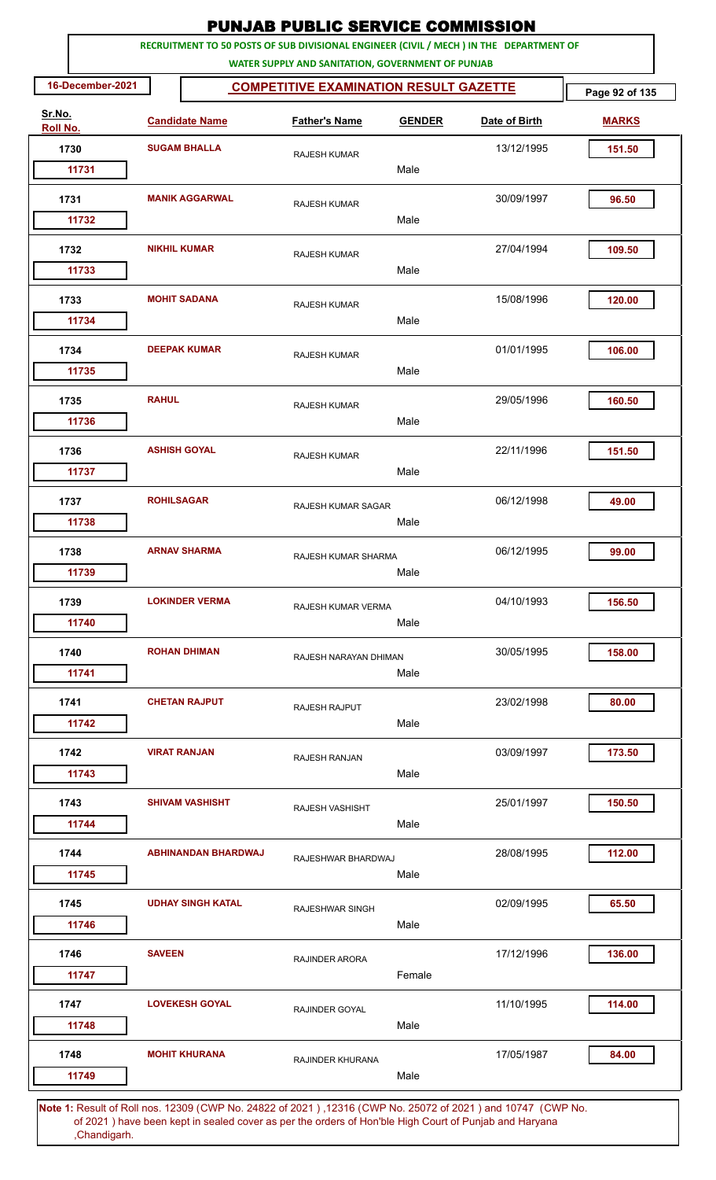|                    |                   |                            | <b>PUNJAB PUBLIC SERVICE COMMISSION</b>                                                                                                      |               |                                                                                                             |                |
|--------------------|-------------------|----------------------------|----------------------------------------------------------------------------------------------------------------------------------------------|---------------|-------------------------------------------------------------------------------------------------------------|----------------|
|                    |                   |                            | RECRUITMENT TO 50 POSTS OF SUB DIVISIONAL ENGINEER (CIVIL / MECH ) IN THE DEPARTMENT OF<br>WATER SUPPLY AND SANITATION, GOVERNMENT OF PUNJAB |               |                                                                                                             |                |
| 16-December-2021   |                   |                            | <b>COMPETITIVE EXAMINATION RESULT GAZETTE</b>                                                                                                |               |                                                                                                             | Page 92 of 135 |
| Sr.No.<br>Roll No. |                   | <b>Candidate Name</b>      | <b>Father's Name</b>                                                                                                                         | <b>GENDER</b> | Date of Birth                                                                                               | <b>MARKS</b>   |
| 1730               |                   | <b>SUGAM BHALLA</b>        | <b>RAJESH KUMAR</b>                                                                                                                          |               | 13/12/1995                                                                                                  | 151.50         |
| 11731              |                   |                            |                                                                                                                                              | Male          |                                                                                                             |                |
| 1731               |                   | <b>MANIK AGGARWAL</b>      | <b>RAJESH KUMAR</b>                                                                                                                          |               | 30/09/1997                                                                                                  | 96.50          |
| 11732              |                   |                            |                                                                                                                                              | Male          |                                                                                                             |                |
| 1732               |                   | <b>NIKHIL KUMAR</b>        | <b>RAJESH KUMAR</b>                                                                                                                          |               | 27/04/1994                                                                                                  | 109.50         |
| 11733              |                   |                            |                                                                                                                                              | Male          |                                                                                                             |                |
| 1733               |                   | <b>MOHIT SADANA</b>        | <b>RAJESH KUMAR</b>                                                                                                                          |               | 15/08/1996                                                                                                  | 120.00         |
| 11734              |                   |                            |                                                                                                                                              | Male          |                                                                                                             |                |
| 1734               |                   | <b>DEEPAK KUMAR</b>        | <b>RAJESH KUMAR</b>                                                                                                                          |               | 01/01/1995                                                                                                  | 106.00         |
| 11735              |                   |                            |                                                                                                                                              | Male          |                                                                                                             |                |
| 1735               | <b>RAHUL</b>      |                            | <b>RAJESH KUMAR</b>                                                                                                                          |               | 29/05/1996                                                                                                  | 160.50         |
| 11736              |                   |                            |                                                                                                                                              | Male          |                                                                                                             |                |
| 1736               |                   | <b>ASHISH GOYAL</b>        | <b>RAJESH KUMAR</b>                                                                                                                          |               | 22/11/1996                                                                                                  | 151.50         |
| 11737              |                   |                            |                                                                                                                                              | Male          |                                                                                                             |                |
| 1737               | <b>ROHILSAGAR</b> |                            | RAJESH KUMAR SAGAR                                                                                                                           |               | 06/12/1998                                                                                                  | 49.00          |
| 11738              |                   |                            |                                                                                                                                              | Male          |                                                                                                             |                |
| 1738               |                   | <b>ARNAV SHARMA</b>        | RAJESH KUMAR SHARMA                                                                                                                          |               | 06/12/1995                                                                                                  | 99.00          |
| 11739              |                   |                            |                                                                                                                                              | Male          |                                                                                                             |                |
| 1739               |                   | <b>LOKINDER VERMA</b>      | RAJESH KUMAR VERMA                                                                                                                           |               | 04/10/1993                                                                                                  | 156.50         |
| 11740              |                   |                            |                                                                                                                                              | Male          |                                                                                                             |                |
| 1740               |                   | <b>ROHAN DHIMAN</b>        | RAJESH NARAYAN DHIMAN                                                                                                                        |               | 30/05/1995                                                                                                  | 158.00         |
| 11741              |                   |                            |                                                                                                                                              | Male          |                                                                                                             |                |
| 1741               |                   | <b>CHETAN RAJPUT</b>       | RAJESH RAJPUT                                                                                                                                |               | 23/02/1998                                                                                                  | 80.00          |
| 11742              |                   |                            |                                                                                                                                              | Male          |                                                                                                             |                |
| 1742               |                   | <b>VIRAT RANJAN</b>        | <b>RAJESH RANJAN</b>                                                                                                                         |               | 03/09/1997                                                                                                  | 173.50         |
| 11743              |                   |                            |                                                                                                                                              | Male          |                                                                                                             |                |
| 1743               |                   | <b>SHIVAM VASHISHT</b>     | RAJESH VASHISHT                                                                                                                              |               | 25/01/1997                                                                                                  | 150.50         |
| 11744              |                   |                            |                                                                                                                                              | Male          |                                                                                                             |                |
| 1744               |                   | <b>ABHINANDAN BHARDWAJ</b> | RAJESHWAR BHARDWAJ                                                                                                                           |               | 28/08/1995                                                                                                  | 112.00         |
| 11745              |                   |                            |                                                                                                                                              | Male          |                                                                                                             |                |
| 1745               |                   | <b>UDHAY SINGH KATAL</b>   | RAJESHWAR SINGH                                                                                                                              |               | 02/09/1995                                                                                                  | 65.50          |
| 11746              |                   |                            |                                                                                                                                              | Male          |                                                                                                             |                |
| 1746               | <b>SAVEEN</b>     |                            | <b>RAJINDER ARORA</b>                                                                                                                        |               | 17/12/1996                                                                                                  | 136.00         |
| 11747              |                   |                            |                                                                                                                                              | Female        |                                                                                                             |                |
| 1747               |                   | <b>LOVEKESH GOYAL</b>      | RAJINDER GOYAL                                                                                                                               |               | 11/10/1995                                                                                                  | 114.00         |
| 11748              |                   |                            |                                                                                                                                              | Male          |                                                                                                             |                |
| 1748               |                   | <b>MOHIT KHURANA</b>       | RAJINDER KHURANA                                                                                                                             |               | 17/05/1987                                                                                                  | 84.00          |
| 11749              |                   |                            |                                                                                                                                              | Male          |                                                                                                             |                |
|                    |                   |                            |                                                                                                                                              |               | Note 1: Result of Roll nos. 12309 (CWP No. 24822 of 2021), 12316 (CWP No. 25072 of 2021) and 10747 (CWP No. |                |

 of 2021 ) have been kept in sealed cover as per the orders of Hon'ble High Court of Punjab and Haryana ,Chandigarh.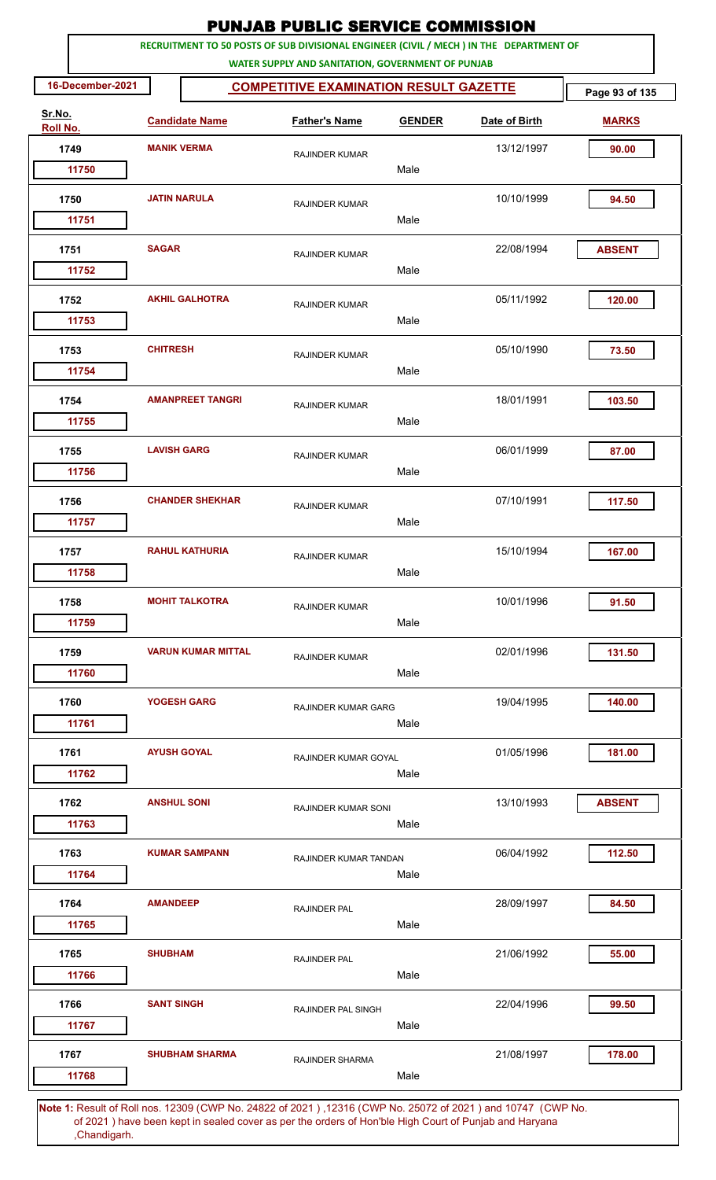| RECRUITMENT TO 50 POSTS OF SUB DIVISIONAL ENGINEER (CIVIL / MECH ) IN THE DEPARTMENT OF<br>WATER SUPPLY AND SANITATION, GOVERNMENT OF PUNJAB<br>16-December-2021<br><b>COMPETITIVE EXAMINATION RESULT GAZETTE</b><br>Sr.No.<br><b>Candidate Name</b><br><b>Father's Name</b><br><b>GENDER</b><br>Date of Birth<br>Roll No.<br><b>MANIK VERMA</b><br>13/12/1997<br>1749<br><b>RAJINDER KUMAR</b> | Page 93 of 135<br><b>MARKS</b><br>90.00 |
|-------------------------------------------------------------------------------------------------------------------------------------------------------------------------------------------------------------------------------------------------------------------------------------------------------------------------------------------------------------------------------------------------|-----------------------------------------|
|                                                                                                                                                                                                                                                                                                                                                                                                 |                                         |
|                                                                                                                                                                                                                                                                                                                                                                                                 |                                         |
|                                                                                                                                                                                                                                                                                                                                                                                                 |                                         |
|                                                                                                                                                                                                                                                                                                                                                                                                 |                                         |
| Male<br>11750                                                                                                                                                                                                                                                                                                                                                                                   |                                         |
| <b>JATIN NARULA</b><br>10/10/1999<br>1750<br><b>RAJINDER KUMAR</b>                                                                                                                                                                                                                                                                                                                              | 94.50                                   |
| Male<br>11751                                                                                                                                                                                                                                                                                                                                                                                   |                                         |
| <b>SAGAR</b><br>22/08/1994<br>1751<br><b>RAJINDER KUMAR</b><br>Male<br>11752                                                                                                                                                                                                                                                                                                                    | <b>ABSENT</b>                           |
| <b>AKHIL GALHOTRA</b><br>1752<br>05/11/1992                                                                                                                                                                                                                                                                                                                                                     | 120.00                                  |
| <b>RAJINDER KUMAR</b><br>Male<br>11753                                                                                                                                                                                                                                                                                                                                                          |                                         |
| <b>CHITRESH</b><br>05/10/1990<br>1753<br><b>RAJINDER KUMAR</b>                                                                                                                                                                                                                                                                                                                                  | 73.50                                   |
| Male<br>11754                                                                                                                                                                                                                                                                                                                                                                                   |                                         |
| <b>AMANPREET TANGRI</b><br>18/01/1991<br>1754<br><b>RAJINDER KUMAR</b>                                                                                                                                                                                                                                                                                                                          | 103.50                                  |
| 11755<br>Male                                                                                                                                                                                                                                                                                                                                                                                   |                                         |
| <b>LAVISH GARG</b><br>06/01/1999<br>1755<br><b>RAJINDER KUMAR</b>                                                                                                                                                                                                                                                                                                                               | 87.00                                   |
| Male<br>11756                                                                                                                                                                                                                                                                                                                                                                                   |                                         |
| <b>CHANDER SHEKHAR</b><br>07/10/1991<br>1756<br><b>RAJINDER KUMAR</b><br>Male                                                                                                                                                                                                                                                                                                                   | 117.50                                  |
| 11757                                                                                                                                                                                                                                                                                                                                                                                           |                                         |
| 15/10/1994<br><b>RAHUL KATHURIA</b><br>1757<br><b>RAJINDER KUMAR</b><br>Male<br>11758                                                                                                                                                                                                                                                                                                           | 167.00                                  |
| 1758<br><b>MOHIT TALKOTRA</b><br>10/01/1996<br><b>RAJINDER KUMAR</b>                                                                                                                                                                                                                                                                                                                            | 91.50                                   |
| Male<br>11759                                                                                                                                                                                                                                                                                                                                                                                   |                                         |
| <b>VARUN KUMAR MITTAL</b><br>02/01/1996<br>1759<br><b>RAJINDER KUMAR</b>                                                                                                                                                                                                                                                                                                                        | 131.50                                  |
| 11760<br>Male                                                                                                                                                                                                                                                                                                                                                                                   |                                         |
| 19/04/1995<br>1760<br>YOGESH GARG<br><b>RAJINDER KUMAR GARG</b>                                                                                                                                                                                                                                                                                                                                 | 140.00                                  |
| 11761<br>Male                                                                                                                                                                                                                                                                                                                                                                                   |                                         |
| <b>AYUSH GOYAL</b><br>1761<br>01/05/1996<br>RAJINDER KUMAR GOYAL                                                                                                                                                                                                                                                                                                                                | 181.00                                  |
| Male<br>11762                                                                                                                                                                                                                                                                                                                                                                                   |                                         |
| <b>ANSHUL SONI</b><br>13/10/1993<br>1762<br>RAJINDER KUMAR SONI                                                                                                                                                                                                                                                                                                                                 | <b>ABSENT</b>                           |
| Male<br>11763                                                                                                                                                                                                                                                                                                                                                                                   |                                         |
| 06/04/1992<br>1763<br><b>KUMAR SAMPANN</b><br>RAJINDER KUMAR TANDAN<br>11764<br>Male                                                                                                                                                                                                                                                                                                            | 112.50                                  |
| <b>AMANDEEP</b>                                                                                                                                                                                                                                                                                                                                                                                 |                                         |
| 1764<br>28/09/1997<br>RAJINDER PAL<br>Male<br>11765                                                                                                                                                                                                                                                                                                                                             | 84.50                                   |
| <b>SHUBHAM</b><br>21/06/1992<br>1765                                                                                                                                                                                                                                                                                                                                                            | 55.00                                   |
| RAJINDER PAL<br>11766<br>Male                                                                                                                                                                                                                                                                                                                                                                   |                                         |
| <b>SANT SINGH</b><br>1766<br>22/04/1996<br>RAJINDER PAL SINGH                                                                                                                                                                                                                                                                                                                                   | 99.50                                   |
| 11767<br>Male                                                                                                                                                                                                                                                                                                                                                                                   |                                         |
| <b>SHUBHAM SHARMA</b><br>21/08/1997<br>1767<br><b>RAJINDER SHARMA</b>                                                                                                                                                                                                                                                                                                                           | 178.00                                  |
| Male<br>11768<br><b>Note 1:</b> Result of Roll nos. 12309 (CWP No. 24822 of 2021) 12316 (CWP No. 25072 of 2021) and 10747 (CWP No.                                                                                                                                                                                                                                                              |                                         |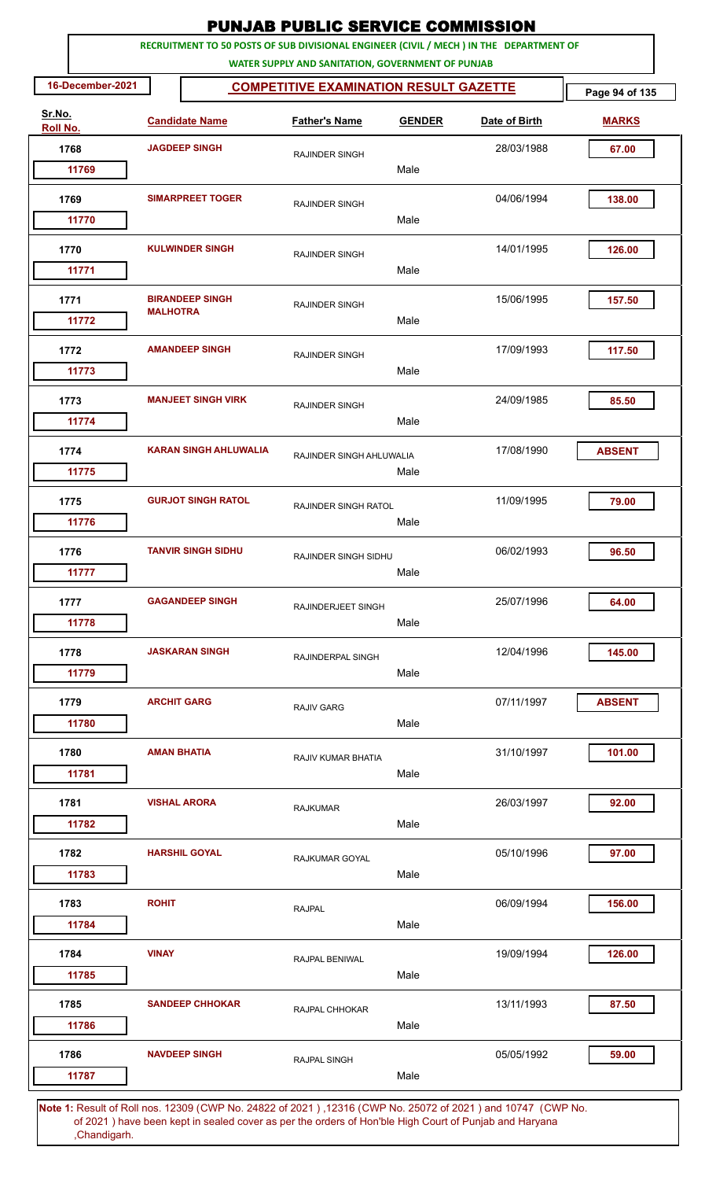|                    |                    |                              | <b>PUNJAB PUBLIC SERVICE COMMISSION</b>                                                                                                      |               |               |                |
|--------------------|--------------------|------------------------------|----------------------------------------------------------------------------------------------------------------------------------------------|---------------|---------------|----------------|
|                    |                    |                              | RECRUITMENT TO 50 POSTS OF SUB DIVISIONAL ENGINEER (CIVIL / MECH ) IN THE DEPARTMENT OF<br>WATER SUPPLY AND SANITATION, GOVERNMENT OF PUNJAB |               |               |                |
| 16-December-2021   |                    |                              | <b>COMPETITIVE EXAMINATION RESULT GAZETTE</b>                                                                                                |               |               | Page 94 of 135 |
| Sr.No.<br>Roll No. |                    | <b>Candidate Name</b>        | <b>Father's Name</b>                                                                                                                         | <b>GENDER</b> | Date of Birth | <b>MARKS</b>   |
| 1768               |                    | <b>JAGDEEP SINGH</b>         | <b>RAJINDER SINGH</b>                                                                                                                        |               | 28/03/1988    | 67.00          |
| 11769              |                    |                              |                                                                                                                                              | Male          |               |                |
| 1769               |                    | <b>SIMARPREET TOGER</b>      | <b>RAJINDER SINGH</b>                                                                                                                        |               | 04/06/1994    | 138.00         |
| 11770              |                    |                              |                                                                                                                                              | Male          |               |                |
| 1770<br>11771      |                    | <b>KULWINDER SINGH</b>       | <b>RAJINDER SINGH</b>                                                                                                                        | Male          | 14/01/1995    | 126.00         |
| 1771<br>11772      | <b>MALHOTRA</b>    | <b>BIRANDEEP SINGH</b>       | <b>RAJINDER SINGH</b>                                                                                                                        | Male          | 15/06/1995    | 157.50         |
| 1772<br>11773      |                    | <b>AMANDEEP SINGH</b>        | <b>RAJINDER SINGH</b>                                                                                                                        | Male          | 17/09/1993    | 117.50         |
| 1773<br>11774      |                    | <b>MANJEET SINGH VIRK</b>    | <b>RAJINDER SINGH</b>                                                                                                                        | Male          | 24/09/1985    | 85.50          |
| 1774<br>11775      |                    | <b>KARAN SINGH AHLUWALIA</b> | RAJINDER SINGH AHLUWALIA                                                                                                                     | Male          | 17/08/1990    | <b>ABSENT</b>  |
| 1775<br>11776      |                    | <b>GURJOT SINGH RATOL</b>    | <b>RAJINDER SINGH RATOL</b>                                                                                                                  | Male          | 11/09/1995    | 79.00          |
| 1776<br>11777      |                    | <b>TANVIR SINGH SIDHU</b>    | RAJINDER SINGH SIDHU                                                                                                                         | Male          | 06/02/1993    | 96.50          |
| 1777<br>11778      |                    | <b>GAGANDEEP SINGH</b>       | <b>RAJINDERJEET SINGH</b>                                                                                                                    | Male          | 25/07/1996    | 64.00          |
| 1778<br>11779      |                    | <b>JASKARAN SINGH</b>        | RAJINDERPAL SINGH                                                                                                                            | Male          | 12/04/1996    | 145.00         |
| 1779<br>11780      | <b>ARCHIT GARG</b> |                              | <b>RAJIV GARG</b>                                                                                                                            | Male          | 07/11/1997    | <b>ABSENT</b>  |
| 1780<br>11781      | <b>AMAN BHATIA</b> |                              | RAJIV KUMAR BHATIA                                                                                                                           | Male          | 31/10/1997    | 101.00         |
| 1781<br>11782      |                    | <b>VISHAL ARORA</b>          | <b>RAJKUMAR</b>                                                                                                                              | Male          | 26/03/1997    | 92.00          |
| 1782<br>11783      |                    | <b>HARSHIL GOYAL</b>         | RAJKUMAR GOYAL                                                                                                                               | Male          | 05/10/1996    | 97.00          |
| 1783<br>11784      | <b>ROHIT</b>       |                              | <b>RAJPAL</b>                                                                                                                                | Male          | 06/09/1994    | 156.00         |
| 1784<br>11785      | <b>VINAY</b>       |                              | <b>RAJPAL BENIWAL</b>                                                                                                                        | Male          | 19/09/1994    | 126.00         |
| 1785<br>11786      |                    | <b>SANDEEP CHHOKAR</b>       | RAJPAL CHHOKAR                                                                                                                               | Male          | 13/11/1993    | 87.50          |
| 1786<br>11787      |                    | <b>NAVDEEP SINGH</b>         | <b>RAJPAL SINGH</b>                                                                                                                          | Male          | 05/05/1992    | 59.00          |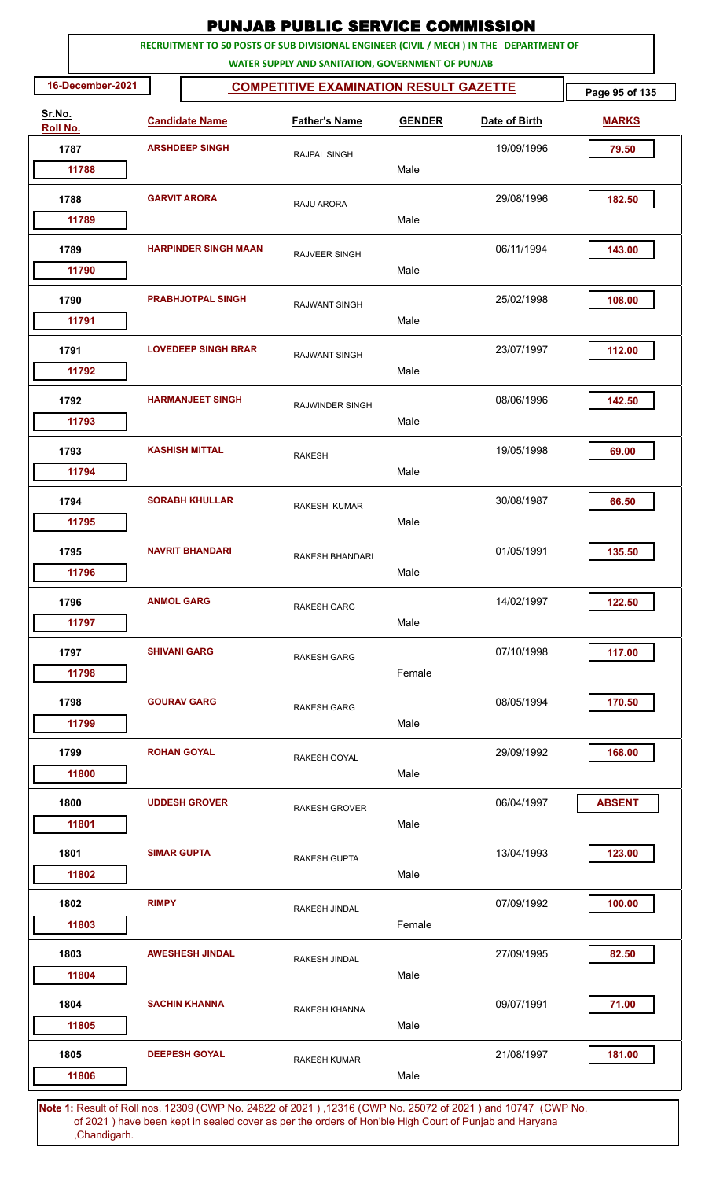|                    |                    |                                                                                                              | <b>PUNJAB PUBLIC SERVICE COMMISSION</b>                                                                                                      |               |               |                |
|--------------------|--------------------|--------------------------------------------------------------------------------------------------------------|----------------------------------------------------------------------------------------------------------------------------------------------|---------------|---------------|----------------|
|                    |                    |                                                                                                              | RECRUITMENT TO 50 POSTS OF SUB DIVISIONAL ENGINEER (CIVIL / MECH ) IN THE DEPARTMENT OF<br>WATER SUPPLY AND SANITATION, GOVERNMENT OF PUNJAB |               |               |                |
| 16-December-2021   |                    |                                                                                                              | <b>COMPETITIVE EXAMINATION RESULT GAZETTE</b>                                                                                                |               |               | Page 95 of 135 |
| Sr.No.<br>Roll No. |                    | <b>Candidate Name</b>                                                                                        | <b>Father's Name</b>                                                                                                                         | <b>GENDER</b> | Date of Birth | <b>MARKS</b>   |
| 1787               |                    | <b>ARSHDEEP SINGH</b>                                                                                        | RAJPAL SINGH                                                                                                                                 |               | 19/09/1996    | 79.50          |
| 11788              |                    |                                                                                                              |                                                                                                                                              | Male          |               |                |
| 1788               |                    | <b>GARVIT ARORA</b>                                                                                          | RAJU ARORA                                                                                                                                   |               | 29/08/1996    | 182.50         |
| 11789              |                    |                                                                                                              |                                                                                                                                              | Male          |               |                |
| 1789<br>11790      |                    | <b>HARPINDER SINGH MAAN</b>                                                                                  | <b>RAJVEER SINGH</b>                                                                                                                         | Male          | 06/11/1994    | 143.00         |
| 1790               |                    | <b>PRABHJOTPAL SINGH</b>                                                                                     |                                                                                                                                              |               | 25/02/1998    | 108.00         |
| 11791              |                    |                                                                                                              | <b>RAJWANT SINGH</b>                                                                                                                         | Male          |               |                |
| 1791               |                    | <b>LOVEDEEP SINGH BRAR</b>                                                                                   | <b>RAJWANT SINGH</b>                                                                                                                         |               | 23/07/1997    | 112.00         |
| 11792              |                    |                                                                                                              |                                                                                                                                              | Male          |               |                |
| 1792<br>11793      |                    | <b>HARMANJEET SINGH</b>                                                                                      | RAJWINDER SINGH                                                                                                                              | Male          | 08/06/1996    | 142.50         |
|                    |                    |                                                                                                              |                                                                                                                                              |               |               |                |
| 1793<br>11794      |                    | <b>KASHISH MITTAL</b>                                                                                        | <b>RAKESH</b>                                                                                                                                | Male          | 19/05/1998    | 69.00          |
| 1794               |                    | <b>SORABH KHULLAR</b>                                                                                        | <b>RAKESH KUMAR</b>                                                                                                                          |               | 30/08/1987    | 66.50          |
| 11795              |                    |                                                                                                              |                                                                                                                                              | Male          |               |                |
| 1795               |                    | <b>NAVRIT BHANDARI</b>                                                                                       | RAKESH BHANDARI                                                                                                                              |               | 01/05/1991    | 135.50         |
| 11796              |                    |                                                                                                              |                                                                                                                                              | Male          |               |                |
| 1796               | <b>ANMOL GARG</b>  |                                                                                                              | <b>RAKESH GARG</b>                                                                                                                           |               | 14/02/1997    | 122.50         |
| 11797              |                    |                                                                                                              |                                                                                                                                              | Male          |               |                |
| 1797               |                    | <b>SHIVANI GARG</b>                                                                                          | <b>RAKESH GARG</b>                                                                                                                           |               | 07/10/1998    | 117.00         |
| 11798              |                    |                                                                                                              |                                                                                                                                              | Female        |               |                |
| 1798               |                    | <b>GOURAV GARG</b>                                                                                           | <b>RAKESH GARG</b>                                                                                                                           |               | 08/05/1994    | 170.50         |
| 11799              |                    |                                                                                                              |                                                                                                                                              | Male          |               |                |
| 1799               |                    | <b>ROHAN GOYAL</b>                                                                                           | RAKESH GOYAL                                                                                                                                 |               | 29/09/1992    | 168.00         |
| 11800              |                    |                                                                                                              |                                                                                                                                              | Male          |               |                |
| 1800               |                    | <b>UDDESH GROVER</b>                                                                                         | <b>RAKESH GROVER</b>                                                                                                                         |               | 06/04/1997    | <b>ABSENT</b>  |
| 11801              |                    |                                                                                                              |                                                                                                                                              | Male          |               |                |
| 1801               | <b>SIMAR GUPTA</b> |                                                                                                              | <b>RAKESH GUPTA</b>                                                                                                                          |               | 13/04/1993    | 123.00         |
| 11802              |                    |                                                                                                              |                                                                                                                                              | Male          |               |                |
| 1802<br>11803      | <b>RIMPY</b>       |                                                                                                              | RAKESH JINDAL                                                                                                                                | Female        | 07/09/1992    | 100.00         |
|                    |                    |                                                                                                              |                                                                                                                                              |               |               |                |
| 1803<br>11804      |                    | <b>AWESHESH JINDAL</b>                                                                                       | RAKESH JINDAL                                                                                                                                | Male          | 27/09/1995    | 82.50          |
| 1804               |                    | <b>SACHIN KHANNA</b>                                                                                         |                                                                                                                                              |               | 09/07/1991    | 71.00          |
| 11805              |                    |                                                                                                              | RAKESH KHANNA                                                                                                                                | Male          |               |                |
| 1805               |                    | <b>DEEPESH GOYAL</b>                                                                                         | <b>RAKESH KUMAR</b>                                                                                                                          |               | 21/08/1997    | 181.00         |
| 11806              |                    |                                                                                                              |                                                                                                                                              | Male          |               |                |
|                    |                    | Note 1: Result of Roll nos. 12309 (CWP No. 24822 of 2021), 12316 (CWP No. 25072 of 2021) and 10747. (CWP No. |                                                                                                                                              |               |               |                |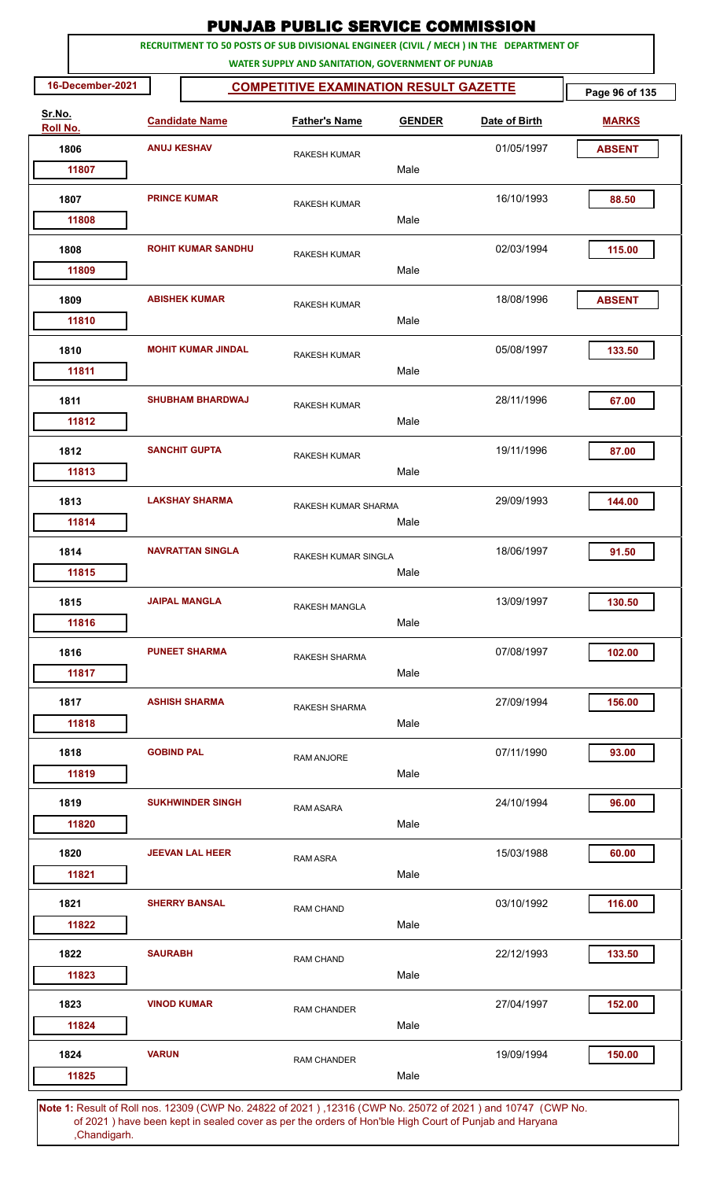|                    |                    |                           | <b>PUNJAB PUBLIC SERVICE COMMISSION</b>                                                                                                      |               |               |                |
|--------------------|--------------------|---------------------------|----------------------------------------------------------------------------------------------------------------------------------------------|---------------|---------------|----------------|
|                    |                    |                           | RECRUITMENT TO 50 POSTS OF SUB DIVISIONAL ENGINEER (CIVIL / MECH ) IN THE DEPARTMENT OF<br>WATER SUPPLY AND SANITATION, GOVERNMENT OF PUNJAB |               |               |                |
| 16-December-2021   |                    |                           | <b>COMPETITIVE EXAMINATION RESULT GAZETTE</b>                                                                                                |               |               | Page 96 of 135 |
| Sr.No.<br>Roll No. |                    | <b>Candidate Name</b>     | <b>Father's Name</b>                                                                                                                         | <b>GENDER</b> | Date of Birth | <b>MARKS</b>   |
| 1806               | <b>ANUJ KESHAV</b> |                           | <b>RAKESH KUMAR</b>                                                                                                                          |               | 01/05/1997    | <b>ABSENT</b>  |
| 11807              |                    |                           |                                                                                                                                              | Male          |               |                |
| 1807               |                    | <b>PRINCE KUMAR</b>       | <b>RAKESH KUMAR</b>                                                                                                                          | Male          | 16/10/1993    | 88.50          |
| 11808              |                    |                           |                                                                                                                                              |               |               |                |
| 1808<br>11809      |                    | <b>ROHIT KUMAR SANDHU</b> | <b>RAKESH KUMAR</b>                                                                                                                          | Male          | 02/03/1994    | 115.00         |
| 1809<br>11810      |                    | <b>ABISHEK KUMAR</b>      | <b>RAKESH KUMAR</b>                                                                                                                          | Male          | 18/08/1996    | <b>ABSENT</b>  |
| 1810<br>11811      |                    | <b>MOHIT KUMAR JINDAL</b> | <b>RAKESH KUMAR</b>                                                                                                                          | Male          | 05/08/1997    | 133.50         |
| 1811<br>11812      |                    | <b>SHUBHAM BHARDWAJ</b>   | <b>RAKESH KUMAR</b>                                                                                                                          | Male          | 28/11/1996    | 67.00          |
| 1812<br>11813      |                    | <b>SANCHIT GUPTA</b>      | <b>RAKESH KUMAR</b>                                                                                                                          | Male          | 19/11/1996    | 87.00          |
| 1813<br>11814      |                    | <b>LAKSHAY SHARMA</b>     | RAKESH KUMAR SHARMA                                                                                                                          | Male          | 29/09/1993    | 144.00         |
| 1814<br>11815      |                    | <b>NAVRATTAN SINGLA</b>   | RAKESH KUMAR SINGLA                                                                                                                          | Male          | 18/06/1997    | 91.50          |
| 1815<br>11816      |                    | <b>JAIPAL MANGLA</b>      | RAKESH MANGLA                                                                                                                                | Male          | 13/09/1997    | 130.50         |
| 1816<br>11817      |                    | <b>PUNEET SHARMA</b>      | RAKESH SHARMA                                                                                                                                | Male          | 07/08/1997    | 102.00         |
| 1817<br>11818      |                    | <b>ASHISH SHARMA</b>      | RAKESH SHARMA                                                                                                                                | Male          | 27/09/1994    | 156.00         |
| 1818<br>11819      | <b>GOBIND PAL</b>  |                           | <b>RAM ANJORE</b>                                                                                                                            | Male          | 07/11/1990    | 93.00          |
| 1819<br>11820      |                    | <b>SUKHWINDER SINGH</b>   | <b>RAM ASARA</b>                                                                                                                             | Male          | 24/10/1994    | 96.00          |
| 1820<br>11821      |                    | <b>JEEVAN LAL HEER</b>    | RAM ASRA                                                                                                                                     | Male          | 15/03/1988    | 60.00          |
| 1821<br>11822      |                    | <b>SHERRY BANSAL</b>      | <b>RAM CHAND</b>                                                                                                                             | Male          | 03/10/1992    | 116.00         |
| 1822<br>11823      | <b>SAURABH</b>     |                           | <b>RAM CHAND</b>                                                                                                                             | Male          | 22/12/1993    | 133.50         |
| 1823<br>11824      | <b>VINOD KUMAR</b> |                           | <b>RAM CHANDER</b>                                                                                                                           | Male          | 27/04/1997    | 152.00         |
| 1824<br>11825      | <b>VARUN</b>       |                           | <b>RAM CHANDER</b>                                                                                                                           | Male          | 19/09/1994    | 150.00         |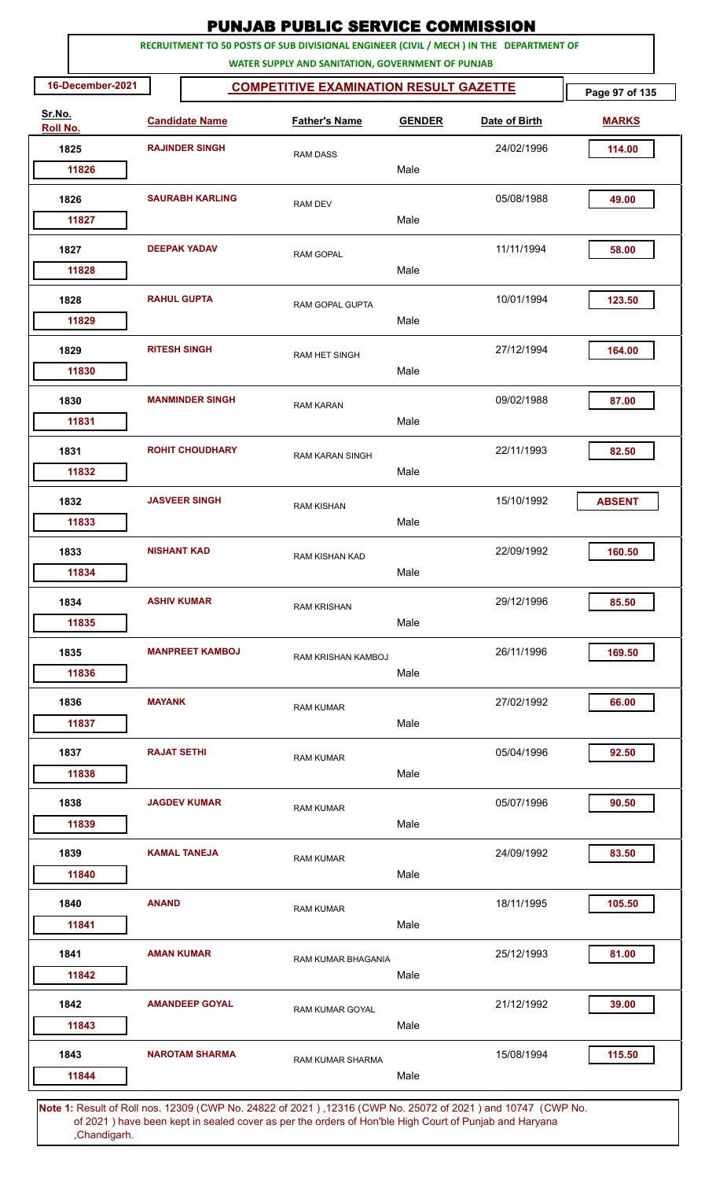|                    |                       |                        | <b>PUNJAB PUBLIC SERVICE COMMISSION</b>                                                                                                      |               |               |                |
|--------------------|-----------------------|------------------------|----------------------------------------------------------------------------------------------------------------------------------------------|---------------|---------------|----------------|
|                    |                       |                        | RECRUITMENT TO 50 POSTS OF SUB DIVISIONAL ENGINEER (CIVIL / MECH ) IN THE DEPARTMENT OF<br>WATER SUPPLY AND SANITATION, GOVERNMENT OF PUNJAB |               |               |                |
| 16-December-2021   |                       |                        | <b>COMPETITIVE EXAMINATION RESULT GAZETTE</b>                                                                                                |               |               | Page 97 of 135 |
| Sr.No.<br>Roll No. | <b>Candidate Name</b> |                        | <b>Father's Name</b>                                                                                                                         | <b>GENDER</b> | Date of Birth | <b>MARKS</b>   |
| 1825               |                       | <b>RAJINDER SINGH</b>  | <b>RAM DASS</b>                                                                                                                              |               | 24/02/1996    | 114.00         |
| 11826              |                       |                        |                                                                                                                                              | Male          |               |                |
| 1826               |                       | <b>SAURABH KARLING</b> | <b>RAM DEV</b>                                                                                                                               |               | 05/08/1988    | 49.00          |
| 11827              |                       |                        |                                                                                                                                              | Male          |               |                |
| 1827               |                       | <b>DEEPAK YADAV</b>    | <b>RAM GOPAL</b>                                                                                                                             | Male          | 11/11/1994    | 58.00          |
| 11828              |                       |                        |                                                                                                                                              |               |               |                |
| 1828<br>11829      | <b>RAHUL GUPTA</b>    |                        | RAM GOPAL GUPTA                                                                                                                              | Male          | 10/01/1994    | 123.50         |
| 1829               | <b>RITESH SINGH</b>   |                        | RAM HET SINGH                                                                                                                                |               | 27/12/1994    | 164.00         |
| 11830              |                       |                        |                                                                                                                                              | Male          |               |                |
| 1830               |                       | <b>MANMINDER SINGH</b> | <b>RAM KARAN</b>                                                                                                                             |               | 09/02/1988    | 87.00          |
| 11831              |                       |                        |                                                                                                                                              | Male          |               |                |
| 1831<br>11832      |                       | <b>ROHIT CHOUDHARY</b> | <b>RAM KARAN SINGH</b>                                                                                                                       | Male          | 22/11/1993    | 82.50          |
|                    |                       |                        |                                                                                                                                              |               |               |                |
| 1832<br>11833      |                       | <b>JASVEER SINGH</b>   | <b>RAM KISHAN</b>                                                                                                                            | Male          | 15/10/1992    | <b>ABSENT</b>  |
| 1833               | <b>NISHANT KAD</b>    |                        |                                                                                                                                              |               | 22/09/1992    | 160.50         |
| 11834              |                       |                        | RAM KISHAN KAD                                                                                                                               | Male          |               |                |
| 1834               | <b>ASHIV KUMAR</b>    |                        | <b>RAM KRISHAN</b>                                                                                                                           |               | 29/12/1996    | 85.50          |
| 11835              |                       |                        |                                                                                                                                              | Male          |               |                |
| 1835               |                       | <b>MANPREET KAMBOJ</b> | RAM KRISHAN KAMBOJ                                                                                                                           |               | 26/11/1996    | 169.50         |
| 11836              |                       |                        |                                                                                                                                              | Male          |               |                |
| 1836<br>11837      | <b>MAYANK</b>         |                        | <b>RAM KUMAR</b>                                                                                                                             | Male          | 27/02/1992    | 66.00          |
|                    |                       |                        |                                                                                                                                              |               |               |                |
| 1837<br>11838      | <b>RAJAT SETHI</b>    |                        | <b>RAM KUMAR</b>                                                                                                                             | Male          | 05/04/1996    | 92.50          |
| 1838               |                       | <b>JAGDEV KUMAR</b>    |                                                                                                                                              |               | 05/07/1996    | 90.50          |
| 11839              |                       |                        | <b>RAM KUMAR</b>                                                                                                                             | Male          |               |                |
| 1839               |                       | <b>KAMAL TANEJA</b>    | <b>RAM KUMAR</b>                                                                                                                             |               | 24/09/1992    | 83.50          |
| 11840              |                       |                        |                                                                                                                                              | Male          |               |                |
| 1840               | <b>ANAND</b>          |                        | <b>RAM KUMAR</b>                                                                                                                             |               | 18/11/1995    | 105.50         |
| 11841              |                       |                        |                                                                                                                                              | Male          |               |                |
| 1841               | <b>AMAN KUMAR</b>     |                        | <b>RAM KUMAR BHAGANIA</b>                                                                                                                    |               | 25/12/1993    | 81.00          |
| 11842              |                       |                        |                                                                                                                                              | Male          |               |                |
| 1842               |                       | <b>AMANDEEP GOYAL</b>  | RAM KUMAR GOYAL                                                                                                                              |               | 21/12/1992    | 39.00          |
| 11843              |                       |                        |                                                                                                                                              | Male          |               |                |
| 1843               |                       | <b>NAROTAM SHARMA</b>  | <b>RAM KUMAR SHARMA</b>                                                                                                                      |               | 15/08/1994    | 115.50         |
| 11844              |                       |                        | 4. Result of Bellings, 19200 (CMD No. 34892 of 2021), 19346 (CMD No. 35072 of 2021) and 10747 (CMD No.                                       | Male          |               |                |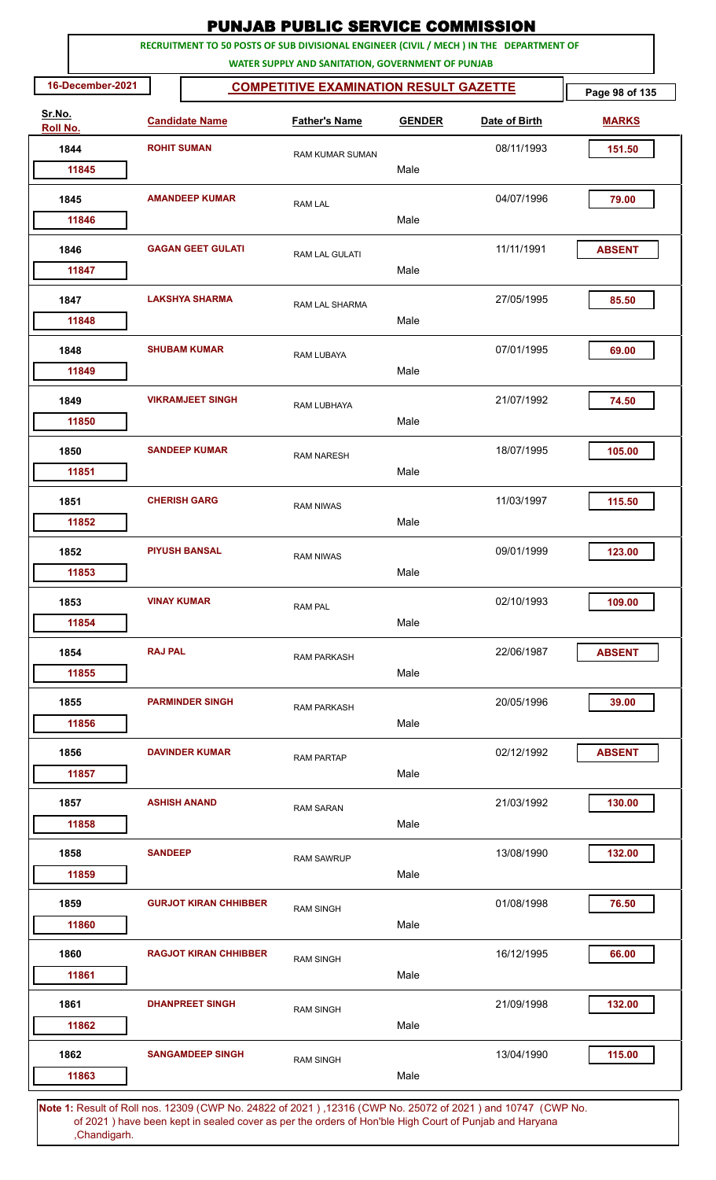|                    |                    |                              | <b>PUNJAB PUBLIC SERVICE COMMISSION</b>                                                                                                      |               |               |                |
|--------------------|--------------------|------------------------------|----------------------------------------------------------------------------------------------------------------------------------------------|---------------|---------------|----------------|
|                    |                    |                              | RECRUITMENT TO 50 POSTS OF SUB DIVISIONAL ENGINEER (CIVIL / MECH ) IN THE DEPARTMENT OF<br>WATER SUPPLY AND SANITATION, GOVERNMENT OF PUNJAB |               |               |                |
| 16-December-2021   |                    |                              | <b>COMPETITIVE EXAMINATION RESULT GAZETTE</b>                                                                                                |               |               | Page 98 of 135 |
| Sr.No.<br>Roll No. |                    | <b>Candidate Name</b>        | <b>Father's Name</b>                                                                                                                         | <b>GENDER</b> | Date of Birth | <b>MARKS</b>   |
| 1844               |                    | <b>ROHIT SUMAN</b>           | <b>RAM KUMAR SUMAN</b>                                                                                                                       |               | 08/11/1993    | 151.50         |
| 11845              |                    |                              |                                                                                                                                              | Male          |               |                |
| 1845               |                    | <b>AMANDEEP KUMAR</b>        | <b>RAM LAL</b>                                                                                                                               |               | 04/07/1996    | 79.00          |
| 11846              |                    |                              |                                                                                                                                              | Male          |               |                |
| 1846<br>11847      |                    | <b>GAGAN GEET GULATI</b>     | RAM LAL GULATI                                                                                                                               | Male          | 11/11/1991    | <b>ABSENT</b>  |
|                    |                    |                              |                                                                                                                                              |               | 27/05/1995    |                |
| 1847<br>11848      |                    | <b>LAKSHYA SHARMA</b>        | <b>RAM LAL SHARMA</b>                                                                                                                        | Male          |               | 85.50          |
| 1848               |                    | <b>SHUBAM KUMAR</b>          | RAM LUBAYA                                                                                                                                   |               | 07/01/1995    | 69.00          |
| 11849              |                    |                              |                                                                                                                                              | Male          |               |                |
| 1849<br>11850      |                    | <b>VIKRAMJEET SINGH</b>      | RAM LUBHAYA                                                                                                                                  | Male          | 21/07/1992    | 74.50          |
|                    |                    |                              |                                                                                                                                              |               |               |                |
| 1850<br>11851      |                    | <b>SANDEEP KUMAR</b>         | <b>RAM NARESH</b>                                                                                                                            | Male          | 18/07/1995    | 105.00         |
| 1851               |                    | <b>CHERISH GARG</b>          |                                                                                                                                              |               | 11/03/1997    | 115.50         |
| 11852              |                    |                              | <b>RAM NIWAS</b>                                                                                                                             | Male          |               |                |
| 1852               |                    | <b>PIYUSH BANSAL</b>         | <b>RAM NIWAS</b>                                                                                                                             |               | 09/01/1999    | 123.00         |
| 11853              |                    |                              |                                                                                                                                              | Male          |               |                |
| 1853               | <b>VINAY KUMAR</b> |                              | <b>RAM PAL</b>                                                                                                                               |               | 02/10/1993    | 109.00         |
| 11854              |                    |                              |                                                                                                                                              | Male          |               |                |
| 1854               | <b>RAJ PAL</b>     |                              | <b>RAM PARKASH</b>                                                                                                                           |               | 22/06/1987    | <b>ABSENT</b>  |
| 11855              |                    |                              |                                                                                                                                              | Male          |               |                |
| 1855               |                    | <b>PARMINDER SINGH</b>       | <b>RAM PARKASH</b>                                                                                                                           |               | 20/05/1996    | 39.00          |
| 11856              |                    |                              |                                                                                                                                              | Male          |               |                |
| 1856               |                    | <b>DAVINDER KUMAR</b>        | <b>RAM PARTAP</b>                                                                                                                            |               | 02/12/1992    | <b>ABSENT</b>  |
| 11857              |                    |                              |                                                                                                                                              | Male          |               |                |
| 1857               |                    | <b>ASHISH ANAND</b>          | <b>RAM SARAN</b>                                                                                                                             |               | 21/03/1992    | 130.00         |
| 11858              |                    |                              |                                                                                                                                              | Male          |               |                |
| 1858               | <b>SANDEEP</b>     |                              | <b>RAM SAWRUP</b>                                                                                                                            |               | 13/08/1990    | 132.00         |
| 11859              |                    |                              |                                                                                                                                              | Male          |               |                |
| 1859<br>11860      |                    | <b>GURJOT KIRAN CHHIBBER</b> | <b>RAM SINGH</b>                                                                                                                             | Male          | 01/08/1998    | 76.50          |
|                    |                    |                              |                                                                                                                                              |               |               |                |
| 1860<br>11861      |                    | <b>RAGJOT KIRAN CHHIBBER</b> | <b>RAM SINGH</b>                                                                                                                             | Male          | 16/12/1995    | 66.00          |
| 1861               |                    | <b>DHANPREET SINGH</b>       |                                                                                                                                              |               | 21/09/1998    | 132.00         |
| 11862              |                    |                              | <b>RAM SINGH</b>                                                                                                                             | Male          |               |                |
| 1862               |                    | <b>SANGAMDEEP SINGH</b>      | <b>RAM SINGH</b>                                                                                                                             |               | 13/04/1990    | 115.00         |
| 11863              |                    |                              |                                                                                                                                              | Male          |               |                |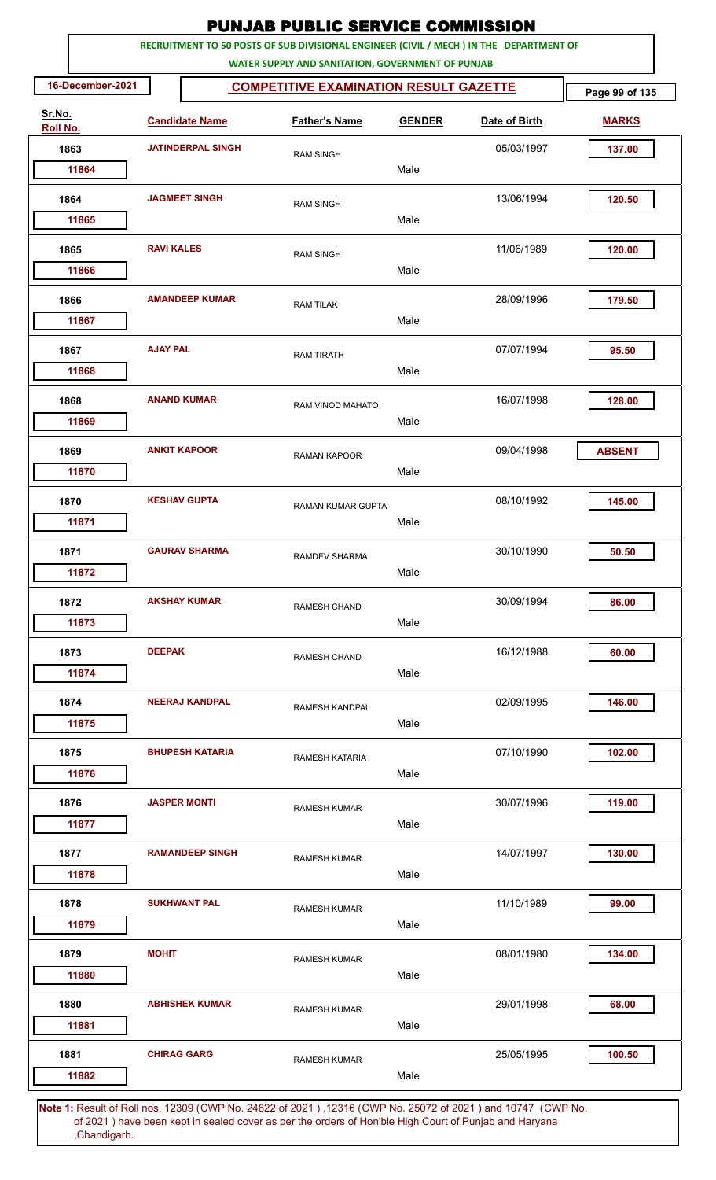|                    |                  |                       |                          | <b>PUNJAB PUBLIC SERVICE COMMISSION</b>           |      |               |                                                                                         |                |
|--------------------|------------------|-----------------------|--------------------------|---------------------------------------------------|------|---------------|-----------------------------------------------------------------------------------------|----------------|
|                    |                  |                       |                          | WATER SUPPLY AND SANITATION, GOVERNMENT OF PUNJAB |      |               | RECRUITMENT TO 50 POSTS OF SUB DIVISIONAL ENGINEER (CIVIL / MECH ) IN THE DEPARTMENT OF |                |
|                    | 16-December-2021 |                       |                          | <b>COMPETITIVE EXAMINATION RESULT GAZETTE</b>     |      |               |                                                                                         | Page 99 of 135 |
| Sr.No.<br>Roll No. |                  | <b>Candidate Name</b> |                          | <b>Father's Name</b>                              |      | <b>GENDER</b> | Date of Birth                                                                           | <b>MARKS</b>   |
| 1863               |                  |                       | <b>JATINDERPAL SINGH</b> | <b>RAM SINGH</b>                                  |      |               | 05/03/1997                                                                              | 137.00         |
|                    | 11864            |                       |                          |                                                   | Male |               |                                                                                         |                |
| 1864               |                  | <b>JAGMEET SINGH</b>  |                          | <b>RAM SINGH</b>                                  |      |               | 13/06/1994                                                                              | 120.50         |
|                    | 11865            |                       |                          |                                                   | Male |               |                                                                                         |                |
| 1865               | 11866            | <b>RAVI KALES</b>     |                          | <b>RAM SINGH</b>                                  | Male |               | 11/06/1989                                                                              | 120.00         |
| 1866               |                  |                       | <b>AMANDEEP KUMAR</b>    |                                                   |      |               | 28/09/1996                                                                              | 179.50         |
|                    | 11867            |                       |                          | <b>RAM TILAK</b>                                  | Male |               |                                                                                         |                |
| 1867               |                  | <b>AJAY PAL</b>       |                          | <b>RAM TIRATH</b>                                 |      |               | 07/07/1994                                                                              | 95.50          |
|                    | 11868            |                       |                          |                                                   | Male |               |                                                                                         |                |
| 1868               | 11869            |                       | <b>ANAND KUMAR</b>       | RAM VINOD MAHATO                                  | Male |               | 16/07/1998                                                                              | 128.00         |
| 1869               |                  |                       | <b>ANKIT KAPOOR</b>      |                                                   |      |               | 09/04/1998                                                                              | <b>ABSENT</b>  |
|                    | 11870            |                       |                          | <b>RAMAN KAPOOR</b>                               | Male |               |                                                                                         |                |
| 1870               |                  |                       | <b>KESHAV GUPTA</b>      | <b>RAMAN KUMAR GUPTA</b>                          |      |               | 08/10/1992                                                                              | 145.00         |
|                    | 11871            |                       |                          |                                                   | Male |               |                                                                                         |                |
| 1871               |                  |                       | <b>GAURAV SHARMA</b>     | RAMDEV SHARMA                                     |      |               | 30/10/1990                                                                              | 50.50          |
|                    | 11872            |                       |                          |                                                   | Male |               |                                                                                         |                |
| 1872               |                  |                       | <b>AKSHAY KUMAR</b>      | <b>RAMESH CHAND</b>                               |      |               | 30/09/1994                                                                              | 86.00          |
|                    | 11873            |                       |                          |                                                   | Male |               |                                                                                         |                |
| 1873               | 11874            | <b>DEEPAK</b>         |                          | <b>RAMESH CHAND</b>                               | Male |               | 16/12/1988                                                                              | 60.00          |
|                    |                  |                       |                          |                                                   |      |               |                                                                                         |                |
| 1874               | 11875            |                       | <b>NEERAJ KANDPAL</b>    | RAMESH KANDPAL                                    | Male |               | 02/09/1995                                                                              | 146.00         |
| 1875               |                  |                       | <b>BHUPESH KATARIA</b>   |                                                   |      |               | 07/10/1990                                                                              | 102.00         |
|                    | 11876            |                       |                          | <b>RAMESH KATARIA</b>                             | Male |               |                                                                                         |                |
| 1876               |                  |                       | <b>JASPER MONTI</b>      | <b>RAMESH KUMAR</b>                               |      |               | 30/07/1996                                                                              | 119.00         |
|                    | 11877            |                       |                          |                                                   | Male |               |                                                                                         |                |
| 1877               |                  |                       | <b>RAMANDEEP SINGH</b>   | <b>RAMESH KUMAR</b>                               |      |               | 14/07/1997                                                                              | 130.00         |
|                    | 11878            |                       |                          |                                                   | Male |               |                                                                                         |                |
| 1878               |                  |                       | <b>SUKHWANT PAL</b>      | <b>RAMESH KUMAR</b>                               |      |               | 11/10/1989                                                                              | 99.00          |
|                    | 11879            |                       |                          |                                                   | Male |               |                                                                                         |                |
| 1879               | 11880            | <b>MOHIT</b>          |                          | <b>RAMESH KUMAR</b>                               | Male |               | 08/01/1980                                                                              | 134.00         |
| 1880               |                  |                       | <b>ABHISHEK KUMAR</b>    |                                                   |      |               | 29/01/1998                                                                              | 68.00          |
|                    | 11881            |                       |                          | <b>RAMESH KUMAR</b>                               | Male |               |                                                                                         |                |
| 1881               |                  | <b>CHIRAG GARG</b>    |                          | <b>RAMESH KUMAR</b>                               |      |               | 25/05/1995                                                                              | 100.50         |
|                    | 11882            |                       |                          |                                                   | Male |               |                                                                                         |                |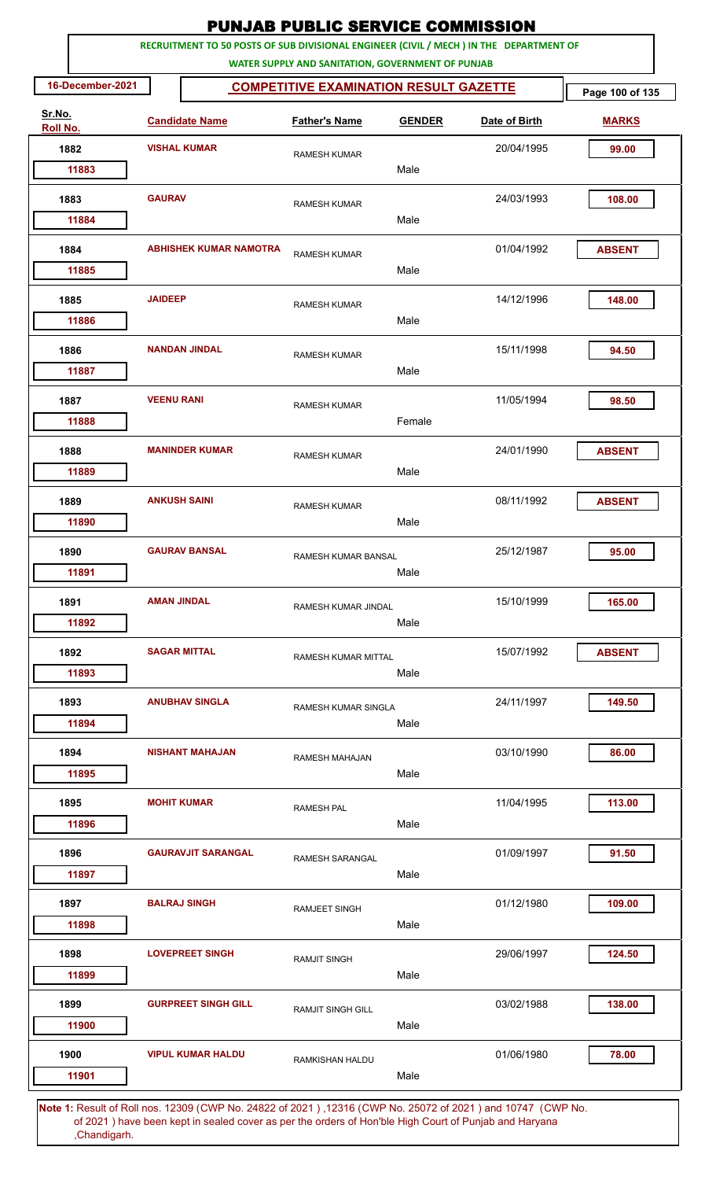|                    |                  |                     |                               | <b>PUNJAB PUBLIC SERVICE COMMISSION</b>           |               |                                                                                         |                 |
|--------------------|------------------|---------------------|-------------------------------|---------------------------------------------------|---------------|-----------------------------------------------------------------------------------------|-----------------|
|                    |                  |                     |                               | WATER SUPPLY AND SANITATION, GOVERNMENT OF PUNJAB |               | RECRUITMENT TO 50 POSTS OF SUB DIVISIONAL ENGINEER (CIVIL / MECH ) IN THE DEPARTMENT OF |                 |
|                    | 16-December-2021 |                     |                               | <b>COMPETITIVE EXAMINATION RESULT GAZETTE</b>     |               |                                                                                         | Page 100 of 135 |
| Sr.No.<br>Roll No. |                  |                     | <b>Candidate Name</b>         | <b>Father's Name</b>                              | <b>GENDER</b> | Date of Birth                                                                           | <b>MARKS</b>    |
| 1882               |                  | <b>VISHAL KUMAR</b> |                               | <b>RAMESH KUMAR</b>                               |               | 20/04/1995                                                                              | 99.00           |
|                    | 11883            |                     |                               |                                                   | Male          |                                                                                         |                 |
| 1883               |                  | <b>GAURAV</b>       |                               | <b>RAMESH KUMAR</b>                               |               | 24/03/1993                                                                              | 108.00          |
|                    | 11884            |                     |                               |                                                   | Male          |                                                                                         |                 |
| 1884               | 11885            |                     | <b>ABHISHEK KUMAR NAMOTRA</b> | <b>RAMESH KUMAR</b>                               | Male          | 01/04/1992                                                                              | <b>ABSENT</b>   |
| 1885               |                  | <b>JAIDEEP</b>      |                               |                                                   |               | 14/12/1996                                                                              | 148.00          |
|                    | 11886            |                     |                               | <b>RAMESH KUMAR</b>                               | Male          |                                                                                         |                 |
| 1886               |                  |                     | <b>NANDAN JINDAL</b>          | <b>RAMESH KUMAR</b>                               |               | 15/11/1998                                                                              | 94.50           |
|                    | 11887            |                     |                               |                                                   | Male          |                                                                                         |                 |
| 1887               | 11888            | <b>VEENU RANI</b>   |                               | <b>RAMESH KUMAR</b>                               | Female        | 11/05/1994                                                                              | 98.50           |
| 1888               |                  |                     | <b>MANINDER KUMAR</b>         |                                                   |               | 24/01/1990                                                                              | <b>ABSENT</b>   |
|                    | 11889            |                     |                               | <b>RAMESH KUMAR</b>                               | Male          |                                                                                         |                 |
| 1889               |                  | <b>ANKUSH SAINI</b> |                               | <b>RAMESH KUMAR</b>                               |               | 08/11/1992                                                                              | <b>ABSENT</b>   |
|                    | 11890            |                     |                               |                                                   | Male          |                                                                                         |                 |
| 1890               |                  |                     | <b>GAURAV BANSAL</b>          | <b>RAMESH KUMAR BANSAL</b>                        |               | 25/12/1987                                                                              | 95.00           |
|                    | 11891            |                     |                               |                                                   | Male          |                                                                                         |                 |
| 1891               |                  | <b>AMAN JINDAL</b>  |                               | <b>RAMESH KUMAR JINDAL</b>                        |               | 15/10/1999                                                                              | 165.00          |
|                    | 11892            |                     |                               |                                                   | Male          |                                                                                         |                 |
| 1892               | 11893            | <b>SAGAR MITTAL</b> |                               | <b>RAMESH KUMAR MITTAL</b>                        | Male          | 15/07/1992                                                                              | <b>ABSENT</b>   |
|                    |                  |                     |                               |                                                   |               |                                                                                         |                 |
| 1893               | 11894            |                     | <b>ANUBHAV SINGLA</b>         | RAMESH KUMAR SINGLA                               | Male          | 24/11/1997                                                                              | 149.50          |
| 1894               |                  |                     | <b>NISHANT MAHAJAN</b>        | <b>RAMESH MAHAJAN</b>                             |               | 03/10/1990                                                                              | 86.00           |
|                    | 11895            |                     |                               |                                                   | Male          |                                                                                         |                 |
| 1895               |                  | <b>MOHIT KUMAR</b>  |                               | <b>RAMESH PAL</b>                                 |               | 11/04/1995                                                                              | 113.00          |
|                    | 11896            |                     |                               |                                                   | Male          |                                                                                         |                 |
| 1896               |                  |                     | <b>GAURAVJIT SARANGAL</b>     | RAMESH SARANGAL                                   |               | 01/09/1997                                                                              | 91.50           |
|                    | 11897            |                     |                               |                                                   | Male          |                                                                                         |                 |
| 1897               |                  | <b>BALRAJ SINGH</b> |                               | <b>RAMJEET SINGH</b>                              |               | 01/12/1980                                                                              | 109.00          |
|                    | 11898            |                     |                               |                                                   | Male          |                                                                                         |                 |
| 1898               | 11899            |                     | <b>LOVEPREET SINGH</b>        | <b>RAMJIT SINGH</b>                               | Male          | 29/06/1997                                                                              | 124.50          |
| 1899               |                  |                     | <b>GURPREET SINGH GILL</b>    |                                                   |               | 03/02/1988                                                                              | 138.00          |
|                    | 11900            |                     |                               | <b>RAMJIT SINGH GILL</b>                          | Male          |                                                                                         |                 |
| 1900               |                  |                     | <b>VIPUL KUMAR HALDU</b>      | RAMKISHAN HALDU                                   |               | 01/06/1980                                                                              | 78.00           |
|                    | 11901            |                     |                               |                                                   | Male          |                                                                                         |                 |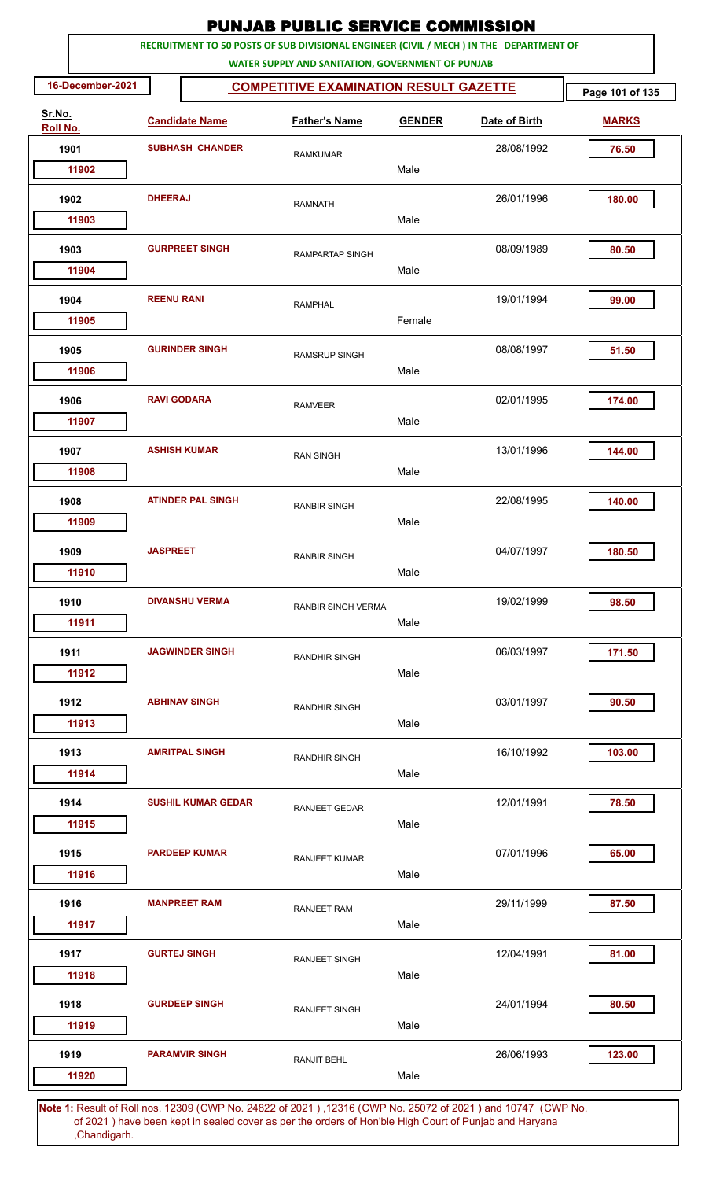| RECRUITMENT TO 50 POSTS OF SUB DIVISIONAL ENGINEER (CIVIL / MECH ) IN THE DEPARTMENT OF<br>WATER SUPPLY AND SANITATION, GOVERNMENT OF PUNJAB<br>16-December-2021<br><b>COMPETITIVE EXAMINATION RESULT GAZETTE</b><br>Sr.No.<br><b>Candidate Name</b><br><b>Father's Name</b><br>Roll No.<br><b>SUBHASH CHANDER</b><br>1901<br><b>RAMKUMAR</b><br>11902<br><b>DHEERAJ</b><br>1902<br><b>RAMNATH</b><br>11903<br>1903<br><b>GURPREET SINGH</b><br><b>RAMPARTAP SINGH</b><br>11904<br>1904<br><b>REENU RANI</b><br><b>RAMPHAL</b><br>11905<br><b>GURINDER SINGH</b><br>1905<br><b>RAMSRUP SINGH</b><br>11906<br>1906<br><b>RAVI GODARA</b><br><b>RAMVEER</b><br>11907<br><b>ASHISH KUMAR</b><br>1907<br><b>RAN SINGH</b><br>11908<br><b>ATINDER PAL SINGH</b><br>1908<br><b>RANBIR SINGH</b><br>11909<br>1909<br><b>JASPREET</b><br><b>RANBIR SINGH</b><br>11910<br><b>DIVANSHU VERMA</b><br>1910<br>RANBIR SINGH VERMA<br>11911<br><b>JAGWINDER SINGH</b><br>1911<br><b>RANDHIR SINGH</b><br>11912<br>1912<br><b>ABHINAV SINGH</b><br><b>RANDHIR SINGH</b><br>11913<br>1913<br><b>AMRITPAL SINGH</b><br><b>RANDHIR SINGH</b><br>11914<br><b>SUSHIL KUMAR GEDAR</b><br>1914<br>RANJEET GEDAR<br>11915<br>1915<br><b>PARDEEP KUMAR</b><br>RANJEET KUMAR<br>11916<br><b>MANPREET RAM</b><br>1916<br><b>RANJEET RAM</b><br>11917<br><b>GURTEJ SINGH</b><br>1917<br><b>RANJEET SINGH</b><br>11918<br>1918<br><b>GURDEEP SINGH</b><br><b>RANJEET SINGH</b><br>11919 | <b>PUNJAB PUBLIC SERVICE COMMISSION</b> |                 |
|-------------------------------------------------------------------------------------------------------------------------------------------------------------------------------------------------------------------------------------------------------------------------------------------------------------------------------------------------------------------------------------------------------------------------------------------------------------------------------------------------------------------------------------------------------------------------------------------------------------------------------------------------------------------------------------------------------------------------------------------------------------------------------------------------------------------------------------------------------------------------------------------------------------------------------------------------------------------------------------------------------------------------------------------------------------------------------------------------------------------------------------------------------------------------------------------------------------------------------------------------------------------------------------------------------------------------------------------------------------------------------------------------------------------------------------------------------------|-----------------------------------------|-----------------|
|                                                                                                                                                                                                                                                                                                                                                                                                                                                                                                                                                                                                                                                                                                                                                                                                                                                                                                                                                                                                                                                                                                                                                                                                                                                                                                                                                                                                                                                             |                                         |                 |
|                                                                                                                                                                                                                                                                                                                                                                                                                                                                                                                                                                                                                                                                                                                                                                                                                                                                                                                                                                                                                                                                                                                                                                                                                                                                                                                                                                                                                                                             |                                         | Page 101 of 135 |
|                                                                                                                                                                                                                                                                                                                                                                                                                                                                                                                                                                                                                                                                                                                                                                                                                                                                                                                                                                                                                                                                                                                                                                                                                                                                                                                                                                                                                                                             | <b>GENDER</b><br>Date of Birth          | <b>MARKS</b>    |
|                                                                                                                                                                                                                                                                                                                                                                                                                                                                                                                                                                                                                                                                                                                                                                                                                                                                                                                                                                                                                                                                                                                                                                                                                                                                                                                                                                                                                                                             | 28/08/1992                              | 76.50           |
|                                                                                                                                                                                                                                                                                                                                                                                                                                                                                                                                                                                                                                                                                                                                                                                                                                                                                                                                                                                                                                                                                                                                                                                                                                                                                                                                                                                                                                                             | Male                                    |                 |
|                                                                                                                                                                                                                                                                                                                                                                                                                                                                                                                                                                                                                                                                                                                                                                                                                                                                                                                                                                                                                                                                                                                                                                                                                                                                                                                                                                                                                                                             | 26/01/1996<br>Male                      | 180.00          |
|                                                                                                                                                                                                                                                                                                                                                                                                                                                                                                                                                                                                                                                                                                                                                                                                                                                                                                                                                                                                                                                                                                                                                                                                                                                                                                                                                                                                                                                             |                                         |                 |
|                                                                                                                                                                                                                                                                                                                                                                                                                                                                                                                                                                                                                                                                                                                                                                                                                                                                                                                                                                                                                                                                                                                                                                                                                                                                                                                                                                                                                                                             | 08/09/1989<br>Male                      | 80.50           |
|                                                                                                                                                                                                                                                                                                                                                                                                                                                                                                                                                                                                                                                                                                                                                                                                                                                                                                                                                                                                                                                                                                                                                                                                                                                                                                                                                                                                                                                             | 19/01/1994                              | 99.00           |
|                                                                                                                                                                                                                                                                                                                                                                                                                                                                                                                                                                                                                                                                                                                                                                                                                                                                                                                                                                                                                                                                                                                                                                                                                                                                                                                                                                                                                                                             | Female                                  |                 |
|                                                                                                                                                                                                                                                                                                                                                                                                                                                                                                                                                                                                                                                                                                                                                                                                                                                                                                                                                                                                                                                                                                                                                                                                                                                                                                                                                                                                                                                             | 08/08/1997<br>Male                      | 51.50           |
|                                                                                                                                                                                                                                                                                                                                                                                                                                                                                                                                                                                                                                                                                                                                                                                                                                                                                                                                                                                                                                                                                                                                                                                                                                                                                                                                                                                                                                                             | 02/01/1995                              | 174.00          |
|                                                                                                                                                                                                                                                                                                                                                                                                                                                                                                                                                                                                                                                                                                                                                                                                                                                                                                                                                                                                                                                                                                                                                                                                                                                                                                                                                                                                                                                             | Male                                    |                 |
|                                                                                                                                                                                                                                                                                                                                                                                                                                                                                                                                                                                                                                                                                                                                                                                                                                                                                                                                                                                                                                                                                                                                                                                                                                                                                                                                                                                                                                                             | 13/01/1996                              | 144.00          |
|                                                                                                                                                                                                                                                                                                                                                                                                                                                                                                                                                                                                                                                                                                                                                                                                                                                                                                                                                                                                                                                                                                                                                                                                                                                                                                                                                                                                                                                             | Male                                    |                 |
|                                                                                                                                                                                                                                                                                                                                                                                                                                                                                                                                                                                                                                                                                                                                                                                                                                                                                                                                                                                                                                                                                                                                                                                                                                                                                                                                                                                                                                                             | 22/08/1995                              | 140.00          |
|                                                                                                                                                                                                                                                                                                                                                                                                                                                                                                                                                                                                                                                                                                                                                                                                                                                                                                                                                                                                                                                                                                                                                                                                                                                                                                                                                                                                                                                             | Male                                    |                 |
|                                                                                                                                                                                                                                                                                                                                                                                                                                                                                                                                                                                                                                                                                                                                                                                                                                                                                                                                                                                                                                                                                                                                                                                                                                                                                                                                                                                                                                                             | 04/07/1997<br>Male                      | 180.50          |
|                                                                                                                                                                                                                                                                                                                                                                                                                                                                                                                                                                                                                                                                                                                                                                                                                                                                                                                                                                                                                                                                                                                                                                                                                                                                                                                                                                                                                                                             | 19/02/1999<br>Male                      | 98.50           |
|                                                                                                                                                                                                                                                                                                                                                                                                                                                                                                                                                                                                                                                                                                                                                                                                                                                                                                                                                                                                                                                                                                                                                                                                                                                                                                                                                                                                                                                             | 06/03/1997<br>Male                      | 171.50          |
|                                                                                                                                                                                                                                                                                                                                                                                                                                                                                                                                                                                                                                                                                                                                                                                                                                                                                                                                                                                                                                                                                                                                                                                                                                                                                                                                                                                                                                                             | 03/01/1997                              | 90.50           |
|                                                                                                                                                                                                                                                                                                                                                                                                                                                                                                                                                                                                                                                                                                                                                                                                                                                                                                                                                                                                                                                                                                                                                                                                                                                                                                                                                                                                                                                             | Male                                    |                 |
|                                                                                                                                                                                                                                                                                                                                                                                                                                                                                                                                                                                                                                                                                                                                                                                                                                                                                                                                                                                                                                                                                                                                                                                                                                                                                                                                                                                                                                                             | 16/10/1992<br>Male                      | 103.00          |
|                                                                                                                                                                                                                                                                                                                                                                                                                                                                                                                                                                                                                                                                                                                                                                                                                                                                                                                                                                                                                                                                                                                                                                                                                                                                                                                                                                                                                                                             | 12/01/1991<br>Male                      | 78.50           |
|                                                                                                                                                                                                                                                                                                                                                                                                                                                                                                                                                                                                                                                                                                                                                                                                                                                                                                                                                                                                                                                                                                                                                                                                                                                                                                                                                                                                                                                             | 07/01/1996<br>Male                      | 65.00           |
|                                                                                                                                                                                                                                                                                                                                                                                                                                                                                                                                                                                                                                                                                                                                                                                                                                                                                                                                                                                                                                                                                                                                                                                                                                                                                                                                                                                                                                                             | 29/11/1999                              | 87.50           |
|                                                                                                                                                                                                                                                                                                                                                                                                                                                                                                                                                                                                                                                                                                                                                                                                                                                                                                                                                                                                                                                                                                                                                                                                                                                                                                                                                                                                                                                             | Male                                    |                 |
|                                                                                                                                                                                                                                                                                                                                                                                                                                                                                                                                                                                                                                                                                                                                                                                                                                                                                                                                                                                                                                                                                                                                                                                                                                                                                                                                                                                                                                                             | 12/04/1991<br>Male                      | 81.00           |
|                                                                                                                                                                                                                                                                                                                                                                                                                                                                                                                                                                                                                                                                                                                                                                                                                                                                                                                                                                                                                                                                                                                                                                                                                                                                                                                                                                                                                                                             | 24/01/1994<br>Male                      | 80.50           |
| <b>PARAMVIR SINGH</b><br>1919<br>RANJIT BEHL<br>11920                                                                                                                                                                                                                                                                                                                                                                                                                                                                                                                                                                                                                                                                                                                                                                                                                                                                                                                                                                                                                                                                                                                                                                                                                                                                                                                                                                                                       | 26/06/1993<br>Male                      | 123.00          |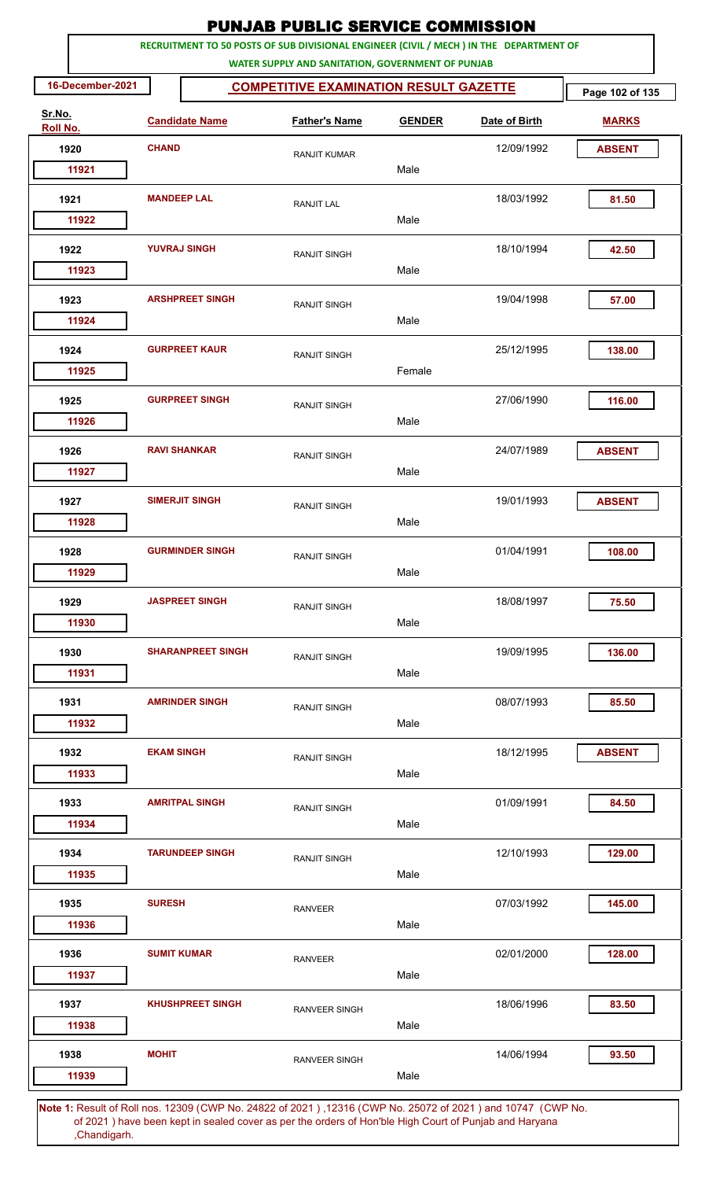|                    |                          | <b>PUNJAB PUBLIC SERVICE COMMISSION</b><br>RECRUITMENT TO 50 POSTS OF SUB DIVISIONAL ENGINEER (CIVIL / MECH ) IN THE DEPARTMENT OF |               |               |                 |
|--------------------|--------------------------|------------------------------------------------------------------------------------------------------------------------------------|---------------|---------------|-----------------|
|                    |                          | WATER SUPPLY AND SANITATION, GOVERNMENT OF PUNJAB                                                                                  |               |               |                 |
| 16-December-2021   |                          | <b>COMPETITIVE EXAMINATION RESULT GAZETTE</b>                                                                                      |               |               | Page 102 of 135 |
| Sr.No.<br>Roll No. | <b>Candidate Name</b>    | <b>Father's Name</b>                                                                                                               | <b>GENDER</b> | Date of Birth | <b>MARKS</b>    |
| 1920               | <b>CHAND</b>             | <b>RANJIT KUMAR</b>                                                                                                                |               | 12/09/1992    | <b>ABSENT</b>   |
| 11921              |                          |                                                                                                                                    | Male          |               |                 |
| 1921               | <b>MANDEEP LAL</b>       | <b>RANJIT LAL</b>                                                                                                                  |               | 18/03/1992    | 81.50           |
| 11922              |                          |                                                                                                                                    | Male          |               |                 |
| 1922               | <b>YUVRAJ SINGH</b>      | <b>RANJIT SINGH</b>                                                                                                                |               | 18/10/1994    | 42.50           |
| 11923              |                          |                                                                                                                                    | Male          |               |                 |
| 1923               | <b>ARSHPREET SINGH</b>   | <b>RANJIT SINGH</b>                                                                                                                |               | 19/04/1998    | 57.00           |
| 11924              |                          |                                                                                                                                    | Male          |               |                 |
| 1924               | <b>GURPREET KAUR</b>     | RANJIT SINGH                                                                                                                       |               | 25/12/1995    | 138.00          |
| 11925              |                          |                                                                                                                                    | Female        |               |                 |
| 1925               | <b>GURPREET SINGH</b>    | RANJIT SINGH                                                                                                                       |               | 27/06/1990    | 116.00          |
| 11926              |                          |                                                                                                                                    | Male          |               |                 |
| 1926               | <b>RAVI SHANKAR</b>      | RANJIT SINGH                                                                                                                       |               | 24/07/1989    | <b>ABSENT</b>   |
| 11927              |                          |                                                                                                                                    | Male          |               |                 |
| 1927               | <b>SIMERJIT SINGH</b>    | RANJIT SINGH                                                                                                                       |               | 19/01/1993    | <b>ABSENT</b>   |
| 11928              |                          |                                                                                                                                    | Male          |               |                 |
| 1928<br>11929      | <b>GURMINDER SINGH</b>   | <b>RANJIT SINGH</b>                                                                                                                | Male          | 01/04/1991    | 108.00          |
|                    |                          |                                                                                                                                    |               |               |                 |
| 1929<br>11930      | <b>JASPREET SINGH</b>    | RANJIT SINGH                                                                                                                       | Male          | 18/08/1997    | 75.50           |
|                    |                          |                                                                                                                                    |               |               |                 |
| 1930<br>11931      | <b>SHARANPREET SINGH</b> | RANJIT SINGH                                                                                                                       | Male          | 19/09/1995    | 136.00          |
| 1931               | <b>AMRINDER SINGH</b>    |                                                                                                                                    |               | 08/07/1993    | 85.50           |
| 11932              |                          | RANJIT SINGH                                                                                                                       | Male          |               |                 |
| 1932               | <b>EKAM SINGH</b>        |                                                                                                                                    |               | 18/12/1995    | <b>ABSENT</b>   |
| 11933              |                          | RANJIT SINGH                                                                                                                       | Male          |               |                 |
| 1933               | <b>AMRITPAL SINGH</b>    |                                                                                                                                    |               | 01/09/1991    | 84.50           |
| 11934              |                          | <b>RANJIT SINGH</b>                                                                                                                | Male          |               |                 |
| 1934               | <b>TARUNDEEP SINGH</b>   | <b>RANJIT SINGH</b>                                                                                                                |               | 12/10/1993    | 129.00          |
| 11935              |                          |                                                                                                                                    | Male          |               |                 |
| 1935               | <b>SURESH</b>            | <b>RANVEER</b>                                                                                                                     |               | 07/03/1992    | 145.00          |
| 11936              |                          |                                                                                                                                    | Male          |               |                 |
| 1936               | <b>SUMIT KUMAR</b>       | <b>RANVEER</b>                                                                                                                     |               | 02/01/2000    | 128.00          |
| 11937              |                          |                                                                                                                                    | Male          |               |                 |
| 1937               | <b>KHUSHPREET SINGH</b>  | RANVEER SINGH                                                                                                                      |               | 18/06/1996    | 83.50           |
| 11938              |                          |                                                                                                                                    | Male          |               |                 |
| 1938               | <b>MOHIT</b>             | <b>RANVEER SINGH</b>                                                                                                               |               | 14/06/1994    | 93.50           |
| 11939              |                          |                                                                                                                                    | Male          |               |                 |
|                    | of Doll not              | 10000 (CMD No. 04900 of 0001) 10016 (CMD No. 05070 of 0001) and 10747 (CMD No                                                      |               |               |                 |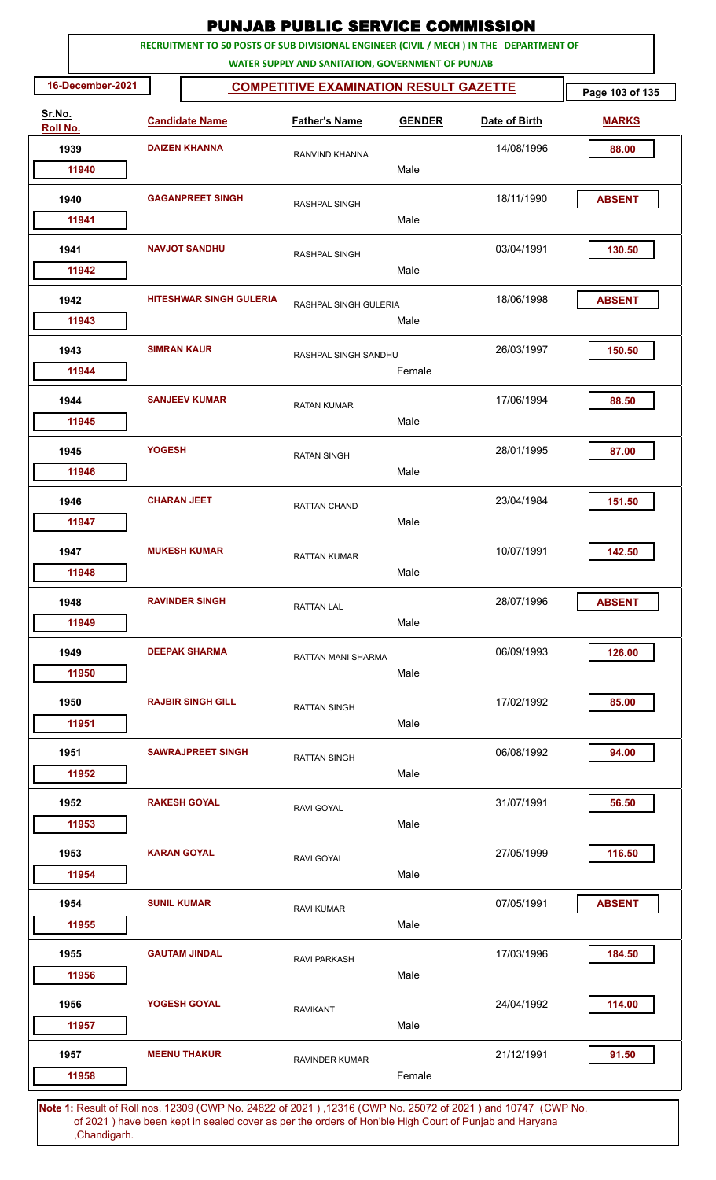|                    |                    |                                | <b>PUNJAB PUBLIC SERVICE COMMISSION</b>                                                                      |               |                                                                                         |                 |
|--------------------|--------------------|--------------------------------|--------------------------------------------------------------------------------------------------------------|---------------|-----------------------------------------------------------------------------------------|-----------------|
|                    |                    |                                | WATER SUPPLY AND SANITATION, GOVERNMENT OF PUNJAB                                                            |               | RECRUITMENT TO 50 POSTS OF SUB DIVISIONAL ENGINEER (CIVIL / MECH ) IN THE DEPARTMENT OF |                 |
| 16-December-2021   |                    |                                | <b>COMPETITIVE EXAMINATION RESULT GAZETTE</b>                                                                |               |                                                                                         | Page 103 of 135 |
| Sr.No.<br>Roll No. |                    | <b>Candidate Name</b>          | <b>Father's Name</b>                                                                                         | <b>GENDER</b> | Date of Birth                                                                           | <b>MARKS</b>    |
| 1939               |                    | <b>DAIZEN KHANNA</b>           | RANVIND KHANNA                                                                                               |               | 14/08/1996                                                                              | 88.00           |
| 11940              |                    |                                |                                                                                                              | Male          |                                                                                         |                 |
| 1940               |                    | <b>GAGANPREET SINGH</b>        | RASHPAL SINGH                                                                                                | Male          | 18/11/1990                                                                              | <b>ABSENT</b>   |
| 11941              |                    |                                |                                                                                                              |               |                                                                                         |                 |
| 1941<br>11942      |                    | <b>NAVJOT SANDHU</b>           | RASHPAL SINGH                                                                                                | Male          | 03/04/1991                                                                              | 130.50          |
| 1942               |                    | <b>HITESHWAR SINGH GULERIA</b> | RASHPAL SINGH GULERIA                                                                                        |               | 18/06/1998                                                                              | <b>ABSENT</b>   |
| 11943              |                    |                                |                                                                                                              | Male          |                                                                                         |                 |
| 1943<br>11944      | <b>SIMRAN KAUR</b> |                                | RASHPAL SINGH SANDHU                                                                                         | Female        | 26/03/1997                                                                              | 150.50          |
| 1944               |                    | <b>SANJEEV KUMAR</b>           | <b>RATAN KUMAR</b>                                                                                           |               | 17/06/1994                                                                              | 88.50           |
| 11945              |                    |                                |                                                                                                              | Male          |                                                                                         |                 |
| 1945<br>11946      | <b>YOGESH</b>      |                                | <b>RATAN SINGH</b>                                                                                           | Male          | 28/01/1995                                                                              | 87.00           |
| 1946               | <b>CHARAN JEET</b> |                                | <b>RATTAN CHAND</b>                                                                                          |               | 23/04/1984                                                                              | 151.50          |
| 11947              |                    |                                |                                                                                                              | Male          |                                                                                         |                 |
| 1947               |                    | <b>MUKESH KUMAR</b>            | <b>RATTAN KUMAR</b>                                                                                          |               | 10/07/1991                                                                              | 142.50          |
| 11948              |                    |                                |                                                                                                              | Male          |                                                                                         |                 |
| 1948               |                    | <b>RAVINDER SINGH</b>          | <b>RATTAN LAL</b>                                                                                            |               | 28/07/1996                                                                              | <b>ABSENT</b>   |
| 11949              |                    |                                |                                                                                                              | Male          |                                                                                         |                 |
| 1949<br>11950      |                    | <b>DEEPAK SHARMA</b>           | RATTAN MANI SHARMA                                                                                           | Male          | 06/09/1993                                                                              | 126.00          |
| 1950               |                    | <b>RAJBIR SINGH GILL</b>       |                                                                                                              |               | 17/02/1992                                                                              | 85.00           |
| 11951              |                    |                                | <b>RATTAN SINGH</b>                                                                                          | Male          |                                                                                         |                 |
| 1951               |                    | <b>SAWRAJPREET SINGH</b>       | <b>RATTAN SINGH</b>                                                                                          |               | 06/08/1992                                                                              | 94.00           |
| 11952              |                    |                                |                                                                                                              | Male          |                                                                                         |                 |
| 1952<br>11953      |                    | <b>RAKESH GOYAL</b>            | RAVI GOYAL                                                                                                   | Male          | 31/07/1991                                                                              | 56.50           |
| 1953               |                    | <b>KARAN GOYAL</b>             | RAVI GOYAL                                                                                                   |               | 27/05/1999                                                                              | 116.50          |
| 11954              |                    |                                |                                                                                                              | Male          |                                                                                         |                 |
| 1954<br>11955      | <b>SUNIL KUMAR</b> |                                | <b>RAVI KUMAR</b>                                                                                            | Male          | 07/05/1991                                                                              | <b>ABSENT</b>   |
|                    |                    |                                |                                                                                                              |               |                                                                                         |                 |
| 1955<br>11956      |                    | <b>GAUTAM JINDAL</b>           | <b>RAVI PARKASH</b>                                                                                          | Male          | 17/03/1996                                                                              | 184.50          |
| 1956               |                    | YOGESH GOYAL                   | <b>RAVIKANT</b>                                                                                              |               | 24/04/1992                                                                              | 114.00          |
| 11957              |                    |                                |                                                                                                              | Male          |                                                                                         |                 |
| 1957<br>11958      |                    | <b>MEENU THAKUR</b>            | <b>RAVINDER KUMAR</b>                                                                                        | Female        | 21/12/1991                                                                              | 91.50           |
|                    |                    |                                | Note 1: Result of Pollings, 12309 (CMP No. 24822 of 2021), 12316 (CMP No. 25072 of 2021) and 10747. (CMP No. |               |                                                                                         |                 |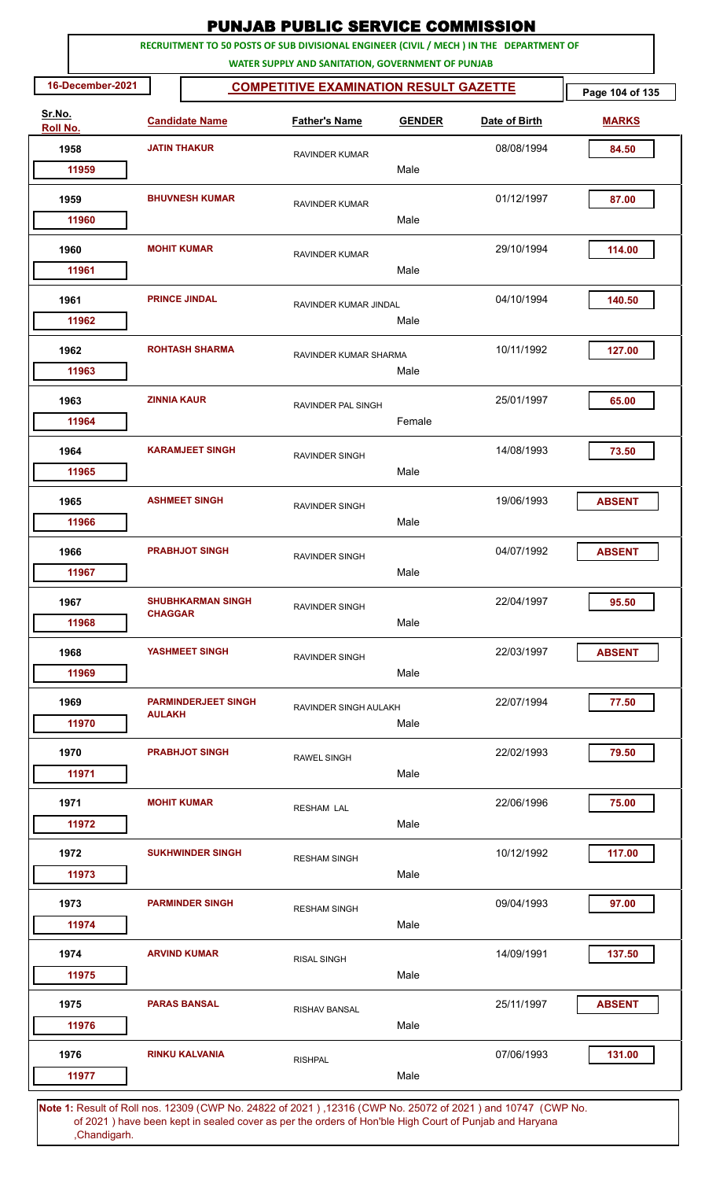|                    |                       |                            | <b>PUNJAB PUBLIC SERVICE COMMISSION</b>                                                               |               |                                                                                         |                 |
|--------------------|-----------------------|----------------------------|-------------------------------------------------------------------------------------------------------|---------------|-----------------------------------------------------------------------------------------|-----------------|
|                    |                       |                            |                                                                                                       |               | RECRUITMENT TO 50 POSTS OF SUB DIVISIONAL ENGINEER (CIVIL / MECH ) IN THE DEPARTMENT OF |                 |
| 16-December-2021   |                       |                            | WATER SUPPLY AND SANITATION, GOVERNMENT OF PUNJAB<br><b>COMPETITIVE EXAMINATION RESULT GAZETTE</b>    |               |                                                                                         | Page 104 of 135 |
| Sr.No.<br>Roll No. | <b>Candidate Name</b> |                            | <b>Father's Name</b>                                                                                  | <b>GENDER</b> | Date of Birth                                                                           | <b>MARKS</b>    |
| 1958               | <b>JATIN THAKUR</b>   |                            | <b>RAVINDER KUMAR</b>                                                                                 |               | 08/08/1994                                                                              | 84.50           |
| 11959              |                       |                            |                                                                                                       | Male          |                                                                                         |                 |
| 1959               |                       | <b>BHUVNESH KUMAR</b>      | <b>RAVINDER KUMAR</b>                                                                                 |               | 01/12/1997                                                                              | 87.00           |
| 11960              |                       |                            |                                                                                                       | Male          |                                                                                         |                 |
| 1960<br>11961      |                       | <b>MOHIT KUMAR</b>         | RAVINDER KUMAR                                                                                        | Male          | 29/10/1994                                                                              | 114.00          |
| 1961<br>11962      |                       | <b>PRINCE JINDAL</b>       | RAVINDER KUMAR JINDAL                                                                                 | Male          | 04/10/1994                                                                              | 140.50          |
| 1962<br>11963      |                       | <b>ROHTASH SHARMA</b>      | RAVINDER KUMAR SHARMA                                                                                 | Male          | 10/11/1992                                                                              | 127.00          |
| 1963<br>11964      | <b>ZINNIA KAUR</b>    |                            | RAVINDER PAL SINGH                                                                                    | Female        | 25/01/1997                                                                              | 65.00           |
| 1964<br>11965      |                       | <b>KARAMJEET SINGH</b>     | RAVINDER SINGH                                                                                        | Male          | 14/08/1993                                                                              | 73.50           |
| 1965<br>11966      |                       | <b>ASHMEET SINGH</b>       | RAVINDER SINGH                                                                                        | Male          | 19/06/1993                                                                              | <b>ABSENT</b>   |
| 1966<br>11967      |                       | <b>PRABHJOT SINGH</b>      | <b>RAVINDER SINGH</b>                                                                                 | Male          | 04/07/1992                                                                              | <b>ABSENT</b>   |
| 1967<br>11968      | <b>CHAGGAR</b>        | <b>SHUBHKARMAN SINGH</b>   | RAVINDER SINGH                                                                                        | Male          | 22/04/1997                                                                              | 95.50           |
| 1968<br>11969      |                       | YASHMEET SINGH             | RAVINDER SINGH                                                                                        | Male          | 22/03/1997                                                                              | <b>ABSENT</b>   |
| 1969<br>11970      | <b>AIII AKH</b>       | <b>PARMINDERJEET SINGH</b> | RAVINDER SINGH AULAKH                                                                                 | Male          | 22/07/1994                                                                              | 77.50           |
| 1970<br>11971      |                       | <b>PRABHJOT SINGH</b>      | <b>RAWEL SINGH</b>                                                                                    | Male          | 22/02/1993                                                                              | 79.50           |
| 1971<br>11972      |                       | <b>MOHIT KUMAR</b>         | <b>RESHAM LAL</b>                                                                                     | Male          | 22/06/1996                                                                              | 75.00           |
| 1972<br>11973      |                       | <b>SUKHWINDER SINGH</b>    | <b>RESHAM SINGH</b>                                                                                   | Male          | 10/12/1992                                                                              | 117.00          |
| 1973<br>11974      |                       | <b>PARMINDER SINGH</b>     | <b>RESHAM SINGH</b>                                                                                   | Male          | 09/04/1993                                                                              | 97.00           |
| 1974<br>11975      |                       | <b>ARVIND KUMAR</b>        | <b>RISAL SINGH</b>                                                                                    | Male          | 14/09/1991                                                                              | 137.50          |
| 1975<br>11976      |                       | <b>PARAS BANSAL</b>        | <b>RISHAV BANSAL</b>                                                                                  | Male          | 25/11/1997                                                                              | <b>ABSENT</b>   |
| 1976<br>11977      |                       | <b>RINKU KALVANIA</b>      | <b>RISHPAL</b>                                                                                        | Male          | 07/06/1993                                                                              | 131.00          |
|                    |                       |                            | 4: Result of Bollings, 12200 (CWD No. 24822 of 2021), 12216 (CWD No. 25072 of 2021) and 10747 (CWD No |               |                                                                                         |                 |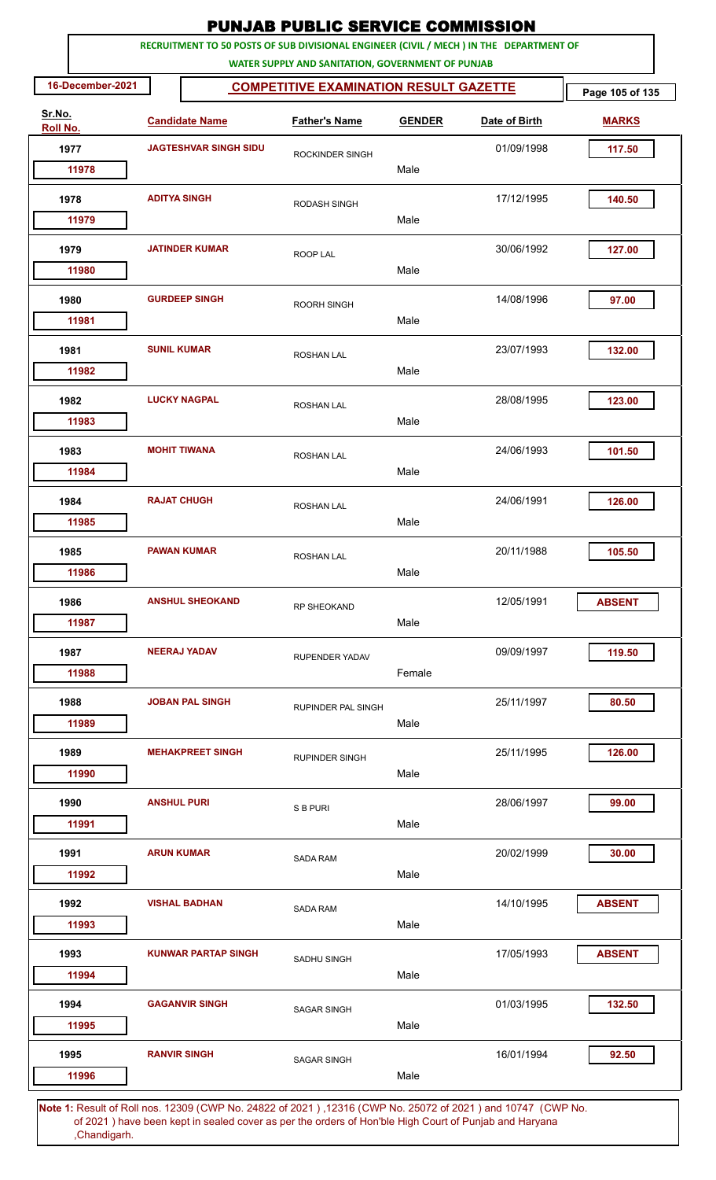|          |                  |                              |                            | <b>PUNJAB PUBLIC SERVICE COMMISSION</b>                                                            |               |               |                 |
|----------|------------------|------------------------------|----------------------------|----------------------------------------------------------------------------------------------------|---------------|---------------|-----------------|
|          |                  |                              |                            | RECRUITMENT TO 50 POSTS OF SUB DIVISIONAL ENGINEER (CIVIL / MECH ) IN THE DEPARTMENT OF            |               |               |                 |
|          | 16-December-2021 |                              |                            | WATER SUPPLY AND SANITATION, GOVERNMENT OF PUNJAB<br><b>COMPETITIVE EXAMINATION RESULT GAZETTE</b> |               |               | Page 105 of 135 |
| Sr.No.   |                  |                              |                            |                                                                                                    |               |               |                 |
| Roll No. |                  | <b>Candidate Name</b>        |                            | <b>Father's Name</b>                                                                               | <b>GENDER</b> | Date of Birth | <b>MARKS</b>    |
| 1977     |                  | <b>JAGTESHVAR SINGH SIDU</b> |                            | ROCKINDER SINGH                                                                                    |               | 01/09/1998    | 117.50          |
|          | 11978            |                              |                            |                                                                                                    | Male          |               |                 |
| 1978     |                  | <b>ADITYA SINGH</b>          |                            | RODASH SINGH                                                                                       | Male          | 17/12/1995    | 140.50          |
|          | 11979            |                              |                            |                                                                                                    |               |               |                 |
| 1979     |                  |                              | <b>JATINDER KUMAR</b>      | ROOP LAL                                                                                           |               | 30/06/1992    | 127.00          |
|          | 11980            |                              |                            |                                                                                                    | Male          |               |                 |
| 1980     |                  |                              | <b>GURDEEP SINGH</b>       | <b>ROORH SINGH</b>                                                                                 |               | 14/08/1996    | 97.00           |
|          | 11981            |                              |                            |                                                                                                    | Male          |               |                 |
| 1981     |                  | <b>SUNIL KUMAR</b>           |                            | <b>ROSHAN LAL</b>                                                                                  |               | 23/07/1993    | 132.00          |
|          | 11982            |                              |                            |                                                                                                    | Male          |               |                 |
| 1982     |                  |                              | <b>LUCKY NAGPAL</b>        | <b>ROSHAN LAL</b>                                                                                  |               | 28/08/1995    | 123.00          |
|          | 11983            |                              |                            |                                                                                                    | Male          |               |                 |
| 1983     |                  |                              | <b>MOHIT TIWANA</b>        | <b>ROSHAN LAL</b>                                                                                  |               | 24/06/1993    | 101.50          |
|          | 11984            |                              |                            |                                                                                                    | Male          |               |                 |
| 1984     |                  | <b>RAJAT CHUGH</b>           |                            | <b>ROSHAN LAL</b>                                                                                  |               | 24/06/1991    | 126.00          |
|          | 11985            |                              |                            |                                                                                                    | Male          |               |                 |
| 1985     |                  |                              | <b>PAWAN KUMAR</b>         | ROSHAN LAL                                                                                         |               | 20/11/1988    | 105.50          |
|          | 11986            |                              |                            |                                                                                                    | Male          |               |                 |
| 1986     |                  |                              | <b>ANSHUL SHEOKAND</b>     | <b>RP SHEOKAND</b>                                                                                 |               | 12/05/1991    | <b>ABSENT</b>   |
|          | 11987            |                              |                            |                                                                                                    | Male          |               |                 |
| 1987     |                  |                              | <b>NEERAJ YADAV</b>        | <b>RUPENDER YADAV</b>                                                                              |               | 09/09/1997    | 119.50          |
|          | 11988            |                              |                            |                                                                                                    | Female        |               |                 |
| 1988     |                  |                              | <b>JOBAN PAL SINGH</b>     | RUPINDER PAL SINGH                                                                                 |               | 25/11/1997    | 80.50           |
|          | 11989            |                              |                            |                                                                                                    | Male          |               |                 |
| 1989     |                  |                              | <b>MEHAKPREET SINGH</b>    | <b>RUPINDER SINGH</b>                                                                              |               | 25/11/1995    | 126.00          |
|          | 11990            |                              |                            |                                                                                                    | Male          |               |                 |
| 1990     |                  | <b>ANSHUL PURI</b>           |                            | S B PURI                                                                                           |               | 28/06/1997    | 99.00           |
|          | 11991            |                              |                            |                                                                                                    | Male          |               |                 |
| 1991     |                  | <b>ARUN KUMAR</b>            |                            | <b>SADA RAM</b>                                                                                    |               | 20/02/1999    | 30.00           |
|          | 11992            |                              |                            |                                                                                                    | Male          |               |                 |
| 1992     |                  |                              | <b>VISHAL BADHAN</b>       | <b>SADA RAM</b>                                                                                    |               | 14/10/1995    | <b>ABSENT</b>   |
|          | 11993            |                              |                            |                                                                                                    | Male          |               |                 |
| 1993     |                  |                              | <b>KUNWAR PARTAP SINGH</b> | SADHU SINGH                                                                                        |               | 17/05/1993    | <b>ABSENT</b>   |
|          | 11994            |                              |                            |                                                                                                    | Male          |               |                 |
| 1994     |                  |                              | <b>GAGANVIR SINGH</b>      | <b>SAGAR SINGH</b>                                                                                 |               | 01/03/1995    | 132.50          |
|          | 11995            |                              |                            |                                                                                                    | Male          |               |                 |
| 1995     |                  |                              | <b>RANVIR SINGH</b>        | <b>SAGAR SINGH</b>                                                                                 |               | 16/01/1994    | 92.50           |
|          | 11996            |                              |                            |                                                                                                    | Male          |               |                 |
|          |                  |                              |                            |                                                                                                    |               |               |                 |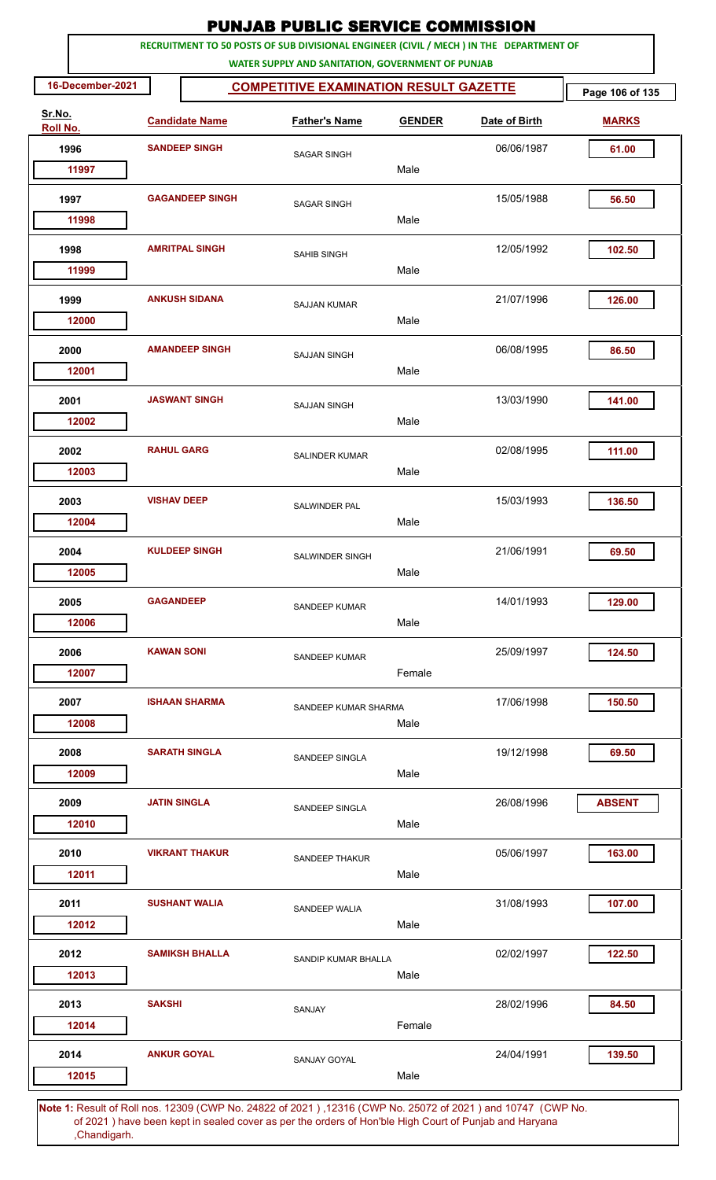|                    |                  |                     |                        | <b>PUNJAB PUBLIC SERVICE COMMISSION</b>                                                            |               |                                                                                         |                 |
|--------------------|------------------|---------------------|------------------------|----------------------------------------------------------------------------------------------------|---------------|-----------------------------------------------------------------------------------------|-----------------|
|                    |                  |                     |                        |                                                                                                    |               | RECRUITMENT TO 50 POSTS OF SUB DIVISIONAL ENGINEER (CIVIL / MECH ) IN THE DEPARTMENT OF |                 |
|                    | 16-December-2021 |                     |                        | WATER SUPPLY AND SANITATION, GOVERNMENT OF PUNJAB<br><b>COMPETITIVE EXAMINATION RESULT GAZETTE</b> |               |                                                                                         | Page 106 of 135 |
| Sr.No.<br>Roll No. |                  |                     | <b>Candidate Name</b>  | <b>Father's Name</b>                                                                               | <b>GENDER</b> | Date of Birth                                                                           | <b>MARKS</b>    |
| 1996               |                  |                     | <b>SANDEEP SINGH</b>   |                                                                                                    |               | 06/06/1987                                                                              | 61.00           |
|                    | 11997            |                     |                        | <b>SAGAR SINGH</b>                                                                                 | Male          |                                                                                         |                 |
| 1997               |                  |                     | <b>GAGANDEEP SINGH</b> | <b>SAGAR SINGH</b>                                                                                 |               | 15/05/1988                                                                              | 56.50           |
|                    | 11998            |                     |                        |                                                                                                    | Male          |                                                                                         |                 |
| 1998               |                  |                     | <b>AMRITPAL SINGH</b>  | <b>SAHIB SINGH</b>                                                                                 |               | 12/05/1992                                                                              | 102.50          |
|                    | 11999            |                     |                        |                                                                                                    | Male          |                                                                                         |                 |
| 1999               | 12000            |                     | <b>ANKUSH SIDANA</b>   | <b>SAJJAN KUMAR</b>                                                                                | Male          | 21/07/1996                                                                              | 126.00          |
|                    |                  |                     |                        |                                                                                                    |               |                                                                                         |                 |
| 2000               | 12001            |                     | <b>AMANDEEP SINGH</b>  | <b>SAJJAN SINGH</b>                                                                                | Male          | 06/08/1995                                                                              | 86.50           |
| 2001               |                  |                     | <b>JASWANT SINGH</b>   | <b>SAJJAN SINGH</b>                                                                                |               | 13/03/1990                                                                              | 141.00          |
|                    | 12002            |                     |                        |                                                                                                    | Male          |                                                                                         |                 |
| 2002               |                  | <b>RAHUL GARG</b>   |                        | <b>SALINDER KUMAR</b>                                                                              |               | 02/08/1995                                                                              | 111.00          |
|                    | 12003            |                     |                        |                                                                                                    | Male          |                                                                                         |                 |
| 2003               |                  | <b>VISHAV DEEP</b>  |                        | SALWINDER PAL                                                                                      |               | 15/03/1993                                                                              | 136.50          |
|                    | 12004            |                     |                        |                                                                                                    | Male          |                                                                                         |                 |
| 2004               | 12005            |                     | <b>KULDEEP SINGH</b>   | SALWINDER SINGH                                                                                    | Male          | 21/06/1991                                                                              | 69.50           |
| 2005               |                  | <b>GAGANDEEP</b>    |                        | <b>SANDEEP KUMAR</b>                                                                               |               | 14/01/1993                                                                              | 129.00          |
|                    | 12006            |                     |                        |                                                                                                    | Male          |                                                                                         |                 |
| 2006               |                  | <b>KAWAN SONI</b>   |                        | <b>SANDEEP KUMAR</b>                                                                               |               | 25/09/1997                                                                              | 124.50          |
|                    | 12007            |                     |                        |                                                                                                    | Female        |                                                                                         |                 |
| 2007               | 12008            |                     | <b>ISHAAN SHARMA</b>   | SANDEEP KUMAR SHARMA                                                                               | Male          | 17/06/1998                                                                              | 150.50          |
|                    |                  |                     |                        |                                                                                                    |               |                                                                                         |                 |
| 2008               | 12009            |                     | <b>SARATH SINGLA</b>   | SANDEEP SINGLA                                                                                     | Male          | 19/12/1998                                                                              | 69.50           |
| 2009               |                  | <b>JATIN SINGLA</b> |                        | SANDEEP SINGLA                                                                                     |               | 26/08/1996                                                                              | <b>ABSENT</b>   |
|                    | 12010            |                     |                        |                                                                                                    | Male          |                                                                                         |                 |
| 2010               |                  |                     | <b>VIKRANT THAKUR</b>  | SANDEEP THAKUR                                                                                     |               | 05/06/1997                                                                              | 163.00          |
|                    | 12011            |                     |                        |                                                                                                    | Male          |                                                                                         |                 |
| 2011               |                  |                     | <b>SUSHANT WALIA</b>   | SANDEEP WALIA                                                                                      |               | 31/08/1993                                                                              | 107.00          |
|                    | 12012            |                     |                        |                                                                                                    | Male          |                                                                                         |                 |
| 2012               | 12013            |                     | <b>SAMIKSH BHALLA</b>  | SANDIP KUMAR BHALLA                                                                                | Male          | 02/02/1997                                                                              | 122.50          |
|                    |                  | <b>SAKSHI</b>       |                        |                                                                                                    |               |                                                                                         | 84.50           |
| 2013               | 12014            |                     |                        | <b>SANJAY</b>                                                                                      | Female        | 28/02/1996                                                                              |                 |
| 2014               |                  |                     | <b>ANKUR GOYAL</b>     | SANJAY GOYAL                                                                                       |               | 24/04/1991                                                                              | 139.50          |
|                    | 12015            |                     |                        |                                                                                                    | Male          |                                                                                         |                 |
|                    |                  |                     |                        | 5000                                                                                               |               |                                                                                         |                 |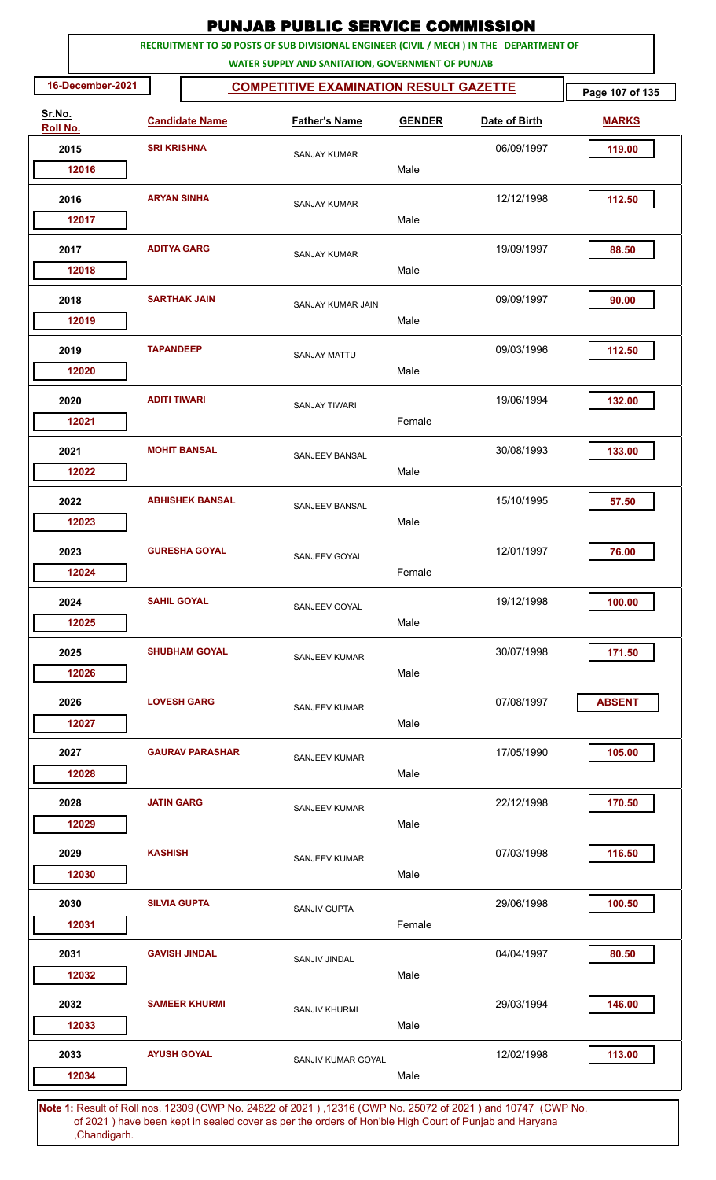|                    |                     |                        | <b>PUNJAB PUBLIC SERVICE COMMISSION</b>                                                                                                      |               |               |                 |
|--------------------|---------------------|------------------------|----------------------------------------------------------------------------------------------------------------------------------------------|---------------|---------------|-----------------|
|                    |                     |                        | RECRUITMENT TO 50 POSTS OF SUB DIVISIONAL ENGINEER (CIVIL / MECH ) IN THE DEPARTMENT OF<br>WATER SUPPLY AND SANITATION, GOVERNMENT OF PUNJAB |               |               |                 |
| 16-December-2021   |                     |                        | <b>COMPETITIVE EXAMINATION RESULT GAZETTE</b>                                                                                                |               |               | Page 107 of 135 |
| Sr.No.<br>Roll No. |                     | <b>Candidate Name</b>  | <b>Father's Name</b>                                                                                                                         | <b>GENDER</b> | Date of Birth | <b>MARKS</b>    |
| 2015               | <b>SRI KRISHNA</b>  |                        | <b>SANJAY KUMAR</b>                                                                                                                          |               | 06/09/1997    | 119.00          |
| 12016              |                     |                        |                                                                                                                                              | Male          |               |                 |
| 2016               | <b>ARYAN SINHA</b>  |                        | <b>SANJAY KUMAR</b>                                                                                                                          |               | 12/12/1998    | 112.50          |
| 12017              |                     |                        |                                                                                                                                              | Male          |               |                 |
| 2017               | <b>ADITYA GARG</b>  |                        | <b>SANJAY KUMAR</b>                                                                                                                          |               | 19/09/1997    | 88.50           |
| 12018              |                     |                        |                                                                                                                                              | Male          |               |                 |
| 2018               |                     | <b>SARTHAK JAIN</b>    | SANJAY KUMAR JAIN                                                                                                                            |               | 09/09/1997    | 90.00           |
| 12019              |                     |                        |                                                                                                                                              | Male          |               |                 |
| 2019               | <b>TAPANDEEP</b>    |                        | <b>SANJAY MATTU</b>                                                                                                                          |               | 09/03/1996    | 112.50          |
| 12020              |                     |                        |                                                                                                                                              | Male          |               |                 |
| 2020               | <b>ADITI TIWARI</b> |                        | <b>SANJAY TIWARI</b>                                                                                                                         |               | 19/06/1994    | 132.00          |
| 12021              |                     |                        |                                                                                                                                              | Female        |               |                 |
| 2021               |                     | <b>MOHIT BANSAL</b>    | SANJEEV BANSAL                                                                                                                               |               | 30/08/1993    | 133.00          |
| 12022              |                     |                        |                                                                                                                                              | Male          |               |                 |
| 2022               |                     | <b>ABHISHEK BANSAL</b> | <b>SANJEEV BANSAL</b>                                                                                                                        |               | 15/10/1995    | 57.50           |
| 12023              |                     |                        |                                                                                                                                              | Male          |               |                 |
| 2023               |                     | <b>GURESHA GOYAL</b>   | SANJEEV GOYAL                                                                                                                                |               | 12/01/1997    | 76.00           |
| 12024              |                     |                        |                                                                                                                                              | Female        |               |                 |
| 2024               | <b>SAHIL GOYAL</b>  |                        | SANJEEV GOYAL                                                                                                                                |               | 19/12/1998    | 100.00          |
| 12025              |                     |                        |                                                                                                                                              | Male          |               |                 |
| 2025               |                     | <b>SHUBHAM GOYAL</b>   | <b>SANJEEV KUMAR</b>                                                                                                                         |               | 30/07/1998    | 171.50          |
| 12026              |                     |                        |                                                                                                                                              | Male          |               |                 |
| 2026               |                     | <b>LOVESH GARG</b>     | SANJEEV KUMAR                                                                                                                                |               | 07/08/1997    | <b>ABSENT</b>   |
| 12027              |                     |                        |                                                                                                                                              | Male          |               |                 |
| 2027               |                     | <b>GAURAV PARASHAR</b> | SANJEEV KUMAR                                                                                                                                |               | 17/05/1990    | 105.00          |
| 12028              |                     |                        |                                                                                                                                              | Male          |               |                 |
| 2028               | <b>JATIN GARG</b>   |                        | SANJEEV KUMAR                                                                                                                                |               | 22/12/1998    | 170.50          |
| 12029              |                     |                        |                                                                                                                                              | Male          |               |                 |
| 2029               | <b>KASHISH</b>      |                        | SANJEEV KUMAR                                                                                                                                |               | 07/03/1998    | 116.50          |
| 12030              |                     |                        |                                                                                                                                              | Male          |               |                 |
| 2030               | <b>SILVIA GUPTA</b> |                        | <b>SANJIV GUPTA</b>                                                                                                                          |               | 29/06/1998    | 100.50          |
| 12031              |                     |                        |                                                                                                                                              | Female        |               |                 |
| 2031               |                     | <b>GAVISH JINDAL</b>   | SANJIV JINDAL                                                                                                                                |               | 04/04/1997    | 80.50           |
| 12032              |                     |                        |                                                                                                                                              | Male          |               |                 |
| 2032               |                     | <b>SAMEER KHURMI</b>   | SANJIV KHURMI                                                                                                                                |               | 29/03/1994    | 146.00          |
| 12033              |                     |                        |                                                                                                                                              | Male          |               |                 |
| 2033               |                     | <b>AYUSH GOYAL</b>     | SANJIV KUMAR GOYAL                                                                                                                           |               | 12/02/1998    | 113.00          |
| 12034              |                     |                        |                                                                                                                                              | Male          |               |                 |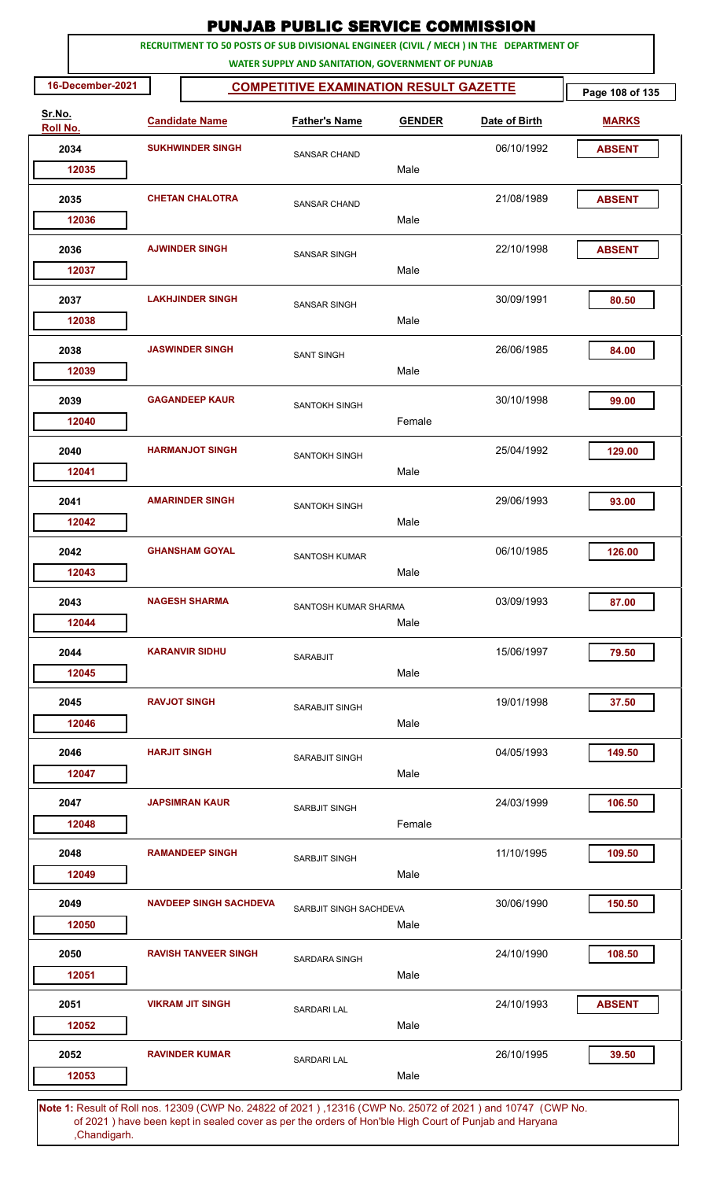|                    |                               | <b>PUNJAB PUBLIC SERVICE COMMISSION</b>                                                                                                      |               |               |                 |
|--------------------|-------------------------------|----------------------------------------------------------------------------------------------------------------------------------------------|---------------|---------------|-----------------|
|                    |                               | RECRUITMENT TO 50 POSTS OF SUB DIVISIONAL ENGINEER (CIVIL / MECH ) IN THE DEPARTMENT OF<br>WATER SUPPLY AND SANITATION, GOVERNMENT OF PUNJAB |               |               |                 |
| 16-December-2021   |                               | <b>COMPETITIVE EXAMINATION RESULT GAZETTE</b>                                                                                                |               |               | Page 108 of 135 |
| Sr.No.<br>Roll No. | <b>Candidate Name</b>         | <b>Father's Name</b>                                                                                                                         | <b>GENDER</b> | Date of Birth | <b>MARKS</b>    |
| 2034               | <b>SUKHWINDER SINGH</b>       | <b>SANSAR CHAND</b>                                                                                                                          |               | 06/10/1992    | <b>ABSENT</b>   |
| 12035              |                               |                                                                                                                                              | Male          |               |                 |
| 2035               | <b>CHETAN CHALOTRA</b>        | <b>SANSAR CHAND</b>                                                                                                                          |               | 21/08/1989    | <b>ABSENT</b>   |
| 12036              |                               |                                                                                                                                              | Male          |               |                 |
| 2036<br>12037      | <b>AJWINDER SINGH</b>         | <b>SANSAR SINGH</b>                                                                                                                          | Male          | 22/10/1998    | <b>ABSENT</b>   |
| 2037<br>12038      | <b>LAKHJINDER SINGH</b>       | <b>SANSAR SINGH</b>                                                                                                                          | Male          | 30/09/1991    | 80.50           |
| 2038<br>12039      | <b>JASWINDER SINGH</b>        | <b>SANT SINGH</b>                                                                                                                            | Male          | 26/06/1985    | 84.00           |
| 2039<br>12040      | <b>GAGANDEEP KAUR</b>         | SANTOKH SINGH                                                                                                                                | Female        | 30/10/1998    | 99.00           |
| 2040<br>12041      | <b>HARMANJOT SINGH</b>        | SANTOKH SINGH                                                                                                                                | Male          | 25/04/1992    | 129.00          |
| 2041<br>12042      | <b>AMARINDER SINGH</b>        | SANTOKH SINGH                                                                                                                                | Male          | 29/06/1993    | 93.00           |
| 2042<br>12043      | <b>GHANSHAM GOYAL</b>         | <b>SANTOSH KUMAR</b>                                                                                                                         | Male          | 06/10/1985    | 126.00          |
| 2043<br>12044      | <b>NAGESH SHARMA</b>          | SANTOSH KUMAR SHARMA                                                                                                                         | Male          | 03/09/1993    | 87.00           |
| 2044<br>12045      | <b>KARANVIR SIDHU</b>         | <b>SARABJIT</b>                                                                                                                              | Male          | 15/06/1997    | 79.50           |
| 2045<br>12046      | <b>RAVJOT SINGH</b>           | SARABJIT SINGH                                                                                                                               | Male          | 19/01/1998    | 37.50           |
| 2046<br>12047      | <b>HARJIT SINGH</b>           | SARABJIT SINGH                                                                                                                               | Male          | 04/05/1993    | 149.50          |
| 2047<br>12048      | <b>JAPSIMRAN KAUR</b>         | SARBJIT SINGH                                                                                                                                | Female        | 24/03/1999    | 106.50          |
| 2048<br>12049      | <b>RAMANDEEP SINGH</b>        | SARBJIT SINGH                                                                                                                                | Male          | 11/10/1995    | 109.50          |
| 2049<br>12050      | <b>NAVDEEP SINGH SACHDEVA</b> | SARBJIT SINGH SACHDEVA                                                                                                                       | Male          | 30/06/1990    | 150.50          |
| 2050<br>12051      | <b>RAVISH TANVEER SINGH</b>   | <b>SARDARA SINGH</b>                                                                                                                         | Male          | 24/10/1990    | 108.50          |
| 2051<br>12052      | <b>VIKRAM JIT SINGH</b>       | <b>SARDARI LAL</b>                                                                                                                           | Male          | 24/10/1993    | <b>ABSENT</b>   |
| 2052<br>12053      | <b>RAVINDER KUMAR</b>         | <b>SARDARI LAL</b>                                                                                                                           | Male          | 26/10/1995    | 39.50           |
|                    |                               |                                                                                                                                              |               |               |                 |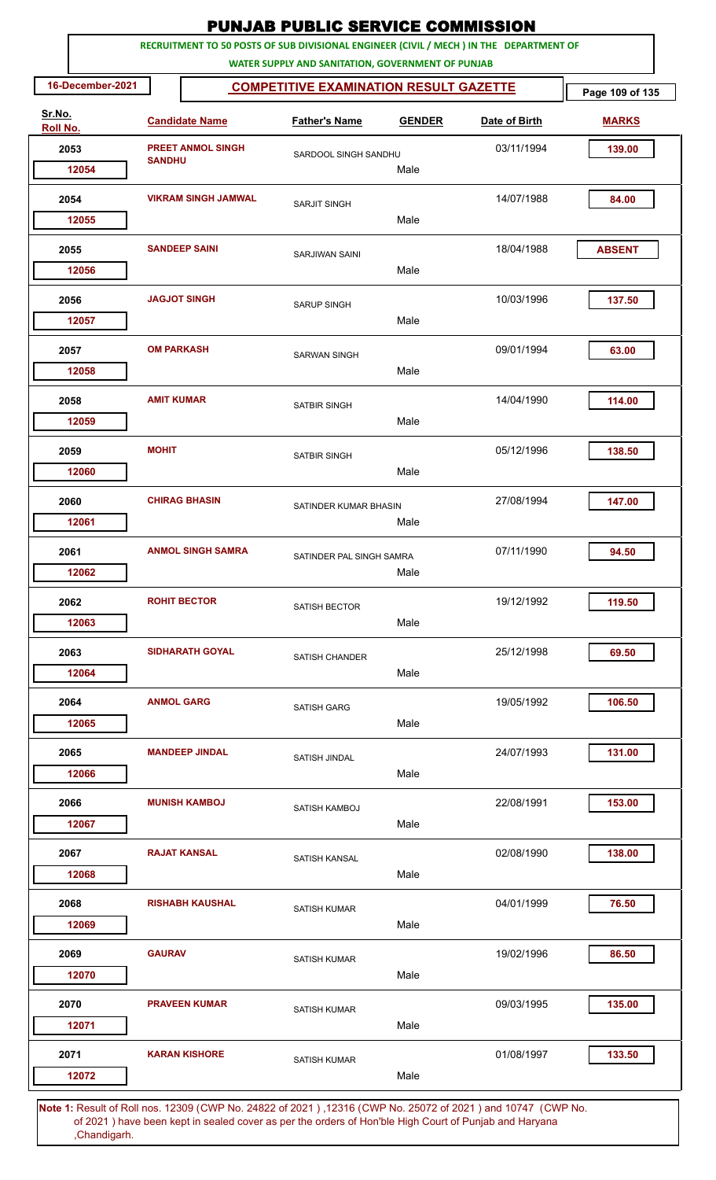|                    |                   |                            | <b>PUNJAB PUBLIC SERVICE COMMISSION</b>                                                                                                      |               |               |                 |
|--------------------|-------------------|----------------------------|----------------------------------------------------------------------------------------------------------------------------------------------|---------------|---------------|-----------------|
|                    |                   |                            | RECRUITMENT TO 50 POSTS OF SUB DIVISIONAL ENGINEER (CIVIL / MECH ) IN THE DEPARTMENT OF<br>WATER SUPPLY AND SANITATION, GOVERNMENT OF PUNJAB |               |               |                 |
| 16-December-2021   |                   |                            | <b>COMPETITIVE EXAMINATION RESULT GAZETTE</b>                                                                                                |               |               | Page 109 of 135 |
| Sr.No.<br>Roll No. |                   | <b>Candidate Name</b>      | <b>Father's Name</b>                                                                                                                         | <b>GENDER</b> | Date of Birth | <b>MARKS</b>    |
| 2053               |                   | <b>PREET ANMOL SINGH</b>   | SARDOOL SINGH SANDHU                                                                                                                         |               | 03/11/1994    | 139.00          |
| 12054              | <b>SANDHU</b>     |                            |                                                                                                                                              | Male          |               |                 |
| 2054               |                   | <b>VIKRAM SINGH JAMWAL</b> | <b>SARJIT SINGH</b>                                                                                                                          |               | 14/07/1988    | 84.00           |
| 12055              |                   |                            |                                                                                                                                              | Male          |               |                 |
| 2055               |                   | <b>SANDEEP SAINI</b>       | SARJIWAN SAINI                                                                                                                               |               | 18/04/1988    | <b>ABSENT</b>   |
| 12056              |                   |                            |                                                                                                                                              | Male          |               |                 |
| 2056               |                   | <b>JAGJOT SINGH</b>        | <b>SARUP SINGH</b>                                                                                                                           |               | 10/03/1996    | 137.50          |
| 12057              |                   |                            |                                                                                                                                              | Male          |               |                 |
| 2057               |                   | <b>OM PARKASH</b>          | <b>SARWAN SINGH</b>                                                                                                                          |               | 09/01/1994    | 63.00           |
| 12058              |                   |                            |                                                                                                                                              | Male          |               |                 |
| 2058               | <b>AMIT KUMAR</b> |                            | <b>SATBIR SINGH</b>                                                                                                                          |               | 14/04/1990    | 114.00          |
| 12059              |                   |                            |                                                                                                                                              | Male          |               |                 |
| 2059               | <b>MOHIT</b>      |                            | SATBIR SINGH                                                                                                                                 |               | 05/12/1996    | 138.50          |
| 12060              |                   |                            |                                                                                                                                              | Male          |               |                 |
| 2060               |                   | <b>CHIRAG BHASIN</b>       | SATINDER KUMAR BHASIN                                                                                                                        |               | 27/08/1994    | 147.00          |
| 12061              |                   |                            |                                                                                                                                              | Male          |               |                 |
| 2061               |                   | <b>ANMOL SINGH SAMRA</b>   | SATINDER PAL SINGH SAMRA                                                                                                                     |               | 07/11/1990    | 94.50           |
| 12062              |                   |                            |                                                                                                                                              | Male          |               |                 |
| 2062               |                   | <b>ROHIT BECTOR</b>        | <b>SATISH BECTOR</b>                                                                                                                         |               | 19/12/1992    | 119.50          |
| 12063              |                   |                            |                                                                                                                                              | Male          |               |                 |
| 2063               |                   | <b>SIDHARATH GOYAL</b>     | <b>SATISH CHANDER</b>                                                                                                                        |               | 25/12/1998    | 69.50           |
| 12064              |                   |                            |                                                                                                                                              | Male          |               |                 |
| 2064               |                   | <b>ANMOL GARG</b>          | SATISH GARG                                                                                                                                  |               | 19/05/1992    | 106.50          |
| 12065              |                   |                            |                                                                                                                                              | Male          |               |                 |
| 2065               |                   | <b>MANDEEP JINDAL</b>      | SATISH JINDAL                                                                                                                                |               | 24/07/1993    | 131.00          |
| 12066              |                   |                            |                                                                                                                                              | Male          |               |                 |
| 2066               |                   | <b>MUNISH KAMBOJ</b>       | SATISH KAMBOJ                                                                                                                                |               | 22/08/1991    | 153.00          |
| 12067              |                   |                            |                                                                                                                                              | Male          |               |                 |
| 2067               |                   | <b>RAJAT KANSAL</b>        | <b>SATISH KANSAL</b>                                                                                                                         |               | 02/08/1990    | 138.00          |
| 12068              |                   |                            |                                                                                                                                              | Male          |               |                 |
| 2068               |                   | <b>RISHABH KAUSHAL</b>     | <b>SATISH KUMAR</b>                                                                                                                          |               | 04/01/1999    | 76.50           |
| 12069              |                   |                            |                                                                                                                                              | Male          |               |                 |
| 2069               | <b>GAURAV</b>     |                            | <b>SATISH KUMAR</b>                                                                                                                          |               | 19/02/1996    | 86.50           |
| 12070              |                   |                            |                                                                                                                                              | Male          |               |                 |
| 2070               |                   | <b>PRAVEEN KUMAR</b>       | <b>SATISH KUMAR</b>                                                                                                                          |               | 09/03/1995    | 135.00          |
| 12071              |                   |                            |                                                                                                                                              | Male          |               |                 |
| 2071               |                   | <b>KARAN KISHORE</b>       | <b>SATISH KUMAR</b>                                                                                                                          |               | 01/08/1997    | 133.50          |
| 12072              |                   |                            |                                                                                                                                              | Male          |               |                 |
|                    |                   |                            | 1. Result of Bollings, 19200 (CMD No. 24922 of 2021), 19216 (CMD No. 25072 of 2021) and 10747 (CMD No                                        |               |               |                 |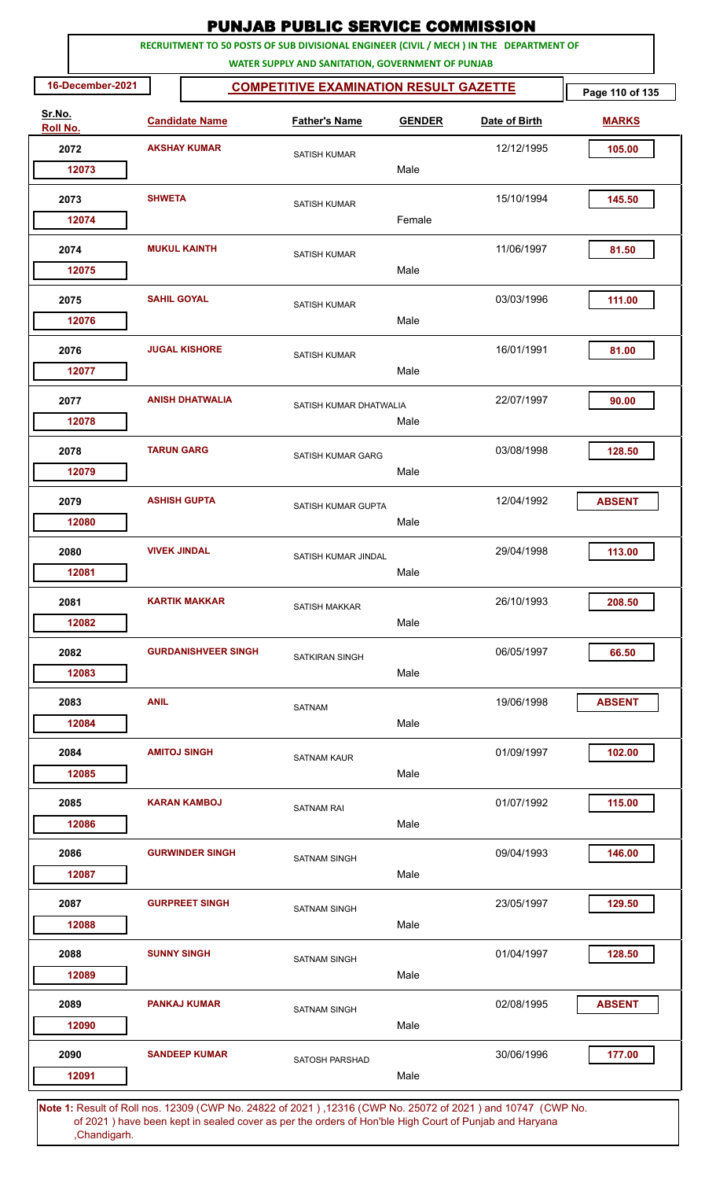|                    |                     |                            | <b>PUNJAB PUBLIC SERVICE COMMISSION</b>                                                                      |               |               |                 |
|--------------------|---------------------|----------------------------|--------------------------------------------------------------------------------------------------------------|---------------|---------------|-----------------|
|                    |                     |                            | RECRUITMENT TO 50 POSTS OF SUB DIVISIONAL ENGINEER (CIVIL / MECH ) IN THE DEPARTMENT OF                      |               |               |                 |
| 16-December-2021   |                     |                            | WATER SUPPLY AND SANITATION, GOVERNMENT OF PUNJAB<br><b>COMPETITIVE EXAMINATION RESULT GAZETTE</b>           |               |               | Page 110 of 135 |
| Sr.No.<br>Roll No. |                     | <b>Candidate Name</b>      | <b>Father's Name</b>                                                                                         | <b>GENDER</b> | Date of Birth | <b>MARKS</b>    |
| 2072               |                     | <b>AKSHAY KUMAR</b>        |                                                                                                              |               | 12/12/1995    | 105.00          |
| 12073              |                     |                            | <b>SATISH KUMAR</b>                                                                                          | Male          |               |                 |
| 2073               | <b>SHWETA</b>       |                            |                                                                                                              |               | 15/10/1994    | 145.50          |
| 12074              |                     |                            | <b>SATISH KUMAR</b>                                                                                          | Female        |               |                 |
| 2074               |                     | <b>MUKUL KAINTH</b>        | <b>SATISH KUMAR</b>                                                                                          |               | 11/06/1997    | 81.50           |
| 12075              |                     |                            |                                                                                                              | Male          |               |                 |
| 2075               | <b>SAHIL GOYAL</b>  |                            | <b>SATISH KUMAR</b>                                                                                          |               | 03/03/1996    | 111.00          |
| 12076              |                     |                            |                                                                                                              | Male          |               |                 |
| 2076               |                     | <b>JUGAL KISHORE</b>       | <b>SATISH KUMAR</b>                                                                                          |               | 16/01/1991    | 81.00           |
| 12077              |                     |                            |                                                                                                              | Male          |               |                 |
| 2077               |                     | <b>ANISH DHATWALIA</b>     | SATISH KUMAR DHATWALIA                                                                                       |               | 22/07/1997    | 90.00           |
| 12078              |                     |                            |                                                                                                              | Male          |               |                 |
| 2078               | <b>TARUN GARG</b>   |                            | SATISH KUMAR GARG                                                                                            |               | 03/08/1998    | 128.50          |
| 12079              |                     |                            |                                                                                                              | Male          |               |                 |
| 2079               |                     | <b>ASHISH GUPTA</b>        | SATISH KUMAR GUPTA                                                                                           |               | 12/04/1992    | <b>ABSENT</b>   |
| 12080              |                     |                            |                                                                                                              | Male          |               |                 |
| 2080               | <b>VIVEK JINDAL</b> |                            | SATISH KUMAR JINDAL                                                                                          |               | 29/04/1998    | 113.00          |
| 12081              |                     |                            |                                                                                                              | Male          |               |                 |
| 2081               |                     | <b>KARTIK MAKKAR</b>       | <b>SATISH MAKKAR</b>                                                                                         |               | 26/10/1993    | 208.50          |
| 12082              |                     |                            |                                                                                                              | Male          |               |                 |
| 2082               |                     | <b>GURDANISHVEER SINGH</b> | <b>SATKIRAN SINGH</b>                                                                                        |               | 06/05/1997    | 66.50           |
| 12083              |                     |                            |                                                                                                              | Male          |               |                 |
| 2083               | <b>ANIL</b>         |                            | <b>SATNAM</b>                                                                                                |               | 19/06/1998    | <b>ABSENT</b>   |
| 12084              |                     |                            |                                                                                                              | Male          |               |                 |
| 2084               |                     | <b>AMITOJ SINGH</b>        | <b>SATNAM KAUR</b>                                                                                           |               | 01/09/1997    | 102.00          |
| 12085              |                     |                            |                                                                                                              | Male          |               |                 |
| 2085               |                     | <b>KARAN KAMBOJ</b>        | <b>SATNAM RAI</b>                                                                                            |               | 01/07/1992    | 115.00          |
| 12086              |                     |                            |                                                                                                              | Male          |               |                 |
| 2086               |                     | <b>GURWINDER SINGH</b>     | SATNAM SINGH                                                                                                 |               | 09/04/1993    | 146.00          |
| 12087              |                     |                            |                                                                                                              | Male          |               |                 |
| 2087               |                     | <b>GURPREET SINGH</b>      | <b>SATNAM SINGH</b>                                                                                          |               | 23/05/1997    | 129.50          |
| 12088              |                     |                            |                                                                                                              | Male          |               |                 |
| 2088               | <b>SUNNY SINGH</b>  |                            | <b>SATNAM SINGH</b>                                                                                          |               | 01/04/1997    | 128.50          |
| 12089              |                     |                            |                                                                                                              | Male          |               |                 |
| 2089               |                     | <b>PANKAJ KUMAR</b>        | <b>SATNAM SINGH</b>                                                                                          |               | 02/08/1995    | <b>ABSENT</b>   |
| 12090              |                     |                            |                                                                                                              | Male          |               |                 |
| 2090               |                     | <b>SANDEEP KUMAR</b>       | <b>SATOSH PARSHAD</b>                                                                                        |               | 30/06/1996    | 177.00          |
| 12091              |                     |                            |                                                                                                              | Male          |               |                 |
|                    |                     |                            | Note 1: Pesult of Pollings, 12300 (CMP No. 24822 of 2021), 12316 (CMP No. 25072 of 2021) and 10747. (CMP No. |               |               |                 |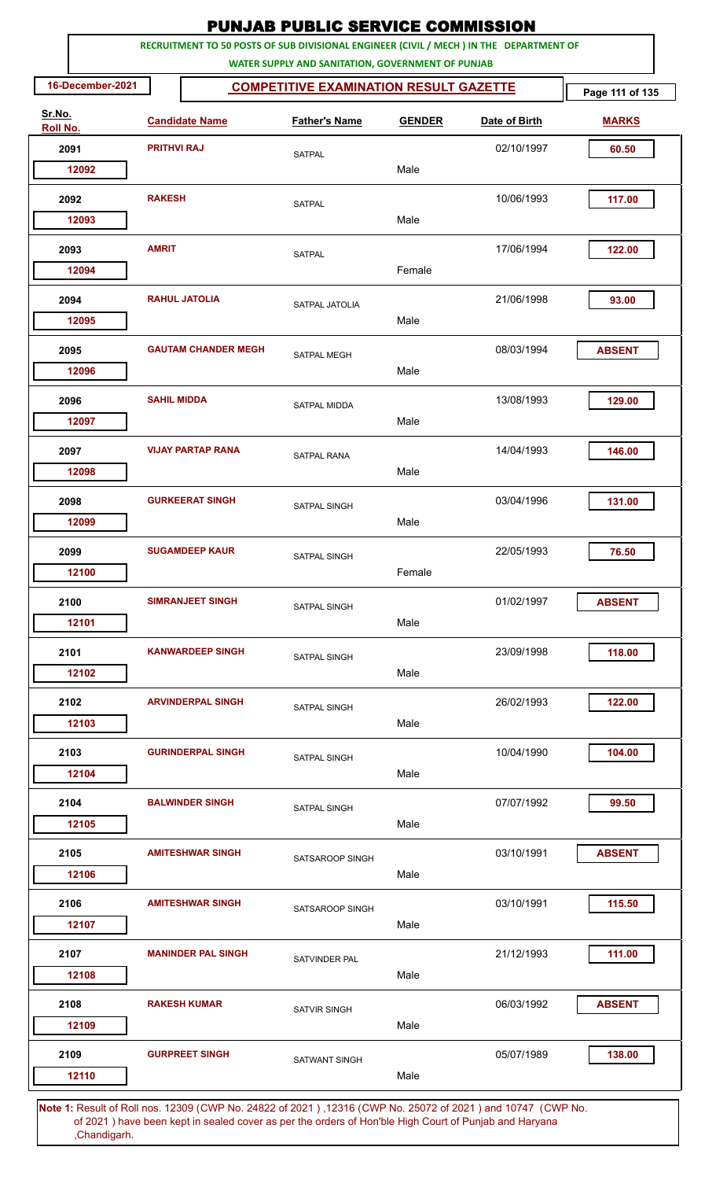|                    |                    |                            | <b>PUNJAB PUBLIC SERVICE COMMISSION</b>                                                                                                      |               |               |                 |
|--------------------|--------------------|----------------------------|----------------------------------------------------------------------------------------------------------------------------------------------|---------------|---------------|-----------------|
|                    |                    |                            | RECRUITMENT TO 50 POSTS OF SUB DIVISIONAL ENGINEER (CIVIL / MECH ) IN THE DEPARTMENT OF<br>WATER SUPPLY AND SANITATION, GOVERNMENT OF PUNJAB |               |               |                 |
| 16-December-2021   |                    |                            | <b>COMPETITIVE EXAMINATION RESULT GAZETTE</b>                                                                                                |               |               | Page 111 of 135 |
| Sr.No.<br>Roll No. |                    | <b>Candidate Name</b>      | <b>Father's Name</b>                                                                                                                         | <b>GENDER</b> | Date of Birth | <b>MARKS</b>    |
| 2091               | <b>PRITHVI RAJ</b> |                            | <b>SATPAL</b>                                                                                                                                |               | 02/10/1997    | 60.50           |
| 12092              |                    |                            |                                                                                                                                              | Male          |               |                 |
| 2092<br>12093      | <b>RAKESH</b>      |                            | <b>SATPAL</b>                                                                                                                                | Male          | 10/06/1993    | 117.00          |
| 2093               | <b>AMRIT</b>       |                            | <b>SATPAL</b>                                                                                                                                |               | 17/06/1994    | 122.00          |
| 12094              |                    |                            |                                                                                                                                              | Female        |               |                 |
| 2094<br>12095      |                    | <b>RAHUL JATOLIA</b>       | SATPAL JATOLIA                                                                                                                               | Male          | 21/06/1998    | 93.00           |
| 2095<br>12096      |                    | <b>GAUTAM CHANDER MEGH</b> | <b>SATPAL MEGH</b>                                                                                                                           | Male          | 08/03/1994    | <b>ABSENT</b>   |
| 2096<br>12097      | <b>SAHIL MIDDA</b> |                            | <b>SATPAL MIDDA</b>                                                                                                                          | Male          | 13/08/1993    | 129.00          |
| 2097<br>12098      |                    | <b>VIJAY PARTAP RANA</b>   | <b>SATPAL RANA</b>                                                                                                                           | Male          | 14/04/1993    | 146.00          |
| 2098               |                    | <b>GURKEERAT SINGH</b>     | SATPAL SINGH                                                                                                                                 |               | 03/04/1996    | 131.00          |
| 12099<br>2099      |                    | <b>SUGAMDEEP KAUR</b>      |                                                                                                                                              | Male          | 22/05/1993    | 76.50           |
| 12100              |                    |                            | SATPAL SINGH                                                                                                                                 | Female        |               |                 |
| 2100<br>12101      |                    | <b>SIMRANJEET SINGH</b>    | <b>SATPAL SINGH</b>                                                                                                                          | Male          | 01/02/1997    | <b>ABSENT</b>   |
| 2101<br>12102      |                    | <b>KANWARDEEP SINGH</b>    | SATPAL SINGH                                                                                                                                 | Male          | 23/09/1998    | 118.00          |
| 2102<br>12103      |                    | <b>ARVINDERPAL SINGH</b>   | SATPAL SINGH                                                                                                                                 | Male          | 26/02/1993    | 122.00          |
| 2103<br>12104      |                    | <b>GURINDERPAL SINGH</b>   | SATPAL SINGH                                                                                                                                 | Male          | 10/04/1990    | 104.00          |
| 2104<br>12105      |                    | <b>BALWINDER SINGH</b>     | SATPAL SINGH                                                                                                                                 | Male          | 07/07/1992    | 99.50           |
| 2105<br>12106      |                    | <b>AMITESHWAR SINGH</b>    | SATSAROOP SINGH                                                                                                                              | Male          | 03/10/1991    | <b>ABSENT</b>   |
| 2106<br>12107      |                    | <b>AMITESHWAR SINGH</b>    | SATSAROOP SINGH                                                                                                                              | Male          | 03/10/1991    | 115.50          |
| 2107<br>12108      |                    | <b>MANINDER PAL SINGH</b>  | SATVINDER PAL                                                                                                                                | Male          | 21/12/1993    | 111.00          |
| 2108<br>12109      |                    | <b>RAKESH KUMAR</b>        | <b>SATVIR SINGH</b>                                                                                                                          | Male          | 06/03/1992    | <b>ABSENT</b>   |
| 2109               |                    | <b>GURPREET SINGH</b>      | <b>SATWANT SINGH</b>                                                                                                                         |               | 05/07/1989    | 138.00          |
| 12110              |                    |                            | 4: Result of Bollings, 12200 (CWD No. 24822 of 2021), 12216 (CWD No. 25072 of 2021) and 10747 (CWD No                                        | Male          |               |                 |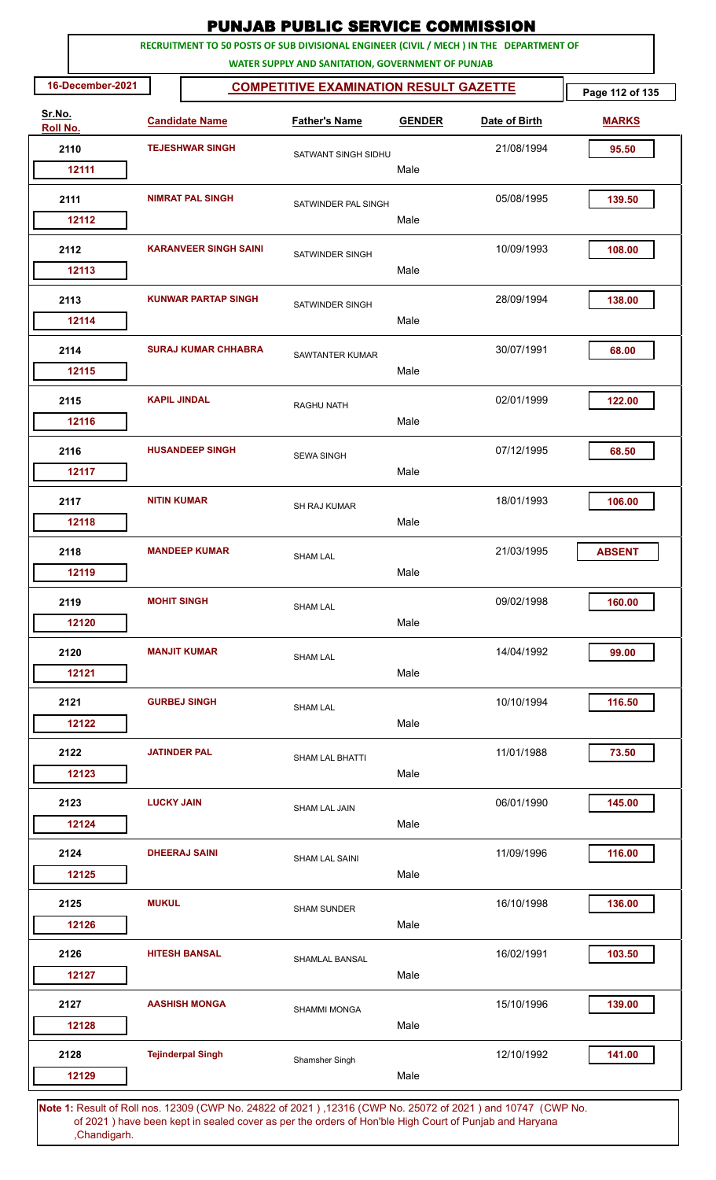|                    |                     |                              | <b>PUNJAB PUBLIC SERVICE COMMISSION</b>                                                                                                      |               |               |                 |
|--------------------|---------------------|------------------------------|----------------------------------------------------------------------------------------------------------------------------------------------|---------------|---------------|-----------------|
|                    |                     |                              | RECRUITMENT TO 50 POSTS OF SUB DIVISIONAL ENGINEER (CIVIL / MECH ) IN THE DEPARTMENT OF<br>WATER SUPPLY AND SANITATION, GOVERNMENT OF PUNJAB |               |               |                 |
| 16-December-2021   |                     |                              | <b>COMPETITIVE EXAMINATION RESULT GAZETTE</b>                                                                                                |               |               | Page 112 of 135 |
| Sr.No.<br>Roll No. |                     | <b>Candidate Name</b>        | <b>Father's Name</b>                                                                                                                         | <b>GENDER</b> | Date of Birth | <b>MARKS</b>    |
| 2110               |                     | <b>TEJESHWAR SINGH</b>       | SATWANT SINGH SIDHU                                                                                                                          |               | 21/08/1994    | 95.50           |
| 12111              |                     |                              |                                                                                                                                              | Male          |               |                 |
| 2111               |                     | <b>NIMRAT PAL SINGH</b>      | SATWINDER PAL SINGH                                                                                                                          | Male          | 05/08/1995    | 139.50          |
| 12112              |                     |                              |                                                                                                                                              |               |               |                 |
| 2112<br>12113      |                     | <b>KARANVEER SINGH SAINI</b> | <b>SATWINDER SINGH</b>                                                                                                                       | Male          | 10/09/1993    | 108.00          |
|                    |                     | <b>KUNWAR PARTAP SINGH</b>   |                                                                                                                                              |               |               |                 |
| 2113<br>12114      |                     |                              | <b>SATWINDER SINGH</b>                                                                                                                       | Male          | 28/09/1994    | 138.00          |
| 2114               |                     | <b>SURAJ KUMAR CHHABRA</b>   | <b>SAWTANTER KUMAR</b>                                                                                                                       |               | 30/07/1991    | 68.00           |
| 12115              |                     |                              |                                                                                                                                              | Male          |               |                 |
| 2115<br>12116      | <b>KAPIL JINDAL</b> |                              | <b>RAGHU NATH</b>                                                                                                                            | Male          | 02/01/1999    | 122.00          |
| 2116               |                     | <b>HUSANDEEP SINGH</b>       |                                                                                                                                              |               | 07/12/1995    | 68.50           |
| 12117              |                     |                              | <b>SEWA SINGH</b>                                                                                                                            | Male          |               |                 |
| 2117               | <b>NITIN KUMAR</b>  |                              | <b>SH RAJ KUMAR</b>                                                                                                                          |               | 18/01/1993    | 106.00          |
| 12118              |                     |                              |                                                                                                                                              | Male          |               |                 |
| 2118               |                     | <b>MANDEEP KUMAR</b>         | <b>SHAM LAL</b>                                                                                                                              |               | 21/03/1995    | <b>ABSENT</b>   |
| 12119              |                     |                              |                                                                                                                                              | Male          |               |                 |
| 2119               | <b>MOHIT SINGH</b>  |                              | <b>SHAM LAL</b>                                                                                                                              |               | 09/02/1998    | 160.00          |
| 12120              |                     |                              |                                                                                                                                              | Male          |               |                 |
| 2120               |                     | <b>MANJIT KUMAR</b>          | <b>SHAM LAL</b>                                                                                                                              |               | 14/04/1992    | 99.00           |
| 12121              |                     |                              |                                                                                                                                              | Male          |               |                 |
| 2121               |                     | <b>GURBEJ SINGH</b>          | <b>SHAM LAL</b>                                                                                                                              |               | 10/10/1994    | 116.50          |
| 12122              |                     |                              |                                                                                                                                              | Male          |               |                 |
| 2122               | <b>JATINDER PAL</b> |                              | <b>SHAM LAL BHATTI</b>                                                                                                                       |               | 11/01/1988    | 73.50           |
| 12123              |                     |                              |                                                                                                                                              | Male          |               |                 |
| 2123               | <b>LUCKY JAIN</b>   |                              | <b>SHAM LAL JAIN</b>                                                                                                                         |               | 06/01/1990    | 145.00          |
| 12124              |                     |                              |                                                                                                                                              | Male          |               |                 |
| 2124               |                     | <b>DHEERAJ SAINI</b>         | <b>SHAM LAL SAINI</b>                                                                                                                        |               | 11/09/1996    | 116.00          |
| 12125              |                     |                              |                                                                                                                                              | Male          |               |                 |
| 2125               | <b>MUKUL</b>        |                              | <b>SHAM SUNDER</b>                                                                                                                           |               | 16/10/1998    | 136.00          |
| 12126              |                     |                              |                                                                                                                                              | Male          |               |                 |
| 2126               |                     | <b>HITESH BANSAL</b>         | SHAMLAL BANSAL                                                                                                                               |               | 16/02/1991    | 103.50          |
| 12127              |                     |                              |                                                                                                                                              | Male          |               |                 |
| 2127               |                     | <b>AASHISH MONGA</b>         | <b>SHAMMI MONGA</b>                                                                                                                          |               | 15/10/1996    | 139.00          |
| 12128              |                     |                              |                                                                                                                                              | Male          |               |                 |
| 2128               |                     | <b>Tejinderpal Singh</b>     | Shamsher Singh                                                                                                                               |               | 12/10/1992    | 141.00          |
| 12129              |                     |                              |                                                                                                                                              | Male          |               |                 |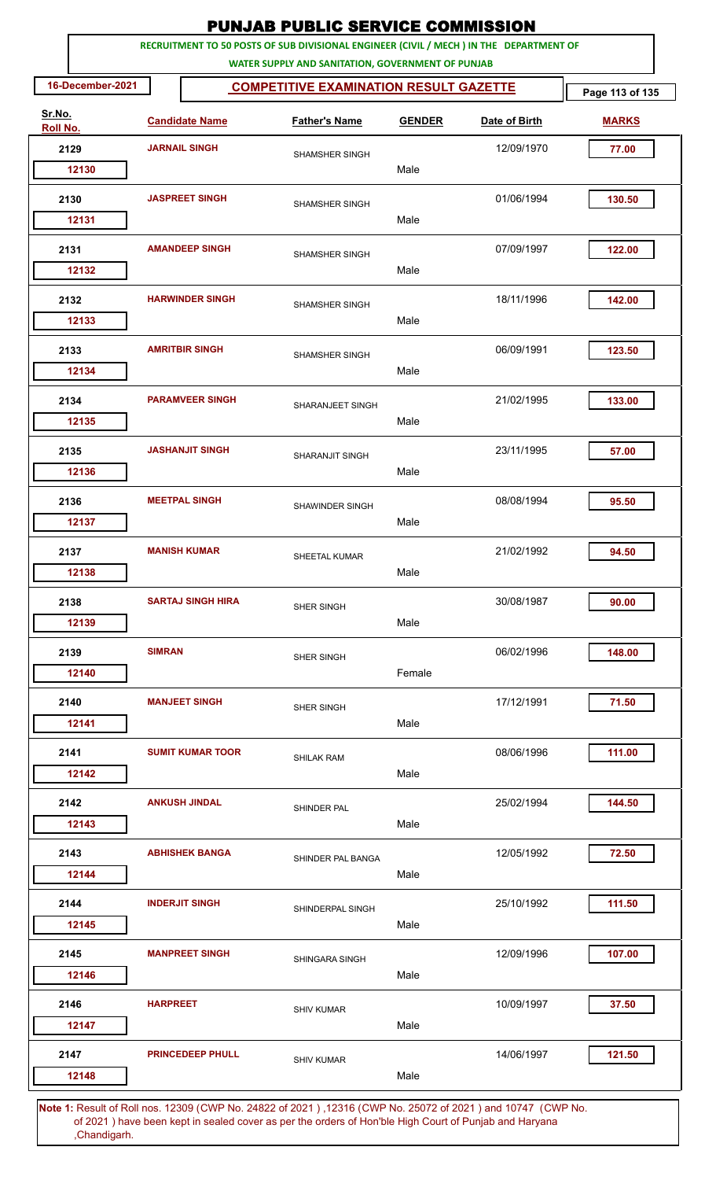|                    |                 |                          | <b>PUNJAB PUBLIC SERVICE COMMISSION</b>                                                                                                      |               |               |                 |
|--------------------|-----------------|--------------------------|----------------------------------------------------------------------------------------------------------------------------------------------|---------------|---------------|-----------------|
|                    |                 |                          | RECRUITMENT TO 50 POSTS OF SUB DIVISIONAL ENGINEER (CIVIL / MECH ) IN THE DEPARTMENT OF<br>WATER SUPPLY AND SANITATION, GOVERNMENT OF PUNJAB |               |               |                 |
| 16-December-2021   |                 |                          | <b>COMPETITIVE EXAMINATION RESULT GAZETTE</b>                                                                                                |               |               | Page 113 of 135 |
| Sr.No.<br>Roll No. |                 | <b>Candidate Name</b>    | <b>Father's Name</b>                                                                                                                         | <b>GENDER</b> | Date of Birth | <b>MARKS</b>    |
| 2129               |                 | <b>JARNAIL SINGH</b>     | <b>SHAMSHER SINGH</b>                                                                                                                        |               | 12/09/1970    | 77.00           |
| 12130              |                 |                          |                                                                                                                                              | Male          |               |                 |
| 2130               |                 | <b>JASPREET SINGH</b>    | <b>SHAMSHER SINGH</b>                                                                                                                        | Male          | 01/06/1994    | 130.50          |
| 12131              |                 |                          |                                                                                                                                              |               |               |                 |
| 2131<br>12132      |                 | <b>AMANDEEP SINGH</b>    | <b>SHAMSHER SINGH</b>                                                                                                                        | Male          | 07/09/1997    | 122.00          |
|                    |                 |                          |                                                                                                                                              |               |               |                 |
| 2132<br>12133      |                 | <b>HARWINDER SINGH</b>   | <b>SHAMSHER SINGH</b>                                                                                                                        | Male          | 18/11/1996    | 142.00          |
| 2133               |                 | <b>AMRITBIR SINGH</b>    | <b>SHAMSHER SINGH</b>                                                                                                                        |               | 06/09/1991    | 123.50          |
| 12134              |                 |                          |                                                                                                                                              | Male          |               |                 |
| 2134<br>12135      |                 | <b>PARAMVEER SINGH</b>   | SHARANJEET SINGH                                                                                                                             | Male          | 21/02/1995    | 133.00          |
| 2135               |                 | <b>JASHANJIT SINGH</b>   |                                                                                                                                              |               | 23/11/1995    | 57.00           |
| 12136              |                 |                          | SHARANJIT SINGH                                                                                                                              | Male          |               |                 |
| 2136               |                 | <b>MEETPAL SINGH</b>     | SHAWINDER SINGH                                                                                                                              |               | 08/08/1994    | 95.50           |
| 12137              |                 |                          |                                                                                                                                              | Male          |               |                 |
| 2137               |                 | <b>MANISH KUMAR</b>      | <b>SHEETAL KUMAR</b>                                                                                                                         |               | 21/02/1992    | 94.50           |
| 12138              |                 |                          |                                                                                                                                              | Male          |               |                 |
| 2138               |                 | <b>SARTAJ SINGH HIRA</b> | SHER SINGH                                                                                                                                   |               | 30/08/1987    | 90.00           |
| 12139              |                 |                          |                                                                                                                                              | Male          |               |                 |
| 2139               | <b>SIMRAN</b>   |                          | SHER SINGH                                                                                                                                   |               | 06/02/1996    | 148.00          |
| 12140              |                 |                          |                                                                                                                                              | Female        |               |                 |
| 2140               |                 | <b>MANJEET SINGH</b>     | SHER SINGH                                                                                                                                   |               | 17/12/1991    | 71.50           |
| 12141              |                 |                          |                                                                                                                                              | Male          |               |                 |
| 2141               |                 | <b>SUMIT KUMAR TOOR</b>  | <b>SHILAK RAM</b>                                                                                                                            |               | 08/06/1996    | 111.00          |
| 12142              |                 |                          |                                                                                                                                              | Male          |               |                 |
| 2142               |                 | <b>ANKUSH JINDAL</b>     | SHINDER PAL                                                                                                                                  |               | 25/02/1994    | 144.50          |
| 12143              |                 |                          |                                                                                                                                              | Male          |               |                 |
| 2143               |                 | <b>ABHISHEK BANGA</b>    | SHINDER PAL BANGA                                                                                                                            |               | 12/05/1992    | 72.50           |
| 12144              |                 |                          |                                                                                                                                              | Male          |               |                 |
| 2144               |                 | <b>INDERJIT SINGH</b>    | SHINDERPAL SINGH                                                                                                                             |               | 25/10/1992    | 111.50          |
| 12145              |                 |                          |                                                                                                                                              | Male          |               |                 |
| 2145               |                 | <b>MANPREET SINGH</b>    | SHINGARA SINGH                                                                                                                               |               | 12/09/1996    | 107.00          |
| 12146              |                 |                          |                                                                                                                                              | Male          |               |                 |
| 2146               | <b>HARPREET</b> |                          | <b>SHIV KUMAR</b>                                                                                                                            |               | 10/09/1997    | 37.50           |
| 12147              |                 |                          |                                                                                                                                              | Male          |               |                 |
| 2147               |                 | <b>PRINCEDEEP PHULL</b>  | <b>SHIV KUMAR</b>                                                                                                                            |               | 14/06/1997    | 121.50          |
| 12148              |                 |                          |                                                                                                                                              | Male          |               |                 |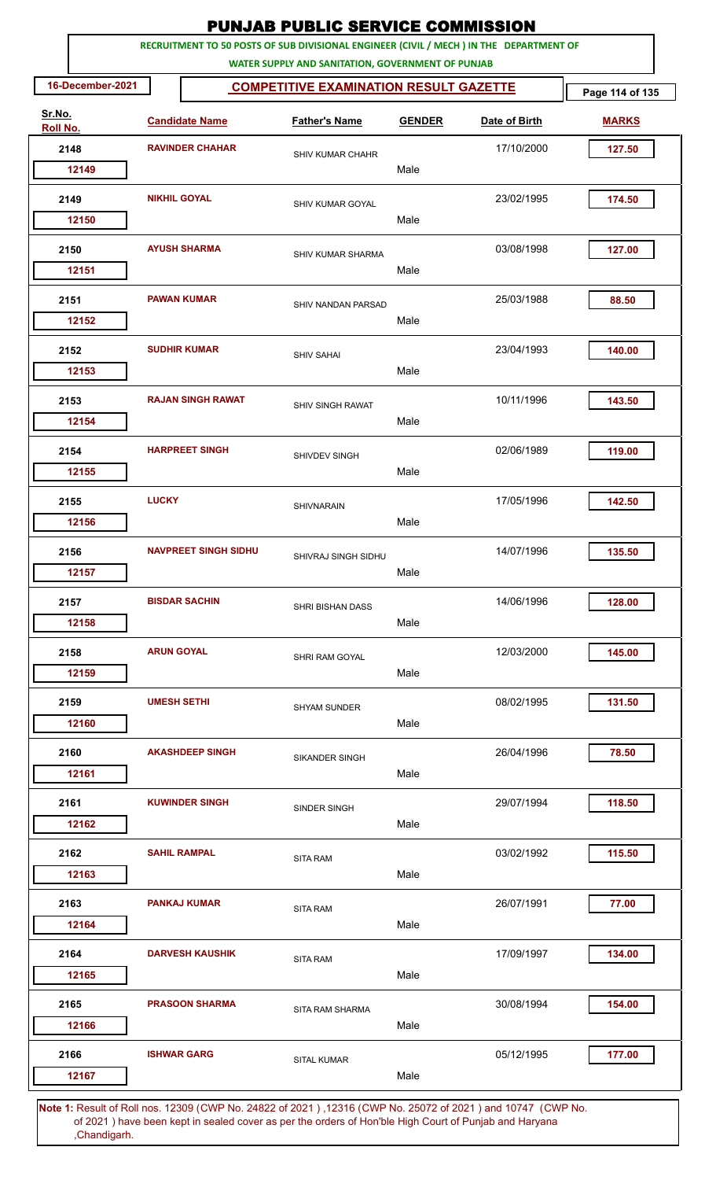|                    |                  |                     |                             | <b>PUNJAB PUBLIC SERVICE COMMISSION</b>                                                                                                      |               |               |                 |
|--------------------|------------------|---------------------|-----------------------------|----------------------------------------------------------------------------------------------------------------------------------------------|---------------|---------------|-----------------|
|                    |                  |                     |                             | RECRUITMENT TO 50 POSTS OF SUB DIVISIONAL ENGINEER (CIVIL / MECH ) IN THE DEPARTMENT OF<br>WATER SUPPLY AND SANITATION, GOVERNMENT OF PUNJAB |               |               |                 |
|                    | 16-December-2021 |                     |                             | <b>COMPETITIVE EXAMINATION RESULT GAZETTE</b>                                                                                                |               |               | Page 114 of 135 |
| Sr.No.<br>Roll No. |                  |                     | <b>Candidate Name</b>       | <b>Father's Name</b>                                                                                                                         | <b>GENDER</b> | Date of Birth | <b>MARKS</b>    |
|                    | 2148             |                     | <b>RAVINDER CHAHAR</b>      | <b>SHIV KUMAR CHAHR</b>                                                                                                                      |               | 17/10/2000    | 127.50          |
|                    | 12149            |                     |                             |                                                                                                                                              | Male          |               |                 |
|                    | 2149             | <b>NIKHIL GOYAL</b> |                             | SHIV KUMAR GOYAL                                                                                                                             |               | 23/02/1995    | 174.50          |
|                    | 12150            |                     |                             |                                                                                                                                              | Male          |               |                 |
|                    | 2150<br>12151    |                     | <b>AYUSH SHARMA</b>         | <b>SHIV KUMAR SHARMA</b>                                                                                                                     | Male          | 03/08/1998    | 127.00          |
|                    |                  |                     |                             |                                                                                                                                              |               |               |                 |
|                    | 2151<br>12152    |                     | <b>PAWAN KUMAR</b>          | <b>SHIV NANDAN PARSAD</b>                                                                                                                    | Male          | 25/03/1988    | 88.50           |
|                    | 2152             |                     | <b>SUDHIR KUMAR</b>         | <b>SHIV SAHAI</b>                                                                                                                            |               | 23/04/1993    | 140.00          |
|                    | 12153            |                     |                             |                                                                                                                                              | Male          |               |                 |
|                    | 2153             |                     | <b>RAJAN SINGH RAWAT</b>    | <b>SHIV SINGH RAWAT</b>                                                                                                                      |               | 10/11/1996    | 143.50          |
|                    | 12154            |                     |                             |                                                                                                                                              | Male          |               |                 |
|                    | 2154             |                     | <b>HARPREET SINGH</b>       | SHIVDEV SINGH                                                                                                                                |               | 02/06/1989    | 119.00          |
|                    | 12155            |                     |                             |                                                                                                                                              | Male          |               |                 |
|                    | 2155             | <b>LUCKY</b>        |                             | <b>SHIVNARAIN</b>                                                                                                                            |               | 17/05/1996    | 142.50          |
|                    | 12156            |                     |                             |                                                                                                                                              | Male          |               |                 |
|                    | 2156             |                     | <b>NAVPREET SINGH SIDHU</b> | SHIVRAJ SINGH SIDHU                                                                                                                          |               | 14/07/1996    | 135.50          |
|                    | 12157            |                     |                             |                                                                                                                                              | Male          |               |                 |
|                    | 2157             |                     | <b>BISDAR SACHIN</b>        | <b>SHRI BISHAN DASS</b>                                                                                                                      |               | 14/06/1996    | 128.00          |
|                    | 12158            |                     |                             |                                                                                                                                              | Male          |               |                 |
|                    | 2158             | <b>ARUN GOYAL</b>   |                             | SHRI RAM GOYAL                                                                                                                               |               | 12/03/2000    | 145.00          |
|                    | 12159            |                     |                             |                                                                                                                                              | Male          |               |                 |
|                    | 2159             | <b>UMESH SETHI</b>  |                             | <b>SHYAM SUNDER</b>                                                                                                                          |               | 08/02/1995    | 131.50          |
|                    | 12160            |                     |                             |                                                                                                                                              | Male          |               |                 |
|                    | 2160             |                     | <b>AKASHDEEP SINGH</b>      | <b>SIKANDER SINGH</b>                                                                                                                        |               | 26/04/1996    | 78.50           |
|                    | 12161            |                     |                             |                                                                                                                                              | Male          |               |                 |
|                    | 2161             |                     | <b>KUWINDER SINGH</b>       | SINDER SINGH                                                                                                                                 |               | 29/07/1994    | 118.50          |
|                    | 12162            |                     |                             |                                                                                                                                              | Male          |               |                 |
|                    | 2162             |                     | <b>SAHIL RAMPAL</b>         | <b>SITA RAM</b>                                                                                                                              |               | 03/02/1992    | 115.50          |
|                    | 12163            |                     |                             |                                                                                                                                              | Male          |               |                 |
|                    | 2163             |                     | <b>PANKAJ KUMAR</b>         | <b>SITA RAM</b>                                                                                                                              |               | 26/07/1991    | 77.00           |
|                    | 12164            |                     |                             |                                                                                                                                              | Male          |               |                 |
|                    | 2164             |                     | <b>DARVESH KAUSHIK</b>      | <b>SITA RAM</b>                                                                                                                              |               | 17/09/1997    | 134.00          |
|                    | 12165            |                     |                             |                                                                                                                                              | Male          |               |                 |
|                    | 2165             |                     | <b>PRASOON SHARMA</b>       | SITA RAM SHARMA                                                                                                                              |               | 30/08/1994    | 154.00          |
|                    | 12166            |                     |                             |                                                                                                                                              | Male          |               |                 |
|                    | 2166             |                     | <b>ISHWAR GARG</b>          | <b>SITAL KUMAR</b>                                                                                                                           |               | 05/12/1995    | 177.00          |
|                    | 12167            |                     |                             |                                                                                                                                              | Male          |               |                 |
|                    |                  |                     |                             |                                                                                                                                              |               |               |                 |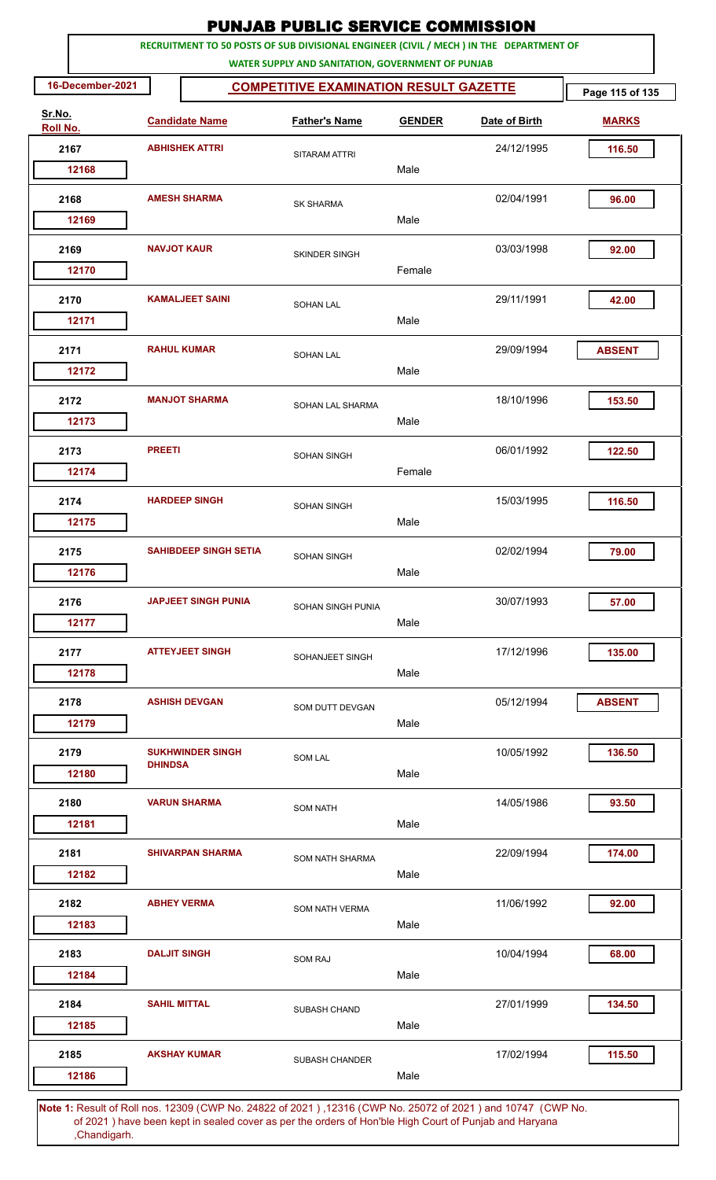|                    |                     |                              | <b>PUNJAB PUBLIC SERVICE COMMISSION</b>                                                                                                      |               |               |                 |
|--------------------|---------------------|------------------------------|----------------------------------------------------------------------------------------------------------------------------------------------|---------------|---------------|-----------------|
|                    |                     |                              | RECRUITMENT TO 50 POSTS OF SUB DIVISIONAL ENGINEER (CIVIL / MECH ) IN THE DEPARTMENT OF<br>WATER SUPPLY AND SANITATION, GOVERNMENT OF PUNJAB |               |               |                 |
| 16-December-2021   |                     |                              | <b>COMPETITIVE EXAMINATION RESULT GAZETTE</b>                                                                                                |               |               | Page 115 of 135 |
| Sr.No.<br>Roll No. |                     | <b>Candidate Name</b>        | <b>Father's Name</b>                                                                                                                         | <b>GENDER</b> | Date of Birth | <b>MARKS</b>    |
| 2167               |                     | <b>ABHISHEK ATTRI</b>        | SITARAM ATTRI                                                                                                                                |               | 24/12/1995    | 116.50          |
| 12168              |                     |                              |                                                                                                                                              | Male          |               |                 |
| 2168               |                     | <b>AMESH SHARMA</b>          | <b>SK SHARMA</b>                                                                                                                             | Male          | 02/04/1991    | 96.00           |
| 12169              |                     |                              |                                                                                                                                              |               |               |                 |
| 2169<br>12170      |                     | <b>NAVJOT KAUR</b>           | <b>SKINDER SINGH</b>                                                                                                                         | Female        | 03/03/1998    | 92.00           |
| 2170<br>12171      |                     | <b>KAMALJEET SAINI</b>       | <b>SOHAN LAL</b>                                                                                                                             | Male          | 29/11/1991    | 42.00           |
| 2171<br>12172      |                     | <b>RAHUL KUMAR</b>           | <b>SOHAN LAL</b>                                                                                                                             | Male          | 29/09/1994    | <b>ABSENT</b>   |
| 2172<br>12173      |                     | <b>MANJOT SHARMA</b>         | SOHAN LAL SHARMA                                                                                                                             | Male          | 18/10/1996    | 153.50          |
| 2173<br>12174      | <b>PREETI</b>       |                              | SOHAN SINGH                                                                                                                                  | Female        | 06/01/1992    | 122.50          |
| 2174<br>12175      |                     | <b>HARDEEP SINGH</b>         | <b>SOHAN SINGH</b>                                                                                                                           | Male          | 15/03/1995    | 116.50          |
| 2175<br>12176      |                     | <b>SAHIBDEEP SINGH SETIA</b> | <b>SOHAN SINGH</b>                                                                                                                           | Male          | 02/02/1994    | 79.00           |
| 2176<br>12177      |                     | <b>JAPJEET SINGH PUNIA</b>   | <b>SOHAN SINGH PUNIA</b>                                                                                                                     | Male          | 30/07/1993    | 57.00           |
| 2177<br>12178      |                     | <b>ATTEYJEET SINGH</b>       | SOHANJEET SINGH                                                                                                                              | Male          | 17/12/1996    | 135.00          |
| 2178<br>12179      |                     | <b>ASHISH DEVGAN</b>         | SOM DUTT DEVGAN                                                                                                                              | Male          | 05/12/1994    | <b>ABSENT</b>   |
| 2179<br>12180      | <b>DHINDSA</b>      | <b>SUKHWINDER SINGH</b>      | <b>SOM LAL</b>                                                                                                                               | Male          | 10/05/1992    | 136.50          |
| 2180<br>12181      |                     | <b>VARUN SHARMA</b>          | <b>SOM NATH</b>                                                                                                                              | Male          | 14/05/1986    | 93.50           |
| 2181<br>12182      |                     | <b>SHIVARPAN SHARMA</b>      | SOM NATH SHARMA                                                                                                                              | Male          | 22/09/1994    | 174.00          |
| 2182<br>12183      |                     | <b>ABHEY VERMA</b>           | <b>SOM NATH VERMA</b>                                                                                                                        | Male          | 11/06/1992    | 92.00           |
| 2183<br>12184      |                     | <b>DALJIT SINGH</b>          | <b>SOM RAJ</b>                                                                                                                               | Male          | 10/04/1994    | 68.00           |
| 2184<br>12185      | <b>SAHIL MITTAL</b> |                              | SUBASH CHAND                                                                                                                                 | Male          | 27/01/1999    | 134.50          |
| 2185<br>12186      |                     | <b>AKSHAY KUMAR</b>          | <b>SUBASH CHANDER</b>                                                                                                                        | Male          | 17/02/1994    | 115.50          |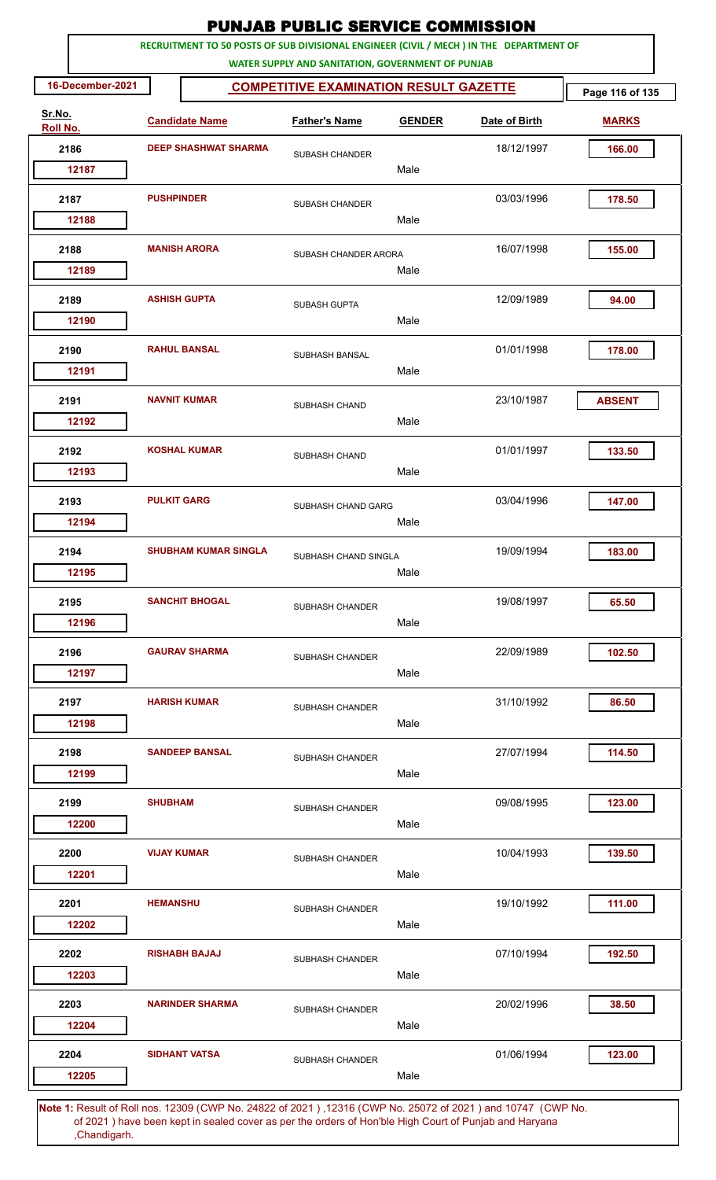|                    |                    |                             | <b>PUNJAB PUBLIC SERVICE COMMISSION</b>                                                                                                      |               |               |                 |
|--------------------|--------------------|-----------------------------|----------------------------------------------------------------------------------------------------------------------------------------------|---------------|---------------|-----------------|
|                    |                    |                             | RECRUITMENT TO 50 POSTS OF SUB DIVISIONAL ENGINEER (CIVIL / MECH ) IN THE DEPARTMENT OF<br>WATER SUPPLY AND SANITATION, GOVERNMENT OF PUNJAB |               |               |                 |
| 16-December-2021   |                    |                             | <b>COMPETITIVE EXAMINATION RESULT GAZETTE</b>                                                                                                |               |               | Page 116 of 135 |
| Sr.No.<br>Roll No. |                    | <b>Candidate Name</b>       | <b>Father's Name</b>                                                                                                                         | <b>GENDER</b> | Date of Birth | <b>MARKS</b>    |
| 2186               |                    | <b>DEEP SHASHWAT SHARMA</b> | <b>SUBASH CHANDER</b>                                                                                                                        |               | 18/12/1997    | 166.00          |
| 12187              |                    |                             |                                                                                                                                              | Male          |               |                 |
| 2187<br>12188      | <b>PUSHPINDER</b>  |                             | SUBASH CHANDER                                                                                                                               | Male          | 03/03/1996    | 178.50          |
|                    |                    |                             |                                                                                                                                              |               |               |                 |
| 2188<br>12189      |                    | <b>MANISH ARORA</b>         | SUBASH CHANDER ARORA                                                                                                                         | Male          | 16/07/1998    | 155.00          |
| 2189               |                    | <b>ASHISH GUPTA</b>         | <b>SUBASH GUPTA</b>                                                                                                                          |               | 12/09/1989    | 94.00           |
| 12190              |                    |                             |                                                                                                                                              | Male          |               |                 |
| 2190<br>12191      |                    | <b>RAHUL BANSAL</b>         | SUBHASH BANSAL                                                                                                                               | Male          | 01/01/1998    | 178.00          |
| 2191<br>12192      |                    | <b>NAVNIT KUMAR</b>         | SUBHASH CHAND                                                                                                                                | Male          | 23/10/1987    | <b>ABSENT</b>   |
| 2192<br>12193      |                    | <b>KOSHAL KUMAR</b>         | SUBHASH CHAND                                                                                                                                | Male          | 01/01/1997    | 133.50          |
| 2193               | <b>PULKIT GARG</b> |                             | SUBHASH CHAND GARG                                                                                                                           |               | 03/04/1996    | 147.00          |
| 12194              |                    |                             |                                                                                                                                              | Male          |               |                 |
| 2194<br>12195      |                    | <b>SHUBHAM KUMAR SINGLA</b> | SUBHASH CHAND SINGLA                                                                                                                         | Male          | 19/09/1994    | 183.00          |
| 2195<br>12196      |                    | <b>SANCHIT BHOGAL</b>       | <b>SUBHASH CHANDER</b>                                                                                                                       | Male          | 19/08/1997    | 65.50           |
| 2196<br>12197      |                    | <b>GAURAV SHARMA</b>        | SUBHASH CHANDER                                                                                                                              | Male          | 22/09/1989    | 102.50          |
| 2197<br>12198      |                    | <b>HARISH KUMAR</b>         | SUBHASH CHANDER                                                                                                                              | Male          | 31/10/1992    | 86.50           |
| 2198<br>12199      |                    | <b>SANDEEP BANSAL</b>       | SUBHASH CHANDER                                                                                                                              | Male          | 27/07/1994    | 114.50          |
| 2199<br>12200      | <b>SHUBHAM</b>     |                             | SUBHASH CHANDER                                                                                                                              | Male          | 09/08/1995    | 123.00          |
| 2200<br>12201      | <b>VIJAY KUMAR</b> |                             | SUBHASH CHANDER                                                                                                                              | Male          | 10/04/1993    | 139.50          |
| 2201<br>12202      | <b>HEMANSHU</b>    |                             | SUBHASH CHANDER                                                                                                                              | Male          | 19/10/1992    | 111.00          |
| 2202<br>12203      |                    | <b>RISHABH BAJAJ</b>        | SUBHASH CHANDER                                                                                                                              | Male          | 07/10/1994    | 192.50          |
| 2203<br>12204      |                    | <b>NARINDER SHARMA</b>      | SUBHASH CHANDER                                                                                                                              | Male          | 20/02/1996    | 38.50           |
| 2204<br>12205      |                    | <b>SIDHANT VATSA</b>        | SUBHASH CHANDER                                                                                                                              | Male          | 01/06/1994    | 123.00          |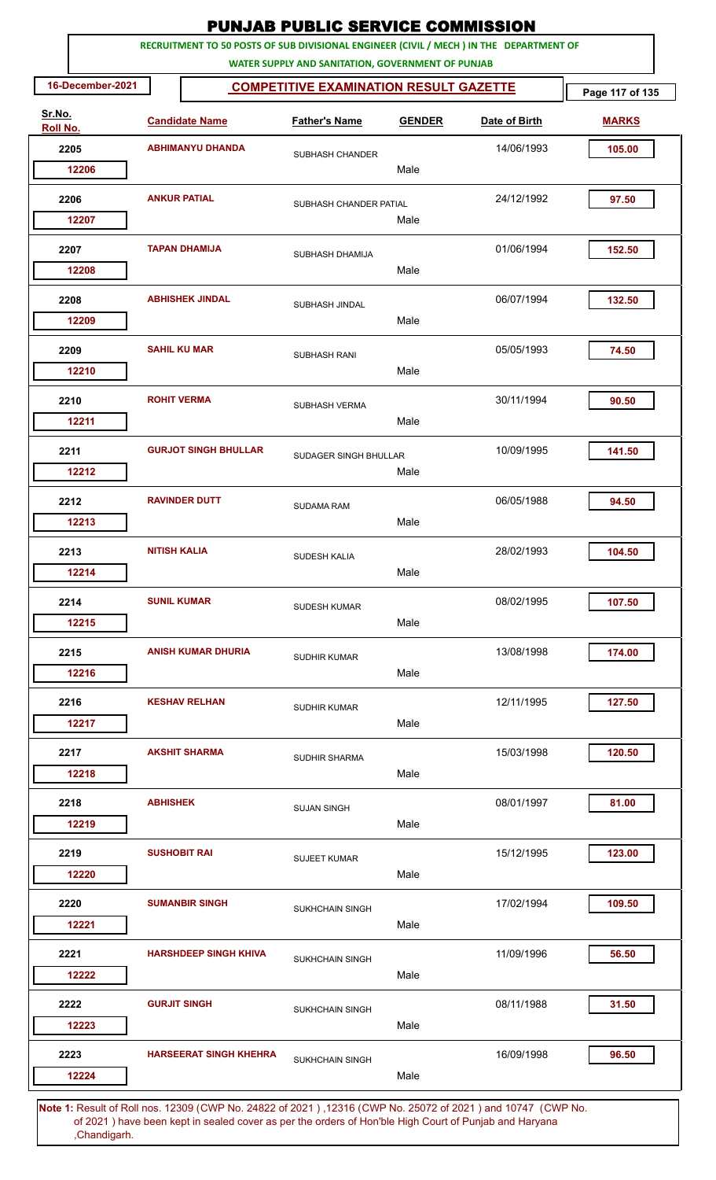|                    |                  |                         |                                                                                         | <b>PUNJAB PUBLIC SERVICE COMMISSION</b>           |               |               |                 |
|--------------------|------------------|-------------------------|-----------------------------------------------------------------------------------------|---------------------------------------------------|---------------|---------------|-----------------|
|                    |                  |                         | RECRUITMENT TO 50 POSTS OF SUB DIVISIONAL ENGINEER (CIVIL / MECH ) IN THE DEPARTMENT OF | WATER SUPPLY AND SANITATION, GOVERNMENT OF PUNJAB |               |               |                 |
|                    | 16-December-2021 |                         |                                                                                         | <b>COMPETITIVE EXAMINATION RESULT GAZETTE</b>     |               |               | Page 117 of 135 |
| Sr.No.<br>Roll No. |                  |                         | <b>Candidate Name</b>                                                                   | <b>Father's Name</b>                              | <b>GENDER</b> | Date of Birth | <b>MARKS</b>    |
|                    | 2205             | <b>ABHIMANYU DHANDA</b> |                                                                                         | SUBHASH CHANDER                                   |               | 14/06/1993    | 105.00          |
|                    | 12206            |                         |                                                                                         |                                                   | Male          |               |                 |
|                    | 2206<br>12207    | <b>ANKUR PATIAL</b>     |                                                                                         | SUBHASH CHANDER PATIAL                            | Male          | 24/12/1992    | 97.50           |
|                    |                  |                         |                                                                                         |                                                   |               |               |                 |
|                    | 2207<br>12208    |                         | <b>TAPAN DHAMIJA</b>                                                                    | SUBHASH DHAMIJA                                   | Male          | 01/06/1994    | 152.50          |
|                    | 2208             |                         | <b>ABHISHEK JINDAL</b>                                                                  | SUBHASH JINDAL                                    |               | 06/07/1994    | 132.50          |
|                    | 12209            |                         |                                                                                         |                                                   | Male          |               |                 |
|                    | 2209<br>12210    |                         | <b>SAHIL KU MAR</b>                                                                     | <b>SUBHASH RANI</b>                               | Male          | 05/05/1993    | 74.50           |
|                    | 2210             | <b>ROHIT VERMA</b>      |                                                                                         | SUBHASH VERMA                                     |               | 30/11/1994    | 90.50           |
|                    | 12211            |                         |                                                                                         |                                                   | Male          |               |                 |
|                    | 2211<br>12212    |                         | <b>GURJOT SINGH BHULLAR</b>                                                             | SUDAGER SINGH BHULLAR                             | Male          | 10/09/1995    | 141.50          |
|                    | 2212             |                         | <b>RAVINDER DUTT</b>                                                                    |                                                   |               | 06/05/1988    | 94.50           |
|                    | 12213            |                         |                                                                                         | <b>SUDAMA RAM</b>                                 | Male          |               |                 |
|                    | 2213             | <b>NITISH KALIA</b>     |                                                                                         | SUDESH KALIA                                      |               | 28/02/1993    | 104.50          |
|                    | 12214            |                         |                                                                                         |                                                   | Male          |               |                 |
|                    | 2214<br>12215    | <b>SUNIL KUMAR</b>      |                                                                                         | <b>SUDESH KUMAR</b>                               | Male          | 08/02/1995    | 107.50          |
|                    |                  |                         |                                                                                         |                                                   |               |               |                 |
|                    | 2215<br>12216    |                         | <b>ANISH KUMAR DHURIA</b>                                                               | <b>SUDHIR KUMAR</b>                               | Male          | 13/08/1998    | 174.00          |
|                    | 2216             |                         | <b>KESHAV RELHAN</b>                                                                    | <b>SUDHIR KUMAR</b>                               |               | 12/11/1995    | 127.50          |
|                    | 12217            |                         |                                                                                         |                                                   | Male          |               |                 |
|                    | 2217<br>12218    |                         | <b>AKSHIT SHARMA</b>                                                                    | SUDHIR SHARMA                                     | Male          | 15/03/1998    | 120.50          |
|                    | 2218             | <b>ABHISHEK</b>         |                                                                                         | <b>SUJAN SINGH</b>                                |               | 08/01/1997    | 81.00           |
|                    | 12219            |                         |                                                                                         |                                                   | Male          |               |                 |
|                    | 2219             |                         | <b>SUSHOBIT RAI</b>                                                                     | <b>SUJEET KUMAR</b>                               |               | 15/12/1995    | 123.00          |
|                    | 12220            |                         |                                                                                         |                                                   | Male          |               |                 |
|                    | 2220<br>12221    |                         | <b>SUMANBIR SINGH</b>                                                                   | <b>SUKHCHAIN SINGH</b>                            | Male          | 17/02/1994    | 109.50          |
|                    | 2221             |                         | <b>HARSHDEEP SINGH KHIVA</b>                                                            |                                                   |               | 11/09/1996    | 56.50           |
|                    | 12222            |                         |                                                                                         | <b>SUKHCHAIN SINGH</b>                            | Male          |               |                 |
|                    | 2222             |                         | <b>GURJIT SINGH</b>                                                                     | <b>SUKHCHAIN SINGH</b>                            |               | 08/11/1988    | 31.50           |
|                    | 12223            |                         |                                                                                         |                                                   | Male          |               |                 |
|                    | 2223<br>12224    |                         | <b>HARSEERAT SINGH KHEHRA</b>                                                           | <b>SUKHCHAIN SINGH</b>                            | Male          | 16/09/1998    | 96.50           |
|                    |                  |                         |                                                                                         |                                                   |               |               |                 |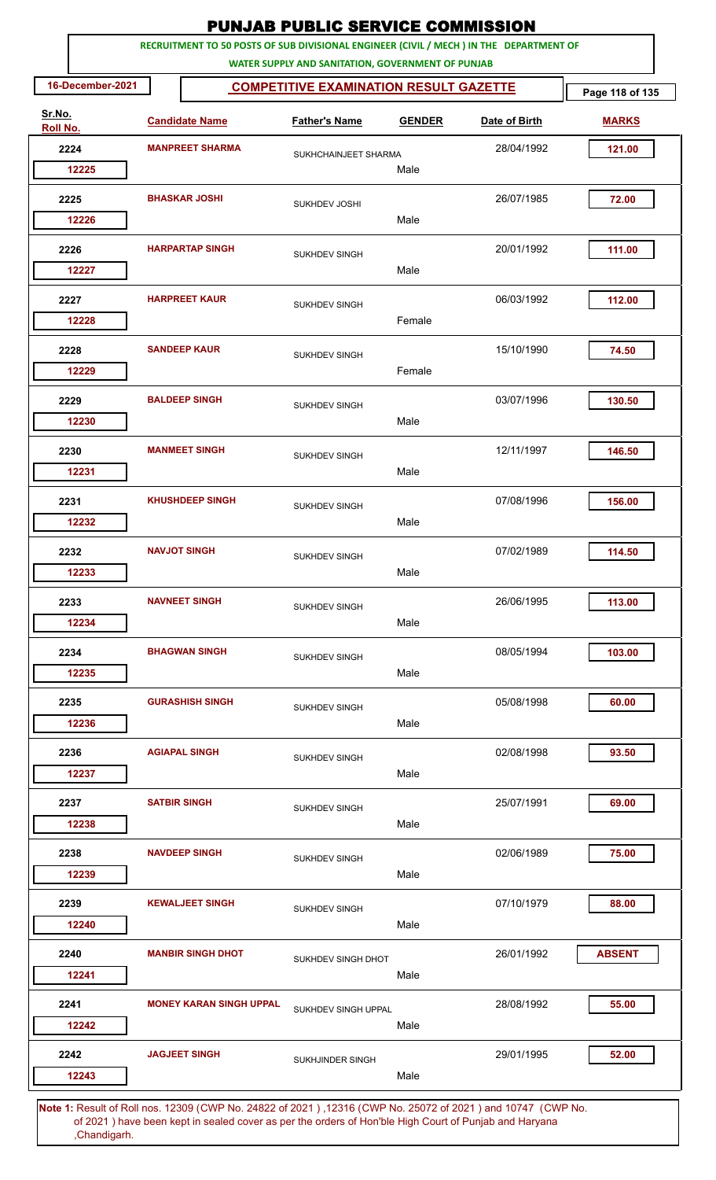|                    |                  |                     |                                                                                         | <b>PUNJAB PUBLIC SERVICE COMMISSION</b>                                                            |               |               |                 |
|--------------------|------------------|---------------------|-----------------------------------------------------------------------------------------|----------------------------------------------------------------------------------------------------|---------------|---------------|-----------------|
|                    |                  |                     | RECRUITMENT TO 50 POSTS OF SUB DIVISIONAL ENGINEER (CIVIL / MECH ) IN THE DEPARTMENT OF |                                                                                                    |               |               |                 |
|                    | 16-December-2021 |                     |                                                                                         | WATER SUPPLY AND SANITATION, GOVERNMENT OF PUNJAB<br><b>COMPETITIVE EXAMINATION RESULT GAZETTE</b> |               |               | Page 118 of 135 |
| Sr.No.<br>Roll No. |                  |                     | <b>Candidate Name</b>                                                                   | <b>Father's Name</b>                                                                               | <b>GENDER</b> | Date of Birth | <b>MARKS</b>    |
|                    | 2224             |                     | <b>MANPREET SHARMA</b>                                                                  | SUKHCHAINJEET SHARMA                                                                               |               | 28/04/1992    | 121.00          |
|                    | 12225            |                     |                                                                                         |                                                                                                    | Male          |               |                 |
|                    | 2225             |                     | <b>BHASKAR JOSHI</b>                                                                    | SUKHDEV JOSHI                                                                                      |               | 26/07/1985    | 72.00           |
|                    | 12226            |                     |                                                                                         |                                                                                                    | Male          |               |                 |
|                    | 2226             |                     | <b>HARPARTAP SINGH</b>                                                                  | <b>SUKHDEV SINGH</b>                                                                               |               | 20/01/1992    | 111.00          |
|                    | 12227            |                     |                                                                                         |                                                                                                    | Male          |               |                 |
|                    | 2227             |                     | <b>HARPREET KAUR</b>                                                                    | <b>SUKHDEV SINGH</b>                                                                               |               | 06/03/1992    | 112.00          |
|                    | 12228            |                     |                                                                                         |                                                                                                    | Female        |               |                 |
|                    | 2228<br>12229    |                     | <b>SANDEEP KAUR</b>                                                                     | <b>SUKHDEV SINGH</b>                                                                               | Female        | 15/10/1990    | 74.50           |
|                    |                  |                     |                                                                                         |                                                                                                    |               |               |                 |
|                    | 2229<br>12230    |                     | <b>BALDEEP SINGH</b>                                                                    | <b>SUKHDEV SINGH</b>                                                                               | Male          | 03/07/1996    | 130.50          |
|                    | 2230             |                     | <b>MANMEET SINGH</b>                                                                    |                                                                                                    |               | 12/11/1997    | 146.50          |
|                    | 12231            |                     |                                                                                         | <b>SUKHDEV SINGH</b>                                                                               | Male          |               |                 |
|                    | 2231             |                     | <b>KHUSHDEEP SINGH</b>                                                                  | <b>SUKHDEV SINGH</b>                                                                               |               | 07/08/1996    | 156.00          |
|                    | 12232            |                     |                                                                                         |                                                                                                    | Male          |               |                 |
|                    | 2232             |                     | <b>NAVJOT SINGH</b>                                                                     | <b>SUKHDEV SINGH</b>                                                                               |               | 07/02/1989    | 114.50          |
|                    | 12233            |                     |                                                                                         |                                                                                                    | Male          |               |                 |
|                    | 2233             |                     | <b>NAVNEET SINGH</b>                                                                    | <b>SUKHDEV SINGH</b>                                                                               |               | 26/06/1995    | 113.00          |
|                    | 12234            |                     |                                                                                         |                                                                                                    | Male          |               |                 |
|                    | 2234             |                     | <b>BHAGWAN SINGH</b>                                                                    | <b>SUKHDEV SINGH</b>                                                                               |               | 08/05/1994    | 103.00          |
|                    | 12235            |                     |                                                                                         |                                                                                                    | Male          |               |                 |
|                    | 2235             |                     | <b>GURASHISH SINGH</b>                                                                  | SUKHDEV SINGH                                                                                      |               | 05/08/1998    | 60.00           |
|                    | 12236            |                     |                                                                                         |                                                                                                    | Male          |               |                 |
|                    | 2236             |                     | <b>AGIAPAL SINGH</b>                                                                    | <b>SUKHDEV SINGH</b>                                                                               |               | 02/08/1998    | 93.50           |
|                    | 12237            |                     |                                                                                         |                                                                                                    | Male          |               |                 |
|                    | 2237             | <b>SATBIR SINGH</b> |                                                                                         | <b>SUKHDEV SINGH</b>                                                                               |               | 25/07/1991    | 69.00           |
|                    | 12238            |                     |                                                                                         |                                                                                                    | Male          |               |                 |
|                    | 2238<br>12239    |                     | <b>NAVDEEP SINGH</b>                                                                    | SUKHDEV SINGH                                                                                      | Male          | 02/06/1989    | 75.00           |
|                    |                  |                     |                                                                                         |                                                                                                    |               |               |                 |
|                    | 2239<br>12240    |                     | <b>KEWALJEET SINGH</b>                                                                  | <b>SUKHDEV SINGH</b>                                                                               | Male          | 07/10/1979    | 88.00           |
|                    |                  |                     |                                                                                         |                                                                                                    |               |               |                 |
|                    | 2240<br>12241    |                     | <b>MANBIR SINGH DHOT</b>                                                                | SUKHDEV SINGH DHOT                                                                                 | Male          | 26/01/1992    | <b>ABSENT</b>   |
|                    | 2241             |                     | <b>MONEY KARAN SINGH UPPAL</b>                                                          |                                                                                                    |               | 28/08/1992    | 55.00           |
|                    | 12242            |                     |                                                                                         | SUKHDEV SINGH UPPAL                                                                                | Male          |               |                 |
|                    | 2242             |                     | <b>JAGJEET SINGH</b>                                                                    | SUKHJINDER SINGH                                                                                   |               | 29/01/1995    | 52.00           |
|                    | 12243            |                     |                                                                                         |                                                                                                    | Male          |               |                 |
|                    |                  |                     |                                                                                         |                                                                                                    |               |               |                 |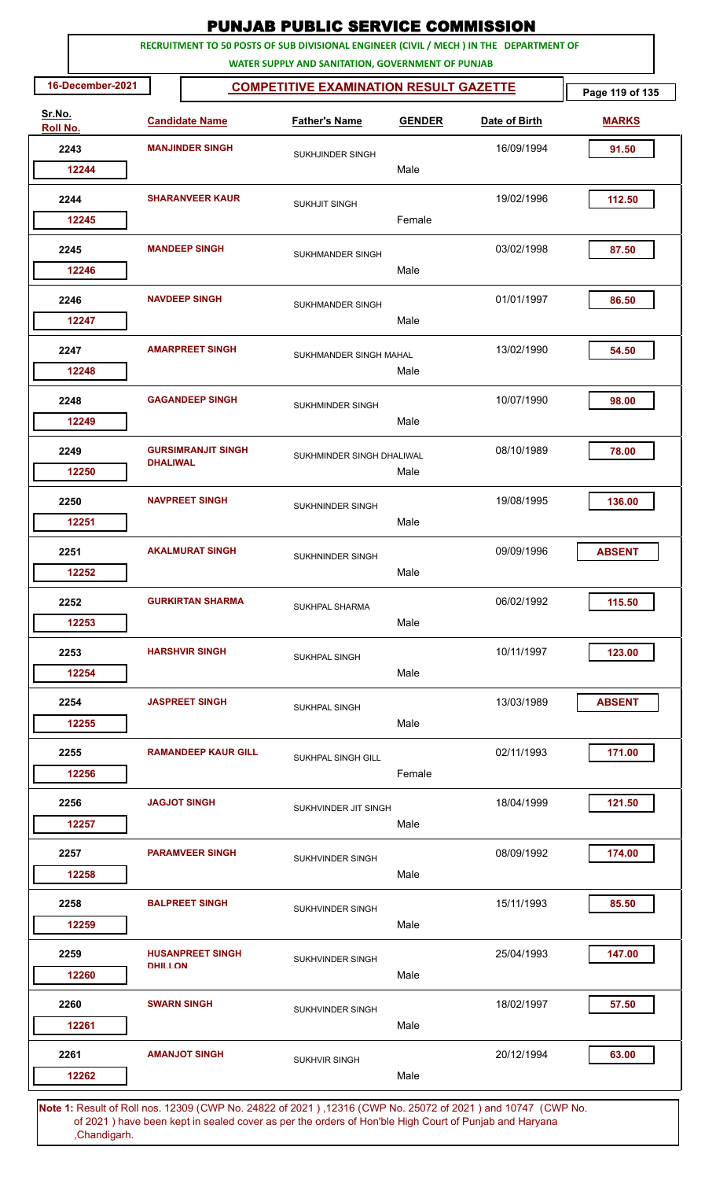|                    |                  |                        |                            | <b>PUNJAB PUBLIC SERVICE COMMISSION</b>                                                                                                      |               |               |                 |
|--------------------|------------------|------------------------|----------------------------|----------------------------------------------------------------------------------------------------------------------------------------------|---------------|---------------|-----------------|
|                    |                  |                        |                            | RECRUITMENT TO 50 POSTS OF SUB DIVISIONAL ENGINEER (CIVIL / MECH ) IN THE DEPARTMENT OF<br>WATER SUPPLY AND SANITATION, GOVERNMENT OF PUNJAB |               |               |                 |
|                    | 16-December-2021 |                        |                            | <b>COMPETITIVE EXAMINATION RESULT GAZETTE</b>                                                                                                |               |               | Page 119 of 135 |
| Sr.No.<br>Roll No. |                  |                        | <b>Candidate Name</b>      | <b>Father's Name</b>                                                                                                                         | <b>GENDER</b> | Date of Birth | <b>MARKS</b>    |
| 2243               |                  |                        | <b>MANJINDER SINGH</b>     | SUKHJINDER SINGH                                                                                                                             |               | 16/09/1994    | 91.50           |
|                    | 12244            |                        |                            |                                                                                                                                              | Male          |               |                 |
| 2244               |                  | <b>SHARANVEER KAUR</b> |                            | <b>SUKHJIT SINGH</b>                                                                                                                         |               | 19/02/1996    | 112.50          |
|                    | 12245            |                        |                            |                                                                                                                                              | Female        |               |                 |
| 2245               | 12246            |                        | <b>MANDEEP SINGH</b>       | <b>SUKHMANDER SINGH</b>                                                                                                                      | Male          | 03/02/1998    | 87.50           |
|                    |                  |                        |                            |                                                                                                                                              |               |               |                 |
| 2246               | 12247            |                        | <b>NAVDEEP SINGH</b>       | SUKHMANDER SINGH                                                                                                                             | Male          | 01/01/1997    | 86.50           |
| 2247               |                  |                        | <b>AMARPREET SINGH</b>     | SUKHMANDER SINGH MAHAL                                                                                                                       |               | 13/02/1990    | 54.50           |
|                    | 12248            |                        |                            |                                                                                                                                              | Male          |               |                 |
| 2248               | 12249            |                        | <b>GAGANDEEP SINGH</b>     | SUKHMINDER SINGH                                                                                                                             | Male          | 10/07/1990    | 98.00           |
| 2249               | 12250            | <b>DHALIWAL</b>        | <b>GURSIMRANJIT SINGH</b>  | SUKHMINDER SINGH DHALIWAL                                                                                                                    | Male          | 08/10/1989    | 78.00           |
| 2250               |                  |                        | <b>NAVPREET SINGH</b>      | <b>SUKHNINDER SINGH</b>                                                                                                                      |               | 19/08/1995    | 136.00          |
|                    | 12251            |                        |                            |                                                                                                                                              | Male          |               |                 |
| 2251               | 12252            |                        | <b>AKALMURAT SINGH</b>     | <b>SUKHNINDER SINGH</b>                                                                                                                      | Male          | 09/09/1996    | <b>ABSENT</b>   |
| 2252               |                  |                        | <b>GURKIRTAN SHARMA</b>    |                                                                                                                                              |               | 06/02/1992    | 115.50          |
|                    | 12253            |                        |                            | <b>SUKHPAL SHARMA</b>                                                                                                                        | Male          |               |                 |
|                    | 2253<br>12254    |                        | <b>HARSHVIR SINGH</b>      | SUKHPAL SINGH                                                                                                                                | Male          | 10/11/1997    | 123.00          |
| 2254               | 12255            |                        | <b>JASPREET SINGH</b>      | SUKHPAL SINGH                                                                                                                                | Male          | 13/03/1989    | <b>ABSENT</b>   |
|                    |                  |                        |                            |                                                                                                                                              |               |               |                 |
| 2255               | 12256            |                        | <b>RAMANDEEP KAUR GILL</b> | SUKHPAL SINGH GILL                                                                                                                           | Female        | 02/11/1993    | 171.00          |
|                    | 2256<br>12257    |                        | <b>JAGJOT SINGH</b>        | SUKHVINDER JIT SINGH                                                                                                                         | Male          | 18/04/1999    | 121.50          |
|                    |                  |                        |                            |                                                                                                                                              |               |               |                 |
| 2257               | 12258            |                        | <b>PARAMVEER SINGH</b>     | SUKHVINDER SINGH                                                                                                                             | Male          | 08/09/1992    | 174.00          |
| 2258               |                  |                        | <b>BALPREET SINGH</b>      | SUKHVINDER SINGH                                                                                                                             |               | 15/11/1993    | 85.50           |
|                    | 12259            |                        |                            |                                                                                                                                              | Male          |               |                 |
| 2259               |                  | <b>DHILL ON</b>        | <b>HUSANPREET SINGH</b>    | SUKHVINDER SINGH                                                                                                                             |               | 25/04/1993    | 147.00          |
|                    | 12260            |                        |                            |                                                                                                                                              | Male          |               |                 |
| 2260               | 12261            |                        | <b>SWARN SINGH</b>         | SUKHVINDER SINGH                                                                                                                             | Male          | 18/02/1997    | 57.50           |
| 2261               |                  |                        | <b>AMANJOT SINGH</b>       | <b>SUKHVIR SINGH</b>                                                                                                                         |               | 20/12/1994    | 63.00           |
|                    | 12262            |                        |                            |                                                                                                                                              | Male          |               |                 |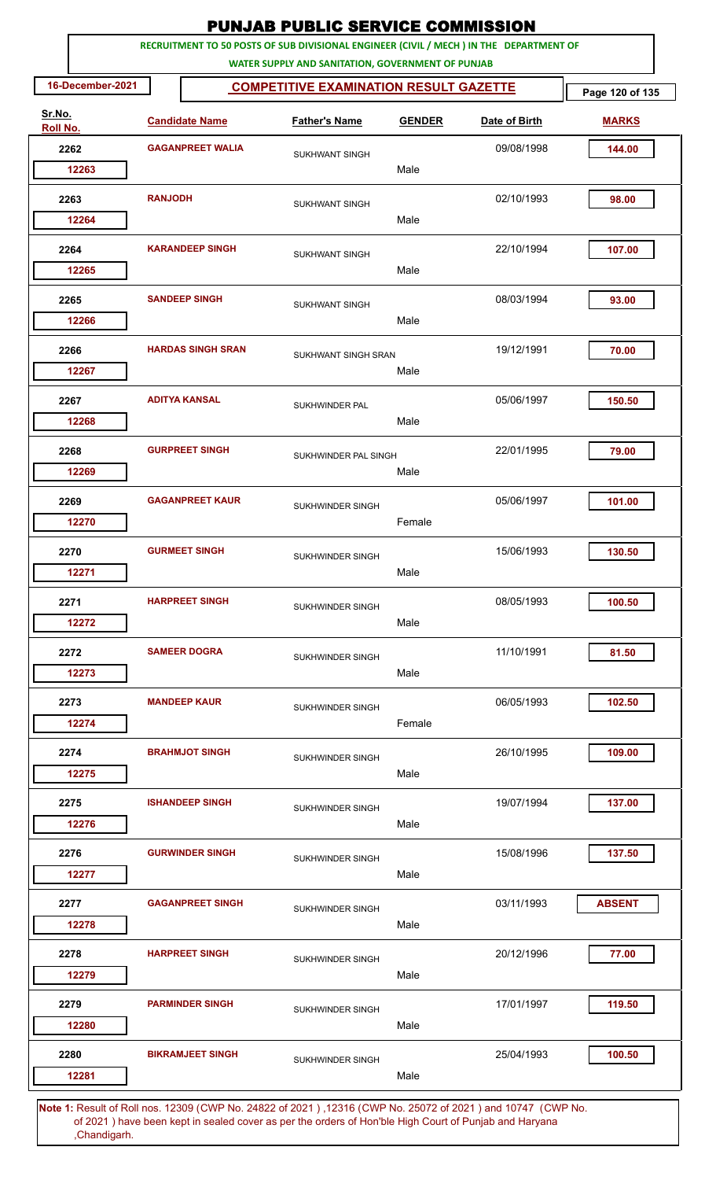|                    |                  |                |                          | <b>PUNJAB PUBLIC SERVICE COMMISSION</b>                                                                                                      |               |               |                 |
|--------------------|------------------|----------------|--------------------------|----------------------------------------------------------------------------------------------------------------------------------------------|---------------|---------------|-----------------|
|                    |                  |                |                          | RECRUITMENT TO 50 POSTS OF SUB DIVISIONAL ENGINEER (CIVIL / MECH ) IN THE DEPARTMENT OF<br>WATER SUPPLY AND SANITATION, GOVERNMENT OF PUNJAB |               |               |                 |
|                    | 16-December-2021 |                |                          | <b>COMPETITIVE EXAMINATION RESULT GAZETTE</b>                                                                                                |               |               | Page 120 of 135 |
| Sr.No.<br>Roll No. |                  |                | <b>Candidate Name</b>    | <b>Father's Name</b>                                                                                                                         | <b>GENDER</b> | Date of Birth | <b>MARKS</b>    |
|                    | 2262             |                | <b>GAGANPREET WALIA</b>  | SUKHWANT SINGH                                                                                                                               |               | 09/08/1998    | 144.00          |
|                    | 12263            |                |                          |                                                                                                                                              | Male          |               |                 |
|                    | 2263             | <b>RANJODH</b> |                          | <b>SUKHWANT SINGH</b>                                                                                                                        |               | 02/10/1993    | 98.00           |
|                    | 12264            |                |                          |                                                                                                                                              | Male          |               |                 |
|                    | 2264<br>12265    |                | <b>KARANDEEP SINGH</b>   | <b>SUKHWANT SINGH</b>                                                                                                                        | Male          | 22/10/1994    | 107.00          |
|                    | 2265             |                | <b>SANDEEP SINGH</b>     |                                                                                                                                              |               | 08/03/1994    | 93.00           |
|                    | 12266            |                |                          | <b>SUKHWANT SINGH</b>                                                                                                                        | Male          |               |                 |
|                    | 2266             |                | <b>HARDAS SINGH SRAN</b> | SUKHWANT SINGH SRAN                                                                                                                          |               | 19/12/1991    | 70.00           |
|                    | 12267            |                |                          |                                                                                                                                              | Male          |               |                 |
|                    | 2267<br>12268    |                | <b>ADITYA KANSAL</b>     | SUKHWINDER PAL                                                                                                                               | Male          | 05/06/1997    | 150.50          |
|                    | 2268             |                | <b>GURPREET SINGH</b>    | SUKHWINDER PAL SINGH                                                                                                                         |               | 22/01/1995    | 79.00           |
|                    | 12269            |                |                          |                                                                                                                                              | Male          |               |                 |
|                    | 2269             |                | <b>GAGANPREET KAUR</b>   | SUKHWINDER SINGH                                                                                                                             |               | 05/06/1997    | 101.00          |
|                    | 12270            |                |                          |                                                                                                                                              | Female        |               |                 |
|                    | 2270             |                | <b>GURMEET SINGH</b>     | SUKHWINDER SINGH                                                                                                                             |               | 15/06/1993    | 130.50          |
|                    | 12271            |                |                          |                                                                                                                                              | Male          |               |                 |
| 2271               | 12272            |                | <b>HARPREET SINGH</b>    | SUKHWINDER SINGH                                                                                                                             | Male          | 08/05/1993    | 100.50          |
|                    |                  |                |                          |                                                                                                                                              |               |               |                 |
|                    | 2272<br>12273    |                | <b>SAMEER DOGRA</b>      | SUKHWINDER SINGH                                                                                                                             | Male          | 11/10/1991    | 81.50           |
|                    |                  |                | <b>MANDEEP KAUR</b>      |                                                                                                                                              |               | 06/05/1993    |                 |
|                    | 2273<br>12274    |                |                          | SUKHWINDER SINGH                                                                                                                             | Female        |               | 102.50          |
|                    | 2274             |                | <b>BRAHMJOT SINGH</b>    |                                                                                                                                              |               | 26/10/1995    | 109.00          |
|                    | 12275            |                |                          | SUKHWINDER SINGH                                                                                                                             | Male          |               |                 |
|                    | 2275             |                | <b>ISHANDEEP SINGH</b>   | SUKHWINDER SINGH                                                                                                                             |               | 19/07/1994    | 137.00          |
|                    | 12276            |                |                          |                                                                                                                                              | Male          |               |                 |
|                    | 2276             |                | <b>GURWINDER SINGH</b>   | SUKHWINDER SINGH                                                                                                                             |               | 15/08/1996    | 137.50          |
|                    | 12277            |                |                          |                                                                                                                                              | Male          |               |                 |
|                    | 2277             |                | <b>GAGANPREET SINGH</b>  | SUKHWINDER SINGH                                                                                                                             |               | 03/11/1993    | <b>ABSENT</b>   |
|                    | 12278            |                |                          |                                                                                                                                              | Male          |               |                 |
|                    | 2278<br>12279    |                | <b>HARPREET SINGH</b>    | SUKHWINDER SINGH                                                                                                                             | Male          | 20/12/1996    | 77.00           |
|                    | 2279             |                | <b>PARMINDER SINGH</b>   |                                                                                                                                              |               | 17/01/1997    | 119.50          |
|                    | 12280            |                |                          | <b>SUKHWINDER SINGH</b>                                                                                                                      | Male          |               |                 |
|                    | 2280             |                | <b>BIKRAMJEET SINGH</b>  | SUKHWINDER SINGH                                                                                                                             |               | 25/04/1993    | 100.50          |
|                    | 12281            |                |                          |                                                                                                                                              | Male          |               |                 |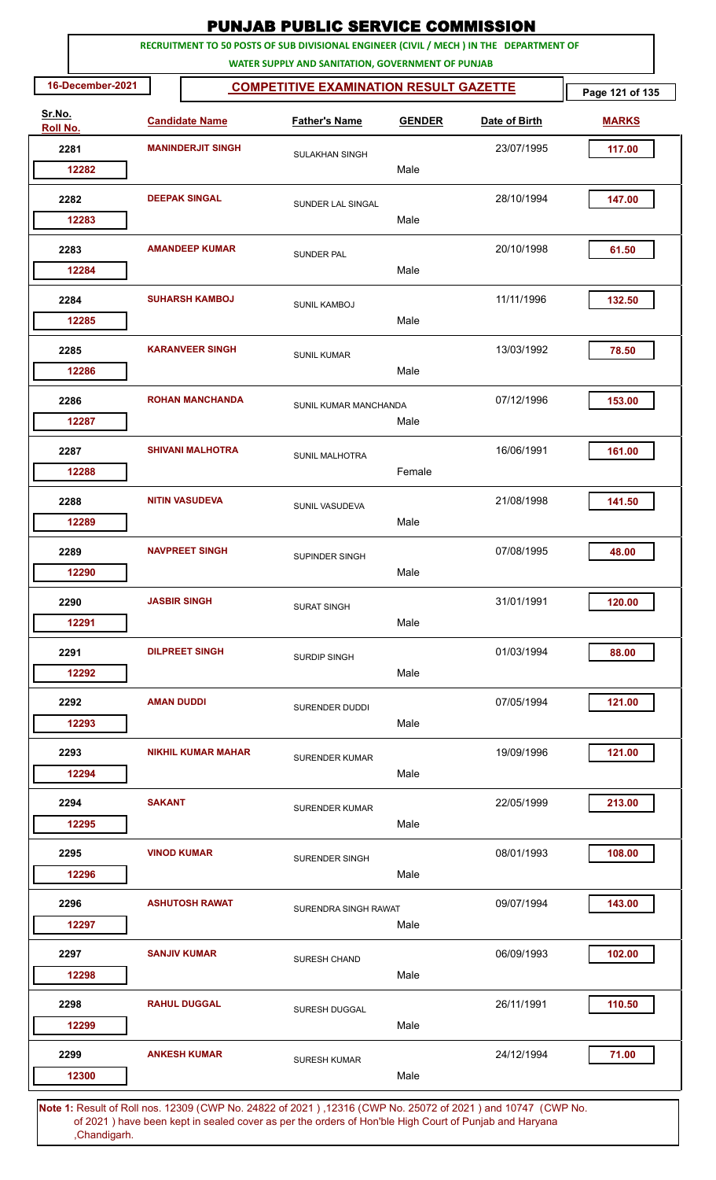|                    |                      |                           | <b>PUNJAB PUBLIC SERVICE COMMISSION</b>                                                                                                      |               |               |                 |
|--------------------|----------------------|---------------------------|----------------------------------------------------------------------------------------------------------------------------------------------|---------------|---------------|-----------------|
|                    |                      |                           | RECRUITMENT TO 50 POSTS OF SUB DIVISIONAL ENGINEER (CIVIL / MECH ) IN THE DEPARTMENT OF<br>WATER SUPPLY AND SANITATION, GOVERNMENT OF PUNJAB |               |               |                 |
| 16-December-2021   |                      |                           | <b>COMPETITIVE EXAMINATION RESULT GAZETTE</b>                                                                                                |               |               | Page 121 of 135 |
| Sr.No.<br>Roll No. |                      | <b>Candidate Name</b>     | <b>Father's Name</b>                                                                                                                         | <b>GENDER</b> | Date of Birth | <b>MARKS</b>    |
| 2281               |                      | <b>MANINDERJIT SINGH</b>  | <b>SULAKHAN SINGH</b>                                                                                                                        |               | 23/07/1995    | 117.00          |
| 12282              |                      |                           |                                                                                                                                              | Male          |               |                 |
| 2282               | <b>DEEPAK SINGAL</b> |                           | SUNDER LAL SINGAL                                                                                                                            |               | 28/10/1994    | 147.00          |
| 12283              |                      |                           |                                                                                                                                              | Male          |               |                 |
| 2283<br>12284      |                      | <b>AMANDEEP KUMAR</b>     | <b>SUNDER PAL</b>                                                                                                                            | Male          | 20/10/1998    | 61.50           |
| 2284               |                      | <b>SUHARSH KAMBOJ</b>     |                                                                                                                                              |               | 11/11/1996    | 132.50          |
| 12285              |                      |                           | <b>SUNIL KAMBOJ</b>                                                                                                                          | Male          |               |                 |
| 2285               |                      | <b>KARANVEER SINGH</b>    | <b>SUNIL KUMAR</b>                                                                                                                           |               | 13/03/1992    | 78.50           |
| 12286              |                      |                           |                                                                                                                                              | Male          |               |                 |
| 2286<br>12287      |                      | <b>ROHAN MANCHANDA</b>    | SUNIL KUMAR MANCHANDA                                                                                                                        | Male          | 07/12/1996    | 153.00          |
| 2287               |                      | <b>SHIVANI MALHOTRA</b>   |                                                                                                                                              |               | 16/06/1991    | 161.00          |
| 12288              |                      |                           | <b>SUNIL MALHOTRA</b>                                                                                                                        | Female        |               |                 |
| 2288               |                      | <b>NITIN VASUDEVA</b>     | SUNIL VASUDEVA                                                                                                                               |               | 21/08/1998    | 141.50          |
| 12289              |                      |                           |                                                                                                                                              | Male          |               |                 |
| 2289               |                      | <b>NAVPREET SINGH</b>     | SUPINDER SINGH                                                                                                                               |               | 07/08/1995    | 48.00           |
| 12290              |                      |                           |                                                                                                                                              | Male          |               |                 |
| 2290               |                      | <b>JASBIR SINGH</b>       | <b>SURAT SINGH</b>                                                                                                                           |               | 31/01/1991    | 120.00          |
| 12291              |                      |                           |                                                                                                                                              | Male          |               |                 |
| 2291               |                      | <b>DILPREET SINGH</b>     | <b>SURDIP SINGH</b>                                                                                                                          |               | 01/03/1994    | 88.00           |
| 12292              |                      |                           |                                                                                                                                              | Male          |               |                 |
| 2292               | <b>AMAN DUDDI</b>    |                           | SURENDER DUDDI                                                                                                                               |               | 07/05/1994    | 121.00          |
| 12293              |                      |                           |                                                                                                                                              | Male          |               |                 |
| 2293<br>12294      |                      | <b>NIKHIL KUMAR MAHAR</b> | <b>SURENDER KUMAR</b>                                                                                                                        | Male          | 19/09/1996    | 121.00          |
|                    |                      |                           |                                                                                                                                              |               |               |                 |
| 2294<br>12295      | <b>SAKANT</b>        |                           | <b>SURENDER KUMAR</b>                                                                                                                        | Male          | 22/05/1999    | 213.00          |
|                    |                      |                           |                                                                                                                                              |               |               |                 |
| 2295<br>12296      |                      | <b>VINOD KUMAR</b>        | SURENDER SINGH                                                                                                                               | Male          | 08/01/1993    | 108.00          |
|                    |                      |                           |                                                                                                                                              |               |               |                 |
| 2296<br>12297      |                      | <b>ASHUTOSH RAWAT</b>     | SURENDRA SINGH RAWAT                                                                                                                         | Male          | 09/07/1994    | 143.00          |
| 2297               |                      | <b>SANJIV KUMAR</b>       | <b>SURESH CHAND</b>                                                                                                                          |               | 06/09/1993    | 102.00          |
| 12298              |                      |                           |                                                                                                                                              | Male          |               |                 |
| 2298               |                      | <b>RAHUL DUGGAL</b>       | SURESH DUGGAL                                                                                                                                |               | 26/11/1991    | 110.50          |
| 12299              |                      |                           |                                                                                                                                              | Male          |               |                 |
| 2299               |                      | <b>ANKESH KUMAR</b>       | <b>SURESH KUMAR</b>                                                                                                                          |               | 24/12/1994    | 71.00           |
| 12300              |                      |                           |                                                                                                                                              | Male          |               |                 |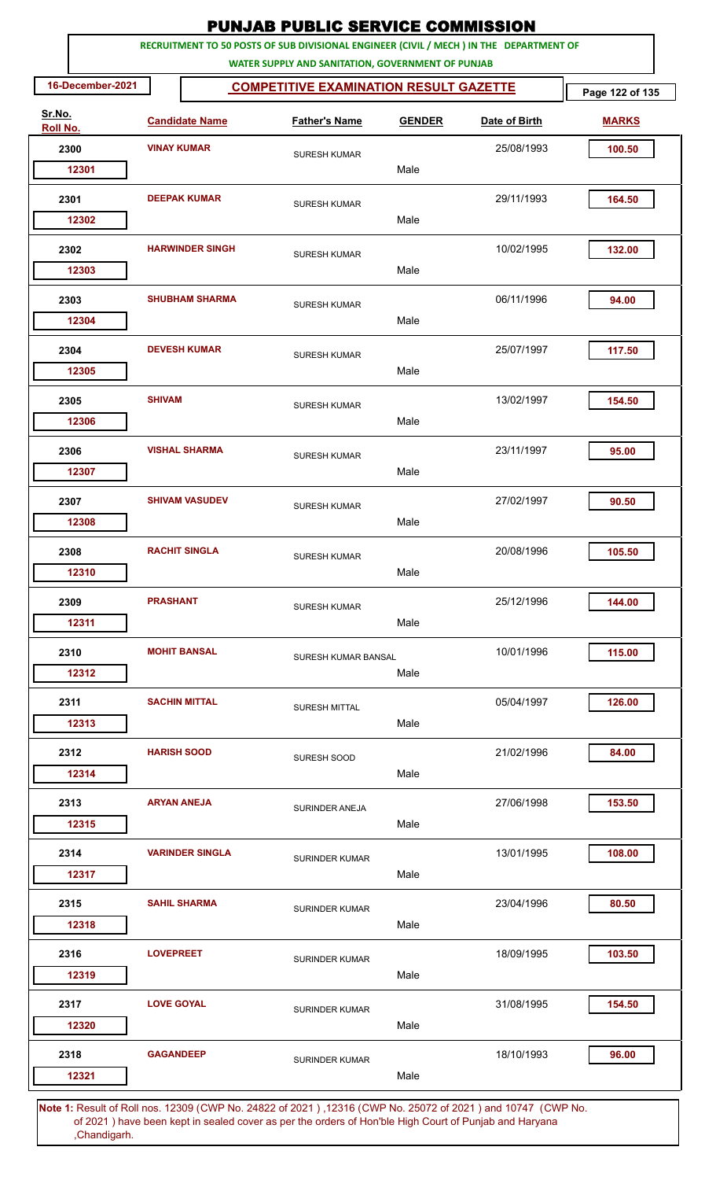|                    |                    |                                            | <b>PUNJAB PUBLIC SERVICE COMMISSION</b>                                                                                                      |               |               |                 |
|--------------------|--------------------|--------------------------------------------|----------------------------------------------------------------------------------------------------------------------------------------------|---------------|---------------|-----------------|
|                    |                    |                                            | RECRUITMENT TO 50 POSTS OF SUB DIVISIONAL ENGINEER (CIVIL / MECH ) IN THE DEPARTMENT OF<br>WATER SUPPLY AND SANITATION, GOVERNMENT OF PUNJAB |               |               |                 |
| 16-December-2021   |                    |                                            | <b>COMPETITIVE EXAMINATION RESULT GAZETTE</b>                                                                                                |               |               | Page 122 of 135 |
| Sr.No.<br>Roll No. |                    | <b>Candidate Name</b>                      | <b>Father's Name</b>                                                                                                                         | <b>GENDER</b> | Date of Birth | <b>MARKS</b>    |
| 2300               | <b>VINAY KUMAR</b> |                                            | <b>SURESH KUMAR</b>                                                                                                                          |               | 25/08/1993    | 100.50          |
| 12301              |                    |                                            |                                                                                                                                              | Male          |               |                 |
| 2301               |                    | <b>DEEPAK KUMAR</b><br><b>SURESH KUMAR</b> |                                                                                                                                              |               | 29/11/1993    | 164.50          |
| 12302              |                    |                                            |                                                                                                                                              | Male          |               |                 |
| 2302<br>12303      |                    | <b>HARWINDER SINGH</b>                     | <b>SURESH KUMAR</b>                                                                                                                          | Male          | 10/02/1995    | 132.00          |
| 2303<br>12304      |                    | <b>SHUBHAM SHARMA</b>                      | <b>SURESH KUMAR</b>                                                                                                                          | Male          | 06/11/1996    | 94.00           |
|                    |                    |                                            |                                                                                                                                              |               |               |                 |
| 2304<br>12305      |                    | <b>DEVESH KUMAR</b>                        | <b>SURESH KUMAR</b>                                                                                                                          | Male          | 25/07/1997    | 117.50          |
| 2305               | <b>SHIVAM</b>      |                                            | <b>SURESH KUMAR</b>                                                                                                                          |               | 13/02/1997    | 154.50          |
| 12306              |                    |                                            |                                                                                                                                              | Male          |               |                 |
| 2306<br>12307      |                    | <b>VISHAL SHARMA</b>                       | <b>SURESH KUMAR</b>                                                                                                                          | Male          | 23/11/1997    | 95.00           |
| 2307               |                    | <b>SHIVAM VASUDEV</b>                      |                                                                                                                                              |               | 27/02/1997    | 90.50           |
| 12308              |                    |                                            | <b>SURESH KUMAR</b>                                                                                                                          | Male          |               |                 |
| 2308               |                    | <b>RACHIT SINGLA</b>                       | <b>SURESH KUMAR</b>                                                                                                                          |               | 20/08/1996    | 105.50          |
| 12310              |                    |                                            |                                                                                                                                              | Male          |               |                 |
| 2309               | <b>PRASHANT</b>    |                                            | <b>SURESH KUMAR</b>                                                                                                                          | Male          | 25/12/1996    | 144.00          |
| 12311              |                    |                                            |                                                                                                                                              |               |               |                 |
| 2310<br>12312      |                    | <b>MOHIT BANSAL</b>                        | SURESH KUMAR BANSAL                                                                                                                          | Male          | 10/01/1996    | 115.00          |
| 2311               |                    | <b>SACHIN MITTAL</b>                       |                                                                                                                                              |               | 05/04/1997    | 126.00          |
| 12313              |                    |                                            | <b>SURESH MITTAL</b>                                                                                                                         | Male          |               |                 |
| 2312               | <b>HARISH SOOD</b> |                                            | SURESH SOOD                                                                                                                                  |               | 21/02/1996    | 84.00           |
| 12314              |                    |                                            |                                                                                                                                              | Male          |               |                 |
| 2313               | <b>ARYAN ANEJA</b> |                                            | SURINDER ANEJA                                                                                                                               |               | 27/06/1998    | 153.50          |
| 12315              |                    |                                            |                                                                                                                                              | Male          |               |                 |
| 2314<br>12317      |                    | <b>VARINDER SINGLA</b>                     | SURINDER KUMAR                                                                                                                               | Male          | 13/01/1995    | 108.00          |
| 2315               |                    | <b>SAHIL SHARMA</b>                        |                                                                                                                                              |               | 23/04/1996    | 80.50           |
| 12318              |                    |                                            | <b>SURINDER KUMAR</b>                                                                                                                        | Male          |               |                 |
| 2316               | <b>LOVEPREET</b>   |                                            | SURINDER KUMAR                                                                                                                               |               | 18/09/1995    | 103.50          |
| 12319              |                    |                                            |                                                                                                                                              | Male          |               |                 |
| 2317               | <b>LOVE GOYAL</b>  |                                            | SURINDER KUMAR                                                                                                                               |               | 31/08/1995    | 154.50          |
| 12320              |                    |                                            |                                                                                                                                              | Male          |               |                 |
| 2318               | <b>GAGANDEEP</b>   |                                            | <b>SURINDER KUMAR</b>                                                                                                                        |               | 18/10/1993    | 96.00           |
| 12321              |                    |                                            | 4. Result of Dell nee 19200 (CMD No. 24822 of 2021), 19246 (CMD No. 25072 of 2021) and 10747 (CMD No                                         | Male          |               |                 |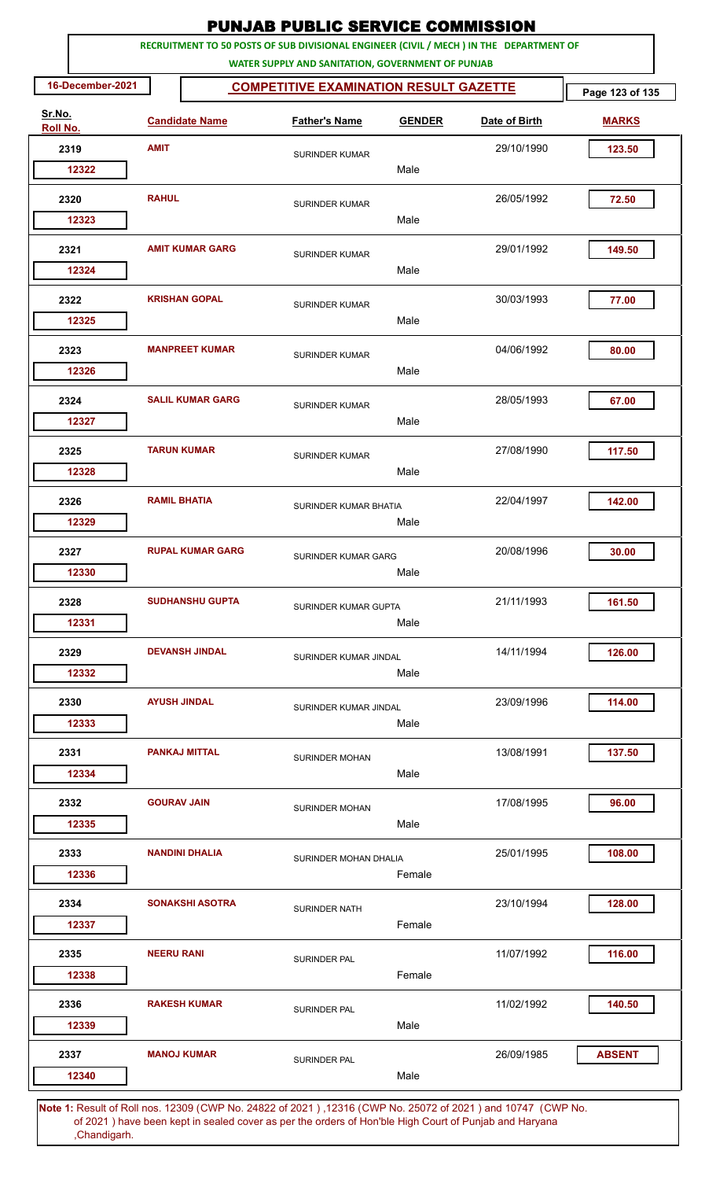|                    | RECRUITMENT TO 50 POSTS OF SUB DIVISIONAL ENGINEER (CIVIL / MECH ) IN THE DEPARTMENT OF<br>WATER SUPPLY AND SANITATION, GOVERNMENT OF PUNJAB |                                               |               |               |                 |  |  |  |  |  |  |
|--------------------|----------------------------------------------------------------------------------------------------------------------------------------------|-----------------------------------------------|---------------|---------------|-----------------|--|--|--|--|--|--|
| 16-December-2021   |                                                                                                                                              | <b>COMPETITIVE EXAMINATION RESULT GAZETTE</b> |               |               | Page 123 of 135 |  |  |  |  |  |  |
| Sr.No.<br>Roll No. | <b>Candidate Name</b>                                                                                                                        | <b>Father's Name</b>                          | <b>GENDER</b> | Date of Birth | <b>MARKS</b>    |  |  |  |  |  |  |
| 2319               | <b>AMIT</b>                                                                                                                                  | <b>SURINDER KUMAR</b>                         |               | 29/10/1990    | 123.50          |  |  |  |  |  |  |
| 12322              |                                                                                                                                              |                                               | Male          |               |                 |  |  |  |  |  |  |
| 2320               | <b>RAHUL</b>                                                                                                                                 | <b>SURINDER KUMAR</b>                         |               | 26/05/1992    | 72.50           |  |  |  |  |  |  |
| 12323              |                                                                                                                                              |                                               | Male          |               |                 |  |  |  |  |  |  |
| 2321               | <b>AMIT KUMAR GARG</b>                                                                                                                       | SURINDER KUMAR                                |               | 29/01/1992    | 149.50          |  |  |  |  |  |  |
| 12324              |                                                                                                                                              |                                               | Male          |               |                 |  |  |  |  |  |  |
| 2322<br>12325      | <b>KRISHAN GOPAL</b>                                                                                                                         | <b>SURINDER KUMAR</b>                         | Male          | 30/03/1993    | 77.00           |  |  |  |  |  |  |
|                    |                                                                                                                                              |                                               |               |               |                 |  |  |  |  |  |  |
| 2323<br>12326      | <b>MANPREET KUMAR</b>                                                                                                                        | <b>SURINDER KUMAR</b>                         | Male          | 04/06/1992    | 80.00           |  |  |  |  |  |  |
| 2324               | <b>SALIL KUMAR GARG</b>                                                                                                                      |                                               |               | 28/05/1993    | 67.00           |  |  |  |  |  |  |
| 12327              |                                                                                                                                              | <b>SURINDER KUMAR</b>                         | Male          |               |                 |  |  |  |  |  |  |
| 2325               | <b>TARUN KUMAR</b>                                                                                                                           | <b>SURINDER KUMAR</b>                         |               | 27/08/1990    | 117.50          |  |  |  |  |  |  |
| 12328              |                                                                                                                                              |                                               | Male          |               |                 |  |  |  |  |  |  |
| 2326               | <b>RAMIL BHATIA</b>                                                                                                                          | SURINDER KUMAR BHATIA                         |               | 22/04/1997    | 142.00          |  |  |  |  |  |  |
| 12329              |                                                                                                                                              |                                               | Male          |               |                 |  |  |  |  |  |  |
| 2327               | <b>RUPAL KUMAR GARG</b>                                                                                                                      | SURINDER KUMAR GARG                           |               | 20/08/1996    | 30.00           |  |  |  |  |  |  |
| 12330              |                                                                                                                                              |                                               | Male          |               |                 |  |  |  |  |  |  |
| 2328               | <b>SUDHANSHU GUPTA</b>                                                                                                                       | SURINDER KUMAR GUPTA                          |               | 21/11/1993    | 161.50          |  |  |  |  |  |  |
| 12331              |                                                                                                                                              |                                               | Male          |               |                 |  |  |  |  |  |  |
| 2329               | <b>DEVANSH JINDAL</b>                                                                                                                        | SURINDER KUMAR JINDAL                         |               | 14/11/1994    | 126.00          |  |  |  |  |  |  |
| 12332              |                                                                                                                                              |                                               | Male          |               |                 |  |  |  |  |  |  |
| 2330<br>12333      | <b>AYUSH JINDAL</b>                                                                                                                          | SURINDER KUMAR JINDAL                         | Male          | 23/09/1996    | 114.00          |  |  |  |  |  |  |
| 2331               | <b>PANKAJ MITTAL</b>                                                                                                                         |                                               |               | 13/08/1991    | 137.50          |  |  |  |  |  |  |
| 12334              |                                                                                                                                              | <b>SURINDER MOHAN</b>                         | Male          |               |                 |  |  |  |  |  |  |
| 2332               | <b>GOURAV JAIN</b>                                                                                                                           |                                               |               | 17/08/1995    | 96.00           |  |  |  |  |  |  |
| 12335              |                                                                                                                                              | SURINDER MOHAN                                | Male          |               |                 |  |  |  |  |  |  |
| 2333               | <b>NANDINI DHALIA</b>                                                                                                                        | SURINDER MOHAN DHALIA                         |               | 25/01/1995    | 108.00          |  |  |  |  |  |  |
| 12336              |                                                                                                                                              |                                               | Female        |               |                 |  |  |  |  |  |  |
| 2334               | <b>SONAKSHI ASOTRA</b>                                                                                                                       | SURINDER NATH                                 |               | 23/10/1994    | 128.00          |  |  |  |  |  |  |
| 12337              |                                                                                                                                              |                                               | Female        |               |                 |  |  |  |  |  |  |
| 2335               | <b>NEERU RANI</b>                                                                                                                            | SURINDER PAL                                  |               | 11/07/1992    | 116.00          |  |  |  |  |  |  |
| 12338              |                                                                                                                                              |                                               | Female        |               |                 |  |  |  |  |  |  |
| 2336               | <b>RAKESH KUMAR</b>                                                                                                                          | SURINDER PAL                                  |               | 11/02/1992    | 140.50          |  |  |  |  |  |  |
| 12339              |                                                                                                                                              |                                               | Male          |               |                 |  |  |  |  |  |  |
| 2337<br>12340      | <b>MANOJ KUMAR</b>                                                                                                                           | SURINDER PAL                                  | Male          | 26/09/1985    | <b>ABSENT</b>   |  |  |  |  |  |  |
|                    | Note 1: Result of Roll pes, 19200 (CWD No. 24822 of 2021), 19246 (CWD No. 25072 of 2021) and 10747 (CWD No.                                  |                                               |               |               |                 |  |  |  |  |  |  |

PUNJAB PUBLIC SERVICE COMMISSION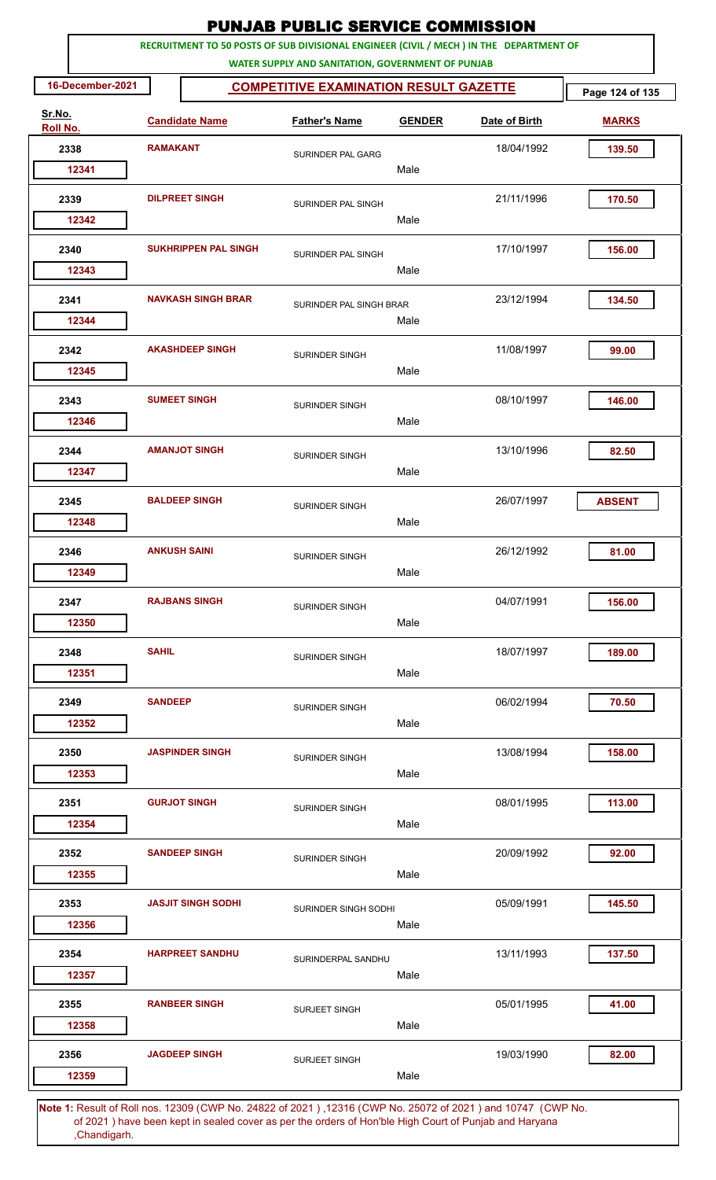|                    |                  |                       |                             | <b>PUNJAB PUBLIC SERVICE COMMISSION</b>                                                                                                      |               |                                                                                    |                 |
|--------------------|------------------|-----------------------|-----------------------------|----------------------------------------------------------------------------------------------------------------------------------------------|---------------|------------------------------------------------------------------------------------|-----------------|
|                    |                  |                       |                             | RECRUITMENT TO 50 POSTS OF SUB DIVISIONAL ENGINEER (CIVIL / MECH ) IN THE DEPARTMENT OF<br>WATER SUPPLY AND SANITATION, GOVERNMENT OF PUNJAB |               |                                                                                    |                 |
|                    | 16-December-2021 |                       |                             | <b>COMPETITIVE EXAMINATION RESULT GAZETTE</b>                                                                                                |               |                                                                                    | Page 124 of 135 |
| Sr.No.<br>Roll No. |                  |                       | <b>Candidate Name</b>       | <b>Father's Name</b>                                                                                                                         | <b>GENDER</b> | Date of Birth                                                                      | <b>MARKS</b>    |
|                    | 2338             | <b>RAMAKANT</b>       |                             | SURINDER PAL GARG                                                                                                                            |               | 18/04/1992                                                                         | 139.50          |
|                    | 12341            |                       |                             |                                                                                                                                              | Male          |                                                                                    |                 |
|                    | 2339             | <b>DILPREET SINGH</b> |                             | SURINDER PAL SINGH                                                                                                                           | Male          | 21/11/1996                                                                         | 170.50          |
|                    | 12342            |                       |                             |                                                                                                                                              |               |                                                                                    |                 |
|                    | 2340<br>12343    |                       | <b>SUKHRIPPEN PAL SINGH</b> | SURINDER PAL SINGH                                                                                                                           | Male          | 17/10/1997                                                                         | 156.00          |
|                    | 2341<br>12344    |                       | <b>NAVKASH SINGH BRAR</b>   | SURINDER PAL SINGH BRAR                                                                                                                      | Male          | 23/12/1994                                                                         | 134.50          |
|                    | 2342<br>12345    |                       | <b>AKASHDEEP SINGH</b>      | <b>SURINDER SINGH</b>                                                                                                                        | Male          | 11/08/1997                                                                         | 99.00           |
|                    | 2343<br>12346    |                       | <b>SUMEET SINGH</b>         | SURINDER SINGH                                                                                                                               | Male          | 08/10/1997                                                                         | 146.00          |
|                    | 2344<br>12347    |                       | <b>AMANJOT SINGH</b>        | <b>SURINDER SINGH</b>                                                                                                                        | Male          | 13/10/1996                                                                         | 82.50           |
|                    | 2345<br>12348    |                       | <b>BALDEEP SINGH</b>        | SURINDER SINGH                                                                                                                               | Male          | 26/07/1997                                                                         | <b>ABSENT</b>   |
|                    | 2346             |                       | <b>ANKUSH SAINI</b>         | <b>SURINDER SINGH</b>                                                                                                                        |               | 26/12/1992                                                                         | 81.00           |
|                    | 12349            |                       |                             |                                                                                                                                              | Male          |                                                                                    |                 |
|                    | 2347<br>12350    |                       | <b>RAJBANS SINGH</b>        | <b>SURINDER SINGH</b>                                                                                                                        | Male          | 04/07/1991                                                                         | 156.00          |
|                    | 2348             | <b>SAHIL</b>          |                             | SURINDER SINGH                                                                                                                               |               | 18/07/1997                                                                         | 189.00          |
|                    | 12351            |                       |                             |                                                                                                                                              | Male          |                                                                                    |                 |
|                    | 2349<br>12352    | <b>SANDEEP</b>        |                             | <b>SURINDER SINGH</b>                                                                                                                        | Male          | 06/02/1994                                                                         | 70.50           |
|                    | 2350<br>12353    |                       | <b>JASPINDER SINGH</b>      | <b>SURINDER SINGH</b>                                                                                                                        | Male          | 13/08/1994                                                                         | 158.00          |
|                    | 2351<br>12354    |                       | <b>GURJOT SINGH</b>         | SURINDER SINGH                                                                                                                               | Male          | 08/01/1995                                                                         | 113.00          |
|                    | 2352<br>12355    |                       | <b>SANDEEP SINGH</b>        | SURINDER SINGH                                                                                                                               | Male          | 20/09/1992                                                                         | 92.00           |
|                    | 2353<br>12356    |                       | <b>JASJIT SINGH SODHI</b>   | SURINDER SINGH SODHI                                                                                                                         | Male          | 05/09/1991                                                                         | 145.50          |
|                    | 2354<br>12357    |                       | <b>HARPREET SANDHU</b>      | SURINDERPAL SANDHU                                                                                                                           | Male          | 13/11/1993                                                                         | 137.50          |
|                    | 2355<br>12358    |                       | <b>RANBEER SINGH</b>        | <b>SURJEET SINGH</b>                                                                                                                         | Male          | 05/01/1995                                                                         | 41.00           |
|                    | 2356<br>12359    |                       | <b>JAGDEEP SINGH</b>        | <b>SURJEET SINGH</b>                                                                                                                         | Male          | 19/03/1990                                                                         | 82.00           |
|                    | <b>EDAILBAN</b>  |                       |                             |                                                                                                                                              |               | $10000$ (CMD No. 248882 of 2004), 19348 (CMD No. 25072 of 2004) and 10747 (CMD No. |                 |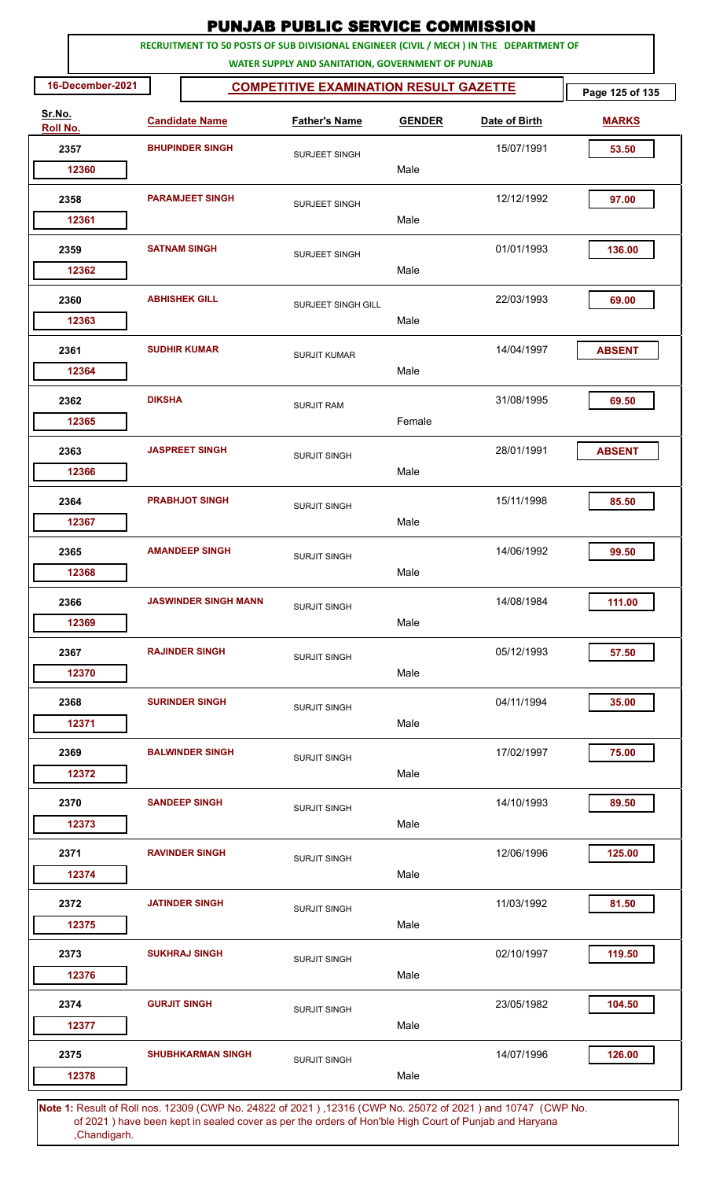|                    |               |                             | <b>PUNJAB PUBLIC SERVICE COMMISSION</b>                                                                                                      |               |               |                 |
|--------------------|---------------|-----------------------------|----------------------------------------------------------------------------------------------------------------------------------------------|---------------|---------------|-----------------|
|                    |               |                             | RECRUITMENT TO 50 POSTS OF SUB DIVISIONAL ENGINEER (CIVIL / MECH ) IN THE DEPARTMENT OF<br>WATER SUPPLY AND SANITATION, GOVERNMENT OF PUNJAB |               |               |                 |
| 16-December-2021   |               |                             | <b>COMPETITIVE EXAMINATION RESULT GAZETTE</b>                                                                                                |               |               | Page 125 of 135 |
| Sr.No.<br>Roll No. |               | <b>Candidate Name</b>       | <b>Father's Name</b>                                                                                                                         | <b>GENDER</b> | Date of Birth | <b>MARKS</b>    |
| 2357               |               | <b>BHUPINDER SINGH</b>      | <b>SURJEET SINGH</b>                                                                                                                         |               | 15/07/1991    | 53.50           |
| 12360              |               |                             |                                                                                                                                              | Male          |               |                 |
| 2358               |               | <b>PARAMJEET SINGH</b>      | SURJEET SINGH                                                                                                                                |               | 12/12/1992    | 97.00           |
| 12361              |               |                             |                                                                                                                                              | Male          |               |                 |
| 2359<br>12362      |               | <b>SATNAM SINGH</b>         | SURJEET SINGH                                                                                                                                | Male          | 01/01/1993    | 136.00          |
| 2360               |               | <b>ABHISHEK GILL</b>        |                                                                                                                                              |               | 22/03/1993    | 69.00           |
| 12363              |               |                             | SURJEET SINGH GILL                                                                                                                           | Male          |               |                 |
| 2361               |               | <b>SUDHIR KUMAR</b>         | <b>SURJIT KUMAR</b>                                                                                                                          |               | 14/04/1997    | <b>ABSENT</b>   |
| 12364              |               |                             |                                                                                                                                              | Male          |               |                 |
| 2362<br>12365      | <b>DIKSHA</b> |                             | <b>SURJIT RAM</b>                                                                                                                            | Female        | 31/08/1995    | 69.50           |
| 2363               |               | <b>JASPREET SINGH</b>       | <b>SURJIT SINGH</b>                                                                                                                          |               | 28/01/1991    | <b>ABSENT</b>   |
| 12366              |               |                             |                                                                                                                                              | Male          |               |                 |
| 2364               |               | <b>PRABHJOT SINGH</b>       | <b>SURJIT SINGH</b>                                                                                                                          |               | 15/11/1998    | 85.50           |
| 12367              |               |                             |                                                                                                                                              | Male          |               |                 |
| 2365               |               | <b>AMANDEEP SINGH</b>       | <b>SURJIT SINGH</b>                                                                                                                          |               | 14/06/1992    | 99.50           |
| 12368              |               |                             |                                                                                                                                              | Male          |               |                 |
| 2366               |               | <b>JASWINDER SINGH MANN</b> | <b>SURJIT SINGH</b>                                                                                                                          |               | 14/08/1984    | 111.00          |
| 12369              |               |                             |                                                                                                                                              | Male          |               |                 |
| 2367               |               | <b>RAJINDER SINGH</b>       | <b>SURJIT SINGH</b>                                                                                                                          |               | 05/12/1993    | 57.50           |
| 12370              |               |                             |                                                                                                                                              | Male          |               |                 |
| 2368               |               | <b>SURINDER SINGH</b>       | <b>SURJIT SINGH</b>                                                                                                                          |               | 04/11/1994    | 35.00           |
| 12371              |               |                             |                                                                                                                                              | Male          |               |                 |
| 2369<br>12372      |               | <b>BALWINDER SINGH</b>      | <b>SURJIT SINGH</b>                                                                                                                          | Male          | 17/02/1997    | 75.00           |
| 2370               |               | <b>SANDEEP SINGH</b>        | <b>SURJIT SINGH</b>                                                                                                                          |               | 14/10/1993    | 89.50           |
| 12373              |               |                             |                                                                                                                                              | Male          |               |                 |
| 2371               |               | <b>RAVINDER SINGH</b>       | <b>SURJIT SINGH</b>                                                                                                                          |               | 12/06/1996    | 125.00          |
| 12374              |               |                             |                                                                                                                                              | Male          |               |                 |
| 2372               |               | <b>JATINDER SINGH</b>       | <b>SURJIT SINGH</b>                                                                                                                          |               | 11/03/1992    | 81.50           |
| 12375              |               |                             |                                                                                                                                              | Male          |               |                 |
| 2373               |               | <b>SUKHRAJ SINGH</b>        | <b>SURJIT SINGH</b>                                                                                                                          |               | 02/10/1997    | 119.50          |
| 12376              |               |                             |                                                                                                                                              | Male          |               |                 |
| 2374               |               | <b>GURJIT SINGH</b>         | <b>SURJIT SINGH</b>                                                                                                                          |               | 23/05/1982    | 104.50          |
| 12377              |               |                             |                                                                                                                                              | Male          |               |                 |
| 2375               |               | <b>SHUBHKARMAN SINGH</b>    | <b>SURJIT SINGH</b>                                                                                                                          |               | 14/07/1996    | 126.00          |
| 12378              |               |                             |                                                                                                                                              | Male          |               |                 |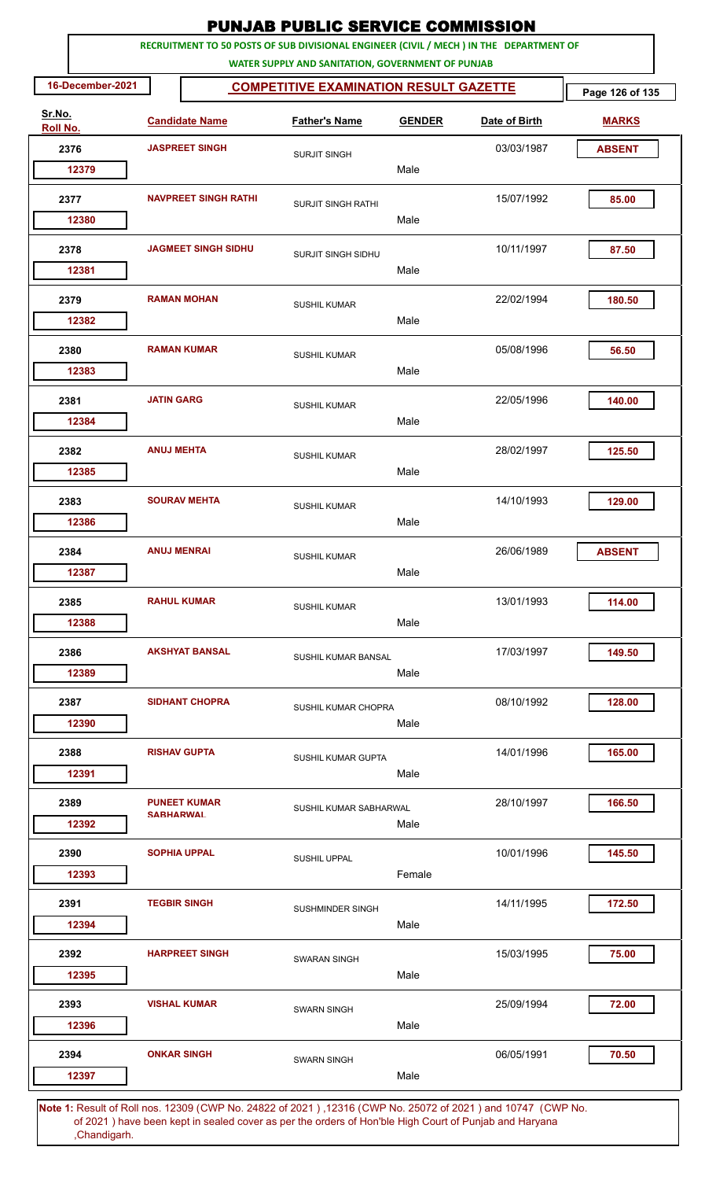|                    |                  |                             |                            | <b>PUNJAB PUBLIC SERVICE COMMISSION</b>                                                                                                      |               |               |                 |
|--------------------|------------------|-----------------------------|----------------------------|----------------------------------------------------------------------------------------------------------------------------------------------|---------------|---------------|-----------------|
|                    |                  |                             |                            | RECRUITMENT TO 50 POSTS OF SUB DIVISIONAL ENGINEER (CIVIL / MECH ) IN THE DEPARTMENT OF<br>WATER SUPPLY AND SANITATION, GOVERNMENT OF PUNJAB |               |               |                 |
|                    | 16-December-2021 |                             |                            | <b>COMPETITIVE EXAMINATION RESULT GAZETTE</b>                                                                                                |               |               | Page 126 of 135 |
| Sr.No.<br>Roll No. |                  |                             | <b>Candidate Name</b>      | <b>Father's Name</b>                                                                                                                         | <b>GENDER</b> | Date of Birth | <b>MARKS</b>    |
|                    | 2376             |                             | <b>JASPREET SINGH</b>      | <b>SURJIT SINGH</b>                                                                                                                          |               | 03/03/1987    | <b>ABSENT</b>   |
|                    | 12379            |                             |                            |                                                                                                                                              | Male          |               |                 |
|                    | 2377             | <b>NAVPREET SINGH RATHI</b> |                            | <b>SURJIT SINGH RATHI</b>                                                                                                                    |               | 15/07/1992    | 85.00           |
|                    | 12380            |                             |                            |                                                                                                                                              | Male          |               |                 |
|                    | 2378<br>12381    |                             | <b>JAGMEET SINGH SIDHU</b> | SURJIT SINGH SIDHU                                                                                                                           | Male          | 10/11/1997    | 87.50           |
|                    | 2379             |                             | <b>RAMAN MOHAN</b>         |                                                                                                                                              |               | 22/02/1994    | 180.50          |
|                    | 12382            |                             |                            | <b>SUSHIL KUMAR</b>                                                                                                                          | Male          |               |                 |
|                    | 2380             |                             | <b>RAMAN KUMAR</b>         | <b>SUSHIL KUMAR</b>                                                                                                                          | Male          | 05/08/1996    | 56.50           |
|                    | 12383            |                             |                            |                                                                                                                                              |               |               |                 |
|                    | 2381<br>12384    | <b>JATIN GARG</b>           |                            | <b>SUSHIL KUMAR</b>                                                                                                                          | Male          | 22/05/1996    | 140.00          |
|                    | 2382             | <b>ANUJ MEHTA</b>           |                            |                                                                                                                                              |               | 28/02/1997    | 125.50          |
|                    | 12385            |                             |                            | <b>SUSHIL KUMAR</b>                                                                                                                          | Male          |               |                 |
|                    | 2383             |                             | <b>SOURAV MEHTA</b>        | <b>SUSHIL KUMAR</b>                                                                                                                          |               | 14/10/1993    | 129.00          |
|                    | 12386            |                             |                            |                                                                                                                                              | Male          |               |                 |
|                    | 2384             | <b>ANUJ MENRAI</b>          |                            | <b>SUSHIL KUMAR</b>                                                                                                                          |               | 26/06/1989    | <b>ABSENT</b>   |
|                    | 12387            |                             |                            |                                                                                                                                              | Male          |               |                 |
|                    | 2385             |                             | <b>RAHUL KUMAR</b>         | <b>SUSHIL KUMAR</b>                                                                                                                          |               | 13/01/1993    | 114.00          |
|                    | 12388            |                             |                            |                                                                                                                                              | Male          |               |                 |
|                    | 2386             |                             | <b>AKSHYAT BANSAL</b>      | SUSHIL KUMAR BANSAL                                                                                                                          |               | 17/03/1997    | 149.50          |
|                    | 12389            |                             |                            |                                                                                                                                              | Male          |               |                 |
|                    | 2387             |                             | <b>SIDHANT CHOPRA</b>      | SUSHIL KUMAR CHOPRA                                                                                                                          |               | 08/10/1992    | 128.00          |
|                    | 12390            |                             |                            |                                                                                                                                              | Male          |               |                 |
|                    | 2388<br>12391    |                             | <b>RISHAV GUPTA</b>        | SUSHIL KUMAR GUPTA                                                                                                                           | Male          | 14/01/1996    | 165.00          |
|                    | 2389             |                             | <b>PUNEET KUMAR</b>        |                                                                                                                                              |               | 28/10/1997    | 166.50          |
|                    | 12392            | <b>SARHARWAI</b>            |                            | SUSHIL KUMAR SABHARWAL                                                                                                                       | Male          |               |                 |
|                    | 2390             |                             | <b>SOPHIA UPPAL</b>        | SUSHIL UPPAL                                                                                                                                 |               | 10/01/1996    | 145.50          |
|                    | 12393            |                             |                            |                                                                                                                                              | Female        |               |                 |
|                    | 2391             | <b>TEGBIR SINGH</b>         |                            | <b>SUSHMINDER SINGH</b>                                                                                                                      |               | 14/11/1995    | 172.50          |
|                    | 12394            |                             |                            |                                                                                                                                              | Male          |               |                 |
|                    | 2392             |                             | <b>HARPREET SINGH</b>      | <b>SWARAN SINGH</b>                                                                                                                          |               | 15/03/1995    | 75.00           |
|                    | 12395            |                             |                            |                                                                                                                                              | Male          |               |                 |
|                    | 2393<br>12396    |                             | <b>VISHAL KUMAR</b>        | <b>SWARN SINGH</b>                                                                                                                           | Male          | 25/09/1994    | 72.00           |
|                    |                  |                             |                            |                                                                                                                                              |               |               |                 |
|                    | 2394<br>12397    | <b>ONKAR SINGH</b>          |                            | <b>SWARN SINGH</b>                                                                                                                           | Male          | 06/05/1991    | 70.50           |
|                    |                  |                             |                            |                                                                                                                                              |               |               |                 |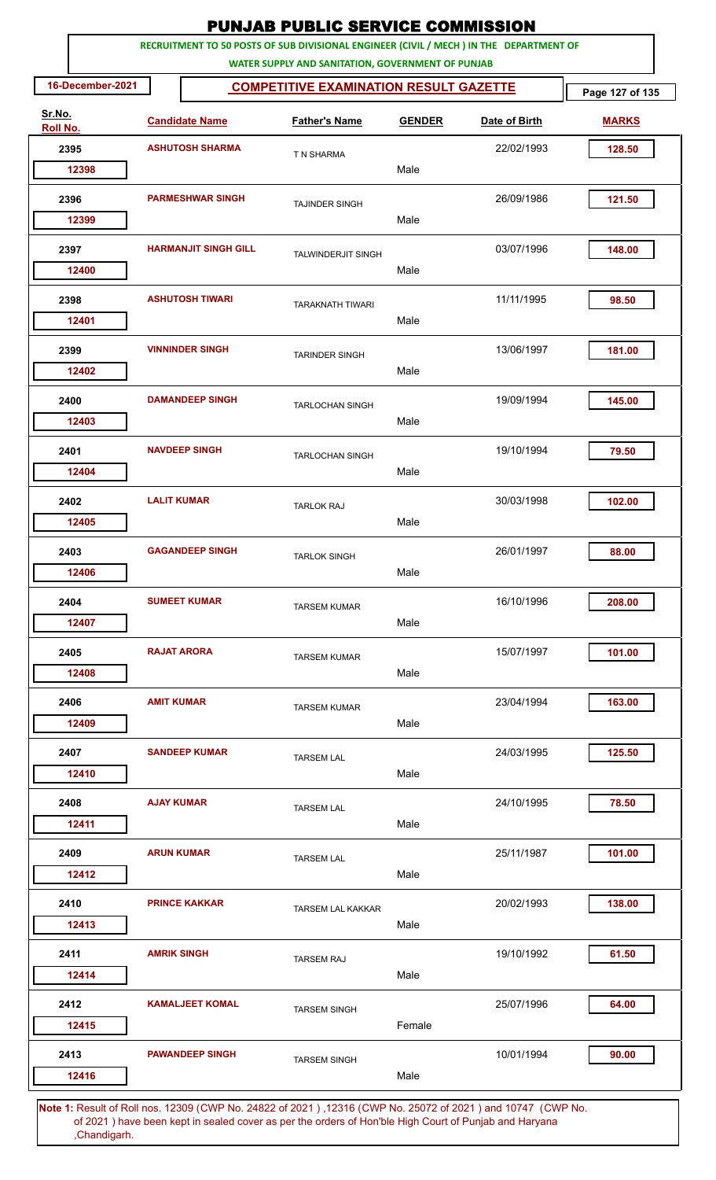|                    |                  |                         |                             | <b>PUNJAB PUBLIC SERVICE COMMISSION</b>                                                                                                      |               |               |                 |
|--------------------|------------------|-------------------------|-----------------------------|----------------------------------------------------------------------------------------------------------------------------------------------|---------------|---------------|-----------------|
|                    |                  |                         |                             | RECRUITMENT TO 50 POSTS OF SUB DIVISIONAL ENGINEER (CIVIL / MECH ) IN THE DEPARTMENT OF<br>WATER SUPPLY AND SANITATION, GOVERNMENT OF PUNJAB |               |               |                 |
|                    | 16-December-2021 |                         |                             | <b>COMPETITIVE EXAMINATION RESULT GAZETTE</b>                                                                                                |               |               | Page 127 of 135 |
| Sr.No.<br>Roll No. |                  |                         | <b>Candidate Name</b>       | <b>Father's Name</b>                                                                                                                         | <b>GENDER</b> | Date of Birth | <b>MARKS</b>    |
|                    | 2395             |                         | <b>ASHUTOSH SHARMA</b>      | T N SHARMA                                                                                                                                   |               | 22/02/1993    | 128.50          |
|                    | 12398            |                         |                             |                                                                                                                                              | Male          |               |                 |
|                    | 2396             | <b>PARMESHWAR SINGH</b> |                             | <b>TAJINDER SINGH</b>                                                                                                                        |               | 26/09/1986    | 121.50          |
|                    | 12399            |                         |                             |                                                                                                                                              | Male          |               |                 |
|                    | 2397<br>12400    |                         | <b>HARMANJIT SINGH GILL</b> | <b>TALWINDERJIT SINGH</b>                                                                                                                    | Male          | 03/07/1996    | 148.00          |
|                    | 2398             |                         | <b>ASHUTOSH TIWARI</b>      | <b>TARAKNATH TIWARI</b>                                                                                                                      |               | 11/11/1995    | 98.50           |
|                    | 12401            |                         |                             |                                                                                                                                              | Male          |               |                 |
|                    | 2399<br>12402    |                         | <b>VINNINDER SINGH</b>      | <b>TARINDER SINGH</b>                                                                                                                        | Male          | 13/06/1997    | 181.00          |
|                    | 2400             |                         | <b>DAMANDEEP SINGH</b>      |                                                                                                                                              |               | 19/09/1994    | 145.00          |
|                    | 12403            |                         |                             | <b>TARLOCHAN SINGH</b>                                                                                                                       | Male          |               |                 |
|                    | 2401             |                         | <b>NAVDEEP SINGH</b>        | <b>TARLOCHAN SINGH</b>                                                                                                                       |               | 19/10/1994    | 79.50           |
|                    | 12404            |                         |                             |                                                                                                                                              | Male          |               |                 |
|                    | 2402             | <b>LALIT KUMAR</b>      |                             | <b>TARLOK RAJ</b>                                                                                                                            |               | 30/03/1998    | 102.00          |
|                    | 12405            |                         |                             |                                                                                                                                              | Male          |               |                 |
|                    | 2403             |                         | <b>GAGANDEEP SINGH</b>      | <b>TARLOK SINGH</b>                                                                                                                          |               | 26/01/1997    | 88.00           |
|                    | 12406            |                         |                             |                                                                                                                                              | Male          |               |                 |
|                    | 2404             |                         | <b>SUMEET KUMAR</b>         | <b>TARSEM KUMAR</b>                                                                                                                          |               | 16/10/1996    | 208.00          |
|                    | 12407            |                         |                             |                                                                                                                                              | Male          |               |                 |
|                    | 2405             |                         | <b>RAJAT ARORA</b>          | <b>TARSEM KUMAR</b>                                                                                                                          |               | 15/07/1997    | 101.00          |
|                    | 12408            |                         |                             |                                                                                                                                              | Male          |               |                 |
|                    | 2406             | <b>AMIT KUMAR</b>       |                             | <b>TARSEM KUMAR</b>                                                                                                                          |               | 23/04/1994    | 163.00          |
|                    | 12409            |                         |                             |                                                                                                                                              | Male          |               |                 |
|                    | 2407<br>12410    |                         | <b>SANDEEP KUMAR</b>        | <b>TARSEM LAL</b>                                                                                                                            | Male          | 24/03/1995    | 125.50          |
|                    | 2408             | <b>AJAY KUMAR</b>       |                             | <b>TARSEM LAL</b>                                                                                                                            |               | 24/10/1995    | 78.50           |
|                    | 12411            |                         |                             |                                                                                                                                              | Male          |               |                 |
|                    | 2409             | <b>ARUN KUMAR</b>       |                             | <b>TARSEM LAL</b>                                                                                                                            |               | 25/11/1987    | 101.00          |
|                    | 12412            |                         |                             |                                                                                                                                              | Male          |               |                 |
|                    | 2410             |                         | <b>PRINCE KAKKAR</b>        | <b>TARSEM LAL KAKKAR</b>                                                                                                                     |               | 20/02/1993    | 138.00          |
|                    | 12413            |                         |                             |                                                                                                                                              | Male          |               |                 |
|                    | 2411             | <b>AMRIK SINGH</b>      |                             | <b>TARSEM RAJ</b>                                                                                                                            |               | 19/10/1992    | 61.50           |
|                    | 12414            |                         |                             |                                                                                                                                              | Male          |               |                 |
|                    | 2412<br>12415    |                         | <b>KAMALJEET KOMAL</b>      | <b>TARSEM SINGH</b>                                                                                                                          | Female        | 25/07/1996    | 64.00           |
|                    | 2413             |                         | <b>PAWANDEEP SINGH</b>      | <b>TARSEM SINGH</b>                                                                                                                          |               | 10/01/1994    | 90.00           |
|                    | 12416            |                         |                             |                                                                                                                                              | Male          |               |                 |
|                    |                  |                         |                             | f Delinee, 19200 (CMD Ne, 24002 of 2021), 19216 (CMD Ne, 25072 of 2021) and 10747, (CMD Ne                                                   |               |               |                 |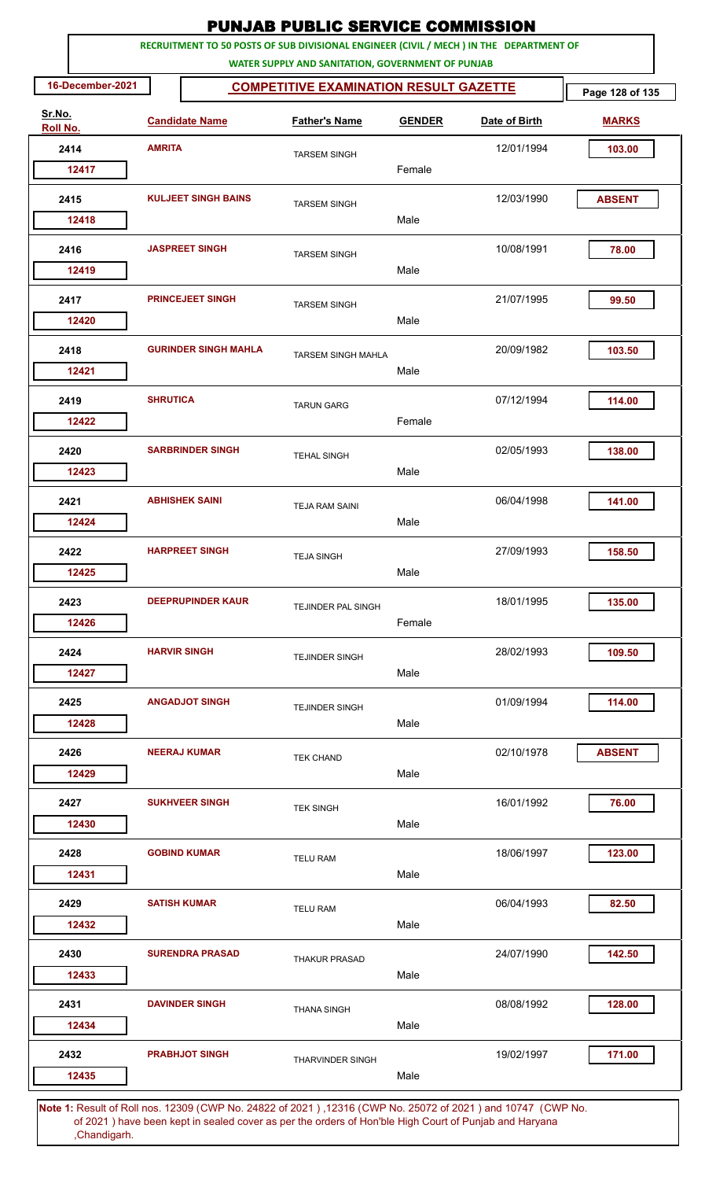|                    |                  |                     |                             | <b>PUNJAB PUBLIC SERVICE COMMISSION</b>                                                                                                      |               |               |                 |
|--------------------|------------------|---------------------|-----------------------------|----------------------------------------------------------------------------------------------------------------------------------------------|---------------|---------------|-----------------|
|                    |                  |                     |                             | RECRUITMENT TO 50 POSTS OF SUB DIVISIONAL ENGINEER (CIVIL / MECH ) IN THE DEPARTMENT OF<br>WATER SUPPLY AND SANITATION, GOVERNMENT OF PUNJAB |               |               |                 |
|                    | 16-December-2021 |                     |                             | <b>COMPETITIVE EXAMINATION RESULT GAZETTE</b>                                                                                                |               |               | Page 128 of 135 |
| Sr.No.<br>Roll No. |                  |                     | <b>Candidate Name</b>       | <b>Father's Name</b>                                                                                                                         | <b>GENDER</b> | Date of Birth | <b>MARKS</b>    |
|                    | 2414             | <b>AMRITA</b>       |                             | <b>TARSEM SINGH</b>                                                                                                                          |               | 12/01/1994    | 103.00          |
|                    | 12417            |                     |                             |                                                                                                                                              | Female        |               |                 |
|                    | 2415             |                     | <b>KULJEET SINGH BAINS</b>  | <b>TARSEM SINGH</b>                                                                                                                          |               | 12/03/1990    | <b>ABSENT</b>   |
|                    | 12418            |                     |                             |                                                                                                                                              | Male          |               |                 |
|                    | 2416             |                     | <b>JASPREET SINGH</b>       | <b>TARSEM SINGH</b>                                                                                                                          |               | 10/08/1991    | 78.00           |
|                    | 12419            |                     |                             |                                                                                                                                              | Male          |               |                 |
|                    | 2417             |                     | <b>PRINCEJEET SINGH</b>     | <b>TARSEM SINGH</b>                                                                                                                          |               | 21/07/1995    | 99.50           |
|                    | 12420            |                     |                             |                                                                                                                                              | Male          |               |                 |
|                    | 2418             |                     | <b>GURINDER SINGH MAHLA</b> | <b>TARSEM SINGH MAHLA</b>                                                                                                                    |               | 20/09/1982    | 103.50          |
|                    | 12421            |                     |                             |                                                                                                                                              | Male          |               |                 |
|                    | 2419             | <b>SHRUTICA</b>     |                             | <b>TARUN GARG</b>                                                                                                                            |               | 07/12/1994    | 114.00          |
|                    | 12422            |                     |                             |                                                                                                                                              | Female        |               |                 |
|                    | 2420             |                     | <b>SARBRINDER SINGH</b>     | <b>TEHAL SINGH</b>                                                                                                                           |               | 02/05/1993    | 138.00          |
|                    | 12423            |                     |                             |                                                                                                                                              | Male          |               |                 |
|                    | 2421             |                     | <b>ABHISHEK SAINI</b>       | <b>TEJA RAM SAINI</b>                                                                                                                        |               | 06/04/1998    | 141.00          |
|                    | 12424            |                     |                             |                                                                                                                                              | Male          |               |                 |
|                    | 2422             |                     | <b>HARPREET SINGH</b>       | <b>TEJA SINGH</b>                                                                                                                            |               | 27/09/1993    | 158.50          |
|                    | 12425            |                     |                             |                                                                                                                                              | Male          |               |                 |
|                    | 2423             |                     | <b>DEEPRUPINDER KAUR</b>    | TEJINDER PAL SINGH                                                                                                                           |               | 18/01/1995    | 135.00          |
|                    | 12426            |                     |                             |                                                                                                                                              | Female        |               |                 |
|                    | 2424             | <b>HARVIR SINGH</b> |                             | <b>TEJINDER SINGH</b>                                                                                                                        |               | 28/02/1993    | 109.50          |
|                    | 12427            |                     |                             |                                                                                                                                              | Male          |               |                 |
|                    | 2425             |                     | <b>ANGADJOT SINGH</b>       | <b>TEJINDER SINGH</b>                                                                                                                        |               | 01/09/1994    | 114.00          |
|                    | 12428            |                     |                             |                                                                                                                                              | Male          |               |                 |
|                    | 2426             |                     | <b>NEERAJ KUMAR</b>         | <b>TEK CHAND</b>                                                                                                                             |               | 02/10/1978    | <b>ABSENT</b>   |
|                    | 12429            |                     |                             |                                                                                                                                              | Male          |               |                 |
|                    | 2427             |                     | <b>SUKHVEER SINGH</b>       | <b>TEK SINGH</b>                                                                                                                             |               | 16/01/1992    | 76.00           |
|                    | 12430            |                     |                             |                                                                                                                                              | Male          |               |                 |
|                    | 2428             |                     | <b>GOBIND KUMAR</b>         | <b>TELU RAM</b>                                                                                                                              |               | 18/06/1997    | 123.00          |
|                    | 12431            |                     |                             |                                                                                                                                              | Male          |               |                 |
|                    | 2429             |                     | <b>SATISH KUMAR</b>         | <b>TELU RAM</b>                                                                                                                              |               | 06/04/1993    | 82.50           |
|                    | 12432            |                     |                             |                                                                                                                                              | Male          |               |                 |
|                    | 2430             |                     | <b>SURENDRA PRASAD</b>      | <b>THAKUR PRASAD</b>                                                                                                                         |               | 24/07/1990    | 142.50          |
|                    | 12433            |                     |                             |                                                                                                                                              | Male          |               |                 |
|                    | 2431             |                     | <b>DAVINDER SINGH</b>       | <b>THANA SINGH</b>                                                                                                                           |               | 08/08/1992    | 128.00          |
|                    | 12434            |                     |                             |                                                                                                                                              | Male          |               |                 |
|                    | 2432             |                     | <b>PRABHJOT SINGH</b>       | <b>THARVINDER SINGH</b>                                                                                                                      |               | 19/02/1997    | 171.00          |
|                    | 12435            |                     |                             |                                                                                                                                              | Male          |               |                 |
|                    |                  |                     |                             | Note 1: Result of Roll nos. 12309 (CWP No. 24822 of 2021). 12316 (CWP No. 25072 of 2021) and 10747. (CWP No.                                 |               |               |                 |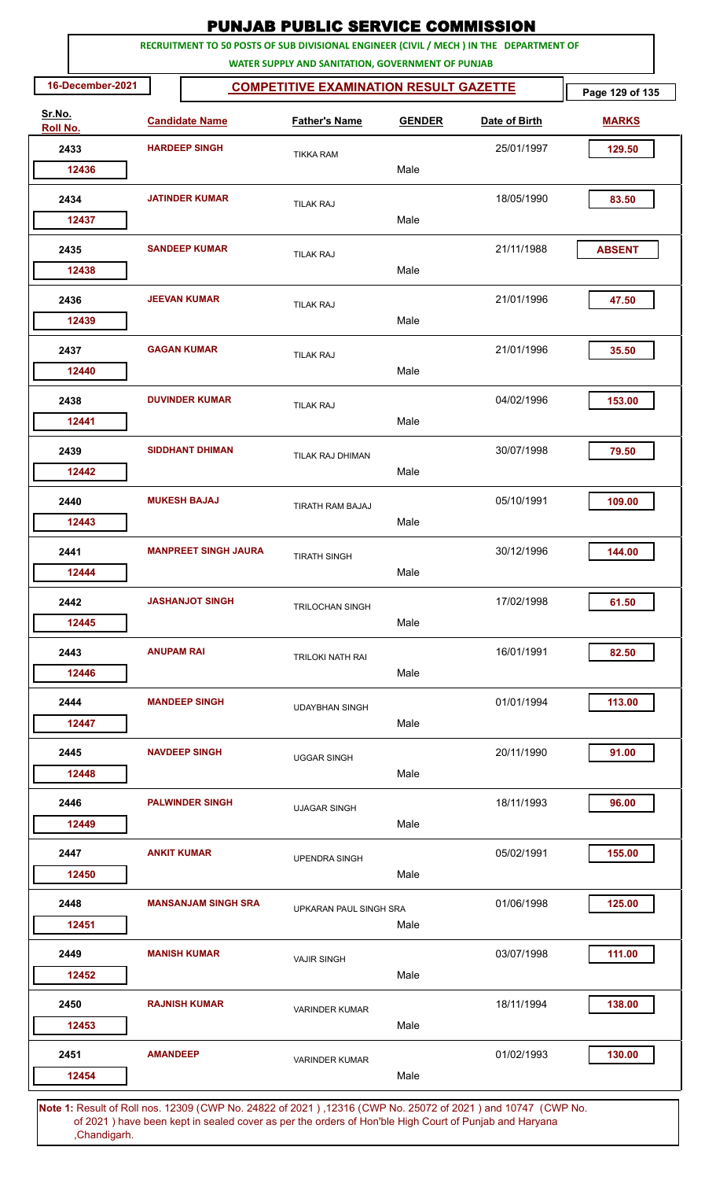|                    |                   |                             | <b>PUNJAB PUBLIC SERVICE COMMISSION</b>                                                                                                      |               |               |                 |
|--------------------|-------------------|-----------------------------|----------------------------------------------------------------------------------------------------------------------------------------------|---------------|---------------|-----------------|
|                    |                   |                             | RECRUITMENT TO 50 POSTS OF SUB DIVISIONAL ENGINEER (CIVIL / MECH ) IN THE DEPARTMENT OF<br>WATER SUPPLY AND SANITATION, GOVERNMENT OF PUNJAB |               |               |                 |
| 16-December-2021   |                   |                             | <b>COMPETITIVE EXAMINATION RESULT GAZETTE</b>                                                                                                |               |               | Page 129 of 135 |
| Sr.No.<br>Roll No. |                   | <b>Candidate Name</b>       | <b>Father's Name</b>                                                                                                                         | <b>GENDER</b> | Date of Birth | <b>MARKS</b>    |
| 2433               |                   | <b>HARDEEP SINGH</b>        | <b>TIKKA RAM</b>                                                                                                                             |               | 25/01/1997    | 129.50          |
| 12436              |                   |                             |                                                                                                                                              | Male          |               |                 |
| 2434               |                   | <b>JATINDER KUMAR</b>       | <b>TILAK RAJ</b>                                                                                                                             |               | 18/05/1990    | 83.50           |
| 12437              |                   |                             |                                                                                                                                              | Male          |               |                 |
| 2435               |                   | <b>SANDEEP KUMAR</b>        | <b>TILAK RAJ</b>                                                                                                                             |               | 21/11/1988    | <b>ABSENT</b>   |
| 12438              |                   |                             |                                                                                                                                              | Male          |               |                 |
| 2436               |                   | <b>JEEVAN KUMAR</b>         | <b>TILAK RAJ</b>                                                                                                                             |               | 21/01/1996    | 47.50           |
| 12439              |                   |                             |                                                                                                                                              | Male          |               |                 |
| 2437               |                   | <b>GAGAN KUMAR</b>          | <b>TILAK RAJ</b>                                                                                                                             | Male          | 21/01/1996    | 35.50           |
| 12440              |                   |                             |                                                                                                                                              |               |               |                 |
| 2438<br>12441      |                   | <b>DUVINDER KUMAR</b>       | <b>TILAK RAJ</b>                                                                                                                             | Male          | 04/02/1996    | 153.00          |
|                    |                   |                             |                                                                                                                                              |               |               |                 |
| 2439<br>12442      |                   | <b>SIDDHANT DHIMAN</b>      | TILAK RAJ DHIMAN                                                                                                                             | Male          | 30/07/1998    | 79.50           |
|                    |                   |                             |                                                                                                                                              |               |               |                 |
| 2440<br>12443      |                   | <b>MUKESH BAJAJ</b>         | TIRATH RAM BAJAJ                                                                                                                             | Male          | 05/10/1991    | 109.00          |
| 2441               |                   | <b>MANPREET SINGH JAURA</b> |                                                                                                                                              |               | 30/12/1996    | 144.00          |
| 12444              |                   |                             | <b>TIRATH SINGH</b>                                                                                                                          | Male          |               |                 |
| 2442               |                   | <b>JASHANJOT SINGH</b>      | <b>TRILOCHAN SINGH</b>                                                                                                                       |               | 17/02/1998    | 61.50           |
| 12445              |                   |                             |                                                                                                                                              | Male          |               |                 |
| 2443               | <b>ANUPAM RAI</b> |                             | <b>TRILOKI NATH RAI</b>                                                                                                                      |               | 16/01/1991    | 82.50           |
| 12446              |                   |                             |                                                                                                                                              | Male          |               |                 |
| 2444               |                   | <b>MANDEEP SINGH</b>        | <b>UDAYBHAN SINGH</b>                                                                                                                        |               | 01/01/1994    | 113.00          |
| 12447              |                   |                             |                                                                                                                                              | Male          |               |                 |
| 2445               |                   | <b>NAVDEEP SINGH</b>        | <b>UGGAR SINGH</b>                                                                                                                           |               | 20/11/1990    | 91.00           |
| 12448              |                   |                             |                                                                                                                                              | Male          |               |                 |
| 2446               |                   | <b>PALWINDER SINGH</b>      | <b>UJAGAR SINGH</b>                                                                                                                          |               | 18/11/1993    | 96.00           |
| 12449              |                   |                             |                                                                                                                                              | Male          |               |                 |
| 2447               |                   | <b>ANKIT KUMAR</b>          | <b>UPENDRA SINGH</b>                                                                                                                         |               | 05/02/1991    | 155.00          |
| 12450              |                   |                             |                                                                                                                                              | Male          |               |                 |
| 2448               |                   | <b>MANSANJAM SINGH SRA</b>  | UPKARAN PAUL SINGH SRA                                                                                                                       |               | 01/06/1998    | 125.00          |
| 12451              |                   |                             |                                                                                                                                              | Male          |               |                 |
| 2449<br>12452      |                   | <b>MANISH KUMAR</b>         | <b>VAJIR SINGH</b>                                                                                                                           | Male          | 03/07/1998    | 111.00          |
|                    |                   |                             |                                                                                                                                              |               |               |                 |
| 2450<br>12453      |                   | <b>RAJNISH KUMAR</b>        | <b>VARINDER KUMAR</b>                                                                                                                        | Male          | 18/11/1994    | 138.00          |
| 2451               | <b>AMANDEEP</b>   |                             |                                                                                                                                              |               | 01/02/1993    | 130.00          |
| 12454              |                   |                             | <b>VARINDER KUMAR</b>                                                                                                                        | Male          |               |                 |
|                    |                   |                             | 10004                                                                                                                                        |               |               |                 |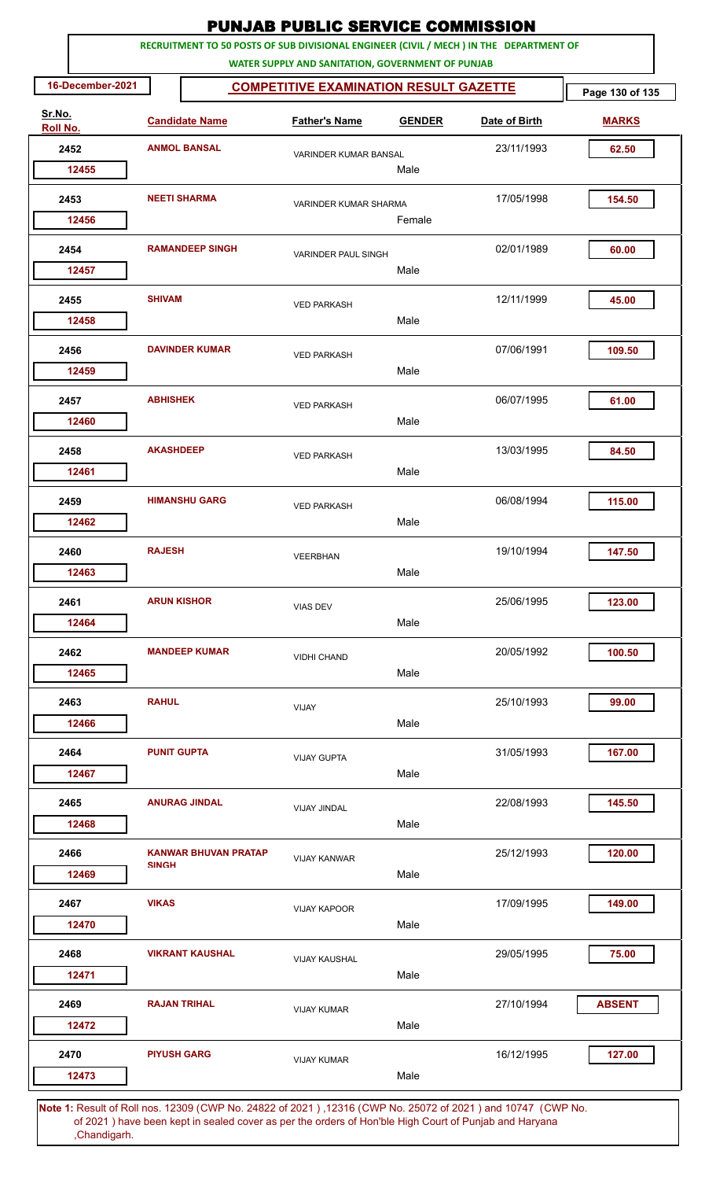|                                                                                                              |                        |                             | <b>PUNJAB PUBLIC SERVICE COMMISSION</b>                                                                                                      |                                 |               |                 |
|--------------------------------------------------------------------------------------------------------------|------------------------|-----------------------------|----------------------------------------------------------------------------------------------------------------------------------------------|---------------------------------|---------------|-----------------|
|                                                                                                              |                        |                             | RECRUITMENT TO 50 POSTS OF SUB DIVISIONAL ENGINEER (CIVIL / MECH ) IN THE DEPARTMENT OF<br>WATER SUPPLY AND SANITATION, GOVERNMENT OF PUNJAB |                                 |               |                 |
| 16-December-2021                                                                                             |                        |                             | <b>COMPETITIVE EXAMINATION RESULT GAZETTE</b>                                                                                                |                                 |               | Page 130 of 135 |
| Sr.No.<br>Roll No.                                                                                           |                        | <b>Candidate Name</b>       | <b>Father's Name</b>                                                                                                                         | <b>GENDER</b>                   | Date of Birth | <b>MARKS</b>    |
| 2452                                                                                                         |                        | <b>ANMOL BANSAL</b>         | VARINDER KUMAR BANSAL                                                                                                                        |                                 | 23/11/1993    | 62.50           |
| 12455                                                                                                        |                        |                             | Male                                                                                                                                         |                                 |               |                 |
| 2453<br>12456                                                                                                |                        | <b>NEETI SHARMA</b>         |                                                                                                                                              | VARINDER KUMAR SHARMA<br>Female |               | 154.50          |
| 2454                                                                                                         | <b>RAMANDEEP SINGH</b> |                             | <b>VARINDER PAUL SINGH</b>                                                                                                                   |                                 | 02/01/1989    | 60.00           |
| 12457                                                                                                        |                        |                             |                                                                                                                                              | Male                            |               |                 |
| 2455<br>12458                                                                                                | <b>SHIVAM</b>          |                             | <b>VED PARKASH</b>                                                                                                                           | Male                            | 12/11/1999    | 45.00           |
|                                                                                                              |                        |                             |                                                                                                                                              |                                 |               |                 |
| 2456<br>12459                                                                                                |                        | <b>DAVINDER KUMAR</b>       | <b>VED PARKASH</b>                                                                                                                           | Male                            | 07/06/1991    | 109.50          |
| 2457<br>12460                                                                                                | <b>ABHISHEK</b>        |                             | <b>VED PARKASH</b>                                                                                                                           | Male                            | 06/07/1995    | 61.00           |
| 2458                                                                                                         | <b>AKASHDEEP</b>       |                             | <b>VED PARKASH</b>                                                                                                                           |                                 | 13/03/1995    | 84.50           |
| 12461                                                                                                        |                        |                             |                                                                                                                                              | Male                            |               |                 |
| 2459<br>12462                                                                                                |                        | <b>HIMANSHU GARG</b>        | <b>VED PARKASH</b>                                                                                                                           | Male                            | 06/08/1994    | 115.00          |
|                                                                                                              |                        |                             |                                                                                                                                              |                                 |               |                 |
| 2460<br>12463                                                                                                | <b>RAJESH</b>          |                             | <b>VEERBHAN</b>                                                                                                                              | Male                            | 19/10/1994    | 147.50          |
| 2461<br>12464                                                                                                |                        | <b>ARUN KISHOR</b>          | <b>VIAS DEV</b>                                                                                                                              | Male                            | 25/06/1995    | 123.00          |
|                                                                                                              |                        |                             |                                                                                                                                              |                                 |               |                 |
| 2462<br>12465                                                                                                |                        | <b>MANDEEP KUMAR</b>        | <b>VIDHI CHAND</b>                                                                                                                           | Male                            | 20/05/1992    | 100.50          |
| 2463<br>12466                                                                                                | <b>RAHUL</b>           |                             | VIJAY                                                                                                                                        | Male                            | 25/10/1993    | 99.00           |
|                                                                                                              |                        |                             |                                                                                                                                              |                                 |               |                 |
| 2464<br>12467                                                                                                | <b>PUNIT GUPTA</b>     |                             | <b>VIJAY GUPTA</b>                                                                                                                           | Male                            | 31/05/1993    | 167.00          |
| 2465<br>12468                                                                                                |                        | <b>ANURAG JINDAL</b>        | <b>VIJAY JINDAL</b>                                                                                                                          | Male                            | 22/08/1993    | 145.50          |
| 2466                                                                                                         |                        | <b>KANWAR BHUVAN PRATAP</b> | <b>VIJAY KANWAR</b>                                                                                                                          |                                 | 25/12/1993    | 120.00          |
| 12469                                                                                                        | <b>SINGH</b>           |                             |                                                                                                                                              | Male                            |               |                 |
| 2467<br>12470                                                                                                | <b>VIKAS</b>           |                             | <b>VIJAY KAPOOR</b>                                                                                                                          | Male                            | 17/09/1995    | 149.00          |
| 2468                                                                                                         |                        | <b>VIKRANT KAUSHAL</b>      |                                                                                                                                              |                                 | 29/05/1995    | 75.00           |
| 12471                                                                                                        |                        |                             | <b>VIJAY KAUSHAL</b>                                                                                                                         | Male                            |               |                 |
| 2469                                                                                                         |                        | <b>RAJAN TRIHAL</b>         | <b>VIJAY KUMAR</b>                                                                                                                           |                                 | 27/10/1994    | <b>ABSENT</b>   |
| 12472<br>2470                                                                                                |                        | <b>PIYUSH GARG</b>          |                                                                                                                                              | Male                            | 16/12/1995    | 127.00          |
| 12473                                                                                                        |                        |                             | <b>VIJAY KUMAR</b>                                                                                                                           | Male                            |               |                 |
| Note 1: Pesult of Pollings, 12309 (CWP No. 24822 of 2021), 12316 (CWP No. 25072 of 2021) and 10747. (CWP No. |                        |                             |                                                                                                                                              |                                 |               |                 |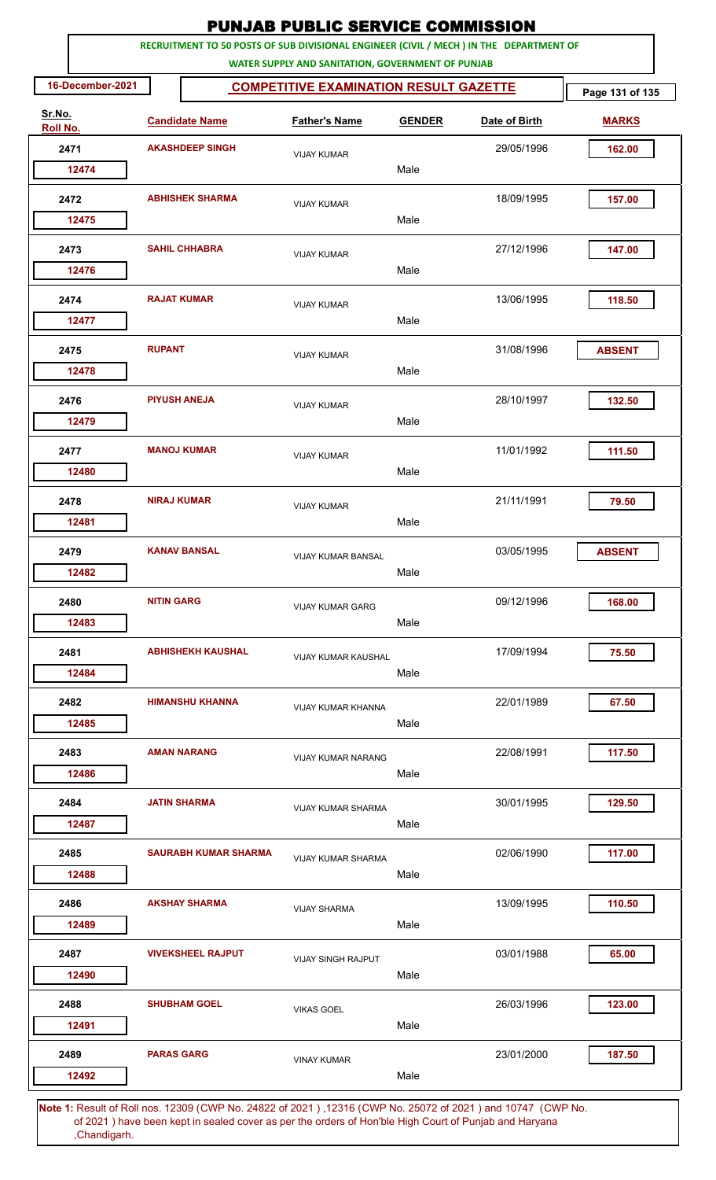|                    |                        |                             | <b>PUNJAB PUBLIC SERVICE COMMISSION</b>                                                                                                      |               |               |                 |
|--------------------|------------------------|-----------------------------|----------------------------------------------------------------------------------------------------------------------------------------------|---------------|---------------|-----------------|
|                    |                        |                             | RECRUITMENT TO 50 POSTS OF SUB DIVISIONAL ENGINEER (CIVIL / MECH ) IN THE DEPARTMENT OF<br>WATER SUPPLY AND SANITATION, GOVERNMENT OF PUNJAB |               |               |                 |
| 16-December-2021   |                        |                             | <b>COMPETITIVE EXAMINATION RESULT GAZETTE</b>                                                                                                |               |               | Page 131 of 135 |
| Sr.No.<br>Roll No. |                        | <b>Candidate Name</b>       | <b>Father's Name</b>                                                                                                                         | <b>GENDER</b> | Date of Birth | <b>MARKS</b>    |
| 2471               |                        | <b>AKASHDEEP SINGH</b>      | <b>VIJAY KUMAR</b>                                                                                                                           |               | 29/05/1996    | 162.00          |
| 12474              |                        |                             |                                                                                                                                              | Male          |               |                 |
| 2472               | <b>ABHISHEK SHARMA</b> |                             | <b>VIJAY KUMAR</b>                                                                                                                           |               | 18/09/1995    | 157.00          |
| 12475              |                        |                             |                                                                                                                                              | Male          |               |                 |
| 2473<br>12476      |                        | <b>SAHIL CHHABRA</b>        | <b>VIJAY KUMAR</b>                                                                                                                           | Male          | 27/12/1996    | 147.00          |
|                    |                        | <b>RAJAT KUMAR</b>          |                                                                                                                                              |               |               |                 |
| 2474<br>12477      |                        |                             | <b>VIJAY KUMAR</b>                                                                                                                           | Male          | 13/06/1995    | 118.50          |
| 2475               | <b>RUPANT</b>          |                             | <b>VIJAY KUMAR</b>                                                                                                                           |               | 31/08/1996    | <b>ABSENT</b>   |
| 12478              |                        |                             |                                                                                                                                              | Male          |               |                 |
| 2476               |                        | <b>PIYUSH ANEJA</b>         | <b>VIJAY KUMAR</b>                                                                                                                           |               | 28/10/1997    | 132.50          |
| 12479              |                        |                             |                                                                                                                                              | Male          |               |                 |
| 2477               |                        | <b>MANOJ KUMAR</b>          | <b>VIJAY KUMAR</b>                                                                                                                           |               | 11/01/1992    | 111.50          |
| 12480              |                        |                             |                                                                                                                                              | Male          |               |                 |
| 2478               |                        | <b>NIRAJ KUMAR</b>          | <b>VIJAY KUMAR</b>                                                                                                                           |               | 21/11/1991    | 79.50           |
| 12481              |                        |                             |                                                                                                                                              | Male          |               |                 |
| 2479               |                        | <b>KANAV BANSAL</b>         | <b>VIJAY KUMAR BANSAL</b>                                                                                                                    |               | 03/05/1995    | <b>ABSENT</b>   |
| 12482              |                        |                             |                                                                                                                                              | Male          |               |                 |
| 2480               | <b>NITIN GARG</b>      |                             | <b>VIJAY KUMAR GARG</b>                                                                                                                      |               | 09/12/1996    | 168.00          |
| 12483              |                        |                             |                                                                                                                                              | Male          |               |                 |
| 2481               |                        | <b>ABHISHEKH KAUSHAL</b>    | <b>VIJAY KUMAR KAUSHAL</b>                                                                                                                   |               | 17/09/1994    | 75.50           |
| 12484              |                        |                             |                                                                                                                                              | Male          |               |                 |
| 2482               |                        | <b>HIMANSHU KHANNA</b>      | VIJAY KUMAR KHANNA                                                                                                                           |               | 22/01/1989    | 67.50           |
| 12485              |                        |                             |                                                                                                                                              | Male          |               |                 |
| 2483               |                        | <b>AMAN NARANG</b>          | <b>VIJAY KUMAR NARANG</b>                                                                                                                    |               | 22/08/1991    | 117.50          |
| 12486              |                        |                             |                                                                                                                                              | Male          |               |                 |
| 2484               |                        | <b>JATIN SHARMA</b>         | <b>VIJAY KUMAR SHARMA</b>                                                                                                                    |               | 30/01/1995    | 129.50          |
| 12487              |                        |                             |                                                                                                                                              | Male          |               |                 |
| 2485               |                        | <b>SAURABH KUMAR SHARMA</b> | VIJAY KUMAR SHARMA                                                                                                                           |               | 02/06/1990    | 117.00          |
| 12488              |                        |                             |                                                                                                                                              | Male          |               |                 |
| 2486               |                        | <b>AKSHAY SHARMA</b>        | <b>VIJAY SHARMA</b>                                                                                                                          |               | 13/09/1995    | 110.50          |
| 12489              |                        |                             |                                                                                                                                              | Male          |               |                 |
| 2487               |                        | <b>VIVEKSHEEL RAJPUT</b>    | <b>VIJAY SINGH RAJPUT</b>                                                                                                                    |               | 03/01/1988    | 65.00           |
| 12490              |                        |                             |                                                                                                                                              | Male          |               |                 |
| 2488               |                        | <b>SHUBHAM GOEL</b>         | <b>VIKAS GOEL</b>                                                                                                                            |               | 26/03/1996    | 123.00          |
| 12491              |                        |                             |                                                                                                                                              | Male          |               |                 |
| 2489               | <b>PARAS GARG</b>      |                             | <b>VINAY KUMAR</b>                                                                                                                           |               | 23/01/2000    | 187.50          |
| 12492              |                        |                             |                                                                                                                                              | Male          |               |                 |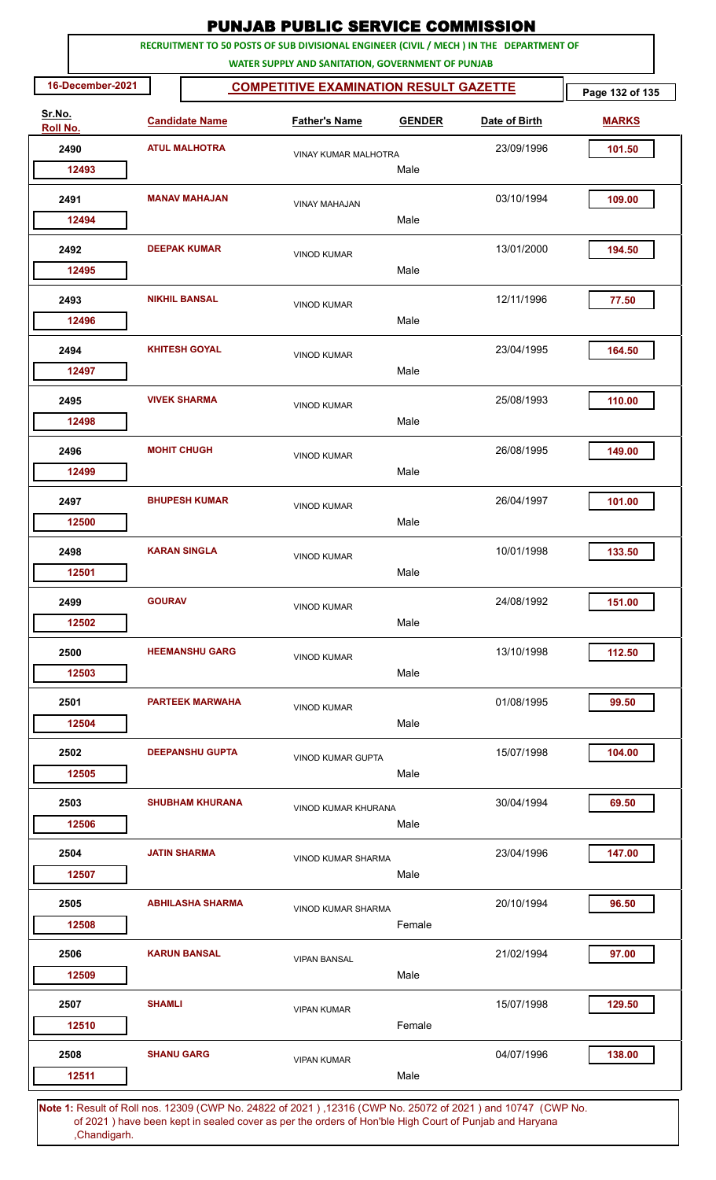|                    |                  |                      |                         | <b>PUNJAB PUBLIC SERVICE COMMISSION</b>           |               |                                                                                                        |                 |
|--------------------|------------------|----------------------|-------------------------|---------------------------------------------------|---------------|--------------------------------------------------------------------------------------------------------|-----------------|
|                    |                  |                      |                         | WATER SUPPLY AND SANITATION, GOVERNMENT OF PUNJAB |               | RECRUITMENT TO 50 POSTS OF SUB DIVISIONAL ENGINEER (CIVIL / MECH ) IN THE DEPARTMENT OF                |                 |
|                    | 16-December-2021 |                      |                         | <b>COMPETITIVE EXAMINATION RESULT GAZETTE</b>     |               |                                                                                                        | Page 132 of 135 |
| Sr.No.<br>Roll No. |                  |                      | <b>Candidate Name</b>   | <b>Father's Name</b>                              | <b>GENDER</b> | Date of Birth                                                                                          | <b>MARKS</b>    |
|                    | 2490             |                      | <b>ATUL MALHOTRA</b>    | <b>VINAY KUMAR MALHOTRA</b>                       |               | 23/09/1996                                                                                             | 101.50          |
|                    | 12493            |                      |                         |                                                   | Male          |                                                                                                        |                 |
| 2491               |                  | <b>MANAV MAHAJAN</b> |                         | <b>VINAY MAHAJAN</b>                              |               | 03/10/1994                                                                                             | 109.00          |
|                    | 12494            |                      |                         |                                                   | Male          |                                                                                                        |                 |
|                    | 2492<br>12495    |                      | <b>DEEPAK KUMAR</b>     | <b>VINOD KUMAR</b>                                | Male          | 13/01/2000                                                                                             | 194.50          |
|                    |                  |                      | <b>NIKHIL BANSAL</b>    |                                                   |               | 12/11/1996                                                                                             |                 |
|                    | 2493<br>12496    |                      |                         | <b>VINOD KUMAR</b>                                | Male          |                                                                                                        | 77.50           |
|                    | 2494             |                      | <b>KHITESH GOYAL</b>    | <b>VINOD KUMAR</b>                                |               | 23/04/1995                                                                                             | 164.50          |
|                    | 12497            |                      |                         |                                                   | Male          |                                                                                                        |                 |
|                    | 2495<br>12498    |                      | <b>VIVEK SHARMA</b>     | <b>VINOD KUMAR</b>                                | Male          | 25/08/1993                                                                                             | 110.00          |
|                    | 2496             | <b>MOHIT CHUGH</b>   |                         |                                                   |               | 26/08/1995                                                                                             | 149.00          |
|                    | 12499            |                      |                         | <b>VINOD KUMAR</b>                                | Male          |                                                                                                        |                 |
|                    | 2497             |                      | <b>BHUPESH KUMAR</b>    | <b>VINOD KUMAR</b>                                |               | 26/04/1997                                                                                             | 101.00          |
|                    | 12500            |                      |                         |                                                   | Male          |                                                                                                        |                 |
|                    | 2498             |                      | <b>KARAN SINGLA</b>     | <b>VINOD KUMAR</b>                                |               | 10/01/1998                                                                                             | 133.50          |
|                    | 12501            |                      |                         |                                                   | Male          |                                                                                                        |                 |
| 2499               |                  | <b>GOURAV</b>        |                         | <b>VINOD KUMAR</b>                                |               | 24/08/1992                                                                                             | 151.00          |
|                    | 12502            |                      |                         |                                                   | Male          |                                                                                                        |                 |
|                    | 2500             |                      | <b>HEEMANSHU GARG</b>   | <b>VINOD KUMAR</b>                                |               | 13/10/1998                                                                                             | 112.50          |
|                    | 12503            |                      |                         |                                                   | Male          |                                                                                                        |                 |
| 2501               |                  |                      | <b>PARTEEK MARWAHA</b>  | <b>VINOD KUMAR</b>                                |               | 01/08/1995                                                                                             | 99.50           |
|                    | 12504            |                      |                         |                                                   | Male          |                                                                                                        |                 |
|                    | 2502             |                      | <b>DEEPANSHU GUPTA</b>  | <b>VINOD KUMAR GUPTA</b>                          |               | 15/07/1998                                                                                             | 104.00          |
|                    | 12505            |                      |                         |                                                   | Male          |                                                                                                        |                 |
|                    | 2503             |                      | <b>SHUBHAM KHURANA</b>  | VINOD KUMAR KHURANA                               |               | 30/04/1994                                                                                             | 69.50           |
|                    | 12506            |                      |                         |                                                   | Male          |                                                                                                        |                 |
|                    | 2504             |                      | <b>JATIN SHARMA</b>     | VINOD KUMAR SHARMA                                |               | 23/04/1996                                                                                             | 147.00          |
|                    | 12507            |                      |                         |                                                   | Male          |                                                                                                        |                 |
|                    | 2505             |                      | <b>ABHILASHA SHARMA</b> | <b>VINOD KUMAR SHARMA</b>                         |               | 20/10/1994                                                                                             | 96.50           |
|                    | 12508            |                      |                         |                                                   | Female        |                                                                                                        |                 |
|                    | 2506             |                      | <b>KARUN BANSAL</b>     | <b>VIPAN BANSAL</b>                               |               | 21/02/1994                                                                                             | 97.00           |
|                    | 12509            |                      |                         |                                                   | Male          |                                                                                                        |                 |
| 2507               |                  | <b>SHAMLI</b>        |                         | <b>VIPAN KUMAR</b>                                |               | 15/07/1998                                                                                             | 129.50          |
|                    | 12510            |                      |                         |                                                   | Female        |                                                                                                        |                 |
| 2508               |                  | <b>SHANU GARG</b>    |                         | <b>VIPAN KUMAR</b>                                |               | 04/07/1996                                                                                             | 138.00          |
|                    | 12511            |                      |                         |                                                   | Male          |                                                                                                        |                 |
|                    |                  |                      |                         |                                                   |               | 4. Result of Bellings, 19200 (CMD No. 34892 of 2021), 19346 (CMD No. 35072 of 2021) and 10747 (CMD No. |                 |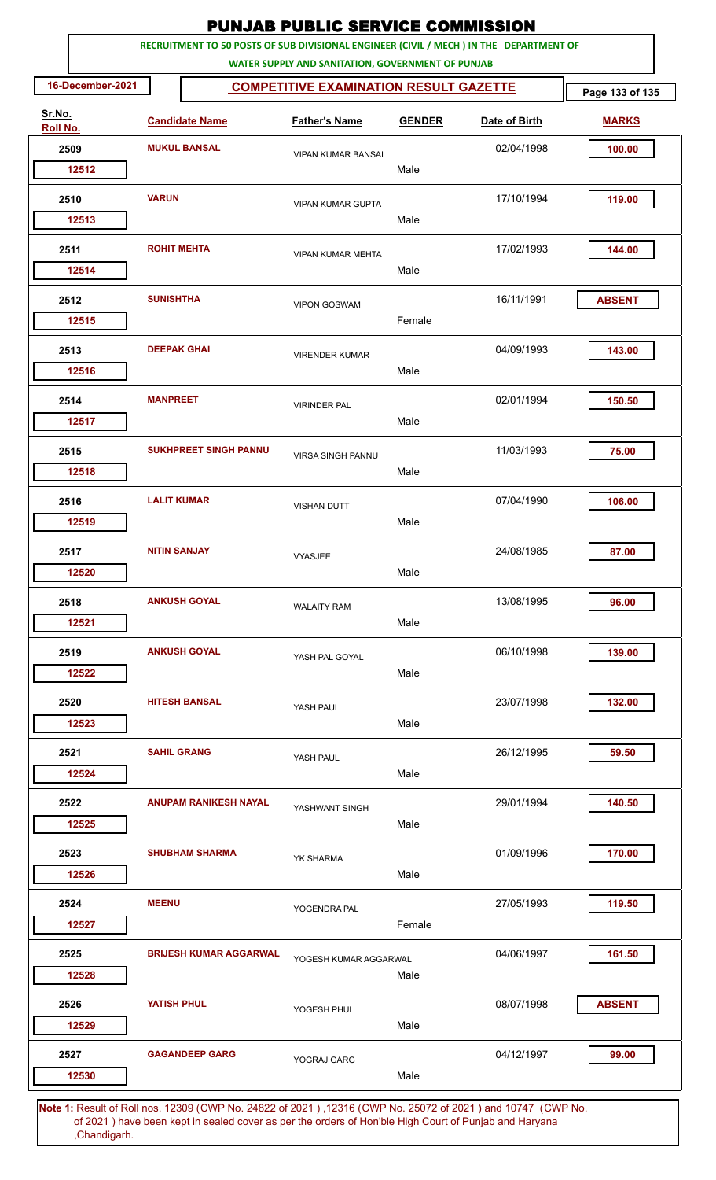| RECRUITMENT TO 50 POSTS OF SUB DIVISIONAL ENGINEER (CIVIL / MECH ) IN THE DEPARTMENT OF<br>WATER SUPPLY AND SANITATION, GOVERNMENT OF PUNJAB<br>16-December-2021<br><b>COMPETITIVE EXAMINATION RESULT GAZETTE</b><br>Page 133 of 135<br>Sr.No.<br><b>Candidate Name</b><br><b>Father's Name</b><br><b>GENDER</b><br>Date of Birth<br><b>MARKS</b><br>Roll No.<br><b>MUKUL BANSAL</b><br>2509<br>02/04/1998<br>100.00<br><b>VIPAN KUMAR BANSAL</b><br>Male<br>12512<br><b>VARUN</b><br>17/10/1994<br>119.00<br>2510<br><b>VIPAN KUMAR GUPTA</b><br>Male<br>12513<br>17/02/1993<br>2511<br><b>ROHIT MEHTA</b><br>144.00<br><b>VIPAN KUMAR MEHTA</b><br>Male<br>12514<br><b>SUNISHTHA</b><br>2512<br>16/11/1991<br><b>ABSENT</b><br><b>VIPON GOSWAMI</b><br>Female<br>12515<br><b>DEEPAK GHAI</b><br>04/09/1993<br>143.00<br>2513<br><b>VIRENDER KUMAR</b><br>Male<br>12516<br><b>MANPREET</b><br>02/01/1994<br>2514<br>150.50<br><b>VIRINDER PAL</b><br>12517<br>Male<br><b>SUKHPREET SINGH PANNU</b><br>11/03/1993<br>2515<br>75.00<br><b>VIRSA SINGH PANNU</b><br>12518<br>Male<br><b>LALIT KUMAR</b><br>07/04/1990<br>106.00<br>2516<br><b>VISHAN DUTT</b><br>Male<br>12519<br>24/08/1985<br>2517<br><b>NITIN SANJAY</b><br>87.00<br><b>VYASJEE</b><br>Male<br>12520<br><b>ANKUSH GOYAL</b><br>2518<br>13/08/1995<br>96.00<br><b>WALAITY RAM</b><br>Male<br>12521<br><b>ANKUSH GOYAL</b><br>06/10/1998<br>139.00<br>2519<br>YASH PAL GOYAL<br>12522<br>Male<br>2520<br><b>HITESH BANSAL</b><br>23/07/1998<br>132.00<br>YASH PAUL<br>Male<br>12523<br><b>SAHIL GRANG</b><br>2521<br>26/12/1995<br>59.50<br>YASH PAUL<br>12524<br>Male<br><b>ANUPAM RANIKESH NAYAL</b><br>29/01/1994<br>140.50<br>2522<br>YASHWANT SINGH<br>Male<br>12525<br>01/09/1996<br>2523<br><b>SHUBHAM SHARMA</b><br>170.00<br><b>YK SHARMA</b><br>Male<br>12526<br><b>MEENU</b><br>2524<br>27/05/1993<br>119.50<br>YOGENDRA PAL<br>Female<br>12527<br><b>BRIJESH KUMAR AGGARWAL</b><br>04/06/1997<br>161.50<br>2525<br>YOGESH KUMAR AGGARWAL<br>12528<br>Male<br>08/07/1998<br><b>ABSENT</b><br>2526<br><b>YATISH PHUL</b><br>YOGESH PHUL<br>Male<br>12529<br><b>GAGANDEEP GARG</b><br>04/12/1997<br>2527<br>99.00<br>YOGRAJ GARG<br>Male<br>12530 |  | <b>PUNJAB PUBLIC SERVICE COMMISSION</b> |  |  |  |  |  |  |  |
|---------------------------------------------------------------------------------------------------------------------------------------------------------------------------------------------------------------------------------------------------------------------------------------------------------------------------------------------------------------------------------------------------------------------------------------------------------------------------------------------------------------------------------------------------------------------------------------------------------------------------------------------------------------------------------------------------------------------------------------------------------------------------------------------------------------------------------------------------------------------------------------------------------------------------------------------------------------------------------------------------------------------------------------------------------------------------------------------------------------------------------------------------------------------------------------------------------------------------------------------------------------------------------------------------------------------------------------------------------------------------------------------------------------------------------------------------------------------------------------------------------------------------------------------------------------------------------------------------------------------------------------------------------------------------------------------------------------------------------------------------------------------------------------------------------------------------------------------------------------------------------------------------------------------------------------------------------------------------------------------------------------------------------------------------------------------------------------------------------------------------------------------------------------------------------------------------------------------------|--|-----------------------------------------|--|--|--|--|--|--|--|
|                                                                                                                                                                                                                                                                                                                                                                                                                                                                                                                                                                                                                                                                                                                                                                                                                                                                                                                                                                                                                                                                                                                                                                                                                                                                                                                                                                                                                                                                                                                                                                                                                                                                                                                                                                                                                                                                                                                                                                                                                                                                                                                                                                                                                           |  |                                         |  |  |  |  |  |  |  |
|                                                                                                                                                                                                                                                                                                                                                                                                                                                                                                                                                                                                                                                                                                                                                                                                                                                                                                                                                                                                                                                                                                                                                                                                                                                                                                                                                                                                                                                                                                                                                                                                                                                                                                                                                                                                                                                                                                                                                                                                                                                                                                                                                                                                                           |  |                                         |  |  |  |  |  |  |  |
|                                                                                                                                                                                                                                                                                                                                                                                                                                                                                                                                                                                                                                                                                                                                                                                                                                                                                                                                                                                                                                                                                                                                                                                                                                                                                                                                                                                                                                                                                                                                                                                                                                                                                                                                                                                                                                                                                                                                                                                                                                                                                                                                                                                                                           |  |                                         |  |  |  |  |  |  |  |
|                                                                                                                                                                                                                                                                                                                                                                                                                                                                                                                                                                                                                                                                                                                                                                                                                                                                                                                                                                                                                                                                                                                                                                                                                                                                                                                                                                                                                                                                                                                                                                                                                                                                                                                                                                                                                                                                                                                                                                                                                                                                                                                                                                                                                           |  |                                         |  |  |  |  |  |  |  |
|                                                                                                                                                                                                                                                                                                                                                                                                                                                                                                                                                                                                                                                                                                                                                                                                                                                                                                                                                                                                                                                                                                                                                                                                                                                                                                                                                                                                                                                                                                                                                                                                                                                                                                                                                                                                                                                                                                                                                                                                                                                                                                                                                                                                                           |  |                                         |  |  |  |  |  |  |  |
|                                                                                                                                                                                                                                                                                                                                                                                                                                                                                                                                                                                                                                                                                                                                                                                                                                                                                                                                                                                                                                                                                                                                                                                                                                                                                                                                                                                                                                                                                                                                                                                                                                                                                                                                                                                                                                                                                                                                                                                                                                                                                                                                                                                                                           |  |                                         |  |  |  |  |  |  |  |
|                                                                                                                                                                                                                                                                                                                                                                                                                                                                                                                                                                                                                                                                                                                                                                                                                                                                                                                                                                                                                                                                                                                                                                                                                                                                                                                                                                                                                                                                                                                                                                                                                                                                                                                                                                                                                                                                                                                                                                                                                                                                                                                                                                                                                           |  |                                         |  |  |  |  |  |  |  |
|                                                                                                                                                                                                                                                                                                                                                                                                                                                                                                                                                                                                                                                                                                                                                                                                                                                                                                                                                                                                                                                                                                                                                                                                                                                                                                                                                                                                                                                                                                                                                                                                                                                                                                                                                                                                                                                                                                                                                                                                                                                                                                                                                                                                                           |  |                                         |  |  |  |  |  |  |  |
|                                                                                                                                                                                                                                                                                                                                                                                                                                                                                                                                                                                                                                                                                                                                                                                                                                                                                                                                                                                                                                                                                                                                                                                                                                                                                                                                                                                                                                                                                                                                                                                                                                                                                                                                                                                                                                                                                                                                                                                                                                                                                                                                                                                                                           |  |                                         |  |  |  |  |  |  |  |
|                                                                                                                                                                                                                                                                                                                                                                                                                                                                                                                                                                                                                                                                                                                                                                                                                                                                                                                                                                                                                                                                                                                                                                                                                                                                                                                                                                                                                                                                                                                                                                                                                                                                                                                                                                                                                                                                                                                                                                                                                                                                                                                                                                                                                           |  |                                         |  |  |  |  |  |  |  |
|                                                                                                                                                                                                                                                                                                                                                                                                                                                                                                                                                                                                                                                                                                                                                                                                                                                                                                                                                                                                                                                                                                                                                                                                                                                                                                                                                                                                                                                                                                                                                                                                                                                                                                                                                                                                                                                                                                                                                                                                                                                                                                                                                                                                                           |  |                                         |  |  |  |  |  |  |  |
|                                                                                                                                                                                                                                                                                                                                                                                                                                                                                                                                                                                                                                                                                                                                                                                                                                                                                                                                                                                                                                                                                                                                                                                                                                                                                                                                                                                                                                                                                                                                                                                                                                                                                                                                                                                                                                                                                                                                                                                                                                                                                                                                                                                                                           |  |                                         |  |  |  |  |  |  |  |
|                                                                                                                                                                                                                                                                                                                                                                                                                                                                                                                                                                                                                                                                                                                                                                                                                                                                                                                                                                                                                                                                                                                                                                                                                                                                                                                                                                                                                                                                                                                                                                                                                                                                                                                                                                                                                                                                                                                                                                                                                                                                                                                                                                                                                           |  |                                         |  |  |  |  |  |  |  |
|                                                                                                                                                                                                                                                                                                                                                                                                                                                                                                                                                                                                                                                                                                                                                                                                                                                                                                                                                                                                                                                                                                                                                                                                                                                                                                                                                                                                                                                                                                                                                                                                                                                                                                                                                                                                                                                                                                                                                                                                                                                                                                                                                                                                                           |  |                                         |  |  |  |  |  |  |  |
|                                                                                                                                                                                                                                                                                                                                                                                                                                                                                                                                                                                                                                                                                                                                                                                                                                                                                                                                                                                                                                                                                                                                                                                                                                                                                                                                                                                                                                                                                                                                                                                                                                                                                                                                                                                                                                                                                                                                                                                                                                                                                                                                                                                                                           |  |                                         |  |  |  |  |  |  |  |
|                                                                                                                                                                                                                                                                                                                                                                                                                                                                                                                                                                                                                                                                                                                                                                                                                                                                                                                                                                                                                                                                                                                                                                                                                                                                                                                                                                                                                                                                                                                                                                                                                                                                                                                                                                                                                                                                                                                                                                                                                                                                                                                                                                                                                           |  |                                         |  |  |  |  |  |  |  |
|                                                                                                                                                                                                                                                                                                                                                                                                                                                                                                                                                                                                                                                                                                                                                                                                                                                                                                                                                                                                                                                                                                                                                                                                                                                                                                                                                                                                                                                                                                                                                                                                                                                                                                                                                                                                                                                                                                                                                                                                                                                                                                                                                                                                                           |  |                                         |  |  |  |  |  |  |  |
|                                                                                                                                                                                                                                                                                                                                                                                                                                                                                                                                                                                                                                                                                                                                                                                                                                                                                                                                                                                                                                                                                                                                                                                                                                                                                                                                                                                                                                                                                                                                                                                                                                                                                                                                                                                                                                                                                                                                                                                                                                                                                                                                                                                                                           |  |                                         |  |  |  |  |  |  |  |
|                                                                                                                                                                                                                                                                                                                                                                                                                                                                                                                                                                                                                                                                                                                                                                                                                                                                                                                                                                                                                                                                                                                                                                                                                                                                                                                                                                                                                                                                                                                                                                                                                                                                                                                                                                                                                                                                                                                                                                                                                                                                                                                                                                                                                           |  |                                         |  |  |  |  |  |  |  |
|                                                                                                                                                                                                                                                                                                                                                                                                                                                                                                                                                                                                                                                                                                                                                                                                                                                                                                                                                                                                                                                                                                                                                                                                                                                                                                                                                                                                                                                                                                                                                                                                                                                                                                                                                                                                                                                                                                                                                                                                                                                                                                                                                                                                                           |  |                                         |  |  |  |  |  |  |  |
|                                                                                                                                                                                                                                                                                                                                                                                                                                                                                                                                                                                                                                                                                                                                                                                                                                                                                                                                                                                                                                                                                                                                                                                                                                                                                                                                                                                                                                                                                                                                                                                                                                                                                                                                                                                                                                                                                                                                                                                                                                                                                                                                                                                                                           |  |                                         |  |  |  |  |  |  |  |
|                                                                                                                                                                                                                                                                                                                                                                                                                                                                                                                                                                                                                                                                                                                                                                                                                                                                                                                                                                                                                                                                                                                                                                                                                                                                                                                                                                                                                                                                                                                                                                                                                                                                                                                                                                                                                                                                                                                                                                                                                                                                                                                                                                                                                           |  |                                         |  |  |  |  |  |  |  |
|                                                                                                                                                                                                                                                                                                                                                                                                                                                                                                                                                                                                                                                                                                                                                                                                                                                                                                                                                                                                                                                                                                                                                                                                                                                                                                                                                                                                                                                                                                                                                                                                                                                                                                                                                                                                                                                                                                                                                                                                                                                                                                                                                                                                                           |  |                                         |  |  |  |  |  |  |  |
|                                                                                                                                                                                                                                                                                                                                                                                                                                                                                                                                                                                                                                                                                                                                                                                                                                                                                                                                                                                                                                                                                                                                                                                                                                                                                                                                                                                                                                                                                                                                                                                                                                                                                                                                                                                                                                                                                                                                                                                                                                                                                                                                                                                                                           |  |                                         |  |  |  |  |  |  |  |
|                                                                                                                                                                                                                                                                                                                                                                                                                                                                                                                                                                                                                                                                                                                                                                                                                                                                                                                                                                                                                                                                                                                                                                                                                                                                                                                                                                                                                                                                                                                                                                                                                                                                                                                                                                                                                                                                                                                                                                                                                                                                                                                                                                                                                           |  |                                         |  |  |  |  |  |  |  |
|                                                                                                                                                                                                                                                                                                                                                                                                                                                                                                                                                                                                                                                                                                                                                                                                                                                                                                                                                                                                                                                                                                                                                                                                                                                                                                                                                                                                                                                                                                                                                                                                                                                                                                                                                                                                                                                                                                                                                                                                                                                                                                                                                                                                                           |  |                                         |  |  |  |  |  |  |  |
|                                                                                                                                                                                                                                                                                                                                                                                                                                                                                                                                                                                                                                                                                                                                                                                                                                                                                                                                                                                                                                                                                                                                                                                                                                                                                                                                                                                                                                                                                                                                                                                                                                                                                                                                                                                                                                                                                                                                                                                                                                                                                                                                                                                                                           |  |                                         |  |  |  |  |  |  |  |
|                                                                                                                                                                                                                                                                                                                                                                                                                                                                                                                                                                                                                                                                                                                                                                                                                                                                                                                                                                                                                                                                                                                                                                                                                                                                                                                                                                                                                                                                                                                                                                                                                                                                                                                                                                                                                                                                                                                                                                                                                                                                                                                                                                                                                           |  |                                         |  |  |  |  |  |  |  |
|                                                                                                                                                                                                                                                                                                                                                                                                                                                                                                                                                                                                                                                                                                                                                                                                                                                                                                                                                                                                                                                                                                                                                                                                                                                                                                                                                                                                                                                                                                                                                                                                                                                                                                                                                                                                                                                                                                                                                                                                                                                                                                                                                                                                                           |  |                                         |  |  |  |  |  |  |  |
|                                                                                                                                                                                                                                                                                                                                                                                                                                                                                                                                                                                                                                                                                                                                                                                                                                                                                                                                                                                                                                                                                                                                                                                                                                                                                                                                                                                                                                                                                                                                                                                                                                                                                                                                                                                                                                                                                                                                                                                                                                                                                                                                                                                                                           |  |                                         |  |  |  |  |  |  |  |
|                                                                                                                                                                                                                                                                                                                                                                                                                                                                                                                                                                                                                                                                                                                                                                                                                                                                                                                                                                                                                                                                                                                                                                                                                                                                                                                                                                                                                                                                                                                                                                                                                                                                                                                                                                                                                                                                                                                                                                                                                                                                                                                                                                                                                           |  |                                         |  |  |  |  |  |  |  |
|                                                                                                                                                                                                                                                                                                                                                                                                                                                                                                                                                                                                                                                                                                                                                                                                                                                                                                                                                                                                                                                                                                                                                                                                                                                                                                                                                                                                                                                                                                                                                                                                                                                                                                                                                                                                                                                                                                                                                                                                                                                                                                                                                                                                                           |  |                                         |  |  |  |  |  |  |  |
|                                                                                                                                                                                                                                                                                                                                                                                                                                                                                                                                                                                                                                                                                                                                                                                                                                                                                                                                                                                                                                                                                                                                                                                                                                                                                                                                                                                                                                                                                                                                                                                                                                                                                                                                                                                                                                                                                                                                                                                                                                                                                                                                                                                                                           |  |                                         |  |  |  |  |  |  |  |
|                                                                                                                                                                                                                                                                                                                                                                                                                                                                                                                                                                                                                                                                                                                                                                                                                                                                                                                                                                                                                                                                                                                                                                                                                                                                                                                                                                                                                                                                                                                                                                                                                                                                                                                                                                                                                                                                                                                                                                                                                                                                                                                                                                                                                           |  |                                         |  |  |  |  |  |  |  |
|                                                                                                                                                                                                                                                                                                                                                                                                                                                                                                                                                                                                                                                                                                                                                                                                                                                                                                                                                                                                                                                                                                                                                                                                                                                                                                                                                                                                                                                                                                                                                                                                                                                                                                                                                                                                                                                                                                                                                                                                                                                                                                                                                                                                                           |  |                                         |  |  |  |  |  |  |  |
|                                                                                                                                                                                                                                                                                                                                                                                                                                                                                                                                                                                                                                                                                                                                                                                                                                                                                                                                                                                                                                                                                                                                                                                                                                                                                                                                                                                                                                                                                                                                                                                                                                                                                                                                                                                                                                                                                                                                                                                                                                                                                                                                                                                                                           |  |                                         |  |  |  |  |  |  |  |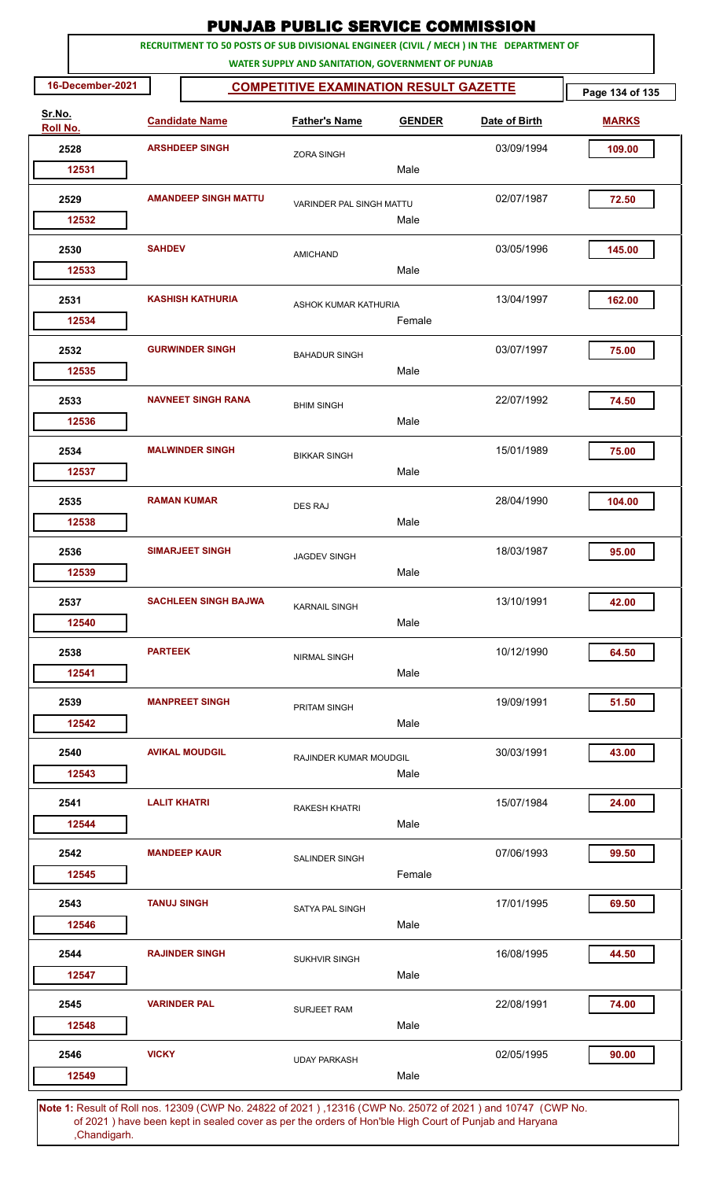|                    |                                                                                                    |                             | <b>PUNJAB PUBLIC SERVICE COMMISSION</b>                                                               |               |               |                                 |  |
|--------------------|----------------------------------------------------------------------------------------------------|-----------------------------|-------------------------------------------------------------------------------------------------------|---------------|---------------|---------------------------------|--|
|                    |                                                                                                    |                             | RECRUITMENT TO 50 POSTS OF SUB DIVISIONAL ENGINEER (CIVIL / MECH ) IN THE DEPARTMENT OF               |               |               |                                 |  |
| 16-December-2021   | WATER SUPPLY AND SANITATION, GOVERNMENT OF PUNJAB<br><b>COMPETITIVE EXAMINATION RESULT GAZETTE</b> |                             |                                                                                                       |               |               |                                 |  |
| Sr.No.<br>Roll No. |                                                                                                    | <b>Candidate Name</b>       | <b>Father's Name</b>                                                                                  | <b>GENDER</b> | Date of Birth | Page 134 of 135<br><b>MARKS</b> |  |
| 2528               |                                                                                                    | <b>ARSHDEEP SINGH</b>       | <b>ZORA SINGH</b>                                                                                     |               | 03/09/1994    | 109.00                          |  |
| 12531              |                                                                                                    |                             |                                                                                                       | Male          |               |                                 |  |
| 2529<br>12532      | <b>AMANDEEP SINGH MATTU</b>                                                                        |                             | VARINDER PAL SINGH MATTU                                                                              | Male          | 02/07/1987    | 72.50                           |  |
| 2530<br>12533      | <b>SAHDEV</b>                                                                                      |                             | <b>AMICHAND</b>                                                                                       | Male          | 03/05/1996    | 145.00                          |  |
| 2531               | <b>KASHISH KATHURIA</b>                                                                            |                             | <b>ASHOK KUMAR KATHURIA</b>                                                                           |               | 13/04/1997    | 162.00                          |  |
| 12534<br>2532      |                                                                                                    | <b>GURWINDER SINGH</b>      | <b>BAHADUR SINGH</b>                                                                                  | Female        | 03/07/1997    | 75.00                           |  |
| 12535              |                                                                                                    |                             |                                                                                                       | Male          |               |                                 |  |
| 2533<br>12536      |                                                                                                    | <b>NAVNEET SINGH RANA</b>   | <b>BHIM SINGH</b>                                                                                     | Male          | 22/07/1992    | 74.50                           |  |
| 2534<br>12537      |                                                                                                    | <b>MALWINDER SINGH</b>      | <b>BIKKAR SINGH</b>                                                                                   | Male          | 15/01/1989    | 75.00                           |  |
| 2535<br>12538      |                                                                                                    | <b>RAMAN KUMAR</b>          | <b>DES RAJ</b>                                                                                        | Male          | 28/04/1990    | 104.00                          |  |
| 2536               |                                                                                                    | <b>SIMARJEET SINGH</b>      | <b>JAGDEV SINGH</b>                                                                                   | Male          | 18/03/1987    | 95.00                           |  |
| 12539<br>2537      |                                                                                                    | <b>SACHLEEN SINGH BAJWA</b> | <b>KARNAIL SINGH</b>                                                                                  |               | 13/10/1991    | 42.00                           |  |
| 12540<br>2538      | <b>PARTEEK</b>                                                                                     |                             | <b>NIRMAL SINGH</b>                                                                                   | Male          | 10/12/1990    | 64.50                           |  |
| 12541<br>2539      |                                                                                                    | <b>MANPREET SINGH</b>       | PRITAM SINGH                                                                                          | Male          | 19/09/1991    | 51.50                           |  |
| 12542              |                                                                                                    |                             |                                                                                                       | Male          |               |                                 |  |
| 2540<br>12543      |                                                                                                    | <b>AVIKAL MOUDGIL</b>       | RAJINDER KUMAR MOUDGIL                                                                                | Male          | 30/03/1991    | 43.00                           |  |
| 2541<br>12544      | <b>LALIT KHATRI</b>                                                                                |                             | <b>RAKESH KHATRI</b>                                                                                  | Male          | 15/07/1984    | 24.00                           |  |
| 2542<br>12545      |                                                                                                    | <b>MANDEEP KAUR</b>         | <b>SALINDER SINGH</b>                                                                                 | Female        | 07/06/1993    | 99.50                           |  |
| 2543<br>12546      | <b>TANUJ SINGH</b>                                                                                 |                             | SATYA PAL SINGH                                                                                       | Male          | 17/01/1995    | 69.50                           |  |
| 2544<br>12547      |                                                                                                    | <b>RAJINDER SINGH</b>       | <b>SUKHVIR SINGH</b>                                                                                  | Male          | 16/08/1995    | 44.50                           |  |
| 2545<br>12548      |                                                                                                    | <b>VARINDER PAL</b>         | <b>SURJEET RAM</b>                                                                                    | Male          | 22/08/1991    | 74.00                           |  |
| 2546               | <b>VICKY</b>                                                                                       |                             | <b>UDAY PARKASH</b>                                                                                   |               | 02/05/1995    | 90.00                           |  |
| 12549              |                                                                                                    |                             | 1: Result of Bollings, 12200 (CWD No. 24822 of 2021), 12216 (CWD No. 25072 of 2021) and 10747 (CWD No | Male          |               |                                 |  |